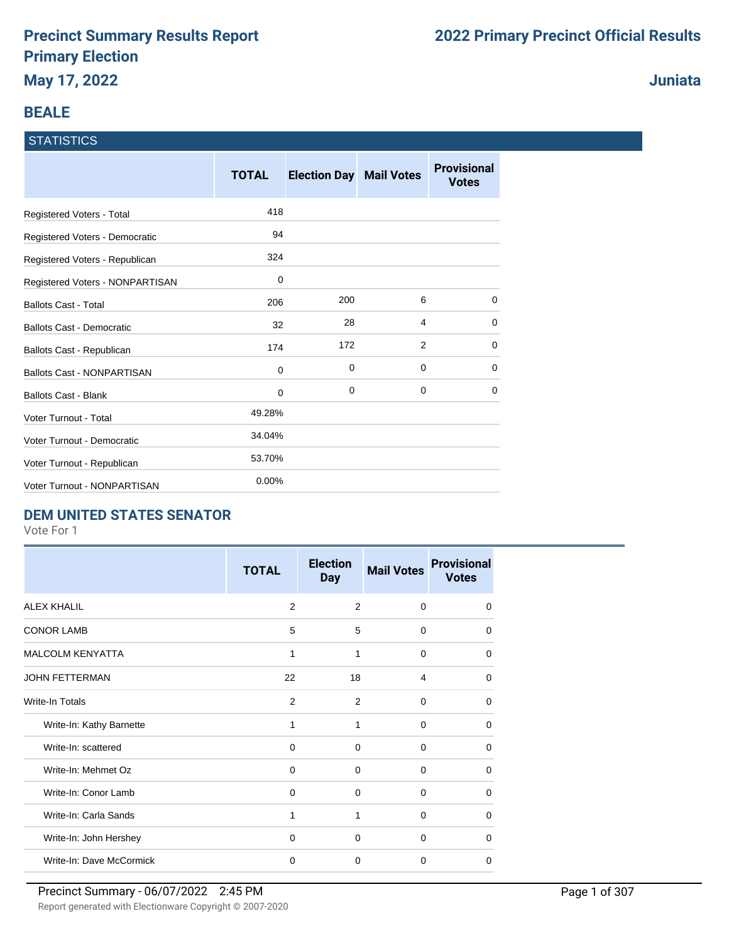### **BEALE**

#### **STATISTICS**

|                                   | <b>TOTAL</b> | <b>Election Day Mail Votes</b> |   | <b>Provisional</b><br><b>Votes</b> |
|-----------------------------------|--------------|--------------------------------|---|------------------------------------|
| Registered Voters - Total         | 418          |                                |   |                                    |
| Registered Voters - Democratic    | 94           |                                |   |                                    |
| Registered Voters - Republican    | 324          |                                |   |                                    |
| Registered Voters - NONPARTISAN   | 0            |                                |   |                                    |
| <b>Ballots Cast - Total</b>       | 206          | 200                            | 6 | $\Omega$                           |
| <b>Ballots Cast - Democratic</b>  | 32           | 28                             | 4 | 0                                  |
| Ballots Cast - Republican         | 174          | 172                            | 2 | 0                                  |
| <b>Ballots Cast - NONPARTISAN</b> | 0            | 0                              | 0 | 0                                  |
| <b>Ballots Cast - Blank</b>       | 0            | 0                              | 0 | $\Omega$                           |
| <b>Voter Turnout - Total</b>      | 49.28%       |                                |   |                                    |
| Voter Turnout - Democratic        | 34.04%       |                                |   |                                    |
| Voter Turnout - Republican        | 53.70%       |                                |   |                                    |
| Voter Turnout - NONPARTISAN       | 0.00%        |                                |   |                                    |

### **DEM UNITED STATES SENATOR**

Vote For 1

|                          | <b>TOTAL</b> | <b>Election</b><br><b>Day</b> | <b>Mail Votes</b> | <b>Provisional</b><br><b>Votes</b> |
|--------------------------|--------------|-------------------------------|-------------------|------------------------------------|
| <b>ALEX KHALIL</b>       | 2            | 2                             | $\Omega$          | $\Omega$                           |
| <b>CONOR LAMB</b>        | 5            | 5                             | $\Omega$          | $\Omega$                           |
| <b>MALCOLM KENYATTA</b>  | 1            | 1                             | $\mathbf 0$       | $\Omega$                           |
| <b>JOHN FETTERMAN</b>    | 22           | 18                            | 4                 | $\Omega$                           |
| Write-In Totals          | 2            | 2                             | $\Omega$          | $\Omega$                           |
| Write-In: Kathy Barnette | 1            | 1                             | $\Omega$          | $\Omega$                           |
| Write-In: scattered      | 0            | $\Omega$                      | $\Omega$          | 0                                  |
| Write-In: Mehmet Oz      | $\Omega$     | $\Omega$                      | $\Omega$          | $\Omega$                           |
| Write-In: Conor Lamb     | $\mathbf 0$  | $\mathbf 0$                   | 0                 | $\Omega$                           |
| Write-In: Carla Sands    | 1            | 1                             | 0                 | $\Omega$                           |
| Write-In: John Hershey   | $\Omega$     | $\Omega$                      | $\Omega$          | $\Omega$                           |
| Write-In: Dave McCormick | 0            | 0                             | $\Omega$          | 0                                  |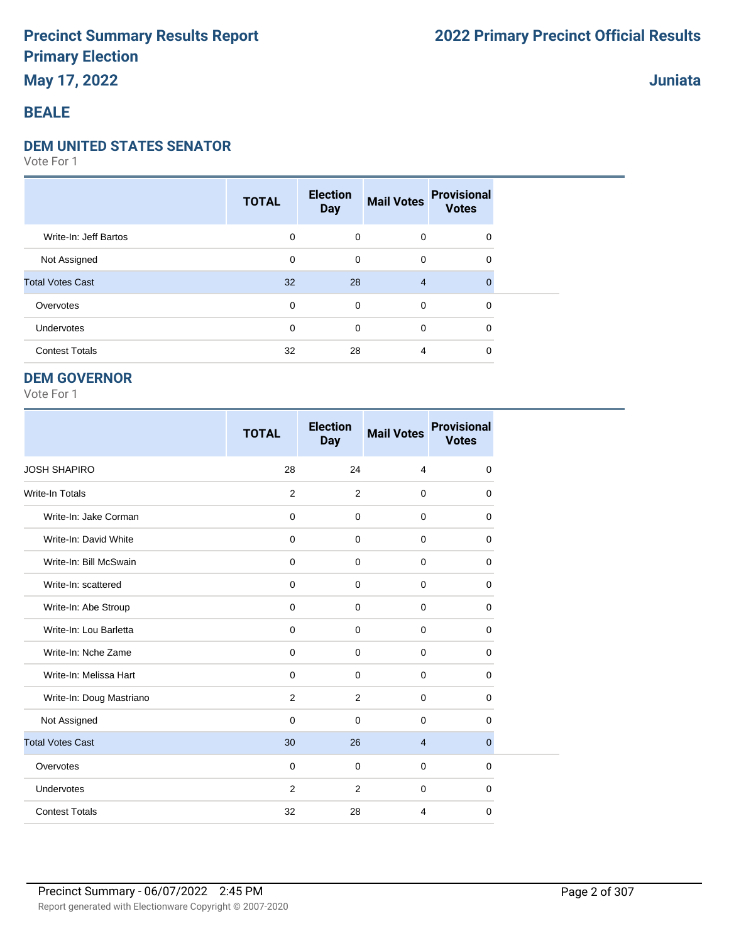## **May 17, 2022**

## **Juniata**

### **BEALE**

#### **DEM UNITED STATES SENATOR**

Vote For 1

|                         | <b>TOTAL</b> | <b>Election</b><br><b>Day</b> | <b>Mail Votes</b> | <b>Provisional</b><br><b>Votes</b> |  |
|-------------------------|--------------|-------------------------------|-------------------|------------------------------------|--|
| Write-In: Jeff Bartos   | 0            | $\mathbf 0$                   | $\mathbf 0$       | 0                                  |  |
| Not Assigned            | 0            | $\mathbf 0$                   | $\mathbf 0$       | 0                                  |  |
| <b>Total Votes Cast</b> | 32           | 28                            | $\overline{4}$    |                                    |  |
| Overvotes               | 0            | $\mathbf 0$                   | $\mathbf 0$       | 0                                  |  |
| Undervotes              | 0            | $\mathbf 0$                   | $\mathbf 0$       | 0                                  |  |
| <b>Contest Totals</b>   | 32           | 28                            | 4                 | 0                                  |  |

#### **DEM GOVERNOR**

|                          | <b>TOTAL</b> | <b>Election</b><br><b>Day</b> | <b>Mail Votes</b> | <b>Provisional</b><br><b>Votes</b> |
|--------------------------|--------------|-------------------------------|-------------------|------------------------------------|
| <b>JOSH SHAPIRO</b>      | 28           | 24                            | $\overline{4}$    | $\Omega$                           |
| <b>Write-In Totals</b>   | 2            | 2                             | $\mathbf 0$       | 0                                  |
| Write-In: Jake Corman    | $\mathbf 0$  | $\mathbf 0$                   | $\mathbf 0$       | 0                                  |
| Write-In: David White    | $\mathbf 0$  | $\Omega$                      | $\mathbf 0$       | $\Omega$                           |
| Write-In: Bill McSwain   | $\mathbf 0$  | $\mathbf 0$                   | $\mathbf 0$       | 0                                  |
| Write-In: scattered      | $\mathbf 0$  | $\mathbf 0$                   | $\mathbf 0$       | $\Omega$                           |
| Write-In: Abe Stroup     | $\mathbf 0$  | $\mathbf 0$                   | $\mathbf 0$       | 0                                  |
| Write-In: Lou Barletta   | $\mathbf 0$  | $\mathbf 0$                   | 0                 | 0                                  |
| Write-In: Nche Zame      | $\mathbf 0$  | $\mathbf 0$                   | 0                 | $\mathbf 0$                        |
| Write-In: Melissa Hart   | $\mathbf 0$  | $\mathbf 0$                   | $\mathbf 0$       | $\mathbf 0$                        |
| Write-In: Doug Mastriano | 2            | 2                             | $\mathbf 0$       | $\Omega$                           |
| Not Assigned             | $\mathbf 0$  | $\mathbf 0$                   | $\mathbf 0$       | 0                                  |
| <b>Total Votes Cast</b>  | 30           | 26                            | $\overline{4}$    | $\overline{0}$                     |
| Overvotes                | $\mathbf 0$  | $\mathbf 0$                   | $\mathbf 0$       | 0                                  |
| Undervotes               | 2            | 2                             | $\mathbf 0$       | 0                                  |
| <b>Contest Totals</b>    | 32           | 28                            | 4                 | $\mathbf 0$                        |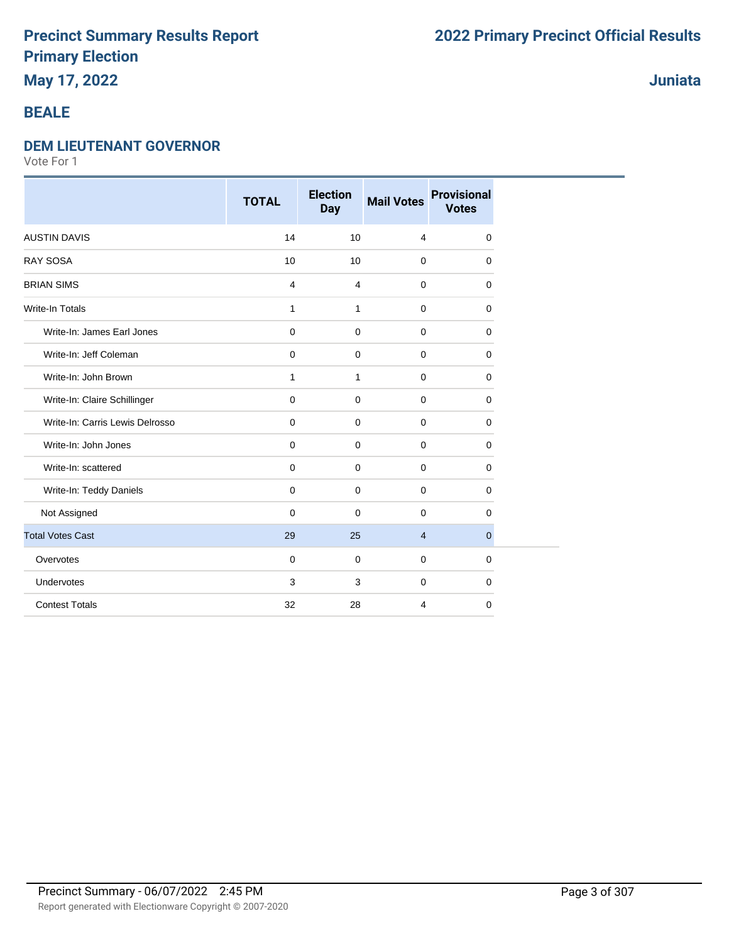## **May 17, 2022**

### **BEALE**

#### **DEM LIEUTENANT GOVERNOR**

Vote For 1

|                                 | <b>TOTAL</b>   | <b>Election</b><br><b>Day</b> | <b>Mail Votes</b> | <b>Provisional</b><br><b>Votes</b> |
|---------------------------------|----------------|-------------------------------|-------------------|------------------------------------|
| <b>AUSTIN DAVIS</b>             | 14             | 10                            | $\overline{4}$    | 0                                  |
| <b>RAY SOSA</b>                 | 10             | 10                            | $\mathbf 0$       | 0                                  |
| <b>BRIAN SIMS</b>               | $\overline{4}$ | $\overline{4}$                | $\mathbf 0$       | 0                                  |
| <b>Write-In Totals</b>          | $\mathbf{1}$   | $\mathbf{1}$                  | $\mathbf 0$       | 0                                  |
| Write-In: James Earl Jones      | $\pmb{0}$      | $\mathbf 0$                   | $\mathbf 0$       | $\Omega$                           |
| Write-In: Jeff Coleman          | $\pmb{0}$      | $\mathbf 0$                   | $\mathbf 0$       | 0                                  |
| Write-In: John Brown            | $\mathbf{1}$   | $\mathbf{1}$                  | $\mathbf 0$       | $\mathbf 0$                        |
| Write-In: Claire Schillinger    | $\mathbf 0$    | $\mathbf 0$                   | $\mathbf 0$       | $\mathbf 0$                        |
| Write-In: Carris Lewis Delrosso | $\mathbf 0$    | $\mathbf 0$                   | $\mathbf 0$       | 0                                  |
| Write-In: John Jones            | 0              | 0                             | $\mathbf 0$       | 0                                  |
| Write-In: scattered             | $\mathbf 0$    | 0                             | $\mathbf 0$       | $\mathbf 0$                        |
| Write-In: Teddy Daniels         | $\mathbf 0$    | $\mathbf 0$                   | $\mathbf 0$       | $\mathbf 0$                        |
| Not Assigned                    | $\Omega$       | $\mathbf 0$                   | $\Omega$          | $\Omega$                           |
| <b>Total Votes Cast</b>         | 29             | 25                            | $\overline{4}$    | $\mathbf{0}$                       |
| Overvotes                       | $\mathbf 0$    | $\mathbf 0$                   | $\mathbf 0$       | $\mathbf 0$                        |
| Undervotes                      | 3              | 3                             | $\mathbf 0$       | 0                                  |
| <b>Contest Totals</b>           | 32             | 28                            | 4                 | $\mathbf 0$                        |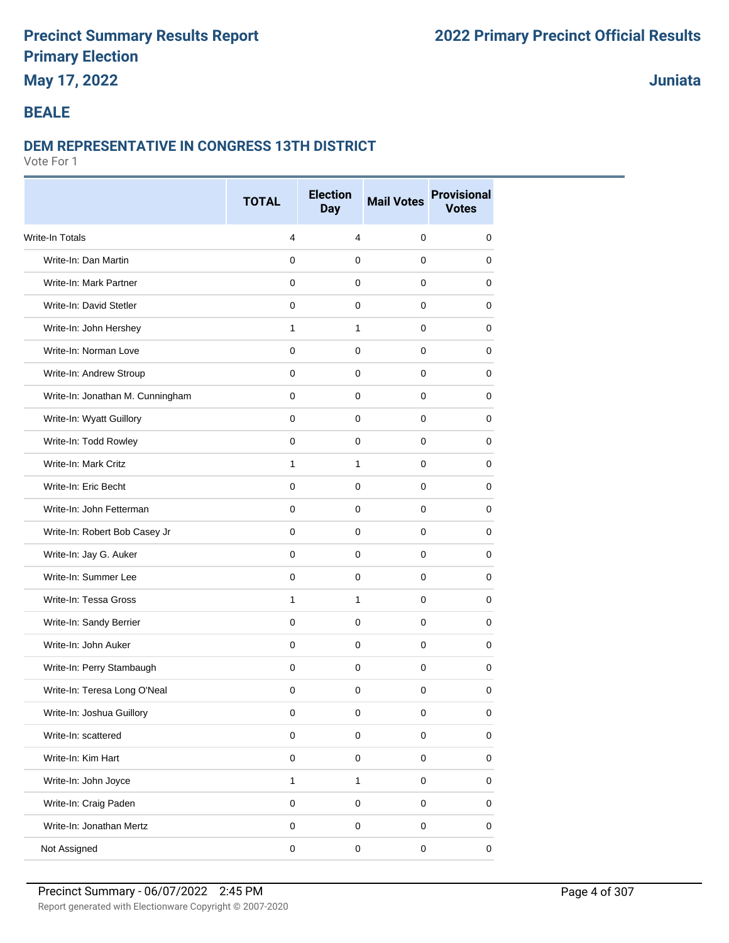## **May 17, 2022**

## **Juniata**

#### **BEALE**

#### **DEM REPRESENTATIVE IN CONGRESS 13TH DISTRICT**

|                                  | <b>TOTAL</b> | <b>Election</b><br><b>Day</b> | <b>Mail Votes</b> | <b>Provisional</b><br><b>Votes</b> |
|----------------------------------|--------------|-------------------------------|-------------------|------------------------------------|
|                                  |              |                               |                   |                                    |
| Write-In Totals                  | 4            | $\overline{4}$                | $\pmb{0}$         | $\mathbf 0$                        |
| Write-In: Dan Martin             | $\mathbf 0$  | $\mathbf 0$                   | $\mathbf{0}$      | 0                                  |
| Write-In: Mark Partner           | 0            | 0                             | $\mathbf 0$       | 0                                  |
| Write-In: David Stetler          | $\mathbf 0$  | $\pmb{0}$                     | $\mathbf 0$       | 0                                  |
| Write-In: John Hershey           | $\mathbf{1}$ | $\mathbf{1}$                  | $\mathbf 0$       | 0                                  |
| Write-In: Norman Love            | $\mathbf 0$  | $\mathbf 0$                   | $\mathbf 0$       | 0                                  |
| Write-In: Andrew Stroup          | $\mathbf 0$  | $\mathbf 0$                   | $\mathbf 0$       | 0                                  |
| Write-In: Jonathan M. Cunningham | 0            | $\mathbf 0$                   | $\mathbf 0$       | 0                                  |
| Write-In: Wyatt Guillory         | $\mathbf 0$  | $\mathbf 0$                   | $\mathbf 0$       | 0                                  |
| Write-In: Todd Rowley            | $\mathbf 0$  | $\mathbf 0$                   | $\mathbf 0$       | 0                                  |
| Write-In: Mark Critz             | $\mathbf{1}$ | $\mathbf{1}$                  | $\mathbf 0$       | 0                                  |
| Write-In: Eric Becht             | $\mathbf 0$  | $\mathbf 0$                   | $\mathbf 0$       | 0                                  |
| Write-In: John Fetterman         | $\mathbf 0$  | $\mathbf 0$                   | $\mathbf 0$       | 0                                  |
| Write-In: Robert Bob Casey Jr    | 0            | $\pmb{0}$                     | $\mathbf{0}$      | 0                                  |
| Write-In: Jay G. Auker           | 0            | $\mathbf 0$                   | 0                 | 0                                  |
| Write-In: Summer Lee             | $\mathbf 0$  | $\mathbf 0$                   | $\mathbf 0$       | 0                                  |
| Write-In: Tessa Gross            | $\mathbf{1}$ | 1                             | $\mathbf 0$       | 0                                  |
| Write-In: Sandy Berrier          | $\mathbf 0$  | $\mathbf 0$                   | $\mathbf 0$       | 0                                  |
| Write-In: John Auker             | $\mathbf 0$  | $\mathbf 0$                   | $\mathbf 0$       | 0                                  |
| Write-In: Perry Stambaugh        | $\mathbf 0$  | $\mathbf 0$                   | $\mathbf 0$       | 0                                  |
| Write-In: Teresa Long O'Neal     | $\mathbf 0$  | $\mathbf 0$                   | $\mathbf 0$       | 0                                  |
| Write-In: Joshua Guillory        | 0            | 0                             | 0                 | 0                                  |
| Write-In: scattered              | $\mathsf 0$  | $\mathbf 0$                   | $\mathsf 0$       | 0                                  |
| Write-In: Kim Hart               | $\mathsf 0$  | $\pmb{0}$                     | $\mathsf 0$       | 0                                  |
| Write-In: John Joyce             | $\mathbf{1}$ | $\mathbf{1}$                  | $\mathsf 0$       | 0                                  |
| Write-In: Craig Paden            | $\mathsf 0$  | $\mathbf 0$                   | $\mathsf 0$       | 0                                  |
| Write-In: Jonathan Mertz         | $\mathsf 0$  | $\pmb{0}$                     | $\mathsf 0$       | 0                                  |
| Not Assigned                     | $\pmb{0}$    | $\pmb{0}$                     | $\mathsf 0$       | 0                                  |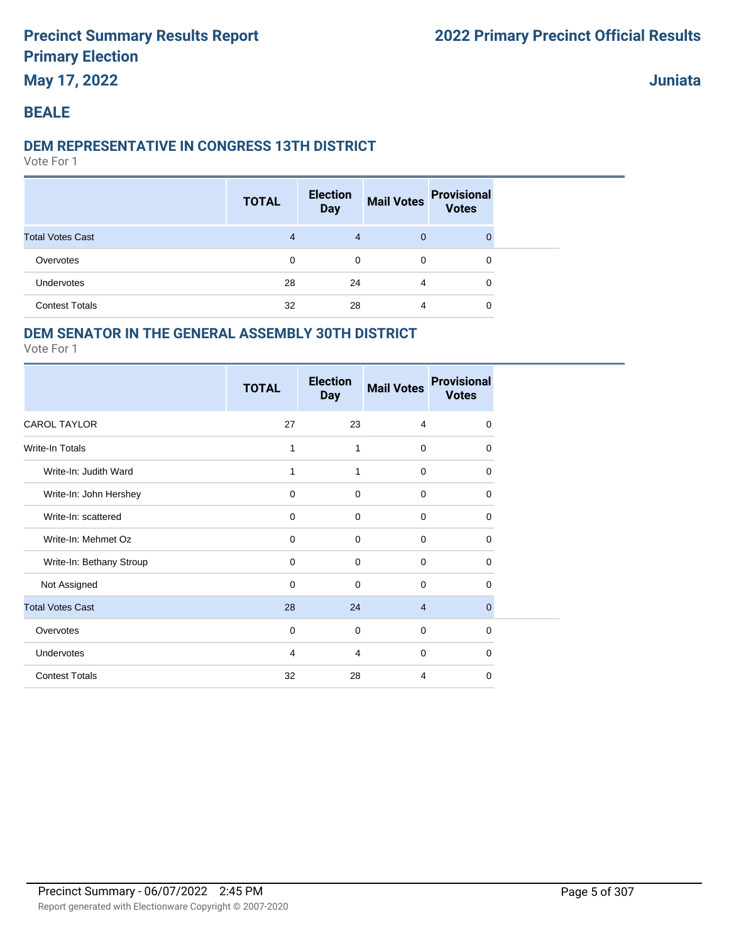#### **Juniata**

#### **BEALE**

#### **DEM REPRESENTATIVE IN CONGRESS 13TH DISTRICT**

Vote For 1

|                         | <b>TOTAL</b>   | <b>Election</b><br><b>Day</b> | <b>Mail Votes</b> | <b>Provisional</b><br><b>Votes</b> |  |
|-------------------------|----------------|-------------------------------|-------------------|------------------------------------|--|
| <b>Total Votes Cast</b> | $\overline{4}$ | $\overline{4}$                | $\mathbf{0}$      |                                    |  |
| Overvotes               | 0              | 0                             | $\mathbf 0$       | 0                                  |  |
| <b>Undervotes</b>       | 28             | 24                            | 4                 | 0                                  |  |
| <b>Contest Totals</b>   | 32             | 28                            | 4                 | 0                                  |  |

### **DEM SENATOR IN THE GENERAL ASSEMBLY 30TH DISTRICT**

|                          | <b>TOTAL</b>   | <b>Election</b><br><b>Day</b> | <b>Mail Votes</b> | <b>Provisional</b><br><b>Votes</b> |
|--------------------------|----------------|-------------------------------|-------------------|------------------------------------|
| <b>CAROL TAYLOR</b>      | 27             | 23                            | 4                 | 0                                  |
| <b>Write-In Totals</b>   | 1              | 1                             | $\mathbf 0$       | $\Omega$                           |
| Write-In: Judith Ward    | 1              | 1                             | $\mathbf 0$       | $\mathbf 0$                        |
| Write-In: John Hershey   | $\mathbf 0$    | $\mathbf 0$                   | $\mathbf 0$       | $\mathbf 0$                        |
| Write-In: scattered      | 0              | $\mathbf 0$                   | $\Omega$          | 0                                  |
| Write-In: Mehmet Oz      | $\mathbf 0$    | $\mathbf 0$                   | $\mathbf 0$       | $\Omega$                           |
| Write-In: Bethany Stroup | 0              | 0                             | $\mathbf 0$       | 0                                  |
| Not Assigned             | $\mathbf 0$    | $\mathbf 0$                   | $\Omega$          | $\Omega$                           |
| <b>Total Votes Cast</b>  | 28             | 24                            | $\overline{4}$    | $\mathbf 0$                        |
| Overvotes                | 0              | 0                             | $\mathbf 0$       | $\mathbf 0$                        |
| Undervotes               | $\overline{4}$ | 4                             | $\mathbf 0$       | $\Omega$                           |
| <b>Contest Totals</b>    | 32             | 28                            | 4                 | 0                                  |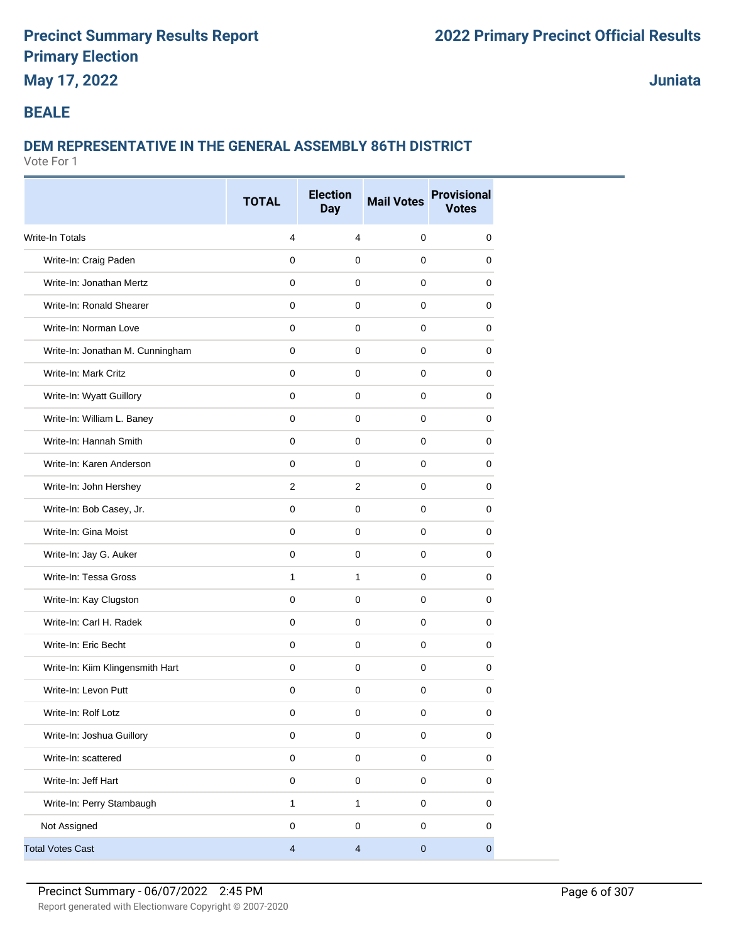## **May 17, 2022**

**Juniata**

### **BEALE**

## **DEM REPRESENTATIVE IN THE GENERAL ASSEMBLY 86TH DISTRICT**

|                                  | <b>TOTAL</b>            | <b>Election</b><br><b>Day</b> | <b>Mail Votes</b> | <b>Provisional</b><br><b>Votes</b> |
|----------------------------------|-------------------------|-------------------------------|-------------------|------------------------------------|
| <b>Write-In Totals</b>           | $\overline{4}$          | 4                             | $\mathbf 0$       | 0                                  |
| Write-In: Craig Paden            | $\mathbf 0$             | $\mathbf 0$                   | $\mathbf 0$       | 0                                  |
| Write-In: Jonathan Mertz         | 0                       | 0                             | 0                 | 0                                  |
| Write-In: Ronald Shearer         | $\mathbf 0$             | $\mathbf 0$                   | $\mathbf 0$       | 0                                  |
| Write-In: Norman Love            | $\mathbf 0$             | $\mathbf 0$                   | $\mathbf 0$       | 0                                  |
| Write-In: Jonathan M. Cunningham | 0                       | $\mathbf 0$                   | 0                 | 0                                  |
| Write-In: Mark Critz             | $\mathbf 0$             | $\mathbf 0$                   | $\mathbf 0$       | 0                                  |
| Write-In: Wyatt Guillory         | $\mathbf 0$             | $\mathbf 0$                   | 0                 | 0                                  |
| Write-In: William L. Baney       | $\mathbf 0$             | $\mathbf 0$                   | $\mathbf 0$       | 0                                  |
| Write-In: Hannah Smith           | 0                       | $\mathbf 0$                   | 0                 | 0                                  |
| Write-In: Karen Anderson         | $\mathbf 0$             | $\mathbf 0$                   | 0                 | 0                                  |
| Write-In: John Hershey           | 2                       | 2                             | $\mathbf 0$       | 0                                  |
| Write-In: Bob Casey, Jr.         | $\mathbf 0$             | $\mathbf 0$                   | $\mathbf 0$       | 0                                  |
| Write-In: Gina Moist             | $\mathbf 0$             | $\mathbf 0$                   | $\mathbf 0$       | 0                                  |
| Write-In: Jay G. Auker           | 0                       | $\mathbf 0$                   | 0                 | 0                                  |
| Write-In: Tessa Gross            | $\mathbf{1}$            | $\mathbf{1}$                  | 0                 | 0                                  |
| Write-In: Kay Clugston           | $\mathbf 0$             | 0                             | $\mathbf 0$       | 0                                  |
| Write-In: Carl H. Radek          | 0                       | $\mathbf 0$                   | $\mathbf 0$       | 0                                  |
| Write-In: Eric Becht             | $\mathbf 0$             | $\mathbf 0$                   | $\Omega$          | $\mathbf 0$                        |
| Write-In: Kiim Klingensmith Hart | $\mathbf 0$             | $\mathbf 0$                   | $\mathbf 0$       | 0                                  |
| Write-In: Levon Putt             | 0                       | $\mathbf 0$                   | $\mathbf 0$       | 0                                  |
| Write-In: Rolf Lotz              | $\pmb{0}$               | $\mathbf 0$                   | 0                 | 0                                  |
| Write-In: Joshua Guillory        | $\pmb{0}$               | $\mathbf 0$                   | $\pmb{0}$         | $\pmb{0}$                          |
| Write-In: scattered              | $\pmb{0}$               | $\pmb{0}$                     | $\pmb{0}$         | $\mathsf 0$                        |
| Write-In: Jeff Hart              | $\pmb{0}$               | $\mathbf 0$                   | $\mathbf 0$       | $\pmb{0}$                          |
| Write-In: Perry Stambaugh        | $\mathbf{1}$            | $\mathbf{1}$                  | $\pmb{0}$         | $\mathbf 0$                        |
| Not Assigned                     | $\pmb{0}$               | $\pmb{0}$                     | $\pmb{0}$         | 0                                  |
| <b>Total Votes Cast</b>          | $\overline{\mathbf{4}}$ | $\overline{4}$                | $\pmb{0}$         | $\mathbf{0}$                       |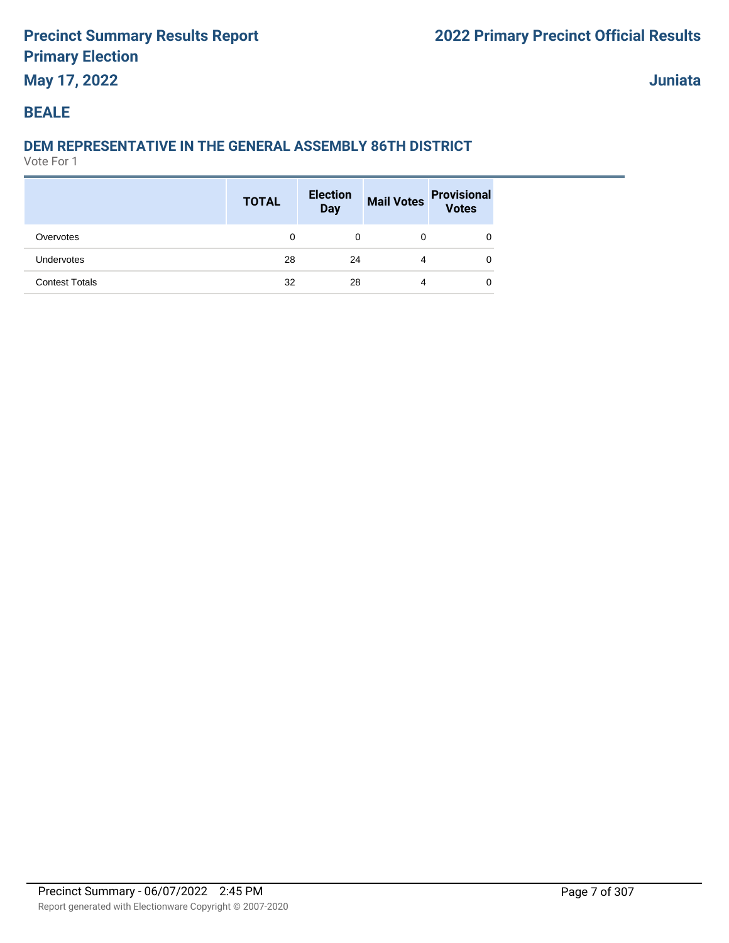## **May 17, 2022**

**Juniata**

### **BEALE**

## **DEM REPRESENTATIVE IN THE GENERAL ASSEMBLY 86TH DISTRICT**

|                       | <b>TOTAL</b> | <b>Election</b><br><b>Day</b> |   | Mail Votes Provisional<br>Votes |
|-----------------------|--------------|-------------------------------|---|---------------------------------|
| Overvotes             | 0            | 0                             | 0 |                                 |
| <b>Undervotes</b>     | 28           | 24                            | 4 | 0                               |
| <b>Contest Totals</b> | 32           | 28                            | 4 | 0                               |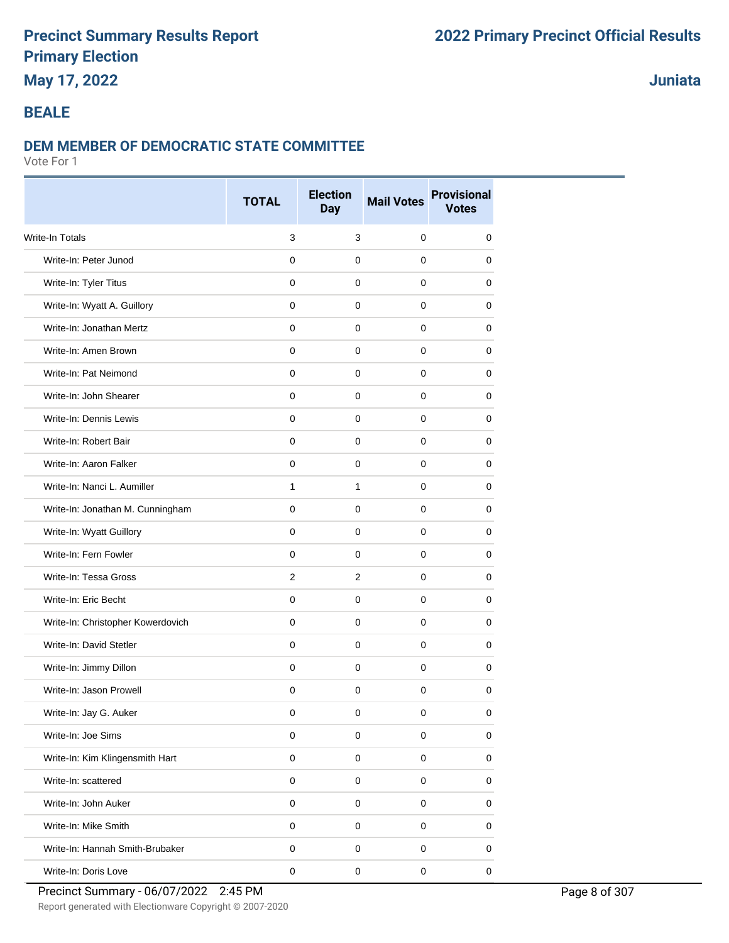## **May 17, 2022**

## **Juniata**

#### **BEALE**

#### **DEM MEMBER OF DEMOCRATIC STATE COMMITTEE**

|                                   | <b>TOTAL</b> | <b>Election</b><br><b>Day</b> | <b>Mail Votes</b> | <b>Provisional</b><br><b>Votes</b> |  |
|-----------------------------------|--------------|-------------------------------|-------------------|------------------------------------|--|
| Write-In Totals                   | 3            | 3                             | $\mathbf 0$       | 0                                  |  |
| Write-In: Peter Junod             | $\mathbf 0$  | $\pmb{0}$                     | $\mathbf 0$       | 0                                  |  |
| Write-In: Tyler Titus             | 0            | 0                             | $\mathbf 0$       | 0                                  |  |
| Write-In: Wyatt A. Guillory       | 0            | 0                             | 0                 | 0                                  |  |
| Write-In: Jonathan Mertz          | $\mathbf 0$  | $\pmb{0}$                     | $\mathbf 0$       | 0                                  |  |
| Write-In: Amen Brown              | $\mathbf 0$  | 0                             | $\mathbf 0$       | 0                                  |  |
| Write-In: Pat Neimond             | $\mathbf 0$  | 0                             | $\mathbf 0$       | 0                                  |  |
| Write-In: John Shearer            | $\mathbf 0$  | $\pmb{0}$                     | $\mathbf 0$       | 0                                  |  |
| Write-In: Dennis Lewis            | $\mathbf 0$  | $\mathbf 0$                   | $\mathbf 0$       | 0                                  |  |
| Write-In: Robert Bair             | 0            | 0                             | 0                 | 0                                  |  |
| Write-In: Aaron Falker            | $\mathbf 0$  | $\mathbf 0$                   | $\mathbf 0$       | 0                                  |  |
| Write-In: Nanci L. Aumiller       | $\mathbf{1}$ | $\mathbf{1}$                  | $\mathbf 0$       | 0                                  |  |
| Write-In: Jonathan M. Cunningham  | 0            | 0                             | 0                 | 0                                  |  |
| Write-In: Wyatt Guillory          | $\mathbf 0$  | $\mathbf 0$                   | $\mathbf 0$       | 0                                  |  |
| Write-In: Fern Fowler             | 0            | 0                             | 0                 | 0                                  |  |
| Write-In: Tessa Gross             | 2            | $\overline{2}$                | 0                 | 0                                  |  |
| Write-In: Eric Becht              | $\mathbf 0$  | $\pmb{0}$                     | $\mathbf 0$       | 0                                  |  |
| Write-In: Christopher Kowerdovich | $\mathbf 0$  | $\mathbf 0$                   | $\mathbf 0$       | 0                                  |  |
| Write-In: David Stetler           | $\mathbf 0$  | 0                             | $\mathbf 0$       | 0                                  |  |
| Write-In: Jimmy Dillon            | $\mathbf 0$  | $\pmb{0}$                     | $\mathbf 0$       | 0                                  |  |
| Write-In: Jason Prowell           | $\mathbf 0$  | 0                             | $\mathbf 0$       | 0                                  |  |
| Write-In: Jay G. Auker            | 0            | 0                             | 0                 | 0                                  |  |
| Write-In: Joe Sims                | $\mathbf 0$  | $\pmb{0}$                     | $\mathbf 0$       | 0                                  |  |
| Write-In: Kim Klingensmith Hart   | $\pmb{0}$    | $\mathsf{O}\xspace$           | $\pmb{0}$         | 0                                  |  |
| Write-In: scattered               | $\mathbf 0$  | $\pmb{0}$                     | $\pmb{0}$         | 0                                  |  |
| Write-In: John Auker              | $\pmb{0}$    | $\pmb{0}$                     | $\mathbf 0$       | 0                                  |  |
| Write-In: Mike Smith              | $\mathbf 0$  | $\pmb{0}$                     | $\pmb{0}$         | 0                                  |  |
| Write-In: Hannah Smith-Brubaker   | 0            | 0                             | 0                 | 0                                  |  |
| Write-In: Doris Love              | $\pmb{0}$    | $\pmb{0}$                     | $\pmb{0}$         | $\pmb{0}$                          |  |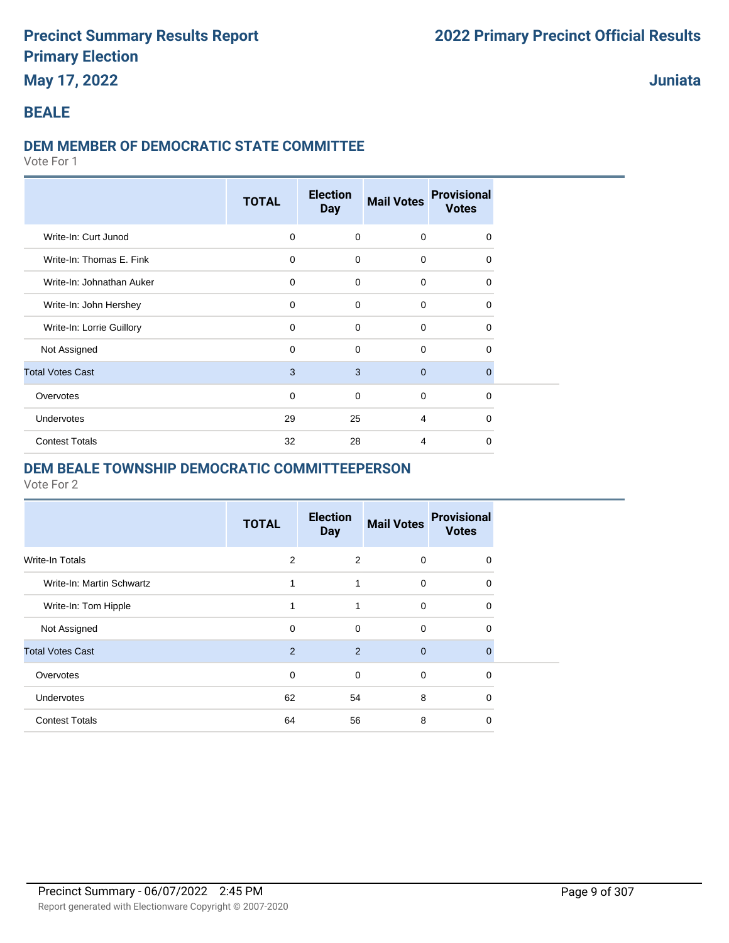## **May 17, 2022**

#### **Juniata**

#### **BEALE**

#### **DEM MEMBER OF DEMOCRATIC STATE COMMITTEE**

Vote For 1

|                           | <b>TOTAL</b> | <b>Election</b><br><b>Day</b> | <b>Mail Votes</b> | <b>Provisional</b><br><b>Votes</b> |  |
|---------------------------|--------------|-------------------------------|-------------------|------------------------------------|--|
| Write-In: Curt Junod      | $\mathbf 0$  | $\mathbf 0$                   | $\mathbf 0$       | $\Omega$                           |  |
| Write-In: Thomas E. Fink  | $\mathbf 0$  | $\mathbf 0$                   | $\mathbf 0$       | $\Omega$                           |  |
| Write-In: Johnathan Auker | $\mathbf 0$  | $\Omega$                      | $\mathbf 0$       | $\Omega$                           |  |
| Write-In: John Hershey    | $\mathbf 0$  | $\Omega$                      | $\mathbf 0$       | $\Omega$                           |  |
| Write-In: Lorrie Guillory | 0            | $\mathbf 0$                   | $\mathbf 0$       | $\Omega$                           |  |
| Not Assigned              | 0            | $\mathbf 0$                   | $\mathbf 0$       | 0                                  |  |
| <b>Total Votes Cast</b>   | 3            | 3                             | $\mathbf{0}$      | $\Omega$                           |  |
| Overvotes                 | 0            | 0                             | $\mathbf 0$       | 0                                  |  |
| <b>Undervotes</b>         | 29           | 25                            | $\overline{4}$    | $\Omega$                           |  |
| <b>Contest Totals</b>     | 32           | 28                            | 4                 | $\Omega$                           |  |

#### **DEM BEALE TOWNSHIP DEMOCRATIC COMMITTEEPERSON**

|                           | <b>TOTAL</b> | <b>Election</b><br><b>Day</b> | <b>Mail Votes</b> | <b>Provisional</b><br><b>Votes</b> |
|---------------------------|--------------|-------------------------------|-------------------|------------------------------------|
| Write-In Totals           | 2            | 2                             | $\Omega$          | 0                                  |
| Write-In: Martin Schwartz | 1            | 1                             | 0                 | 0                                  |
| Write-In: Tom Hipple      | 1            | 1                             | 0                 | 0                                  |
| Not Assigned              | $\mathbf 0$  | $\mathbf 0$                   | $\Omega$          | 0                                  |
| <b>Total Votes Cast</b>   | 2            | 2                             | $\Omega$          | 0                                  |
| Overvotes                 | $\mathbf 0$  | 0                             | 0                 | 0                                  |
| Undervotes                | 62           | 54                            | 8                 | 0                                  |
| <b>Contest Totals</b>     | 64           | 56                            | 8                 | 0                                  |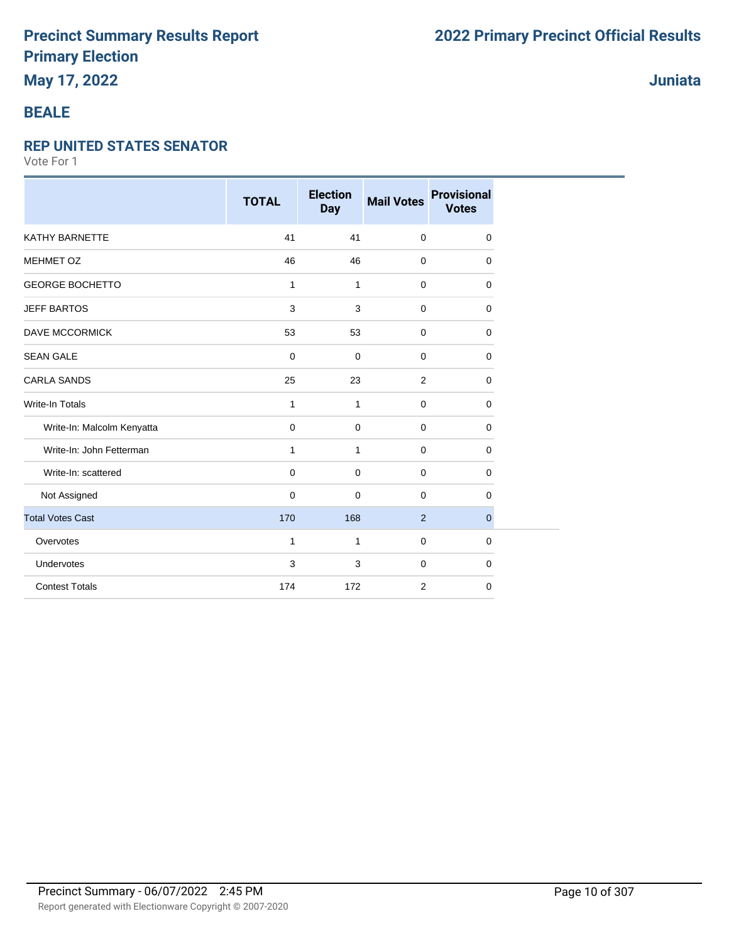## **May 17, 2022**

### **Juniata**

### **BEALE**

#### **REP UNITED STATES SENATOR**

|                            | <b>TOTAL</b> | <b>Election</b><br><b>Day</b> | <b>Mail Votes</b> | <b>Provisional</b><br><b>Votes</b> |
|----------------------------|--------------|-------------------------------|-------------------|------------------------------------|
| KATHY BARNETTE             | 41           | 41                            | $\mathbf 0$       | 0                                  |
| <b>MEHMET OZ</b>           | 46           | 46                            | $\mathbf 0$       | $\mathbf 0$                        |
| <b>GEORGE BOCHETTO</b>     | $\mathbf{1}$ | $\mathbf{1}$                  | $\mathbf 0$       | $\Omega$                           |
| <b>JEFF BARTOS</b>         | 3            | 3                             | 0                 | $\mathbf 0$                        |
| <b>DAVE MCCORMICK</b>      | 53           | 53                            | 0                 | $\mathbf 0$                        |
| <b>SEAN GALE</b>           | 0            | 0                             | $\mathbf 0$       | $\mathbf 0$                        |
| <b>CARLA SANDS</b>         | 25           | 23                            | 2                 | 0                                  |
| <b>Write-In Totals</b>     | $\mathbf{1}$ | $\mathbf{1}$                  | $\mathbf 0$       | $\mathbf 0$                        |
| Write-In: Malcolm Kenyatta | $\mathbf 0$  | $\mathbf 0$                   | $\mathbf 0$       | $\mathbf 0$                        |
| Write-In: John Fetterman   | 1            | $\mathbf{1}$                  | $\mathbf 0$       | $\mathbf 0$                        |
| Write-In: scattered        | $\mathbf 0$  | 0                             | $\mathbf 0$       | $\mathbf 0$                        |
| Not Assigned               | $\mathbf 0$  | $\mathbf 0$                   | $\mathbf 0$       | 0                                  |
| <b>Total Votes Cast</b>    | 170          | 168                           | $\overline{2}$    | $\mathbf 0$                        |
| Overvotes                  | 1            | 1                             | $\mathbf 0$       | $\mathbf 0$                        |
| Undervotes                 | 3            | 3                             | 0                 | $\mathbf 0$                        |
| <b>Contest Totals</b>      | 174          | 172                           | 2                 | $\mathbf 0$                        |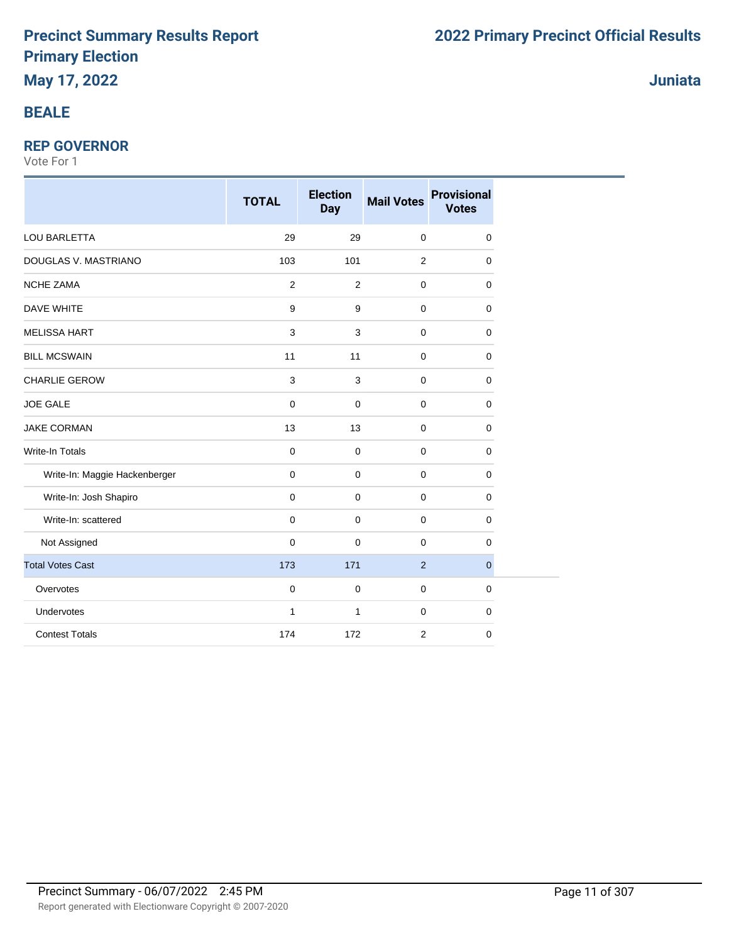### **BEALE**

#### **REP GOVERNOR**

|                               | <b>TOTAL</b>   | <b>Election</b><br><b>Day</b> | <b>Mail Votes</b> | <b>Provisional</b><br><b>Votes</b> |
|-------------------------------|----------------|-------------------------------|-------------------|------------------------------------|
| LOU BARLETTA                  | 29             | 29                            | $\mathbf 0$       | $\mathbf 0$                        |
| DOUGLAS V. MASTRIANO          | 103            | 101                           | $\overline{2}$    | 0                                  |
| <b>NCHE ZAMA</b>              | $\overline{2}$ | 2                             | $\mathbf 0$       | $\mathbf 0$                        |
| <b>DAVE WHITE</b>             | 9              | 9                             | $\mathbf 0$       | $\mathbf 0$                        |
| <b>MELISSA HART</b>           | 3              | 3                             | $\mathbf 0$       | $\mathbf 0$                        |
| <b>BILL MCSWAIN</b>           | 11             | 11                            | 0                 | $\mathbf 0$                        |
| <b>CHARLIE GEROW</b>          | $\mathsf 3$    | 3                             | $\mathbf 0$       | $\mathbf 0$                        |
| <b>JOE GALE</b>               | 0              | $\pmb{0}$                     | $\mathbf 0$       | $\mathbf 0$                        |
| <b>JAKE CORMAN</b>            | 13             | 13                            | $\mathbf 0$       | $\mathbf 0$                        |
| <b>Write-In Totals</b>        | 0              | $\mathbf 0$                   | $\mathbf 0$       | $\mathbf 0$                        |
| Write-In: Maggie Hackenberger | $\mathbf 0$    | $\mathbf 0$                   | 0                 | 0                                  |
| Write-In: Josh Shapiro        | 0              | $\mathbf 0$                   | $\mathbf 0$       | $\mathbf 0$                        |
| Write-In: scattered           | $\pmb{0}$      | $\mathbf 0$                   | $\mathbf 0$       | $\mathbf 0$                        |
| Not Assigned                  | 0              | $\mathbf 0$                   | $\mathbf 0$       | $\mathbf 0$                        |
| <b>Total Votes Cast</b>       | 173            | 171                           | $\overline{2}$    | $\mathbf{0}$                       |
| Overvotes                     | 0              | $\pmb{0}$                     | $\mathbf 0$       | $\mathbf 0$                        |
| Undervotes                    | $\mathbf{1}$   | $\mathbf{1}$                  | $\mathbf 0$       | $\mathbf 0$                        |
| <b>Contest Totals</b>         | 174            | 172                           | $\overline{2}$    | 0                                  |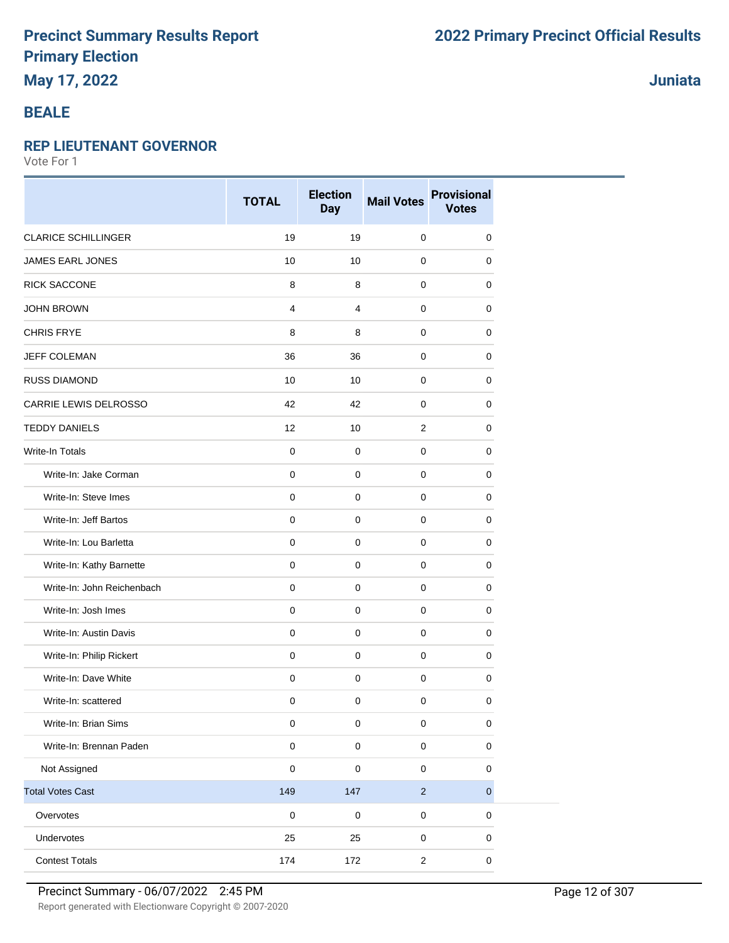## **May 17, 2022**

### **BEALE**

#### **REP LIEUTENANT GOVERNOR**

Vote For 1

|                            | <b>TOTAL</b>        | <b>Election</b><br><b>Day</b> | <b>Mail Votes</b> | <b>Provisional</b><br><b>Votes</b> |
|----------------------------|---------------------|-------------------------------|-------------------|------------------------------------|
| <b>CLARICE SCHILLINGER</b> | 19                  | 19                            | $\mathbf 0$       | 0                                  |
| <b>JAMES EARL JONES</b>    | 10                  | 10                            | 0                 | 0                                  |
| <b>RICK SACCONE</b>        | 8                   | 8                             | 0                 | 0                                  |
| <b>JOHN BROWN</b>          | $\overline{4}$      | $\overline{4}$                | $\mathbf 0$       | 0                                  |
| <b>CHRIS FRYE</b>          | 8                   | 8                             | $\mathbf 0$       | 0                                  |
| <b>JEFF COLEMAN</b>        | 36                  | 36                            | 0                 | 0                                  |
| <b>RUSS DIAMOND</b>        | 10                  | 10                            | $\mathbf 0$       | 0                                  |
| CARRIE LEWIS DELROSSO      | 42                  | 42                            | 0                 | 0                                  |
| <b>TEDDY DANIELS</b>       | 12                  | 10                            | $\overline{2}$    | 0                                  |
| Write-In Totals            | $\mathbf 0$         | $\mathbf 0$                   | $\mathbf 0$       | 0                                  |
| Write-In: Jake Corman      | $\mathbf 0$         | $\mathbf 0$                   | $\mathbf 0$       | 0                                  |
| Write-In: Steve Imes       | $\mathbf 0$         | $\mathbf 0$                   | 0                 | 0                                  |
| Write-In: Jeff Bartos      | $\mathbf 0$         | $\mathbf 0$                   | 0                 | 0                                  |
| Write-In: Lou Barletta     | $\mathbf 0$         | $\mathbf 0$                   | $\mathbf 0$       | 0                                  |
| Write-In: Kathy Barnette   | $\mathbf 0$         | $\mathbf 0$                   | $\mathbf 0$       | 0                                  |
| Write-In: John Reichenbach | 0                   | 0                             | 0                 | 0                                  |
| Write-In: Josh Imes        | $\mathbf 0$         | $\mathbf 0$                   | $\mathbf 0$       | 0                                  |
| Write-In: Austin Davis     | $\mathsf{O}\xspace$ | $\mathbf 0$                   | 0                 | $\mathbf 0$                        |
| Write-In: Philip Rickert   | 0                   | $\mathbf 0$                   | 0                 | 0                                  |
| Write-In: Dave White       | $\mathsf{O}\xspace$ | $\pmb{0}$                     | $\mathbf 0$       | 0                                  |
| Write-In: scattered        | $\pmb{0}$           | $\mathbf 0$                   | 0                 | 0                                  |
| Write-In: Brian Sims       | $\pmb{0}$           | $\mathbf 0$                   | 0                 | 0                                  |
| Write-In: Brennan Paden    | $\mathbf 0$         | $\pmb{0}$                     | $\mathsf 0$       | $\pmb{0}$                          |
| Not Assigned               | $\pmb{0}$           | $\mathbf 0$                   | 0                 | 0                                  |
| <b>Total Votes Cast</b>    | 149                 | 147                           | $\sqrt{2}$        | $\mathbf 0$                        |
| Overvotes                  | $\mathbf 0$         | $\mathbf 0$                   | $\pmb{0}$         | $\pmb{0}$                          |
| Undervotes                 | 25                  | 25                            | $\pmb{0}$         | 0                                  |
| <b>Contest Totals</b>      | 174                 | 172                           | $\overline{c}$    | $\pmb{0}$                          |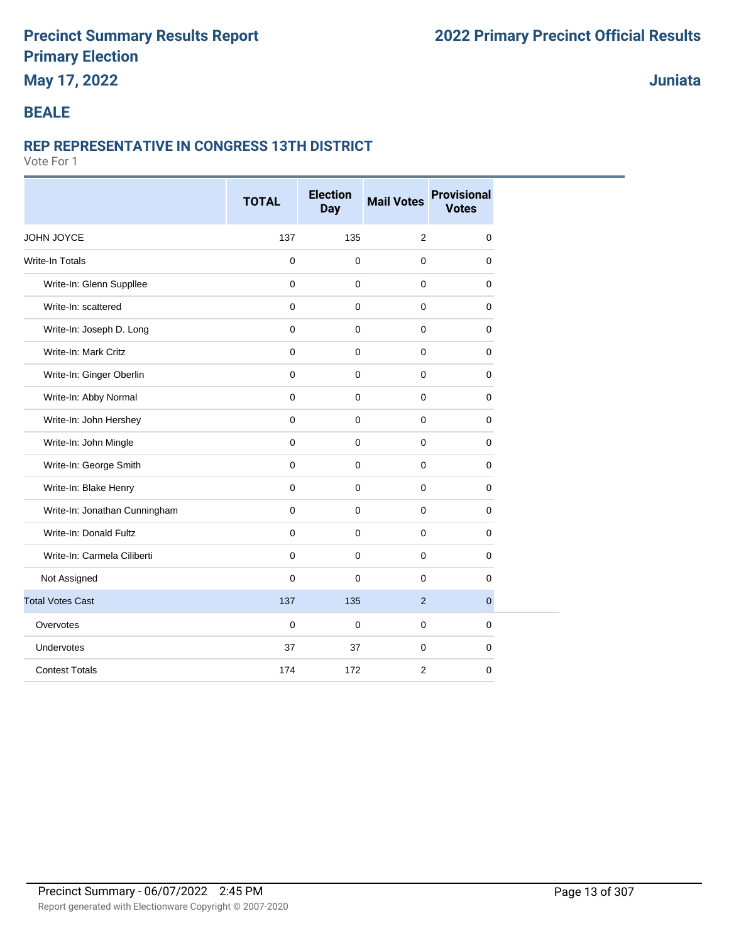## **May 17, 2022**

## **Juniata**

### **BEALE**

#### **REP REPRESENTATIVE IN CONGRESS 13TH DISTRICT**

|                               | <b>TOTAL</b>        | <b>Election</b><br>Day | <b>Mail Votes</b> | <b>Provisional</b><br><b>Votes</b> |
|-------------------------------|---------------------|------------------------|-------------------|------------------------------------|
| JOHN JOYCE                    | 137                 | 135                    | 2                 | 0                                  |
| <b>Write-In Totals</b>        | 0                   | $\mathbf 0$            | $\mathbf 0$       | $\mathbf 0$                        |
| Write-In: Glenn Suppllee      | $\mathsf{O}\xspace$ | $\mathbf 0$            | $\mathbf 0$       | $\mathbf 0$                        |
| Write-In: scattered           | $\mathbf 0$         | $\mathbf 0$            | $\mathbf 0$       | $\mathbf 0$                        |
| Write-In: Joseph D. Long      | 0                   | $\mathbf 0$            | $\mathbf 0$       | 0                                  |
| Write-In: Mark Critz          | $\mathbf 0$         | $\mathbf 0$            | $\mathbf 0$       | $\mathbf 0$                        |
| Write-In: Ginger Oberlin      | 0                   | $\mathbf 0$            | $\mathbf 0$       | $\mathbf 0$                        |
| Write-In: Abby Normal         | 0                   | $\pmb{0}$              | $\mathbf 0$       | 0                                  |
| Write-In: John Hershey        | 0                   | $\mathbf 0$            | $\mathbf 0$       | 0                                  |
| Write-In: John Mingle         | 0                   | $\mathbf 0$            | $\mathbf 0$       | $\mathbf 0$                        |
| Write-In: George Smith        | 0                   | $\mathbf 0$            | $\pmb{0}$         | $\mathbf 0$                        |
| Write-In: Blake Henry         | 0                   | $\mathbf 0$            | $\mathbf 0$       | 0                                  |
| Write-In: Jonathan Cunningham | 0                   | $\mathbf 0$            | $\mathbf 0$       | $\mathbf 0$                        |
| Write-In: Donald Fultz        | $\mathbf{0}$        | $\mathbf 0$            | $\mathbf 0$       | 0                                  |
| Write-In: Carmela Ciliberti   | 0                   | $\mathbf 0$            | $\mathbf 0$       | 0                                  |
| Not Assigned                  | 0                   | $\pmb{0}$              | $\mathbf 0$       | $\mathbf 0$                        |
| <b>Total Votes Cast</b>       | 137                 | 135                    | 2                 | $\overline{0}$                     |
| Overvotes                     | $\mathbf 0$         | $\mathbf 0$            | $\mathbf 0$       | $\mathbf 0$                        |
| Undervotes                    | 37                  | 37                     | $\mathbf 0$       | $\mathbf 0$                        |
| <b>Contest Totals</b>         | 174                 | 172                    | $\overline{2}$    | $\mathbf 0$                        |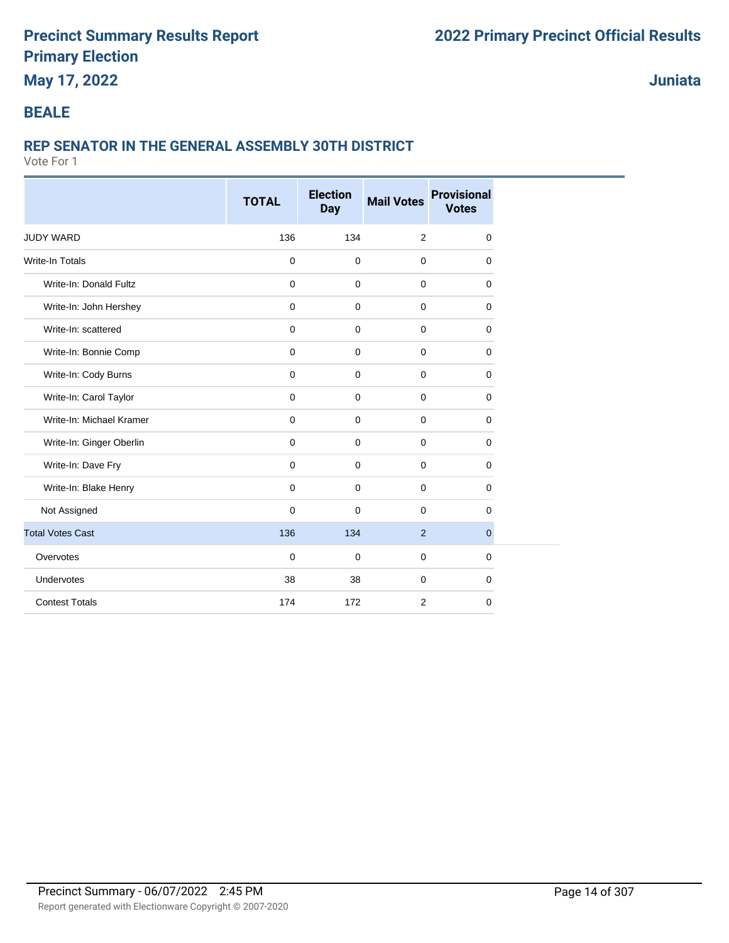## **May 17, 2022**

**Juniata**

### **BEALE**

## **REP SENATOR IN THE GENERAL ASSEMBLY 30TH DISTRICT**

|                          | <b>TOTAL</b> | <b>Election</b><br><b>Day</b> | <b>Mail Votes</b> | <b>Provisional</b><br><b>Votes</b> |
|--------------------------|--------------|-------------------------------|-------------------|------------------------------------|
| <b>JUDY WARD</b>         | 136          | 134                           | 2                 | $\mathbf 0$                        |
| Write-In Totals          | $\mathbf 0$  | 0                             | $\mathbf 0$       | $\mathbf 0$                        |
| Write-In: Donald Fultz   | $\mathbf 0$  | $\mathbf 0$                   | 0                 | 0                                  |
| Write-In: John Hershey   | $\mathbf 0$  | $\mathbf 0$                   | 0                 | 0                                  |
| Write-In: scattered      | $\mathbf 0$  | $\mathbf 0$                   | $\mathbf 0$       | $\mathbf 0$                        |
| Write-In: Bonnie Comp    | $\mathbf 0$  | $\mathbf 0$                   | $\mathbf 0$       | $\mathbf 0$                        |
| Write-In: Cody Burns     | $\mathbf 0$  | $\mathsf{O}\xspace$           | $\mathbf 0$       | $\mathbf 0$                        |
| Write-In: Carol Taylor   | $\mathbf 0$  | $\mathbf 0$                   | $\mathbf 0$       | $\mathbf 0$                        |
| Write-In: Michael Kramer | $\mathbf 0$  | $\mathbf 0$                   | $\mathbf 0$       | $\mathbf 0$                        |
| Write-In: Ginger Oberlin | $\mathbf 0$  | $\mathbf 0$                   | $\mathbf 0$       | $\mathbf 0$                        |
| Write-In: Dave Fry       | $\mathbf 0$  | 0                             | $\mathbf 0$       | $\mathbf 0$                        |
| Write-In: Blake Henry    | $\mathbf 0$  | $\Omega$                      | $\mathbf 0$       | $\mathbf 0$                        |
| Not Assigned             | $\mathbf 0$  | $\Omega$                      | $\mathbf 0$       | $\mathbf 0$                        |
| <b>Total Votes Cast</b>  | 136          | 134                           | $\overline{2}$    | $\mathbf{0}$                       |
| Overvotes                | $\mathbf 0$  | $\mathbf 0$                   | 0                 | $\mathbf 0$                        |
| Undervotes               | 38           | 38                            | $\mathbf 0$       | $\mathbf 0$                        |
| <b>Contest Totals</b>    | 174          | 172                           | 2                 | $\mathbf 0$                        |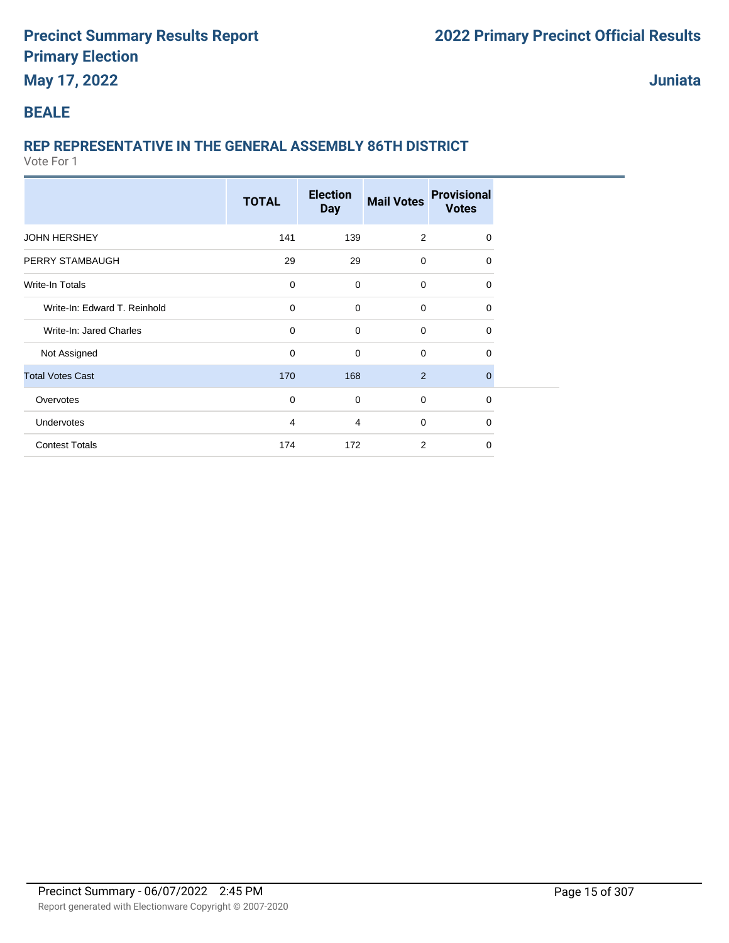## **May 17, 2022**

**Juniata**

### **BEALE**

## **REP REPRESENTATIVE IN THE GENERAL ASSEMBLY 86TH DISTRICT**

|                              | <b>TOTAL</b>   | <b>Election</b><br><b>Day</b> | <b>Mail Votes</b> | <b>Provisional</b><br><b>Votes</b> |
|------------------------------|----------------|-------------------------------|-------------------|------------------------------------|
| <b>JOHN HERSHEY</b>          | 141            | 139                           | 2                 | $\Omega$                           |
| PERRY STAMBAUGH              | 29             | 29                            | $\mathbf 0$       | $\Omega$                           |
| Write-In Totals              | $\mathbf 0$    | $\mathbf 0$                   | $\mathbf 0$       | $\Omega$                           |
| Write-In: Edward T. Reinhold | $\mathbf 0$    | $\mathbf 0$                   | $\mathbf 0$       | $\Omega$                           |
| Write-In: Jared Charles      | $\mathbf 0$    | $\mathbf 0$                   | $\mathbf 0$       | $\Omega$                           |
| Not Assigned                 | $\mathbf 0$    | $\mathbf 0$                   | $\mathbf 0$       | $\Omega$                           |
| <b>Total Votes Cast</b>      | 170            | 168                           | $\overline{2}$    | $\Omega$                           |
| Overvotes                    | $\mathbf 0$    | $\mathbf 0$                   | $\mathbf 0$       | $\Omega$                           |
| Undervotes                   | $\overline{4}$ | $\overline{4}$                | $\mathbf 0$       | $\Omega$                           |
| <b>Contest Totals</b>        | 174            | 172                           | 2                 | $\Omega$                           |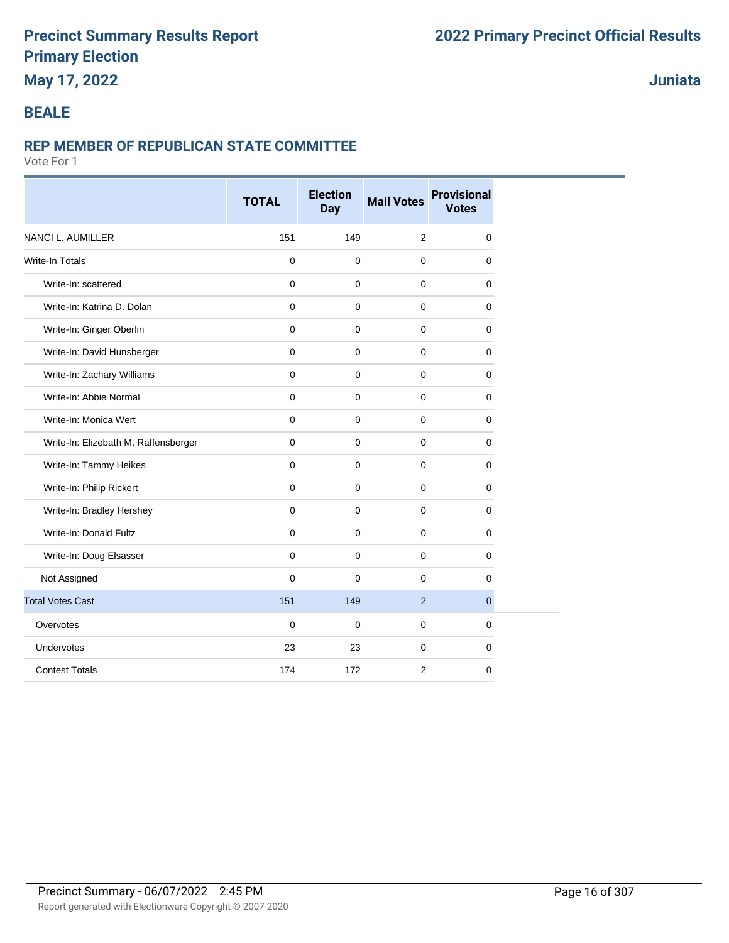## **May 17, 2022**

### **Juniata**

#### **BEALE**

#### **REP MEMBER OF REPUBLICAN STATE COMMITTEE**

|                                      | <b>TOTAL</b> | <b>Election</b><br>Day | <b>Mail Votes</b> | <b>Provisional</b><br><b>Votes</b> |
|--------------------------------------|--------------|------------------------|-------------------|------------------------------------|
| <b>NANCI L. AUMILLER</b>             | 151          | 149                    | 2                 | 0                                  |
| <b>Write-In Totals</b>               | $\mathbf 0$  | $\mathbf 0$            | $\mathbf 0$       | $\mathbf 0$                        |
| Write-In: scattered                  | $\mathbf 0$  | $\mathbf 0$            | $\mathbf 0$       | $\mathbf 0$                        |
| Write-In: Katrina D. Dolan           | $\mathbf 0$  | $\mathbf 0$            | $\mathbf 0$       | $\mathbf 0$                        |
| Write-In: Ginger Oberlin             | $\mathbf 0$  | $\mathbf 0$            | $\mathbf 0$       | 0                                  |
| Write-In: David Hunsberger           | $\mathbf 0$  | $\mathbf 0$            | $\mathbf 0$       | 0                                  |
| Write-In: Zachary Williams           | 0            | $\mathbf 0$            | $\mathbf 0$       | $\mathbf 0$                        |
| Write-In: Abbie Normal               | 0            | $\pmb{0}$              | $\mathbf 0$       | 0                                  |
| Write-In: Monica Wert                | 0            | $\mathbf 0$            | $\mathbf 0$       | 0                                  |
| Write-In: Elizebath M. Raffensberger | $\mathbf 0$  | $\mathbf 0$            | $\mathbf 0$       | $\mathbf 0$                        |
| Write-In: Tammy Heikes               | 0            | $\mathbf 0$            | $\mathbf 0$       | $\mathbf 0$                        |
| Write-In: Philip Rickert             | 0            | $\mathbf 0$            | $\mathbf 0$       | 0                                  |
| Write-In: Bradley Hershey            | 0            | $\mathbf 0$            | $\mathbf 0$       | $\mathbf 0$                        |
| Write-In: Donald Fultz               | $\mathbf{0}$ | $\mathbf 0$            | $\mathbf 0$       | 0                                  |
| Write-In: Doug Elsasser              | 0            | $\mathbf 0$            | $\mathbf 0$       | 0                                  |
| Not Assigned                         | $\mathbf 0$  | $\mathbf 0$            | $\mathbf 0$       | $\mathbf 0$                        |
| <b>Total Votes Cast</b>              | 151          | 149                    | 2                 | $\mathbf{0}$                       |
| Overvotes                            | $\mathbf 0$  | $\mathbf 0$            | $\mathbf 0$       | $\mathbf 0$                        |
| Undervotes                           | 23           | 23                     | $\mathbf 0$       | 0                                  |
| <b>Contest Totals</b>                | 174          | 172                    | 2                 | $\mathbf 0$                        |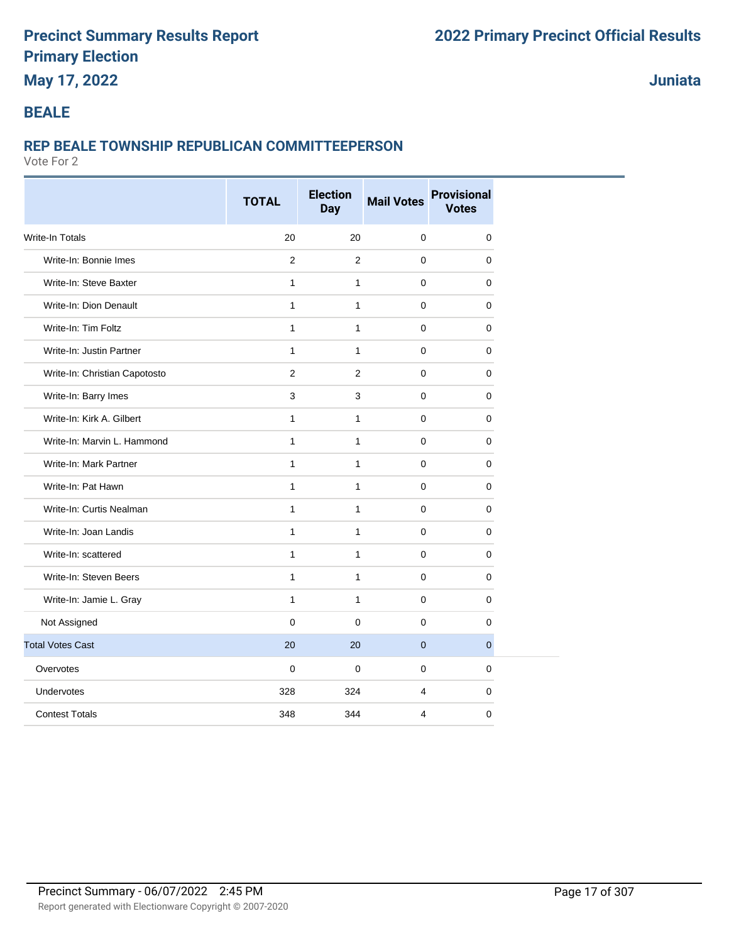## **May 17, 2022**

**Juniata**

### **BEALE**

#### **REP BEALE TOWNSHIP REPUBLICAN COMMITTEEPERSON**

|                               | <b>TOTAL</b>   | <b>Election</b><br><b>Day</b> | <b>Mail Votes</b> | <b>Provisional</b><br><b>Votes</b> |
|-------------------------------|----------------|-------------------------------|-------------------|------------------------------------|
| Write-In Totals               | 20             | 20                            | $\mathbf 0$       | $\pmb{0}$                          |
| Write-In: Bonnie Imes         | $\overline{2}$ | $\overline{2}$                | $\Omega$          | $\Omega$                           |
| Write-In: Steve Baxter        | $\mathbf{1}$   | $\mathbf{1}$                  | $\mathbf 0$       | 0                                  |
| Write-In: Dion Denault        | $\mathbf{1}$   | $\mathbf{1}$                  | $\Omega$          | $\Omega$                           |
| Write-In: Tim Foltz           | $\mathbf{1}$   | $\mathbf{1}$                  | 0                 | 0                                  |
| Write-In: Justin Partner      | $\mathbf{1}$   | $\mathbf{1}$                  | $\pmb{0}$         | 0                                  |
| Write-In: Christian Capotosto | $\overline{2}$ | 2                             | $\mathbf 0$       | $\mathbf 0$                        |
| Write-In: Barry Imes          | 3              | 3                             | $\mathbf 0$       | 0                                  |
| Write-In: Kirk A. Gilbert     | $\mathbf{1}$   | $\mathbf{1}$                  | $\mathbf 0$       | 0                                  |
| Write-In: Marvin L. Hammond   | $\mathbf{1}$   | $\mathbf{1}$                  | $\mathbf 0$       | $\mathbf 0$                        |
| Write-In: Mark Partner        | $\mathbf{1}$   | $\mathbf{1}$                  | $\Omega$          | $\mathbf 0$                        |
| Write-In: Pat Hawn            | $\mathbf{1}$   | $\mathbf{1}$                  | $\mathbf 0$       | $\mathbf 0$                        |
| Write-In: Curtis Nealman      | $\mathbf{1}$   | $\mathbf{1}$                  | 0                 | $\mathbf 0$                        |
| Write-In: Joan Landis         | $\mathbf{1}$   | $\mathbf{1}$                  | 0                 | 0                                  |
| Write-In: scattered           | $\mathbf{1}$   | $\mathbf{1}$                  | $\mathbf 0$       | $\mathbf 0$                        |
| Write-In: Steven Beers        | $\mathbf{1}$   | $\mathbf{1}$                  | $\mathbf 0$       | $\mathbf 0$                        |
| Write-In: Jamie L. Gray       | $\mathbf{1}$   | $\mathbf{1}$                  | $\mathbf{0}$      | $\mathbf 0$                        |
| Not Assigned                  | $\mathbf 0$    | $\mathbf 0$                   | $\mathbf 0$       | $\mathbf 0$                        |
| <b>Total Votes Cast</b>       | 20             | 20                            | $\mathbf 0$       | $\overline{0}$                     |
| Overvotes                     | $\mathbf 0$    | $\mathbf 0$                   | $\mathbf 0$       | 0                                  |
| Undervotes                    | 328            | 324                           | $\overline{4}$    | $\mathbf 0$                        |
| <b>Contest Totals</b>         | 348            | 344                           | $\overline{4}$    | $\mathbf 0$                        |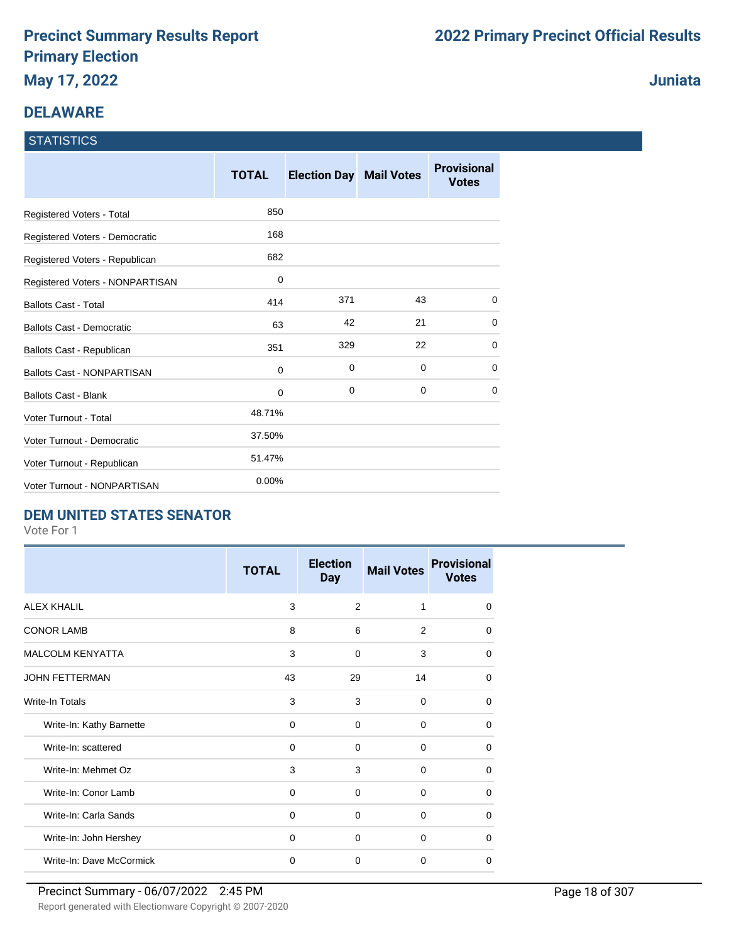## **DELAWARE**

## **STATISTICS**

|                                   | <b>TOTAL</b> | <b>Election Day Mail Votes</b> |             | <b>Provisional</b><br><b>Votes</b> |
|-----------------------------------|--------------|--------------------------------|-------------|------------------------------------|
| Registered Voters - Total         | 850          |                                |             |                                    |
| Registered Voters - Democratic    | 168          |                                |             |                                    |
| Registered Voters - Republican    | 682          |                                |             |                                    |
| Registered Voters - NONPARTISAN   | 0            |                                |             |                                    |
| <b>Ballots Cast - Total</b>       | 414          | 371                            | 43          | 0                                  |
| Ballots Cast - Democratic         | 63           | 42                             | 21          | 0                                  |
| Ballots Cast - Republican         | 351          | 329                            | 22          | 0                                  |
| <b>Ballots Cast - NONPARTISAN</b> | 0            | 0                              | 0           | $\mathbf 0$                        |
| <b>Ballots Cast - Blank</b>       | 0            | $\mathbf 0$                    | $\mathbf 0$ | $\mathbf 0$                        |
| Voter Turnout - Total             | 48.71%       |                                |             |                                    |
| Voter Turnout - Democratic        | 37.50%       |                                |             |                                    |
| Voter Turnout - Republican        | 51.47%       |                                |             |                                    |
| Voter Turnout - NONPARTISAN       | 0.00%        |                                |             |                                    |

### **DEM UNITED STATES SENATOR**

Vote For 1

|                          | <b>TOTAL</b> | <b>Election</b><br><b>Day</b> | <b>Mail Votes</b> | <b>Provisional</b><br><b>Votes</b> |
|--------------------------|--------------|-------------------------------|-------------------|------------------------------------|
| <b>ALEX KHALIL</b>       | 3            | $\overline{2}$                | 1                 | $\Omega$                           |
| <b>CONOR LAMB</b>        | 8            | 6                             | 2                 | 0                                  |
| <b>MALCOLM KENYATTA</b>  | 3            | $\Omega$                      | 3                 | $\Omega$                           |
| <b>JOHN FETTERMAN</b>    | 43           | 29                            | 14                | $\Omega$                           |
| Write-In Totals          | 3            | 3                             | $\Omega$          | $\Omega$                           |
| Write-In: Kathy Barnette | $\Omega$     | $\Omega$                      | $\Omega$          | $\Omega$                           |
| Write-In: scattered      | 0            | $\Omega$                      | $\Omega$          | $\Omega$                           |
| Write-In: Mehmet Oz      | 3            | 3                             | $\Omega$          | $\Omega$                           |
| Write-In: Conor Lamb     | $\Omega$     | $\Omega$                      | 0                 | $\Omega$                           |
| Write-In: Carla Sands    | 0            | 0                             | 0                 | $\Omega$                           |
| Write-In: John Hershey   | $\Omega$     | $\Omega$                      | $\Omega$          | $\Omega$                           |
| Write-In: Dave McCormick | $\mathbf 0$  | $\Omega$                      | $\Omega$          | $\Omega$                           |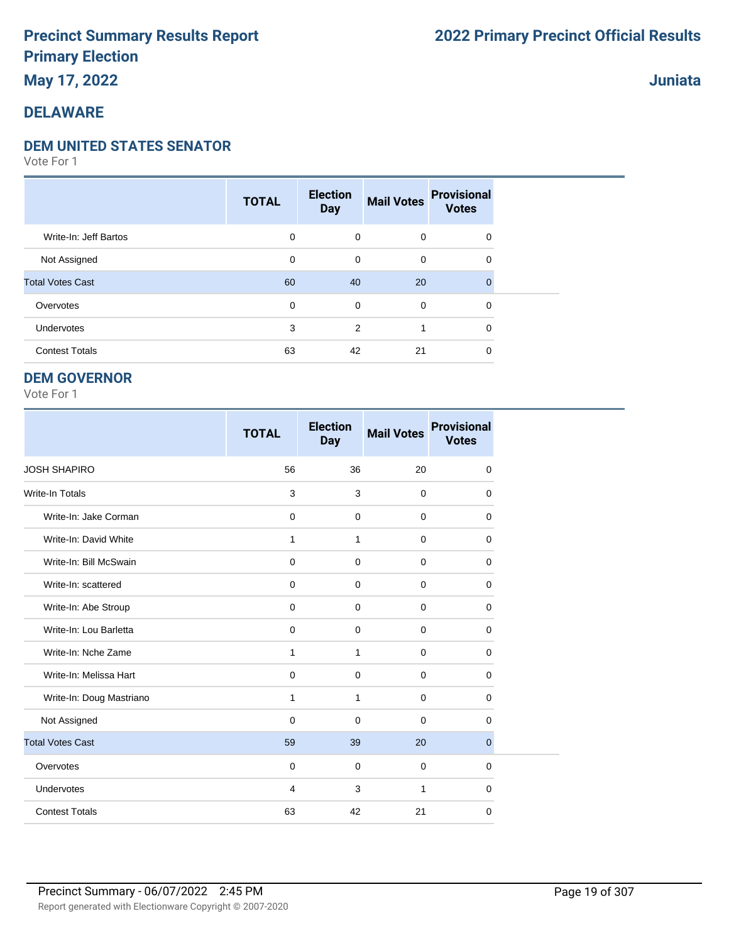**May 17, 2022**

### **DELAWARE**

#### **DEM UNITED STATES SENATOR**

Vote For 1

|                         | <b>TOTAL</b> | <b>Election</b><br><b>Day</b> | <b>Mail Votes</b> | <b>Provisional</b><br><b>Votes</b> |  |
|-------------------------|--------------|-------------------------------|-------------------|------------------------------------|--|
| Write-In: Jeff Bartos   | 0            | $\mathbf 0$                   | $\mathbf 0$       | $\mathbf 0$                        |  |
| Not Assigned            | 0            | 0                             | $\mathbf 0$       | 0                                  |  |
| <b>Total Votes Cast</b> | 60           | 40                            | 20                | $\Omega$                           |  |
| Overvotes               | 0            | 0                             | $\mathbf 0$       | $\mathbf 0$                        |  |
| Undervotes              | 3            | 2                             |                   | $\Omega$                           |  |
| <b>Contest Totals</b>   | 63           | 42                            | 21                | 0                                  |  |

#### **DEM GOVERNOR**

Vote For 1

|                          | <b>TOTAL</b> | <b>Election</b><br><b>Day</b> | <b>Mail Votes</b> | <b>Provisional</b><br><b>Votes</b> |
|--------------------------|--------------|-------------------------------|-------------------|------------------------------------|
| <b>JOSH SHAPIRO</b>      | 56           | 36                            | 20                | $\mathbf 0$                        |
| <b>Write-In Totals</b>   | 3            | 3                             | $\mathbf 0$       | $\mathbf 0$                        |
| Write-In: Jake Corman    | $\mathbf 0$  | $\mathbf 0$                   | $\mathbf 0$       | $\mathbf 0$                        |
| Write-In: David White    | 1            | 1                             | $\mathbf 0$       | 0                                  |
| Write-In: Bill McSwain   | $\mathbf 0$  | $\Omega$                      | $\mathbf 0$       | $\Omega$                           |
| Write-In: scattered      | $\Omega$     | $\Omega$                      | $\Omega$          | $\Omega$                           |
| Write-In: Abe Stroup     | $\mathbf 0$  | $\mathbf 0$                   | $\mathbf 0$       | $\mathbf 0$                        |
| Write-In: Lou Barletta   | $\mathbf 0$  | $\mathbf 0$                   | $\mathbf 0$       | $\mathbf 0$                        |
| Write-In: Nche Zame      | 1            | 1                             | $\mathbf 0$       | 0                                  |
| Write-In: Melissa Hart   | 0            | $\mathbf 0$                   | $\mathbf 0$       | $\mathbf 0$                        |
| Write-In: Doug Mastriano | $\mathbf{1}$ | 1                             | $\mathbf 0$       | $\mathbf 0$                        |
| Not Assigned             | $\mathbf 0$  | $\mathbf 0$                   | $\mathbf 0$       | $\mathbf 0$                        |
| <b>Total Votes Cast</b>  | 59           | 39                            | 20                | $\overline{0}$                     |
| Overvotes                | $\mathbf 0$  | $\mathbf 0$                   | $\mathbf 0$       | $\mathbf 0$                        |
| Undervotes               | 4            | 3                             | 1                 | 0                                  |
| <b>Contest Totals</b>    | 63           | 42                            | 21                | 0                                  |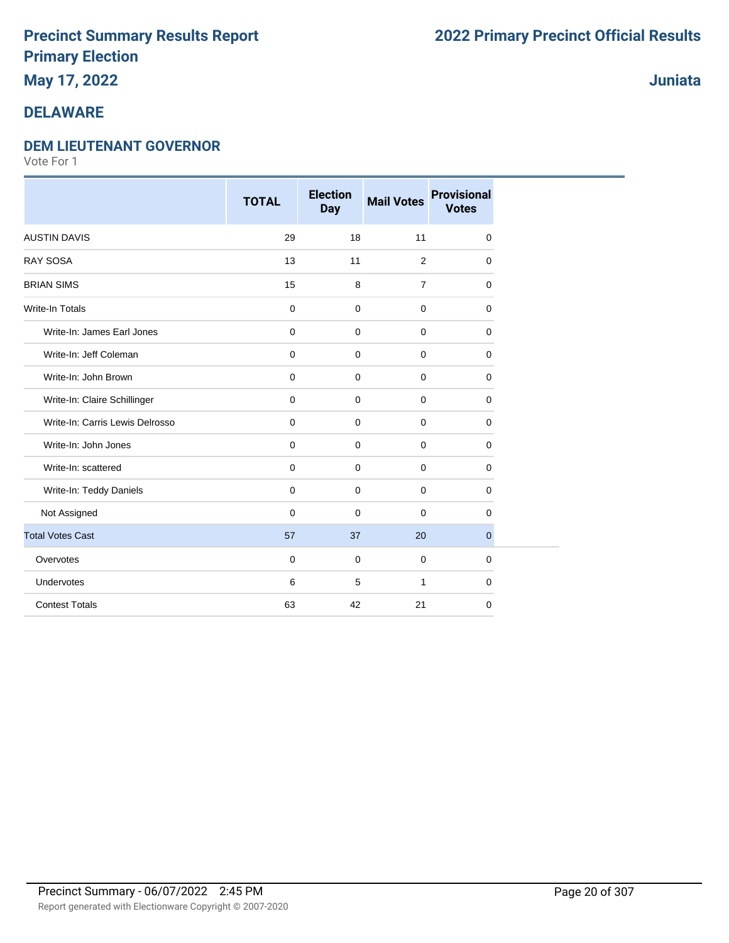## **May 17, 2022**

### **DELAWARE**

#### **DEM LIEUTENANT GOVERNOR**

Vote For 1

|                                 | <b>TOTAL</b>   | <b>Election</b><br><b>Day</b> | <b>Mail Votes</b> | <b>Provisional</b><br><b>Votes</b> |
|---------------------------------|----------------|-------------------------------|-------------------|------------------------------------|
| <b>AUSTIN DAVIS</b>             | 29             | 18                            | 11                | 0                                  |
| <b>RAY SOSA</b>                 | 13             | 11                            | 2                 | $\mathbf 0$                        |
| <b>BRIAN SIMS</b>               | 15             | 8                             | $\overline{7}$    | $\mathbf 0$                        |
| <b>Write-In Totals</b>          | $\mathbf 0$    | 0                             | $\mathbf 0$       | $\mathbf 0$                        |
| Write-In: James Earl Jones      | $\mathbf 0$    | $\mathbf 0$                   | $\mathbf 0$       | $\mathbf 0$                        |
| Write-In: Jeff Coleman          | $\mathbf 0$    | $\mathbf 0$                   | 0                 | $\mathbf 0$                        |
| Write-In: John Brown            | $\pmb{0}$      | $\mathbf 0$                   | $\mathbf 0$       | $\mathbf 0$                        |
| Write-In: Claire Schillinger    | $\pmb{0}$      | $\mathbf 0$                   | $\mathbf 0$       | $\mathbf 0$                        |
| Write-In: Carris Lewis Delrosso | $\mathbf 0$    | $\mathbf 0$                   | $\mathbf 0$       | $\mathbf 0$                        |
| Write-In: John Jones            | $\mathbf 0$    | 0                             | $\mathbf 0$       | 0                                  |
| Write-In: scattered             | $\mathbf 0$    | $\mathbf 0$                   | $\mathbf 0$       | $\mathbf 0$                        |
| Write-In: Teddy Daniels         | $\mathbf 0$    | 0                             | $\mathbf 0$       | $\mathbf 0$                        |
| Not Assigned                    | $\overline{0}$ | $\mathbf 0$                   | $\mathbf 0$       | $\mathbf 0$                        |
| <b>Total Votes Cast</b>         | 57             | 37                            | 20                | $\mathbf{0}$                       |
| Overvotes                       | $\overline{0}$ | 0                             | $\mathbf 0$       | $\mathbf 0$                        |
| Undervotes                      | 6              | 5                             | $\mathbf{1}$      | $\mathbf 0$                        |
| <b>Contest Totals</b>           | 63             | 42                            | 21                | $\mathbf 0$                        |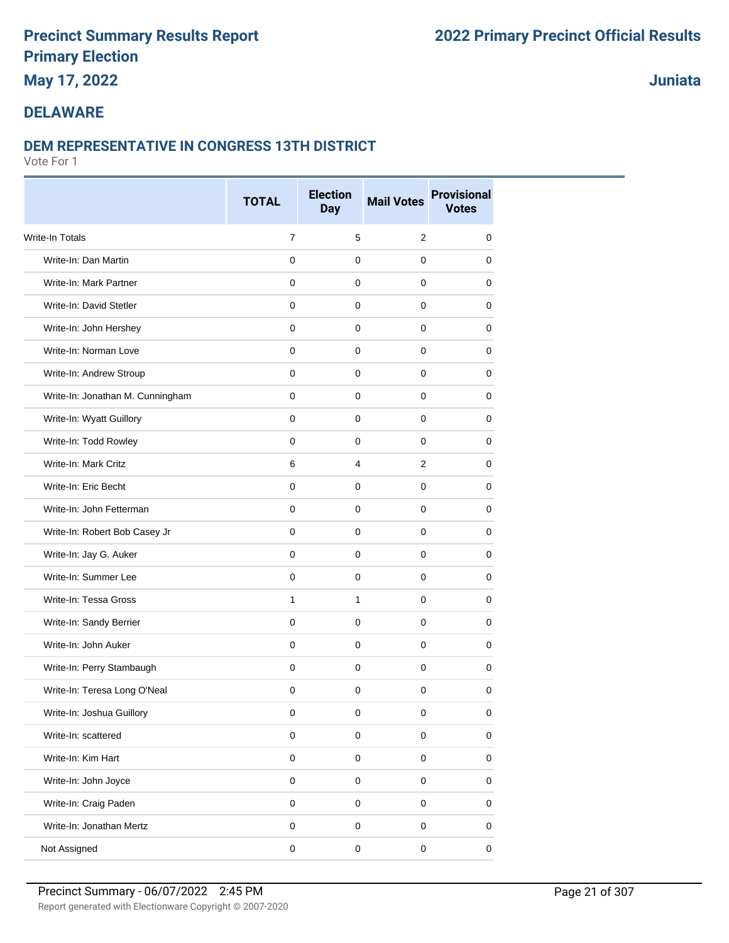**May 17, 2022**

### **Juniata**

### **DELAWARE**

#### **DEM REPRESENTATIVE IN CONGRESS 13TH DISTRICT**

|                                  | <b>TOTAL</b>   | <b>Election</b><br><b>Day</b> | <b>Mail Votes</b>   | <b>Provisional</b><br><b>Votes</b> |
|----------------------------------|----------------|-------------------------------|---------------------|------------------------------------|
| Write-In Totals                  | $\overline{7}$ | 5                             | 2                   | $\mathbf 0$                        |
| Write-In: Dan Martin             | $\mathbf 0$    | $\mathbf 0$                   | $\mathbf 0$         | $\mathbf 0$                        |
| Write-In: Mark Partner           | 0              | 0                             | $\mathbf 0$         | 0                                  |
| Write-In: David Stetler          | 0              | 0                             | $\mathbf 0$         | 0                                  |
| Write-In: John Hershey           | $\mathbf 0$    | $\mathbf 0$                   | $\mathbf 0$         | $\mathbf 0$                        |
| Write-In: Norman Love            | $\mathbf 0$    | $\mathbf 0$                   | $\mathbf 0$         | 0                                  |
| Write-In: Andrew Stroup          | $\Omega$       | 0                             | $\mathbf 0$         | 0                                  |
| Write-In: Jonathan M. Cunningham | $\mathbf 0$    | $\mathbf 0$                   | $\mathbf 0$         | $\mathbf 0$                        |
| Write-In: Wyatt Guillory         | $\mathbf 0$    | $\mathbf 0$                   | $\mathbf 0$         | 0                                  |
| Write-In: Todd Rowley            | 0              | 0                             | 0                   | 0                                  |
| Write-In: Mark Critz             | 6              | $\overline{4}$                | $\overline{2}$      | $\mathbf 0$                        |
| Write-In: Eric Becht             | $\Omega$       | 0                             | $\mathbf 0$         | $\mathbf 0$                        |
| Write-In: John Fetterman         | 0              | 0                             | 0                   | 0                                  |
| Write-In: Robert Bob Casey Jr    | $\mathbf 0$    | 0                             | $\mathbf 0$         | $\mathbf 0$                        |
| Write-In: Jay G. Auker           | 0              | 0                             | $\mathbf 0$         | 0                                  |
| Write-In: Summer Lee             | 0              | 0                             | 0                   | 0                                  |
| Write-In: Tessa Gross            | $\mathbf{1}$   | $\mathbf{1}$                  | $\mathbf 0$         | $\mathbf 0$                        |
| Write-In: Sandy Berrier          | $\mathbf 0$    | $\mathbf 0$                   | $\mathbf 0$         | 0                                  |
| Write-In: John Auker             | $\Omega$       | 0                             | $\mathbf 0$         | 0                                  |
| Write-In: Perry Stambaugh        | $\mathbf 0$    | $\mathbf 0$                   | $\mathbf 0$         | 0                                  |
| Write-In: Teresa Long O'Neal     | $\mathbf 0$    | $\mathbf 0$                   | $\mathbf 0$         | 0                                  |
| Write-In: Joshua Guillory        | 0              | 0                             | 0                   | 0                                  |
| Write-In: scattered              | $\mathbf 0$    | 0                             | $\mathsf{O}\xspace$ | $\pmb{0}$                          |
| Write-In: Kim Hart               | $\pmb{0}$      | $\mathbf 0$                   | $\mathsf{O}\xspace$ | $\pmb{0}$                          |
| Write-In: John Joyce             | $\mathbf 0$    | $\mathbf 0$                   | $\mathbf 0$         | $\pmb{0}$                          |
| Write-In: Craig Paden            | $\mathbf 0$    | $\mathsf 0$                   | $\mathbf 0$         | $\pmb{0}$                          |
| Write-In: Jonathan Mertz         | $\mathbf 0$    | 0                             | $\mathsf{O}\xspace$ | $\pmb{0}$                          |
| Not Assigned                     | $\pmb{0}$      | $\pmb{0}$                     | $\pmb{0}$           | $\pmb{0}$                          |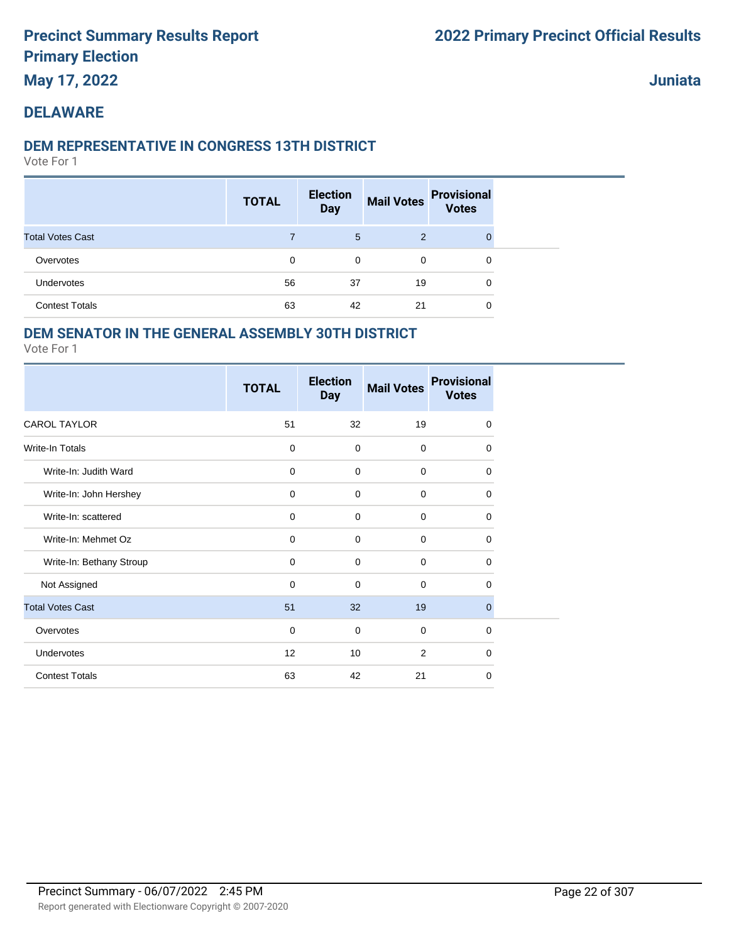**May 17, 2022**

**Juniata**

## **DELAWARE**

### **DEM REPRESENTATIVE IN CONGRESS 13TH DISTRICT**

Vote For 1

|                         | <b>TOTAL</b> | <b>Election</b><br><b>Day</b> | <b>Mail Votes</b> | <b>Provisional</b><br><b>Votes</b> |  |
|-------------------------|--------------|-------------------------------|-------------------|------------------------------------|--|
| <b>Total Votes Cast</b> |              | 5                             | 2                 | $\Omega$                           |  |
| Overvotes               | 0            | 0                             | $\mathbf 0$       | 0                                  |  |
| Undervotes              | 56           | 37                            | 19                | 0                                  |  |
| <b>Contest Totals</b>   | 63           | 42                            | 21                | 0                                  |  |

### **DEM SENATOR IN THE GENERAL ASSEMBLY 30TH DISTRICT**

|                          | <b>TOTAL</b> | <b>Election</b><br><b>Day</b> | <b>Mail Votes</b> | <b>Provisional</b><br><b>Votes</b> |
|--------------------------|--------------|-------------------------------|-------------------|------------------------------------|
| <b>CAROL TAYLOR</b>      | 51           | 32                            | 19                | $\mathbf 0$                        |
| <b>Write-In Totals</b>   | $\mathbf 0$  | 0                             | $\mathbf 0$       | $\Omega$                           |
| Write-In: Judith Ward    | $\mathbf 0$  | 0                             | $\mathbf 0$       | 0                                  |
| Write-In: John Hershey   | $\mathbf 0$  | 0                             | $\mathbf 0$       | 0                                  |
| Write-In: scattered      | $\mathbf 0$  | 0                             | $\mathbf 0$       | 0                                  |
| Write-In: Mehmet Oz      | $\mathbf 0$  | $\mathbf 0$                   | $\mathbf 0$       | $\mathbf 0$                        |
| Write-In: Bethany Stroup | $\mathbf 0$  | 0                             | $\mathbf 0$       | 0                                  |
| Not Assigned             | $\mathbf 0$  | 0                             | $\mathbf 0$       | 0                                  |
| <b>Total Votes Cast</b>  | 51           | 32                            | 19                | $\mathbf{0}$                       |
| Overvotes                | $\mathbf 0$  | 0                             | $\Omega$          | $\Omega$                           |
| Undervotes               | 12           | 10                            | $\overline{2}$    | $\mathbf 0$                        |
| <b>Contest Totals</b>    | 63           | 42                            | 21                | 0                                  |
|                          |              |                               |                   |                                    |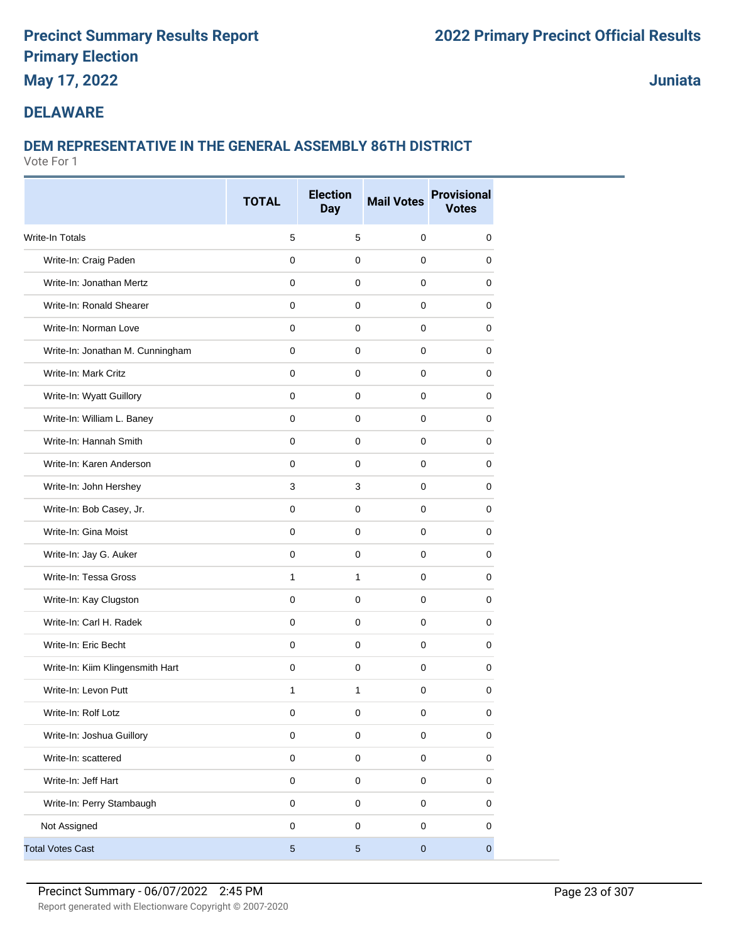## **May 17, 2022**

**Juniata**

### **DELAWARE**

### **DEM REPRESENTATIVE IN THE GENERAL ASSEMBLY 86TH DISTRICT**

|                                  | <b>TOTAL</b> | <b>Election</b><br><b>Day</b> | <b>Mail Votes</b> | <b>Provisional</b><br><b>Votes</b> |
|----------------------------------|--------------|-------------------------------|-------------------|------------------------------------|
| <b>Write-In Totals</b>           | 5            | 5                             | $\mathbf 0$       | 0                                  |
| Write-In: Craig Paden            | $\mathbf 0$  | $\mathbf 0$                   | $\mathbf 0$       | 0                                  |
| Write-In: Jonathan Mertz         | 0            | 0                             | $\mathbf 0$       | 0                                  |
| Write-In: Ronald Shearer         | $\mathbf 0$  | $\mathbf 0$                   | $\mathbf 0$       | 0                                  |
| Write-In: Norman Love            | $\mathbf 0$  | 0                             | $\mathbf 0$       | 0                                  |
| Write-In: Jonathan M. Cunningham | $\mathbf 0$  | $\mathbf 0$                   | $\mathbf 0$       | 0                                  |
| Write-In: Mark Critz             | $\mathbf 0$  | $\mathbf 0$                   | $\mathbf 0$       | 0                                  |
| Write-In: Wyatt Guillory         | 0            | $\mathbf 0$                   | $\mathbf 0$       | 0                                  |
| Write-In: William L. Baney       | 0            | $\mathbf 0$                   | 0                 | 0                                  |
| Write-In: Hannah Smith           | $\mathbf 0$  | $\mathbf 0$                   | $\mathbf 0$       | 0                                  |
| Write-In: Karen Anderson         | $\mathbf 0$  | $\mathbf 0$                   | $\mathbf 0$       | 0                                  |
| Write-In: John Hershey           | 3            | 3                             | $\mathbf 0$       | 0                                  |
| Write-In: Bob Casey, Jr.         | $\mathbf 0$  | $\mathbf 0$                   | $\mathbf 0$       | 0                                  |
| Write-In: Gina Moist             | $\mathbf 0$  | $\mathbf 0$                   | $\mathbf 0$       | 0                                  |
| Write-In: Jay G. Auker           | 0            | 0                             | 0                 | 0                                  |
| Write-In: Tessa Gross            | $\mathbf{1}$ | $\mathbf{1}$                  | $\mathbf 0$       | 0                                  |
| Write-In: Kay Clugston           | $\mathbf 0$  | $\mathbf 0$                   | $\mathbf 0$       | 0                                  |
| Write-In: Carl H. Radek          | $\mathbf 0$  | $\mathbf 0$                   | $\mathbf 0$       | 0                                  |
| Write-In: Eric Becht             | $\mathbf 0$  | $\mathbf 0$                   | $\mathbf 0$       | 0                                  |
| Write-In: Kiim Klingensmith Hart | 0            | $\mathbf 0$                   | $\mathbf 0$       | 0                                  |
| Write-In: Levon Putt             | $\mathbf{1}$ | $\mathbf{1}$                  | 0                 | 0                                  |
| Write-In: Rolf Lotz              | $\pmb{0}$    | 0                             | $\pmb{0}$         | $\pmb{0}$                          |
| Write-In: Joshua Guillory        | $\pmb{0}$    | $\mathsf 0$                   | $\mathbf 0$       | 0                                  |
| Write-In: scattered              | $\pmb{0}$    | $\mathsf 0$                   | $\mathbf 0$       | 0                                  |
| Write-In: Jeff Hart              | $\pmb{0}$    | $\mathsf 0$                   | $\mathsf 0$       | 0                                  |
| Write-In: Perry Stambaugh        | $\mathbf 0$  | $\mathsf 0$                   | $\mathbf 0$       | 0                                  |
| Not Assigned                     | $\pmb{0}$    | $\mathsf 0$                   | $\pmb{0}$         | 0                                  |
| <b>Total Votes Cast</b>          | $\sqrt{5}$   | $\sqrt{5}$                    | $\mathbf 0$       | $\overline{0}$                     |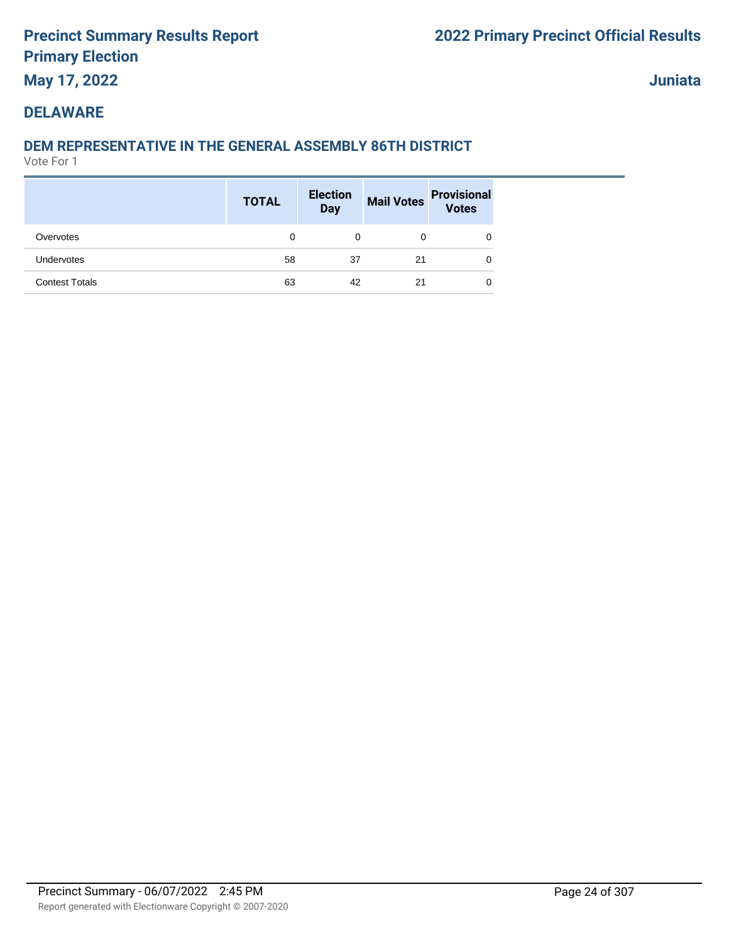## **May 17, 2022**

**Juniata**

### **DELAWARE**

### **DEM REPRESENTATIVE IN THE GENERAL ASSEMBLY 86TH DISTRICT**

|                       | <b>TOTAL</b> | <b>Election</b><br><b>Day</b> |    | Mail Votes Provisional<br>Votes |
|-----------------------|--------------|-------------------------------|----|---------------------------------|
| Overvotes             | 0            | 0                             | 0  |                                 |
| Undervotes            | 58           | 37                            | 21 |                                 |
| <b>Contest Totals</b> | 63           | 42                            | 21 |                                 |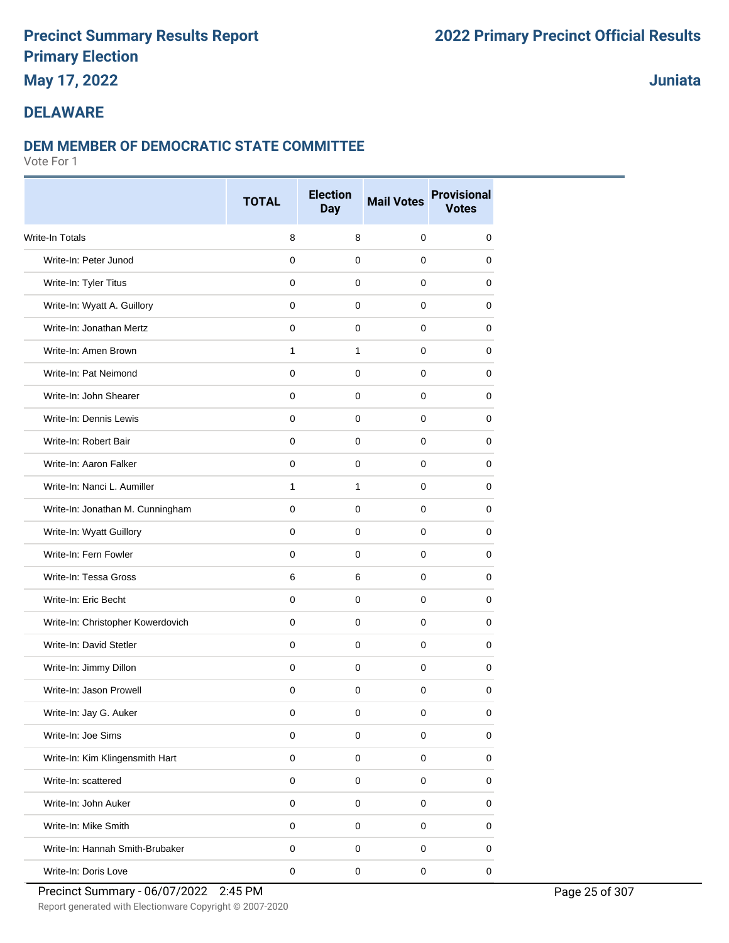## **May 17, 2022**

## **Juniata**

### **DELAWARE**

### **DEM MEMBER OF DEMOCRATIC STATE COMMITTEE**

|                                   | <b>TOTAL</b>        | <b>Election</b><br><b>Day</b> | <b>Mail Votes</b> | <b>Provisional</b><br><b>Votes</b> |
|-----------------------------------|---------------------|-------------------------------|-------------------|------------------------------------|
| <b>Write-In Totals</b>            | 8                   | 8                             | $\mathbf 0$       | 0                                  |
| Write-In: Peter Junod             | $\mathbf 0$         | $\mathbf 0$                   | $\Omega$          | 0                                  |
| Write-In: Tyler Titus             | 0                   | $\mathbf 0$                   | 0                 | 0                                  |
| Write-In: Wyatt A. Guillory       | $\mathbf 0$         | 0                             | 0                 | 0                                  |
| Write-In: Jonathan Mertz          | 0                   | $\mathbf 0$                   | 0                 | 0                                  |
| Write-In: Amen Brown              | $\mathbf{1}$        | $\mathbf{1}$                  | 0                 | 0                                  |
| Write-In: Pat Neimond             | $\Omega$            | $\mathbf 0$                   | 0                 | 0                                  |
| Write-In: John Shearer            | $\mathbf 0$         | $\mathbf 0$                   | 0                 | 0                                  |
| Write-In: Dennis Lewis            | $\mathbf 0$         | 0                             | 0                 | 0                                  |
| Write-In: Robert Bair             | 0                   | 0                             | 0                 | 0                                  |
| Write-In: Aaron Falker            | $\mathbf 0$         | $\mathbf 0$                   | $\mathbf 0$       | 0                                  |
| Write-In: Nanci L. Aumiller       | 1                   | $\mathbf{1}$                  | $\mathbf 0$       | 0                                  |
| Write-In: Jonathan M. Cunningham  | 0                   | $\mathbf 0$                   | 0                 | 0                                  |
| Write-In: Wyatt Guillory          | $\mathbf 0$         | $\mathbf 0$                   | $\Omega$          | 0                                  |
| Write-In: Fern Fowler             | 0                   | 0                             | 0                 | 0                                  |
| Write-In: Tessa Gross             | 6                   | 6                             | 0                 | 0                                  |
| Write-In: Eric Becht              | $\mathbf 0$         | $\mathbf 0$                   | 0                 | 0                                  |
| Write-In: Christopher Kowerdovich | 0                   | 0                             | 0                 | 0                                  |
| Write-In: David Stetler           | $\Omega$            | 0                             | 0                 | 0                                  |
| Write-In: Jimmy Dillon            | $\mathbf 0$         | $\mathbf 0$                   | 0                 | 0                                  |
| Write-In: Jason Prowell           | $\mathbf 0$         | $\mathbf 0$                   | 0                 | 0                                  |
| Write-In: Jay G. Auker            | 0                   | 0                             | 0                 | 0                                  |
| Write-In: Joe Sims                | $\mathbf 0$         | $\mathbf 0$                   | $\mathbf 0$       | $\mathbf 0$                        |
| Write-In: Kim Klingensmith Hart   | $\pmb{0}$           | $\pmb{0}$                     | $\pmb{0}$         | $\mathsf 0$                        |
| Write-In: scattered               | $\mathsf{O}\xspace$ | $\mathbf 0$                   | $\mathbf 0$       | 0                                  |
| Write-In: John Auker              | $\pmb{0}$           | $\mathbf 0$                   | $\mathbf 0$       | $\pmb{0}$                          |
| Write-In: Mike Smith              | $\pmb{0}$           | $\pmb{0}$                     | $\mathbf 0$       | 0                                  |
| Write-In: Hannah Smith-Brubaker   | 0                   | $\mathbf 0$                   | 0                 | 0                                  |
| Write-In: Doris Love              | $\pmb{0}$           | $\pmb{0}$                     | $\pmb{0}$         | $\mathbf 0$                        |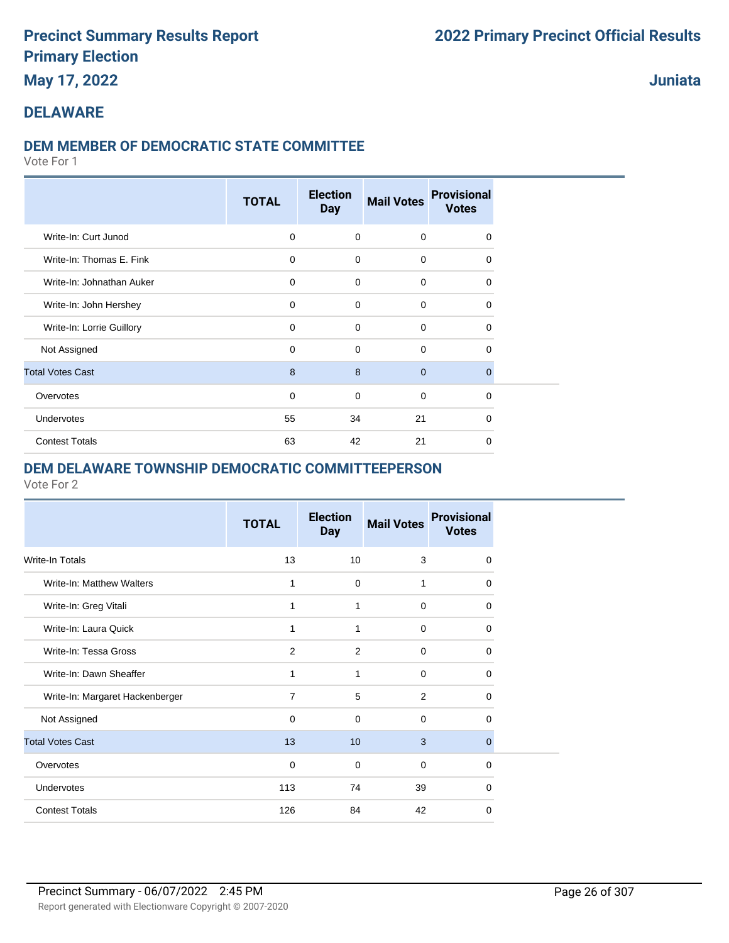## **May 17, 2022**

## **Juniata**

#### **DELAWARE**

#### **DEM MEMBER OF DEMOCRATIC STATE COMMITTEE**

Vote For 1

|                           | <b>TOTAL</b> | <b>Election</b><br><b>Day</b> | <b>Mail Votes</b> | <b>Provisional</b><br><b>Votes</b> |  |
|---------------------------|--------------|-------------------------------|-------------------|------------------------------------|--|
| Write-In: Curt Junod      | $\mathbf 0$  | $\mathbf 0$                   | $\mathbf 0$       | $\Omega$                           |  |
| Write-In: Thomas E. Fink  | $\mathbf 0$  | $\Omega$                      | $\mathbf 0$       | $\Omega$                           |  |
| Write-In: Johnathan Auker | $\mathbf 0$  | $\Omega$                      | $\mathbf 0$       | $\Omega$                           |  |
| Write-In: John Hershey    | $\mathbf 0$  | $\Omega$                      | $\mathbf 0$       | 0                                  |  |
| Write-In: Lorrie Guillory | 0            | $\mathbf 0$                   | $\mathbf 0$       | 0                                  |  |
| Not Assigned              | 0            | $\mathbf 0$                   | $\mathbf 0$       | 0                                  |  |
| <b>Total Votes Cast</b>   | 8            | 8                             | $\mathbf{0}$      | $\mathbf 0$                        |  |
| Overvotes                 | 0            | 0                             | $\mathbf 0$       | 0                                  |  |
| Undervotes                | 55           | 34                            | 21                | $\Omega$                           |  |
| <b>Contest Totals</b>     | 63           | 42                            | 21                | 0                                  |  |

#### **DEM DELAWARE TOWNSHIP DEMOCRATIC COMMITTEEPERSON**

|                                 | <b>TOTAL</b>   | <b>Election</b><br><b>Day</b> | <b>Mail Votes</b> | <b>Provisional</b><br><b>Votes</b> |
|---------------------------------|----------------|-------------------------------|-------------------|------------------------------------|
| Write-In Totals                 | 13             | 10                            | 3                 | 0                                  |
| Write-In: Matthew Walters       | 1              | $\mathbf 0$                   | 1                 | 0                                  |
| Write-In: Greg Vitali           | 1              | 1                             | $\mathbf 0$       | 0                                  |
| Write-In: Laura Quick           | 1              | 1                             | 0                 | 0                                  |
| Write-In: Tessa Gross           | 2              | 2                             | $\mathbf 0$       | 0                                  |
| Write-In: Dawn Sheaffer         | 1              | 1                             | $\mathbf 0$       | 0                                  |
| Write-In: Margaret Hackenberger | $\overline{7}$ | 5                             | 2                 | 0                                  |
| Not Assigned                    | $\Omega$       | $\Omega$                      | $\Omega$          | $\Omega$                           |
| <b>Total Votes Cast</b>         | 13             | 10                            | 3                 | 0                                  |
| Overvotes                       | 0              | 0                             | 0                 | 0                                  |
| Undervotes                      | 113            | 74                            | 39                | 0                                  |
| <b>Contest Totals</b>           | 126            | 84                            | 42                | 0                                  |
|                                 |                |                               |                   |                                    |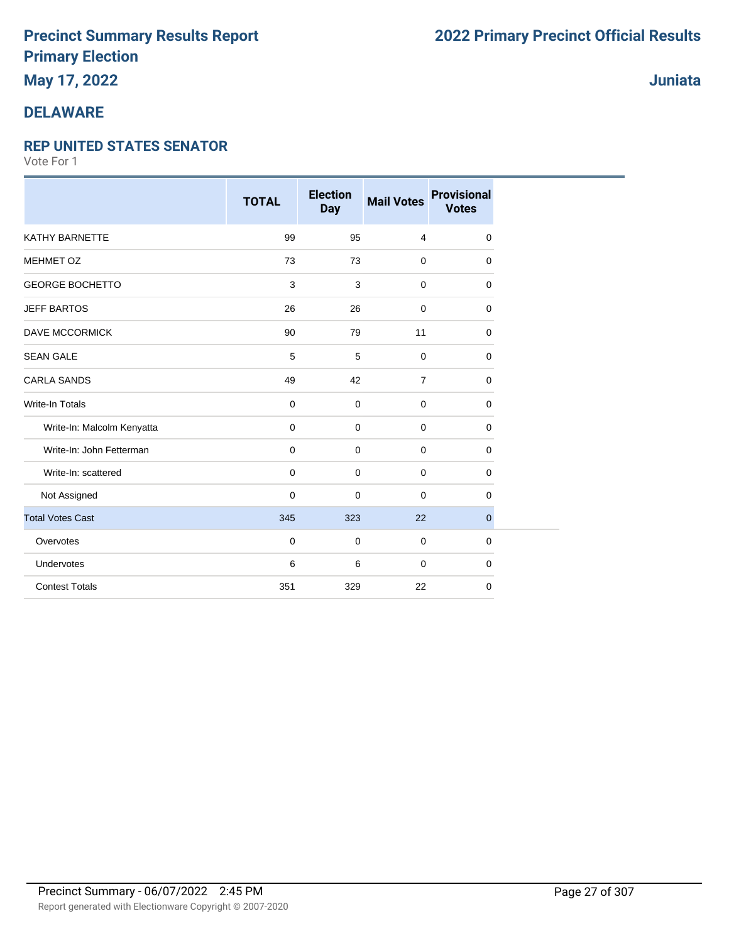## **May 17, 2022**

## **DELAWARE**

#### **REP UNITED STATES SENATOR**

Vote For 1

|                            | <b>TOTAL</b> | <b>Election</b><br><b>Day</b> | <b>Mail Votes</b> | <b>Provisional</b><br><b>Votes</b> |
|----------------------------|--------------|-------------------------------|-------------------|------------------------------------|
| <b>KATHY BARNETTE</b>      | 99           | 95                            | 4                 | 0                                  |
| <b>MEHMET OZ</b>           | 73           | 73                            | $\mathbf 0$       | 0                                  |
| <b>GEORGE BOCHETTO</b>     | 3            | 3                             | $\mathbf 0$       | 0                                  |
| <b>JEFF BARTOS</b>         | 26           | 26                            | 0                 | 0                                  |
| <b>DAVE MCCORMICK</b>      | 90           | 79                            | 11                | 0                                  |
| <b>SEAN GALE</b>           | 5            | 5                             | $\mathbf 0$       | 0                                  |
| <b>CARLA SANDS</b>         | 49           | 42                            | $\overline{7}$    | 0                                  |
| Write-In Totals            | $\mathbf 0$  | $\mathbf 0$                   | $\mathbf 0$       | 0                                  |
| Write-In: Malcolm Kenyatta | 0            | $\mathbf 0$                   | $\mathbf 0$       | 0                                  |
| Write-In: John Fetterman   | 0            | $\mathbf 0$                   | $\mathbf 0$       | 0                                  |
| Write-In: scattered        | 0            | $\mathbf 0$                   | $\mathbf 0$       | 0                                  |
| Not Assigned               | 0            | $\mathbf 0$                   | $\mathbf 0$       | 0                                  |
| <b>Total Votes Cast</b>    | 345          | 323                           | 22                | $\mathbf{0}$                       |
| Overvotes                  | 0            | $\mathbf 0$                   | 0                 | 0                                  |
| Undervotes                 | 6            | 6                             | 0                 | 0                                  |
| <b>Contest Totals</b>      | 351          | 329                           | 22                | 0                                  |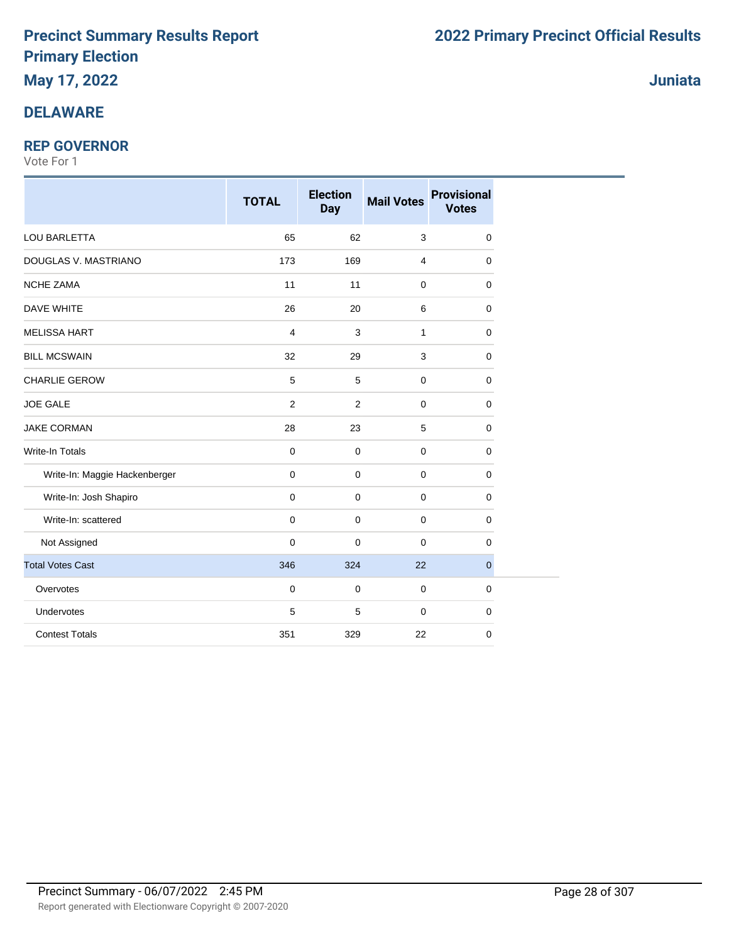# **May 17, 2022**

## **DELAWARE**

### **REP GOVERNOR**

|                               | <b>TOTAL</b>   | <b>Election</b><br><b>Day</b> | <b>Mail Votes</b> | <b>Provisional</b><br><b>Votes</b> |
|-------------------------------|----------------|-------------------------------|-------------------|------------------------------------|
| <b>LOU BARLETTA</b>           | 65             | 62                            | $\mathbf{3}$      | 0                                  |
| DOUGLAS V. MASTRIANO          | 173            | 169                           | $\overline{4}$    | $\mathbf 0$                        |
| <b>NCHE ZAMA</b>              | 11             | 11                            | $\mathbf 0$       | 0                                  |
| DAVE WHITE                    | 26             | 20                            | 6                 | 0                                  |
| <b>MELISSA HART</b>           | 4              | 3                             | 1                 | 0                                  |
| <b>BILL MCSWAIN</b>           | 32             | 29                            | 3                 | 0                                  |
| <b>CHARLIE GEROW</b>          | 5              | 5                             | $\mathbf 0$       | 0                                  |
| <b>JOE GALE</b>               | $\overline{2}$ | $\overline{2}$                | $\mathbf{0}$      | 0                                  |
| <b>JAKE CORMAN</b>            | 28             | 23                            | 5                 | 0                                  |
| <b>Write-In Totals</b>        | 0              | $\mathbf 0$                   | $\mathbf 0$       | 0                                  |
| Write-In: Maggie Hackenberger | 0              | $\mathbf 0$                   | $\mathbf 0$       | $\mathbf 0$                        |
| Write-In: Josh Shapiro        | $\mathbf 0$    | $\mathbf 0$                   | $\mathbf 0$       | 0                                  |
| Write-In: scattered           | $\mathbf 0$    | $\mathbf 0$                   | $\mathbf 0$       | 0                                  |
| Not Assigned                  | 0              | $\mathbf 0$                   | $\mathbf 0$       | 0                                  |
| <b>Total Votes Cast</b>       | 346            | 324                           | 22                | $\mathbf{0}$                       |
| Overvotes                     | $\mathbf 0$    | $\mathbf 0$                   | $\mathbf 0$       | 0                                  |
| Undervotes                    | 5              | 5                             | $\mathbf 0$       | 0                                  |
| <b>Contest Totals</b>         | 351            | 329                           | 22                | 0                                  |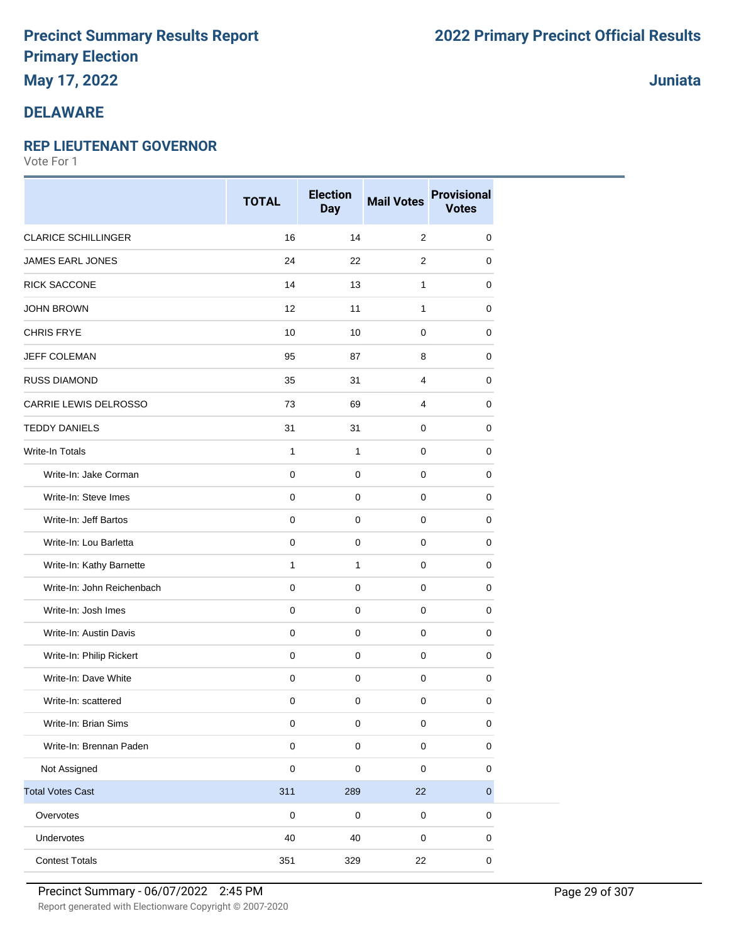## **May 17, 2022**

## **DELAWARE**

### **REP LIEUTENANT GOVERNOR**

Vote For 1

|                            | <b>TOTAL</b> | <b>Election</b><br><b>Day</b> | <b>Mail Votes</b> | <b>Provisional</b><br><b>Votes</b> |
|----------------------------|--------------|-------------------------------|-------------------|------------------------------------|
| <b>CLARICE SCHILLINGER</b> | 16           | 14                            | $\sqrt{2}$        | 0                                  |
| <b>JAMES EARL JONES</b>    | 24           | 22                            | 2                 | 0                                  |
| <b>RICK SACCONE</b>        | 14           | 13                            | 1                 | 0                                  |
| <b>JOHN BROWN</b>          | 12           | 11                            | 1                 | 0                                  |
| <b>CHRIS FRYE</b>          | 10           | 10                            | $\mathbf 0$       | 0                                  |
| <b>JEFF COLEMAN</b>        | 95           | 87                            | 8                 | 0                                  |
| <b>RUSS DIAMOND</b>        | 35           | 31                            | 4                 | 0                                  |
| CARRIE LEWIS DELROSSO      | 73           | 69                            | 4                 | 0                                  |
| <b>TEDDY DANIELS</b>       | 31           | 31                            | $\mathbf 0$       | 0                                  |
| Write-In Totals            | $\mathbf{1}$ | $\mathbf{1}$                  | 0                 | 0                                  |
| Write-In: Jake Corman      | 0            | $\mathbf 0$                   | $\mathbf 0$       | $\mathbf 0$                        |
| Write-In: Steve Imes       | 0            | $\mathbf 0$                   | $\mathbf 0$       | 0                                  |
| Write-In: Jeff Bartos      | 0            | $\mathbf 0$                   | $\mathbf 0$       | 0                                  |
| Write-In: Lou Barletta     | $\pmb{0}$    | $\mathbf 0$                   | $\mathbf 0$       | 0                                  |
| Write-In: Kathy Barnette   | $\mathbf{1}$ | $\mathbf{1}$                  | $\mathbf 0$       | 0                                  |
| Write-In: John Reichenbach | 0            | $\mathbf 0$                   | 0                 | 0                                  |
| Write-In: Josh Imes        | 0            | $\pmb{0}$                     | $\pmb{0}$         | $\mathbf 0$                        |
| Write-In: Austin Davis     | 0            | $\mathbf 0$                   | $\mathbf 0$       | 0                                  |
| Write-In: Philip Rickert   | 0            | $\mathbf 0$                   | $\mathbf 0$       | 0                                  |
| Write-In: Dave White       | $\pmb{0}$    | $\mathbf 0$                   | $\pmb{0}$         | $\pmb{0}$                          |
| Write-In: scattered        | 0            | $\mathbf 0$                   | $\mathbf 0$       | 0                                  |
| Write-In: Brian Sims       | 0            | $\mathbf 0$                   | $\pmb{0}$         | 0                                  |
| Write-In: Brennan Paden    | $\pmb{0}$    | $\mathsf 0$                   | $\pmb{0}$         | $\pmb{0}$                          |
| Not Assigned               | $\pmb{0}$    | $\pmb{0}$                     | $\pmb{0}$         | $\pmb{0}$                          |
| <b>Total Votes Cast</b>    | 311          | 289                           | 22                | $\overline{0}$                     |
| Overvotes                  | $\pmb{0}$    | $\mathbf 0$                   | $\pmb{0}$         | 0                                  |
| Undervotes                 | 40           | 40                            | $\mathbf 0$       | 0                                  |
| <b>Contest Totals</b>      | 351          | 329                           | 22                | $\pmb{0}$                          |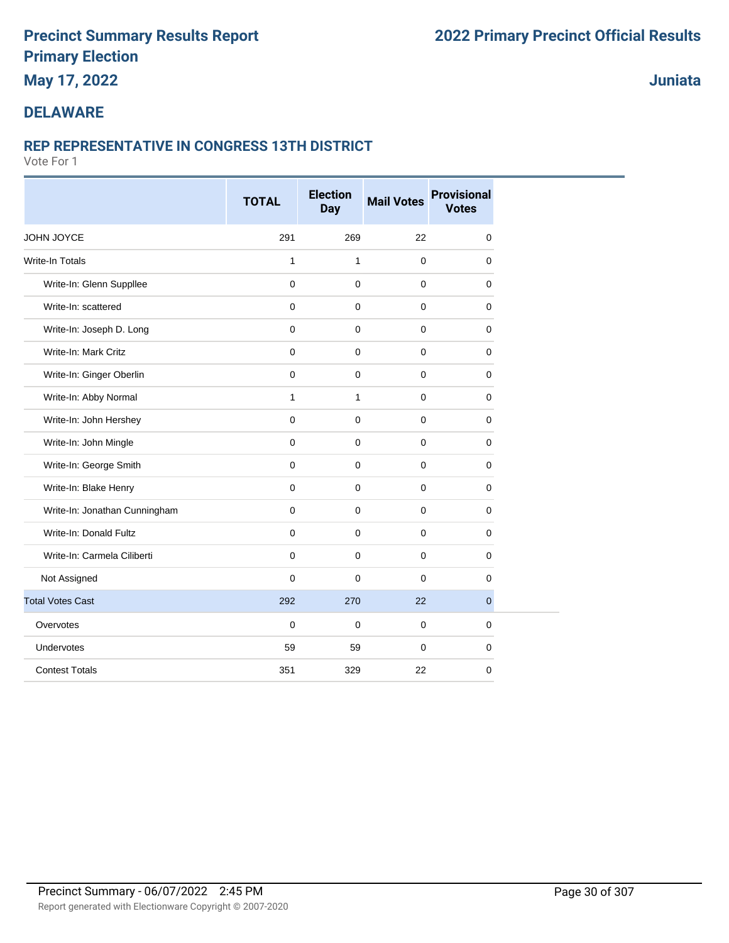## **May 17, 2022**

## **Juniata**

## **DELAWARE**

### **REP REPRESENTATIVE IN CONGRESS 13TH DISTRICT**

|                               | <b>TOTAL</b>        | <b>Election</b><br><b>Day</b> | <b>Mail Votes</b> | <b>Provisional</b><br><b>Votes</b> |
|-------------------------------|---------------------|-------------------------------|-------------------|------------------------------------|
| JOHN JOYCE                    | 291                 | 269                           | 22                | $\mathbf 0$                        |
| <b>Write-In Totals</b>        | 1                   | $\mathbf{1}$                  | 0                 | $\mathbf 0$                        |
| Write-In: Glenn Suppllee      | $\mathbf 0$         | $\mathbf 0$                   | $\pmb{0}$         | $\mathbf 0$                        |
| Write-In: scattered           | $\mathbf 0$         | $\mathbf 0$                   | 0                 | $\mathbf 0$                        |
| Write-In: Joseph D. Long      | $\mathbf 0$         | $\mathbf 0$                   | 0                 | $\mathbf 0$                        |
| Write-In: Mark Critz          | $\mathbf 0$         | $\mathbf 0$                   | $\mathbf 0$       | $\mathbf 0$                        |
| Write-In: Ginger Oberlin      | $\mathbf 0$         | $\mathbf 0$                   | $\mathbf 0$       | $\mathbf 0$                        |
| Write-In: Abby Normal         | 1                   | $\mathbf{1}$                  | 0                 | $\mathbf 0$                        |
| Write-In: John Hershey        | $\mathbf 0$         | $\mathbf 0$                   | $\pmb{0}$         | $\mathbf 0$                        |
| Write-In: John Mingle         | $\mathbf 0$         | $\mathbf 0$                   | 0                 | $\mathbf 0$                        |
| Write-In: George Smith        | $\mathbf 0$         | $\mathbf 0$                   | 0                 | $\mathbf 0$                        |
| Write-In: Blake Henry         | $\mathsf{O}\xspace$ | $\mathbf 0$                   | 0                 | $\mathbf 0$                        |
| Write-In: Jonathan Cunningham | $\mathbf 0$         | $\mathbf 0$                   | $\mathbf 0$       | $\mathbf 0$                        |
| Write-In: Donald Fultz        | $\mathbf 0$         | $\mathbf 0$                   | 0                 | $\mathbf 0$                        |
| Write-In: Carmela Ciliberti   | $\mathbf 0$         | $\mathbf 0$                   | 0                 | 0                                  |
| Not Assigned                  | 0                   | $\Omega$                      | $\mathbf 0$       | $\mathbf 0$                        |
| <b>Total Votes Cast</b>       | 292                 | 270                           | 22                | $\overline{0}$                     |
| Overvotes                     | 0                   | $\mathbf 0$                   | $\mathbf 0$       | $\mathbf 0$                        |
| Undervotes                    | 59                  | 59                            | $\mathbf 0$       | $\mathbf 0$                        |
| <b>Contest Totals</b>         | 351                 | 329                           | 22                | $\mathbf 0$                        |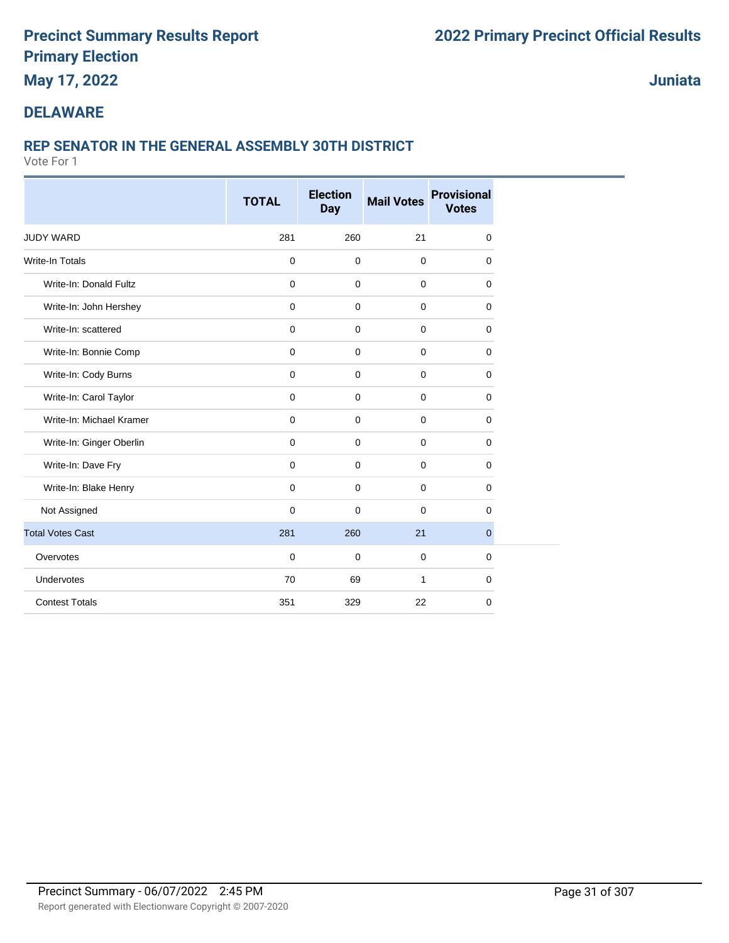**May 17, 2022**

**Juniata**

### **DELAWARE**

### **REP SENATOR IN THE GENERAL ASSEMBLY 30TH DISTRICT**

|                          | <b>TOTAL</b> | <b>Election</b><br><b>Day</b> | <b>Mail Votes</b> | <b>Provisional</b><br><b>Votes</b> |
|--------------------------|--------------|-------------------------------|-------------------|------------------------------------|
|                          |              |                               |                   |                                    |
| <b>JUDY WARD</b>         | 281          | 260                           | 21                | 0                                  |
| <b>Write-In Totals</b>   | 0            | $\mathbf 0$                   | $\mathbf 0$       | 0                                  |
| Write-In: Donald Fultz   | 0            | $\mathbf 0$                   | $\mathbf 0$       | 0                                  |
| Write-In: John Hershey   | 0            | $\mathbf 0$                   | $\mathbf 0$       | 0                                  |
| Write-In: scattered      | $\mathbf 0$  | $\mathbf 0$                   | $\mathbf 0$       | 0                                  |
| Write-In: Bonnie Comp    | $\mathbf 0$  | $\mathbf 0$                   | $\mathbf 0$       | 0                                  |
| Write-In: Cody Burns     | $\pmb{0}$    | $\mathbf 0$                   | $\mathbf{0}$      | 0                                  |
| Write-In: Carol Taylor   | $\mathbf 0$  | $\mathbf 0$                   | $\mathbf 0$       | 0                                  |
| Write-In: Michael Kramer | $\mathbf 0$  | $\mathbf 0$                   | $\mathbf 0$       | 0                                  |
| Write-In: Ginger Oberlin | 0            | $\mathbf 0$                   | $\mathbf 0$       | 0                                  |
| Write-In: Dave Fry       | 0            | $\mathbf 0$                   | $\mathbf 0$       | 0                                  |
| Write-In: Blake Henry    | $\mathbf 0$  | $\mathbf 0$                   | $\mathbf 0$       | 0                                  |
| Not Assigned             | $\mathbf 0$  | $\mathbf 0$                   | $\mathbf 0$       | 0                                  |
| <b>Total Votes Cast</b>  | 281          | 260                           | 21                | $\overline{0}$                     |
| Overvotes                | $\mathbf 0$  | $\mathbf 0$                   | $\mathbf 0$       | 0                                  |
| Undervotes               | 70           | 69                            | $\mathbf{1}$      | 0                                  |
| <b>Contest Totals</b>    | 351          | 329                           | 22                | 0                                  |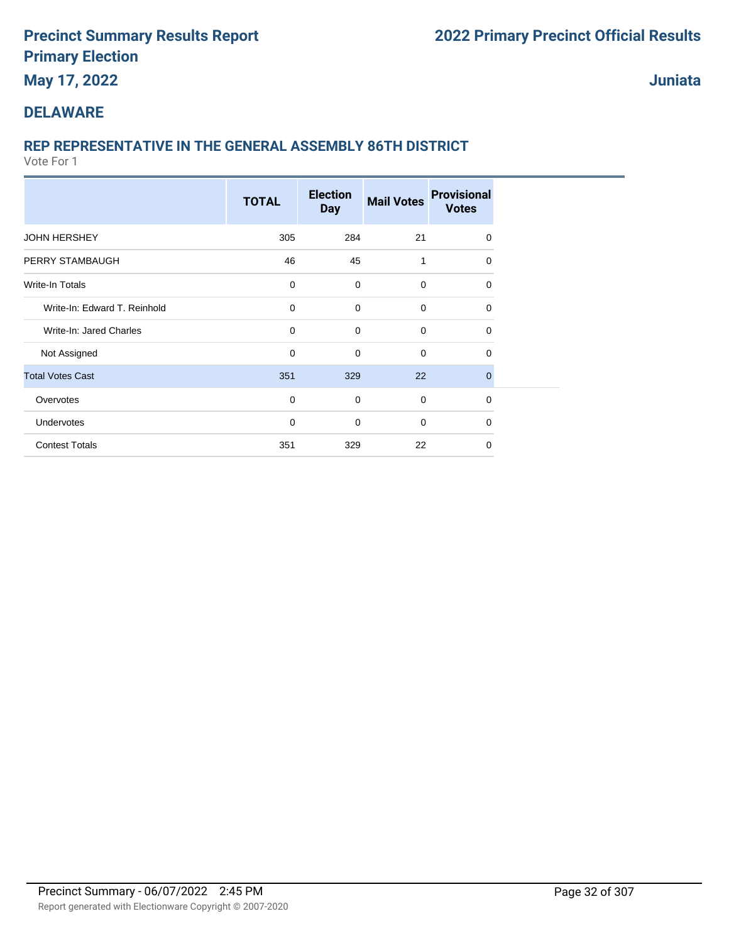## **May 17, 2022**

**Juniata**

### **DELAWARE**

## **REP REPRESENTATIVE IN THE GENERAL ASSEMBLY 86TH DISTRICT**

|                              | <b>TOTAL</b> | <b>Election</b><br><b>Day</b> | <b>Mail Votes</b> | <b>Provisional</b><br><b>Votes</b> |  |
|------------------------------|--------------|-------------------------------|-------------------|------------------------------------|--|
| <b>JOHN HERSHEY</b>          | 305          | 284                           | 21                | 0                                  |  |
| PERRY STAMBAUGH              | 46           | 45                            | 1                 | $\Omega$                           |  |
| Write-In Totals              | $\mathbf 0$  | $\mathbf 0$                   | $\mathbf 0$       | $\Omega$                           |  |
| Write-In: Edward T. Reinhold | 0            | $\mathbf 0$                   | 0                 | 0                                  |  |
| Write-In: Jared Charles      | 0            | $\mathbf 0$                   | $\mathbf 0$       | 0                                  |  |
| Not Assigned                 | 0            | $\mathbf 0$                   | $\mathbf 0$       | 0                                  |  |
| <b>Total Votes Cast</b>      | 351          | 329                           | 22                | $\mathbf 0$                        |  |
| Overvotes                    | 0            | $\mathbf 0$                   | 0                 | $\mathbf 0$                        |  |
| Undervotes                   | $\mathbf 0$  | 0                             | 0                 | 0                                  |  |
| <b>Contest Totals</b>        | 351          | 329                           | 22                | $\Omega$                           |  |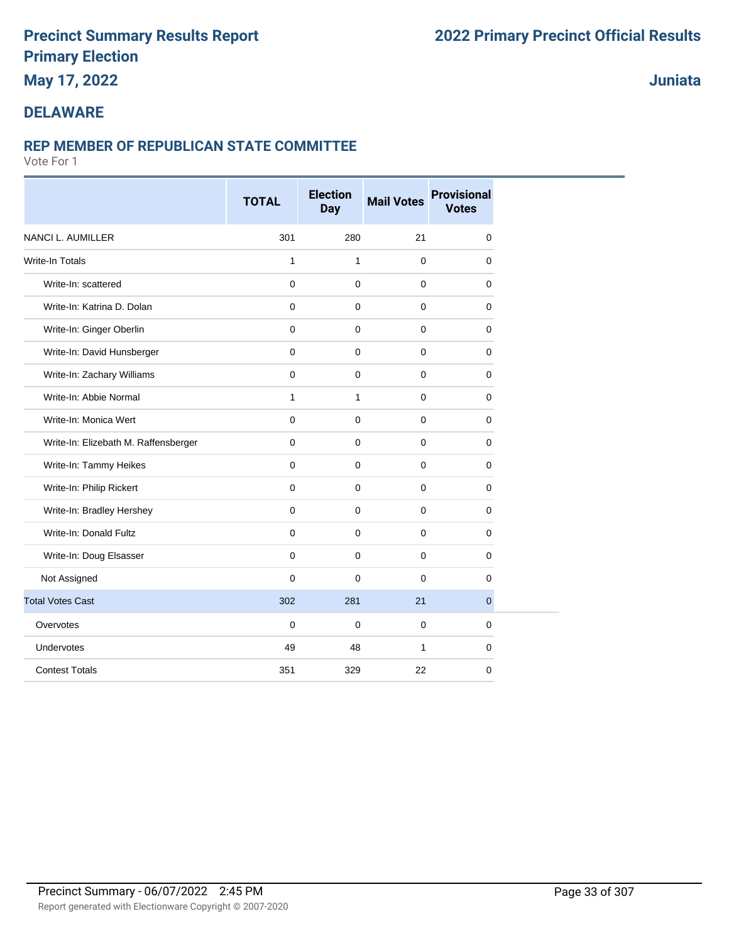## **May 17, 2022**

## **Juniata**

### **DELAWARE**

#### **REP MEMBER OF REPUBLICAN STATE COMMITTEE**

|                                      | <b>TOTAL</b>        | <b>Election</b><br><b>Day</b> | <b>Mail Votes</b> | <b>Provisional</b><br><b>Votes</b> |
|--------------------------------------|---------------------|-------------------------------|-------------------|------------------------------------|
| <b>NANCI L. AUMILLER</b>             | 301                 | 280                           | 21                | 0                                  |
| <b>Write-In Totals</b>               | $\mathbf{1}$        | 1                             | 0                 | 0                                  |
| Write-In: scattered                  | $\mathbf 0$         | $\pmb{0}$                     | $\pmb{0}$         | $\mathbf 0$                        |
| Write-In: Katrina D. Dolan           | $\mathbf 0$         | $\mathbf 0$                   | 0                 | 0                                  |
| Write-In: Ginger Oberlin             | $\mathsf{O}\xspace$ | $\mathbf 0$                   | 0                 | 0                                  |
| Write-In: David Hunsberger           | $\mathbf 0$         | $\mathbf 0$                   | $\pmb{0}$         | $\mathbf 0$                        |
| Write-In: Zachary Williams           | $\mathbf 0$         | $\mathbf 0$                   | 0                 | 0                                  |
| Write-In: Abbie Normal               | $\mathbf{1}$        | $\mathbf{1}$                  | 0                 | 0                                  |
| Write-In: Monica Wert                | $\mathbf 0$         | $\mathbf 0$                   | $\mathbf 0$       | 0                                  |
| Write-In: Elizebath M. Raffensberger | $\mathbf 0$         | $\mathbf 0$                   | 0                 | 0                                  |
| Write-In: Tammy Heikes               | $\mathbf 0$         | $\mathbf 0$                   | 0                 | 0                                  |
| Write-In: Philip Rickert             | $\mathbf 0$         | $\mathbf 0$                   | $\mathbf 0$       | 0                                  |
| Write-In: Bradley Hershey            | $\mathbf{0}$        | $\mathbf 0$                   | 0                 | $\mathbf 0$                        |
| Write-In: Donald Fultz               | $\mathbf 0$         | $\mathbf 0$                   | 0                 | 0                                  |
| Write-In: Doug Elsasser              | $\mathbf 0$         | $\mathbf 0$                   | $\mathbf 0$       | 0                                  |
| Not Assigned                         | $\mathbf 0$         | $\mathbf 0$                   | 0                 | 0                                  |
| <b>Total Votes Cast</b>              | 302                 | 281                           | 21                | 0                                  |
| Overvotes                            | $\mathbf 0$         | $\mathbf 0$                   | $\mathbf 0$       | $\mathbf 0$                        |
| Undervotes                           | 49                  | 48                            | 1                 | 0                                  |
| <b>Contest Totals</b>                | 351                 | 329                           | 22                | 0                                  |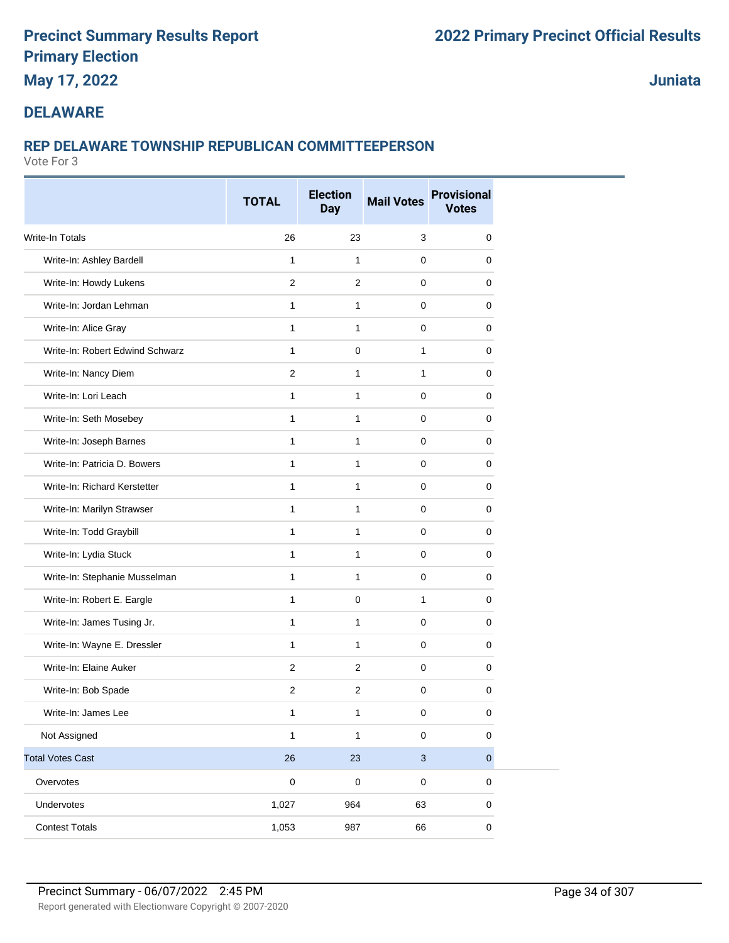## **May 17, 2022**

**Juniata**

## **DELAWARE**

## **REP DELAWARE TOWNSHIP REPUBLICAN COMMITTEEPERSON**

|                                 | <b>TOTAL</b>   | <b>Election</b><br><b>Day</b> | <b>Mail Votes</b> | <b>Provisional</b><br><b>Votes</b> |
|---------------------------------|----------------|-------------------------------|-------------------|------------------------------------|
| <b>Write-In Totals</b>          | 26             | 23                            | 3                 | 0                                  |
| Write-In: Ashley Bardell        | $\mathbf{1}$   | $\mathbf{1}$                  | $\mathbf 0$       | 0                                  |
| Write-In: Howdy Lukens          | 2              | $\overline{2}$                | $\mathbf 0$       | 0                                  |
| Write-In: Jordan Lehman         | 1              | $\mathbf{1}$                  | 0                 | 0                                  |
| Write-In: Alice Gray            | 1              | $\mathbf{1}$                  | $\mathbf 0$       | 0                                  |
| Write-In: Robert Edwind Schwarz | $\mathbf{1}$   | $\mathbf 0$                   | 1                 | 0                                  |
| Write-In: Nancy Diem            | $\overline{2}$ | $\mathbf{1}$                  | 1                 | 0                                  |
| Write-In: Lori Leach            | $\mathbf{1}$   | $\mathbf{1}$                  | $\mathbf 0$       | 0                                  |
| Write-In: Seth Mosebey          | $\mathbf{1}$   | $\mathbf{1}$                  | $\mathbf 0$       | 0                                  |
| Write-In: Joseph Barnes         | $\mathbf{1}$   | $\mathbf{1}$                  | 0                 | 0                                  |
| Write-In: Patricia D. Bowers    | $\mathbf{1}$   | $\mathbf{1}$                  | $\mathbf 0$       | 0                                  |
| Write-In: Richard Kerstetter    | $\mathbf{1}$   | $\mathbf{1}$                  | $\mathbf 0$       | 0                                  |
| Write-In: Marilyn Strawser      | $\mathbf{1}$   | $\mathbf{1}$                  | 0                 | 0                                  |
| Write-In: Todd Graybill         | $\mathbf{1}$   | $\mathbf{1}$                  | $\mathbf 0$       | 0                                  |
| Write-In: Lydia Stuck           | $\mathbf{1}$   | $\mathbf{1}$                  | $\mathbf 0$       | 0                                  |
| Write-In: Stephanie Musselman   | $\mathbf{1}$   | $\mathbf{1}$                  | 0                 | 0                                  |
| Write-In: Robert E. Eargle      | $\mathbf{1}$   | $\mathbf 0$                   | $\mathbf{1}$      | 0                                  |
| Write-In: James Tusing Jr.      | $\mathbf{1}$   | $\mathbf{1}$                  | $\mathbf 0$       | 0                                  |
| Write-In: Wayne E. Dressler     | $\mathbf{1}$   | $\mathbf{1}$                  | $\mathbf 0$       | 0                                  |
| Write-In: Elaine Auker          | 2              | $\overline{2}$                | $\mathbf 0$       | 0                                  |
| Write-In: Bob Spade             | $\overline{2}$ | 2                             | $\mathbf 0$       | 0                                  |
| Write-In: James Lee             | 1              | 1                             | 0                 | 0                                  |
| Not Assigned                    | $\mathbf{1}$   | $\mathbf{1}$                  | $\pmb{0}$         | $\pmb{0}$                          |
| <b>Total Votes Cast</b>         | 26             | 23                            | $\sqrt{3}$        | $\pmb{0}$                          |
| Overvotes                       | $\mathbf 0$    | $\mathbf 0$                   | $\pmb{0}$         | $\pmb{0}$                          |
| Undervotes                      | 1,027          | 964                           | 63                | 0                                  |
| <b>Contest Totals</b>           | 1,053          | 987                           | 66                | $\pmb{0}$                          |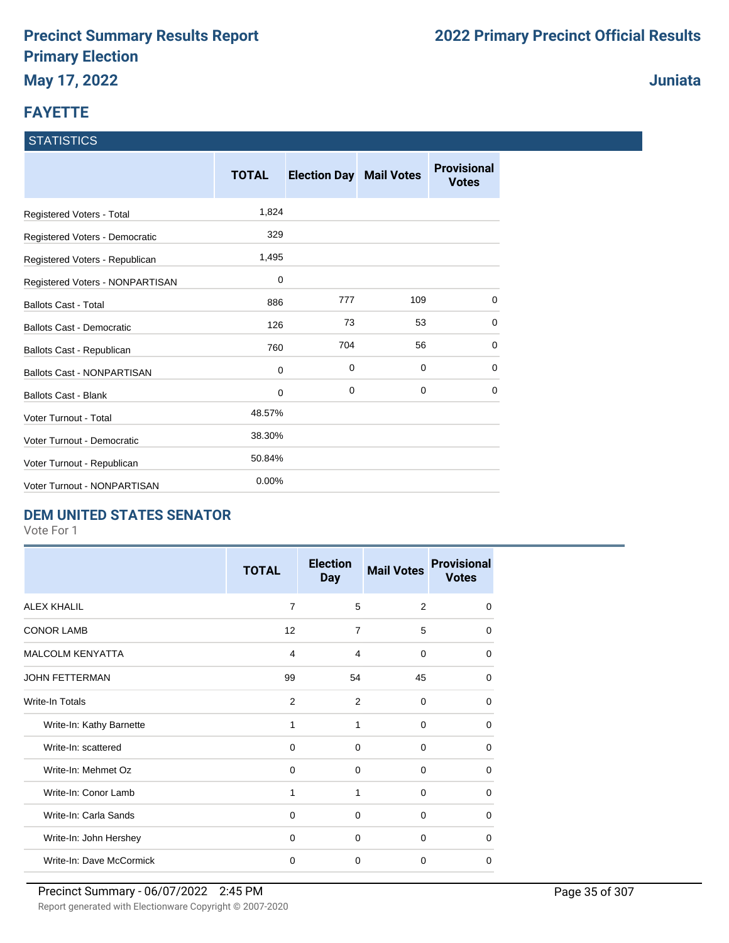## **FAYETTE**

#### **STATISTICS**

|                                   | <b>TOTAL</b> | <b>Election Day Mail Votes</b> |     | <b>Provisional</b><br><b>Votes</b> |
|-----------------------------------|--------------|--------------------------------|-----|------------------------------------|
| Registered Voters - Total         | 1,824        |                                |     |                                    |
| Registered Voters - Democratic    | 329          |                                |     |                                    |
| Registered Voters - Republican    | 1,495        |                                |     |                                    |
| Registered Voters - NONPARTISAN   | 0            |                                |     |                                    |
| <b>Ballots Cast - Total</b>       | 886          | 777                            | 109 | 0                                  |
| Ballots Cast - Democratic         | 126          | 73                             | 53  | 0                                  |
| Ballots Cast - Republican         | 760          | 704                            | 56  | $\Omega$                           |
| <b>Ballots Cast - NONPARTISAN</b> | $\mathbf 0$  | 0                              | 0   | 0                                  |
| <b>Ballots Cast - Blank</b>       | 0            | 0                              | 0   | $\Omega$                           |
| Voter Turnout - Total             | 48.57%       |                                |     |                                    |
| Voter Turnout - Democratic        | 38.30%       |                                |     |                                    |
| Voter Turnout - Republican        | 50.84%       |                                |     |                                    |
| Voter Turnout - NONPARTISAN       | 0.00%        |                                |     |                                    |

### **DEM UNITED STATES SENATOR**

Vote For 1

|                          | <b>TOTAL</b>   | <b>Election</b><br><b>Day</b> | <b>Mail Votes</b> | <b>Provisional</b><br><b>Votes</b> |
|--------------------------|----------------|-------------------------------|-------------------|------------------------------------|
| <b>ALEX KHALIL</b>       | $\overline{7}$ | 5                             | 2                 | $\Omega$                           |
| <b>CONOR LAMB</b>        | 12             | $\overline{7}$                | 5                 | $\Omega$                           |
| <b>MALCOLM KENYATTA</b>  | 4              | 4                             | $\Omega$          | $\Omega$                           |
| <b>JOHN FETTERMAN</b>    | 99             | 54                            | 45                | $\Omega$                           |
| Write-In Totals          | 2              | 2                             | $\Omega$          | 0                                  |
| Write-In: Kathy Barnette | 1              | 1                             | $\Omega$          | 0                                  |
| Write-In: scattered      | 0              | 0                             | $\Omega$          | 0                                  |
| Write-In: Mehmet Oz      | 0              | $\Omega$                      | $\Omega$          | 0                                  |
| Write-In: Conor Lamb     | 1              | 1                             | 0                 | 0                                  |
| Write-In: Carla Sands    | 0              | $\Omega$                      | $\Omega$          | 0                                  |
| Write-In: John Hershey   | $\Omega$       | $\Omega$                      | $\Omega$          | 0                                  |
| Write-In: Dave McCormick | $\mathbf 0$    | 0                             | 0                 | $\Omega$                           |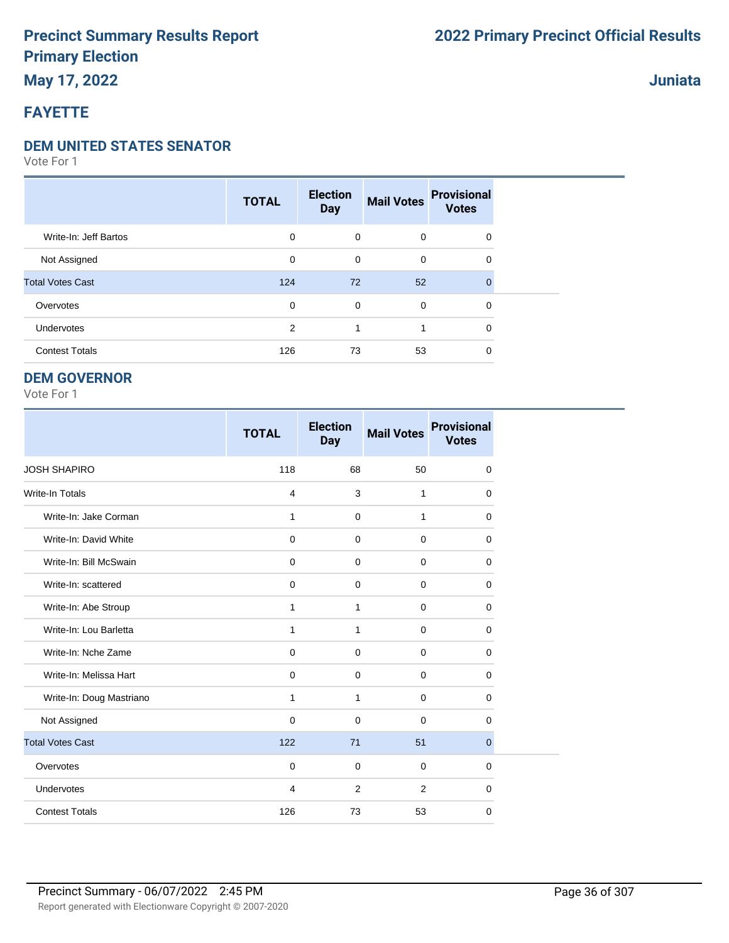## **May 17, 2022**

## **FAYETTE**

#### **DEM UNITED STATES SENATOR**

Vote For 1

|                         | <b>TOTAL</b> | <b>Election</b><br><b>Day</b> | <b>Mail Votes</b> | <b>Provisional</b><br><b>Votes</b> |  |
|-------------------------|--------------|-------------------------------|-------------------|------------------------------------|--|
| Write-In: Jeff Bartos   | 0            | $\mathbf 0$                   | $\mathbf 0$       | $\mathbf 0$                        |  |
| Not Assigned            | 0            | 0                             | $\mathbf 0$       | 0                                  |  |
| <b>Total Votes Cast</b> | 124          | 72                            | 52                | $\Omega$                           |  |
| Overvotes               | 0            | 0                             | $\mathbf 0$       | 0                                  |  |
| Undervotes              | 2            | 1                             |                   | 0                                  |  |
| <b>Contest Totals</b>   | 126          | 73                            | 53                | 0                                  |  |

#### **DEM GOVERNOR**

Vote For 1

|                          | <b>TOTAL</b>            | <b>Election</b><br><b>Day</b> | <b>Mail Votes</b> | <b>Provisional</b><br><b>Votes</b> |
|--------------------------|-------------------------|-------------------------------|-------------------|------------------------------------|
| <b>JOSH SHAPIRO</b>      | 118                     | 68                            | 50                | $\mathbf 0$                        |
| Write-In Totals          | $\overline{\mathbf{4}}$ | 3                             | 1                 | $\mathbf 0$                        |
| Write-In: Jake Corman    | 1                       | $\mathbf 0$                   | 1                 | 0                                  |
| Write-In: David White    | $\mathbf 0$             | $\mathbf 0$                   | $\mathbf 0$       | $\mathbf 0$                        |
| Write-In: Bill McSwain   | $\mathbf 0$             | $\mathbf 0$                   | $\mathbf 0$       | 0                                  |
| Write-In: scattered      | $\mathbf 0$             | $\Omega$                      | $\mathbf 0$       | $\Omega$                           |
| Write-In: Abe Stroup     | 1                       | 1                             | $\mathbf 0$       | 0                                  |
| Write-In: Lou Barletta   | 1                       | 1                             | 0                 | $\mathbf 0$                        |
| Write-In: Nche Zame      | $\mathbf 0$             | $\mathbf 0$                   | 0                 | 0                                  |
| Write-In: Melissa Hart   | $\mathbf 0$             | $\mathbf 0$                   | $\mathbf 0$       | 0                                  |
| Write-In: Doug Mastriano | 1                       | $\mathbf{1}$                  | $\pmb{0}$         | $\mathbf 0$                        |
| Not Assigned             | $\mathbf 0$             | $\Omega$                      | $\mathbf 0$       | $\mathbf 0$                        |
| <b>Total Votes Cast</b>  | 122                     | 71                            | 51                | $\mathbf{0}$                       |
| Overvotes                | $\mathbf 0$             | $\mathbf 0$                   | 0                 | $\mathbf 0$                        |
| Undervotes               | 4                       | 2                             | 2                 | 0                                  |
| <b>Contest Totals</b>    | 126                     | 73                            | 53                | $\mathbf 0$                        |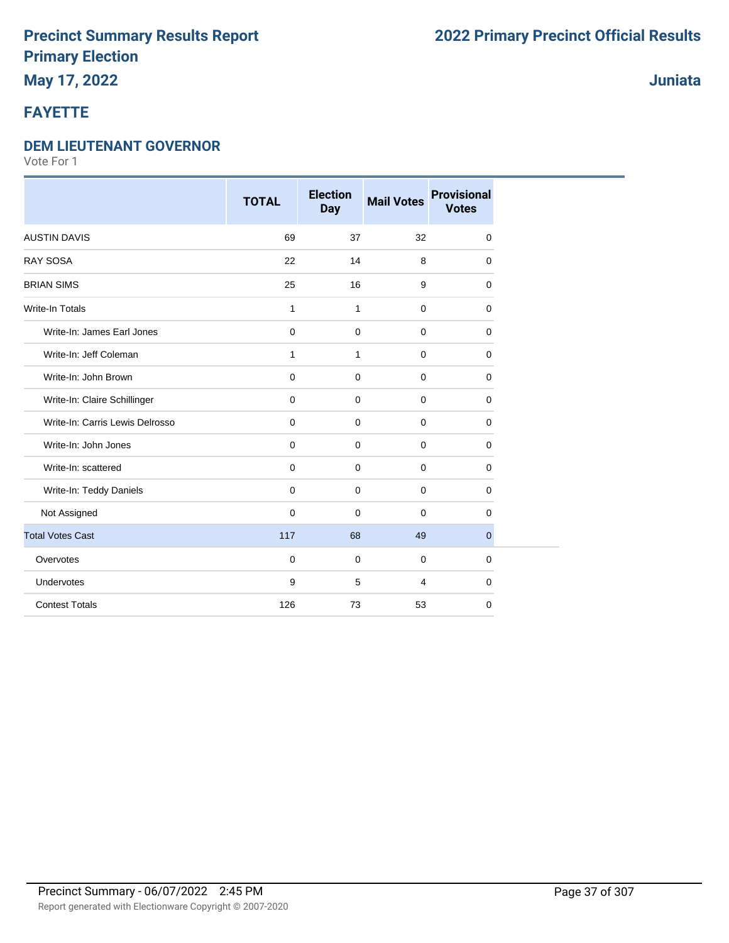### **May 17, 2022**

### **FAYETTE**

#### **DEM LIEUTENANT GOVERNOR**

Vote For 1

|                                 | <b>TOTAL</b> | <b>Election</b><br><b>Day</b> | <b>Mail Votes</b> | <b>Provisional</b><br><b>Votes</b> |
|---------------------------------|--------------|-------------------------------|-------------------|------------------------------------|
| <b>AUSTIN DAVIS</b>             | 69           | 37                            | 32                | 0                                  |
| <b>RAY SOSA</b>                 | 22           | 14                            | 8                 | $\mathbf 0$                        |
| <b>BRIAN SIMS</b>               | 25           | 16                            | 9                 | 0                                  |
| <b>Write-In Totals</b>          | $\mathbf{1}$ | $\mathbf{1}$                  | $\mathbf 0$       | 0                                  |
| Write-In: James Earl Jones      | $\pmb{0}$    | $\mathsf{O}\xspace$           | $\mathbf 0$       | 0                                  |
| Write-In: Jeff Coleman          | 1            | $\mathbf{1}$                  | $\mathbf 0$       | 0                                  |
| Write-In: John Brown            | $\mathbf 0$  | $\mathbf 0$                   | $\mathbf 0$       | $\mathbf 0$                        |
| Write-In: Claire Schillinger    | $\pmb{0}$    | $\mathbf 0$                   | $\mathbf 0$       | 0                                  |
| Write-In: Carris Lewis Delrosso | $\mathbf 0$  | 0                             | $\mathbf 0$       | 0                                  |
| Write-In: John Jones            | $\mathbf 0$  | $\mathbf 0$                   | $\mathbf 0$       | $\mathbf 0$                        |
| Write-In: scattered             | $\mathbf 0$  | $\mathbf 0$                   | $\mathbf 0$       | 0                                  |
| Write-In: Teddy Daniels         | $\mathbf 0$  | $\mathbf 0$                   | $\mathbf 0$       | 0                                  |
| Not Assigned                    | $\mathbf 0$  | $\mathbf 0$                   | $\mathbf 0$       | 0                                  |
| <b>Total Votes Cast</b>         | 117          | 68                            | 49                | $\overline{0}$                     |
| Overvotes                       | $\mathbf 0$  | $\mathbf 0$                   | $\mathbf 0$       | 0                                  |
| Undervotes                      | 9            | 5                             | $\overline{4}$    | $\mathbf 0$                        |
| <b>Contest Totals</b>           | 126          | 73                            | 53                | 0                                  |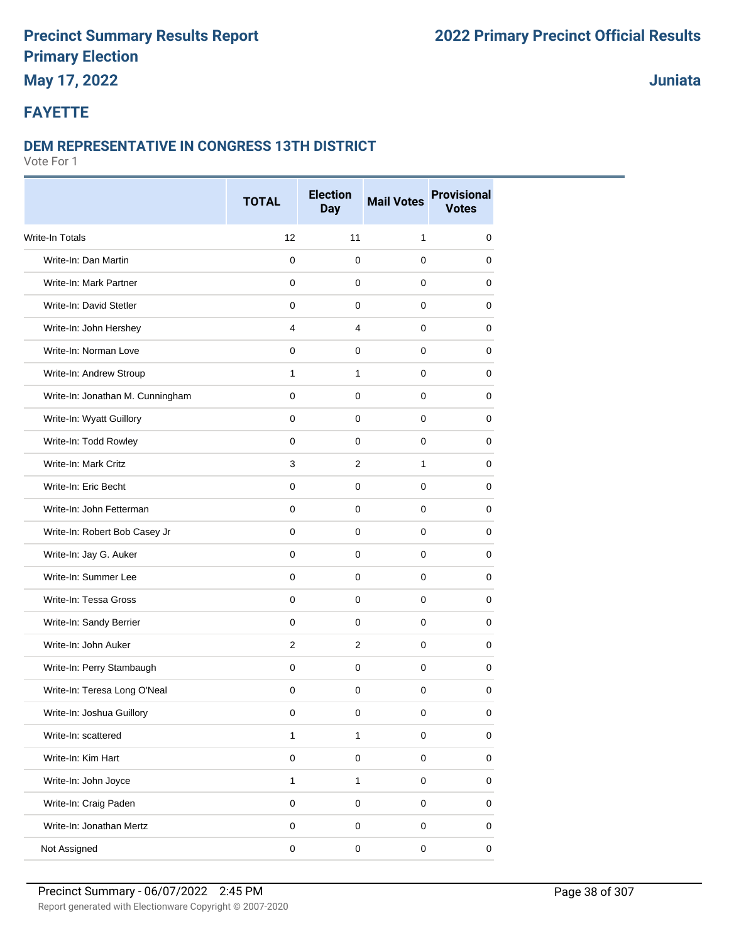# **May 17, 2022**

**Juniata**

#### **FAYETTE**

#### **DEM REPRESENTATIVE IN CONGRESS 13TH DISTRICT**

|                                  | <b>TOTAL</b> | <b>Election</b><br><b>Day</b> | <b>Mail Votes</b> | <b>Provisional</b><br><b>Votes</b> |
|----------------------------------|--------------|-------------------------------|-------------------|------------------------------------|
| Write-In Totals                  | 12           | 11                            | 1                 | $\mathbf 0$                        |
| Write-In: Dan Martin             | $\mathbf{0}$ | $\mathbf 0$                   | 0                 | 0                                  |
| Write-In: Mark Partner           | $\mathbf 0$  | $\mathbf 0$                   | 0                 | 0                                  |
| Write-In: David Stetler          | $\mathbf 0$  | 0                             | 0                 | 0                                  |
| Write-In: John Hershey           | 4            | 4                             | 0                 | 0                                  |
| Write-In: Norman Love            | $\mathbf 0$  | $\mathbf 0$                   | 0                 | 0                                  |
| Write-In: Andrew Stroup          | $\mathbf{1}$ | 1                             | 0                 | 0                                  |
| Write-In: Jonathan M. Cunningham | $\mathbf 0$  | $\mathbf 0$                   | 0                 | 0                                  |
| Write-In: Wyatt Guillory         | $\mathbf 0$  | $\mathbf 0$                   | 0                 | 0                                  |
| Write-In: Todd Rowley            | 0            | 0                             | 0                 | 0                                  |
| Write-In: Mark Critz             | 3            | $\overline{2}$                | 1                 | 0                                  |
| Write-In: Eric Becht             | $\Omega$     | $\mathbf 0$                   | 0                 | 0                                  |
| Write-In: John Fetterman         | $\mathbf 0$  | $\mathbf 0$                   | 0                 | 0                                  |
| Write-In: Robert Bob Casey Jr    | $\mathbf{0}$ | $\mathbf 0$                   | 0                 | 0                                  |
| Write-In: Jay G. Auker           | $\mathbf 0$  | $\mathbf 0$                   | 0                 | 0                                  |
| Write-In: Summer Lee             | $\mathbf 0$  | $\mathbf 0$                   | 0                 | 0                                  |
| Write-In: Tessa Gross            | $\mathbf 0$  | $\mathbf 0$                   | 0                 | 0                                  |
| Write-In: Sandy Berrier          | $\mathbf 0$  | $\mathbf 0$                   | 0                 | 0                                  |
| Write-In: John Auker             | 2            | $\overline{2}$                | 0                 | 0                                  |
| Write-In: Perry Stambaugh        | $\mathbf 0$  | $\mathbf 0$                   | $\mathbf 0$       | 0                                  |
| Write-In: Teresa Long O'Neal     | $\mathbf 0$  | $\mathbf 0$                   | $\mathbf 0$       | 0                                  |
| Write-In: Joshua Guillory        | 0            | 0                             | 0                 | 0                                  |
| Write-In: scattered              | $\mathbf{1}$ | $\mathbf{1}$                  | 0                 | 0                                  |
| Write-In: Kim Hart               | $\pmb{0}$    | $\mathsf 0$                   | $\pmb{0}$         | $\pmb{0}$                          |
| Write-In: John Joyce             | $\mathbf{1}$ | $\mathbf{1}$                  | 0                 | 0                                  |
| Write-In: Craig Paden            | $\pmb{0}$    | $\mathsf 0$                   | $\pmb{0}$         | 0                                  |
| Write-In: Jonathan Mertz         | $\pmb{0}$    | 0                             | 0                 | $\pmb{0}$                          |
| Not Assigned                     | $\pmb{0}$    | $\pmb{0}$                     | 0                 | 0                                  |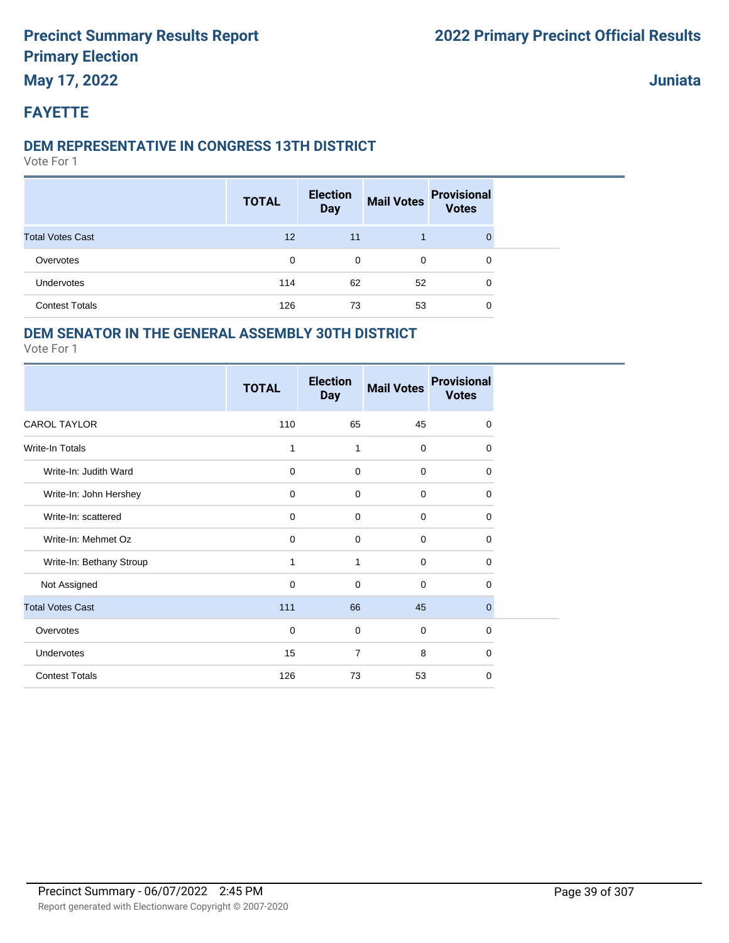### **May 17, 2022**

**Juniata**

#### **FAYETTE**

#### **DEM REPRESENTATIVE IN CONGRESS 13TH DISTRICT**

Vote For 1

|                         | <b>TOTAL</b> | <b>Election</b><br><b>Day</b> | <b>Mail Votes</b> | <b>Provisional</b><br><b>Votes</b> |
|-------------------------|--------------|-------------------------------|-------------------|------------------------------------|
| <b>Total Votes Cast</b> | 12           | 11                            |                   |                                    |
| Overvotes               | 0            | 0                             | 0                 | 0                                  |
| Undervotes              | 114          | 62                            | 52                | 0                                  |
| <b>Contest Totals</b>   | 126          | 73                            | 53                | 0                                  |

#### **DEM SENATOR IN THE GENERAL ASSEMBLY 30TH DISTRICT**

|                          | <b>TOTAL</b> | <b>Election</b><br><b>Day</b> | <b>Mail Votes</b> | <b>Provisional</b><br><b>Votes</b> |
|--------------------------|--------------|-------------------------------|-------------------|------------------------------------|
| <b>CAROL TAYLOR</b>      | 110          | 65                            | 45                | $\mathbf 0$                        |
| <b>Write-In Totals</b>   | 1            | 1                             | $\mathbf 0$       | 0                                  |
| Write-In: Judith Ward    | $\mathbf 0$  | 0                             | $\mathbf 0$       | 0                                  |
| Write-In: John Hershey   | $\mathbf 0$  | $\mathbf 0$                   | $\mathbf 0$       | $\mathbf 0$                        |
| Write-In: scattered      | $\mathbf 0$  | 0                             | $\mathbf 0$       | 0                                  |
| Write-In: Mehmet Oz      | $\mathbf 0$  | 0                             | $\mathbf 0$       | 0                                  |
| Write-In: Bethany Stroup | 1            | 1                             | $\mathbf 0$       | 0                                  |
| Not Assigned             | $\mathbf 0$  | 0                             | $\mathbf 0$       | $\Omega$                           |
| <b>Total Votes Cast</b>  | 111          | 66                            | 45                | $\mathbf 0$                        |
| Overvotes                | $\mathbf 0$  | 0                             | $\mathbf 0$       | 0                                  |
| <b>Undervotes</b>        | 15           | $\overline{7}$                | 8                 | $\Omega$                           |
| <b>Contest Totals</b>    | 126          | 73                            | 53                | $\mathbf 0$                        |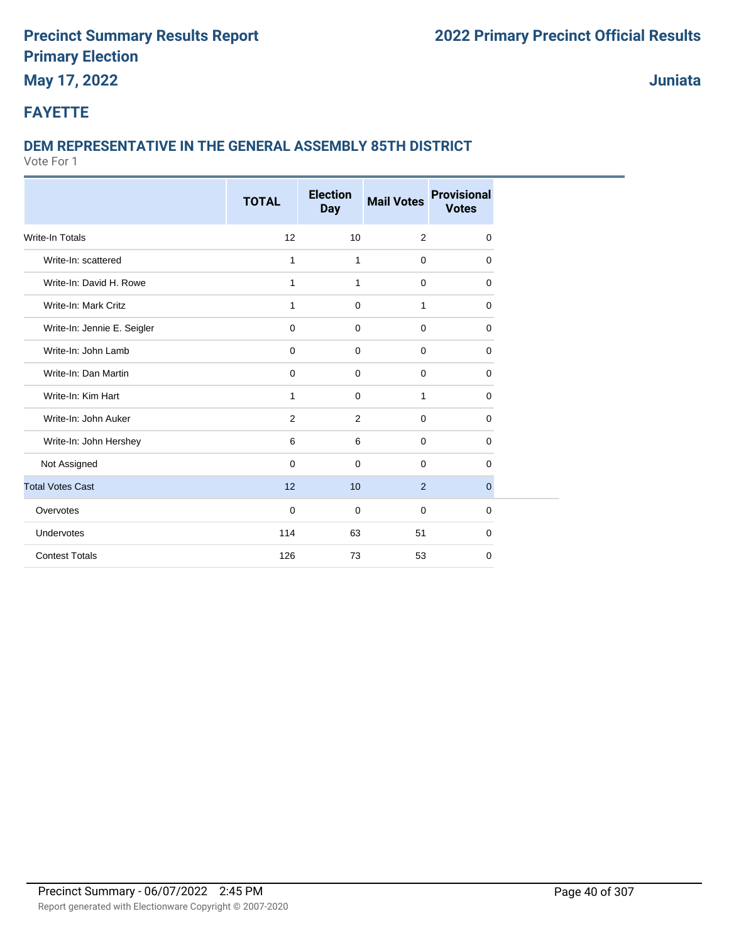### **May 17, 2022**

**Juniata**

#### **FAYETTE**

#### **DEM REPRESENTATIVE IN THE GENERAL ASSEMBLY 85TH DISTRICT**

|                             | <b>TOTAL</b> | <b>Election</b><br><b>Day</b> | <b>Mail Votes</b> | <b>Provisional</b><br><b>Votes</b> |
|-----------------------------|--------------|-------------------------------|-------------------|------------------------------------|
| <b>Write-In Totals</b>      | 12           | 10                            | 2                 | $\mathbf 0$                        |
| Write-In: scattered         | $\mathbf{1}$ | $\mathbf{1}$                  | $\mathbf 0$       | $\Omega$                           |
| Write-In: David H. Rowe     | 1            | $\mathbf{1}$                  | $\mathbf 0$       | $\mathbf 0$                        |
| Write-In: Mark Critz        | 1            | $\mathbf 0$                   | 1                 | $\mathbf 0$                        |
| Write-In: Jennie E. Seigler | $\mathbf 0$  | $\mathbf 0$                   | $\mathbf 0$       | $\Omega$                           |
| Write-In: John Lamb         | $\mathbf 0$  | $\mathbf 0$                   | $\mathbf 0$       | $\mathbf 0$                        |
| Write-In: Dan Martin        | 0            | $\mathbf 0$                   | $\mathbf 0$       | $\mathbf 0$                        |
| Write-In: Kim Hart          | 1            | $\mathbf 0$                   | $\mathbf{1}$      | 0                                  |
| Write-In: John Auker        | 2            | 2                             | $\mathbf 0$       | $\mathbf 0$                        |
| Write-In: John Hershey      | 6            | 6                             | $\mathbf 0$       | $\mathbf 0$                        |
| Not Assigned                | $\Omega$     | 0                             | $\mathbf 0$       | $\Omega$                           |
| <b>Total Votes Cast</b>     | 12           | 10                            | 2                 | $\mathbf{0}$                       |
| Overvotes                   | $\mathbf 0$  | $\mathbf 0$                   | $\mathbf 0$       | $\Omega$                           |
| Undervotes                  | 114          | 63                            | 51                | $\mathbf 0$                        |
| <b>Contest Totals</b>       | 126          | 73                            | 53                | $\mathbf 0$                        |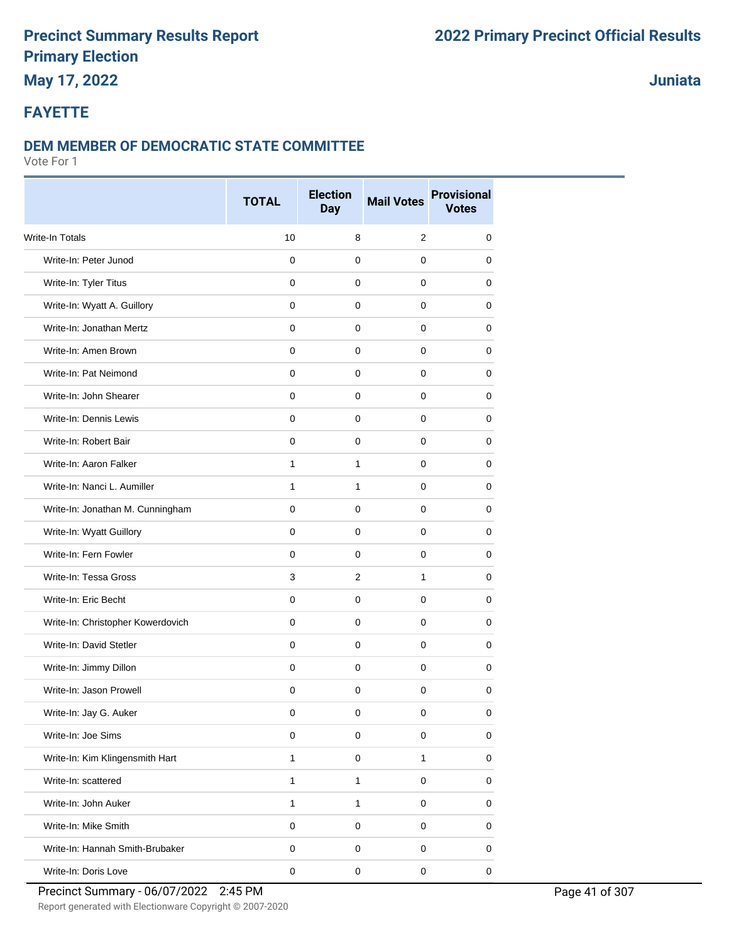# **May 17, 2022**

#### **Juniata**

#### **FAYETTE**

#### **DEM MEMBER OF DEMOCRATIC STATE COMMITTEE**

|                                   | <b>TOTAL</b> | <b>Election</b><br><b>Day</b> | <b>Mail Votes</b> | <b>Provisional</b><br><b>Votes</b> |
|-----------------------------------|--------------|-------------------------------|-------------------|------------------------------------|
| Write-In Totals                   | 10           | 8                             | 2                 | 0                                  |
| Write-In: Peter Junod             | $\mathbf 0$  | $\mathbf 0$                   | $\Omega$          | $\mathbf 0$                        |
| Write-In: Tyler Titus             | $\mathbf 0$  | $\mathbf 0$                   | 0                 | 0                                  |
| Write-In: Wyatt A. Guillory       | $\mathbf 0$  | 0                             | 0                 | 0                                  |
| Write-In: Jonathan Mertz          | $\mathbf 0$  | 0                             | 0                 | 0                                  |
| Write-In: Amen Brown              | $\mathbf 0$  | $\mathbf 0$                   | 0                 | 0                                  |
| Write-In: Pat Neimond             | $\mathbf{0}$ | 0                             | $\mathbf 0$       | 0                                  |
| Write-In: John Shearer            | $\mathbf 0$  | $\mathbf 0$                   | $\mathbf 0$       | 0                                  |
| Write-In: Dennis Lewis            | $\mathbf 0$  | $\mathbf 0$                   | 0                 | 0                                  |
| Write-In: Robert Bair             | 0            | 0                             | 0                 | 0                                  |
| Write-In: Aaron Falker            | $\mathbf{1}$ | $\mathbf{1}$                  | $\mathbf 0$       | 0                                  |
| Write-In: Nanci L. Aumiller       | $\mathbf{1}$ | 1                             | $\mathbf 0$       | 0                                  |
| Write-In: Jonathan M. Cunningham  | $\mathbf 0$  | $\mathbf 0$                   | 0                 | 0                                  |
| Write-In: Wyatt Guillory          | $\mathbf 0$  | $\mathbf 0$                   | $\mathbf 0$       | 0                                  |
| Write-In: Fern Fowler             | $\mathbf 0$  | 0                             | 0                 | 0                                  |
| Write-In: Tessa Gross             | 3            | 2                             | $\mathbf{1}$      | 0                                  |
| Write-In: Eric Becht              | $\mathbf 0$  | $\mathbf 0$                   | $\mathbf 0$       | 0                                  |
| Write-In: Christopher Kowerdovich | 0            | $\mathbf 0$                   | 0                 | 0                                  |
| Write-In: David Stetler           | $\mathbf 0$  | $\mathbf 0$                   | 0                 | 0                                  |
| Write-In: Jimmy Dillon            | $\mathbf 0$  | $\mathbf 0$                   | $\mathbf 0$       | 0                                  |
| Write-In: Jason Prowell           | $\mathbf 0$  | $\mathbf 0$                   | $\mathbf 0$       | 0                                  |
| Write-In: Jay G. Auker            | 0            | 0                             | 0                 | 0                                  |
| Write-In: Joe Sims                | $\mathsf 0$  | $\mathbf 0$                   | $\mathbf 0$       | $\mathbf 0$                        |
| Write-In: Kim Klingensmith Hart   | $\mathbf{1}$ | $\pmb{0}$                     | $\mathbf{1}$      | $\pmb{0}$                          |
| Write-In: scattered               | $\mathbf{1}$ | $\mathbf{1}$                  | $\mathbf 0$       | $\pmb{0}$                          |
| Write-In: John Auker              | $\mathbf{1}$ | $\mathbf{1}$                  | $\mathbf 0$       | $\pmb{0}$                          |
| Write-In: Mike Smith              | $\pmb{0}$    | $\pmb{0}$                     | $\pmb{0}$         | 0                                  |
| Write-In: Hannah Smith-Brubaker   | $\mathsf 0$  | $\pmb{0}$                     | $\pmb{0}$         | 0                                  |
| Write-In: Doris Love              | $\pmb{0}$    | $\pmb{0}$                     | $\pmb{0}$         | $\mathbf 0$                        |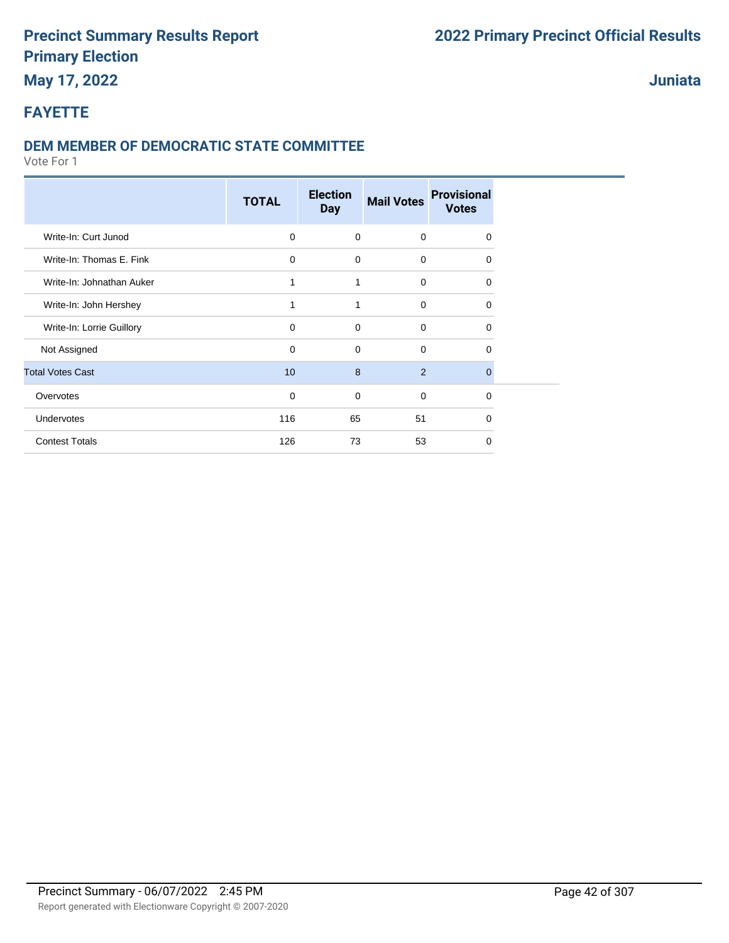### **May 17, 2022**

### **Juniata**

### **FAYETTE**

#### **DEM MEMBER OF DEMOCRATIC STATE COMMITTEE**

|                           | <b>TOTAL</b> | <b>Election</b><br><b>Day</b> | <b>Mail Votes</b> | <b>Provisional</b><br><b>Votes</b> |
|---------------------------|--------------|-------------------------------|-------------------|------------------------------------|
| Write-In: Curt Junod      | $\Omega$     | $\mathbf 0$                   | $\mathbf 0$       | 0                                  |
| Write-In: Thomas E. Fink  | 0            | $\mathbf 0$                   | $\mathbf 0$       | 0                                  |
| Write-In: Johnathan Auker | 1            | 1                             | $\mathbf 0$       | $\Omega$                           |
| Write-In: John Hershey    | 1            | 1                             | $\mathbf 0$       | 0                                  |
| Write-In: Lorrie Guillory | $\Omega$     | $\Omega$                      | $\Omega$          | $\Omega$                           |
| Not Assigned              | $\Omega$     | $\Omega$                      | $\Omega$          | $\Omega$                           |
| <b>Total Votes Cast</b>   | 10           | 8                             | 2                 | $\Omega$                           |
| Overvotes                 | $\mathbf 0$  | $\mathbf 0$                   | $\mathbf 0$       | 0                                  |
| Undervotes                | 116          | 65                            | 51                | 0                                  |
| <b>Contest Totals</b>     | 126          | 73                            | 53                | $\Omega$                           |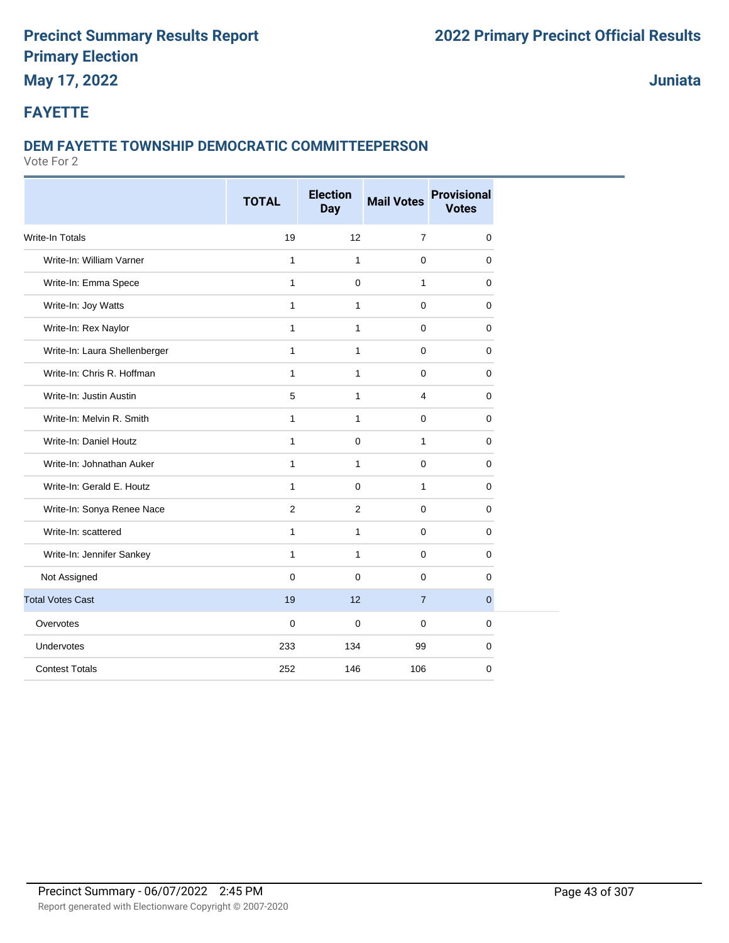### **May 17, 2022**

**Juniata**

#### **FAYETTE**

#### **DEM FAYETTE TOWNSHIP DEMOCRATIC COMMITTEEPERSON**

|                               | <b>TOTAL</b>   | <b>Election</b><br><b>Day</b> | <b>Mail Votes</b> | <b>Provisional</b><br><b>Votes</b> |
|-------------------------------|----------------|-------------------------------|-------------------|------------------------------------|
| <b>Write-In Totals</b>        | 19             | 12                            | $\overline{7}$    | $\mathbf 0$                        |
| Write-In: William Varner      | $\mathbf{1}$   | $\mathbf{1}$                  | $\mathbf 0$       | 0                                  |
| Write-In: Emma Spece          | $\mathbf{1}$   | 0                             | $\mathbf{1}$      | $\mathbf 0$                        |
| Write-In: Joy Watts           | $\mathbf{1}$   | $\mathbf{1}$                  | 0                 | 0                                  |
| Write-In: Rex Naylor          | $\mathbf{1}$   | $\mathbf{1}$                  | $\mathbf 0$       | 0                                  |
| Write-In: Laura Shellenberger | $\mathbf{1}$   | $\mathbf{1}$                  | $\mathbf 0$       | 0                                  |
| Write-In: Chris R. Hoffman    | 1              | $\mathbf{1}$                  | 0                 | 0                                  |
| Write-In: Justin Austin       | 5              | $\mathbf{1}$                  | 4                 | 0                                  |
| Write-In: Melvin R. Smith     | $\mathbf{1}$   | $\mathbf{1}$                  | $\mathbf 0$       | 0                                  |
| Write-In: Daniel Houtz        | 1              | 0                             | $\mathbf{1}$      | 0                                  |
| Write-In: Johnathan Auker     | $\mathbf{1}$   | $\mathbf{1}$                  | $\mathbf 0$       | 0                                  |
| Write-In: Gerald E. Houtz     | $\mathbf{1}$   | $\mathbf 0$                   | $\mathbf{1}$      | 0                                  |
| Write-In: Sonya Renee Nace    | $\overline{2}$ | 2                             | $\mathbf 0$       | 0                                  |
| Write-In: scattered           | $\mathbf{1}$   | $\mathbf{1}$                  | $\mathbf 0$       | 0                                  |
| Write-In: Jennifer Sankey     | $\mathbf{1}$   | $\mathbf{1}$                  | $\mathbf 0$       | 0                                  |
| Not Assigned                  | $\mathbf 0$    | $\mathbf 0$                   | $\mathbf 0$       | $\mathbf 0$                        |
| <b>Total Votes Cast</b>       | 19             | 12                            | $\overline{7}$    | $\mathbf{0}$                       |
| Overvotes                     | $\mathbf 0$    | 0                             | $\mathbf 0$       | 0                                  |
| Undervotes                    | 233            | 134                           | 99                | 0                                  |
| <b>Contest Totals</b>         | 252            | 146                           | 106               | 0                                  |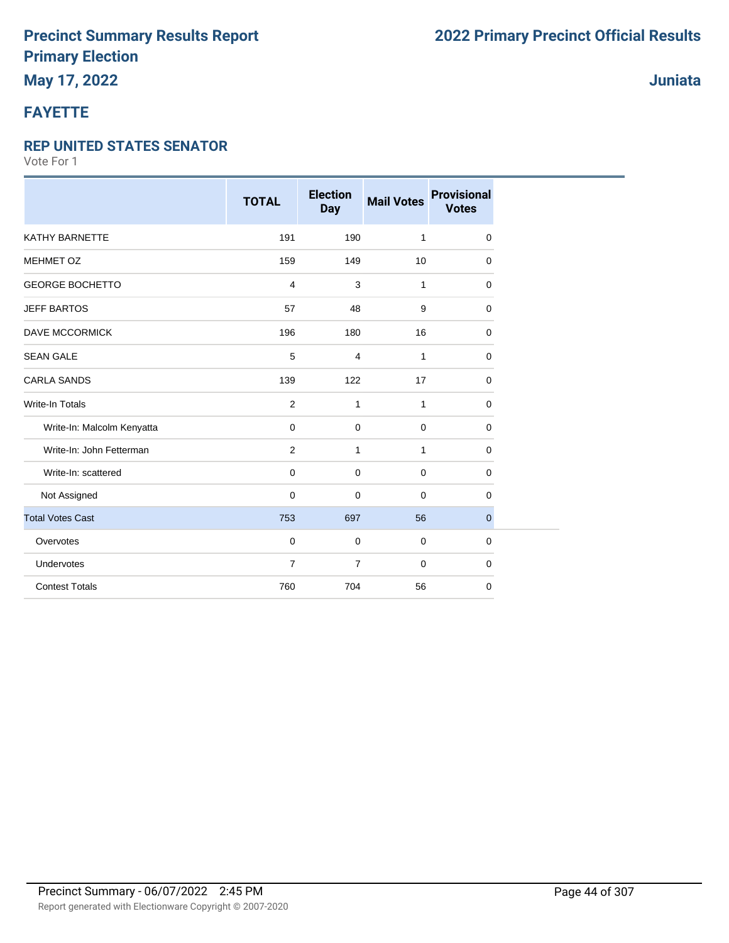# **FAYETTE**

#### **REP UNITED STATES SENATOR**

Vote For 1

|                            | <b>TOTAL</b>   | <b>Election</b><br><b>Day</b> | <b>Mail Votes</b> | <b>Provisional</b><br><b>Votes</b> |
|----------------------------|----------------|-------------------------------|-------------------|------------------------------------|
| KATHY BARNETTE             | 191            | 190                           | $\mathbf{1}$      | 0                                  |
| <b>MEHMET OZ</b>           | 159            | 149                           | 10                | 0                                  |
| <b>GEORGE BOCHETTO</b>     | 4              | 3                             | $\mathbf{1}$      | 0                                  |
| <b>JEFF BARTOS</b>         | 57             | 48                            | 9                 | 0                                  |
| <b>DAVE MCCORMICK</b>      | 196            | 180                           | 16                | 0                                  |
| <b>SEAN GALE</b>           | 5              | 4                             | $\mathbf{1}$      | 0                                  |
| <b>CARLA SANDS</b>         | 139            | 122                           | 17                | 0                                  |
| Write-In Totals            | $\overline{2}$ | $\mathbf{1}$                  | $\mathbf{1}$      | 0                                  |
| Write-In: Malcolm Kenyatta | $\mathbf 0$    | 0                             | $\mathbf 0$       | 0                                  |
| Write-In: John Fetterman   | $\overline{2}$ | $\mathbf{1}$                  | $\mathbf{1}$      | 0                                  |
| Write-In: scattered        | 0              | $\mathbf 0$                   | $\mathbf 0$       | 0                                  |
| Not Assigned               | 0              | $\mathbf 0$                   | $\mathbf 0$       | 0                                  |
| <b>Total Votes Cast</b>    | 753            | 697                           | 56                | $\pmb{0}$                          |
| Overvotes                  | 0              | $\mathbf 0$                   | $\mathbf 0$       | 0                                  |
| Undervotes                 | $\overline{7}$ | $\overline{7}$                | $\mathbf 0$       | 0                                  |
| <b>Contest Totals</b>      | 760            | 704                           | 56                | 0                                  |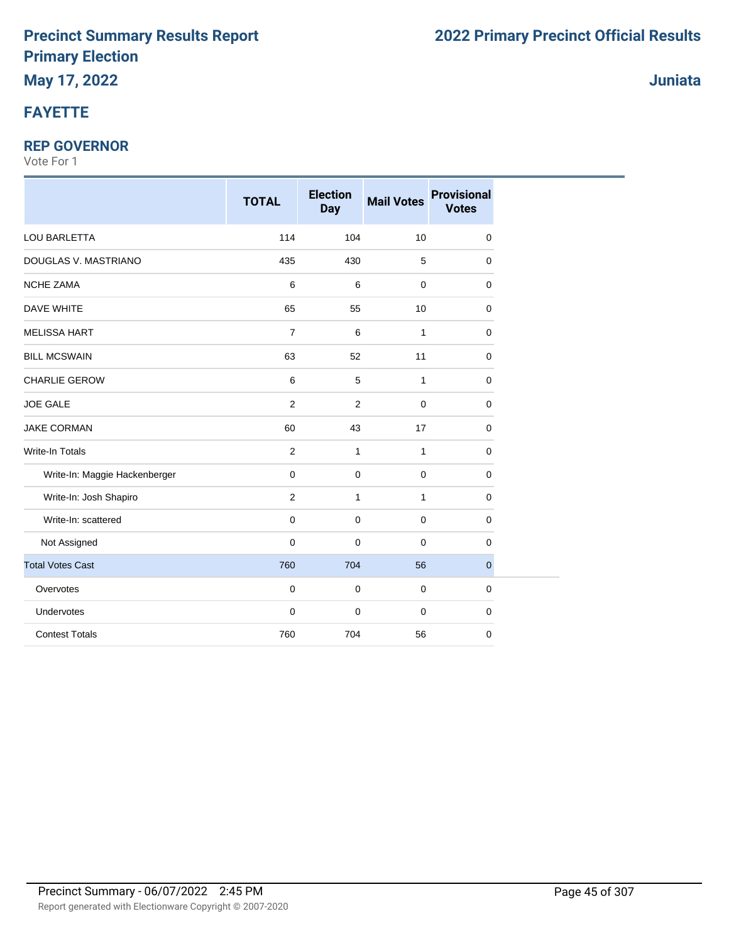# **FAYETTE**

#### **REP GOVERNOR**

|                               | <b>TOTAL</b>   | <b>Election</b><br><b>Day</b> | <b>Mail Votes</b> | <b>Provisional</b><br><b>Votes</b> |
|-------------------------------|----------------|-------------------------------|-------------------|------------------------------------|
| LOU BARLETTA                  | 114            | 104                           | 10                | 0                                  |
| DOUGLAS V. MASTRIANO          | 435            | 430                           | 5                 | $\mathbf 0$                        |
| <b>NCHE ZAMA</b>              | 6              | 6                             | $\mathbf{0}$      | 0                                  |
| DAVE WHITE                    | 65             | 55                            | 10                | 0                                  |
| <b>MELISSA HART</b>           | $\overline{7}$ | 6                             | $\mathbf{1}$      | 0                                  |
| <b>BILL MCSWAIN</b>           | 63             | 52                            | 11                | 0                                  |
| CHARLIE GEROW                 | 6              | 5                             | $\mathbf{1}$      | 0                                  |
| <b>JOE GALE</b>               | $\overline{2}$ | $\overline{2}$                | $\mathbf 0$       | 0                                  |
| <b>JAKE CORMAN</b>            | 60             | 43                            | 17                | 0                                  |
| Write-In Totals               | $\overline{2}$ | $\mathbf{1}$                  | $\mathbf{1}$      | 0                                  |
| Write-In: Maggie Hackenberger | 0              | $\mathbf 0$                   | $\mathbf 0$       | 0                                  |
| Write-In: Josh Shapiro        | $\overline{2}$ | $\mathbf{1}$                  | 1                 | 0                                  |
| Write-In: scattered           | 0              | $\mathbf 0$                   | $\mathbf 0$       | 0                                  |
| Not Assigned                  | 0              | $\mathbf 0$                   | $\mathbf 0$       | 0                                  |
| <b>Total Votes Cast</b>       | 760            | 704                           | 56                | $\mathbf{0}$                       |
| Overvotes                     | $\mathbf 0$    | $\mathbf 0$                   | $\mathbf 0$       | 0                                  |
| Undervotes                    | 0              | $\mathbf 0$                   | $\mathbf 0$       | 0                                  |
| <b>Contest Totals</b>         | 760            | 704                           | 56                | 0                                  |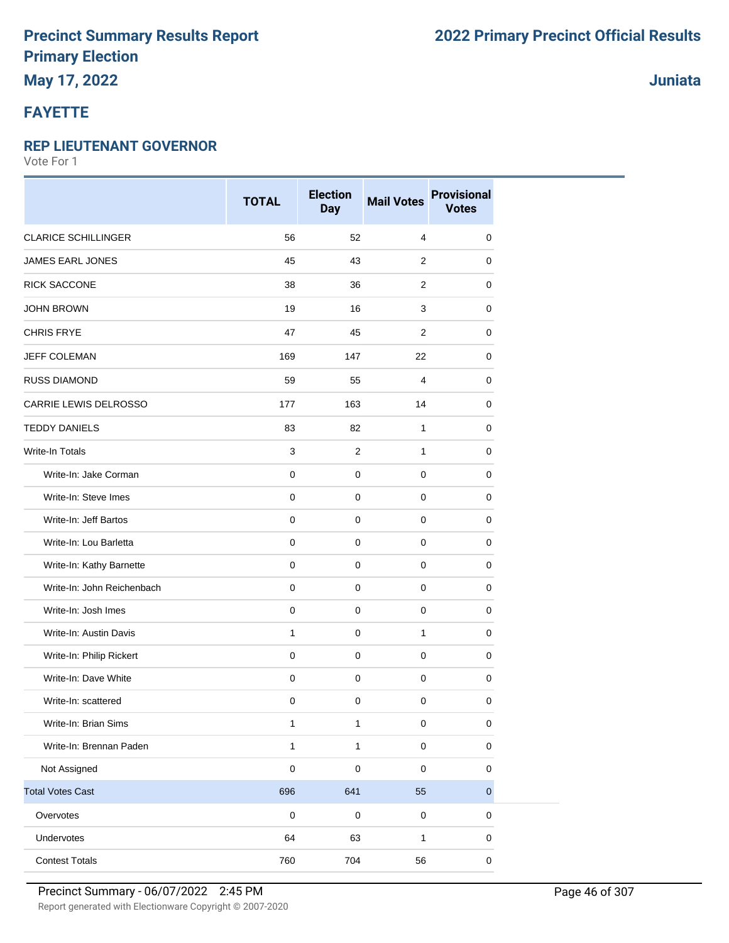# **May 17, 2022**

### **FAYETTE**

#### **REP LIEUTENANT GOVERNOR**

Vote For 1

|                            | <b>TOTAL</b> | <b>Election</b><br><b>Day</b> | <b>Mail Votes</b> | <b>Provisional</b><br><b>Votes</b> |
|----------------------------|--------------|-------------------------------|-------------------|------------------------------------|
| <b>CLARICE SCHILLINGER</b> | 56           | 52                            | 4                 | 0                                  |
| <b>JAMES EARL JONES</b>    | 45           | 43                            | $\overline{2}$    | 0                                  |
| RICK SACCONE               | 38           | 36                            | 2                 | 0                                  |
| <b>JOHN BROWN</b>          | 19           | 16                            | 3                 | 0                                  |
| <b>CHRIS FRYE</b>          | 47           | 45                            | $\overline{2}$    | 0                                  |
| JEFF COLEMAN               | 169          | 147                           | 22                | 0                                  |
| <b>RUSS DIAMOND</b>        | 59           | 55                            | 4                 | 0                                  |
| CARRIE LEWIS DELROSSO      | 177          | 163                           | 14                | 0                                  |
| <b>TEDDY DANIELS</b>       | 83           | 82                            | 1                 | 0                                  |
| <b>Write-In Totals</b>     | 3            | $\overline{2}$                | $\mathbf{1}$      | 0                                  |
| Write-In: Jake Corman      | $\pmb{0}$    | $\mathsf{O}\xspace$           | $\mathbf 0$       | $\mathbf 0$                        |
| Write-In: Steve Imes       | $\pmb{0}$    | $\mathbf 0$                   | $\mathbf 0$       | 0                                  |
| Write-In: Jeff Bartos      | $\mathbf 0$  | $\mathbf 0$                   | $\mathbf 0$       | $\mathbf 0$                        |
| Write-In: Lou Barletta     | $\pmb{0}$    | $\pmb{0}$                     | $\mathbf 0$       | 0                                  |
| Write-In: Kathy Barnette   | $\pmb{0}$    | $\mathbf 0$                   | $\mathbf 0$       | 0                                  |
| Write-In: John Reichenbach | $\pmb{0}$    | $\mathbf 0$                   | 0                 | 0                                  |
| Write-In: Josh Imes        | $\mathbf 0$  | $\mathbf 0$                   | $\mathbf 0$       | 0                                  |
| Write-In: Austin Davis     | 1            | $\pmb{0}$                     | $\mathbf{1}$      | 0                                  |
| Write-In: Philip Rickert   | $\mathbf 0$  | $\mathbf 0$                   | $\mathbf 0$       | 0                                  |
| Write-In: Dave White       | $\mathbf 0$  | $\mathsf{O}\xspace$           | $\mathbf 0$       | $\pmb{0}$                          |
| Write-In: scattered        | 0            | 0                             | $\mathbf 0$       | 0                                  |
| Write-In: Brian Sims       | 1            | $\mathbf{1}$                  | 0                 | $\mathbf 0$                        |
| Write-In: Brennan Paden    | $\mathbf{1}$ | $\mathbf{1}$                  | $\pmb{0}$         | $\pmb{0}$                          |
| Not Assigned               | $\pmb{0}$    | 0                             | $\pmb{0}$         | $\pmb{0}$                          |
| <b>Total Votes Cast</b>    | 696          | 641                           | 55                | $\pmb{0}$                          |
| Overvotes                  | $\pmb{0}$    | $\pmb{0}$                     | $\pmb{0}$         | 0                                  |
| Undervotes                 | 64           | 63                            | $\mathbf{1}$      | $\mathbf 0$                        |
| <b>Contest Totals</b>      | 760          | 704                           | 56                | $\pmb{0}$                          |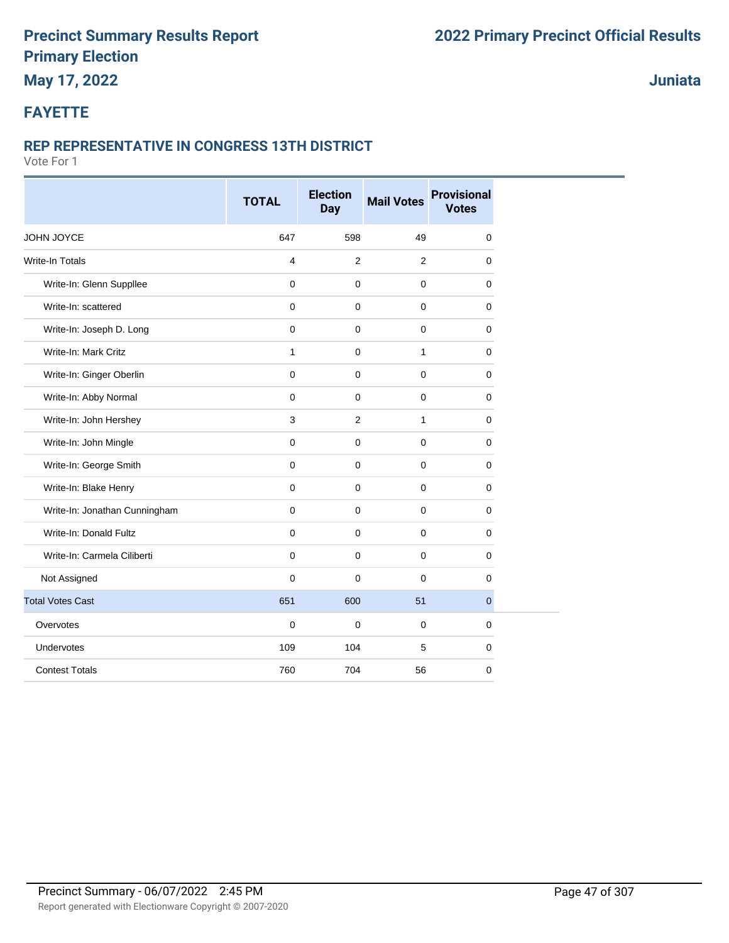### **May 17, 2022**

**Juniata**

#### **FAYETTE**

#### **REP REPRESENTATIVE IN CONGRESS 13TH DISTRICT**

|                               | <b>TOTAL</b>        | <b>Election</b><br><b>Day</b> | <b>Mail Votes</b> | <b>Provisional</b><br><b>Votes</b> |
|-------------------------------|---------------------|-------------------------------|-------------------|------------------------------------|
| JOHN JOYCE                    | 647                 | 598                           | 49                | $\mathbf 0$                        |
| <b>Write-In Totals</b>        | $\overline{4}$      | $\overline{2}$                | 2                 | 0                                  |
| Write-In: Glenn Suppllee      | $\mathbf 0$         | $\mathbf 0$                   | $\pmb{0}$         | 0                                  |
| Write-In: scattered           | $\mathbf 0$         | 0                             | 0                 | 0                                  |
| Write-In: Joseph D. Long      | $\mathsf{O}\xspace$ | $\mathbf 0$                   | 0                 | $\mathbf 0$                        |
| Write-In: Mark Critz          | $\mathbf{1}$        | $\mathbf 0$                   | $\mathbf{1}$      | $\mathbf 0$                        |
| Write-In: Ginger Oberlin      | $\mathbf 0$         | $\mathbf 0$                   | 0                 | $\mathbf 0$                        |
| Write-In: Abby Normal         | $\mathbf 0$         | $\mathbf 0$                   | 0                 | $\mathbf 0$                        |
| Write-In: John Hershey        | $\mathbf{3}$        | $\overline{2}$                | $\mathbf{1}$      | 0                                  |
| Write-In: John Mingle         | $\mathbf 0$         | $\mathbf 0$                   | 0                 | $\mathbf 0$                        |
| Write-In: George Smith        | $\mathbf 0$         | $\mathbf 0$                   | 0                 | $\mathbf 0$                        |
| Write-In: Blake Henry         | $\mathbf 0$         | $\mathbf 0$                   | $\pmb{0}$         | 0                                  |
| Write-In: Jonathan Cunningham | $\mathbf 0$         | $\mathbf 0$                   | 0                 | $\mathbf 0$                        |
| Write-In: Donald Fultz        | $\mathbf 0$         | $\mathbf 0$                   | 0                 | 0                                  |
| Write-In: Carmela Ciliberti   | $\mathbf 0$         | $\mathbf 0$                   | 0                 | 0                                  |
| Not Assigned                  | $\mathsf{O}\xspace$ | 0                             | 0                 | 0                                  |
| <b>Total Votes Cast</b>       | 651                 | 600                           | 51                | $\mathbf{0}$                       |
| Overvotes                     | $\mathbf 0$         | $\mathbf 0$                   | 0                 | $\mathbf 0$                        |
| Undervotes                    | 109                 | 104                           | 5                 | $\mathbf 0$                        |
| <b>Contest Totals</b>         | 760                 | 704                           | 56                | 0                                  |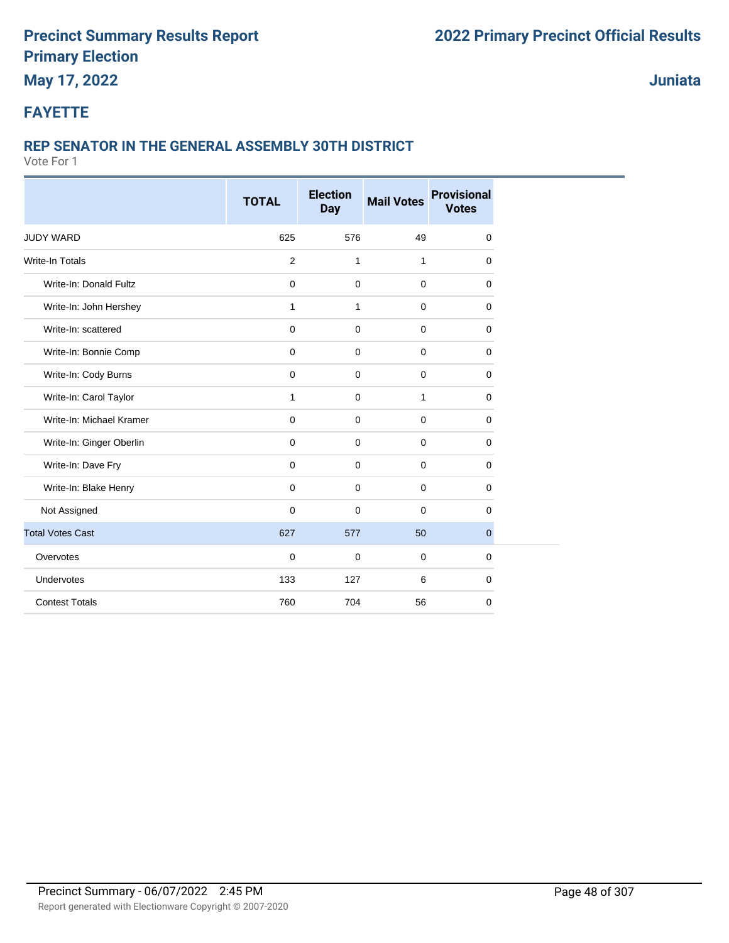### **May 17, 2022**

**Juniata**

#### **FAYETTE**

#### **REP SENATOR IN THE GENERAL ASSEMBLY 30TH DISTRICT**

|                          | <b>TOTAL</b>   | <b>Election</b><br><b>Day</b> | <b>Mail Votes</b> | <b>Provisional</b><br><b>Votes</b> |
|--------------------------|----------------|-------------------------------|-------------------|------------------------------------|
| <b>JUDY WARD</b>         | 625            | 576                           | 49                | 0                                  |
| <b>Write-In Totals</b>   | $\overline{c}$ | $\mathbf{1}$                  | $\mathbf{1}$      | 0                                  |
| Write-In: Donald Fultz   | $\mathbf 0$    | $\mathbf 0$                   | $\mathbf 0$       | 0                                  |
| Write-In: John Hershey   | $\mathbf{1}$   | $\mathbf{1}$                  | $\mathbf 0$       | 0                                  |
| Write-In: scattered      | $\mathbf 0$    | $\mathbf 0$                   | $\mathbf 0$       | 0                                  |
| Write-In: Bonnie Comp    | $\mathbf 0$    | $\mathbf 0$                   | $\mathbf 0$       | 0                                  |
| Write-In: Cody Burns     | $\mathsf 0$    | $\mathbf 0$                   | $\pmb{0}$         | 0                                  |
| Write-In: Carol Taylor   | $\mathbf{1}$   | $\mathbf 0$                   | $\mathbf{1}$      | 0                                  |
| Write-In: Michael Kramer | $\mathbf 0$    | $\mathbf 0$                   | $\mathbf 0$       | 0                                  |
| Write-In: Ginger Oberlin | 0              | 0                             | $\mathbf 0$       | 0                                  |
| Write-In: Dave Fry       | 0              | 0                             | $\mathbf 0$       | 0                                  |
| Write-In: Blake Henry    | $\mathbf 0$    | $\mathbf 0$                   | $\mathbf 0$       | $\mathbf 0$                        |
| Not Assigned             | $\mathbf 0$    | $\mathbf 0$                   | $\mathbf 0$       | 0                                  |
| <b>Total Votes Cast</b>  | 627            | 577                           | 50                | $\overline{0}$                     |
| Overvotes                | $\mathbf 0$    | $\mathbf 0$                   | $\mathbf 0$       | 0                                  |
| Undervotes               | 133            | 127                           | 6                 | $\mathbf 0$                        |
| <b>Contest Totals</b>    | 760            | 704                           | 56                | $\mathbf 0$                        |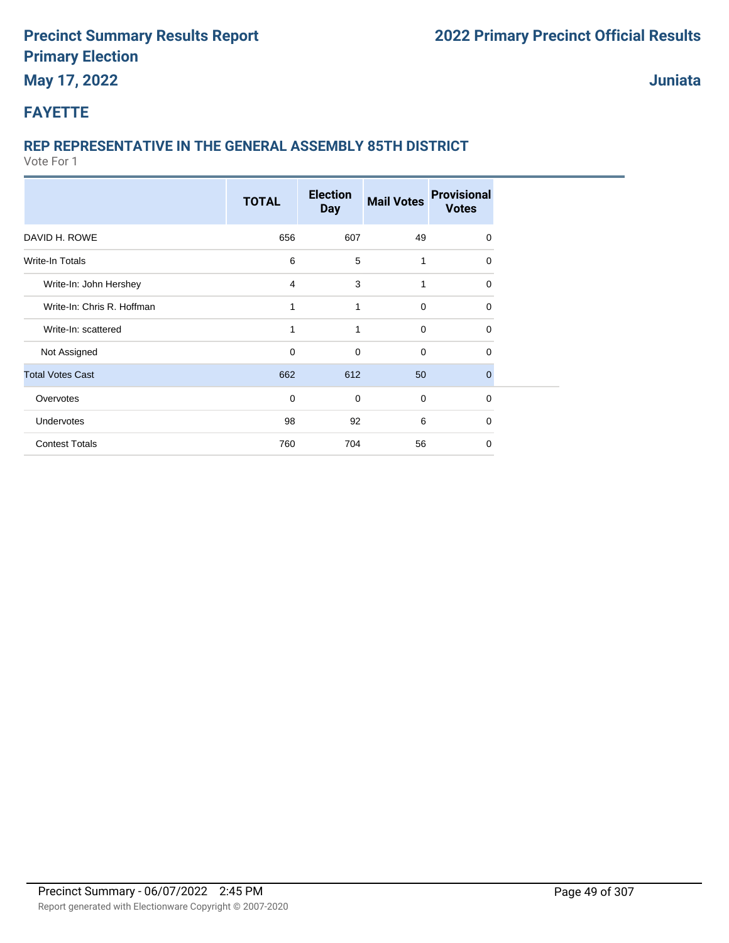#### **Juniata**

#### **FAYETTE**

#### **REP REPRESENTATIVE IN THE GENERAL ASSEMBLY 85TH DISTRICT**

|                            | <b>TOTAL</b>   | <b>Election</b><br><b>Day</b> | <b>Mail Votes</b> | <b>Provisional</b><br><b>Votes</b> |
|----------------------------|----------------|-------------------------------|-------------------|------------------------------------|
| DAVID H. ROWE              | 656            | 607                           | 49                | 0                                  |
| Write-In Totals            | 6              | 5                             | 1                 | $\Omega$                           |
| Write-In: John Hershey     | $\overline{4}$ | 3                             | 1                 | $\Omega$                           |
| Write-In: Chris R. Hoffman | 1              | 1                             | 0                 | $\Omega$                           |
| Write-In: scattered        | 1              | 1                             | $\mathbf 0$       | 0                                  |
| Not Assigned               | $\mathbf 0$    | $\mathbf 0$                   | $\mathbf 0$       | 0                                  |
| <b>Total Votes Cast</b>    | 662            | 612                           | 50                | $\mathbf{0}$                       |
| Overvotes                  | $\mathbf 0$    | $\mathbf 0$                   | $\mathbf 0$       | $\mathbf 0$                        |
| Undervotes                 | 98             | 92                            | 6                 | $\Omega$                           |
| <b>Contest Totals</b>      | 760            | 704                           | 56                | $\Omega$                           |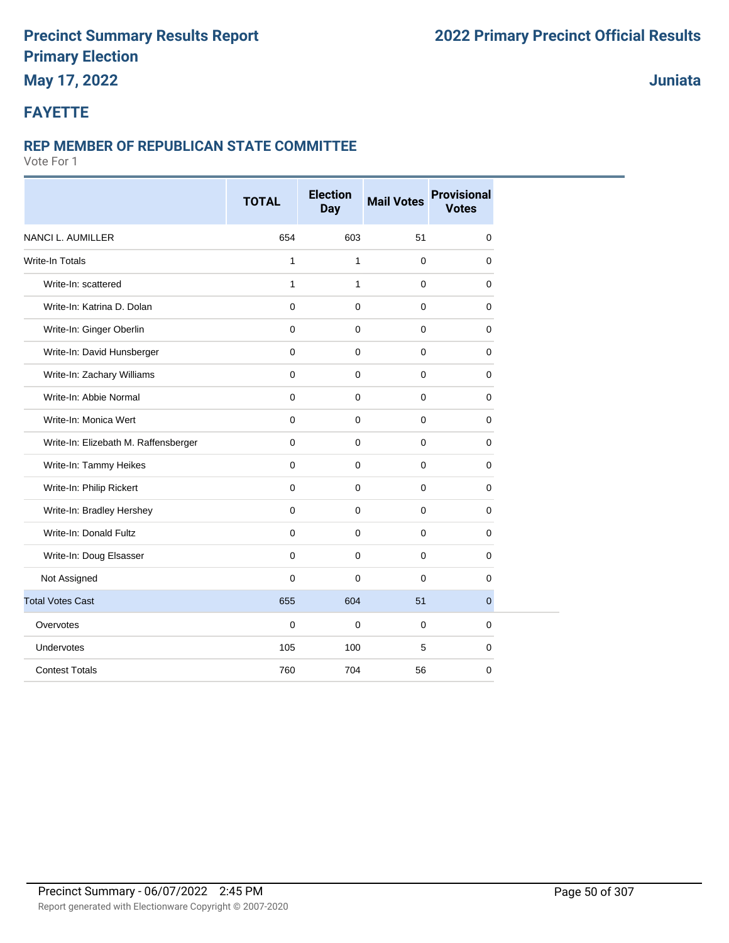# **May 17, 2022**

#### **Juniata**

#### **FAYETTE**

#### **REP MEMBER OF REPUBLICAN STATE COMMITTEE**

|                                      | <b>TOTAL</b> | <b>Election</b><br><b>Day</b> | <b>Mail Votes</b> | <b>Provisional</b><br><b>Votes</b> |
|--------------------------------------|--------------|-------------------------------|-------------------|------------------------------------|
| <b>NANCI L. AUMILLER</b>             | 654          | 603                           | 51                | $\mathbf 0$                        |
| <b>Write-In Totals</b>               | $\mathbf{1}$ | 1                             | $\mathbf 0$       | 0                                  |
| Write-In: scattered                  | $\mathbf{1}$ | $\mathbf{1}$                  | $\pmb{0}$         | 0                                  |
| Write-In: Katrina D. Dolan           | 0            | 0                             | $\mathbf 0$       | 0                                  |
| Write-In: Ginger Oberlin             | $\mathbf 0$  | $\mathbf 0$                   | 0                 | $\mathbf 0$                        |
| Write-In: David Hunsberger           | $\mathbf 0$  | $\mathbf 0$                   | $\pmb{0}$         | 0                                  |
| Write-In: Zachary Williams           | $\mathbf 0$  | $\mathbf 0$                   | $\mathbf 0$       | 0                                  |
| Write-In: Abbie Normal               | $\mathbf 0$  | $\mathbf 0$                   | $\pmb{0}$         | 0                                  |
| Write-In: Monica Wert                | $\mathbf 0$  | $\mathbf 0$                   | $\pmb{0}$         | 0                                  |
| Write-In: Elizebath M. Raffensberger | $\mathbf 0$  | $\mathbf 0$                   | $\pmb{0}$         | 0                                  |
| Write-In: Tammy Heikes               | $\mathbf 0$  | $\mathbf 0$                   | $\pmb{0}$         | 0                                  |
| Write-In: Philip Rickert             | $\mathbf 0$  | $\mathbf 0$                   | $\pmb{0}$         | 0                                  |
| Write-In: Bradley Hershey            | $\Omega$     | $\mathbf 0$                   | $\mathbf 0$       | 0                                  |
| Write-In: Donald Fultz               | $\mathbf 0$  | $\mathbf 0$                   | $\pmb{0}$         | 0                                  |
| Write-In: Doug Elsasser              | $\mathbf 0$  | $\mathbf 0$                   | $\mathbf 0$       | 0                                  |
| Not Assigned                         | $\mathbf 0$  | $\mathbf 0$                   | 0                 | 0                                  |
| <b>Total Votes Cast</b>              | 655          | 604                           | 51                | 0                                  |
| Overvotes                            | $\mathbf 0$  | $\mathbf 0$                   | $\mathbf 0$       | 0                                  |
| Undervotes                           | 105          | 100                           | 5                 | 0                                  |
| <b>Contest Totals</b>                | 760          | 704                           | 56                | 0                                  |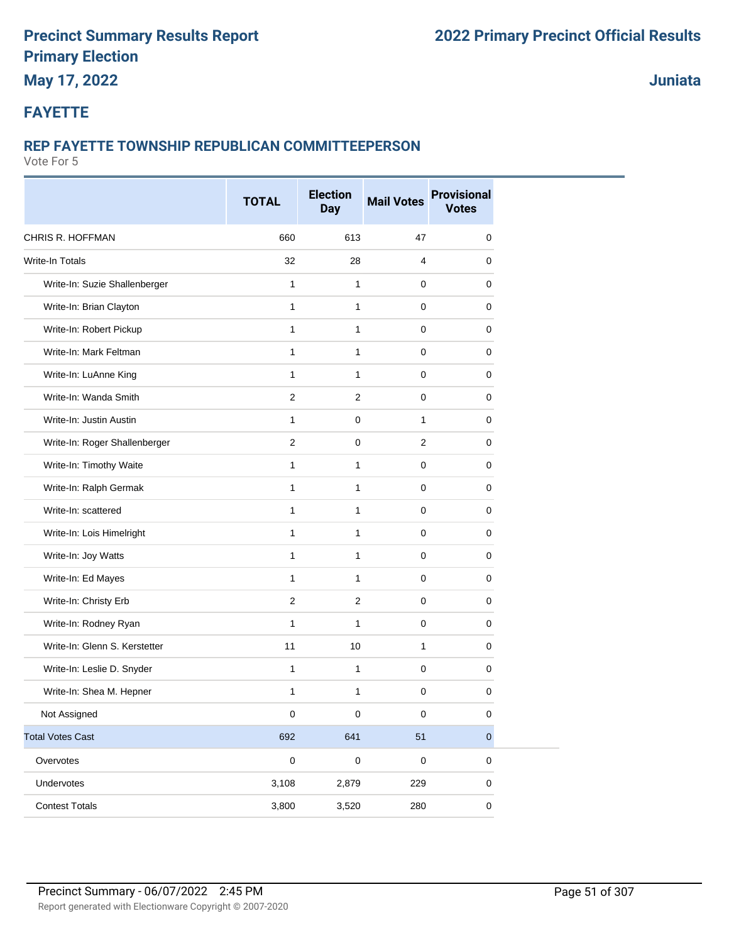### **May 17, 2022**

**Juniata**

#### **FAYETTE**

#### **REP FAYETTE TOWNSHIP REPUBLICAN COMMITTEEPERSON**

|                               | <b>TOTAL</b>     | <b>Election</b><br><b>Day</b> | <b>Mail Votes</b> | <b>Provisional</b><br><b>Votes</b> |
|-------------------------------|------------------|-------------------------------|-------------------|------------------------------------|
| CHRIS R. HOFFMAN              | 660              | 613                           | 47                | 0                                  |
| Write-In Totals               | 32               | 28                            | $\overline{4}$    | 0                                  |
| Write-In: Suzie Shallenberger | $\mathbf{1}$     | $\mathbf{1}$                  | $\mathbf 0$       | 0                                  |
| Write-In: Brian Clayton       | $\mathbf{1}$     | $\mathbf{1}$                  | $\mathbf 0$       | 0                                  |
| Write-In: Robert Pickup       | 1                | $\mathbf{1}$                  | $\mathbf 0$       | 0                                  |
| Write-In: Mark Feltman        | $\mathbf{1}$     | $\mathbf{1}$                  | $\mathbf 0$       | 0                                  |
| Write-In: LuAnne King         | 1                | $\mathbf{1}$                  | $\mathbf 0$       | 0                                  |
| Write-In: Wanda Smith         | $\overline{2}$   | 2                             | $\mathbf 0$       | $\mathbf 0$                        |
| Write-In: Justin Austin       | 1                | $\mathbf 0$                   | $\mathbf{1}$      | 0                                  |
| Write-In: Roger Shallenberger | $\boldsymbol{2}$ | 0                             | $\overline{2}$    | 0                                  |
| Write-In: Timothy Waite       | 1                | $\mathbf{1}$                  | $\mathbf 0$       | 0                                  |
| Write-In: Ralph Germak        | $\mathbf{1}$     | $\mathbf{1}$                  | $\mathbf 0$       | 0                                  |
| Write-In: scattered           | 1                | $\mathbf{1}$                  | $\mathbf 0$       | 0                                  |
| Write-In: Lois Himelright     | 1                | $\mathbf{1}$                  | $\mathbf 0$       | $\mathbf 0$                        |
| Write-In: Joy Watts           | 1                | $\mathbf{1}$                  | $\mathbf 0$       | 0                                  |
| Write-In: Ed Mayes            | 1                | $\mathbf{1}$                  | 0                 | 0                                  |
| Write-In: Christy Erb         | $\mathbf 2$      | $\overline{2}$                | $\mathbf 0$       | 0                                  |
| Write-In: Rodney Ryan         | $\mathbf{1}$     | 1                             | $\mathbf 0$       | 0                                  |
| Write-In: Glenn S. Kerstetter | 11               | 10                            | $\mathbf{1}$      | 0                                  |
| Write-In: Leslie D. Snyder    | 1                | 1                             | $\mathbf 0$       | $\pmb{0}$                          |
| Write-In: Shea M. Hepner      | 1                | 1                             | $\mathbf 0$       | 0                                  |
| Not Assigned                  | 0                | 0                             | 0                 | 0                                  |
| <b>Total Votes Cast</b>       | 692              | 641                           | 51                | $\pmb{0}$                          |
| Overvotes                     | $\pmb{0}$        | $\mathbf 0$                   | $\pmb{0}$         | $\pmb{0}$                          |
| Undervotes                    | 3,108            | 2,879                         | 229               | $\pmb{0}$                          |
| <b>Contest Totals</b>         | 3,800            | 3,520                         | 280               | $\pmb{0}$                          |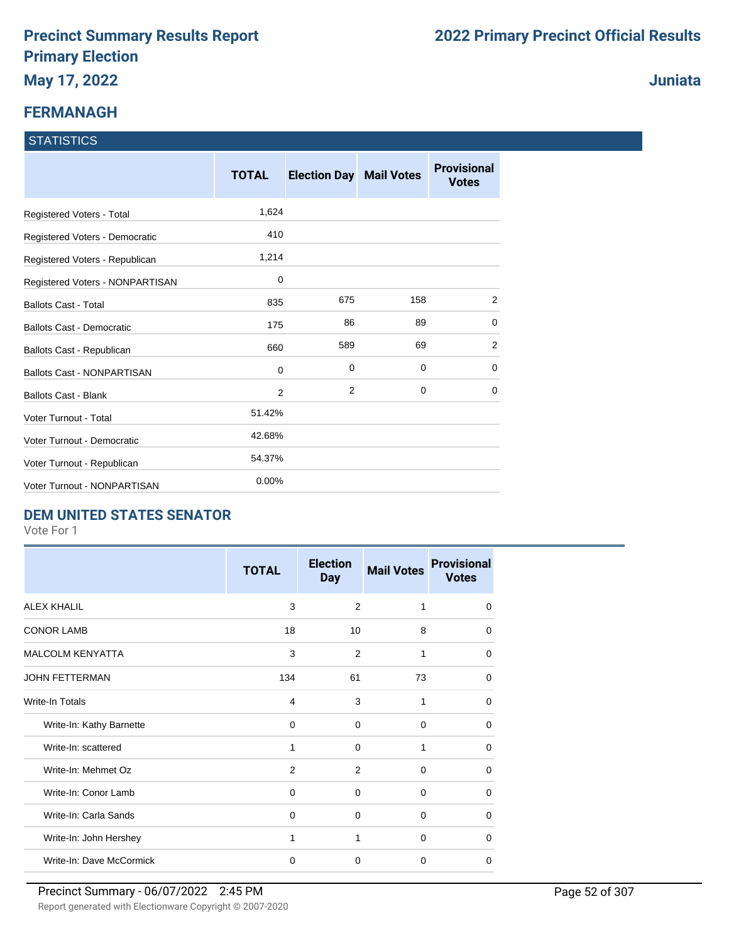#### **FERMANAGH**

#### **STATISTICS**

|                                   | <b>TOTAL</b> | <b>Election Day Mail Votes</b> |     | <b>Provisional</b><br><b>Votes</b> |
|-----------------------------------|--------------|--------------------------------|-----|------------------------------------|
| Registered Voters - Total         | 1,624        |                                |     |                                    |
| Registered Voters - Democratic    | 410          |                                |     |                                    |
| Registered Voters - Republican    | 1,214        |                                |     |                                    |
| Registered Voters - NONPARTISAN   | 0            |                                |     |                                    |
| <b>Ballots Cast - Total</b>       | 835          | 675                            | 158 | $\overline{2}$                     |
| <b>Ballots Cast - Democratic</b>  | 175          | 86                             | 89  | $\Omega$                           |
| Ballots Cast - Republican         | 660          | 589                            | 69  | 2                                  |
| <b>Ballots Cast - NONPARTISAN</b> | 0            | 0                              | 0   | 0                                  |
| <b>Ballots Cast - Blank</b>       | 2            | $\overline{2}$                 | 0   | 0                                  |
| Voter Turnout - Total             | 51.42%       |                                |     |                                    |
| Voter Turnout - Democratic        | 42.68%       |                                |     |                                    |
| Voter Turnout - Republican        | 54.37%       |                                |     |                                    |
| Voter Turnout - NONPARTISAN       | 0.00%        |                                |     |                                    |

#### **DEM UNITED STATES SENATOR**

Vote For 1

|                          | <b>TOTAL</b> | <b>Election</b><br><b>Day</b> | <b>Mail Votes</b> | <b>Provisional</b><br><b>Votes</b> |
|--------------------------|--------------|-------------------------------|-------------------|------------------------------------|
| <b>ALEX KHALIL</b>       | 3            | 2                             | 1                 | $\Omega$                           |
| <b>CONOR LAMB</b>        | 18           | 10                            | 8                 | 0                                  |
| <b>MALCOLM KENYATTA</b>  | 3            | 2                             | 1                 | $\Omega$                           |
| <b>JOHN FETTERMAN</b>    | 134          | 61                            | 73                | $\Omega$                           |
| Write-In Totals          | 4            | 3                             | 1                 | $\Omega$                           |
| Write-In: Kathy Barnette | $\Omega$     | $\Omega$                      | $\Omega$          | $\Omega$                           |
| Write-In: scattered      | 1            | $\Omega$                      | 1                 | $\Omega$                           |
| Write-In: Mehmet Oz      | 2            | 2                             | 0                 | $\Omega$                           |
| Write-In: Conor Lamb     | 0            | 0                             | 0                 | $\Omega$                           |
| Write-In: Carla Sands    | $\mathbf 0$  | 0                             | 0                 | $\Omega$                           |
| Write-In: John Hershey   | 1            | 1                             | $\Omega$          | $\Omega$                           |
| Write-In: Dave McCormick | $\mathbf 0$  | $\Omega$                      | $\Omega$          | $\Omega$                           |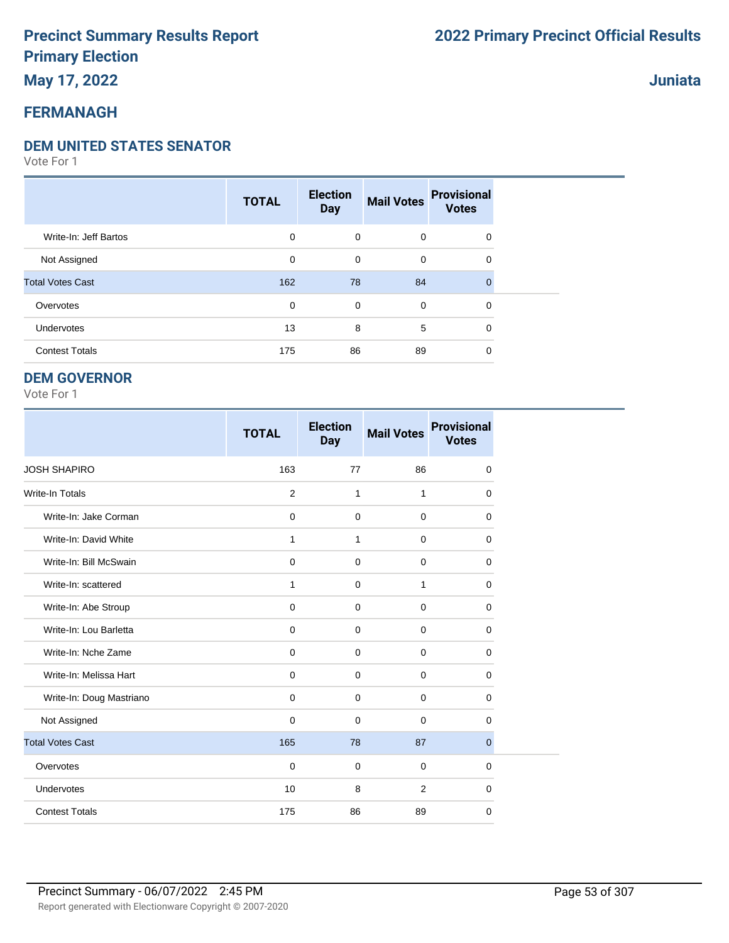### **May 17, 2022**

### **FERMANAGH**

#### **DEM UNITED STATES SENATOR**

Vote For 1

|                         | <b>TOTAL</b> | <b>Election</b><br><b>Day</b> | <b>Mail Votes</b> | <b>Provisional</b><br><b>Votes</b> |  |
|-------------------------|--------------|-------------------------------|-------------------|------------------------------------|--|
| Write-In: Jeff Bartos   | 0            | $\mathbf 0$                   | $\mathbf 0$       | $\mathbf 0$                        |  |
| Not Assigned            | 0            | 0                             | 0                 | $\mathbf 0$                        |  |
| <b>Total Votes Cast</b> | 162          | 78                            | 84                | $\Omega$                           |  |
| Overvotes               | 0            | $\mathbf 0$                   | 0                 | $\mathbf 0$                        |  |
| <b>Undervotes</b>       | 13           | 8                             | 5                 | $\Omega$                           |  |
| <b>Contest Totals</b>   | 175          | 86                            | 89                | 0                                  |  |

#### **DEM GOVERNOR**

Vote For 1

|                          | <b>TOTAL</b> | <b>Election</b><br><b>Day</b> | <b>Mail Votes</b> | <b>Provisional</b><br><b>Votes</b> |
|--------------------------|--------------|-------------------------------|-------------------|------------------------------------|
| <b>JOSH SHAPIRO</b>      | 163          | 77                            | 86                | $\mathbf 0$                        |
| <b>Write-In Totals</b>   | 2            | 1                             | $\mathbf{1}$      | $\mathbf 0$                        |
| Write-In: Jake Corman    | $\mathbf 0$  | $\mathbf 0$                   | $\mathbf 0$       | $\mathbf 0$                        |
| Write-In: David White    | $\mathbf{1}$ | $\mathbf{1}$                  | $\mathbf 0$       | $\Omega$                           |
| Write-In: Bill McSwain   | $\mathbf 0$  | $\mathbf 0$                   | $\mathbf 0$       | 0                                  |
| Write-In: scattered      | $\mathbf{1}$ | $\Omega$                      | 1                 | $\Omega$                           |
| Write-In: Abe Stroup     | $\mathbf 0$  | $\mathbf 0$                   | $\mathbf 0$       | $\mathbf 0$                        |
| Write-In: Lou Barletta   | $\mathbf 0$  | $\mathbf 0$                   | $\mathbf 0$       | $\mathbf 0$                        |
| Write-In: Nche Zame      | 0            | $\mathbf 0$                   | $\mathbf 0$       | 0                                  |
| Write-In: Melissa Hart   | $\mathbf 0$  | $\mathbf 0$                   | $\mathbf 0$       | 0                                  |
| Write-In: Doug Mastriano | $\mathbf 0$  | $\mathbf 0$                   | $\mathbf 0$       | $\mathbf 0$                        |
| Not Assigned             | $\mathbf 0$  | $\mathbf 0$                   | $\mathbf 0$       | $\mathbf 0$                        |
| <b>Total Votes Cast</b>  | 165          | 78                            | 87                | $\overline{0}$                     |
| Overvotes                | $\mathbf 0$  | $\mathbf 0$                   | $\mathbf 0$       | $\mathbf 0$                        |
| Undervotes               | 10           | 8                             | 2                 | 0                                  |
| <b>Contest Totals</b>    | 175          | 86                            | 89                | 0                                  |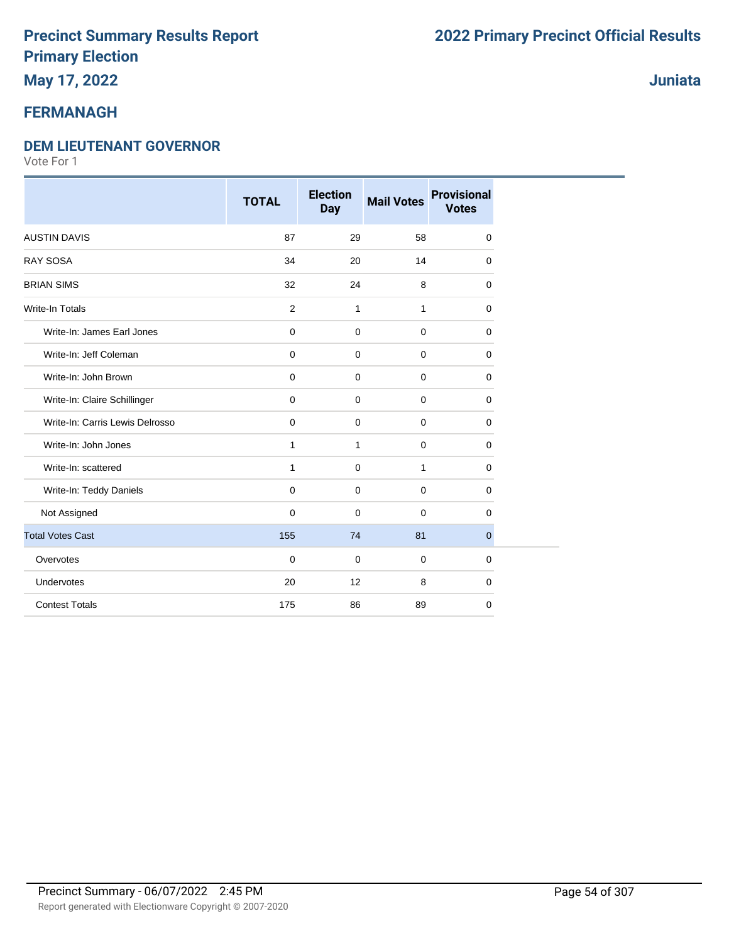### **May 17, 2022**

#### **FERMANAGH**

#### **DEM LIEUTENANT GOVERNOR**

|                                 | <b>TOTAL</b> | <b>Election</b><br><b>Day</b> | <b>Mail Votes</b> | <b>Provisional</b><br><b>Votes</b> |
|---------------------------------|--------------|-------------------------------|-------------------|------------------------------------|
| <b>AUSTIN DAVIS</b>             | 87           | 29                            | 58                | 0                                  |
| <b>RAY SOSA</b>                 | 34           | 20                            | 14                | 0                                  |
| <b>BRIAN SIMS</b>               | 32           | 24                            | 8                 | 0                                  |
| <b>Write-In Totals</b>          | 2            | $\mathbf{1}$                  | $\mathbf{1}$      | 0                                  |
| Write-In: James Earl Jones      | $\pmb{0}$    | $\pmb{0}$                     | $\mathbf 0$       | 0                                  |
| Write-In: Jeff Coleman          | $\mathbf 0$  | $\mathbf 0$                   | $\mathbf 0$       | 0                                  |
| Write-In: John Brown            | $\mathbf 0$  | $\mathbf 0$                   | $\mathbf 0$       | 0                                  |
| Write-In: Claire Schillinger    | $\mathbf 0$  | $\mathbf 0$                   | $\mathbf 0$       | 0                                  |
| Write-In: Carris Lewis Delrosso | $\mathbf 0$  | 0                             | $\mathbf 0$       | 0                                  |
| Write-In: John Jones            | $\mathbf{1}$ | $\mathbf{1}$                  | $\mathbf 0$       | 0                                  |
| Write-In: scattered             | 1            | $\mathbf 0$                   | 1                 | 0                                  |
| Write-In: Teddy Daniels         | $\mathbf 0$  | $\mathbf 0$                   | $\mathbf 0$       | 0                                  |
| Not Assigned                    | $\mathbf 0$  | 0                             | $\mathbf 0$       | 0                                  |
| <b>Total Votes Cast</b>         | 155          | 74                            | 81                | $\overline{0}$                     |
| Overvotes                       | $\Omega$     | 0                             | $\overline{0}$    | 0                                  |
| Undervotes                      | 20           | 12                            | 8                 | 0                                  |
| <b>Contest Totals</b>           | 175          | 86                            | 89                | 0                                  |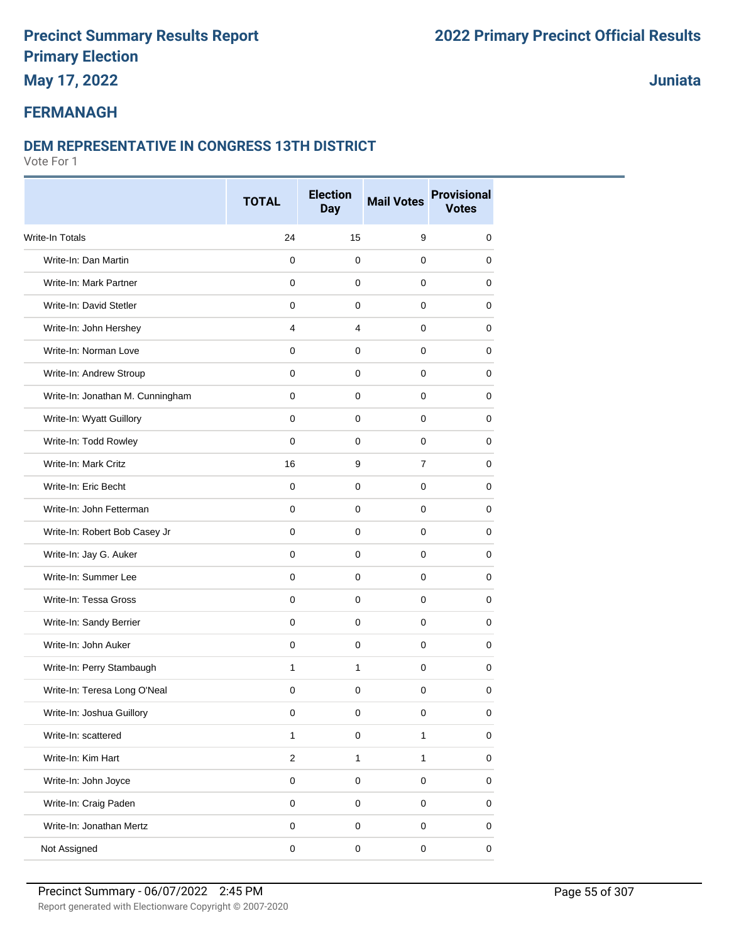**May 17, 2022**

### **Juniata**

### **FERMANAGH**

#### **DEM REPRESENTATIVE IN CONGRESS 13TH DISTRICT**

|                                  | <b>TOTAL</b>        | <b>Election</b><br><b>Day</b> | <b>Mail Votes</b> | <b>Provisional</b><br><b>Votes</b> |
|----------------------------------|---------------------|-------------------------------|-------------------|------------------------------------|
| <b>Write-In Totals</b>           | 24                  | 15                            | 9                 | 0                                  |
| Write-In: Dan Martin             | 0                   | $\mathbf 0$                   | 0                 | 0                                  |
| Write-In: Mark Partner           | 0                   | $\mathbf 0$                   | 0                 | 0                                  |
| Write-In: David Stetler          | 0                   | 0                             | 0                 | 0                                  |
| Write-In: John Hershey           | 4                   | 4                             | 0                 | 0                                  |
| Write-In: Norman Love            | 0                   | 0                             | 0                 | 0                                  |
| Write-In: Andrew Stroup          | 0                   | 0                             | 0                 | 0                                  |
| Write-In: Jonathan M. Cunningham | 0                   | $\mathbf 0$                   | 0                 | 0                                  |
| Write-In: Wyatt Guillory         | $\mathbf 0$         | $\mathbf 0$                   | $\mathbf 0$       | 0                                  |
| Write-In: Todd Rowley            | 0                   | 0                             | 0                 | 0                                  |
| Write-In: Mark Critz             | 16                  | 9                             | $\overline{7}$    | 0                                  |
| Write-In: Eric Becht             | $\mathbf 0$         | $\mathbf 0$                   | 0                 | 0                                  |
| Write-In: John Fetterman         | 0                   | 0                             | 0                 | 0                                  |
| Write-In: Robert Bob Casey Jr    | 0                   | 0                             | 0                 | 0                                  |
| Write-In: Jay G. Auker           | 0                   | $\mathbf 0$                   | 0                 | 0                                  |
| Write-In: Summer Lee             | 0                   | $\mathbf 0$                   | 0                 | 0                                  |
| Write-In: Tessa Gross            | 0                   | 0                             | 0                 | 0                                  |
| Write-In: Sandy Berrier          | 0                   | $\mathbf 0$                   | 0                 | 0                                  |
| Write-In: John Auker             | 0                   | $\mathbf 0$                   | 0                 | 0                                  |
| Write-In: Perry Stambaugh        | $\mathbf{1}$        | $\mathbf{1}$                  | 0                 | 0                                  |
| Write-In: Teresa Long O'Neal     | 0                   | $\mathbf 0$                   | 0                 | 0                                  |
| Write-In: Joshua Guillory        | 0                   | 0                             | 0                 | 0                                  |
| Write-In: scattered              | $\mathbf{1}$        | $\pmb{0}$                     | $\mathbf{1}$      | 0                                  |
| Write-In: Kim Hart               | $\overline{2}$      | $\mathbf{1}$                  | $\mathbf{1}$      | $\mathbf 0$                        |
| Write-In: John Joyce             | $\mathsf{O}\xspace$ | 0                             | $\mathsf 0$       | 0                                  |
| Write-In: Craig Paden            | 0                   | $\mathsf 0$                   | $\pmb{0}$         | 0                                  |
| Write-In: Jonathan Mertz         | $\mathbf 0$         | $\mathbf 0$                   | $\mathbf 0$       | 0                                  |
| Not Assigned                     | 0                   | 0                             | $\pmb{0}$         | 0                                  |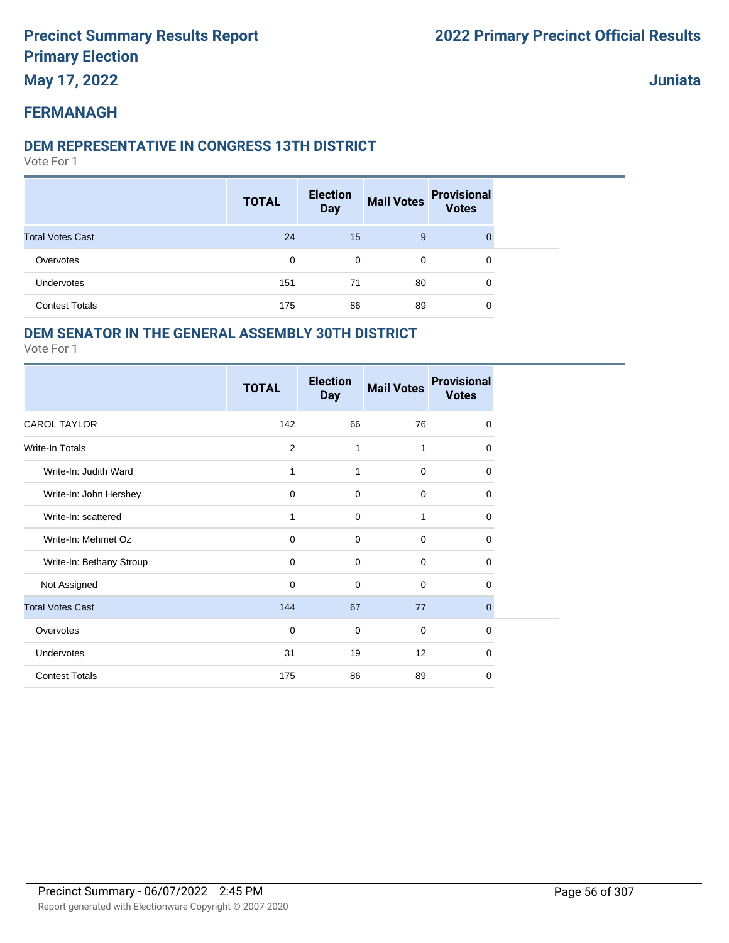**May 17, 2022**

**Juniata**

#### **FERMANAGH**

#### **DEM REPRESENTATIVE IN CONGRESS 13TH DISTRICT**

Vote For 1

|                         | <b>TOTAL</b> | <b>Election</b><br><b>Day</b> | <b>Mail Votes</b> | <b>Provisional</b><br><b>Votes</b> |  |
|-------------------------|--------------|-------------------------------|-------------------|------------------------------------|--|
| <b>Total Votes Cast</b> | 24           | 15                            | 9                 | 0                                  |  |
| Overvotes               | 0            | 0                             | 0                 | 0                                  |  |
| Undervotes              | 151          | 71                            | 80                | 0                                  |  |
| <b>Contest Totals</b>   | 175          | 86                            | 89                | 0                                  |  |

#### **DEM SENATOR IN THE GENERAL ASSEMBLY 30TH DISTRICT**

|                          | <b>TOTAL</b> | <b>Election</b><br><b>Day</b> | <b>Mail Votes</b> | <b>Provisional</b><br><b>Votes</b> |
|--------------------------|--------------|-------------------------------|-------------------|------------------------------------|
| <b>CAROL TAYLOR</b>      | 142          | 66                            | 76                | 0                                  |
| <b>Write-In Totals</b>   | 2            | 1                             | 1                 | $\Omega$                           |
| Write-In: Judith Ward    | 1            | 1                             | $\mathbf 0$       | 0                                  |
| Write-In: John Hershey   | $\mathbf 0$  | $\mathbf 0$                   | $\mathbf 0$       | 0                                  |
| Write-In: scattered      | 1            | $\mathbf 0$                   | 1                 | 0                                  |
| Write-In: Mehmet Oz      | $\mathbf 0$  | $\mathbf 0$                   | $\mathbf 0$       | $\Omega$                           |
| Write-In: Bethany Stroup | $\mathbf 0$  | $\mathbf 0$                   | $\mathbf 0$       | 0                                  |
| Not Assigned             | $\mathbf 0$  | $\mathbf 0$                   | $\mathbf 0$       | $\Omega$                           |
| <b>Total Votes Cast</b>  | 144          | 67                            | 77                | $\mathbf{0}$                       |
| Overvotes                | $\mathbf 0$  | $\mathbf 0$                   | $\mathbf 0$       | $\Omega$                           |
| Undervotes               | 31           | 19                            | 12                | $\Omega$                           |
| <b>Contest Totals</b>    | 175          | 86                            | 89                | $\mathbf 0$                        |
|                          |              |                               |                   |                                    |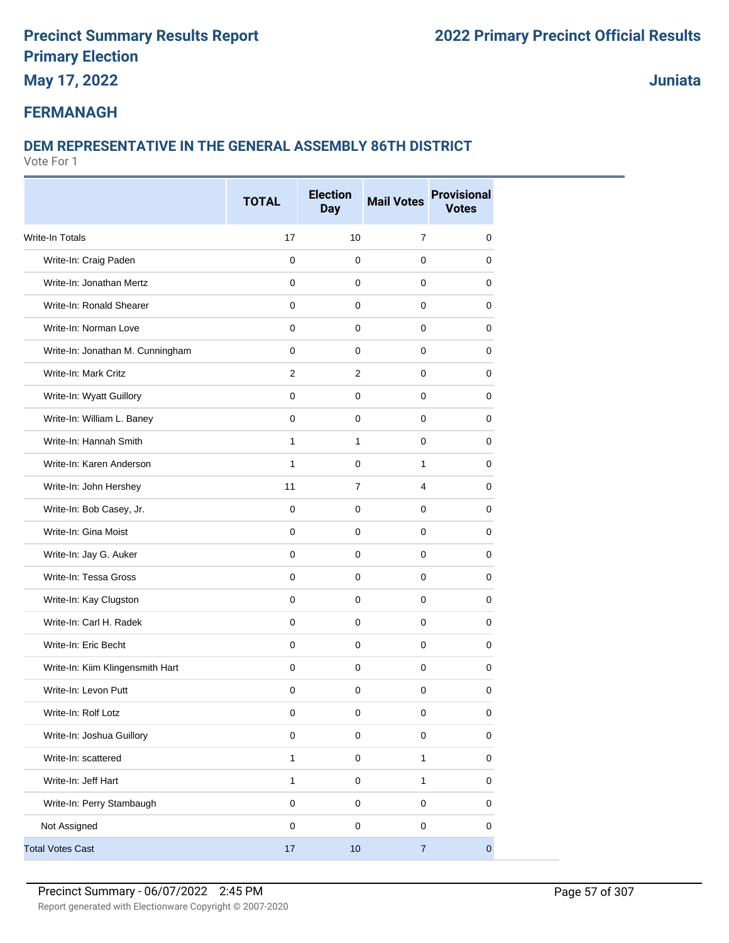**May 17, 2022**

**Juniata**

#### **FERMANAGH**

#### **DEM REPRESENTATIVE IN THE GENERAL ASSEMBLY 86TH DISTRICT**

|                                  | <b>TOTAL</b> | <b>Election</b><br><b>Day</b> | <b>Mail Votes</b> | <b>Provisional</b><br><b>Votes</b> |
|----------------------------------|--------------|-------------------------------|-------------------|------------------------------------|
| <b>Write-In Totals</b>           | 17           | 10                            | $\overline{7}$    | $\mathbf 0$                        |
| Write-In: Craig Paden            | $\mathbf 0$  | $\mathbf 0$                   | 0                 | 0                                  |
| Write-In: Jonathan Mertz         | 0            | 0                             | 0                 | 0                                  |
| Write-In: Ronald Shearer         | $\mathbf 0$  | $\mathbf 0$                   | $\mathbf 0$       | 0                                  |
| Write-In: Norman Love            | 0            | $\mathbf 0$                   | 0                 | 0                                  |
| Write-In: Jonathan M. Cunningham | 0            | $\pmb{0}$                     | 0                 | 0                                  |
| Write-In: Mark Critz             | 2            | $\mathbf{2}$                  | 0                 | 0                                  |
| Write-In: Wyatt Guillory         | 0            | 0                             | 0                 | 0                                  |
| Write-In: William L. Baney       | 0            | $\mathbf 0$                   | 0                 | 0                                  |
| Write-In: Hannah Smith           | $\mathbf{1}$ | $\mathbf{1}$                  | 0                 | 0                                  |
| Write-In: Karen Anderson         | $\mathbf{1}$ | $\mathbf 0$                   | $\mathbf{1}$      | 0                                  |
| Write-In: John Hershey           | 11           | $\overline{7}$                | 4                 | 0                                  |
| Write-In: Bob Casey, Jr.         | $\mathbf 0$  | $\mathbf 0$                   | 0                 | 0                                  |
| Write-In: Gina Moist             | $\mathbf 0$  | $\mathbf 0$                   | $\mathbf 0$       | 0                                  |
| Write-In: Jay G. Auker           | 0            | 0                             | 0                 | 0                                  |
| Write-In: Tessa Gross            | $\mathbf 0$  | $\mathbf 0$                   | $\mathbf 0$       | 0                                  |
| Write-In: Kay Clugston           | $\mathbf 0$  | $\mathbf 0$                   | 0                 | 0                                  |
| Write-In: Carl H. Radek          | 0            | $\mathbf 0$                   | 0                 | 0                                  |
| Write-In: Eric Becht             | $\mathbf 0$  | $\pmb{0}$                     | $\mathbf 0$       | $\mathbf 0$                        |
| Write-In: Kiim Klingensmith Hart | 0            | 0                             | $\mathbf 0$       | 0                                  |
| Write-In: Levon Putt             | 0            | 0                             | $\mathbf 0$       | 0                                  |
| Write-In: Rolf Lotz              | $\pmb{0}$    | $\pmb{0}$                     | $\pmb{0}$         | $\pmb{0}$                          |
| Write-In: Joshua Guillory        | $\pmb{0}$    | $\mathsf 0$                   | $\pmb{0}$         | 0                                  |
| Write-In: scattered              | $\mathbf{1}$ | $\pmb{0}$                     | $\mathbf{1}$      | 0                                  |
| Write-In: Jeff Hart              | $\mathbf{1}$ | $\mathsf 0$                   | 1                 | $\mathbf 0$                        |
| Write-In: Perry Stambaugh        | 0            | $\pmb{0}$                     | $\mathbf 0$       | 0                                  |
| Not Assigned                     | $\pmb{0}$    | $\pmb{0}$                     | $\mathbf 0$       | 0                                  |
| <b>Total Votes Cast</b>          | 17           | $10$                          | $\overline{7}$    | $\pmb{0}$                          |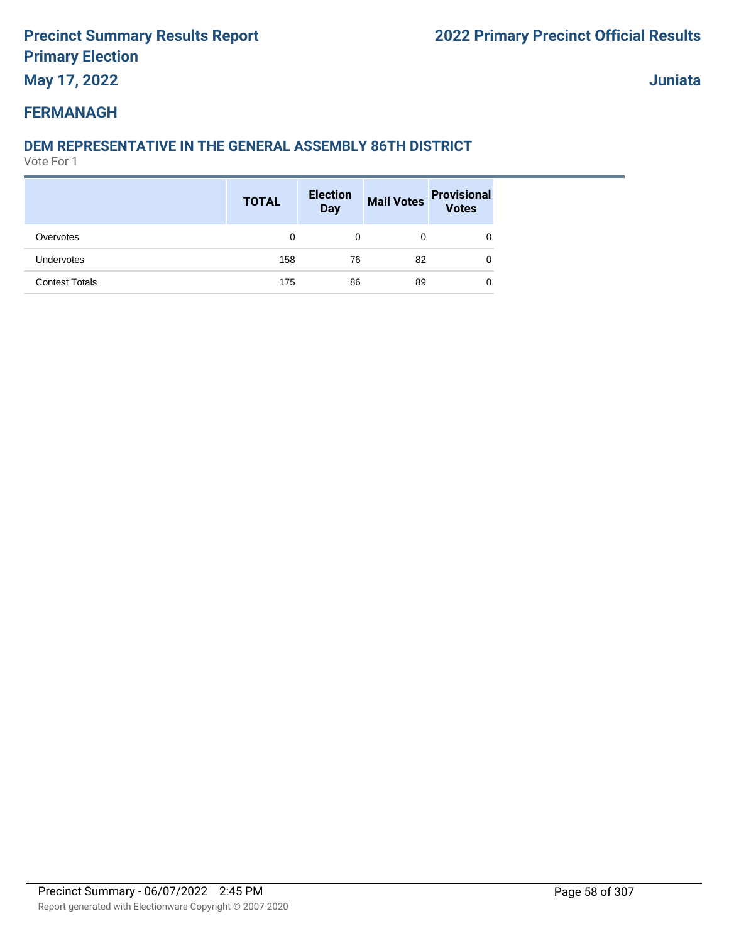**May 17, 2022**

**Juniata**

#### **FERMANAGH**

#### **DEM REPRESENTATIVE IN THE GENERAL ASSEMBLY 86TH DISTRICT**

|                       | <b>TOTAL</b> | <b>Election</b><br><b>Day</b> | <b>Mail Votes</b> | <b>Provisional</b><br><b>Votes</b> |
|-----------------------|--------------|-------------------------------|-------------------|------------------------------------|
| Overvotes             | 0            | 0                             | 0                 | 0                                  |
| <b>Undervotes</b>     | 158          | 76                            | 82                | 0                                  |
| <b>Contest Totals</b> | 175          | 86                            | 89                | 0                                  |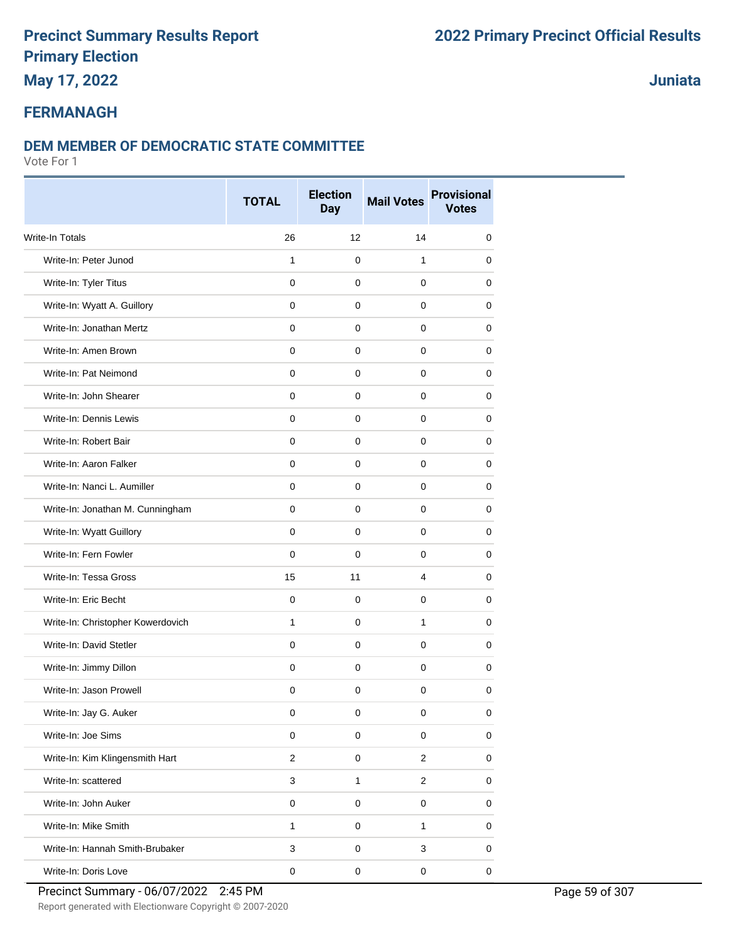### **May 17, 2022**

#### **Juniata**

#### **FERMANAGH**

#### **DEM MEMBER OF DEMOCRATIC STATE COMMITTEE**

|                                   | <b>TOTAL</b>   | <b>Election</b><br><b>Day</b> | <b>Mail Votes</b>       | <b>Provisional</b><br><b>Votes</b> |
|-----------------------------------|----------------|-------------------------------|-------------------------|------------------------------------|
| <b>Write-In Totals</b>            | 26             | 12                            | 14                      | 0                                  |
| Write-In: Peter Junod             | $\mathbf{1}$   | $\mathbf 0$                   | 1                       | 0                                  |
| Write-In: Tyler Titus             | $\mathbf 0$    | $\mathbf 0$                   | 0                       | 0                                  |
| Write-In: Wyatt A. Guillory       | $\mathbf 0$    | 0                             | 0                       | 0                                  |
| Write-In: Jonathan Mertz          | $\mathbf 0$    | 0                             | 0                       | 0                                  |
| Write-In: Amen Brown              | $\mathbf 0$    | $\mathbf 0$                   | 0                       | 0                                  |
| Write-In: Pat Neimond             | $\mathbf 0$    | $\mathbf 0$                   | 0                       | 0                                  |
| Write-In: John Shearer            | $\mathbf 0$    | $\mathbf 0$                   | 0                       | 0                                  |
| Write-In: Dennis Lewis            | $\mathbf 0$    | $\mathbf 0$                   | 0                       | 0                                  |
| Write-In: Robert Bair             | 0              | 0                             | 0                       | 0                                  |
| Write-In: Aaron Falker            | $\mathbf 0$    | $\mathbf 0$                   | 0                       | 0                                  |
| Write-In: Nanci L. Aumiller       | $\mathbf 0$    | $\mathbf 0$                   | 0                       | 0                                  |
| Write-In: Jonathan M. Cunningham  | $\mathbf 0$    | $\mathbf 0$                   | 0                       | 0                                  |
| Write-In: Wyatt Guillory          | $\mathbf 0$    | $\mathbf 0$                   | 0                       | 0                                  |
| Write-In: Fern Fowler             | $\mathbf 0$    | $\mathbf 0$                   | 0                       | 0                                  |
| Write-In: Tessa Gross             | 15             | 11                            | 4                       | 0                                  |
| Write-In: Eric Becht              | $\mathbf 0$    | $\mathbf 0$                   | 0                       | 0                                  |
| Write-In: Christopher Kowerdovich | 1              | $\mathbf 0$                   | 1                       | 0                                  |
| Write-In: David Stetler           | $\mathbf 0$    | $\mathbf 0$                   | 0                       | 0                                  |
| Write-In: Jimmy Dillon            | $\mathbf 0$    | $\mathbf 0$                   | 0                       | 0                                  |
| Write-In: Jason Prowell           | $\mathbf 0$    | $\mathbf 0$                   | $\mathbf 0$             | 0                                  |
| Write-In: Jay G. Auker            | 0              | 0                             | 0                       | 0                                  |
| Write-In: Joe Sims                | $\pmb{0}$      | $\mathbf 0$                   | 0                       | 0                                  |
| Write-In: Kim Klingensmith Hart   | $\overline{2}$ | 0                             | $\overline{\mathbf{c}}$ | $\pmb{0}$                          |
| Write-In: scattered               | $\mathbf{3}$   | $\mathbf{1}$                  | $\overline{c}$          | 0                                  |
| Write-In: John Auker              | $\pmb{0}$      | $\pmb{0}$                     | 0                       | 0                                  |
| Write-In: Mike Smith              | $\mathbf{1}$   | $\mathsf 0$                   | 1                       | 0                                  |
| Write-In: Hannah Smith-Brubaker   | 3              | $\pmb{0}$                     | 3                       | 0                                  |
| Write-In: Doris Love              | $\pmb{0}$      | $\pmb{0}$                     | $\pmb{0}$               | $\pmb{0}$                          |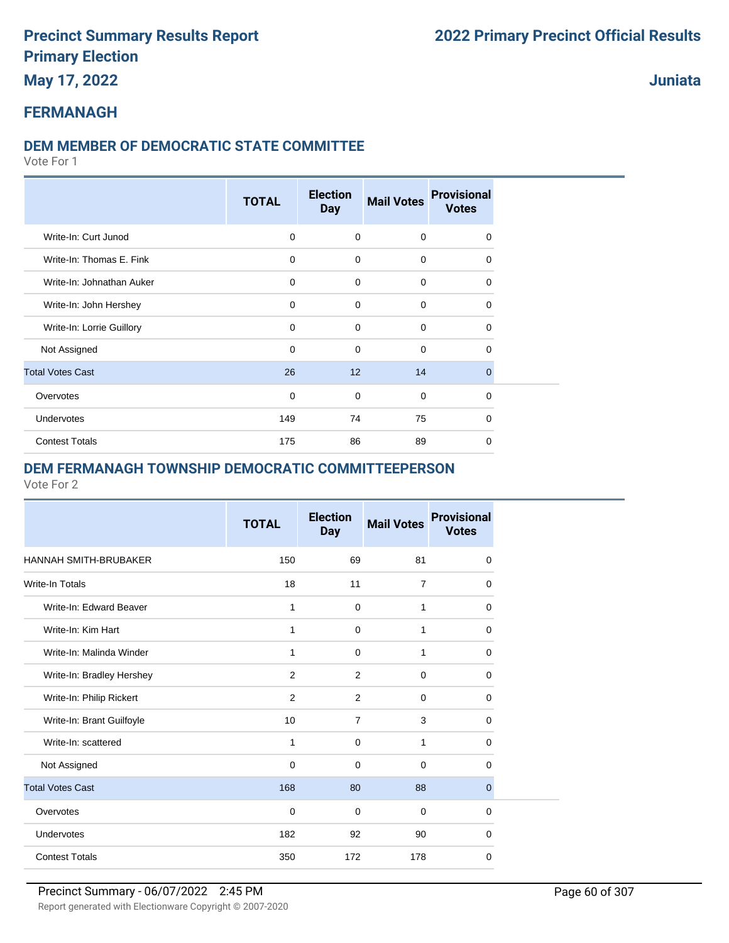**May 17, 2022**

**Juniata**

#### **FERMANAGH**

#### **DEM MEMBER OF DEMOCRATIC STATE COMMITTEE**

Vote For 1

|                           | <b>TOTAL</b> | <b>Election</b><br><b>Day</b> | <b>Mail Votes</b> | <b>Provisional</b><br><b>Votes</b> |
|---------------------------|--------------|-------------------------------|-------------------|------------------------------------|
| Write-In: Curt Junod      | $\mathbf 0$  | $\mathbf 0$                   | $\mathbf 0$       | 0                                  |
| Write-In: Thomas E. Fink  | $\mathbf 0$  | $\mathbf 0$                   | $\mathbf 0$       | $\Omega$                           |
| Write-In: Johnathan Auker | $\mathbf 0$  | $\mathbf 0$                   | $\mathbf 0$       | $\Omega$                           |
| Write-In: John Hershey    | 0            | $\mathbf 0$                   | 0                 | $\Omega$                           |
| Write-In: Lorrie Guillory | $\mathbf 0$  | 0                             | 0                 | 0                                  |
| Not Assigned              | $\mathbf 0$  | 0                             | 0                 | 0                                  |
| <b>Total Votes Cast</b>   | 26           | 12                            | 14                | $\Omega$                           |
| Overvotes                 | $\mathbf 0$  | 0                             | $\mathbf 0$       | $\Omega$                           |
| Undervotes                | 149          | 74                            | 75                | $\Omega$                           |
| <b>Contest Totals</b>     | 175          | 86                            | 89                | $\mathbf 0$                        |

#### **DEM FERMANAGH TOWNSHIP DEMOCRATIC COMMITTEEPERSON**

|                           | <b>TOTAL</b>   | <b>Election</b><br><b>Day</b> | <b>Mail Votes</b> | <b>Provisional</b><br><b>Votes</b> |
|---------------------------|----------------|-------------------------------|-------------------|------------------------------------|
| HANNAH SMITH-BRUBAKER     | 150            | 69                            | 81                | 0                                  |
| Write-In Totals           | 18             | 11                            | $\overline{7}$    | 0                                  |
| Write-In: Edward Beaver   | 1              | 0                             | 1                 | 0                                  |
| Write-In: Kim Hart        | $\mathbf{1}$   | $\Omega$                      | 1                 | $\Omega$                           |
| Write-In: Malinda Winder  | 1              | $\mathbf 0$                   | $\mathbf{1}$      | 0                                  |
| Write-In: Bradley Hershey | 2              | 2                             | $\mathbf 0$       | $\Omega$                           |
| Write-In: Philip Rickert  | $\overline{2}$ | 2                             | $\mathbf 0$       | 0                                  |
| Write-In: Brant Guilfoyle | 10             | $\overline{7}$                | 3                 | 0                                  |
| Write-In: scattered       | 1              | $\Omega$                      | 1                 | 0                                  |
| Not Assigned              | $\mathbf 0$    | $\Omega$                      | $\Omega$          | $\Omega$                           |
| <b>Total Votes Cast</b>   | 168            | 80                            | 88                | $\mathbf{0}$                       |
| Overvotes                 | $\Omega$       | $\Omega$                      | $\Omega$          | $\Omega$                           |
| Undervotes                | 182            | 92                            | 90                | 0                                  |
| <b>Contest Totals</b>     | 350            | 172                           | 178               | 0                                  |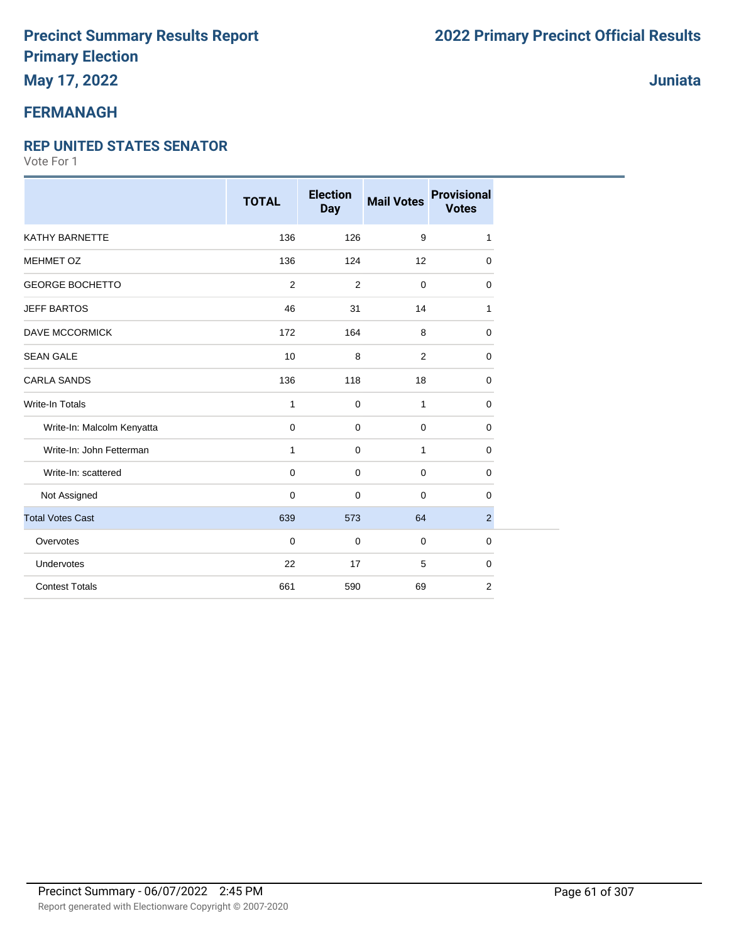### **May 17, 2022**

#### **FERMANAGH**

#### **REP UNITED STATES SENATOR**

|                            | <b>TOTAL</b> | <b>Election</b><br><b>Day</b> | <b>Mail Votes</b> | <b>Provisional</b><br><b>Votes</b> |
|----------------------------|--------------|-------------------------------|-------------------|------------------------------------|
| <b>KATHY BARNETTE</b>      | 136          | 126                           | 9                 | 1                                  |
| MEHMET OZ                  | 136          | 124                           | 12                | 0                                  |
| <b>GEORGE BOCHETTO</b>     | 2            | $\overline{2}$                | $\mathbf 0$       | 0                                  |
| <b>JEFF BARTOS</b>         | 46           | 31                            | 14                | 1                                  |
| <b>DAVE MCCORMICK</b>      | 172          | 164                           | 8                 | 0                                  |
| <b>SEAN GALE</b>           | 10           | 8                             | 2                 | 0                                  |
| <b>CARLA SANDS</b>         | 136          | 118                           | 18                | 0                                  |
| Write-In Totals            | $\mathbf{1}$ | 0                             | $\mathbf{1}$      | 0                                  |
| Write-In: Malcolm Kenyatta | $\mathbf 0$  | 0                             | $\mathbf 0$       | 0                                  |
| Write-In: John Fetterman   | $\mathbf{1}$ | 0                             | $\mathbf{1}$      | 0                                  |
| Write-In: scattered        | $\mathbf 0$  | 0                             | $\mathbf 0$       | 0                                  |
| Not Assigned               | $\mathbf 0$  | 0                             | $\mathbf 0$       | 0                                  |
| <b>Total Votes Cast</b>    | 639          | 573                           | 64                | $\overline{2}$                     |
| Overvotes                  | $\mathbf 0$  | 0                             | $\mathbf 0$       | 0                                  |
| Undervotes                 | 22           | 17                            | 5                 | 0                                  |
| <b>Contest Totals</b>      | 661          | 590                           | 69                | 2                                  |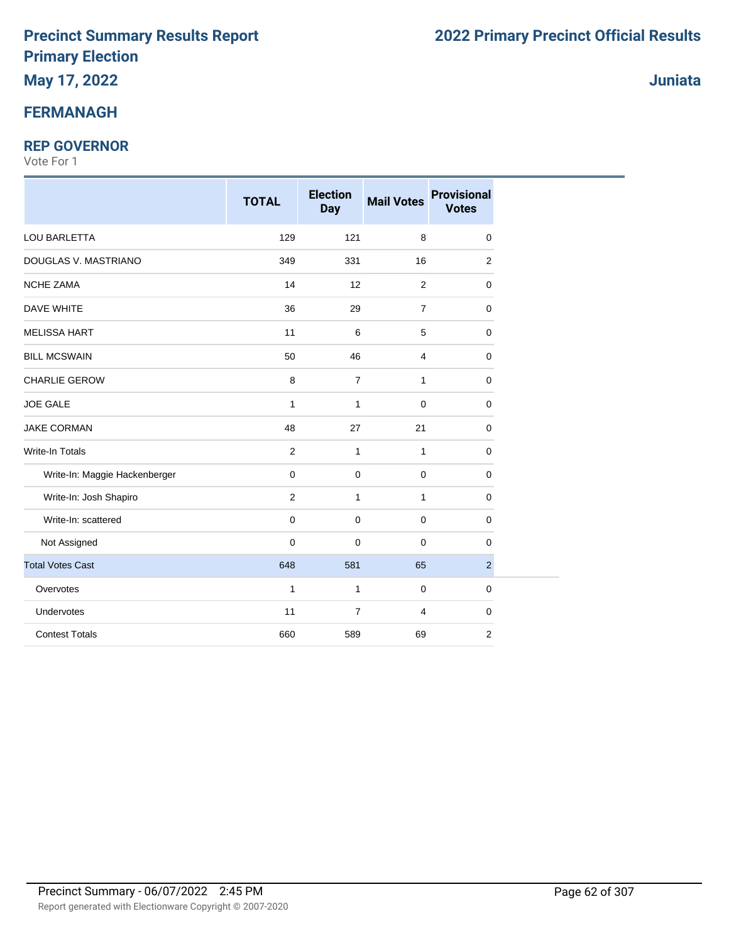### **May 17, 2022**

#### **FERMANAGH**

#### **REP GOVERNOR**

Vote For 1

|                               | <b>TOTAL</b>   | <b>Election</b><br><b>Day</b> | <b>Mail Votes</b> | <b>Provisional</b><br><b>Votes</b> |  |
|-------------------------------|----------------|-------------------------------|-------------------|------------------------------------|--|
| LOU BARLETTA                  | 129            | 121                           | 8                 | 0                                  |  |
| DOUGLAS V. MASTRIANO          | 349            | 331                           | 16                | 2                                  |  |
| NCHE ZAMA                     | 14             | 12                            | 2                 | 0                                  |  |
| <b>DAVE WHITE</b>             | 36             | 29                            | $\overline{7}$    | 0                                  |  |
| <b>MELISSA HART</b>           | 11             | 6                             | 5                 | $\mathbf 0$                        |  |
| <b>BILL MCSWAIN</b>           | 50             | 46                            | 4                 | $\mathbf 0$                        |  |
| <b>CHARLIE GEROW</b>          | 8              | $\overline{7}$                | 1                 | $\mathbf 0$                        |  |
| JOE GALE                      | $\mathbf{1}$   | $\mathbf{1}$                  | 0                 | 0                                  |  |
| <b>JAKE CORMAN</b>            | 48             | 27                            | 21                | $\mathbf 0$                        |  |
| <b>Write-In Totals</b>        | $\overline{2}$ | $\mathbf{1}$                  | 1                 | $\mathbf 0$                        |  |
| Write-In: Maggie Hackenberger | $\mathbf 0$    | $\mathbf 0$                   | 0                 | $\mathbf 0$                        |  |
| Write-In: Josh Shapiro        | $\overline{2}$ | $\mathbf{1}$                  | 1                 | 0                                  |  |
| Write-In: scattered           | $\mathbf 0$    | $\mathbf 0$                   | 0                 | $\mathbf 0$                        |  |
| Not Assigned                  | $\mathbf 0$    | $\mathbf 0$                   | 0                 | 0                                  |  |
| <b>Total Votes Cast</b>       | 648            | 581                           | 65                | $\overline{2}$                     |  |
| Overvotes                     | $\mathbf{1}$   | $\mathbf{1}$                  | $\pmb{0}$         | $\mathbf 0$                        |  |
| Undervotes                    | 11             | $\overline{7}$                | 4                 | $\mathbf 0$                        |  |
| <b>Contest Totals</b>         | 660            | 589                           | 69                | $\overline{2}$                     |  |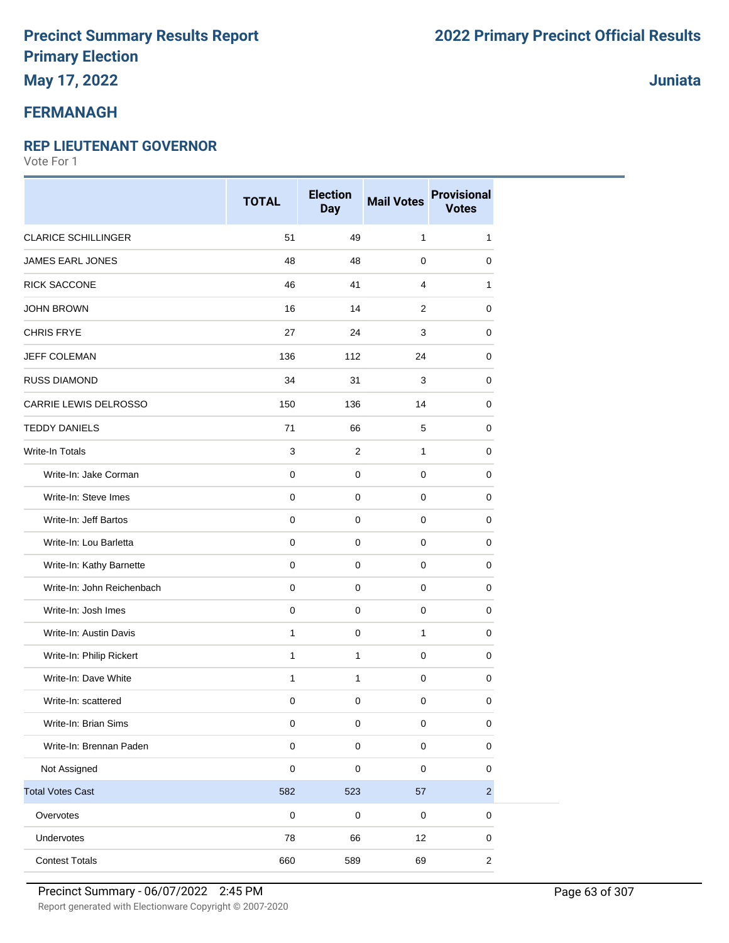### **May 17, 2022**

#### **FERMANAGH**

#### **REP LIEUTENANT GOVERNOR**

Vote For 1

|                            | <b>TOTAL</b> | <b>Election</b><br><b>Day</b> | <b>Mail Votes</b> | <b>Provisional</b><br><b>Votes</b> |
|----------------------------|--------------|-------------------------------|-------------------|------------------------------------|
| <b>CLARICE SCHILLINGER</b> | 51           | 49                            | $\mathbf{1}$      | 1                                  |
| <b>JAMES EARL JONES</b>    | 48           | 48                            | $\mathbf 0$       | 0                                  |
| RICK SACCONE               | 46           | 41                            | $\overline{4}$    | 1                                  |
| <b>JOHN BROWN</b>          | 16           | 14                            | 2                 | 0                                  |
| <b>CHRIS FRYE</b>          | 27           | 24                            | 3                 | 0                                  |
| JEFF COLEMAN               | 136          | 112                           | 24                | 0                                  |
| <b>RUSS DIAMOND</b>        | 34           | 31                            | 3                 | 0                                  |
| CARRIE LEWIS DELROSSO      | 150          | 136                           | 14                | 0                                  |
| <b>TEDDY DANIELS</b>       | 71           | 66                            | 5                 | 0                                  |
| <b>Write-In Totals</b>     | 3            | $\overline{2}$                | $\mathbf{1}$      | 0                                  |
| Write-In: Jake Corman      | $\pmb{0}$    | $\pmb{0}$                     | $\mathbf 0$       | $\mathbf 0$                        |
| Write-In: Steve Imes       | $\pmb{0}$    | $\mathbf 0$                   | $\mathbf 0$       | 0                                  |
| Write-In: Jeff Bartos      | $\mathbf 0$  | $\mathbf 0$                   | $\mathbf 0$       | $\mathbf 0$                        |
| Write-In: Lou Barletta     | $\pmb{0}$    | $\mathsf{O}\xspace$           | $\mathbf 0$       | 0                                  |
| Write-In: Kathy Barnette   | $\pmb{0}$    | $\mathbf 0$                   | $\mathbf 0$       | 0                                  |
| Write-In: John Reichenbach | $\pmb{0}$    | $\mathbf 0$                   | 0                 | 0                                  |
| Write-In: Josh Imes        | $\mathbf 0$  | $\mathbf 0$                   | $\mathbf 0$       | 0                                  |
| Write-In: Austin Davis     | 1            | $\pmb{0}$                     | $\mathbf{1}$      | 0                                  |
| Write-In: Philip Rickert   | 1            | $\mathbf{1}$                  | $\mathbf 0$       | 0                                  |
| Write-In: Dave White       | $\mathbf{1}$ | $\mathbf{1}$                  | $\mathbf 0$       | $\pmb{0}$                          |
| Write-In: scattered        | 0            | 0                             | $\mathbf 0$       | 0                                  |
| Write-In: Brian Sims       | $\pmb{0}$    | 0                             | $\pmb{0}$         | $\mathbf 0$                        |
| Write-In: Brennan Paden    | $\pmb{0}$    | $\mathsf 0$                   | $\pmb{0}$         | $\pmb{0}$                          |
| Not Assigned               | $\pmb{0}$    | 0                             | $\pmb{0}$         | $\pmb{0}$                          |
| <b>Total Votes Cast</b>    | 582          | 523                           | 57                | $\sqrt{2}$                         |
| Overvotes                  | $\pmb{0}$    | $\pmb{0}$                     | $\pmb{0}$         | 0                                  |
| Undervotes                 | 78           | 66                            | 12                | $\mathbf 0$                        |
| <b>Contest Totals</b>      | 660          | 589                           | 69                | $\sqrt{2}$                         |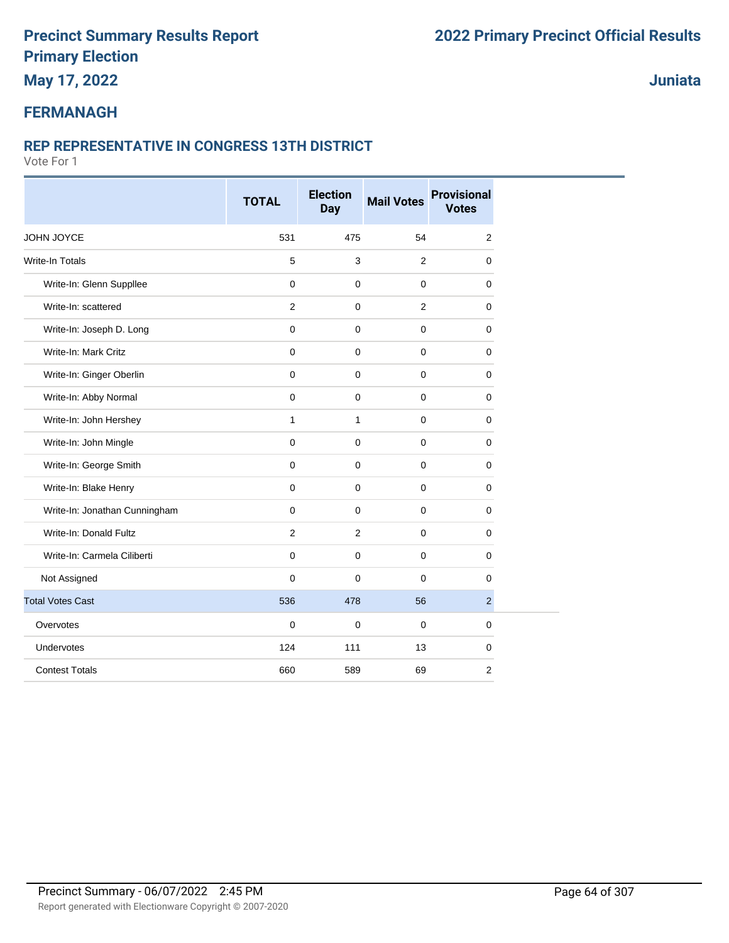**May 17, 2022**

**Juniata**

#### **FERMANAGH**

#### **REP REPRESENTATIVE IN CONGRESS 13TH DISTRICT**

|                               | <b>TOTAL</b>   | <b>Election</b><br><b>Day</b> | <b>Mail Votes</b> | <b>Provisional</b><br><b>Votes</b> |
|-------------------------------|----------------|-------------------------------|-------------------|------------------------------------|
| JOHN JOYCE                    | 531            | 475                           | 54                | $\overline{2}$                     |
| Write-In Totals               | $\mathbf 5$    | 3                             | 2                 | $\mathbf 0$                        |
| Write-In: Glenn Suppllee      | $\mathbf 0$    | $\mathbf 0$                   | 0                 | 0                                  |
| Write-In: scattered           | $\overline{2}$ | $\mathbf 0$                   | $\overline{2}$    | $\mathbf 0$                        |
| Write-In: Joseph D. Long      | $\mathbf 0$    | $\mathbf 0$                   | 0                 | $\mathbf 0$                        |
| Write-In: Mark Critz          | $\mathbf 0$    | $\mathbf 0$                   | 0                 | 0                                  |
| Write-In: Ginger Oberlin      | $\mathbf 0$    | $\mathbf 0$                   | 0                 | $\mathbf 0$                        |
| Write-In: Abby Normal         | $\mathbf 0$    | $\mathbf 0$                   | 0                 | $\mathbf 0$                        |
| Write-In: John Hershey        | $\mathbf{1}$   | $\mathbf{1}$                  | 0                 | 0                                  |
| Write-In: John Mingle         | $\mathbf 0$    | $\mathbf 0$                   | 0                 | $\mathbf 0$                        |
| Write-In: George Smith        | $\mathbf 0$    | $\mathbf 0$                   | 0                 | 0                                  |
| Write-In: Blake Henry         | $\mathbf 0$    | $\mathbf 0$                   | $\pmb{0}$         | $\mathbf 0$                        |
| Write-In: Jonathan Cunningham | $\mathbf 0$    | $\mathbf 0$                   | 0                 | $\mathbf 0$                        |
| Write-In: Donald Fultz        | 2              | $\overline{2}$                | 0                 | 0                                  |
| Write-In: Carmela Ciliberti   | $\mathbf 0$    | $\mathbf 0$                   | $\pmb{0}$         | 0                                  |
| Not Assigned                  | $\mathbf 0$    | 0                             | 0                 | $\mathbf 0$                        |
| <b>Total Votes Cast</b>       | 536            | 478                           | 56                | $\overline{2}$                     |
| Overvotes                     | $\mathbf 0$    | $\mathbf 0$                   | 0                 | $\mathbf 0$                        |
| Undervotes                    | 124            | 111                           | 13                | $\mathbf 0$                        |
| <b>Contest Totals</b>         | 660            | 589                           | 69                | $\overline{2}$                     |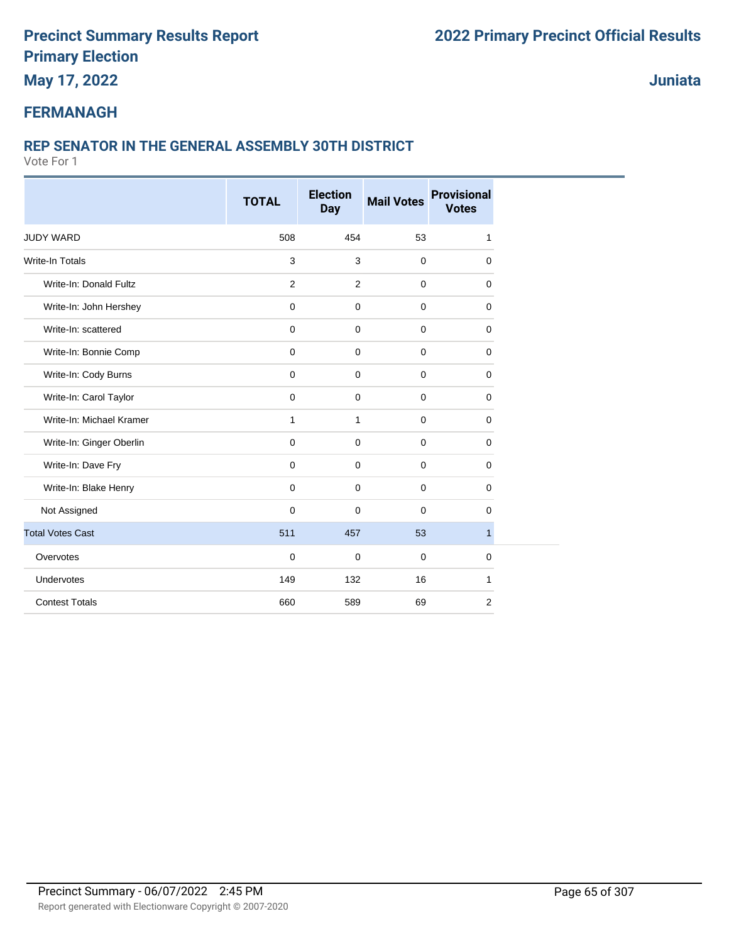**May 17, 2022**

**Juniata**

#### **FERMANAGH**

#### **REP SENATOR IN THE GENERAL ASSEMBLY 30TH DISTRICT**

|                          | <b>TOTAL</b>   | <b>Election</b><br><b>Day</b> | <b>Mail Votes</b> | <b>Provisional</b><br><b>Votes</b> |
|--------------------------|----------------|-------------------------------|-------------------|------------------------------------|
| <b>JUDY WARD</b>         | 508            | 454                           | 53                | 1                                  |
| <b>Write-In Totals</b>   | 3              | 3                             | $\mathbf 0$       | 0                                  |
| Write-In: Donald Fultz   | $\overline{2}$ | 2                             | $\mathbf 0$       | 0                                  |
| Write-In: John Hershey   | 0              | $\mathbf 0$                   | $\mathbf 0$       | 0                                  |
| Write-In: scattered      | $\mathbf 0$    | $\mathbf 0$                   | $\mathbf 0$       | 0                                  |
| Write-In: Bonnie Comp    | $\mathbf 0$    | $\mathbf 0$                   | $\mathbf 0$       | 0                                  |
| Write-In: Cody Burns     | $\mathbf 0$    | $\mathbf 0$                   | $\mathbf 0$       | 0                                  |
| Write-In: Carol Taylor   | $\mathbf 0$    | $\mathbf 0$                   | $\mathbf 0$       | 0                                  |
| Write-In: Michael Kramer | $\mathbf{1}$   | $\mathbf{1}$                  | $\mathbf 0$       | 0                                  |
| Write-In: Ginger Oberlin | 0              | $\mathbf 0$                   | $\mathbf 0$       | 0                                  |
| Write-In: Dave Fry       | 0              | $\mathbf 0$                   | $\mathbf 0$       | $\mathbf 0$                        |
| Write-In: Blake Henry    | 0              | $\mathbf 0$                   | $\mathbf 0$       | 0                                  |
| Not Assigned             | $\mathbf 0$    | $\Omega$                      | $\mathbf 0$       | $\mathbf 0$                        |
| <b>Total Votes Cast</b>  | 511            | 457                           | 53                | $\mathbf{1}$                       |
| Overvotes                | 0              | $\mathbf 0$                   | 0                 | 0                                  |
| Undervotes               | 149            | 132                           | 16                | 1                                  |
| <b>Contest Totals</b>    | 660            | 589                           | 69                | $\overline{2}$                     |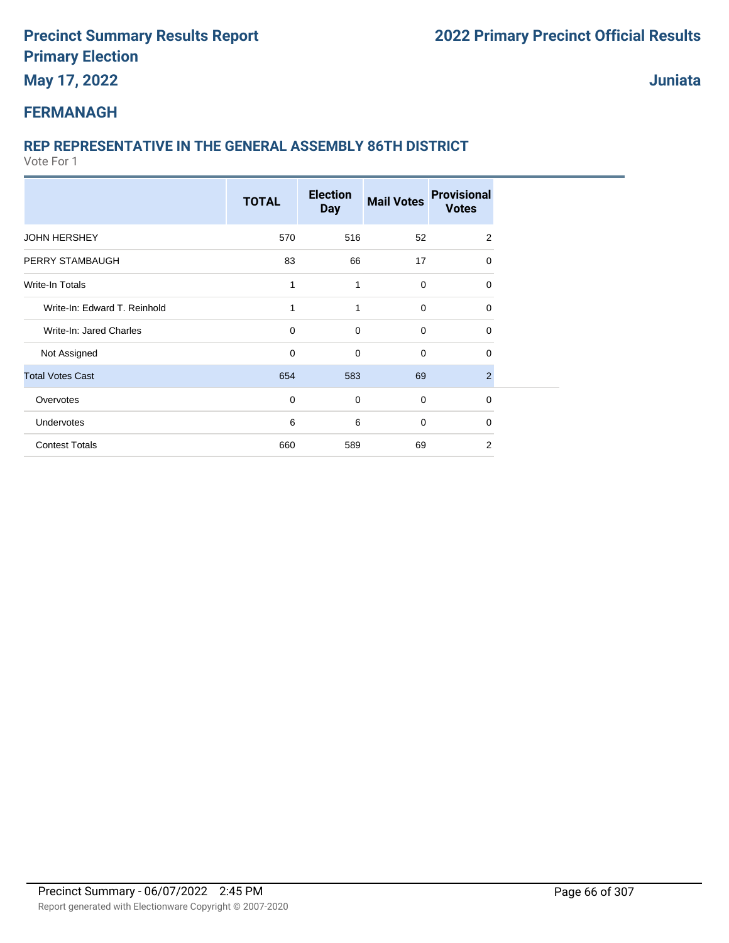**May 17, 2022**

**Juniata**

### **FERMANAGH**

### **REP REPRESENTATIVE IN THE GENERAL ASSEMBLY 86TH DISTRICT**

|                              | <b>TOTAL</b> | <b>Election</b><br><b>Day</b> | <b>Mail Votes</b> | <b>Provisional</b><br><b>Votes</b> |  |
|------------------------------|--------------|-------------------------------|-------------------|------------------------------------|--|
| <b>JOHN HERSHEY</b>          | 570          | 516                           | 52                | 2                                  |  |
| PERRY STAMBAUGH              | 83           | 66                            | 17                | $\Omega$                           |  |
| Write-In Totals              | 1            | 1                             | 0                 | 0                                  |  |
| Write-In: Edward T. Reinhold | 1            | $\mathbf{1}$                  | $\mathbf 0$       | 0                                  |  |
| Write-In: Jared Charles      | 0            | $\mathbf 0$                   | $\mathbf 0$       | 0                                  |  |
| Not Assigned                 | 0            | $\mathbf 0$                   | $\mathbf 0$       | 0                                  |  |
| <b>Total Votes Cast</b>      | 654          | 583                           | 69                | $\overline{2}$                     |  |
| Overvotes                    | 0            | $\mathbf 0$                   | $\mathbf 0$       | $\mathbf 0$                        |  |
| Undervotes                   | 6            | 6                             | $\mathbf 0$       | 0                                  |  |
| <b>Contest Totals</b>        | 660          | 589                           | 69                | $\overline{2}$                     |  |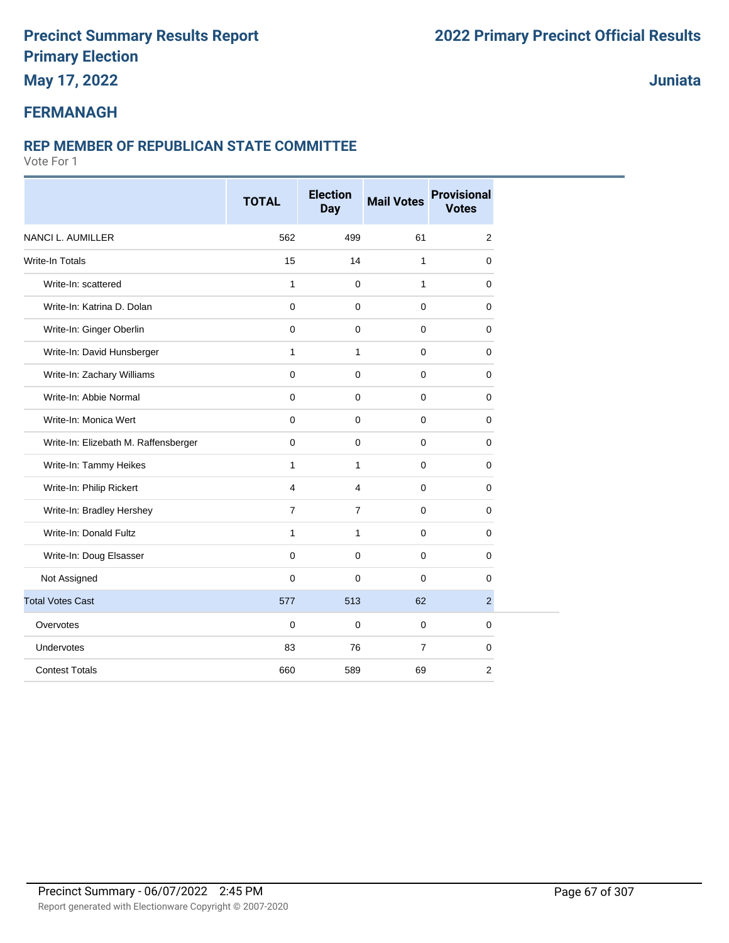### **May 17, 2022**

#### **Juniata**

### **FERMANAGH**

#### **REP MEMBER OF REPUBLICAN STATE COMMITTEE**

|                                      | <b>TOTAL</b>   | <b>Election</b><br><b>Day</b> | <b>Mail Votes</b> | <b>Provisional</b><br><b>Votes</b> |
|--------------------------------------|----------------|-------------------------------|-------------------|------------------------------------|
| <b>NANCI L. AUMILLER</b>             | 562            | 499                           | 61                | 2                                  |
| <b>Write-In Totals</b>               | 15             | 14                            | 1                 | 0                                  |
| Write-In: scattered                  | $\mathbf{1}$   | $\mathbf 0$                   | $\mathbf{1}$      | 0                                  |
| Write-In: Katrina D. Dolan           | $\Omega$       | $\Omega$                      | $\mathbf 0$       | 0                                  |
| Write-In: Ginger Oberlin             | $\mathbf 0$    | $\mathbf 0$                   | $\mathbf 0$       | $\mathbf 0$                        |
| Write-In: David Hunsberger           | $\mathbf{1}$   | $\mathbf{1}$                  | $\mathbf{0}$      | $\mathbf 0$                        |
| Write-In: Zachary Williams           | $\mathbf 0$    | $\mathbf 0$                   | $\mathbf 0$       | $\mathbf 0$                        |
| Write-In: Abbie Normal               | $\mathbf 0$    | $\mathbf 0$                   | $\mathbf 0$       | 0                                  |
| Write-In: Monica Wert                | $\mathbf 0$    | $\mathbf 0$                   | $\mathbf 0$       | $\mathbf 0$                        |
| Write-In: Elizebath M. Raffensberger | $\mathbf 0$    | $\mathbf 0$                   | $\mathbf 0$       | 0                                  |
| Write-In: Tammy Heikes               | $\mathbf{1}$   | $\mathbf{1}$                  | $\mathbf 0$       | 0                                  |
| Write-In: Philip Rickert             | $\overline{4}$ | $\overline{4}$                | $\mathbf 0$       | 0                                  |
| Write-In: Bradley Hershey            | $\overline{7}$ | $\overline{7}$                | $\mathbf{0}$      | 0                                  |
| Write-In: Donald Fultz               | $\mathbf{1}$   | $\mathbf{1}$                  | $\mathbf 0$       | 0                                  |
| Write-In: Doug Elsasser              | $\mathbf 0$    | $\mathbf 0$                   | $\mathbf 0$       | 0                                  |
| Not Assigned                         | $\Omega$       | $\Omega$                      | $\mathbf 0$       | $\mathbf 0$                        |
| <b>Total Votes Cast</b>              | 577            | 513                           | 62                | $\overline{2}$                     |
| Overvotes                            | $\mathbf 0$    | $\mathbf 0$                   | $\mathbf 0$       | 0                                  |
| Undervotes                           | 83             | 76                            | $\overline{7}$    | $\mathbf 0$                        |
| <b>Contest Totals</b>                | 660            | 589                           | 69                | 2                                  |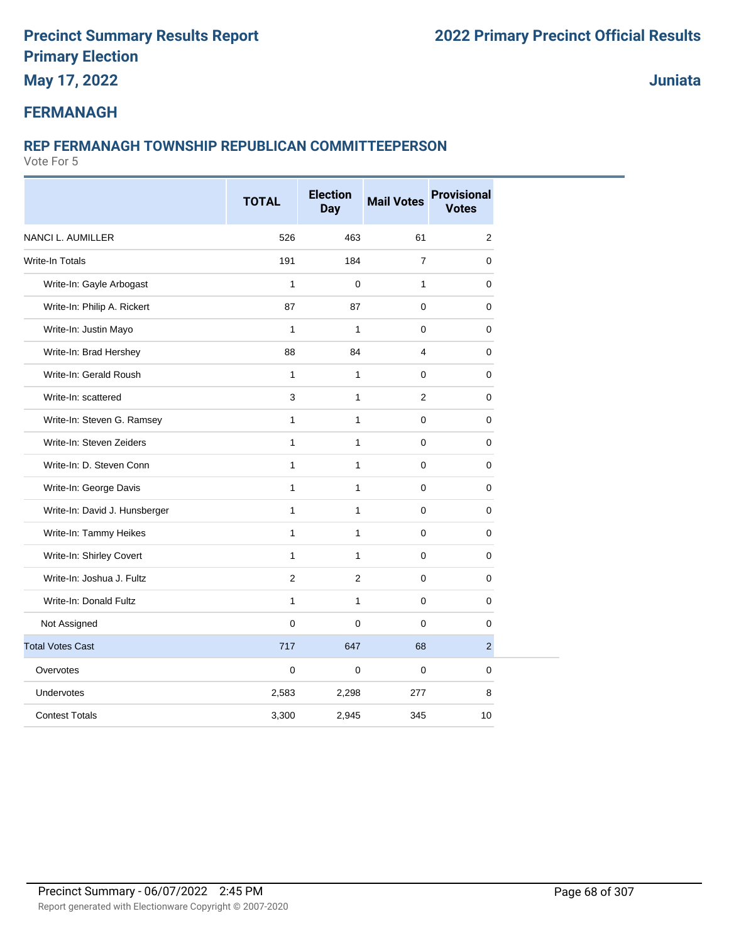**May 17, 2022**

**Juniata**

#### **FERMANAGH**

#### **REP FERMANAGH TOWNSHIP REPUBLICAN COMMITTEEPERSON**

|                               | <b>TOTAL</b> | <b>Election</b><br><b>Day</b> | <b>Mail Votes</b> | <b>Provisional</b><br><b>Votes</b> |
|-------------------------------|--------------|-------------------------------|-------------------|------------------------------------|
| NANCI L. AUMILLER             | 526          | 463                           | 61                | $\mathbf 2$                        |
| Write-In Totals               | 191          | 184                           | $\overline{7}$    | 0                                  |
| Write-In: Gayle Arbogast      | $\mathbf{1}$ | 0                             | $\mathbf{1}$      | 0                                  |
| Write-In: Philip A. Rickert   | 87           | 87                            | $\mathbf 0$       | $\mathsf{O}\xspace$                |
| Write-In: Justin Mayo         | $\mathbf{1}$ | $\mathbf{1}$                  | $\mathbf 0$       | $\mathbf 0$                        |
| Write-In: Brad Hershey        | 88           | 84                            | $\overline{4}$    | 0                                  |
| Write-In: Gerald Roush        | $\mathbf{1}$ | $\mathbf{1}$                  | $\mathbf 0$       | $\mathbf 0$                        |
| Write-In: scattered           | 3            | $\mathbf{1}$                  | $\overline{2}$    | 0                                  |
| Write-In: Steven G. Ramsey    | $\mathbf{1}$ | $\mathbf{1}$                  | $\pmb{0}$         | $\mathbf 0$                        |
| Write-In: Steven Zeiders      | $\mathbf{1}$ | $\mathbf{1}$                  | $\mathbf 0$       | $\mathbf 0$                        |
| Write-In: D. Steven Conn      | $\mathbf{1}$ | $\mathbf{1}$                  | $\mathbf 0$       | 0                                  |
| Write-In: George Davis        | $\mathbf{1}$ | $\mathbf{1}$                  | $\mathbf 0$       | $\mathbf 0$                        |
| Write-In: David J. Hunsberger | $\mathbf{1}$ | $\mathbf{1}$                  | $\mathbf 0$       | $\mathbf 0$                        |
| Write-In: Tammy Heikes        | $\mathbf{1}$ | $\mathbf{1}$                  | $\pmb{0}$         | 0                                  |
| Write-In: Shirley Covert      | $\mathbf{1}$ | $\mathbf{1}$                  | $\mathbf 0$       | $\mathbf 0$                        |
| Write-In: Joshua J. Fultz     | 2            | $\overline{c}$                | $\mathbf 0$       | $\mathsf{O}\xspace$                |
| Write-In: Donald Fultz        | $\mathbf{1}$ | $\mathbf{1}$                  | $\mathbf 0$       | $\mathbf 0$                        |
| Not Assigned                  | $\Omega$     | $\Omega$                      | $\Omega$          | $\mathbf 0$                        |
| <b>Total Votes Cast</b>       | 717          | 647                           | 68                | $\overline{2}$                     |
| Overvotes                     | $\mathbf 0$  | $\Omega$                      | $\mathbf 0$       | $\mathbf 0$                        |
| <b>Undervotes</b>             | 2,583        | 2,298                         | 277               | $\bf8$                             |
| <b>Contest Totals</b>         | 3,300        | 2,945                         | 345               | 10                                 |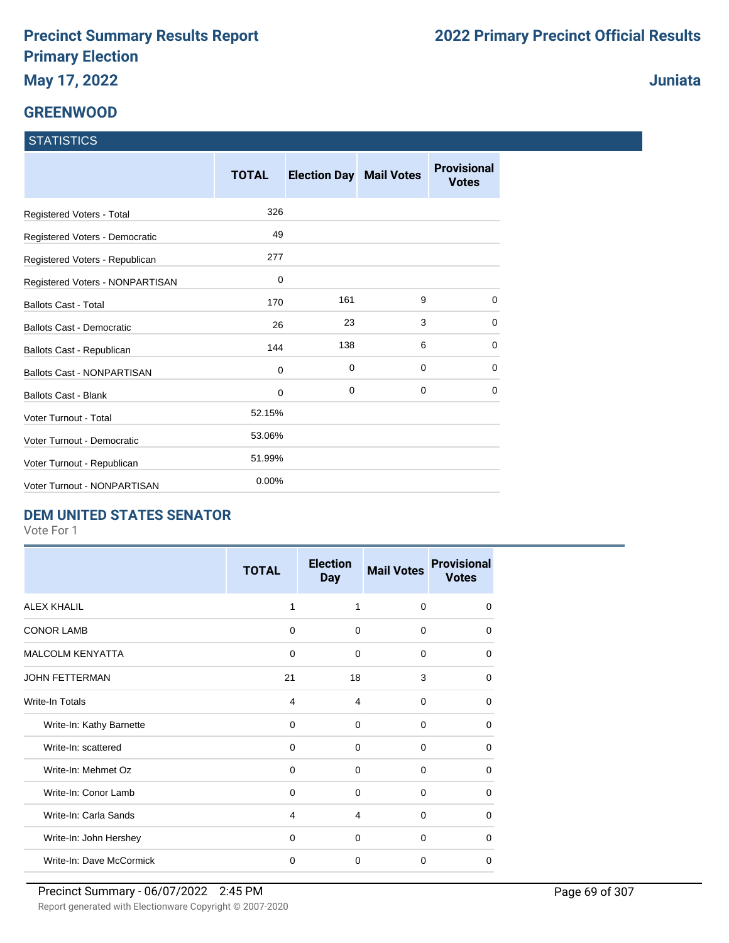# **GREENWOOD**

| <b>STATISTICS</b> |  |
|-------------------|--|
|                   |  |

|                                   | <b>TOTAL</b> | <b>Election Day Mail Votes</b> |   | <b>Provisional</b><br><b>Votes</b> |
|-----------------------------------|--------------|--------------------------------|---|------------------------------------|
| Registered Voters - Total         | 326          |                                |   |                                    |
| Registered Voters - Democratic    | 49           |                                |   |                                    |
| Registered Voters - Republican    | 277          |                                |   |                                    |
| Registered Voters - NONPARTISAN   | 0            |                                |   |                                    |
| <b>Ballots Cast - Total</b>       | 170          | 161                            | 9 | $\Omega$                           |
| <b>Ballots Cast - Democratic</b>  | 26           | 23                             | 3 | 0                                  |
| Ballots Cast - Republican         | 144          | 138                            | 6 | 0                                  |
| <b>Ballots Cast - NONPARTISAN</b> | 0            | 0                              | 0 | 0                                  |
| <b>Ballots Cast - Blank</b>       | 0            | 0                              | 0 | 0                                  |
| Voter Turnout - Total             | 52.15%       |                                |   |                                    |
| Voter Turnout - Democratic        | 53.06%       |                                |   |                                    |
| Voter Turnout - Republican        | 51.99%       |                                |   |                                    |
| Voter Turnout - NONPARTISAN       | 0.00%        |                                |   |                                    |

#### **DEM UNITED STATES SENATOR**

Vote For 1

|                          | <b>TOTAL</b> | <b>Election</b><br><b>Day</b> | <b>Mail Votes</b> | <b>Provisional</b><br><b>Votes</b> |
|--------------------------|--------------|-------------------------------|-------------------|------------------------------------|
| <b>ALEX KHALIL</b>       | 1            | 1                             | $\Omega$          | 0                                  |
| <b>CONOR LAMB</b>        | $\mathbf 0$  | $\Omega$                      | $\Omega$          | $\Omega$                           |
| <b>MALCOLM KENYATTA</b>  | 0            | 0                             | 0                 | $\Omega$                           |
| <b>JOHN FETTERMAN</b>    | 21           | 18                            | 3                 | 0                                  |
| Write-In Totals          | 4            | 4                             | $\Omega$          | 0                                  |
| Write-In: Kathy Barnette | 0            | 0                             | $\Omega$          | 0                                  |
| Write-In: scattered      | 0            | $\Omega$                      | $\Omega$          | $\Omega$                           |
| Write-In: Mehmet Oz      | $\Omega$     | $\Omega$                      | $\Omega$          | 0                                  |
| Write-In: Conor Lamb     | $\Omega$     | $\Omega$                      | $\Omega$          | 0                                  |
| Write-In: Carla Sands    | 4            | 4                             | $\Omega$          | 0                                  |
| Write-In: John Hershey   | $\Omega$     | $\Omega$                      | $\Omega$          | 0                                  |
| Write-In: Dave McCormick | $\mathbf 0$  | $\Omega$                      | $\Omega$          | $\Omega$                           |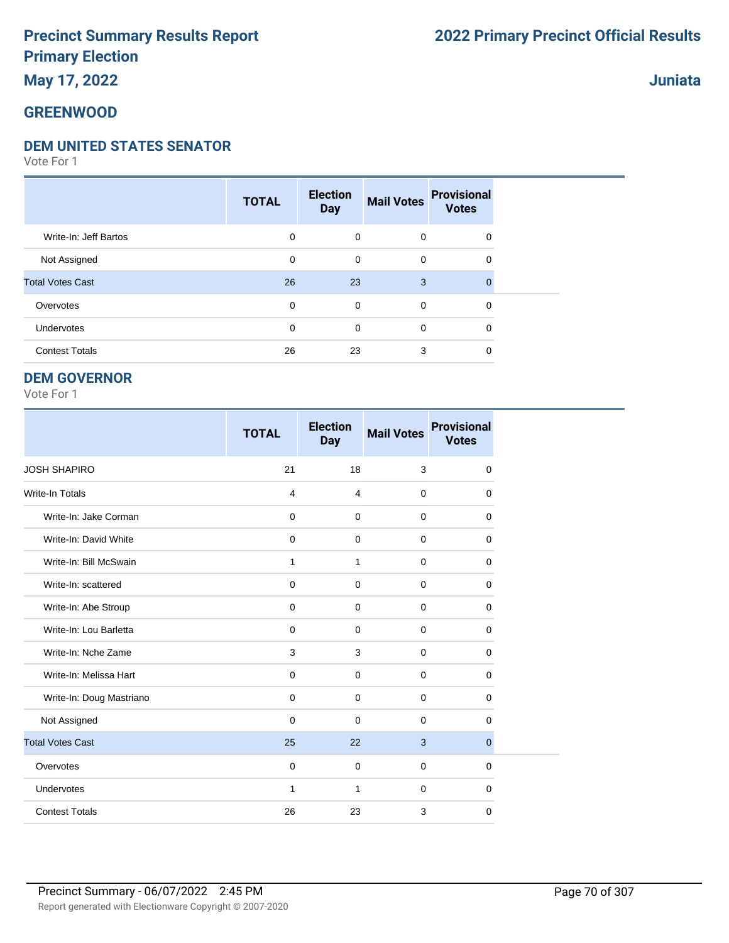#### **Juniata**

#### **GREENWOOD**

#### **DEM UNITED STATES SENATOR**

Vote For 1

|                         | <b>TOTAL</b> | <b>Election</b><br><b>Day</b> | <b>Mail Votes</b> | <b>Provisional</b><br><b>Votes</b> |  |
|-------------------------|--------------|-------------------------------|-------------------|------------------------------------|--|
| Write-In: Jeff Bartos   | 0            | $\mathbf 0$                   | $\mathbf 0$       | 0                                  |  |
| Not Assigned            | 0            | $\mathbf 0$                   | $\mathbf 0$       | 0                                  |  |
| <b>Total Votes Cast</b> | 26           | 23                            | 3                 | 0                                  |  |
| Overvotes               | 0            | $\mathbf 0$                   | $\mathbf 0$       | 0                                  |  |
| Undervotes              | $\mathbf 0$  | 0                             | $\mathbf 0$       | 0                                  |  |
| <b>Contest Totals</b>   | 26           | 23                            | 3                 | 0                                  |  |

#### **DEM GOVERNOR**

|                          | <b>TOTAL</b>   | <b>Election</b><br><b>Day</b> | <b>Mail Votes</b> | <b>Provisional</b><br><b>Votes</b> |
|--------------------------|----------------|-------------------------------|-------------------|------------------------------------|
| <b>JOSH SHAPIRO</b>      | 21             | 18                            | 3                 | $\mathbf 0$                        |
| <b>Write-In Totals</b>   | $\overline{4}$ | $\overline{4}$                | $\mathbf 0$       | 0                                  |
| Write-In: Jake Corman    | $\mathbf 0$    | $\mathbf 0$                   | $\mathbf 0$       | 0                                  |
| Write-In: David White    | $\mathbf 0$    | $\Omega$                      | $\Omega$          | $\Omega$                           |
| Write-In: Bill McSwain   | 1              | $\mathbf{1}$                  | $\mathbf 0$       | 0                                  |
| Write-In: scattered      | $\mathbf 0$    | $\Omega$                      | $\mathbf 0$       | 0                                  |
| Write-In: Abe Stroup     | $\mathbf 0$    | $\mathbf 0$                   | $\mathbf 0$       | 0                                  |
| Write-In: Lou Barletta   | $\mathbf 0$    | $\mathbf 0$                   | $\mathbf 0$       | 0                                  |
| Write-In: Nche Zame      | 3              | 3                             | $\mathbf 0$       | $\mathbf 0$                        |
| Write-In: Melissa Hart   | $\mathbf 0$    | $\mathbf 0$                   | $\mathbf 0$       | $\mathbf 0$                        |
| Write-In: Doug Mastriano | $\mathbf 0$    | $\Omega$                      | $\mathbf 0$       | $\mathbf 0$                        |
| Not Assigned             | $\mathbf 0$    | $\Omega$                      | $\mathbf 0$       | 0                                  |
| <b>Total Votes Cast</b>  | 25             | 22                            | 3                 | $\mathbf{0}$                       |
| Overvotes                | $\mathbf 0$    | $\mathbf 0$                   | $\mathbf 0$       | 0                                  |
| Undervotes               | $\mathbf{1}$   | $\mathbf{1}$                  | $\mathbf 0$       | 0                                  |
| <b>Contest Totals</b>    | 26             | 23                            | 3                 | $\mathbf 0$                        |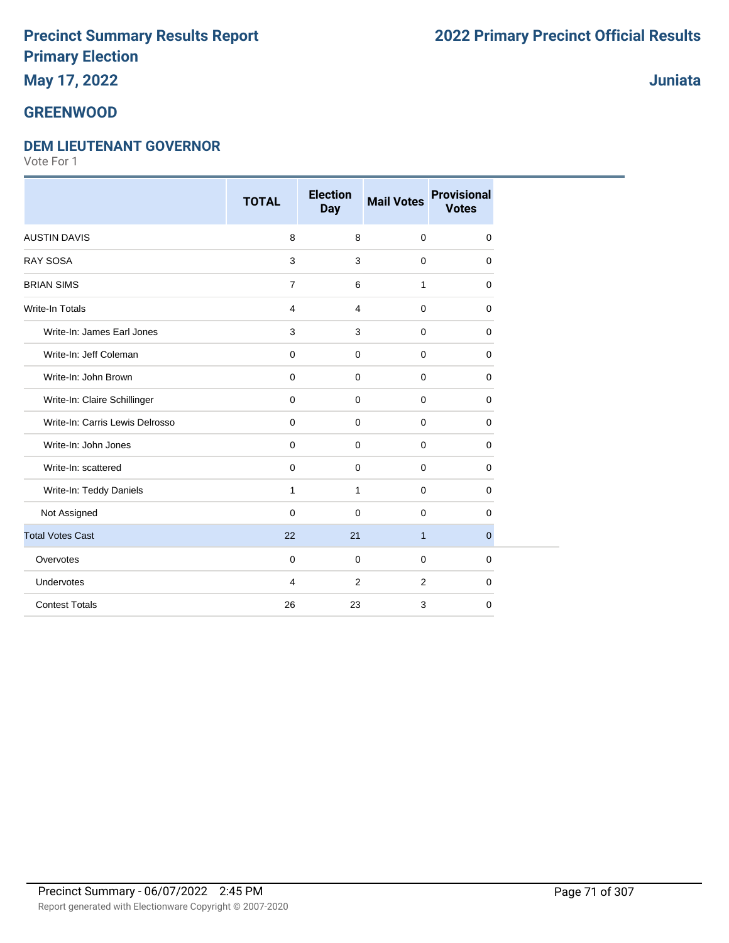### **May 17, 2022**

#### **GREENWOOD**

#### **DEM LIEUTENANT GOVERNOR**

Vote For 1

|                                 | <b>TOTAL</b>   | <b>Election</b><br><b>Day</b> | <b>Mail Votes</b> | <b>Provisional</b><br><b>Votes</b> |
|---------------------------------|----------------|-------------------------------|-------------------|------------------------------------|
| <b>AUSTIN DAVIS</b>             | 8              | 8                             | $\mathbf 0$       | $\mathbf 0$                        |
| <b>RAY SOSA</b>                 | 3              | 3                             | $\mathbf 0$       | 0                                  |
| <b>BRIAN SIMS</b>               | $\overline{7}$ | 6                             | $\mathbf{1}$      | $\Omega$                           |
| <b>Write-In Totals</b>          | $\overline{4}$ | $\overline{4}$                | $\mathbf 0$       | $\mathbf 0$                        |
| Write-In: James Earl Jones      | 3              | 3                             | $\mathbf 0$       | $\mathbf 0$                        |
| Write-In: Jeff Coleman          | $\mathbf 0$    | 0                             | $\mathbf 0$       | $\mathbf 0$                        |
| Write-In: John Brown            | $\pmb{0}$      | $\mathbf 0$                   | $\mathbf 0$       | $\mathbf 0$                        |
| Write-In: Claire Schillinger    | $\pmb{0}$      | $\mathbf 0$                   | $\mathbf 0$       | $\mathbf 0$                        |
| Write-In: Carris Lewis Delrosso | $\pmb{0}$      | $\pmb{0}$                     | $\mathbf 0$       | $\mathbf 0$                        |
| Write-In: John Jones            | $\mathbf 0$    | 0                             | 0                 | $\mathbf 0$                        |
| Write-In: scattered             | $\mathbf 0$    | $\mathbf 0$                   | $\mathbf 0$       | $\mathbf 0$                        |
| Write-In: Teddy Daniels         | 1              | $\mathbf{1}$                  | $\mathbf 0$       | $\mathbf 0$                        |
| Not Assigned                    | $\mathbf 0$    | $\mathbf 0$                   | $\mathbf 0$       | $\Omega$                           |
| <b>Total Votes Cast</b>         | 22             | 21                            | $\mathbf{1}$      | $\overline{0}$                     |
| Overvotes                       | $\overline{0}$ | $\mathbf 0$                   | $\mathbf 0$       | $\mathbf 0$                        |
| Undervotes                      | $\overline{4}$ | 2                             | 2                 | $\mathbf 0$                        |
| <b>Contest Totals</b>           | 26             | 23                            | 3                 | $\mathbf 0$                        |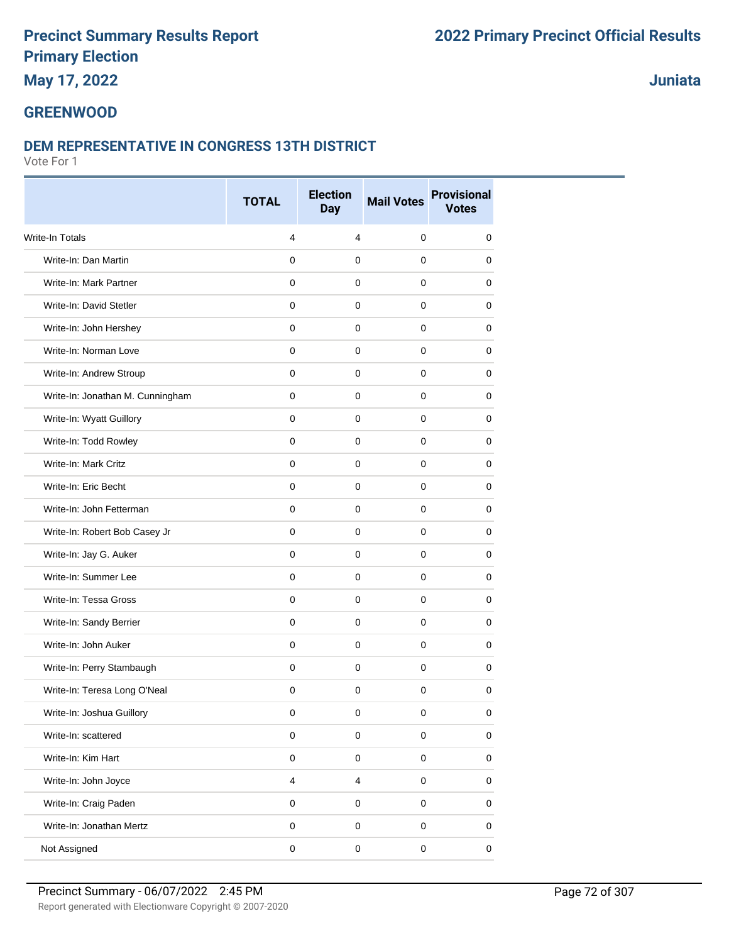### **May 17, 2022**

### **Juniata**

#### **GREENWOOD**

#### **DEM REPRESENTATIVE IN CONGRESS 13TH DISTRICT**

|                                  | <b>TOTAL</b>   | <b>Election</b><br><b>Day</b> | <b>Mail Votes</b> | <b>Provisional</b><br><b>Votes</b> |
|----------------------------------|----------------|-------------------------------|-------------------|------------------------------------|
| Write-In Totals                  | 4              | 4                             | $\mathbf 0$       | $\mathbf 0$                        |
| Write-In: Dan Martin             | $\mathbf 0$    | $\mathbf 0$                   | $\mathbf 0$       | $\mathbf 0$                        |
| Write-In: Mark Partner           | $\mathbf 0$    | $\mathbf 0$                   | $\mathbf 0$       | 0                                  |
| Write-In: David Stetler          | $\mathbf 0$    | 0                             | 0                 | 0                                  |
| Write-In: John Hershey           | $\mathbf 0$    | $\mathbf 0$                   | $\mathbf 0$       | 0                                  |
| Write-In: Norman Love            | $\mathbf 0$    | $\mathbf 0$                   | $\mathbf 0$       | 0                                  |
| Write-In: Andrew Stroup          | $\mathbf 0$    | 0                             | 0                 | 0                                  |
| Write-In: Jonathan M. Cunningham | $\mathbf 0$    | $\mathbf 0$                   | $\mathbf 0$       | $\mathbf 0$                        |
| Write-In: Wyatt Guillory         | $\mathbf 0$    | $\mathbf 0$                   | $\mathbf 0$       | 0                                  |
| Write-In: Todd Rowley            | 0              | 0                             | 0                 | 0                                  |
| Write-In: Mark Critz             | $\mathbf 0$    | $\mathbf 0$                   | $\mathbf 0$       | $\mathbf 0$                        |
| Write-In: Eric Becht             | $\Omega$       | $\mathbf 0$                   | $\mathbf 0$       | 0                                  |
| Write-In: John Fetterman         | 0              | $\mathbf 0$                   | 0                 | 0                                  |
| Write-In: Robert Bob Casey Jr    | $\mathbf 0$    | $\mathbf 0$                   | $\mathbf 0$       | $\mathbf 0$                        |
| Write-In: Jay G. Auker           | $\mathbf 0$    | $\mathbf 0$                   | $\mathbf 0$       | 0                                  |
| Write-In: Summer Lee             | $\mathbf 0$    | 0                             | 0                 | 0                                  |
| Write-In: Tessa Gross            | $\mathbf 0$    | $\mathbf 0$                   | $\mathbf 0$       | $\mathbf 0$                        |
| Write-In: Sandy Berrier          | $\mathbf 0$    | $\mathbf 0$                   | $\mathbf 0$       | 0                                  |
| Write-In: John Auker             | $\mathbf 0$    | $\mathbf 0$                   | $\mathbf 0$       | 0                                  |
| Write-In: Perry Stambaugh        | $\mathbf 0$    | $\mathbf 0$                   | $\mathbf 0$       | $\mathbf 0$                        |
| Write-In: Teresa Long O'Neal     | $\mathbf 0$    | $\mathbf 0$                   | $\mathbf 0$       | $\pmb{0}$                          |
| Write-In: Joshua Guillory        | 0              | 0                             | 0                 | 0                                  |
| Write-In: scattered              | $\pmb{0}$      | $\pmb{0}$                     | $\pmb{0}$         | $\pmb{0}$                          |
| Write-In: Kim Hart               | $\mathbf 0$    | $\pmb{0}$                     | $\pmb{0}$         | $\pmb{0}$                          |
| Write-In: John Joyce             | $\overline{4}$ | $\overline{\mathbf{4}}$       | $\pmb{0}$         | $\pmb{0}$                          |
| Write-In: Craig Paden            | $\pmb{0}$      | $\mathsf 0$                   | $\pmb{0}$         | $\pmb{0}$                          |
| Write-In: Jonathan Mertz         | $\mathbf 0$    | $\pmb{0}$                     | $\pmb{0}$         | $\pmb{0}$                          |
| Not Assigned                     | $\pmb{0}$      | $\pmb{0}$                     | $\pmb{0}$         | 0                                  |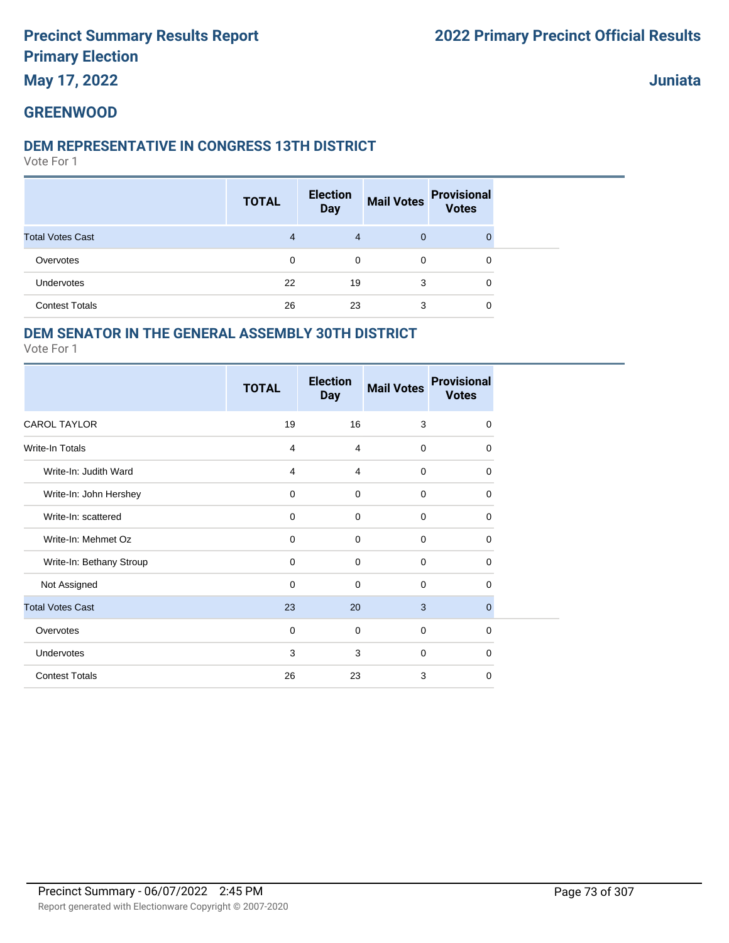**May 17, 2022**

**Juniata**

### **GREENWOOD**

#### **DEM REPRESENTATIVE IN CONGRESS 13TH DISTRICT**

Vote For 1

|                         | <b>TOTAL</b> | <b>Election</b><br><b>Day</b> | <b>Mail Votes</b> | <b>Provisional</b><br><b>Votes</b> |  |
|-------------------------|--------------|-------------------------------|-------------------|------------------------------------|--|
| <b>Total Votes Cast</b> | 4            | $\overline{4}$                | $\mathbf{0}$      |                                    |  |
| Overvotes               | 0            | $\mathbf 0$                   | 0                 | 0                                  |  |
| Undervotes              | 22           | 19                            | 3                 | 0                                  |  |
| <b>Contest Totals</b>   | 26           | 23                            | 3                 | 0                                  |  |

## **DEM SENATOR IN THE GENERAL ASSEMBLY 30TH DISTRICT**

|                          | <b>TOTAL</b> | <b>Election</b><br><b>Day</b> | <b>Mail Votes</b> | <b>Provisional</b><br><b>Votes</b> |
|--------------------------|--------------|-------------------------------|-------------------|------------------------------------|
| <b>CAROL TAYLOR</b>      | 19           | 16                            | 3                 | $\mathbf 0$                        |
| <b>Write-In Totals</b>   | 4            | 4                             | $\mathbf 0$       | $\Omega$                           |
| Write-In: Judith Ward    | 4            | 4                             | $\mathbf 0$       | $\mathbf 0$                        |
| Write-In: John Hershey   | $\mathbf 0$  | $\mathbf 0$                   | $\mathbf 0$       | 0                                  |
| Write-In: scattered      | $\mathbf 0$  | $\mathbf 0$                   | $\mathbf 0$       | $\mathbf 0$                        |
| Write-In: Mehmet Oz      | $\mathbf 0$  | $\mathbf 0$                   | $\mathbf 0$       | $\mathbf 0$                        |
| Write-In: Bethany Stroup | $\mathbf 0$  | 0                             | $\mathbf 0$       | $\Omega$                           |
| Not Assigned             | $\mathbf 0$  | $\mathbf 0$                   | $\mathbf 0$       | $\mathbf 0$                        |
| <b>Total Votes Cast</b>  | 23           | 20                            | 3                 | $\mathbf{0}$                       |
| Overvotes                | $\mathbf 0$  | $\mathbf 0$                   | $\mathbf 0$       | $\mathbf 0$                        |
| Undervotes               | 3            | 3                             | $\mathbf 0$       | $\Omega$                           |
| <b>Contest Totals</b>    | 26           | 23                            | 3                 | 0                                  |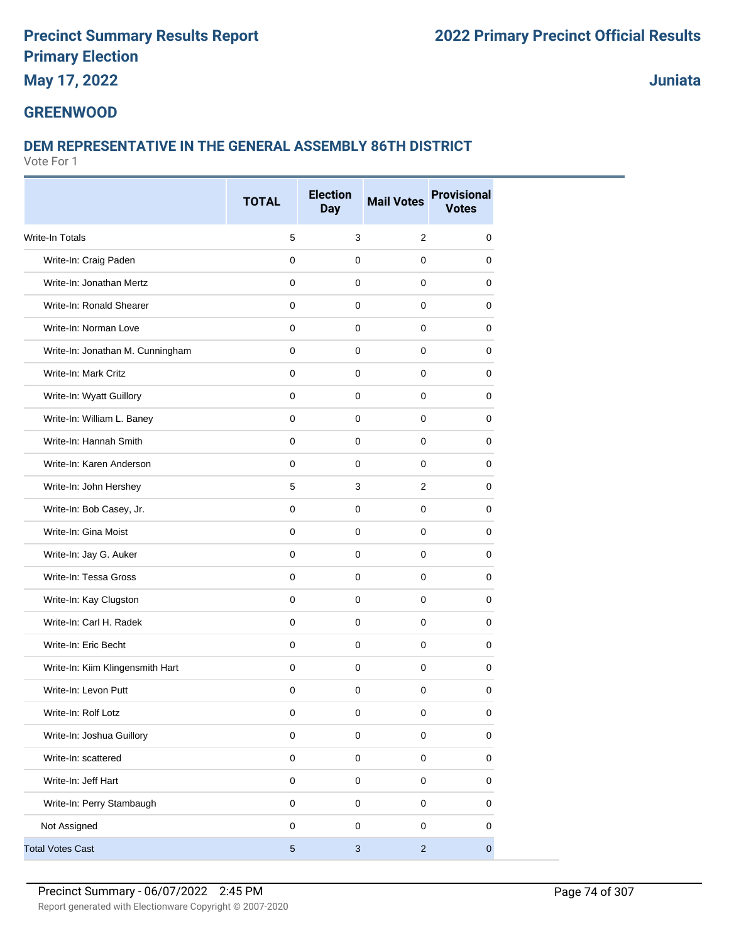# **May 17, 2022**

**Juniata**

#### **GREENWOOD**

## **DEM REPRESENTATIVE IN THE GENERAL ASSEMBLY 86TH DISTRICT**

|                                  |                | <b>Election</b> |                   | <b>Provisional</b> |
|----------------------------------|----------------|-----------------|-------------------|--------------------|
|                                  | <b>TOTAL</b>   | <b>Day</b>      | <b>Mail Votes</b> | <b>Votes</b>       |
| <b>Write-In Totals</b>           | 5              | 3               | 2                 | 0                  |
| Write-In: Craig Paden            | $\mathbf 0$    | $\mathbf 0$     | $\mathbf 0$       | 0                  |
| Write-In: Jonathan Mertz         | 0              | 0               | 0                 | 0                  |
| Write-In: Ronald Shearer         | 0              | $\mathbf 0$     | $\mathbf 0$       | 0                  |
| Write-In: Norman Love            | 0              | $\mathbf 0$     | $\mathbf 0$       | 0                  |
| Write-In: Jonathan M. Cunningham | 0              | 0               | $\mathbf 0$       | 0                  |
| Write-In: Mark Critz             | $\mathbf 0$    | $\mathbf 0$     | $\mathbf 0$       | $\mathbf 0$        |
| Write-In: Wyatt Guillory         | 0              | 0               | $\mathbf 0$       | 0                  |
| Write-In: William L. Baney       | $\mathbf 0$    | 0               | 0                 | 0                  |
| Write-In: Hannah Smith           | 0              | $\mathbf 0$     | $\mathbf 0$       | 0                  |
| Write-In: Karen Anderson         | 0              | $\mathbf 0$     | $\mathbf 0$       | 0                  |
| Write-In: John Hershey           | 5              | 3               | $\overline{2}$    | 0                  |
| Write-In: Bob Casey, Jr.         | 0              | $\mathbf 0$     | $\mathbf 0$       | 0                  |
| Write-In: Gina Moist             | 0              | $\mathbf 0$     | $\mathbf 0$       | 0                  |
| Write-In: Jay G. Auker           | 0              | 0               | 0                 | 0                  |
| Write-In: Tessa Gross            | 0              | $\mathbf 0$     | $\mathbf 0$       | 0                  |
| Write-In: Kay Clugston           | 0              | $\mathbf 0$     | $\mathbf 0$       | 0                  |
| Write-In: Carl H. Radek          | 0              | $\mathbf 0$     | $\mathbf 0$       | 0                  |
| Write-In: Eric Becht             | $\mathbf{0}$   | $\mathbf 0$     | $\mathbf{0}$      | $\mathbf 0$        |
| Write-In: Kiim Klingensmith Hart | 0              | 0               | $\mathbf 0$       | 0                  |
| Write-In: Levon Putt             | 0              | 0               | 0                 | 0                  |
| Write-In: Rolf Lotz              | 0              | $\pmb{0}$       | $\pmb{0}$         | $\pmb{0}$          |
| Write-In: Joshua Guillory        | $\pmb{0}$      | $\mathsf 0$     | $\pmb{0}$         | $\pmb{0}$          |
| Write-In: scattered              | $\mathsf 0$    | $\mathsf 0$     | $\mathbf 0$       | $\mathbf 0$        |
| Write-In: Jeff Hart              | $\mathsf 0$    | $\mathsf 0$     | $\pmb{0}$         | $\pmb{0}$          |
| Write-In: Perry Stambaugh        | 0              | $\mathsf 0$     | $\mathbf 0$       | 0                  |
| Not Assigned                     | 0              | $\mathsf 0$     | $\mathbf 0$       | 0                  |
| <b>Total Votes Cast</b>          | $\overline{5}$ | $\sqrt{3}$      | $\overline{2}$    | $\pmb{0}$          |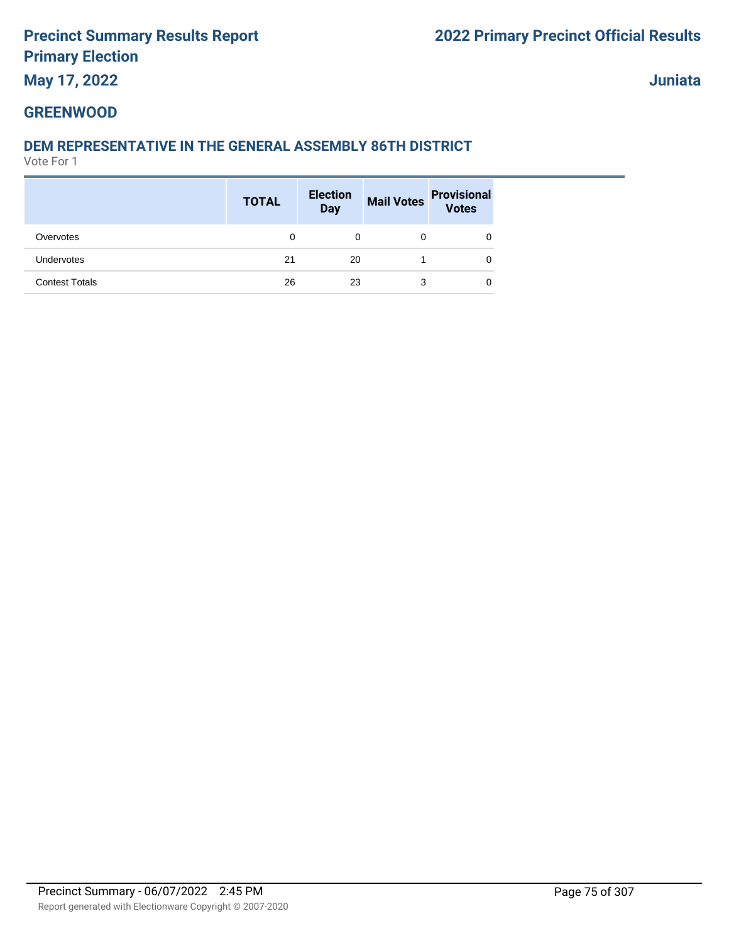# **May 17, 2022**

**Juniata**

# **GREENWOOD**

# **DEM REPRESENTATIVE IN THE GENERAL ASSEMBLY 86TH DISTRICT**

|                       | <b>TOTAL</b> | <b>Election</b><br><b>Day</b> | <b>Mail Votes</b> | <b>Provisional</b><br><b>Votes</b> |
|-----------------------|--------------|-------------------------------|-------------------|------------------------------------|
| Overvotes             | 0            | 0                             |                   | 0                                  |
| Undervotes            | 21           | 20                            |                   | 0                                  |
| <b>Contest Totals</b> | 26           | 23                            | 3                 | 0                                  |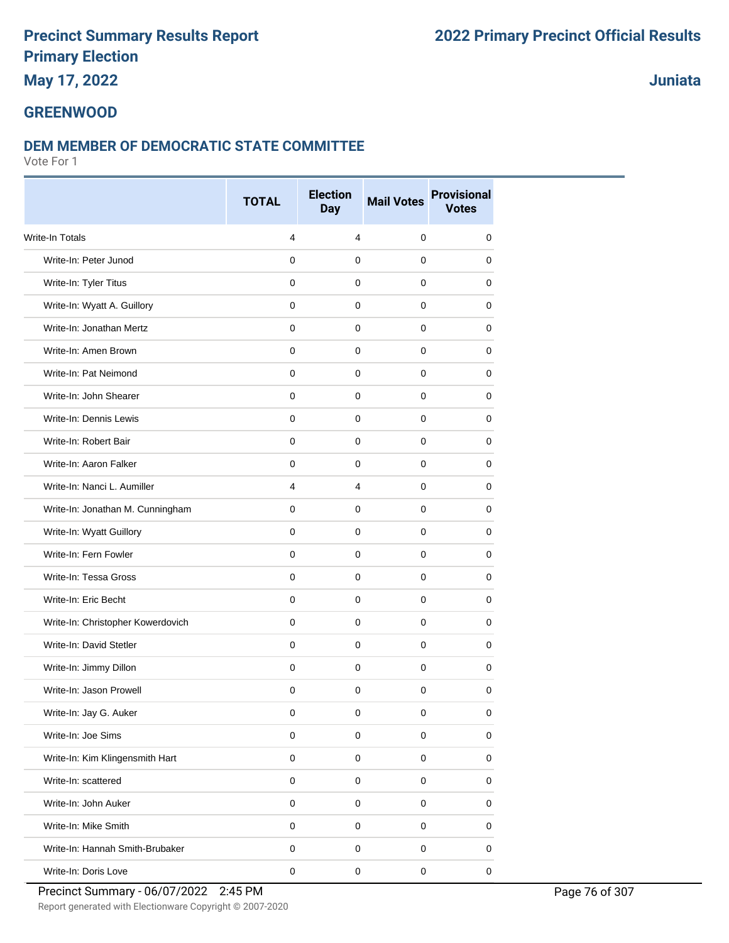# **May 17, 2022**

# **Juniata**

#### **GREENWOOD**

#### **DEM MEMBER OF DEMOCRATIC STATE COMMITTEE**

|                                   | <b>TOTAL</b> | <b>Election</b><br><b>Day</b> | <b>Mail Votes</b> | <b>Provisional</b><br><b>Votes</b> |
|-----------------------------------|--------------|-------------------------------|-------------------|------------------------------------|
| <b>Write-In Totals</b>            | 4            | 4                             | 0                 | 0                                  |
| Write-In: Peter Junod             | $\mathbf 0$  | $\mathbf 0$                   | 0                 | 0                                  |
| Write-In: Tyler Titus             | $\mathbf 0$  | $\mathbf 0$                   | 0                 | 0                                  |
| Write-In: Wyatt A. Guillory       | $\mathbf 0$  | 0                             | 0                 | 0                                  |
| Write-In: Jonathan Mertz          | 0            | $\mathbf 0$                   | 0                 | 0                                  |
| Write-In: Amen Brown              | $\mathbf 0$  | $\mathbf 0$                   | $\mathbf 0$       | 0                                  |
| Write-In: Pat Neimond             | 0            | 0                             | 0                 | 0                                  |
| Write-In: John Shearer            | 0            | $\mathbf 0$                   | $\mathbf 0$       | 0                                  |
| Write-In: Dennis Lewis            | $\mathbf 0$  | $\mathbf 0$                   | $\mathbf 0$       | 0                                  |
| Write-In: Robert Bair             | 0            | 0                             | 0                 | 0                                  |
| Write-In: Aaron Falker            | $\mathbf 0$  | $\mathbf 0$                   | $\mathbf 0$       | 0                                  |
| Write-In: Nanci L. Aumiller       | 4            | 4                             | 0                 | 0                                  |
| Write-In: Jonathan M. Cunningham  | 0            | 0                             | 0                 | 0                                  |
| Write-In: Wyatt Guillory          | $\mathbf 0$  | $\mathbf 0$                   | $\mathbf 0$       | 0                                  |
| Write-In: Fern Fowler             | 0            | 0                             | 0                 | 0                                  |
| Write-In: Tessa Gross             | 0            | 0                             | 0                 | 0                                  |
| Write-In: Eric Becht              | $\mathbf 0$  | $\mathbf 0$                   | $\mathbf 0$       | 0                                  |
| Write-In: Christopher Kowerdovich | $\mathbf 0$  | $\mathbf 0$                   | 0                 | 0                                  |
| Write-In: David Stetler           | 0            | 0                             | 0                 | 0                                  |
| Write-In: Jimmy Dillon            | $\mathbf 0$  | $\mathbf 0$                   | $\mathbf 0$       | 0                                  |
| Write-In: Jason Prowell           | 0            | 0                             | 0                 | 0                                  |
| Write-In: Jay G. Auker            | 0            | 0                             | 0                 | 0                                  |
| Write-In: Joe Sims                | $\mathsf 0$  | $\mathbf 0$                   | 0                 | 0                                  |
| Write-In: Kim Klingensmith Hart   | $\pmb{0}$    | $\mathsf 0$                   | $\pmb{0}$         | $\mathsf 0$                        |
| Write-In: scattered               | $\pmb{0}$    | $\mathbf 0$                   | 0                 | 0                                  |
| Write-In: John Auker              | $\pmb{0}$    | $\mathsf 0$                   | 0                 | 0                                  |
| Write-In: Mike Smith              | $\mathbf 0$  | $\mathsf 0$                   | $\mathsf 0$       | 0                                  |
| Write-In: Hannah Smith-Brubaker   | 0            | 0                             | 0                 | 0                                  |
| Write-In: Doris Love              | $\pmb{0}$    | $\pmb{0}$                     | $\mathbf 0$       | $\mathbf 0$                        |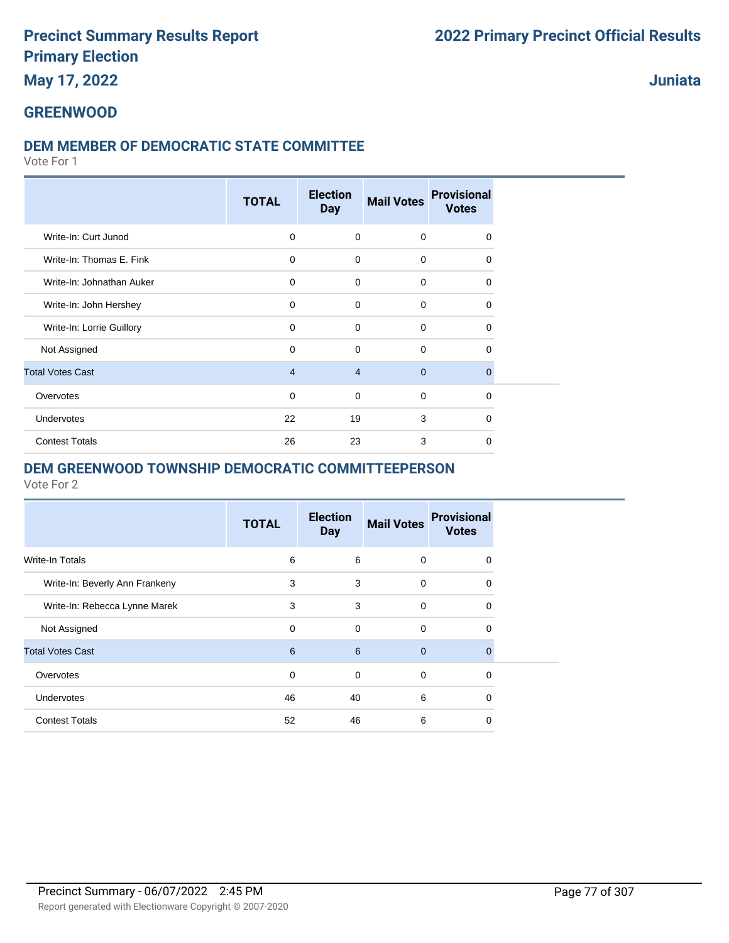# **May 17, 2022**

**Juniata**

# **GREENWOOD**

## **DEM MEMBER OF DEMOCRATIC STATE COMMITTEE**

Vote For 1

|                           | <b>TOTAL</b>   | <b>Election</b><br><b>Day</b> | <b>Mail Votes</b> | <b>Provisional</b><br><b>Votes</b> |
|---------------------------|----------------|-------------------------------|-------------------|------------------------------------|
| Write-In: Curt Junod      | $\mathbf 0$    | $\mathbf 0$                   | $\mathbf 0$       | 0                                  |
| Write-In: Thomas E. Fink  | $\mathbf 0$    | $\mathbf 0$                   | $\mathbf 0$       | $\Omega$                           |
| Write-In: Johnathan Auker | $\mathbf 0$    | $\Omega$                      | $\mathbf 0$       | $\Omega$                           |
| Write-In: John Hershey    | $\mathbf 0$    | $\Omega$                      | $\mathbf 0$       | 0                                  |
| Write-In: Lorrie Guillory | $\Omega$       | $\Omega$                      | $\mathbf 0$       | $\Omega$                           |
| Not Assigned              | $\Omega$       | $\Omega$                      | $\mathbf 0$       | $\Omega$                           |
| <b>Total Votes Cast</b>   | $\overline{4}$ | $\overline{4}$                | $\mathbf{0}$      | $\Omega$                           |
| Overvotes                 | 0              | $\mathbf 0$                   | $\mathbf 0$       | 0                                  |
| Undervotes                | 22             | 19                            | 3                 | 0                                  |
| <b>Contest Totals</b>     | 26             | 23                            | 3                 | $\Omega$                           |

#### **DEM GREENWOOD TOWNSHIP DEMOCRATIC COMMITTEEPERSON**

|                                | <b>TOTAL</b> | <b>Election</b><br><b>Day</b> | <b>Mail Votes</b> | <b>Provisional</b><br><b>Votes</b> |
|--------------------------------|--------------|-------------------------------|-------------------|------------------------------------|
| Write-In Totals                | 6            | 6                             | $\Omega$          | 0                                  |
| Write-In: Beverly Ann Frankeny | 3            | 3                             | $\mathbf 0$       | 0                                  |
| Write-In: Rebecca Lynne Marek  | 3            | 3                             | $\mathbf 0$       | 0                                  |
| Not Assigned                   | $\Omega$     | $\mathbf 0$                   | $\Omega$          | 0                                  |
| <b>Total Votes Cast</b>        | 6            | 6                             | $\overline{0}$    | $\Omega$                           |
| Overvotes                      | $\mathbf 0$  | $\mathbf 0$                   | $\mathbf 0$       | $\Omega$                           |
| <b>Undervotes</b>              | 46           | 40                            | 6                 | 0                                  |
| <b>Contest Totals</b>          | 52           | 46                            | 6                 | 0                                  |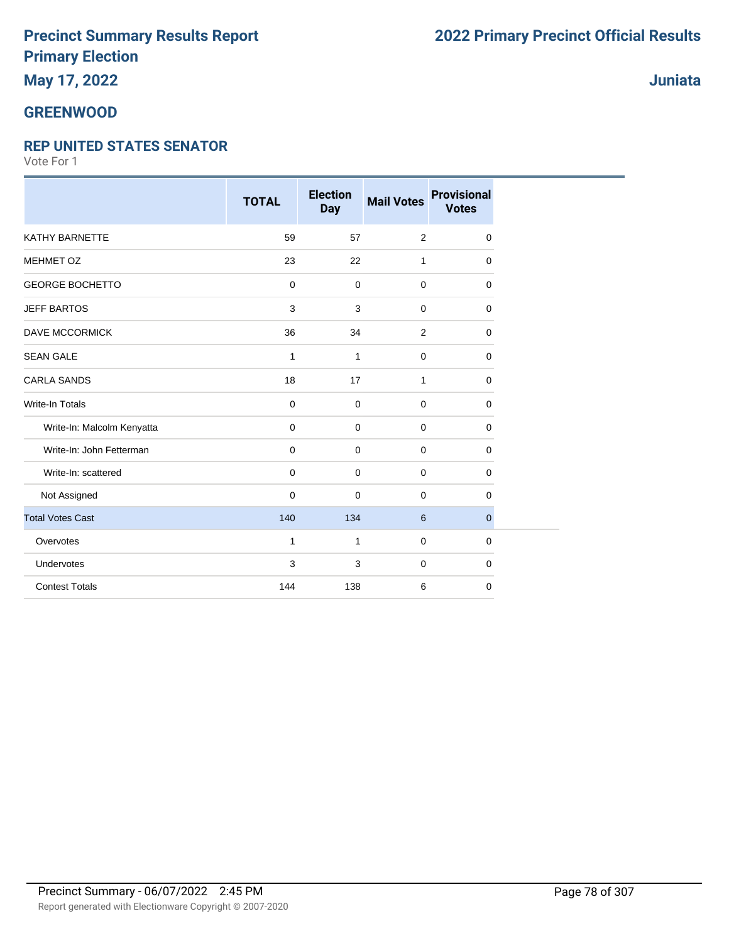# **May 17, 2022**

### **GREENWOOD**

#### **REP UNITED STATES SENATOR**

|                            | <b>TOTAL</b>   | <b>Election</b><br><b>Day</b> | <b>Mail Votes</b> | <b>Provisional</b><br><b>Votes</b> |
|----------------------------|----------------|-------------------------------|-------------------|------------------------------------|
| <b>KATHY BARNETTE</b>      | 59             | 57                            | 2                 | 0                                  |
| MEHMET OZ                  | 23             | 22                            | $\mathbf{1}$      | 0                                  |
| <b>GEORGE BOCHETTO</b>     | $\overline{0}$ | 0                             | $\mathbf 0$       | 0                                  |
| <b>JEFF BARTOS</b>         | 3              | 3                             | $\mathbf 0$       | 0                                  |
| <b>DAVE MCCORMICK</b>      | 36             | 34                            | $\overline{2}$    | 0                                  |
| <b>SEAN GALE</b>           | $\mathbf{1}$   | $\mathbf{1}$                  | $\mathbf 0$       | 0                                  |
| <b>CARLA SANDS</b>         | 18             | 17                            | $\mathbf{1}$      | 0                                  |
| <b>Write-In Totals</b>     | $\mathbf 0$    | 0                             | $\mathbf 0$       | 0                                  |
| Write-In: Malcolm Kenyatta | $\mathbf 0$    | 0                             | $\mathbf 0$       | 0                                  |
| Write-In: John Fetterman   | $\mathbf 0$    | 0                             | $\mathbf 0$       | 0                                  |
| Write-In: scattered        | $\mathbf 0$    | $\mathbf 0$                   | $\mathbf 0$       | 0                                  |
| Not Assigned               | $\mathbf 0$    | 0                             | $\mathbf 0$       | 0                                  |
| <b>Total Votes Cast</b>    | 140            | 134                           | 6                 | $\mathbf{0}$                       |
| Overvotes                  | $\mathbf{1}$   | $\mathbf{1}$                  | $\mathbf 0$       | 0                                  |
| Undervotes                 | 3              | 3                             | $\mathbf 0$       | 0                                  |
| <b>Contest Totals</b>      | 144            | 138                           | 6                 | 0                                  |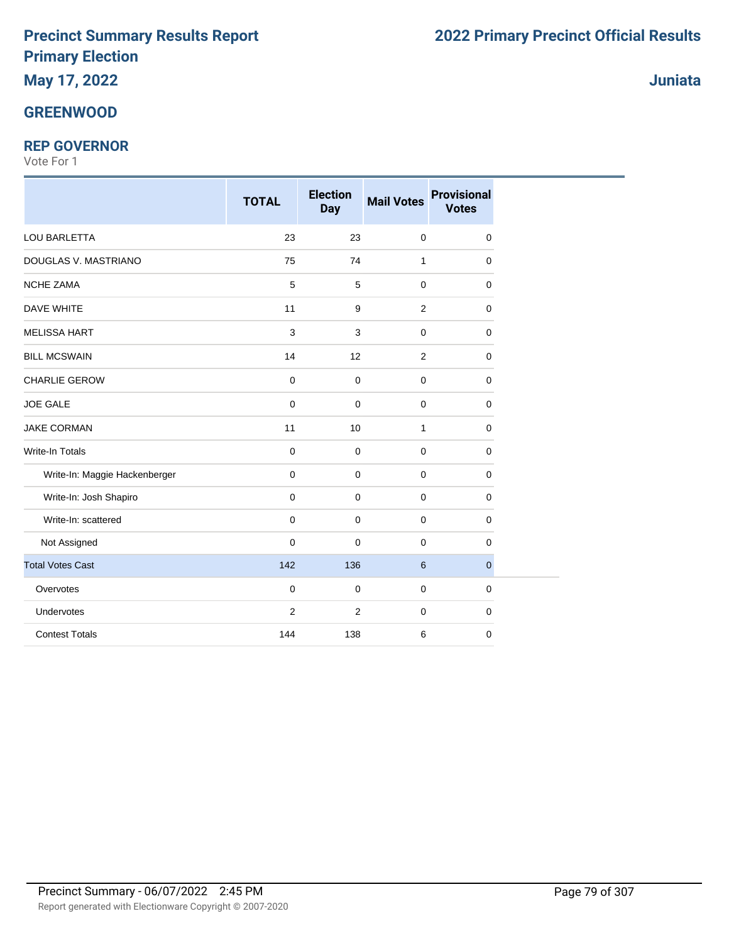# **May 17, 2022**

# **GREENWOOD**

## **REP GOVERNOR**

|                               | <b>TOTAL</b>              | <b>Election</b><br><b>Day</b> | <b>Mail Votes</b> | <b>Provisional</b><br><b>Votes</b> |
|-------------------------------|---------------------------|-------------------------------|-------------------|------------------------------------|
| LOU BARLETTA                  | 23                        | 23                            | $\mathbf 0$       | $\mathbf 0$                        |
| DOUGLAS V. MASTRIANO          | 75                        | 74                            | $\mathbf{1}$      | 0                                  |
| NCHE ZAMA                     | 5                         | 5                             | 0                 | 0                                  |
| <b>DAVE WHITE</b>             | 11                        | 9                             | 2                 | $\mathbf 0$                        |
| <b>MELISSA HART</b>           | $\ensuremath{\mathsf{3}}$ | 3                             | 0                 | $\mathbf 0$                        |
| <b>BILL MCSWAIN</b>           | 14                        | 12                            | 2                 | $\mathbf 0$                        |
| CHARLIE GEROW                 | $\pmb{0}$                 | $\mathbf 0$                   | $\pmb{0}$         | $\mathbf 0$                        |
| <b>JOE GALE</b>               | $\pmb{0}$                 | $\pmb{0}$                     | 0                 | 0                                  |
| <b>JAKE CORMAN</b>            | 11                        | 10                            | $\mathbf{1}$      | $\mathbf 0$                        |
| <b>Write-In Totals</b>        | $\mathbf 0$               | 0                             | $\mathbf 0$       | $\mathbf 0$                        |
| Write-In: Maggie Hackenberger | $\mathbf 0$               | $\mathbf 0$                   | $\mathbf 0$       | 0                                  |
| Write-In: Josh Shapiro        | $\mathbf 0$               | 0                             | 0                 | 0                                  |
| Write-In: scattered           | $\pmb{0}$                 | 0                             | 0                 | 0                                  |
| Not Assigned                  | $\pmb{0}$                 | $\pmb{0}$                     | $\pmb{0}$         | $\mathbf 0$                        |
| <b>Total Votes Cast</b>       | 142                       | 136                           | 6                 | $\mathbf{0}$                       |
| Overvotes                     | $\mathbf 0$               | 0                             | $\mathbf 0$       | $\mathbf 0$                        |
| Undervotes                    | $\overline{c}$            | $\overline{2}$                | 0                 | $\mathbf 0$                        |
| <b>Contest Totals</b>         | 144                       | 138                           | 6                 | $\mathbf 0$                        |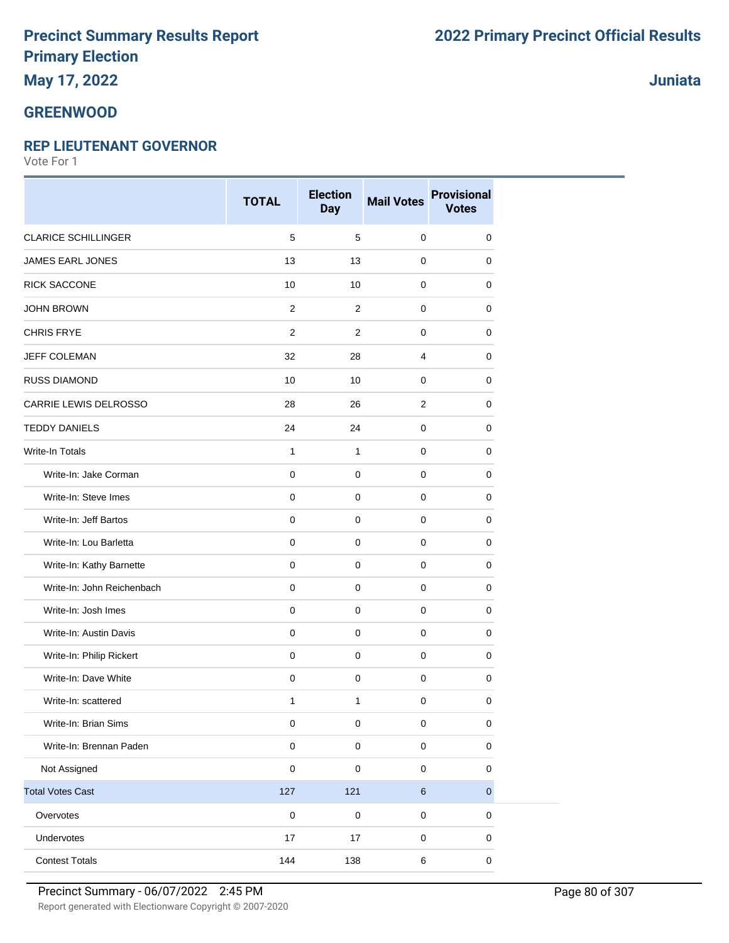# **May 17, 2022**

#### **GREENWOOD**

#### **REP LIEUTENANT GOVERNOR**

Vote For 1

|                            | <b>TOTAL</b> | <b>Election</b><br><b>Day</b> | <b>Mail Votes</b> | <b>Provisional</b><br><b>Votes</b> |
|----------------------------|--------------|-------------------------------|-------------------|------------------------------------|
| <b>CLARICE SCHILLINGER</b> | 5            | $\,$ 5 $\,$                   | $\mathbf 0$       | 0                                  |
| <b>JAMES EARL JONES</b>    | 13           | 13                            | $\mathbf 0$       | $\mathbf 0$                        |
| <b>RICK SACCONE</b>        | 10           | 10                            | $\pmb{0}$         | 0                                  |
| <b>JOHN BROWN</b>          | 2            | $\overline{2}$                | 0                 | 0                                  |
| <b>CHRIS FRYE</b>          | 2            | $\overline{2}$                | $\mathbf 0$       | $\mathbf 0$                        |
| <b>JEFF COLEMAN</b>        | 32           | 28                            | $\overline{4}$    | 0                                  |
| <b>RUSS DIAMOND</b>        | 10           | 10                            | 0                 | 0                                  |
| CARRIE LEWIS DELROSSO      | 28           | 26                            | 2                 | 0                                  |
| <b>TEDDY DANIELS</b>       | 24           | 24                            | $\pmb{0}$         | 0                                  |
| Write-In Totals            | $\mathbf{1}$ | $\mathbf{1}$                  | 0                 | 0                                  |
| Write-In: Jake Corman      | $\mathbf 0$  | 0                             | $\mathbf 0$       | 0                                  |
| Write-In: Steve Imes       | $\mathbf 0$  | $\pmb{0}$                     | $\mathbf 0$       | 0                                  |
| Write-In: Jeff Bartos      | $\pmb{0}$    | $\pmb{0}$                     | $\pmb{0}$         | $\pmb{0}$                          |
| Write-In: Lou Barletta     | $\mathbf 0$  | $\mathbf 0$                   | $\mathbf 0$       | 0                                  |
| Write-In: Kathy Barnette   | $\mathbf 0$  | $\pmb{0}$                     | $\mathbf 0$       | 0                                  |
| Write-In: John Reichenbach | $\mathbf 0$  | $\mathbf 0$                   | $\mathbf 0$       | $\mathbf 0$                        |
| Write-In: Josh Imes        | $\mathbf 0$  | $\mathsf 0$                   | $\mathbf 0$       | 0                                  |
| Write-In: Austin Davis     | $\mathbf 0$  | $\mathbf 0$                   | $\mathbf 0$       | 0                                  |
| Write-In: Philip Rickert   | $\pmb{0}$    | $\mathbf 0$                   | $\pmb{0}$         | $\pmb{0}$                          |
| Write-In: Dave White       | $\mathbf 0$  | $\mathsf{O}\xspace$           | $\mathbf 0$       | 0                                  |
| Write-In: scattered        | $\mathbf{1}$ | $\mathbf{1}$                  | $\mathbf 0$       | 0                                  |
| Write-In: Brian Sims       | $\pmb{0}$    | $\pmb{0}$                     | $\pmb{0}$         | $\pmb{0}$                          |
| Write-In: Brennan Paden    | $\pmb{0}$    | $\pmb{0}$                     | $\pmb{0}$         | $\pmb{0}$                          |
| Not Assigned               | $\pmb{0}$    | $\mathbf 0$                   | $\pmb{0}$         | $\pmb{0}$                          |
| <b>Total Votes Cast</b>    | 127          | 121                           | $\,6\,$           | $\mathbf 0$                        |
| Overvotes                  | $\pmb{0}$    | $\pmb{0}$                     | $\pmb{0}$         | $\pmb{0}$                          |
| Undervotes                 | 17           | 17                            | $\pmb{0}$         | 0                                  |
| <b>Contest Totals</b>      | 144          | 138                           | $\,6\,$           | $\pmb{0}$                          |

**Juniata**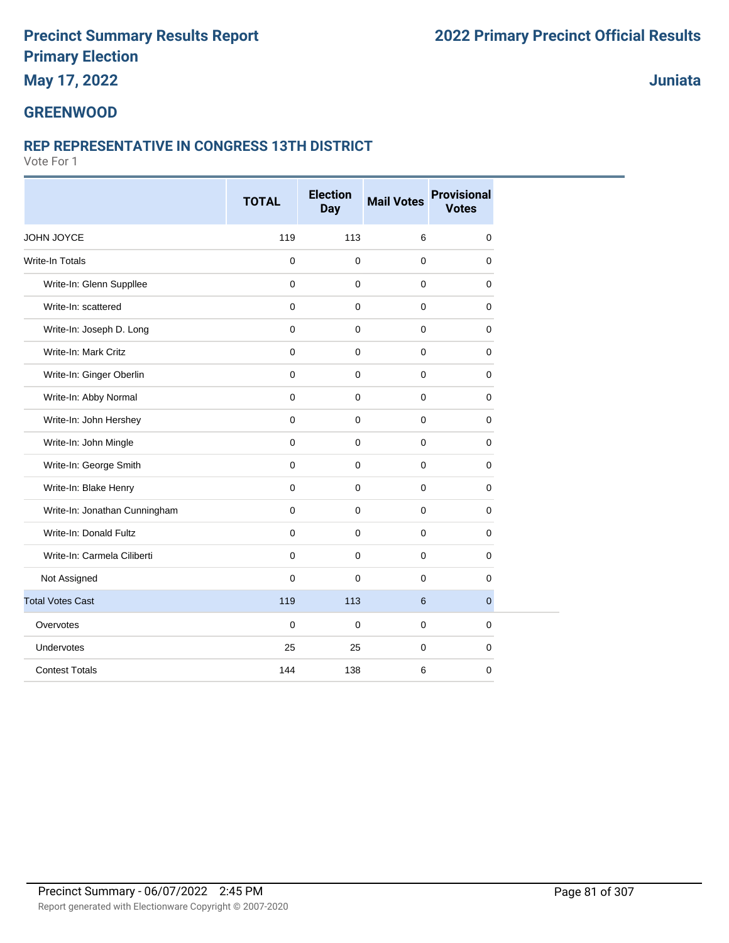# **May 17, 2022**

# **Juniata**

#### **GREENWOOD**

#### **REP REPRESENTATIVE IN CONGRESS 13TH DISTRICT**

|                               | <b>TOTAL</b> | <b>Election</b><br><b>Day</b> | <b>Mail Votes</b> | <b>Provisional</b><br><b>Votes</b> |
|-------------------------------|--------------|-------------------------------|-------------------|------------------------------------|
| JOHN JOYCE                    | 119          | 113                           | 6                 | $\mathbf 0$                        |
| <b>Write-In Totals</b>        | 0            | $\pmb{0}$                     | $\mathbf 0$       | $\mathbf 0$                        |
| Write-In: Glenn Suppllee      | $\mathbf 0$  | $\mathbf 0$                   | $\mathbf 0$       | $\mathbf 0$                        |
| Write-In: scattered           | 0            | $\mathbf 0$                   | $\mathbf 0$       | $\mathbf 0$                        |
| Write-In: Joseph D. Long      | 0            | $\mathbf 0$                   | $\mathbf 0$       | 0                                  |
| Write-In: Mark Critz          | 0            | $\mathbf 0$                   | $\mathbf 0$       | 0                                  |
| Write-In: Ginger Oberlin      | 0            | $\mathbf 0$                   | $\mathbf 0$       | $\mathbf 0$                        |
| Write-In: Abby Normal         | $\mathbf 0$  | $\mathbf 0$                   | $\mathbf 0$       | $\mathbf 0$                        |
| Write-In: John Hershey        | 0            | $\mathbf 0$                   | $\mathbf 0$       | 0                                  |
| Write-In: John Mingle         | 0            | $\mathbf 0$                   | $\mathbf 0$       | $\mathbf 0$                        |
| Write-In: George Smith        | 0            | $\mathbf 0$                   | $\mathbf 0$       | 0                                  |
| Write-In: Blake Henry         | 0            | $\mathbf 0$                   | $\mathbf 0$       | 0                                  |
| Write-In: Jonathan Cunningham | 0            | $\mathbf{0}$                  | $\mathbf 0$       | $\mathbf 0$                        |
| Write-In: Donald Fultz        | 0            | $\mathbf 0$                   | $\mathbf 0$       | 0                                  |
| Write-In: Carmela Ciliberti   | 0            | $\mathbf 0$                   | $\mathbf 0$       | 0                                  |
| Not Assigned                  | 0            | $\mathbf 0$                   | $\mathbf 0$       | $\mathbf 0$                        |
| <b>Total Votes Cast</b>       | 119          | 113                           | 6                 | $\overline{0}$                     |
| Overvotes                     | 0            | $\pmb{0}$                     | $\mathbf 0$       | $\mathbf 0$                        |
| Undervotes                    | 25           | 25                            | $\mathbf 0$       | $\mathbf 0$                        |
| <b>Contest Totals</b>         | 144          | 138                           | 6                 | $\mathbf 0$                        |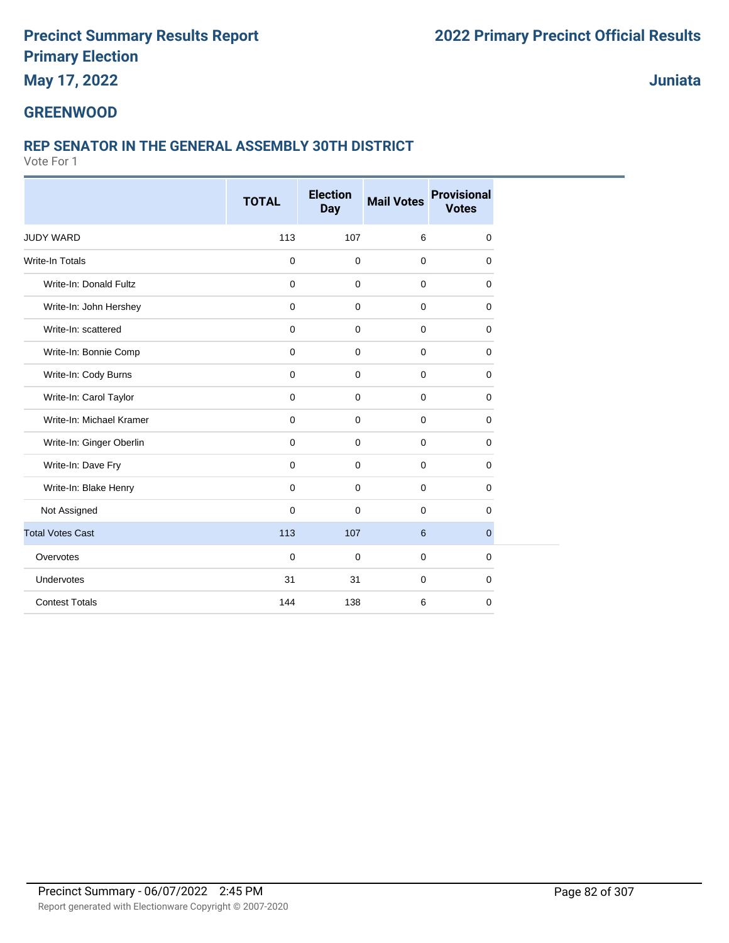**May 17, 2022**

**Juniata**

## **GREENWOOD**

## **REP SENATOR IN THE GENERAL ASSEMBLY 30TH DISTRICT**

|                          | <b>TOTAL</b> | <b>Election</b><br><b>Day</b> | <b>Mail Votes</b> | <b>Provisional</b><br><b>Votes</b> |
|--------------------------|--------------|-------------------------------|-------------------|------------------------------------|
|                          |              |                               |                   |                                    |
| <b>JUDY WARD</b>         | 113          | 107                           | 6                 | 0                                  |
| Write-In Totals          | $\mathbf 0$  | 0                             | $\mathbf 0$       | $\mathbf 0$                        |
| Write-In: Donald Fultz   | $\mathbf 0$  | $\mathbf 0$                   | 0                 | $\mathbf 0$                        |
| Write-In: John Hershey   | $\mathbf 0$  | 0                             | 0                 | $\mathbf 0$                        |
| Write-In: scattered      | $\mathbf 0$  | $\mathbf 0$                   | 0                 | $\mathbf 0$                        |
| Write-In: Bonnie Comp    | $\mathbf 0$  | $\mathbf 0$                   | 0                 | $\mathbf 0$                        |
| Write-In: Cody Burns     | $\mathbf 0$  | $\mathbf 0$                   | $\mathbf 0$       | $\mathbf 0$                        |
| Write-In: Carol Taylor   | $\mathbf 0$  | $\mathbf 0$                   | $\mathbf 0$       | $\mathbf 0$                        |
| Write-In: Michael Kramer | $\mathbf 0$  | $\mathbf 0$                   | 0                 | $\mathbf 0$                        |
| Write-In: Ginger Oberlin | $\mathbf 0$  | 0                             | 0                 | $\mathbf 0$                        |
| Write-In: Dave Fry       | $\mathbf 0$  | 0                             | $\mathbf 0$       | $\mathbf 0$                        |
| Write-In: Blake Henry    | $\mathbf 0$  | $\mathbf 0$                   | $\mathbf 0$       | $\mathbf 0$                        |
| Not Assigned             | $\mathbf 0$  | $\mathbf 0$                   | $\mathbf 0$       | $\mathbf 0$                        |
| <b>Total Votes Cast</b>  | 113          | 107                           | 6                 | $\mathbf{0}$                       |
| Overvotes                | $\mathbf 0$  | $\mathbf 0$                   | 0                 | $\mathbf 0$                        |
| Undervotes               | 31           | 31                            | $\mathbf 0$       | $\mathbf 0$                        |
| <b>Contest Totals</b>    | 144          | 138                           | 6                 | $\mathbf 0$                        |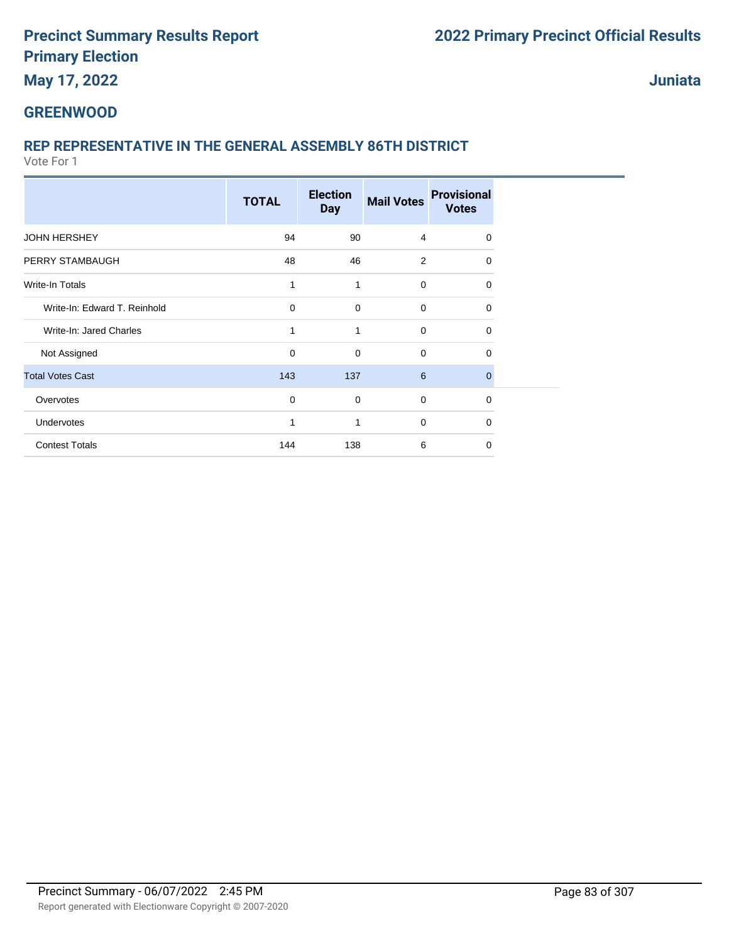# **May 17, 2022**

**Juniata**

#### **GREENWOOD**

# **REP REPRESENTATIVE IN THE GENERAL ASSEMBLY 86TH DISTRICT**

|                              | <b>TOTAL</b> | <b>Election</b><br><b>Day</b> | <b>Mail Votes</b> | <b>Provisional</b><br><b>Votes</b> |
|------------------------------|--------------|-------------------------------|-------------------|------------------------------------|
| <b>JOHN HERSHEY</b>          | 94           | 90                            | 4                 | 0                                  |
| PERRY STAMBAUGH              | 48           | 46                            | 2                 | $\Omega$                           |
| Write-In Totals              | 1            | 1                             | $\mathbf 0$       | 0                                  |
| Write-In: Edward T. Reinhold | $\mathbf 0$  | $\mathbf 0$                   | $\mathbf 0$       | 0                                  |
| Write-In: Jared Charles      | 1            | 1                             | $\mathbf 0$       | 0                                  |
| Not Assigned                 | 0            | $\mathbf 0$                   | $\mathbf 0$       | 0                                  |
| <b>Total Votes Cast</b>      | 143          | 137                           | 6                 | 0                                  |
| Overvotes                    | $\mathbf 0$  | $\mathbf 0$                   | $\mathbf 0$       | 0                                  |
| Undervotes                   | 1            | 1                             | $\mathbf 0$       | $\Omega$                           |
| <b>Contest Totals</b>        | 144          | 138                           | 6                 | 0                                  |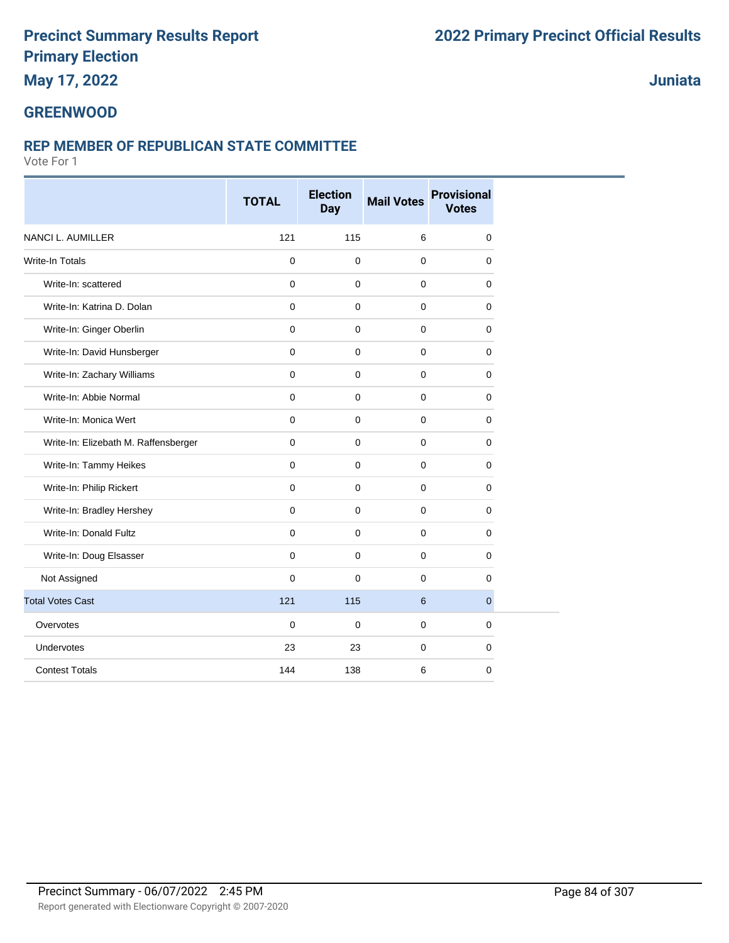# **May 17, 2022**

# **Juniata**

# **GREENWOOD**

## **REP MEMBER OF REPUBLICAN STATE COMMITTEE**

|                                      | <b>TOTAL</b> | <b>Election</b><br><b>Day</b> | <b>Mail Votes</b> | <b>Provisional</b><br><b>Votes</b> |
|--------------------------------------|--------------|-------------------------------|-------------------|------------------------------------|
| <b>NANCI L. AUMILLER</b>             | 121          | 115                           | 6                 | $\mathbf 0$                        |
| <b>Write-In Totals</b>               | $\mathbf 0$  | $\mathbf 0$                   | $\mathbf 0$       | $\mathbf 0$                        |
| Write-In: scattered                  | $\mathbf 0$  | $\mathbf 0$                   | $\mathbf 0$       | $\mathbf 0$                        |
| Write-In: Katrina D. Dolan           | $\mathbf 0$  | $\Omega$                      | 0                 | $\mathbf 0$                        |
| Write-In: Ginger Oberlin             | $\mathbf 0$  | $\mathbf 0$                   | $\mathbf 0$       | $\mathbf 0$                        |
| Write-In: David Hunsberger           | $\mathbf 0$  | $\Omega$                      | $\mathbf 0$       | $\mathbf 0$                        |
| Write-In: Zachary Williams           | $\mathbf 0$  | $\mathbf 0$                   | $\mathbf 0$       | $\mathbf 0$                        |
| Write-In: Abbie Normal               | $\mathbf 0$  | $\mathbf 0$                   | $\mathbf 0$       | 0                                  |
| Write-In: Monica Wert                | $\mathbf 0$  | $\mathbf 0$                   | $\mathbf 0$       | $\mathbf 0$                        |
| Write-In: Elizebath M. Raffensberger | $\mathbf 0$  | $\mathbf 0$                   | $\mathbf 0$       | $\mathbf 0$                        |
| Write-In: Tammy Heikes               | $\mathbf 0$  | $\mathbf 0$                   | 0                 | $\mathbf 0$                        |
| Write-In: Philip Rickert             | $\mathbf 0$  | $\mathbf 0$                   | $\mathbf 0$       | 0                                  |
| Write-In: Bradley Hershey            | $\mathbf 0$  | $\mathbf 0$                   | $\mathbf 0$       | $\mathbf 0$                        |
| Write-In: Donald Fultz               | $\mathbf 0$  | $\mathbf 0$                   | $\mathbf 0$       | $\mathbf 0$                        |
| Write-In: Doug Elsasser              | $\mathbf 0$  | $\mathbf 0$                   | $\mathbf 0$       | 0                                  |
| Not Assigned                         | $\mathbf 0$  | $\Omega$                      | $\mathbf 0$       | $\Omega$                           |
| <b>Total Votes Cast</b>              | 121          | 115                           | 6                 | $\overline{0}$                     |
| Overvotes                            | $\mathbf 0$  | $\mathbf 0$                   | $\mathbf 0$       | $\mathbf 0$                        |
| <b>Undervotes</b>                    | 23           | 23                            | $\mathbf 0$       | $\mathbf 0$                        |
| <b>Contest Totals</b>                | 144          | 138                           | 6                 | $\mathbf 0$                        |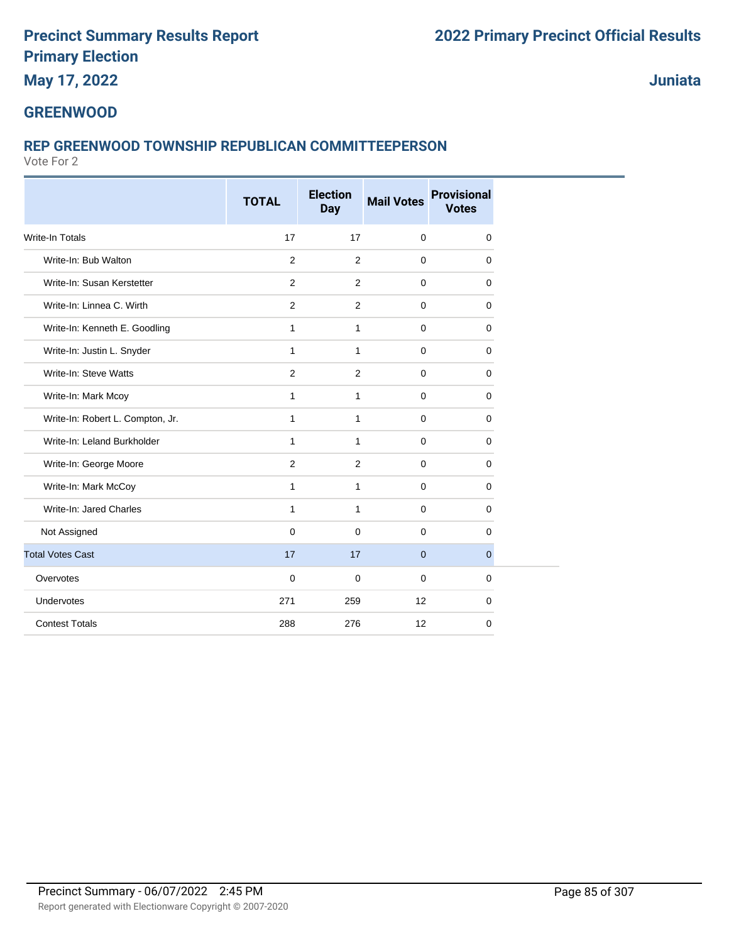**May 17, 2022**

**Juniata**

### **GREENWOOD**

## **REP GREENWOOD TOWNSHIP REPUBLICAN COMMITTEEPERSON**

|                                  | <b>TOTAL</b> | <b>Election</b><br><b>Day</b> | <b>Mail Votes</b> | <b>Provisional</b><br><b>Votes</b> |  |
|----------------------------------|--------------|-------------------------------|-------------------|------------------------------------|--|
| <b>Write-In Totals</b>           | 17           | 17                            | $\mathbf 0$       | $\mathbf 0$                        |  |
| Write-In: Bub Walton             | 2            | 2                             | $\mathbf 0$       | 0                                  |  |
| Write-In: Susan Kerstetter       | 2            | 2                             | $\mathbf 0$       | $\mathbf 0$                        |  |
| Write-In: Linnea C. Wirth        | 2            | 2                             | $\mathbf 0$       | 0                                  |  |
| Write-In: Kenneth E. Goodling    | $\mathbf{1}$ | $\mathbf{1}$                  | $\mathbf 0$       | 0                                  |  |
| Write-In: Justin L. Snyder       | $\mathbf{1}$ | $\mathbf{1}$                  | $\mathbf 0$       | $\mathbf 0$                        |  |
| Write-In: Steve Watts            | 2            | 2                             | $\mathbf 0$       | $\mathbf 0$                        |  |
| Write-In: Mark Mcoy              | $\mathbf{1}$ | $\mathbf{1}$                  | $\mathbf 0$       | $\mathbf 0$                        |  |
| Write-In: Robert L. Compton, Jr. | $\mathbf{1}$ | $\mathbf{1}$                  | $\mathbf 0$       | $\mathbf 0$                        |  |
| Write-In: Leland Burkholder      | 1            | 1                             | $\mathbf 0$       | $\mathbf 0$                        |  |
| Write-In: George Moore           | 2            | 2                             | $\mathbf 0$       | $\mathbf 0$                        |  |
| Write-In: Mark McCoy             | $\mathbf{1}$ | $\mathbf{1}$                  | $\mathbf 0$       | $\mathbf 0$                        |  |
| Write-In: Jared Charles          | $\mathbf{1}$ | $\mathbf{1}$                  | $\mathbf 0$       | $\mathbf 0$                        |  |
| Not Assigned                     | $\mathbf 0$  | $\mathbf 0$                   | $\mathbf 0$       | $\mathbf 0$                        |  |
| <b>Total Votes Cast</b>          | 17           | 17                            | $\overline{0}$    | $\overline{0}$                     |  |
| Overvotes                        | $\mathbf 0$  | $\mathbf 0$                   | $\mathbf 0$       | $\mathbf 0$                        |  |
| Undervotes                       | 271          | 259                           | 12                | $\mathbf 0$                        |  |
| <b>Contest Totals</b>            | 288          | 276                           | 12                | 0                                  |  |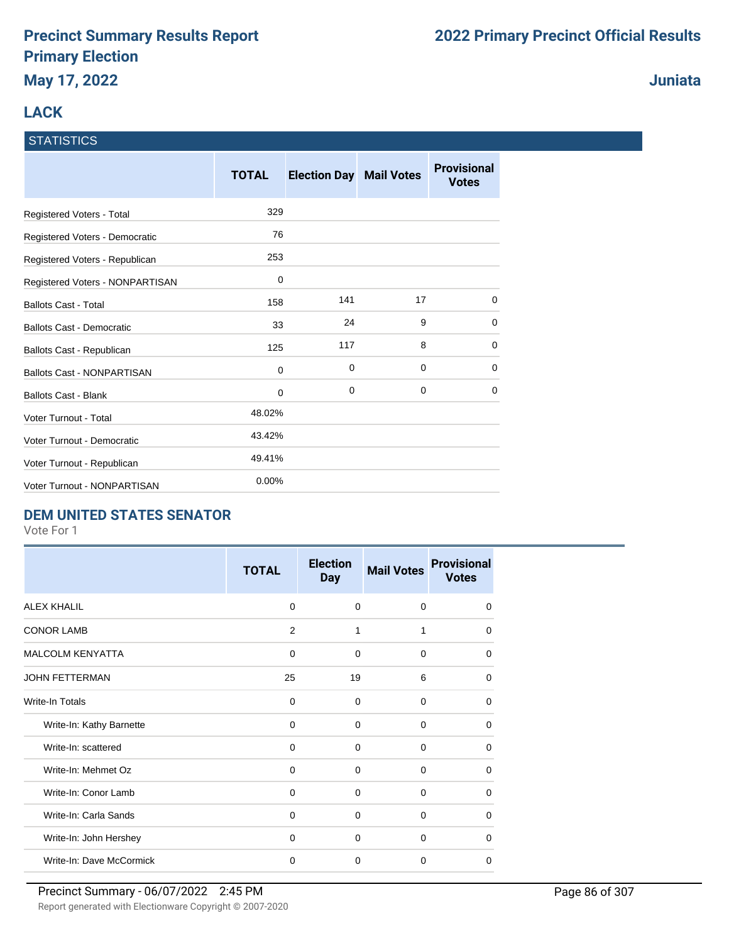# **LACK**

#### **STATISTICS**

|                                   | <b>TOTAL</b> | <b>Election Day Mail Votes</b> |             | <b>Provisional</b><br><b>Votes</b> |
|-----------------------------------|--------------|--------------------------------|-------------|------------------------------------|
| Registered Voters - Total         | 329          |                                |             |                                    |
| Registered Voters - Democratic    | 76           |                                |             |                                    |
| Registered Voters - Republican    | 253          |                                |             |                                    |
| Registered Voters - NONPARTISAN   | 0            |                                |             |                                    |
| <b>Ballots Cast - Total</b>       | 158          | 141                            | 17          | $\Omega$                           |
| <b>Ballots Cast - Democratic</b>  | 33           | 24                             | 9           | 0                                  |
| Ballots Cast - Republican         | 125          | 117                            | 8           | 0                                  |
| <b>Ballots Cast - NONPARTISAN</b> | 0            | 0                              | $\mathbf 0$ | 0                                  |
| <b>Ballots Cast - Blank</b>       | 0            | 0                              | 0           | $\Omega$                           |
| <b>Voter Turnout - Total</b>      | 48.02%       |                                |             |                                    |
| Voter Turnout - Democratic        | 43.42%       |                                |             |                                    |
| Voter Turnout - Republican        | 49.41%       |                                |             |                                    |
| Voter Turnout - NONPARTISAN       | 0.00%        |                                |             |                                    |

## **DEM UNITED STATES SENATOR**

Vote For 1

|                          | <b>TOTAL</b>   | <b>Election</b><br><b>Day</b> | <b>Mail Votes</b> | <b>Provisional</b><br><b>Votes</b> |
|--------------------------|----------------|-------------------------------|-------------------|------------------------------------|
| <b>ALEX KHALIL</b>       | $\Omega$       | $\Omega$                      | $\Omega$          | $\Omega$                           |
| <b>CONOR LAMB</b>        | $\overline{2}$ | 1                             | 1                 | $\Omega$                           |
| <b>MALCOLM KENYATTA</b>  | 0              | $\mathbf 0$                   | $\mathbf 0$       | $\Omega$                           |
| <b>JOHN FETTERMAN</b>    | 25             | 19                            | 6                 | $\Omega$                           |
| Write-In Totals          | $\Omega$       | $\Omega$                      | $\Omega$          | $\Omega$                           |
| Write-In: Kathy Barnette | $\Omega$       | $\Omega$                      | $\Omega$          | $\Omega$                           |
| Write-In: scattered      | 0              | $\Omega$                      | $\Omega$          | $\Omega$                           |
| Write-In: Mehmet Oz      | 0              | $\Omega$                      | 0                 | $\Omega$                           |
| Write-In: Conor Lamb     | 0              | 0                             | $\mathbf 0$       | $\Omega$                           |
| Write-In: Carla Sands    | $\mathbf 0$    | $\mathbf 0$                   | 0                 | $\Omega$                           |
| Write-In: John Hershey   | $\Omega$       | $\Omega$                      | $\Omega$          | $\Omega$                           |
| Write-In: Dave McCormick | $\mathbf 0$    | $\Omega$                      | $\Omega$          | $\Omega$                           |

#### **Juniata**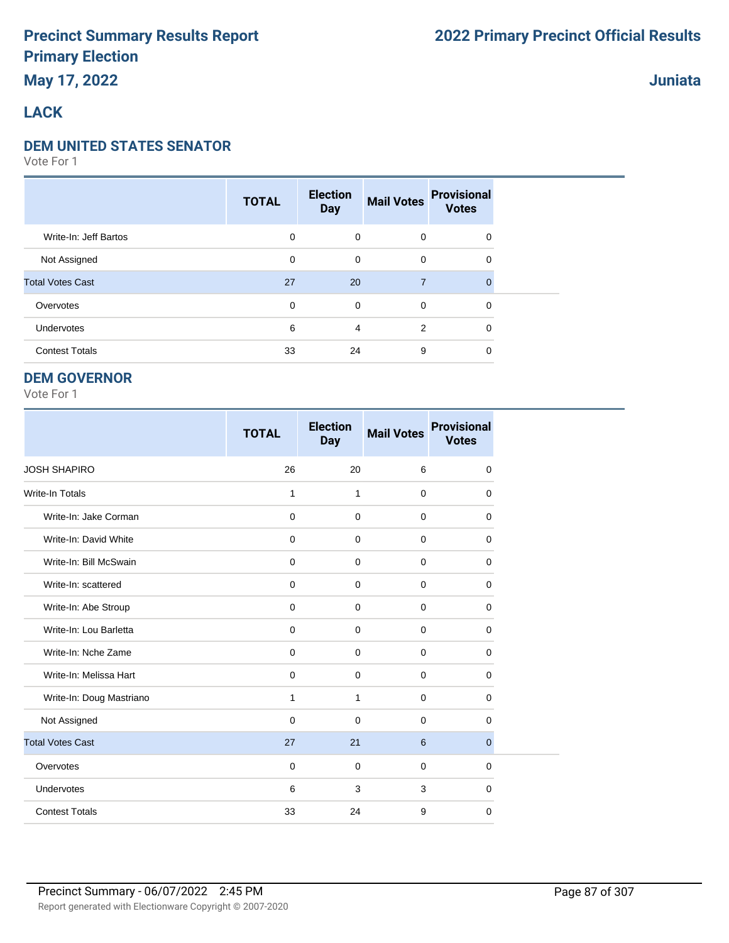# **May 17, 2022**

## **Juniata**

### **LACK**

#### **DEM UNITED STATES SENATOR**

Vote For 1

|                         | <b>TOTAL</b> | <b>Election</b><br><b>Day</b> | <b>Mail Votes</b> | <b>Provisional</b><br><b>Votes</b> |  |
|-------------------------|--------------|-------------------------------|-------------------|------------------------------------|--|
| Write-In: Jeff Bartos   | $\mathbf 0$  | $\mathbf 0$                   | $\mathbf 0$       | 0                                  |  |
| Not Assigned            | $\mathbf 0$  | $\mathbf 0$                   | $\mathbf 0$       | 0                                  |  |
| <b>Total Votes Cast</b> | 27           | 20                            | $\overline{7}$    | $\Omega$                           |  |
| Overvotes               | $\mathbf 0$  | $\mathbf 0$                   | $\Omega$          | 0                                  |  |
| Undervotes              | 6            | 4                             | 2                 | $\mathbf 0$                        |  |
| <b>Contest Totals</b>   | 33           | 24                            | 9                 | 0                                  |  |

#### **DEM GOVERNOR**

|                          | <b>TOTAL</b> | <b>Election</b><br><b>Day</b> | <b>Mail Votes</b> | <b>Provisional</b><br><b>Votes</b> |
|--------------------------|--------------|-------------------------------|-------------------|------------------------------------|
| <b>JOSH SHAPIRO</b>      | 26           | 20                            | 6                 | 0                                  |
| <b>Write-In Totals</b>   | 1            | $\mathbf{1}$                  | $\mathbf 0$       | $\mathbf 0$                        |
| Write-In: Jake Corman    | $\mathbf 0$  | $\mathbf 0$                   | $\mathbf 0$       | 0                                  |
| Write-In: David White    | $\mathbf 0$  | $\mathbf 0$                   | $\mathbf 0$       | 0                                  |
| Write-In: Bill McSwain   | $\mathbf 0$  | $\Omega$                      | $\mathbf 0$       | $\Omega$                           |
| Write-In: scattered      | $\mathbf 0$  | $\Omega$                      | $\Omega$          | $\Omega$                           |
| Write-In: Abe Stroup     | $\mathbf 0$  | $\Omega$                      | $\mathbf 0$       | 0                                  |
| Write-In: Lou Barletta   | $\mathbf 0$  | $\Omega$                      | $\mathbf 0$       | $\mathbf 0$                        |
| Write-In: Nche Zame      | 0            | $\mathbf 0$                   | 0                 | 0                                  |
| Write-In: Melissa Hart   | $\mathbf 0$  | $\mathbf 0$                   | $\mathbf 0$       | $\mathbf 0$                        |
| Write-In: Doug Mastriano | $\mathbf{1}$ | 1                             | $\mathbf 0$       | 0                                  |
| Not Assigned             | $\mathbf 0$  | $\Omega$                      | $\mathbf 0$       | $\mathbf 0$                        |
| <b>Total Votes Cast</b>  | 27           | 21                            | 6                 | $\mathbf{0}$                       |
| Overvotes                | $\mathbf 0$  | $\mathbf 0$                   | $\mathbf 0$       | 0                                  |
| Undervotes               | 6            | 3                             | 3                 | 0                                  |
| <b>Contest Totals</b>    | 33           | 24                            | 9                 | $\mathbf 0$                        |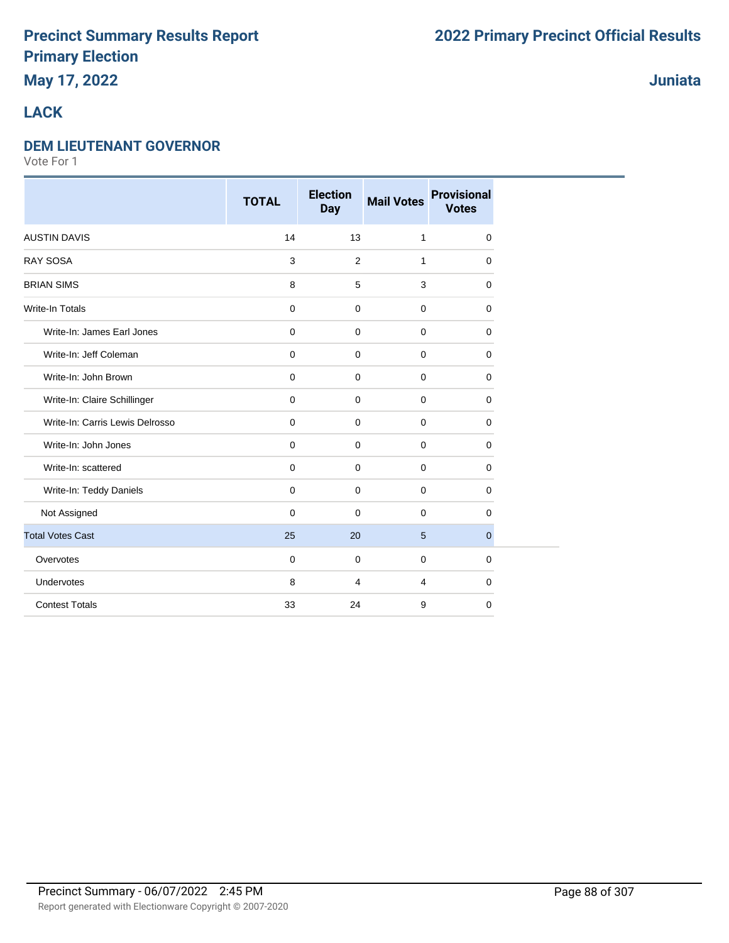# **May 17, 2022**

### **Juniata**

## **LACK**

#### **DEM LIEUTENANT GOVERNOR**

|                                 | <b>TOTAL</b>        | <b>Election</b><br><b>Day</b> | <b>Mail Votes</b> | <b>Provisional</b><br><b>Votes</b> |
|---------------------------------|---------------------|-------------------------------|-------------------|------------------------------------|
| <b>AUSTIN DAVIS</b>             | 14                  | 13                            | $\mathbf{1}$      | 0                                  |
| <b>RAY SOSA</b>                 | 3                   | 2                             | $\mathbf{1}$      | 0                                  |
| <b>BRIAN SIMS</b>               | 8                   | 5                             | 3                 | $\Omega$                           |
| <b>Write-In Totals</b>          | $\mathbf 0$         | 0                             | $\mathbf 0$       | $\Omega$                           |
| Write-In: James Earl Jones      | $\mathbf 0$         | $\mathbf 0$                   | $\mathbf 0$       | 0                                  |
| Write-In: Jeff Coleman          | $\mathbf 0$         | $\mathbf 0$                   | $\mathbf 0$       | 0                                  |
| Write-In: John Brown            | $\mathsf{O}\xspace$ | $\mathbf 0$                   | $\mathbf 0$       | $\mathbf 0$                        |
| Write-In: Claire Schillinger    | $\mathbf 0$         | $\mathbf 0$                   | $\mathbf 0$       | 0                                  |
| Write-In: Carris Lewis Delrosso | $\mathbf 0$         | $\mathbf 0$                   | $\mathbf 0$       | 0                                  |
| Write-In: John Jones            | $\mathbf 0$         | $\mathbf 0$                   | $\mathbf 0$       | $\mathbf 0$                        |
| Write-In: scattered             | $\mathbf 0$         | 0                             | $\mathbf 0$       | 0                                  |
| Write-In: Teddy Daniels         | $\mathbf 0$         | $\mathbf 0$                   | $\mathbf 0$       | 0                                  |
| Not Assigned                    | $\mathbf 0$         | $\mathbf 0$                   | $\mathbf 0$       | 0                                  |
| <b>Total Votes Cast</b>         | 25                  | 20                            | 5                 | $\overline{0}$                     |
| Overvotes                       | $\mathbf 0$         | $\mathbf 0$                   | $\mathbf 0$       | $\mathbf 0$                        |
| Undervotes                      | 8                   | 4                             | $\overline{4}$    | 0                                  |
| <b>Contest Totals</b>           | 33                  | 24                            | 9                 | 0                                  |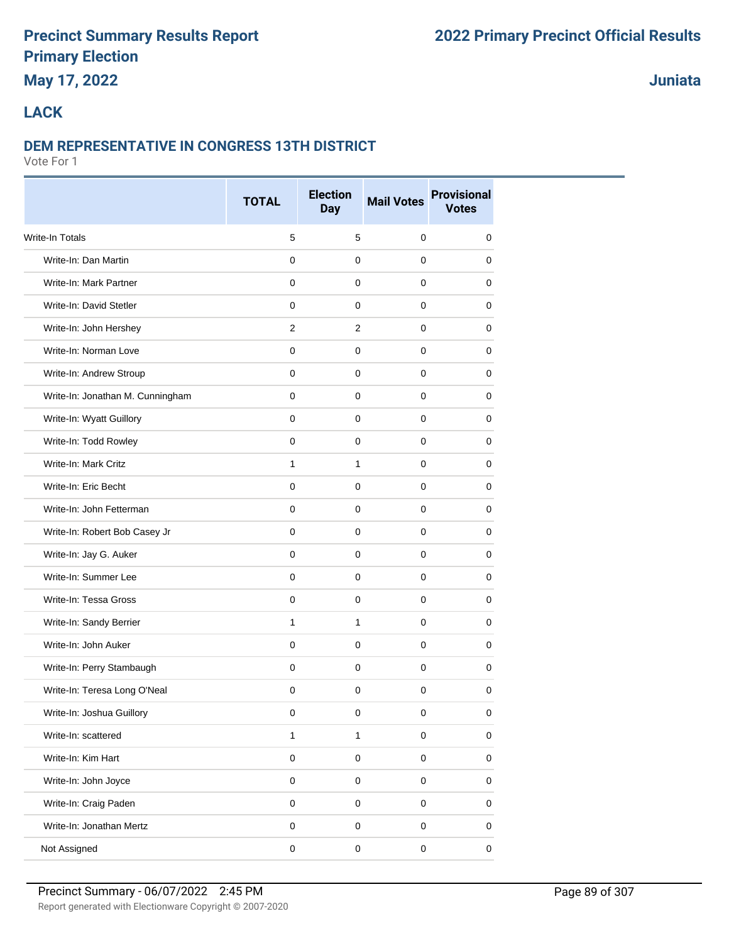# **May 17, 2022**

**Juniata**

#### **LACK**

#### **DEM REPRESENTATIVE IN CONGRESS 13TH DISTRICT**

|                                  | <b>TOTAL</b> | <b>Election</b><br><b>Day</b> | <b>Mail Votes</b> | <b>Provisional</b><br><b>Votes</b> |  |
|----------------------------------|--------------|-------------------------------|-------------------|------------------------------------|--|
| <b>Write-In Totals</b>           | 5            | 5                             | $\mathbf 0$       | 0                                  |  |
| Write-In: Dan Martin             | $\mathbf 0$  | 0                             | 0                 | 0                                  |  |
| Write-In: Mark Partner           | 0            | 0                             | 0                 | 0                                  |  |
| Write-In: David Stetler          | $\mathbf 0$  | $\mathbf 0$                   | $\mathbf 0$       | 0                                  |  |
| Write-In: John Hershey           | 2            | $\overline{2}$                | $\mathbf 0$       | 0                                  |  |
| Write-In: Norman Love            | $\mathbf 0$  | $\mathbf 0$                   | 0                 | 0                                  |  |
| Write-In: Andrew Stroup          | $\mathbf{0}$ | $\mathbf{0}$                  | $\mathbf 0$       | 0                                  |  |
| Write-In: Jonathan M. Cunningham | $\mathbf 0$  | 0                             | 0                 | 0                                  |  |
| Write-In: Wyatt Guillory         | $\mathbf 0$  | 0                             | 0                 | 0                                  |  |
| Write-In: Todd Rowley            | $\mathbf 0$  | 0                             | 0                 | 0                                  |  |
| Write-In: Mark Critz             | $\mathbf{1}$ | $\mathbf{1}$                  | 0                 | 0                                  |  |
| Write-In: Eric Becht             | $\mathbf 0$  | $\mathbf 0$                   | 0                 | 0                                  |  |
| Write-In: John Fetterman         | $\mathbf 0$  | $\mathbf 0$                   | $\mathbf 0$       | 0                                  |  |
| Write-In: Robert Bob Casey Jr    | $\mathbf 0$  | $\mathbf 0$                   | 0                 | 0                                  |  |
| Write-In: Jay G. Auker           | 0            | 0                             | 0                 | 0                                  |  |
| Write-In: Summer Lee             | $\mathbf 0$  | $\mathbf 0$                   | $\mathbf 0$       | 0                                  |  |
| Write-In: Tessa Gross            | $\mathbf 0$  | 0                             | $\mathbf 0$       | 0                                  |  |
| Write-In: Sandy Berrier          | 1            | $\mathbf{1}$                  | 0                 | 0                                  |  |
| Write-In: John Auker             | $\mathbf{0}$ | $\pmb{0}$                     | $\mathbf 0$       | 0                                  |  |
| Write-In: Perry Stambaugh        | $\mathbf 0$  | 0                             | 0                 | 0                                  |  |
| Write-In: Teresa Long O'Neal     | 0            | 0                             | 0                 | 0                                  |  |
| Write-In: Joshua Guillory        | 0            | $\mathsf 0$                   | 0                 | 0                                  |  |
| Write-In: scattered              | $\mathbf{1}$ | $\mathbf{1}$                  | $\mathsf 0$       | 0                                  |  |
| Write-In: Kim Hart               | $\mathsf 0$  | $\mathsf 0$                   | $\mathsf 0$       | $\pmb{0}$                          |  |
| Write-In: John Joyce             | $\pmb{0}$    | $\pmb{0}$                     | $\pmb{0}$         | 0                                  |  |
| Write-In: Craig Paden            | $\pmb{0}$    | 0                             | $\mathsf 0$       | 0                                  |  |
| Write-In: Jonathan Mertz         | $\pmb{0}$    | 0                             | $\mathsf 0$       | 0                                  |  |
| Not Assigned                     | $\mathsf 0$  | $\mathbf 0$                   | $\pmb{0}$         | $\pmb{0}$                          |  |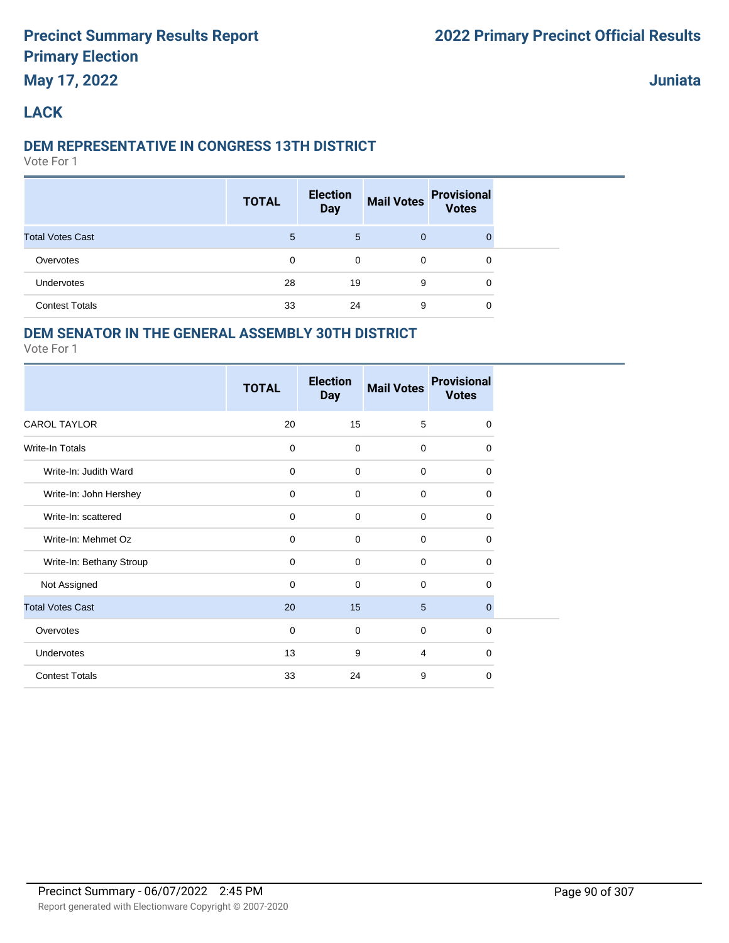#### **Juniata**

## **LACK**

#### **DEM REPRESENTATIVE IN CONGRESS 13TH DISTRICT**

Vote For 1

|                         | <b>TOTAL</b> | <b>Election</b><br><b>Day</b> | <b>Mail Votes</b> | <b>Provisional</b><br><b>Votes</b> |  |
|-------------------------|--------------|-------------------------------|-------------------|------------------------------------|--|
| <b>Total Votes Cast</b> | 5            | 5                             | $\mathbf{0}$      | 0                                  |  |
| Overvotes               | 0            | 0                             | $\mathbf 0$       | 0                                  |  |
| <b>Undervotes</b>       | 28           | 19                            | 9                 | 0                                  |  |
| <b>Contest Totals</b>   | 33           | 24                            | 9                 | 0                                  |  |

## **DEM SENATOR IN THE GENERAL ASSEMBLY 30TH DISTRICT**

|                          | <b>TOTAL</b> | <b>Election</b><br><b>Day</b> | <b>Mail Votes</b> | <b>Provisional</b><br><b>Votes</b> |
|--------------------------|--------------|-------------------------------|-------------------|------------------------------------|
| <b>CAROL TAYLOR</b>      | 20           | 15                            | 5                 | $\mathbf 0$                        |
| <b>Write-In Totals</b>   | $\mathbf 0$  | $\mathbf 0$                   | $\mathbf 0$       | 0                                  |
| Write-In: Judith Ward    | $\mathbf 0$  | 0                             | $\mathbf 0$       | $\mathbf 0$                        |
| Write-In: John Hershey   | $\mathbf 0$  | $\mathbf 0$                   | $\mathbf 0$       | 0                                  |
| Write-In: scattered      | $\mathbf 0$  | $\mathbf 0$                   | $\mathbf 0$       | 0                                  |
| Write-In: Mehmet Oz      | $\mathbf 0$  | $\mathbf 0$                   | $\mathbf 0$       | $\mathbf 0$                        |
| Write-In: Bethany Stroup | $\mathbf 0$  | 0                             | $\mathbf 0$       | 0                                  |
| Not Assigned             | $\mathbf 0$  | $\mathbf 0$                   | $\mathbf 0$       | $\Omega$                           |
| <b>Total Votes Cast</b>  | 20           | 15                            | 5                 | $\mathbf{0}$                       |
| Overvotes                | 0            | 0                             | $\mathbf 0$       | $\mathbf 0$                        |
| Undervotes               | 13           | 9                             | 4                 | $\Omega$                           |
| <b>Contest Totals</b>    | 33           | 24                            | 9                 | 0                                  |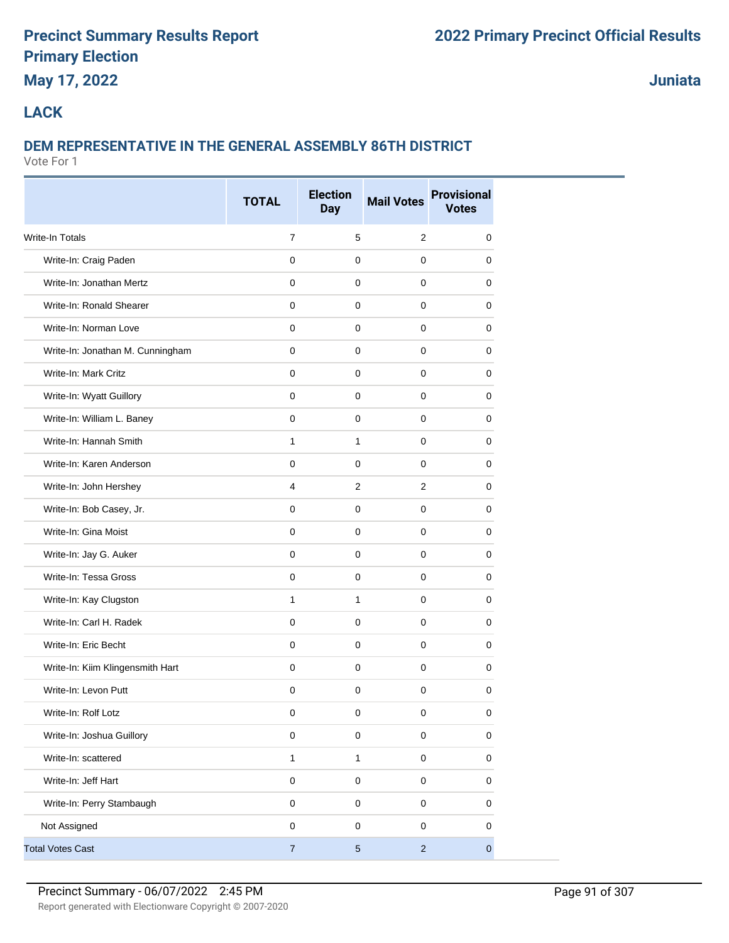# **May 17, 2022**

**Juniata**

## **LACK**

# **DEM REPRESENTATIVE IN THE GENERAL ASSEMBLY 86TH DISTRICT**

|                                  | <b>TOTAL</b>   | <b>Election</b><br><b>Day</b> | <b>Mail Votes</b> | <b>Provisional</b><br><b>Votes</b> |
|----------------------------------|----------------|-------------------------------|-------------------|------------------------------------|
| Write-In Totals                  | $\overline{7}$ | 5                             | $\overline{2}$    | 0                                  |
| Write-In: Craig Paden            | $\mathbf 0$    | $\mathbf 0$                   | $\mathbf 0$       | 0                                  |
| Write-In: Jonathan Mertz         | 0              | 0                             | $\mathbf 0$       | 0                                  |
| Write-In: Ronald Shearer         | $\mathbf 0$    | $\mathbf 0$                   | $\mathbf 0$       | 0                                  |
| Write-In: Norman Love            | $\mathbf 0$    | $\mathbf 0$                   | $\mathbf 0$       | 0                                  |
| Write-In: Jonathan M. Cunningham | $\mathbf 0$    | $\mathbf 0$                   | $\mathbf 0$       | 0                                  |
| Write-In: Mark Critz             | $\mathbf 0$    | $\mathbf 0$                   | $\mathbf 0$       | 0                                  |
| Write-In: Wyatt Guillory         | $\mathbf 0$    | $\mathbf 0$                   | $\mathbf 0$       | 0                                  |
| Write-In: William L. Baney       | $\mathbf 0$    | $\mathbf 0$                   | $\mathbf 0$       | 0                                  |
| Write-In: Hannah Smith           | $\mathbf{1}$   | 1                             | $\mathbf 0$       | 0                                  |
| Write-In: Karen Anderson         | $\mathbf 0$    | $\mathbf 0$                   | $\mathbf 0$       | 0                                  |
| Write-In: John Hershey           | 4              | 2                             | $\overline{2}$    | 0                                  |
| Write-In: Bob Casey, Jr.         | $\mathbf 0$    | $\mathbf 0$                   | $\mathbf 0$       | 0                                  |
| Write-In: Gina Moist             | $\mathbf 0$    | $\pmb{0}$                     | $\mathbf{0}$      | 0                                  |
| Write-In: Jay G. Auker           | 0              | 0                             | 0                 | 0                                  |
| Write-In: Tessa Gross            | $\mathbf 0$    | $\mathbf 0$                   | 0                 | 0                                  |
| Write-In: Kay Clugston           | $\mathbf{1}$   | 1                             | $\mathbf 0$       | 0                                  |
| Write-In: Carl H. Radek          | $\mathbf 0$    | $\mathbf 0$                   | $\mathbf 0$       | 0                                  |
| Write-In: Eric Becht             | $\mathbf 0$    | $\mathbf 0$                   | $\mathbf 0$       | 0                                  |
| Write-In: Kiim Klingensmith Hart | $\mathbf 0$    | $\mathbf 0$                   | $\mathbf 0$       | 0                                  |
| Write-In: Levon Putt             | $\mathbf 0$    | 0                             | $\mathbf 0$       | 0                                  |
| Write-In: Rolf Lotz              | 0              | 0                             | 0                 | 0                                  |
| Write-In: Joshua Guillory        | $\mathsf 0$    | $\mathbf 0$                   | $\mathsf 0$       | $\mathbf 0$                        |
| Write-In: scattered              | $\mathbf{1}$   | $\mathbf{1}$                  | $\mathsf 0$       | 0                                  |
| Write-In: Jeff Hart              | $\pmb{0}$      | $\mathsf{O}\xspace$           | $\mathbf 0$       | $\pmb{0}$                          |
| Write-In: Perry Stambaugh        | $\mathsf 0$    | $\mathsf 0$                   | $\mathsf 0$       | 0                                  |
| Not Assigned                     | $\pmb{0}$      | $\pmb{0}$                     | $\mathbf 0$       | 0                                  |
| <b>Total Votes Cast</b>          | $\overline{7}$ | $\overline{5}$                | $\overline{2}$    | $\mathbf{0}$                       |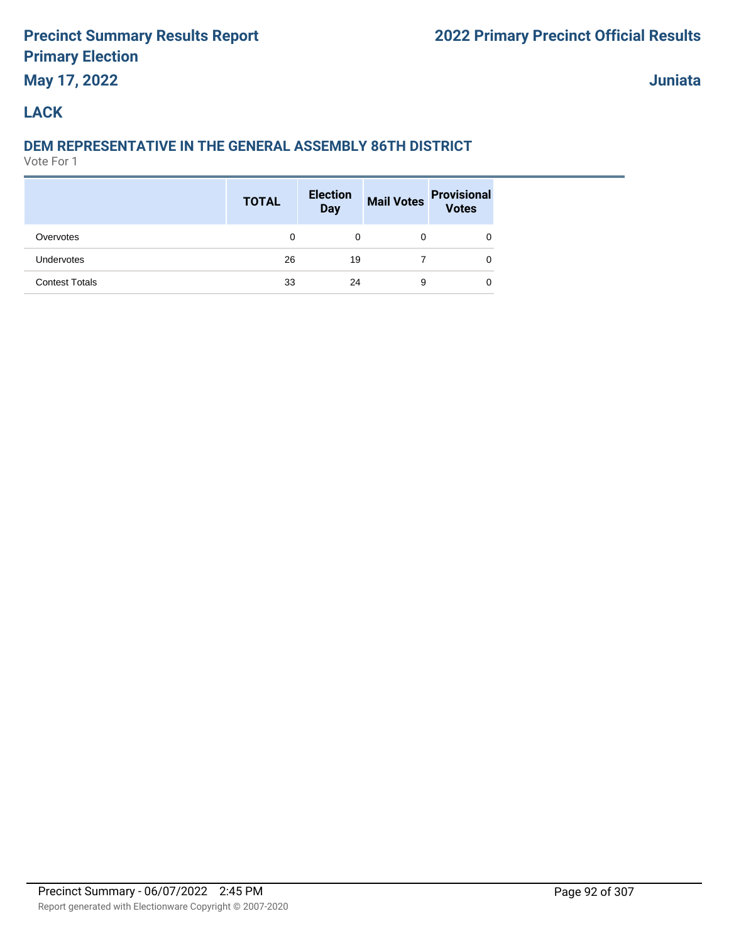# **May 17, 2022**

**Juniata**

## **LACK**

# **DEM REPRESENTATIVE IN THE GENERAL ASSEMBLY 86TH DISTRICT**

|                       | <b>TOTAL</b> | <b>Election</b><br>Day | <b>Mail Votes</b> | <b>Provisional</b><br><b>Votes</b> |
|-----------------------|--------------|------------------------|-------------------|------------------------------------|
| Overvotes             | 0            | 0                      | 0                 |                                    |
| <b>Undervotes</b>     | 26           | 19                     |                   | 0                                  |
| <b>Contest Totals</b> | 33           | 24                     | 9                 | 0                                  |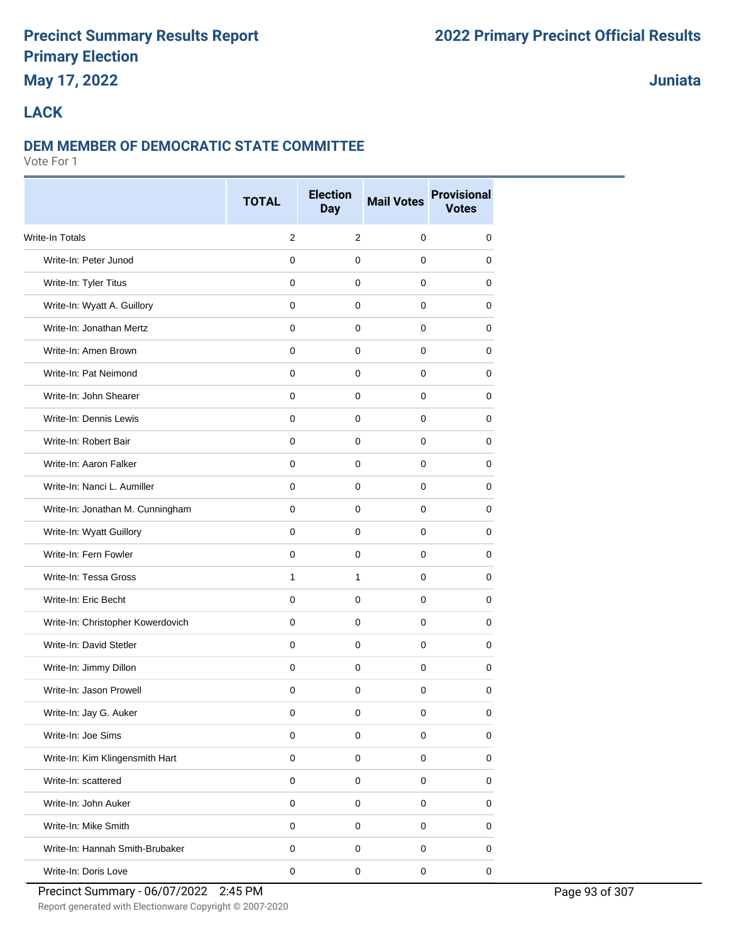# **May 17, 2022**

# **Juniata**

## **LACK**

#### **DEM MEMBER OF DEMOCRATIC STATE COMMITTEE**

|                                   | <b>TOTAL</b>        | <b>Election</b><br><b>Day</b> | <b>Mail Votes</b>   | <b>Provisional</b><br><b>Votes</b> |  |  |
|-----------------------------------|---------------------|-------------------------------|---------------------|------------------------------------|--|--|
| Write-In Totals                   | 2                   | $\overline{2}$                | $\mathbf 0$         | $\mathbf 0$                        |  |  |
| Write-In: Peter Junod             | $\mathbf 0$         | $\mathbf 0$                   | $\mathbf 0$         | 0                                  |  |  |
| Write-In: Tyler Titus             | 0                   | $\mathbf 0$                   | 0                   | 0                                  |  |  |
| Write-In: Wyatt A. Guillory       | $\mathbf 0$         | $\mathbf 0$                   | 0                   | 0                                  |  |  |
| Write-In: Jonathan Mertz          | $\mathbf 0$         | $\mathbf 0$                   | $\mathbf 0$         | 0                                  |  |  |
| Write-In: Amen Brown              | $\mathbf 0$         | $\mathbf 0$                   | $\mathbf 0$         | 0                                  |  |  |
| Write-In: Pat Neimond             | $\Omega$            | $\mathbf 0$                   | $\mathbf 0$         | 0                                  |  |  |
| Write-In: John Shearer            | $\mathbf 0$         | $\mathbf 0$                   | $\mathbf 0$         | 0                                  |  |  |
| Write-In: Dennis Lewis            | $\mathbf 0$         | $\mathbf 0$                   | 0                   | 0                                  |  |  |
| Write-In: Robert Bair             | 0                   | 0                             | 0                   | 0                                  |  |  |
| Write-In: Aaron Falker            | $\mathbf 0$         | $\mathbf 0$                   | $\mathbf 0$         | 0                                  |  |  |
| Write-In: Nanci L. Aumiller       | $\Omega$            | $\mathbf 0$                   | $\mathbf 0$         | 0                                  |  |  |
| Write-In: Jonathan M. Cunningham  | $\mathbf 0$         | $\mathbf 0$                   | $\mathbf 0$         | 0                                  |  |  |
| Write-In: Wyatt Guillory          | $\mathbf 0$         | $\mathbf 0$                   | $\mathbf 0$         | 0                                  |  |  |
| Write-In: Fern Fowler             | 0                   | 0                             | 0                   | 0                                  |  |  |
| Write-In: Tessa Gross             | $\mathbf{1}$        | $\mathbf{1}$                  | $\mathbf 0$         | 0                                  |  |  |
| Write-In: Eric Becht              | $\mathbf 0$         | $\mathbf 0$                   | $\mathbf 0$         | 0                                  |  |  |
| Write-In: Christopher Kowerdovich | $\mathbf 0$         | $\mathbf 0$                   | $\mathbf 0$         | 0                                  |  |  |
| Write-In: David Stetler           | $\Omega$            | $\mathbf 0$                   | $\mathbf 0$         | $\mathbf 0$                        |  |  |
| Write-In: Jimmy Dillon            | $\mathbf 0$         | $\mathbf 0$                   | $\mathbf 0$         | 0                                  |  |  |
| Write-In: Jason Prowell           | 0                   | $\mathbf 0$                   | $\mathbf 0$         | 0                                  |  |  |
| Write-In: Jay G. Auker            | 0                   | 0                             | 0                   | 0                                  |  |  |
| Write-In: Joe Sims                | $\pmb{0}$           | $\mathbf 0$                   | $\mathsf 0$         | $\mathbf 0$                        |  |  |
| Write-In: Kim Klingensmith Hart   | $\pmb{0}$           | $\pmb{0}$                     | $\mathsf{O}\xspace$ | $\pmb{0}$                          |  |  |
| Write-In: scattered               | $\mathsf{O}\xspace$ | $\pmb{0}$                     | $\mathbf 0$         | $\pmb{0}$                          |  |  |
| Write-In: John Auker              | $\pmb{0}$           | $\mathbf 0$                   | $\mathsf 0$         | $\pmb{0}$                          |  |  |
| Write-In: Mike Smith              | $\pmb{0}$           | $\pmb{0}$                     | $\mathsf 0$         | 0                                  |  |  |
| Write-In: Hannah Smith-Brubaker   | $\pmb{0}$           | $\pmb{0}$                     | $\mathsf 0$         | 0                                  |  |  |
| Write-In: Doris Love              | $\pmb{0}$           | $\mathsf 0$                   | $\mathbf 0$         | $\pmb{0}$                          |  |  |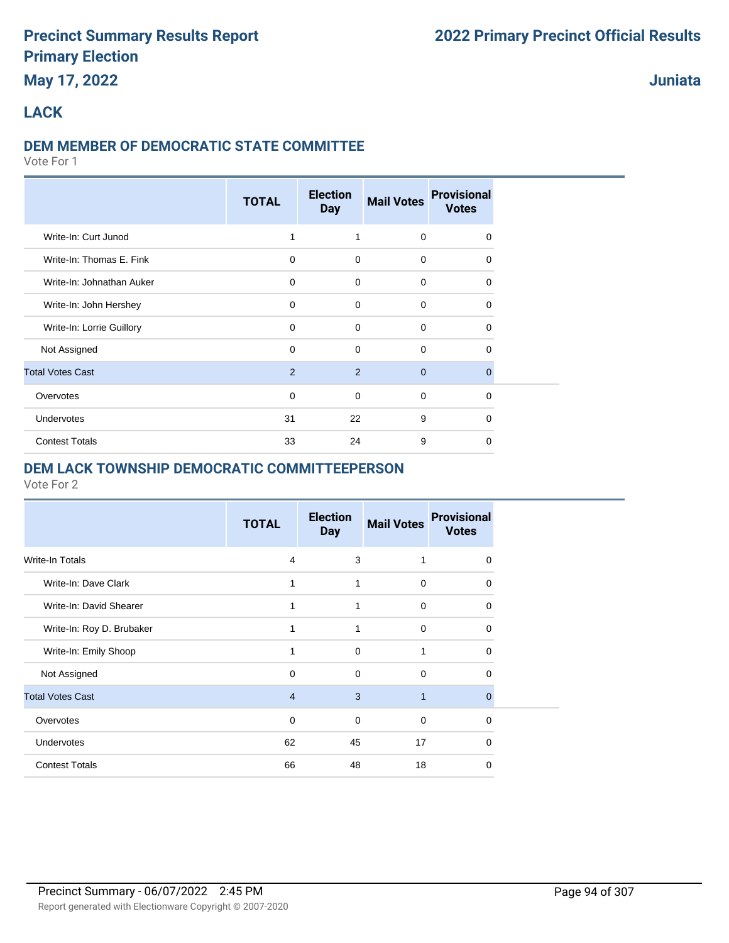# **May 17, 2022**

**Juniata**

## **LACK**

#### **DEM MEMBER OF DEMOCRATIC STATE COMMITTEE**

Vote For 1

|                           | <b>TOTAL</b> | <b>Election</b><br><b>Day</b> | <b>Mail Votes</b> | <b>Provisional</b><br><b>Votes</b> |  |
|---------------------------|--------------|-------------------------------|-------------------|------------------------------------|--|
| Write-In: Curt Junod      | 1            | 1                             | $\mathbf 0$       | 0                                  |  |
| Write-In: Thomas E. Fink  | $\mathbf 0$  | $\Omega$                      | $\mathbf 0$       | $\Omega$                           |  |
| Write-In: Johnathan Auker | $\mathbf 0$  | $\mathbf 0$                   | $\mathbf 0$       | $\Omega$                           |  |
| Write-In: John Hershey    | $\mathbf 0$  | $\Omega$                      | $\mathbf 0$       | $\Omega$                           |  |
| Write-In: Lorrie Guillory | $\mathbf 0$  | $\mathbf 0$                   | $\mathbf 0$       | 0                                  |  |
| Not Assigned              | $\mathbf 0$  | $\mathbf 0$                   | $\mathbf 0$       | 0                                  |  |
| <b>Total Votes Cast</b>   | 2            | 2                             | $\mathbf{0}$      | $\Omega$                           |  |
| Overvotes                 | $\mathbf 0$  | $\mathbf 0$                   | $\mathbf 0$       | $\Omega$                           |  |
| Undervotes                | 31           | 22                            | 9                 | 0                                  |  |
| <b>Contest Totals</b>     | 33           | 24                            | 9                 | $\Omega$                           |  |

#### **DEM LACK TOWNSHIP DEMOCRATIC COMMITTEEPERSON**

|                           | <b>TOTAL</b>   | <b>Election</b><br><b>Day</b> | <b>Mail Votes</b> | <b>Provisional</b><br><b>Votes</b> |
|---------------------------|----------------|-------------------------------|-------------------|------------------------------------|
| Write-In Totals           | $\overline{4}$ | 3                             | 1                 | 0                                  |
| Write-In: Dave Clark      | 1              | 1                             | $\mathbf 0$       | 0                                  |
| Write-In: David Shearer   | 1              | 1                             | $\mathbf 0$       | 0                                  |
| Write-In: Roy D. Brubaker | 1              | 1                             | $\mathbf 0$       | 0                                  |
| Write-In: Emily Shoop     | 1              | $\mathbf 0$                   | 1                 | 0                                  |
| Not Assigned              | 0              | $\mathbf 0$                   | $\mathbf 0$       | 0                                  |
| <b>Total Votes Cast</b>   | $\overline{4}$ | 3                             | $\mathbf{1}$      | $\Omega$                           |
| Overvotes                 | $\mathbf 0$    | $\Omega$                      | $\Omega$          | $\Omega$                           |
| <b>Undervotes</b>         | 62             | 45                            | 17                | 0                                  |
| <b>Contest Totals</b>     | 66             | 48                            | 18                | 0                                  |
|                           |                |                               |                   |                                    |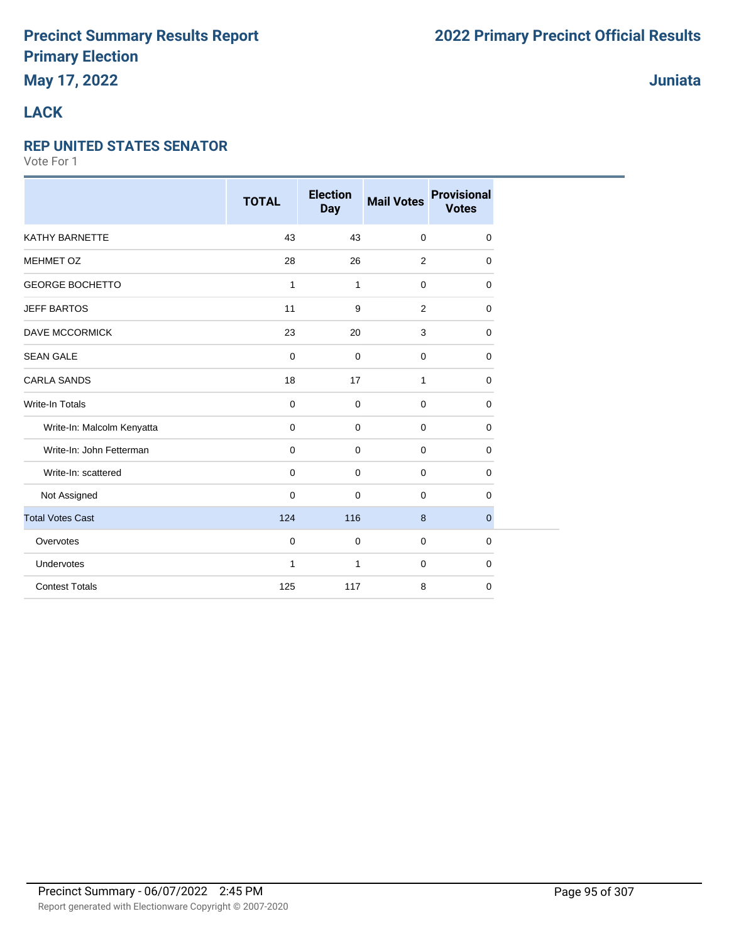## **Juniata**

## **LACK**

#### **REP UNITED STATES SENATOR**

|                            | <b>TOTAL</b> | <b>Election</b><br><b>Day</b> | <b>Mail Votes</b> | <b>Provisional</b><br><b>Votes</b> |
|----------------------------|--------------|-------------------------------|-------------------|------------------------------------|
| <b>KATHY BARNETTE</b>      | 43           | 43                            | $\mathbf 0$       | 0                                  |
| <b>MEHMET OZ</b>           | 28           | 26                            | 2                 | 0                                  |
| <b>GEORGE BOCHETTO</b>     | $\mathbf{1}$ | $\mathbf{1}$                  | $\mathbf 0$       | 0                                  |
| <b>JEFF BARTOS</b>         | 11           | 9                             | 2                 | 0                                  |
| <b>DAVE MCCORMICK</b>      | 23           | 20                            | 3                 | 0                                  |
| <b>SEAN GALE</b>           | $\mathbf 0$  | $\mathbf 0$                   | $\mathbf 0$       | 0                                  |
| <b>CARLA SANDS</b>         | 18           | 17                            | $\mathbf{1}$      | 0                                  |
| <b>Write-In Totals</b>     | $\mathbf 0$  | 0                             | $\mathbf 0$       | 0                                  |
| Write-In: Malcolm Kenyatta | $\mathbf 0$  | $\mathbf 0$                   | $\mathbf 0$       | 0                                  |
| Write-In: John Fetterman   | $\mathbf 0$  | 0                             | $\mathbf 0$       | 0                                  |
| Write-In: scattered        | $\mathbf 0$  | 0                             | $\mathbf 0$       | 0                                  |
| Not Assigned               | $\mathbf 0$  | 0                             | $\mathbf 0$       | 0                                  |
| <b>Total Votes Cast</b>    | 124          | 116                           | 8                 | $\mathbf{0}$                       |
| Overvotes                  | $\mathbf 0$  | 0                             | $\mathbf 0$       | 0                                  |
| Undervotes                 | $\mathbf{1}$ | $\mathbf{1}$                  | $\mathbf 0$       | 0                                  |
| <b>Contest Totals</b>      | 125          | 117                           | 8                 | 0                                  |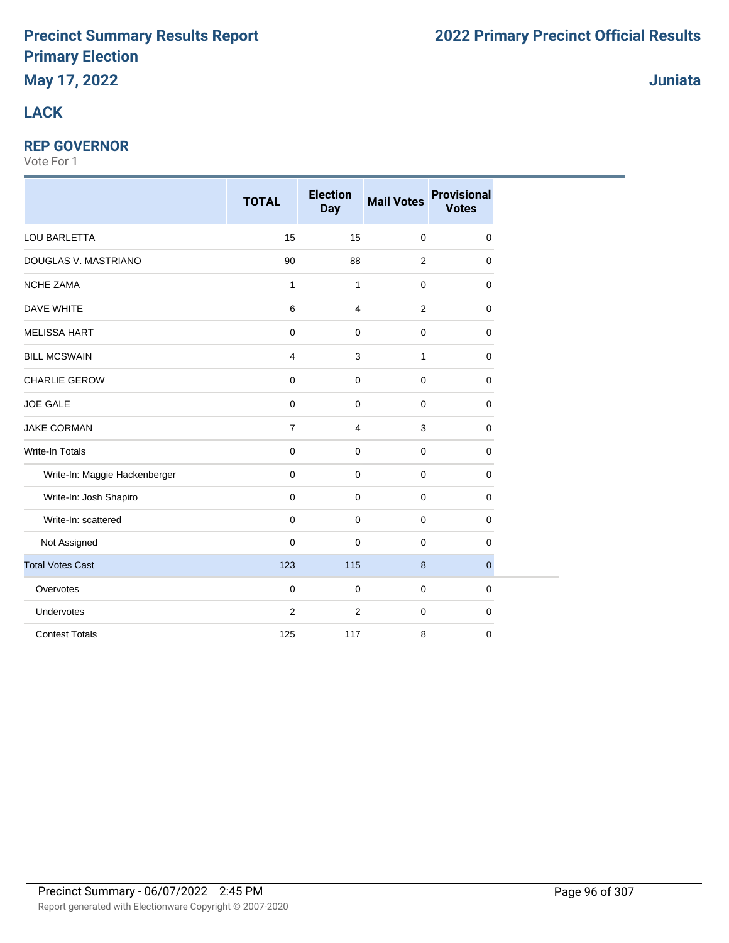# **LACK**

## **REP GOVERNOR**

|                               | <b>TOTAL</b>   | <b>Election</b><br><b>Day</b> | <b>Mail Votes</b> | <b>Provisional</b><br><b>Votes</b> |
|-------------------------------|----------------|-------------------------------|-------------------|------------------------------------|
| LOU BARLETTA                  | 15             | 15                            | $\mathbf 0$       | $\mathbf 0$                        |
| DOUGLAS V. MASTRIANO          | 90             | 88                            | $\overline{2}$    | 0                                  |
| <b>NCHE ZAMA</b>              | $\mathbf{1}$   | $\mathbf{1}$                  | $\mathbf 0$       | 0                                  |
| <b>DAVE WHITE</b>             | 6              | 4                             | $\overline{2}$    | $\mathbf 0$                        |
| <b>MELISSA HART</b>           | $\pmb{0}$      | $\mathbf 0$                   | $\mathbf 0$       | $\mathbf 0$                        |
| <b>BILL MCSWAIN</b>           | 4              | 3                             | 1                 | $\mathbf 0$                        |
| <b>CHARLIE GEROW</b>          | $\pmb{0}$      | $\mathbf 0$                   | $\mathbf 0$       | $\mathbf 0$                        |
| <b>JOE GALE</b>               | $\pmb{0}$      | $\mathsf 0$                   | $\mathbf 0$       | $\mathbf 0$                        |
| <b>JAKE CORMAN</b>            | $\overline{7}$ | $\overline{4}$                | 3                 | $\mathbf 0$                        |
| <b>Write-In Totals</b>        | 0              | 0                             | $\mathbf 0$       | 0                                  |
| Write-In: Maggie Hackenberger | 0              | $\mathbf 0$                   | $\mathbf 0$       | 0                                  |
| Write-In: Josh Shapiro        | 0              | $\mathbf 0$                   | $\mathbf 0$       | 0                                  |
| Write-In: scattered           | 0              | $\mathbf 0$                   | $\mathbf 0$       | 0                                  |
| Not Assigned                  | 0              | $\mathbf 0$                   | $\mathbf 0$       | 0                                  |
| <b>Total Votes Cast</b>       | 123            | 115                           | 8                 | $\mathbf{0}$                       |
| Overvotes                     | 0              | $\mathbf 0$                   | $\mathbf 0$       | $\mathbf 0$                        |
| Undervotes                    | $\overline{2}$ | $\overline{2}$                | $\mathbf 0$       | 0                                  |
| <b>Contest Totals</b>         | 125            | 117                           | 8                 | $\mathbf 0$                        |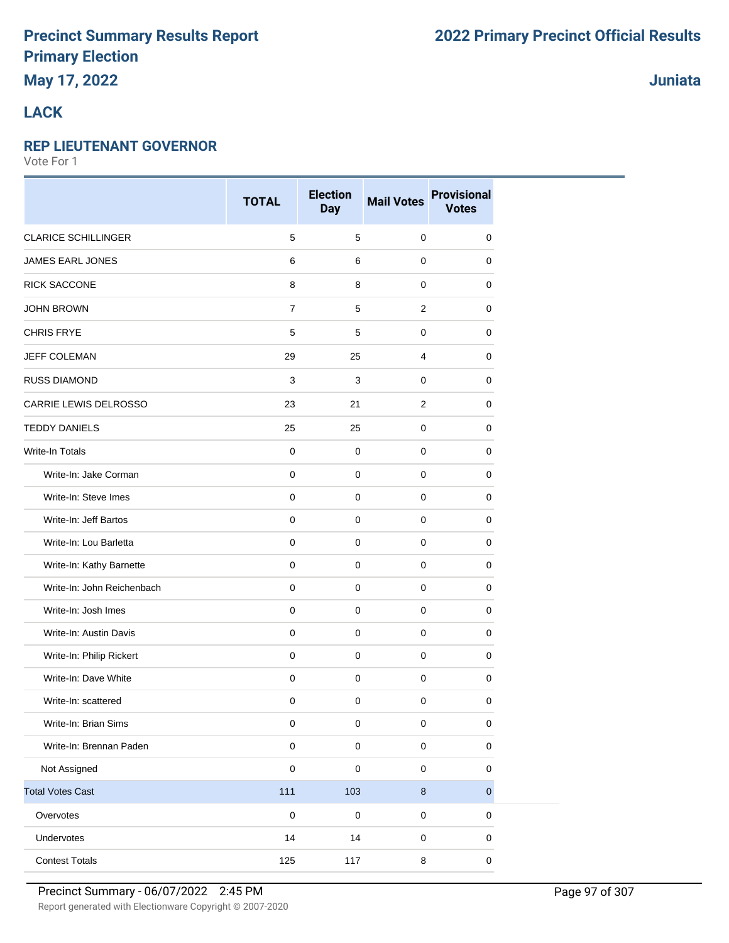# **May 17, 2022**

## **Juniata**

## **LACK**

#### **REP LIEUTENANT GOVERNOR**

|                            | <b>TOTAL</b>   | <b>Election</b><br><b>Day</b> | <b>Mail Votes</b> | <b>Provisional</b><br><b>Votes</b> |
|----------------------------|----------------|-------------------------------|-------------------|------------------------------------|
| <b>CLARICE SCHILLINGER</b> | 5              | 5                             | $\mathbf 0$       | 0                                  |
| JAMES EARL JONES           | 6              | 6                             | $\mathbf 0$       | $\mathbf 0$                        |
| <b>RICK SACCONE</b>        | 8              | 8                             | $\mathbf 0$       | 0                                  |
| <b>JOHN BROWN</b>          | $\overline{7}$ | 5                             | 2                 | $\mathbf 0$                        |
| <b>CHRIS FRYE</b>          | 5              | 5                             | $\mathbf 0$       | $\pmb{0}$                          |
| <b>JEFF COLEMAN</b>        | 29             | 25                            | 4                 | 0                                  |
| <b>RUSS DIAMOND</b>        | 3              | 3                             | $\mathbf 0$       | $\mathbf 0$                        |
| CARRIE LEWIS DELROSSO      | 23             | 21                            | 2                 | $\pmb{0}$                          |
| <b>TEDDY DANIELS</b>       | 25             | 25                            | $\mathbf 0$       | 0                                  |
| Write-In Totals            | $\mathbf 0$    | 0                             | $\pmb{0}$         | $\mathbf 0$                        |
| Write-In: Jake Corman      | $\mathbf 0$    | 0                             | $\pmb{0}$         | $\mathbf 0$                        |
| Write-In: Steve Imes       | $\mathbf 0$    | 0                             | $\pmb{0}$         | $\mathbf 0$                        |
| Write-In: Jeff Bartos      | $\mathbf 0$    | $\mathbf 0$                   | $\mathbf 0$       | $\mathbf 0$                        |
| Write-In: Lou Barletta     | 0              | 0                             | $\mathbf 0$       | 0                                  |
| Write-In: Kathy Barnette   | $\mathbf 0$    | 0                             | $\pmb{0}$         | $\mathbf 0$                        |
| Write-In: John Reichenbach | $\mathbf 0$    | $\mathbf 0$                   | $\mathbf 0$       | 0                                  |
| Write-In: Josh Imes        | 0              | 0                             | $\pmb{0}$         | 0                                  |
| Write-In: Austin Davis     | $\pmb{0}$      | $\mathbf 0$                   | $\mathbf 0$       | $\pmb{0}$                          |
| Write-In: Philip Rickert   | 0              | $\mathbf 0$                   | $\pmb{0}$         | 0                                  |
| Write-In: Dave White       | 0              | 0                             | $\pmb{0}$         | 0                                  |
| Write-In: scattered        | 0              | 0                             | $\pmb{0}$         | $\mathbf 0$                        |
| Write-In: Brian Sims       | $\mathsf 0$    | $\pmb{0}$                     | $\pmb{0}$         | $\pmb{0}$                          |
| Write-In: Brennan Paden    | $\mathsf 0$    | $\mathsf 0$                   | $\pmb{0}$         | $\pmb{0}$                          |
| Not Assigned               | $\pmb{0}$      | $\mathbf 0$                   | $\pmb{0}$         | $\mathsf 0$                        |
| <b>Total Votes Cast</b>    | 111            | 103                           | $\bf 8$           | $\mathbf{0}$                       |
| Overvotes                  | $\mathsf 0$    | $\pmb{0}$                     | $\pmb{0}$         | $\pmb{0}$                          |
| Undervotes                 | 14             | 14                            | $\pmb{0}$         | $\pmb{0}$                          |
| <b>Contest Totals</b>      | 125            | 117                           | $\bf 8$           | $\mathbf 0$                        |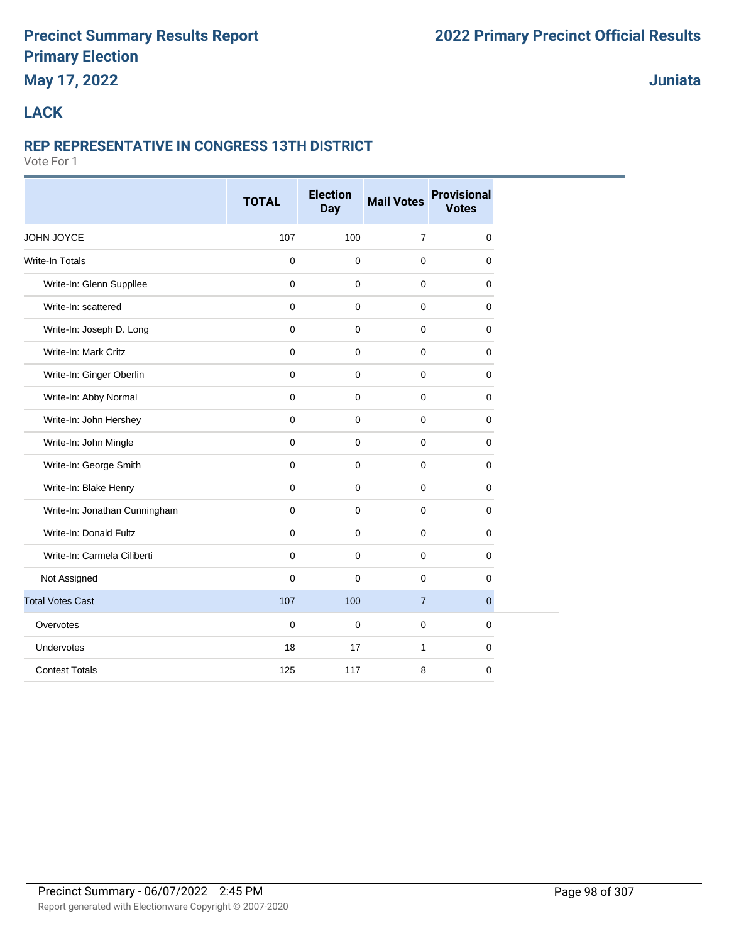# **May 17, 2022**

**Juniata**

## **LACK**

#### **REP REPRESENTATIVE IN CONGRESS 13TH DISTRICT**

|                               | <b>TOTAL</b> | <b>Election</b><br>Day | <b>Mail Votes</b> | <b>Provisional</b><br><b>Votes</b> |
|-------------------------------|--------------|------------------------|-------------------|------------------------------------|
| JOHN JOYCE                    | 107          | 100                    | $\overline{7}$    | 0                                  |
| <b>Write-In Totals</b>        | 0            | $\mathbf 0$            | $\mathbf 0$       | 0                                  |
| Write-In: Glenn Suppllee      | $\mathbf 0$  | $\mathbf 0$            | $\mathbf 0$       | 0                                  |
| Write-In: scattered           | $\mathbf 0$  | $\mathbf 0$            | $\mathbf 0$       | 0                                  |
| Write-In: Joseph D. Long      | $\mathbf 0$  | $\mathbf 0$            | $\mathbf 0$       | 0                                  |
| Write-In: Mark Critz          | $\mathbf 0$  | $\mathbf 0$            | $\mathbf 0$       | 0                                  |
| Write-In: Ginger Oberlin      | $\mathbf 0$  | $\mathbf 0$            | $\mathbf 0$       | 0                                  |
| Write-In: Abby Normal         | $\mathbf 0$  | $\mathbf 0$            | $\mathbf 0$       | 0                                  |
| Write-In: John Hershey        | $\mathbf 0$  | $\mathbf 0$            | $\mathbf 0$       | 0                                  |
| Write-In: John Mingle         | $\mathbf{0}$ | $\mathbf 0$            | $\mathbf{0}$      | 0                                  |
| Write-In: George Smith        | $\mathbf 0$  | $\mathbf 0$            | $\mathbf 0$       | 0                                  |
| Write-In: Blake Henry         | $\mathbf 0$  | $\mathbf 0$            | $\mathbf 0$       | 0                                  |
| Write-In: Jonathan Cunningham | $\mathbf 0$  | $\mathbf 0$            | $\mathbf 0$       | 0                                  |
| Write-In: Donald Fultz        | $\mathbf 0$  | $\mathbf 0$            | $\mathbf 0$       | 0                                  |
| Write-In: Carmela Ciliberti   | $\mathbf 0$  | $\mathbf 0$            | 0                 | 0                                  |
| Not Assigned                  | $\mathbf 0$  | $\mathbf 0$            | $\mathbf 0$       | 0                                  |
| <b>Total Votes Cast</b>       | 107          | 100                    | $\overline{7}$    | $\overline{0}$                     |
| Overvotes                     | $\mathbf 0$  | $\mathbf 0$            | $\mathbf 0$       | 0                                  |
| Undervotes                    | 18           | 17                     | $\mathbf{1}$      | 0                                  |
| <b>Contest Totals</b>         | 125          | 117                    | 8                 | 0                                  |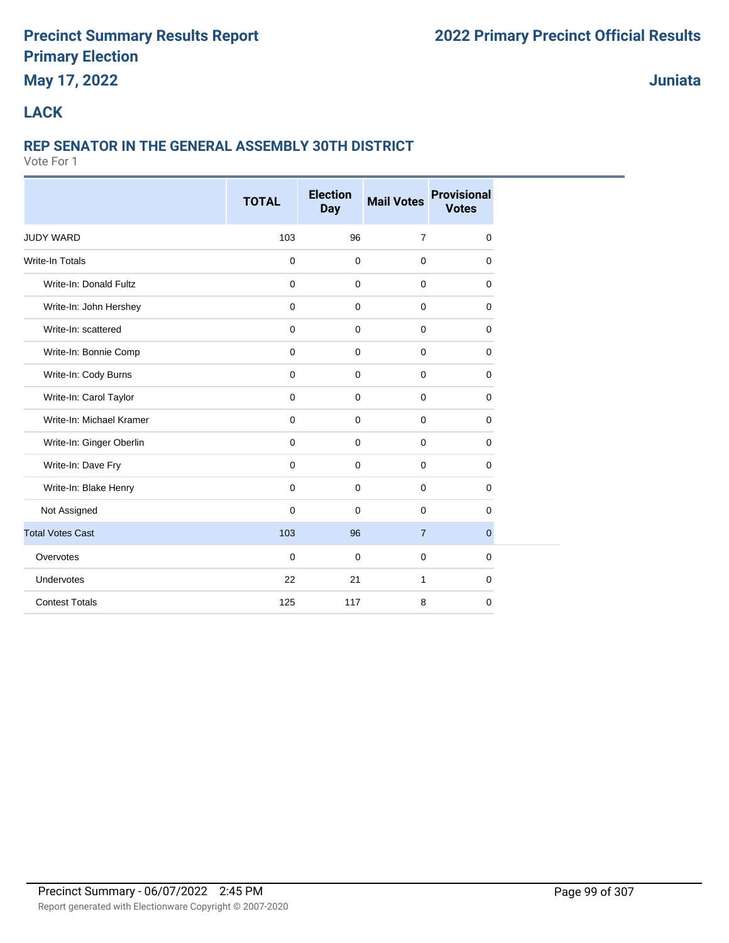# **May 17, 2022**

**Juniata**

## **LACK**

# **REP SENATOR IN THE GENERAL ASSEMBLY 30TH DISTRICT**

|                          | <b>TOTAL</b>        | <b>Election</b><br><b>Day</b> | <b>Mail Votes</b> | <b>Provisional</b><br><b>Votes</b> |
|--------------------------|---------------------|-------------------------------|-------------------|------------------------------------|
| <b>JUDY WARD</b>         | 103                 | 96                            | $\overline{7}$    | 0                                  |
| <b>Write-In Totals</b>   | $\mathbf 0$         | $\mathbf 0$                   | $\mathbf 0$       | 0                                  |
| Write-In: Donald Fultz   | $\mathbf 0$         | $\mathbf 0$                   | $\mathbf 0$       | $\mathbf 0$                        |
| Write-In: John Hershey   | $\mathbf 0$         | $\mathbf 0$                   | $\mathbf 0$       | $\mathbf 0$                        |
| Write-In: scattered      | $\mathbf 0$         | $\mathbf 0$                   | $\mathbf 0$       | 0                                  |
| Write-In: Bonnie Comp    | $\mathbf 0$         | $\mathbf 0$                   | $\mathbf 0$       | $\mathbf 0$                        |
| Write-In: Cody Burns     | $\mathsf{O}\xspace$ | $\mathbf 0$                   | $\mathbf 0$       | $\mathbf 0$                        |
| Write-In: Carol Taylor   | $\mathbf 0$         | $\mathbf 0$                   | $\mathbf 0$       | 0                                  |
| Write-In: Michael Kramer | $\mathbf 0$         | $\mathbf 0$                   | $\mathbf 0$       | 0                                  |
| Write-In: Ginger Oberlin | $\mathbf 0$         | $\mathbf 0$                   | $\mathbf 0$       | 0                                  |
| Write-In: Dave Fry       | $\mathbf 0$         | $\mathbf 0$                   | $\mathbf 0$       | $\mathbf 0$                        |
| Write-In: Blake Henry    | $\mathbf 0$         | 0                             | $\mathbf 0$       | $\mathbf 0$                        |
| Not Assigned             | $\mathbf 0$         | 0                             | $\mathbf 0$       | $\mathbf 0$                        |
| <b>Total Votes Cast</b>  | 103                 | 96                            | $\overline{7}$    | $\mathbf{0}$                       |
| Overvotes                | $\mathbf 0$         | $\mathbf 0$                   | $\mathbf 0$       | 0                                  |
| Undervotes               | 22                  | 21                            | 1                 | $\mathbf 0$                        |
| <b>Contest Totals</b>    | 125                 | 117                           | 8                 | $\mathbf 0$                        |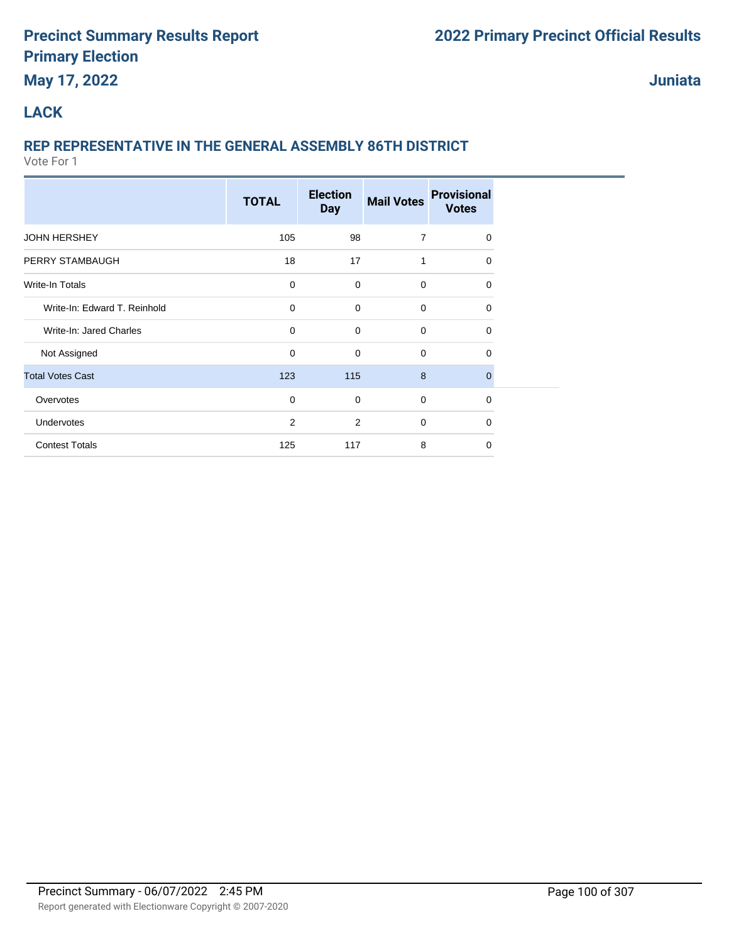# **May 17, 2022**

**Juniata**

## **LACK**

# **REP REPRESENTATIVE IN THE GENERAL ASSEMBLY 86TH DISTRICT**

|                              | <b>TOTAL</b>   | <b>Election</b><br><b>Day</b> | <b>Mail Votes</b> | <b>Provisional</b><br><b>Votes</b> |  |
|------------------------------|----------------|-------------------------------|-------------------|------------------------------------|--|
| <b>JOHN HERSHEY</b>          | 105            | 98                            | $\overline{7}$    | 0                                  |  |
| PERRY STAMBAUGH              | 18             | 17                            | 1                 | $\Omega$                           |  |
| Write-In Totals              | $\mathbf 0$    | $\Omega$                      | $\mathbf 0$       | $\Omega$                           |  |
| Write-In: Edward T. Reinhold | 0              | $\mathbf 0$                   | 0                 | 0                                  |  |
| Write-In: Jared Charles      | 0              | $\mathbf 0$                   | 0                 | 0                                  |  |
| Not Assigned                 | $\mathbf 0$    | $\mathbf 0$                   | $\mathbf 0$       | $\mathbf 0$                        |  |
| <b>Total Votes Cast</b>      | 123            | 115                           | 8                 | $\mathbf 0$                        |  |
| Overvotes                    | $\mathbf 0$    | $\mathbf 0$                   | 0                 | $\mathbf 0$                        |  |
| Undervotes                   | $\overline{2}$ | $\overline{2}$                | 0                 | $\mathbf 0$                        |  |
| <b>Contest Totals</b>        | 125            | 117                           | 8                 | $\Omega$                           |  |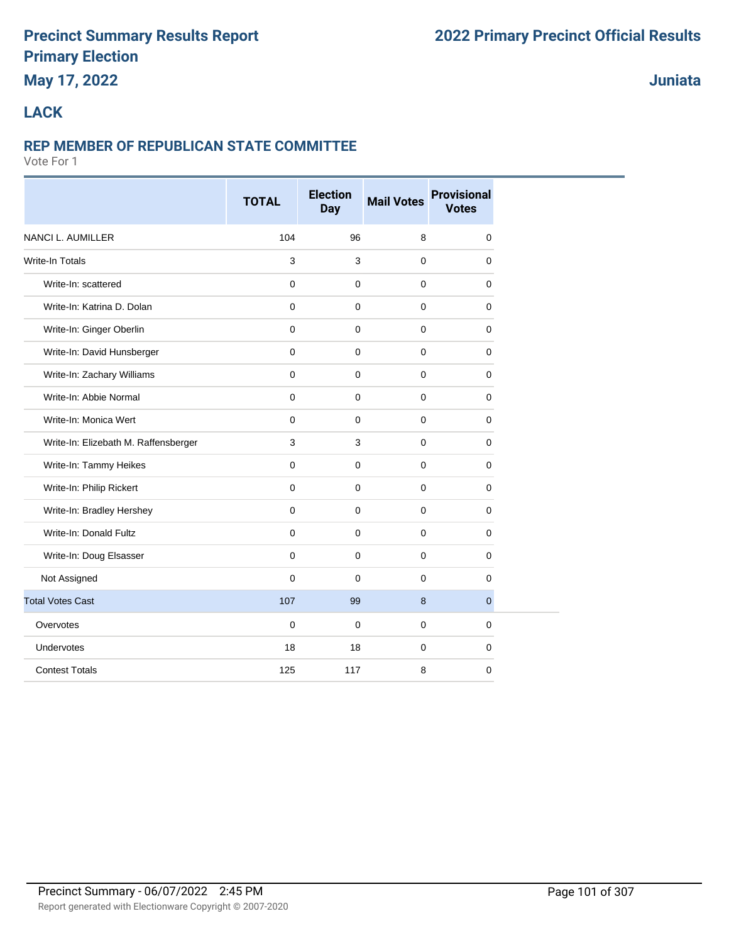# **May 17, 2022**

## **Juniata**

## **LACK**

#### **REP MEMBER OF REPUBLICAN STATE COMMITTEE**

|                                      | <b>TOTAL</b> | <b>Election</b><br>Day | <b>Mail Votes</b> | <b>Provisional</b><br><b>Votes</b> |
|--------------------------------------|--------------|------------------------|-------------------|------------------------------------|
| <b>NANCI L. AUMILLER</b>             | 104          | 96                     | 8                 | 0                                  |
| <b>Write-In Totals</b>               | 3            | 3                      | $\mathbf 0$       | 0                                  |
| Write-In: scattered                  | $\mathbf 0$  | $\mathbf 0$            | $\mathbf 0$       | 0                                  |
| Write-In: Katrina D. Dolan           | $\mathbf 0$  | $\mathbf 0$            | $\mathbf 0$       | 0                                  |
| Write-In: Ginger Oberlin             | $\mathbf 0$  | $\mathbf 0$            | $\mathbf 0$       | 0                                  |
| Write-In: David Hunsberger           | $\mathbf 0$  | $\mathbf 0$            | 0                 | 0                                  |
| Write-In: Zachary Williams           | $\mathbf 0$  | $\mathbf 0$            | $\mathbf 0$       | 0                                  |
| Write-In: Abbie Normal               | $\mathbf 0$  | $\mathbf 0$            | 0                 | 0                                  |
| Write-In: Monica Wert                | $\mathbf 0$  | $\mathbf 0$            | 0                 | 0                                  |
| Write-In: Elizebath M. Raffensberger | 3            | 3                      | $\mathbf 0$       | 0                                  |
| Write-In: Tammy Heikes               | $\mathbf 0$  | $\mathbf 0$            | $\mathbf 0$       | 0                                  |
| Write-In: Philip Rickert             | $\mathbf 0$  | 0                      | $\mathbf 0$       | 0                                  |
| Write-In: Bradley Hershey            | $\mathbf{0}$ | $\mathbf 0$            | $\mathbf 0$       | 0                                  |
| Write-In: Donald Fultz               | $\mathbf 0$  | $\mathbf 0$            | 0                 | 0                                  |
| Write-In: Doug Elsasser              | $\mathbf 0$  | 0                      | 0                 | 0                                  |
| Not Assigned                         | $\mathbf 0$  | $\mathbf 0$            | $\mathbf 0$       | $\mathbf 0$                        |
| <b>Total Votes Cast</b>              | 107          | 99                     | 8                 | $\mathbf 0$                        |
| Overvotes                            | $\mathbf 0$  | $\mathbf 0$            | $\mathbf 0$       | $\mathbf 0$                        |
| Undervotes                           | 18           | 18                     | $\mathbf 0$       | 0                                  |
| <b>Contest Totals</b>                | 125          | 117                    | 8                 | $\mathbf 0$                        |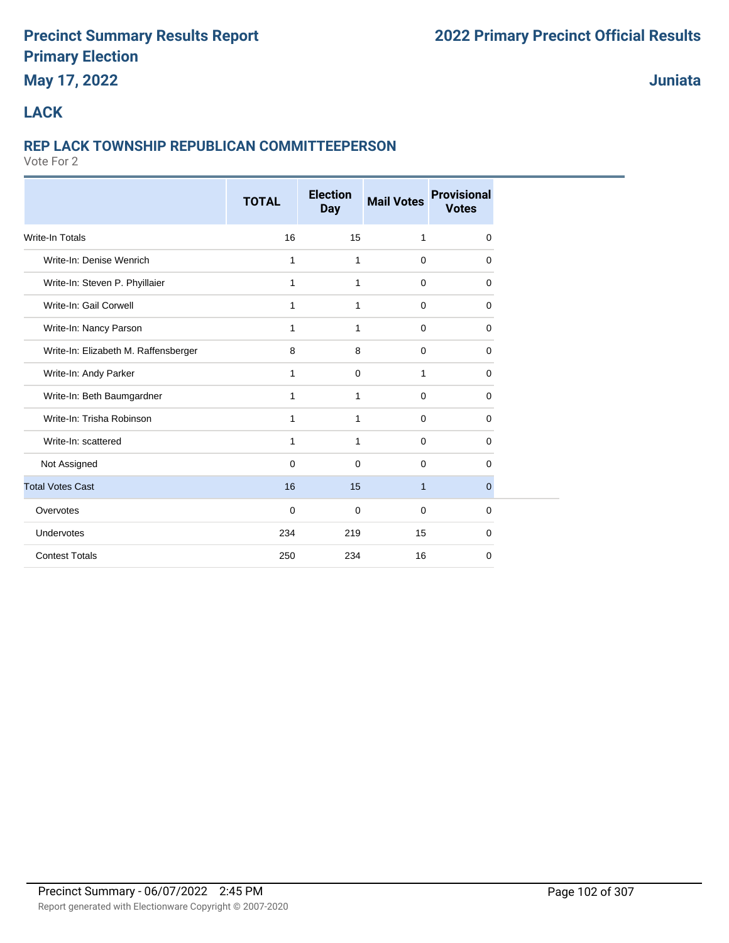# **May 17, 2022**

**Juniata**

## **LACK**

## **REP LACK TOWNSHIP REPUBLICAN COMMITTEEPERSON**

|                                      | <b>TOTAL</b> | <b>Election</b><br><b>Day</b> | <b>Mail Votes</b> | <b>Provisional</b><br><b>Votes</b> |  |
|--------------------------------------|--------------|-------------------------------|-------------------|------------------------------------|--|
| <b>Write-In Totals</b>               | 16           | 15                            | $\mathbf{1}$      | 0                                  |  |
| Write-In: Denise Wenrich             | $\mathbf{1}$ | 1                             | $\mathbf 0$       | 0                                  |  |
| Write-In: Steven P. Phyillaier       | 1            | 1                             | $\mathbf 0$       | 0                                  |  |
| Write-In: Gail Corwell               | 1            | 1                             | $\mathbf 0$       | 0                                  |  |
| Write-In: Nancy Parson               | 1            | 1                             | $\mathbf 0$       | 0                                  |  |
| Write-In: Elizabeth M. Raffensberger | 8            | 8                             | $\mathbf 0$       | 0                                  |  |
| Write-In: Andy Parker                | 1            | $\mathbf 0$                   | $\mathbf{1}$      | 0                                  |  |
| Write-In: Beth Baumgardner           | 1            | 1                             | $\mathbf 0$       | 0                                  |  |
| Write-In: Trisha Robinson            | 1            | 1                             | $\mathbf 0$       | 0                                  |  |
| Write-In: scattered                  | 1            | 1                             | $\mathbf 0$       | 0                                  |  |
| Not Assigned                         | 0            | 0                             | 0                 | 0                                  |  |
| <b>Total Votes Cast</b>              | 16           | 15                            | $\mathbf{1}$      | $\mathbf 0$                        |  |
| Overvotes                            | 0            | $\mathbf 0$                   | $\mathbf 0$       | 0                                  |  |
| Undervotes                           | 234          | 219                           | 15                | 0                                  |  |
| <b>Contest Totals</b>                | 250          | 234                           | 16                | 0                                  |  |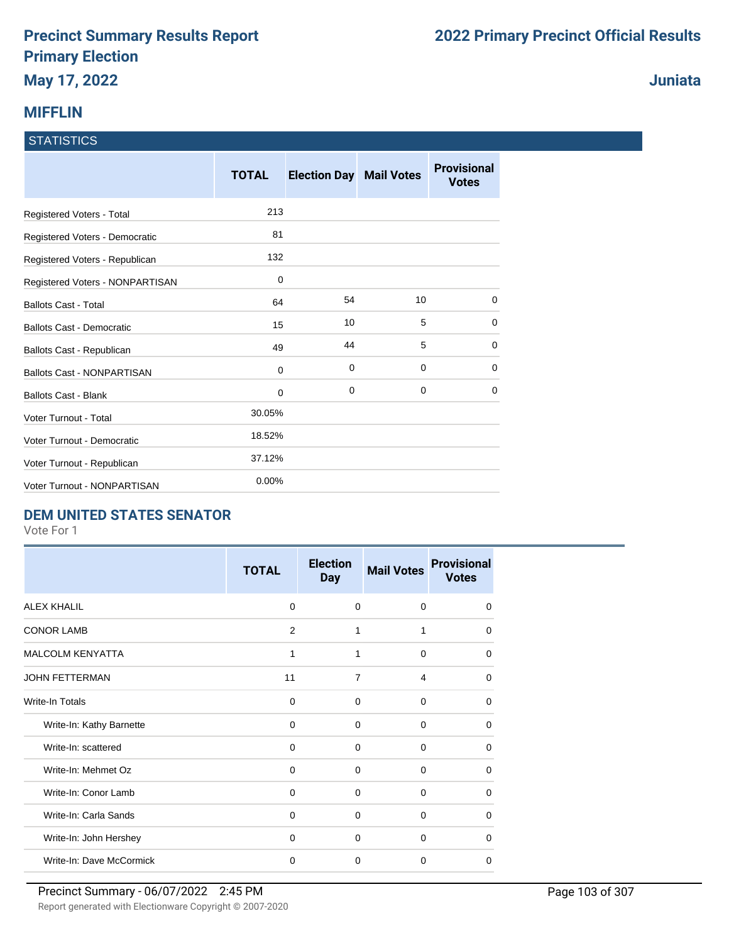# **MIFFLIN**

#### **STATISTICS**

|                                   | <b>TOTAL</b> | <b>Election Day Mail Votes</b> |             | <b>Provisional</b><br><b>Votes</b> |
|-----------------------------------|--------------|--------------------------------|-------------|------------------------------------|
| Registered Voters - Total         | 213          |                                |             |                                    |
| Registered Voters - Democratic    | 81           |                                |             |                                    |
| Registered Voters - Republican    | 132          |                                |             |                                    |
| Registered Voters - NONPARTISAN   | $\mathbf 0$  |                                |             |                                    |
| <b>Ballots Cast - Total</b>       | 64           | 54                             | 10          | $\Omega$                           |
| Ballots Cast - Democratic         | 15           | 10                             | 5           | 0                                  |
| Ballots Cast - Republican         | 49           | 44                             | 5           | 0                                  |
| <b>Ballots Cast - NONPARTISAN</b> | $\mathbf 0$  | 0                              | $\mathbf 0$ | 0                                  |
| <b>Ballots Cast - Blank</b>       | $\mathbf 0$  | 0                              | $\mathbf 0$ | $\Omega$                           |
| Voter Turnout - Total             | 30.05%       |                                |             |                                    |
| Voter Turnout - Democratic        | 18.52%       |                                |             |                                    |
| Voter Turnout - Republican        | 37.12%       |                                |             |                                    |
| Voter Turnout - NONPARTISAN       | 0.00%        |                                |             |                                    |

## **DEM UNITED STATES SENATOR**

Vote For 1

|                          | <b>TOTAL</b> | <b>Election</b><br><b>Day</b> | <b>Mail Votes</b> | <b>Provisional</b><br><b>Votes</b> |
|--------------------------|--------------|-------------------------------|-------------------|------------------------------------|
| <b>ALEX KHALIL</b>       | $\Omega$     | $\Omega$                      | $\Omega$          | $\Omega$                           |
| <b>CONOR LAMB</b>        | 2            | 1                             | 1                 | $\Omega$                           |
| <b>MALCOLM KENYATTA</b>  | 1            | 1                             | $\mathbf 0$       | $\Omega$                           |
| <b>JOHN FETTERMAN</b>    | 11           | 7                             | 4                 | $\Omega$                           |
| Write-In Totals          | $\Omega$     | $\Omega$                      | $\Omega$          | $\Omega$                           |
| Write-In: Kathy Barnette | $\Omega$     | $\Omega$                      | $\Omega$          | $\Omega$                           |
| Write-In: scattered      | 0            | $\Omega$                      | $\Omega$          | $\Omega$                           |
| Write-In: Mehmet Oz      | 0            | $\Omega$                      | $\Omega$          | $\Omega$                           |
| Write-In: Conor Lamb     | 0            | 0                             | $\mathbf 0$       | $\Omega$                           |
| Write-In: Carla Sands    | 0            | $\Omega$                      | $\Omega$          | $\Omega$                           |
| Write-In: John Hershey   | $\Omega$     | $\Omega$                      | $\Omega$          | $\Omega$                           |
| Write-In: Dave McCormick | $\mathbf 0$  | $\Omega$                      | $\Omega$          | $\Omega$                           |

**Juniata**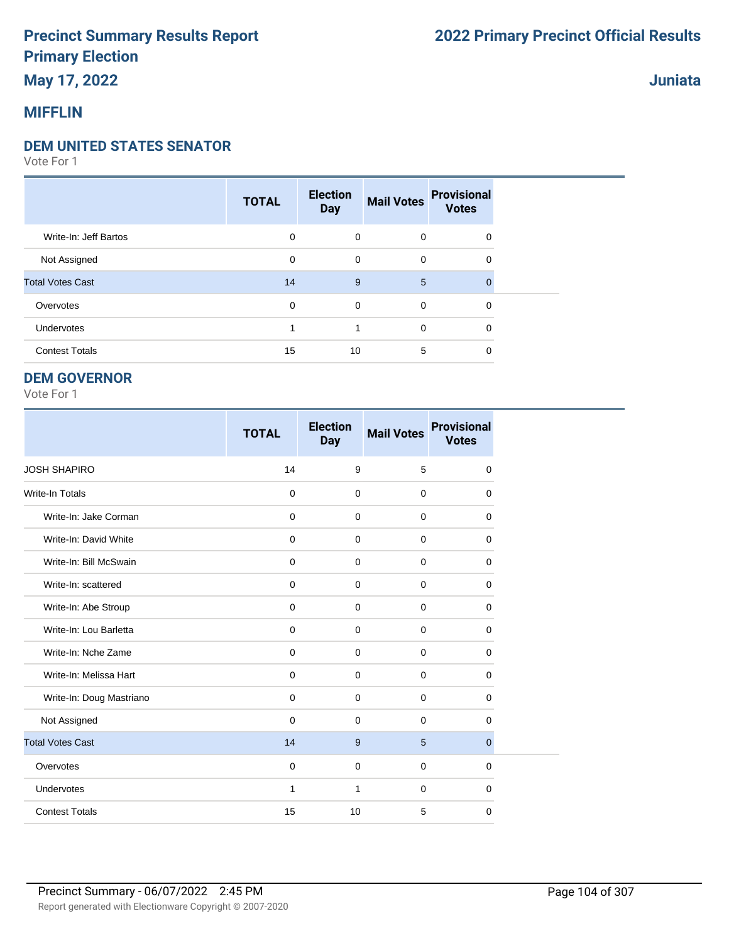# **May 17, 2022**

# **MIFFLIN**

#### **DEM UNITED STATES SENATOR**

Vote For 1

|                         | <b>TOTAL</b> | <b>Election</b><br><b>Day</b> | <b>Mail Votes</b> | <b>Provisional</b><br><b>Votes</b> |  |
|-------------------------|--------------|-------------------------------|-------------------|------------------------------------|--|
| Write-In: Jeff Bartos   | 0            | $\mathbf 0$                   | $\mathbf 0$       | 0                                  |  |
| Not Assigned            | 0            | 0                             | $\mathbf 0$       | 0                                  |  |
| <b>Total Votes Cast</b> | 14           | 9                             | 5                 | $\Omega$                           |  |
| Overvotes               | 0            | 0                             | $\mathbf 0$       | $\mathbf 0$                        |  |
| Undervotes              |              | 1                             | $\mathbf 0$       | 0                                  |  |
| <b>Contest Totals</b>   | 15           | 10                            | 5                 | 0                                  |  |

#### **DEM GOVERNOR**

Vote For 1

|                          | <b>TOTAL</b> | <b>Election</b><br><b>Day</b> | <b>Mail Votes</b> | <b>Provisional</b><br><b>Votes</b> |
|--------------------------|--------------|-------------------------------|-------------------|------------------------------------|
| <b>JOSH SHAPIRO</b>      | 14           | 9                             | 5                 | $\mathbf 0$                        |
| Write-In Totals          | $\mathbf 0$  | $\mathbf 0$                   | $\mathbf 0$       | 0                                  |
| Write-In: Jake Corman    | $\mathbf 0$  | $\Omega$                      | $\mathbf 0$       | 0                                  |
| Write-In: David White    | $\mathbf 0$  | $\Omega$                      | $\mathbf 0$       | $\Omega$                           |
| Write-In: Bill McSwain   | $\mathbf 0$  | $\Omega$                      | $\Omega$          | $\Omega$                           |
| Write-In: scattered      | $\mathbf 0$  | $\Omega$                      | $\mathbf 0$       | 0                                  |
| Write-In: Abe Stroup     | 0            | $\mathbf 0$                   | $\mathbf 0$       | 0                                  |
| Write-In: Lou Barletta   | $\mathbf 0$  | $\mathbf 0$                   | $\mathbf 0$       | 0                                  |
| Write-In: Nche Zame      | $\mathbf 0$  | $\mathbf 0$                   | $\mathbf 0$       | 0                                  |
| Write-In: Melissa Hart   | $\mathbf 0$  | $\mathbf 0$                   | $\mathbf 0$       | $\mathbf 0$                        |
| Write-In: Doug Mastriano | $\mathbf 0$  | $\mathbf 0$                   | $\mathbf 0$       | 0                                  |
| Not Assigned             | $\mathbf 0$  | $\Omega$                      | $\mathbf 0$       | $\mathbf 0$                        |
| <b>Total Votes Cast</b>  | 14           | 9                             | 5                 | $\mathbf{0}$                       |
| Overvotes                | $\mathbf 0$  | $\mathbf 0$                   | $\mathbf 0$       | 0                                  |
| Undervotes               | $\mathbf{1}$ | $\mathbf{1}$                  | $\mathbf 0$       | 0                                  |
| <b>Contest Totals</b>    | 15           | 10                            | 5                 | $\mathbf 0$                        |

**Juniata**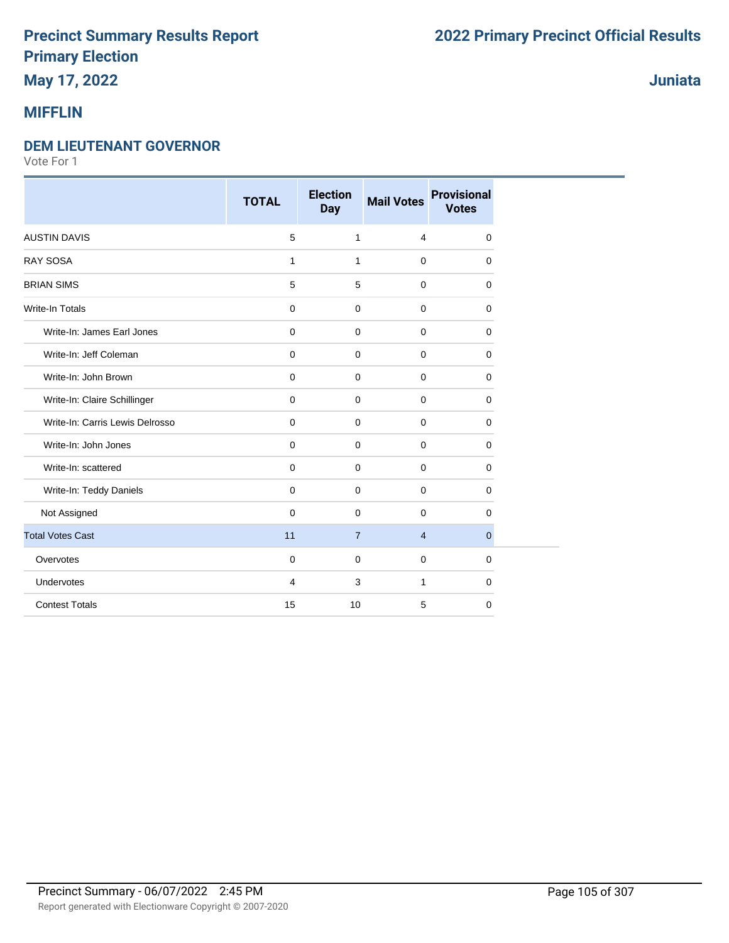# **May 17, 2022**

# **MIFFLIN**

#### **DEM LIEUTENANT GOVERNOR**

|                                 | <b>TOTAL</b>   | <b>Election</b><br><b>Day</b> | <b>Mail Votes</b> | <b>Provisional</b><br><b>Votes</b> |
|---------------------------------|----------------|-------------------------------|-------------------|------------------------------------|
| <b>AUSTIN DAVIS</b>             | 5              | $\mathbf{1}$                  | 4                 | 0                                  |
| <b>RAY SOSA</b>                 | $\mathbf{1}$   | $\mathbf{1}$                  | $\mathbf 0$       | $\mathbf 0$                        |
| <b>BRIAN SIMS</b>               | 5              | 5                             | $\mathbf 0$       | $\Omega$                           |
| <b>Write-In Totals</b>          | $\mathbf 0$    | $\mathbf 0$                   | $\mathbf 0$       | $\mathbf 0$                        |
| Write-In: James Earl Jones      | $\mathbf 0$    | $\mathbf 0$                   | $\mathbf 0$       | $\Omega$                           |
| Write-In: Jeff Coleman          | $\mathbf 0$    | $\mathbf 0$                   | $\mathbf 0$       | 0                                  |
| Write-In: John Brown            | $\pmb{0}$      | $\mathbf 0$                   | $\mathbf 0$       | $\mathbf 0$                        |
| Write-In: Claire Schillinger    | $\mathbf 0$    | $\mathbf 0$                   | $\mathbf 0$       | $\mathbf 0$                        |
| Write-In: Carris Lewis Delrosso | $\mathbf 0$    | $\mathbf 0$                   | $\mathbf 0$       | $\mathbf 0$                        |
| Write-In: John Jones            | $\mathbf 0$    | $\mathbf 0$                   | $\mathbf 0$       | $\mathbf 0$                        |
| Write-In: scattered             | $\mathbf 0$    | $\mathbf 0$                   | $\mathbf 0$       | $\mathbf 0$                        |
| Write-In: Teddy Daniels         | $\mathbf 0$    | $\mathbf 0$                   | $\mathbf 0$       | $\mathbf 0$                        |
| Not Assigned                    | $\mathbf 0$    | $\mathbf 0$                   | $\mathbf 0$       | 0                                  |
| <b>Total Votes Cast</b>         | 11             | $\overline{7}$                | $\overline{4}$    | $\overline{0}$                     |
| Overvotes                       | $\mathbf 0$    | $\mathbf 0$                   | $\mathbf 0$       | $\mathbf 0$                        |
| Undervotes                      | $\overline{4}$ | 3                             | $\mathbf{1}$      | 0                                  |
| <b>Contest Totals</b>           | 15             | 10                            | 5                 | $\mathbf 0$                        |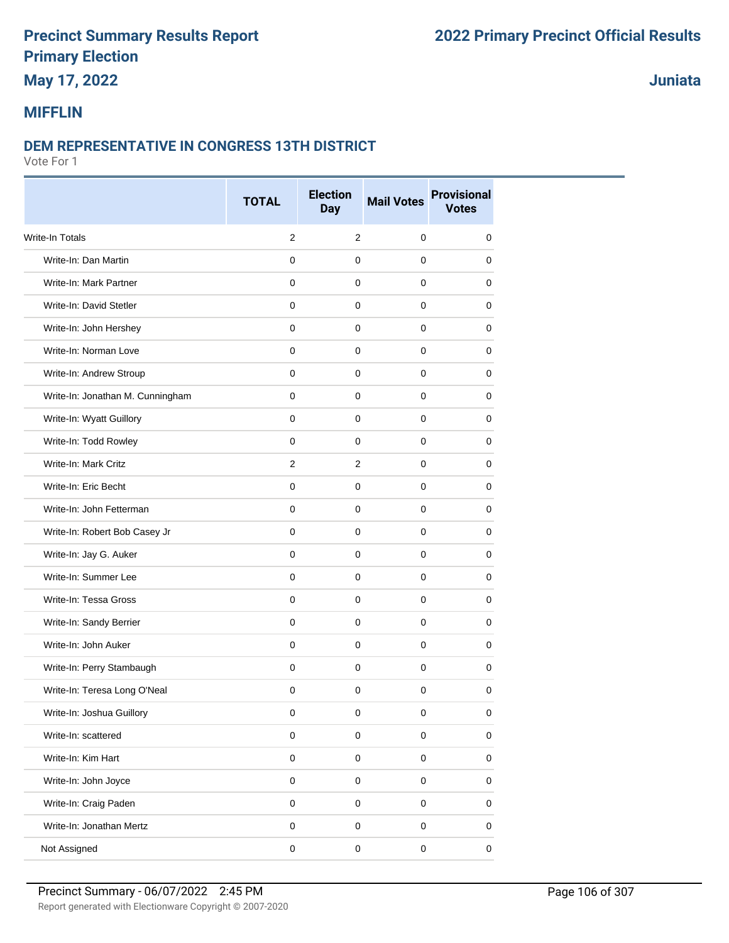# **May 17, 2022**

**Juniata**

## **MIFFLIN**

#### **DEM REPRESENTATIVE IN CONGRESS 13TH DISTRICT**

|                                  | <b>TOTAL</b>   | <b>Election</b><br><b>Day</b> | <b>Mail Votes</b>   | <b>Provisional</b><br><b>Votes</b> |
|----------------------------------|----------------|-------------------------------|---------------------|------------------------------------|
| <b>Write-In Totals</b>           | 2              | 2                             | $\mathbf 0$         | 0                                  |
| Write-In: Dan Martin             | $\mathbf 0$    | 0                             | $\mathbf 0$         | 0                                  |
| Write-In: Mark Partner           | $\mathbf 0$    | $\mathbf 0$                   | $\mathbf 0$         | 0                                  |
| Write-In: David Stetler          | $\mathbf 0$    | $\mathbf 0$                   | $\mathbf 0$         | 0                                  |
| Write-In: John Hershey           | 0              | 0                             | 0                   | 0                                  |
| Write-In: Norman Love            | $\mathbf 0$    | $\mathbf 0$                   | $\mathbf 0$         | 0                                  |
| Write-In: Andrew Stroup          | $\Omega$       | 0                             | $\mathbf 0$         | 0                                  |
| Write-In: Jonathan M. Cunningham | $\mathbf 0$    | $\mathbf 0$                   | $\mathbf 0$         | 0                                  |
| Write-In: Wyatt Guillory         | $\mathbf{0}$   | $\pmb{0}$                     | $\mathbf 0$         | 0                                  |
| Write-In: Todd Rowley            | $\mathbf 0$    | $\mathbf 0$                   | $\mathbf 0$         | 0                                  |
| Write-In: Mark Critz             | $\overline{2}$ | $\overline{2}$                | 0                   | 0                                  |
| Write-In: Eric Becht             | $\mathbf 0$    | 0                             | $\mathbf 0$         | 0                                  |
| Write-In: John Fetterman         | $\mathbf 0$    | $\mathbf 0$                   | $\mathbf 0$         | 0                                  |
| Write-In: Robert Bob Casey Jr    | $\mathbf 0$    | 0                             | $\mathbf 0$         | 0                                  |
| Write-In: Jay G. Auker           | $\mathbf 0$    | $\mathbf 0$                   | $\mathbf 0$         | 0                                  |
| Write-In: Summer Lee             | $\mathbf 0$    | $\mathbf 0$                   | $\mathbf 0$         | 0                                  |
| Write-In: Tessa Gross            | $\mathbf 0$    | 0                             | 0                   | 0                                  |
| Write-In: Sandy Berrier          | $\mathbf 0$    | $\mathbf 0$                   | $\mathbf 0$         | 0                                  |
| Write-In: John Auker             | $\Omega$       | 0                             | $\mathbf 0$         | 0                                  |
| Write-In: Perry Stambaugh        | $\mathbf 0$    | 0                             | 0                   | 0                                  |
| Write-In: Teresa Long O'Neal     | $\mathbf 0$    | $\mathbf 0$                   | $\mathbf 0$         | 0                                  |
| Write-In: Joshua Guillory        | 0              | 0                             | 0                   | 0                                  |
| Write-In: scattered              | $\pmb{0}$      | $\mathbf 0$                   | $\pmb{0}$           | 0                                  |
| Write-In: Kim Hart               | $\mathsf 0$    | $\mathsf 0$                   | $\mathbf 0$         | $\pmb{0}$                          |
| Write-In: John Joyce             | $\mathsf 0$    | $\mathbf 0$                   | $\mathsf{O}\xspace$ | $\pmb{0}$                          |
| Write-In: Craig Paden            | $\mathsf 0$    | $\mathsf 0$                   | $\mathsf 0$         | $\pmb{0}$                          |
| Write-In: Jonathan Mertz         | $\mathsf 0$    | $\mathbf 0$                   | $\mathsf 0$         | $\mathsf 0$                        |
| Not Assigned                     | $\pmb{0}$      | $\pmb{0}$                     | $\pmb{0}$           | $\pmb{0}$                          |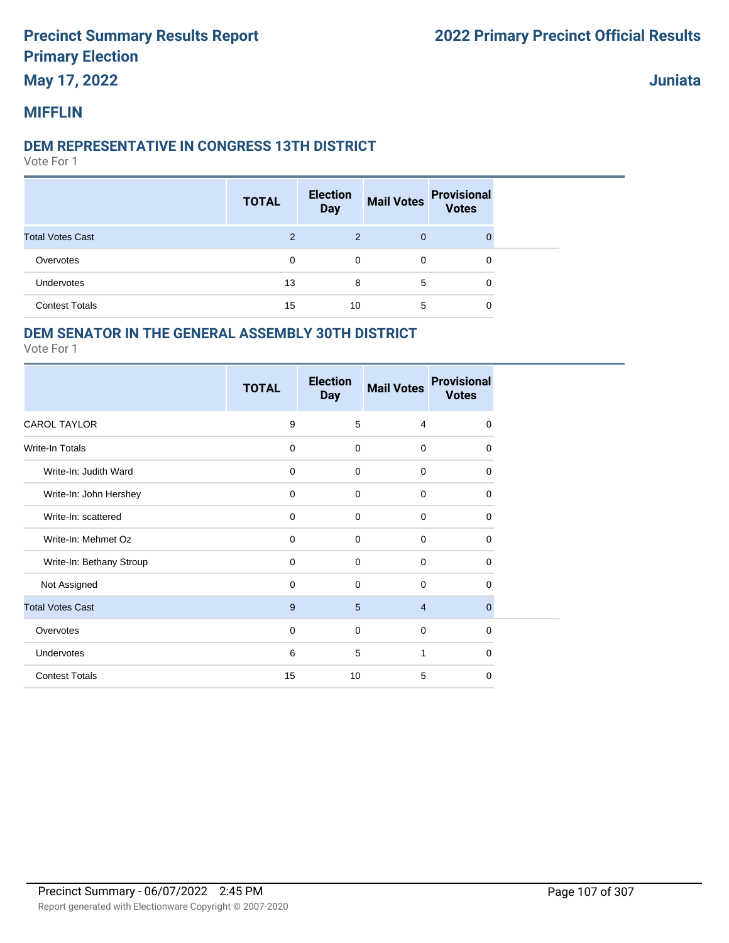# **May 17, 2022**

**Juniata**

## **MIFFLIN**

#### **DEM REPRESENTATIVE IN CONGRESS 13TH DISTRICT**

Vote For 1

|                         | <b>TOTAL</b> | <b>Election</b><br><b>Day</b> | <b>Mail Votes</b> | <b>Provisional</b><br><b>Votes</b> |
|-------------------------|--------------|-------------------------------|-------------------|------------------------------------|
| <b>Total Votes Cast</b> | 2            | 2                             | $\mathbf{0}$      | $\Omega$                           |
| Overvotes               | 0            | 0                             | $\mathbf 0$       | 0                                  |
| Undervotes              | 13           | 8                             | 5                 | 0                                  |
| <b>Contest Totals</b>   | 15           | 10                            | 5                 | 0                                  |

## **DEM SENATOR IN THE GENERAL ASSEMBLY 30TH DISTRICT**

|                          | <b>TOTAL</b> | <b>Election</b><br><b>Day</b> | <b>Mail Votes</b> | <b>Provisional</b><br><b>Votes</b> |
|--------------------------|--------------|-------------------------------|-------------------|------------------------------------|
| <b>CAROL TAYLOR</b>      | 9            | 5                             | 4                 | $\mathbf 0$                        |
| <b>Write-In Totals</b>   | $\mathbf 0$  | $\mathbf 0$                   | $\mathbf 0$       | 0                                  |
| Write-In: Judith Ward    | $\mathbf 0$  | $\mathbf 0$                   | $\mathbf 0$       | 0                                  |
| Write-In: John Hershey   | $\mathbf 0$  | $\mathbf 0$                   | $\mathbf 0$       | 0                                  |
| Write-In: scattered      | $\mathbf 0$  | $\mathbf 0$                   | $\mathbf 0$       | 0                                  |
| Write-In: Mehmet Oz      | $\mathbf 0$  | $\mathbf 0$                   | $\mathbf 0$       | 0                                  |
| Write-In: Bethany Stroup | $\mathbf 0$  | $\mathbf 0$                   | $\mathbf 0$       | 0                                  |
| Not Assigned             | $\mathbf 0$  | $\mathbf 0$                   | $\mathbf 0$       | 0                                  |
| <b>Total Votes Cast</b>  | 9            | 5                             | $\overline{4}$    | $\mathbf{0}$                       |
| Overvotes                | 0            | $\mathbf 0$                   | $\mathbf 0$       | $\mathbf 0$                        |
| Undervotes               | 6            | 5                             | $\mathbf{1}$      | $\Omega$                           |
| <b>Contest Totals</b>    | 15           | 10                            | 5                 | 0                                  |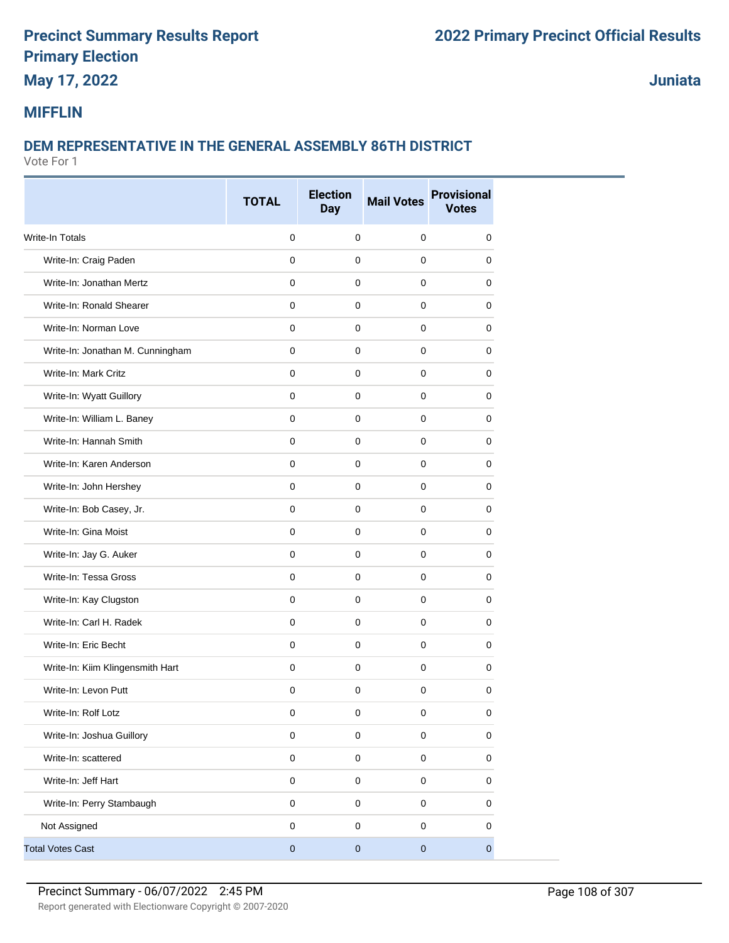# **May 17, 2022**

**Juniata**

## **MIFFLIN**

# **DEM REPRESENTATIVE IN THE GENERAL ASSEMBLY 86TH DISTRICT**

|                                  | <b>TOTAL</b> | <b>Election</b><br><b>Day</b> | <b>Mail Votes</b> | <b>Provisional</b><br><b>Votes</b> |
|----------------------------------|--------------|-------------------------------|-------------------|------------------------------------|
| <b>Write-In Totals</b>           | $\mathbf 0$  | $\mathbf 0$                   | $\mathbf 0$       | 0                                  |
| Write-In: Craig Paden            | $\mathbf 0$  | $\mathbf 0$                   | 0                 | 0                                  |
| Write-In: Jonathan Mertz         | 0            | 0                             | $\mathbf 0$       | 0                                  |
| Write-In: Ronald Shearer         | 0            | 0                             | 0                 | 0                                  |
| Write-In: Norman Love            | 0            | 0                             | $\mathbf 0$       | 0                                  |
| Write-In: Jonathan M. Cunningham | $\mathbf 0$  | $\mathbf 0$                   | $\mathbf 0$       | 0                                  |
| Write-In: Mark Critz             | $\mathbf 0$  | $\mathbf 0$                   | $\mathbf 0$       | 0                                  |
| Write-In: Wyatt Guillory         | 0            | $\mathbf 0$                   | 0                 | 0                                  |
| Write-In: William L. Baney       | $\mathbf 0$  | $\mathbf 0$                   | $\mathbf 0$       | 0                                  |
| Write-In: Hannah Smith           | 0            | 0                             | 0                 | 0                                  |
| Write-In: Karen Anderson         | 0            | $\mathbf 0$                   | $\mathbf 0$       | 0                                  |
| Write-In: John Hershey           | $\mathbf 0$  | $\mathbf 0$                   | $\mathbf 0$       | 0                                  |
| Write-In: Bob Casey, Jr.         | 0            | $\mathbf 0$                   | $\mathbf 0$       | 0                                  |
| Write-In: Gina Moist             | $\mathbf 0$  | $\mathbf 0$                   | $\mathbf 0$       | 0                                  |
| Write-In: Jay G. Auker           | 0            | $\mathbf 0$                   | $\mathbf 0$       | 0                                  |
| Write-In: Tessa Gross            | 0            | 0                             | 0                 | 0                                  |
| Write-In: Kay Clugston           | 0            | $\mathbf 0$                   | $\mathbf 0$       | 0                                  |
| Write-In: Carl H. Radek          | $\mathbf 0$  | $\mathbf 0$                   | $\mathbf 0$       | 0                                  |
| Write-In: Eric Becht             | 0            | 0                             | $\mathbf 0$       | 0                                  |
| Write-In: Kiim Klingensmith Hart | $\mathbf 0$  | $\mathbf 0$                   | $\mathbf 0$       | 0                                  |
| Write-In: Levon Putt             | $\mathbf 0$  | $\mathbf 0$                   | $\mathbf 0$       | 0                                  |
| Write-In: Rolf Lotz              | 0            | 0                             | 0                 | 0                                  |
| Write-In: Joshua Guillory        | $\mathbf 0$  | $\pmb{0}$                     | 0                 | 0                                  |
| Write-In: scattered              | $\mathsf 0$  | $\mathbf 0$                   | $\mathbf 0$       | 0                                  |
| Write-In: Jeff Hart              | $\mathbf 0$  | $\pmb{0}$                     | $\mathbf 0$       | 0                                  |
| Write-In: Perry Stambaugh        | $\pmb{0}$    | $\mathbf 0$                   | $\mathsf 0$       | 0                                  |
| Not Assigned                     | $\pmb{0}$    | $\mathbf 0$                   | $\pmb{0}$         | 0                                  |
| <b>Total Votes Cast</b>          | $\pmb{0}$    | $\pmb{0}$                     | $\pmb{0}$         | $\mathbf 0$                        |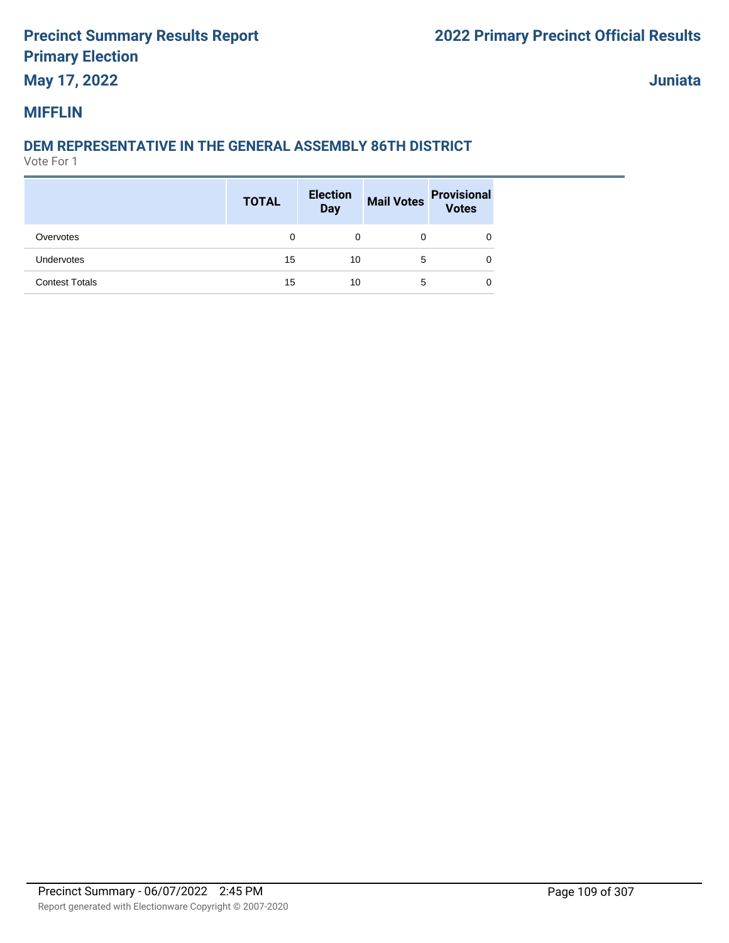## **May 17, 2022**

**Juniata**

#### **MIFFLIN**

## **DEM REPRESENTATIVE IN THE GENERAL ASSEMBLY 86TH DISTRICT**

|                       | <b>TOTAL</b> | <b>Election</b><br><b>Day</b> |   | Mail Votes Provisional<br>Votes |
|-----------------------|--------------|-------------------------------|---|---------------------------------|
| Overvotes             | 0            | 0                             | 0 |                                 |
| <b>Undervotes</b>     | 15           | 10                            | 5 | 0                               |
| <b>Contest Totals</b> | 15           | 10                            | 5 | 0                               |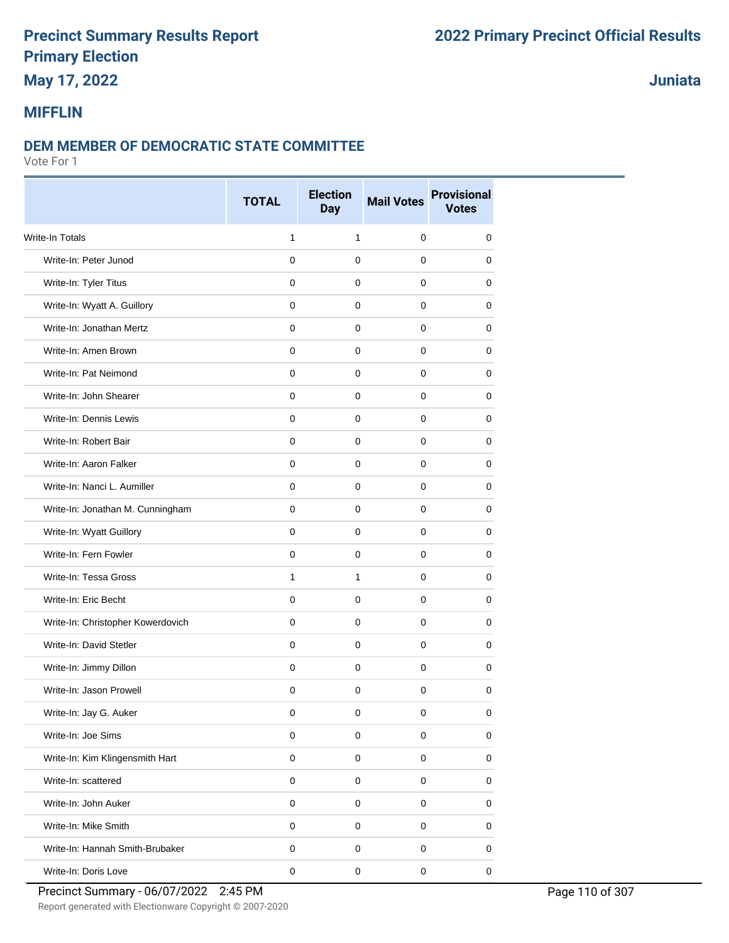## **May 17, 2022**

### **Juniata**

#### **MIFFLIN**

#### **DEM MEMBER OF DEMOCRATIC STATE COMMITTEE**

|                                   | <b>TOTAL</b> | <b>Election</b><br><b>Day</b> | <b>Mail Votes</b> | <b>Provisional</b><br><b>Votes</b> |
|-----------------------------------|--------------|-------------------------------|-------------------|------------------------------------|
| <b>Write-In Totals</b>            | $\mathbf{1}$ | $\mathbf{1}$                  | $\mathbf 0$       | 0                                  |
| Write-In: Peter Junod             | $\Omega$     | $\mathbf 0$                   | $\mathbf 0$       | 0                                  |
| Write-In: Tyler Titus             | 0            | $\mathbf 0$                   | 0                 | 0                                  |
| Write-In: Wyatt A. Guillory       | $\mathbf 0$  | 0                             | 0                 | 0                                  |
| Write-In: Jonathan Mertz          | $\mathbf 0$  | $\mathbf 0$                   | 0                 | 0                                  |
| Write-In: Amen Brown              | $\mathbf 0$  | $\mathbf 0$                   | 0                 | 0                                  |
| Write-In: Pat Neimond             | $\mathbf 0$  | $\mathbf 0$                   | $\mathbf 0$       | 0                                  |
| Write-In: John Shearer            | $\mathbf 0$  | $\mathbf 0$                   | $\mathbf 0$       | 0                                  |
| Write-In: Dennis Lewis            | $\mathbf 0$  | $\mathbf 0$                   | $\mathbf 0$       | 0                                  |
| Write-In: Robert Bair             | 0            | 0                             | 0                 | 0                                  |
| Write-In: Aaron Falker            | $\mathbf 0$  | $\mathbf 0$                   | 0                 | 0                                  |
| Write-In: Nanci L. Aumiller       | $\mathbf 0$  | $\mathbf 0$                   | 0                 | 0                                  |
| Write-In: Jonathan M. Cunningham  | 0            | $\mathbf 0$                   | 0                 | 0                                  |
| Write-In: Wyatt Guillory          | $\mathbf 0$  | $\mathbf 0$                   | $\mathbf 0$       | 0                                  |
| Write-In: Fern Fowler             | $\mathbf 0$  | $\mathbf 0$                   | 0                 | 0                                  |
| Write-In: Tessa Gross             | $\mathbf{1}$ | $\mathbf{1}$                  | 0                 | 0                                  |
| Write-In: Eric Becht              | $\mathbf 0$  | $\mathbf 0$                   | $\mathbf 0$       | 0                                  |
| Write-In: Christopher Kowerdovich | $\mathbf 0$  | $\mathbf 0$                   | 0                 | 0                                  |
| Write-In: David Stetler           | $\mathbf 0$  | $\mathbf 0$                   | $\mathbf 0$       | 0                                  |
| Write-In: Jimmy Dillon            | $\mathbf 0$  | $\mathbf 0$                   | $\mathbf 0$       | 0                                  |
| Write-In: Jason Prowell           | $\mathbf 0$  | $\mathbf 0$                   | $\mathbf 0$       | 0                                  |
| Write-In: Jay G. Auker            | 0            | 0                             | 0                 | 0                                  |
| Write-In: Joe Sims                | $\mathbf 0$  | $\mathbf 0$                   | $\mathsf 0$       | 0                                  |
| Write-In: Kim Klingensmith Hart   | $\mathbf 0$  | $\mathsf 0$                   | $\mathsf 0$       | 0                                  |
| Write-In: scattered               | $\mathbf 0$  | $\mathbf 0$                   | $\mathsf 0$       | 0                                  |
| Write-In: John Auker              | $\pmb{0}$    | $\mathbf 0$                   | $\mathsf 0$       | 0                                  |
| Write-In: Mike Smith              | $\mathsf 0$  | $\mathsf 0$                   | $\mathsf 0$       | 0                                  |
| Write-In: Hannah Smith-Brubaker   | $\pmb{0}$    | $\pmb{0}$                     | 0                 | 0                                  |
| Write-In: Doris Love              | $\pmb{0}$    | $\mathsf 0$                   | $\mathsf 0$       | $\mathbf 0$                        |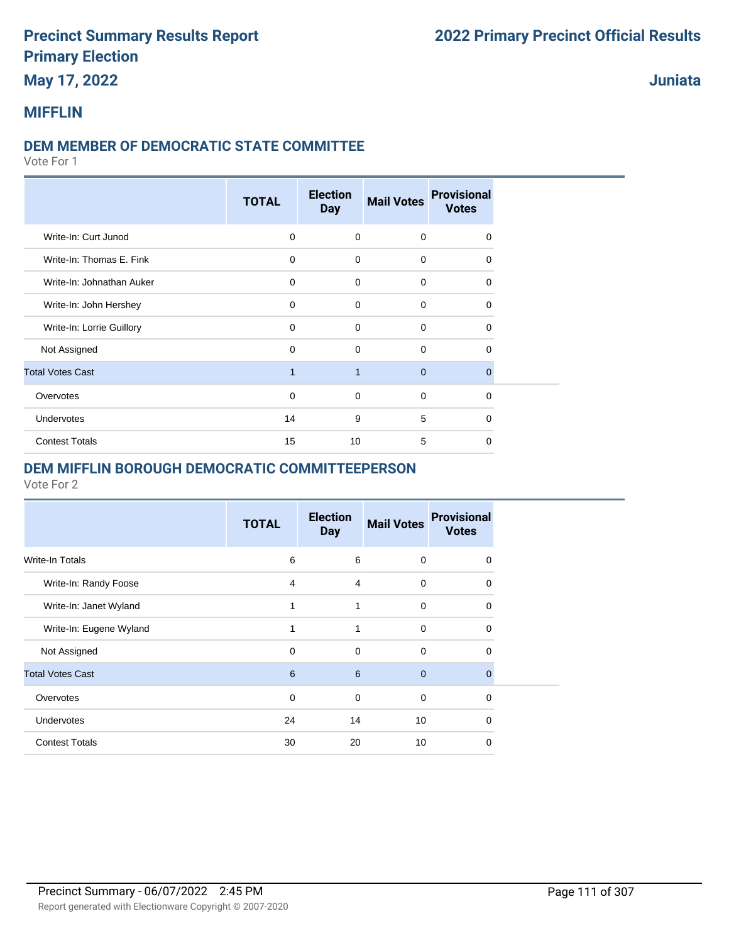## **May 17, 2022**

**Juniata**

#### **MIFFLIN**

#### **DEM MEMBER OF DEMOCRATIC STATE COMMITTEE**

Vote For 1

|                           | <b>TOTAL</b> | <b>Election</b><br><b>Day</b> | <b>Mail Votes</b> | <b>Provisional</b><br><b>Votes</b> |  |
|---------------------------|--------------|-------------------------------|-------------------|------------------------------------|--|
| Write-In: Curt Junod      | $\mathbf 0$  | $\mathbf 0$                   | $\mathbf 0$       | $\Omega$                           |  |
| Write-In: Thomas E. Fink  | $\mathbf 0$  | $\mathbf 0$                   | $\mathbf 0$       | $\Omega$                           |  |
| Write-In: Johnathan Auker | $\mathbf 0$  | $\mathbf 0$                   | $\mathbf 0$       | $\Omega$                           |  |
| Write-In: John Hershey    | $\mathbf 0$  | $\Omega$                      | $\mathbf 0$       | $\Omega$                           |  |
| Write-In: Lorrie Guillory | $\mathbf 0$  | $\mathbf 0$                   | $\mathbf 0$       | $\Omega$                           |  |
| Not Assigned              | 0            | $\mathbf 0$                   | $\mathbf 0$       | $\Omega$                           |  |
| <b>Total Votes Cast</b>   | $\mathbf{1}$ | $\overline{1}$                | $\mathbf{0}$      | $\Omega$                           |  |
| Overvotes                 | 0            | $\mathbf 0$                   | $\mathbf 0$       | $\Omega$                           |  |
| Undervotes                | 14           | 9                             | 5                 | $\Omega$                           |  |
| <b>Contest Totals</b>     | 15           | 10                            | 5                 | $\Omega$                           |  |

#### **DEM MIFFLIN BOROUGH DEMOCRATIC COMMITTEEPERSON**

|                         | <b>TOTAL</b> | <b>Election</b><br><b>Day</b> | <b>Mail Votes</b> | <b>Provisional</b><br><b>Votes</b> |
|-------------------------|--------------|-------------------------------|-------------------|------------------------------------|
| <b>Write-In Totals</b>  | 6            | 6                             | $\mathbf 0$       | $\Omega$                           |
| Write-In: Randy Foose   | 4            | 4                             | $\mathbf 0$       | $\Omega$                           |
| Write-In: Janet Wyland  |              | 1                             | $\mathbf 0$       | $\Omega$                           |
| Write-In: Eugene Wyland |              | 1                             | $\mathbf 0$       | $\Omega$                           |
| Not Assigned            | 0            | 0                             | 0                 | 0                                  |
| <b>Total Votes Cast</b> | 6            | 6                             | $\mathbf{0}$      | $\Omega$                           |
| Overvotes               | $\mathbf 0$  | $\mathbf 0$                   | $\mathbf 0$       | $\Omega$                           |
| <b>Undervotes</b>       | 24           | 14                            | 10                | $\Omega$                           |
| <b>Contest Totals</b>   | 30           | 20                            | 10                | $\Omega$                           |
|                         |              |                               |                   |                                    |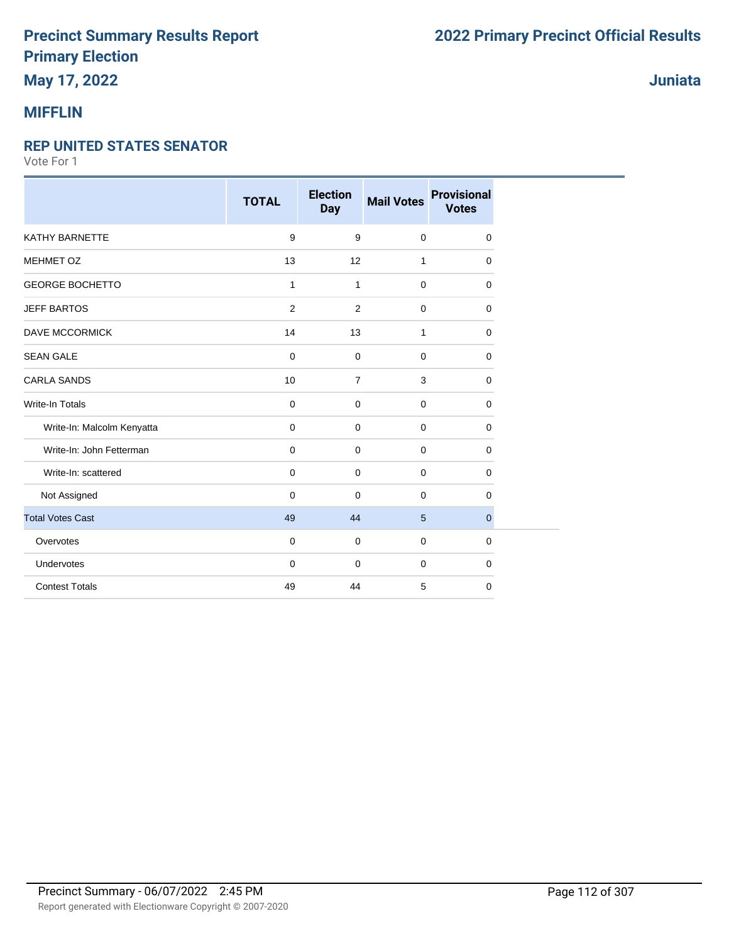## **May 17, 2022**

### **MIFFLIN**

#### **REP UNITED STATES SENATOR**

Vote For 1

|                            | <b>TOTAL</b> | <b>Election</b><br><b>Day</b> | <b>Mail Votes</b> | <b>Provisional</b><br><b>Votes</b> |
|----------------------------|--------------|-------------------------------|-------------------|------------------------------------|
| KATHY BARNETTE             | 9            | 9                             | $\mathbf 0$       | 0                                  |
| MEHMET OZ                  | 13           | 12                            | $\mathbf{1}$      | $\mathbf 0$                        |
| <b>GEORGE BOCHETTO</b>     | $\mathbf{1}$ | $\mathbf{1}$                  | $\mathbf 0$       | 0                                  |
| <b>JEFF BARTOS</b>         | 2            | $\overline{2}$                | $\mathbf 0$       | $\mathbf 0$                        |
| <b>DAVE MCCORMICK</b>      | 14           | 13                            | 1                 | $\mathbf 0$                        |
| <b>SEAN GALE</b>           | $\mathbf 0$  | $\mathbf 0$                   | $\mathbf 0$       | $\mathbf 0$                        |
| <b>CARLA SANDS</b>         | 10           | $\overline{7}$                | 3                 | $\mathbf 0$                        |
| <b>Write-In Totals</b>     | $\mathbf 0$  | $\mathbf 0$                   | $\mathbf 0$       | $\mathbf 0$                        |
| Write-In: Malcolm Kenyatta | $\mathbf 0$  | 0                             | $\mathbf 0$       | $\mathbf 0$                        |
| Write-In: John Fetterman   | $\mathbf 0$  | 0                             | $\mathbf 0$       | $\mathbf 0$                        |
| Write-In: scattered        | $\mathbf 0$  | $\mathbf 0$                   | $\mathbf 0$       | $\mathbf 0$                        |
| Not Assigned               | $\mathbf 0$  | $\mathbf 0$                   | $\Omega$          | 0                                  |
| <b>Total Votes Cast</b>    | 49           | 44                            | 5                 | $\pmb{0}$                          |
| Overvotes                  | $\mathbf 0$  | 0                             | $\mathbf 0$       | $\mathbf 0$                        |
| Undervotes                 | $\mathbf 0$  | 0                             | $\mathbf 0$       | $\mathbf 0$                        |
| <b>Contest Totals</b>      | 49           | 44                            | 5                 | $\mathbf 0$                        |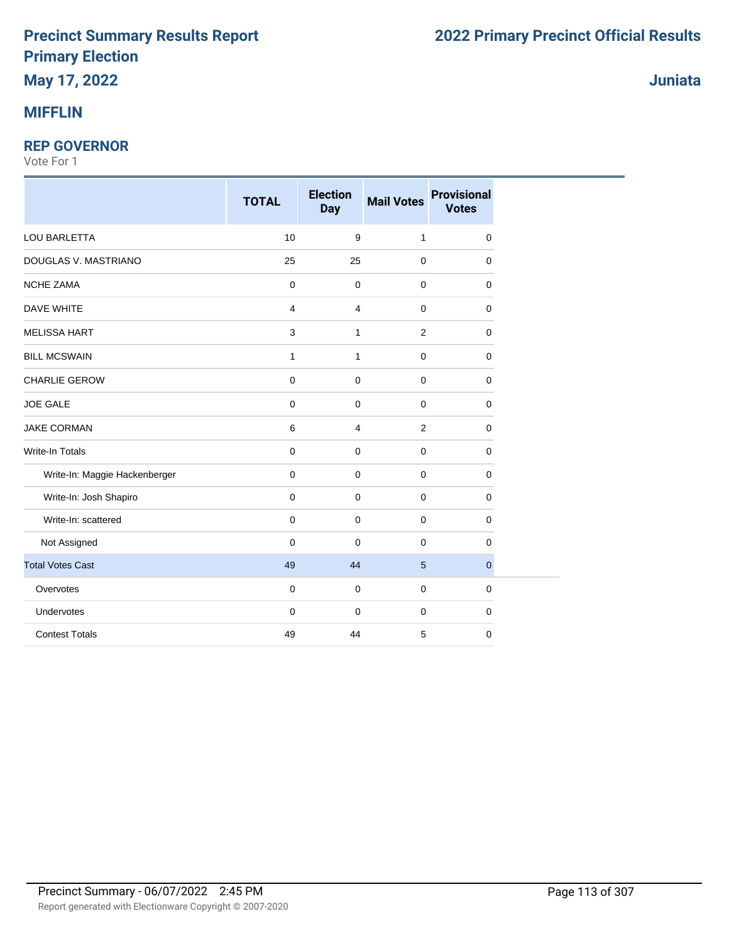## **MIFFLIN**

#### **REP GOVERNOR**

|                               | <b>TOTAL</b>        | <b>Election</b><br><b>Day</b> | <b>Mail Votes</b> | <b>Provisional</b><br><b>Votes</b> |
|-------------------------------|---------------------|-------------------------------|-------------------|------------------------------------|
| LOU BARLETTA                  | 10                  | 9                             | $\mathbf{1}$      | $\mathbf 0$                        |
| DOUGLAS V. MASTRIANO          | 25                  | 25                            | $\mathbf 0$       | 0                                  |
| <b>NCHE ZAMA</b>              | $\mathbf 0$         | $\mathbf 0$                   | $\mathbf 0$       | $\mathbf 0$                        |
| <b>DAVE WHITE</b>             | 4                   | $\overline{4}$                | $\mathbf 0$       | $\mathbf 0$                        |
| <b>MELISSA HART</b>           | 3                   | $\mathbf{1}$                  | 2                 | $\mathbf 0$                        |
| <b>BILL MCSWAIN</b>           | 1                   | 1                             | $\mathbf 0$       | 0                                  |
| <b>CHARLIE GEROW</b>          | $\pmb{0}$           | $\mathbf 0$                   | $\mathbf 0$       | $\mathbf 0$                        |
| <b>JOE GALE</b>               | $\pmb{0}$           | $\mathbf 0$                   | $\mathbf 0$       | $\mathbf 0$                        |
| <b>JAKE CORMAN</b>            | $\,6\,$             | $\overline{4}$                | $\overline{2}$    | $\mathbf 0$                        |
| Write-In Totals               | $\mathbf 0$         | $\mathbf 0$                   | 0                 | $\mathbf 0$                        |
| Write-In: Maggie Hackenberger | $\mathbf 0$         | $\mathbf 0$                   | $\mathbf 0$       | $\mathbf 0$                        |
| Write-In: Josh Shapiro        | $\mathbf 0$         | $\mathbf 0$                   | $\mathbf 0$       | $\mathbf 0$                        |
| Write-In: scattered           | $\mathbf 0$         | $\mathbf 0$                   | 0                 | 0                                  |
| Not Assigned                  | $\mathsf{O}\xspace$ | $\pmb{0}$                     | $\mathbf 0$       | $\mathbf 0$                        |
| <b>Total Votes Cast</b>       | 49                  | 44                            | 5                 | $\mathbf{0}$                       |
| Overvotes                     | $\mathbf 0$         | $\mathbf 0$                   | 0                 | $\mathbf 0$                        |
| Undervotes                    | $\mathsf{O}\xspace$ | $\mathbf 0$                   | $\mathbf 0$       | $\mathbf 0$                        |
| <b>Contest Totals</b>         | 49                  | 44                            | 5                 | 0                                  |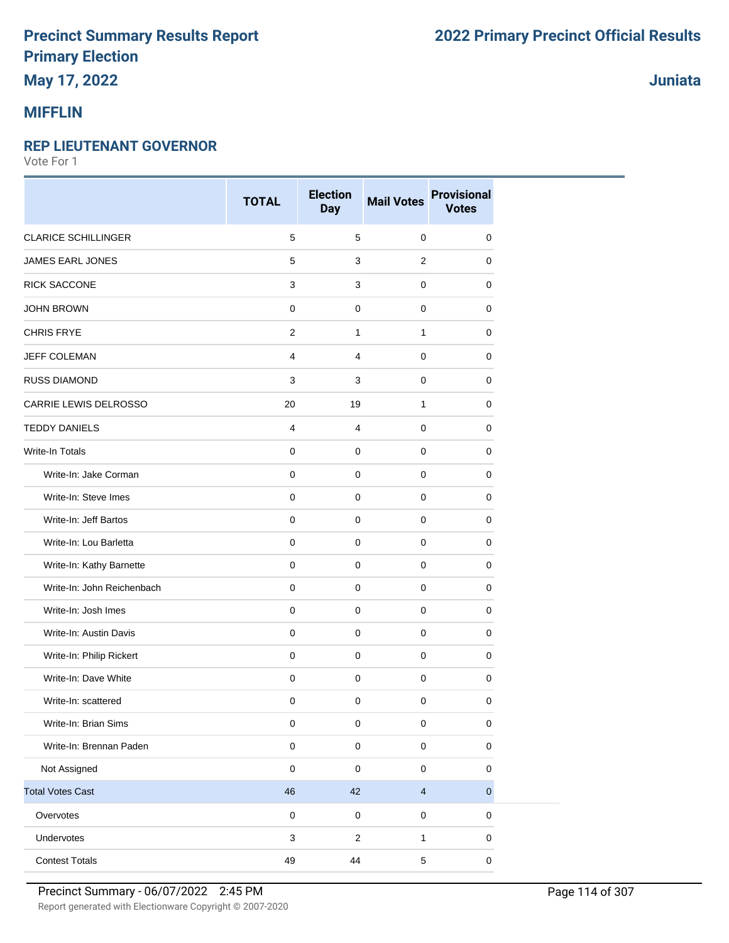## **May 17, 2022**

### **MIFFLIN**

#### **REP LIEUTENANT GOVERNOR**

Vote For 1

|                            | <b>TOTAL</b>   | <b>Election</b><br><b>Day</b> | <b>Mail Votes</b>       | <b>Provisional</b><br><b>Votes</b> |
|----------------------------|----------------|-------------------------------|-------------------------|------------------------------------|
| <b>CLARICE SCHILLINGER</b> | 5              | 5                             | $\mathbf 0$             | 0                                  |
| <b>JAMES EARL JONES</b>    | 5              | 3                             | $\overline{2}$          | $\mathbf 0$                        |
| RICK SACCONE               | 3              | 3                             | $\mathbf 0$             | $\mathbf 0$                        |
| <b>JOHN BROWN</b>          | $\mathbf 0$    | $\mathbf 0$                   | 0                       | 0                                  |
| <b>CHRIS FRYE</b>          | $\overline{2}$ | $\mathbf{1}$                  | $\mathbf{1}$            | $\mathbf 0$                        |
| <b>JEFF COLEMAN</b>        | $\overline{4}$ | $\overline{4}$                | $\mathbf 0$             | $\mathbf 0$                        |
| <b>RUSS DIAMOND</b>        | 3              | 3                             | $\mathbf 0$             | 0                                  |
| CARRIE LEWIS DELROSSO      | 20             | 19                            | $\mathbf{1}$            | $\mathbf 0$                        |
| <b>TEDDY DANIELS</b>       | $\overline{4}$ | $\overline{4}$                | $\mathbf 0$             | $\mathbf 0$                        |
| Write-In Totals            | $\mathbf 0$    | $\mathbf 0$                   | $\mathbf 0$             | 0                                  |
| Write-In: Jake Corman      | $\mathbf 0$    | $\mathbf 0$                   | $\mathbf 0$             | $\mathbf 0$                        |
| Write-In: Steve Imes       | $\mathbf 0$    | $\mathsf 0$                   | $\mathbf 0$             | 0                                  |
| Write-In: Jeff Bartos      | $\mathbf 0$    | $\mathbf 0$                   | $\mathbf 0$             | $\mathbf 0$                        |
| Write-In: Lou Barletta     | 0              | $\mathbf 0$                   | $\mathbf 0$             | 0                                  |
| Write-In: Kathy Barnette   | $\mathbf 0$    | $\mathbf 0$                   | $\mathbf 0$             | 0                                  |
| Write-In: John Reichenbach | $\mathbf 0$    | $\mathsf 0$                   | $\mathbf 0$             | $\mathbf 0$                        |
| Write-In: Josh Imes        | $\mathbf 0$    | $\mathbf 0$                   | $\mathbf 0$             | 0                                  |
| Write-In: Austin Davis     | $\mathbf 0$    | $\mathbf 0$                   | $\mathbf 0$             | 0                                  |
| Write-In: Philip Rickert   | $\mathbf 0$    | $\mathsf 0$                   | $\mathbf 0$             | $\mathbf 0$                        |
| Write-In: Dave White       | $\mathbf 0$    | $\mathsf 0$                   | $\pmb{0}$               | $\mathbf 0$                        |
| Write-In: scattered        | 0              | $\mathbf 0$                   | 0                       | 0                                  |
| Write-In: Brian Sims       | $\pmb{0}$      | $\pmb{0}$                     | $\pmb{0}$               | $\pmb{0}$                          |
| Write-In: Brennan Paden    | $\pmb{0}$      | $\pmb{0}$                     | $\mathsf{O}\xspace$     | $\mathbf 0$                        |
| Not Assigned               | $\pmb{0}$      | $\mathsf 0$                   | $\pmb{0}$               | $\pmb{0}$                          |
| <b>Total Votes Cast</b>    | 46             | 42                            | $\overline{\mathbf{4}}$ | $\mathbf 0$                        |
| Overvotes                  | $\pmb{0}$      | $\pmb{0}$                     | $\pmb{0}$               | 0                                  |
| Undervotes                 | $\mathsf 3$    | $\overline{2}$                | $\mathbf{1}$            | $\pmb{0}$                          |
| <b>Contest Totals</b>      | 49             | 44                            | $\,$ 5 $\,$             | $\mathbf 0$                        |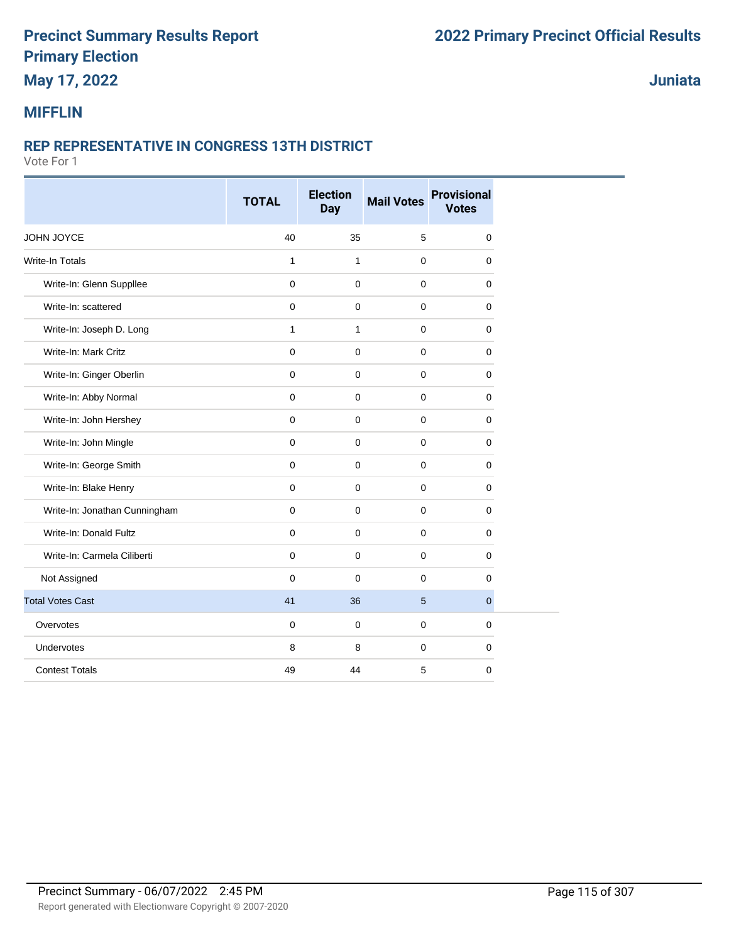## **May 17, 2022**

**Juniata**

#### **MIFFLIN**

#### **REP REPRESENTATIVE IN CONGRESS 13TH DISTRICT**

|                               | <b>TOTAL</b> | <b>Election</b><br>Day | <b>Mail Votes</b> | <b>Provisional</b><br><b>Votes</b> |
|-------------------------------|--------------|------------------------|-------------------|------------------------------------|
| JOHN JOYCE                    | 40           | 35                     | 5                 | $\mathbf 0$                        |
| <b>Write-In Totals</b>        | $\mathbf{1}$ | $\mathbf{1}$           | $\mathbf 0$       | $\mathbf 0$                        |
| Write-In: Glenn Suppllee      | $\mathbf 0$  | $\mathbf 0$            | $\mathbf 0$       | $\mathbf 0$                        |
| Write-In: scattered           | 0            | $\mathbf 0$            | $\Omega$          | 0                                  |
| Write-In: Joseph D. Long      | $\mathbf{1}$ | $\mathbf{1}$           | $\mathbf 0$       | $\mathbf 0$                        |
| Write-In: Mark Critz          | $\pmb{0}$    | $\mathbf 0$            | $\mathbf 0$       | $\mathbf 0$                        |
| Write-In: Ginger Oberlin      | 0            | $\mathbf 0$            | $\mathbf 0$       | 0                                  |
| Write-In: Abby Normal         | 0            | $\mathbf 0$            | 0                 | 0                                  |
| Write-In: John Hershey        | $\mathbf 0$  | $\mathbf 0$            | $\mathbf 0$       | 0                                  |
| Write-In: John Mingle         | 0            | $\mathbf 0$            | $\mathbf 0$       | $\mathbf 0$                        |
| Write-In: George Smith        | 0            | $\mathbf 0$            | $\mathbf 0$       | $\mathbf 0$                        |
| Write-In: Blake Henry         | $\mathbf 0$  | $\mathbf 0$            | $\mathbf 0$       | 0                                  |
| Write-In: Jonathan Cunningham | $\mathbf 0$  | $\mathbf 0$            | $\mathbf 0$       | $\mathbf 0$                        |
| Write-In: Donald Fultz        | 0            | $\pmb{0}$              | $\mathbf 0$       | 0                                  |
| Write-In: Carmela Ciliberti   | $\mathbf 0$  | $\mathbf 0$            | $\mathbf 0$       | 0                                  |
| Not Assigned                  | $\mathbf 0$  | $\mathbf 0$            | $\mathbf 0$       | $\mathbf 0$                        |
| <b>Total Votes Cast</b>       | 41           | 36                     | 5                 | $\overline{0}$                     |
| Overvotes                     | 0            | $\mathbf 0$            | $\mathbf 0$       | 0                                  |
| Undervotes                    | 8            | 8                      | $\mathbf 0$       | 0                                  |
| <b>Contest Totals</b>         | 49           | 44                     | 5                 | $\mathbf 0$                        |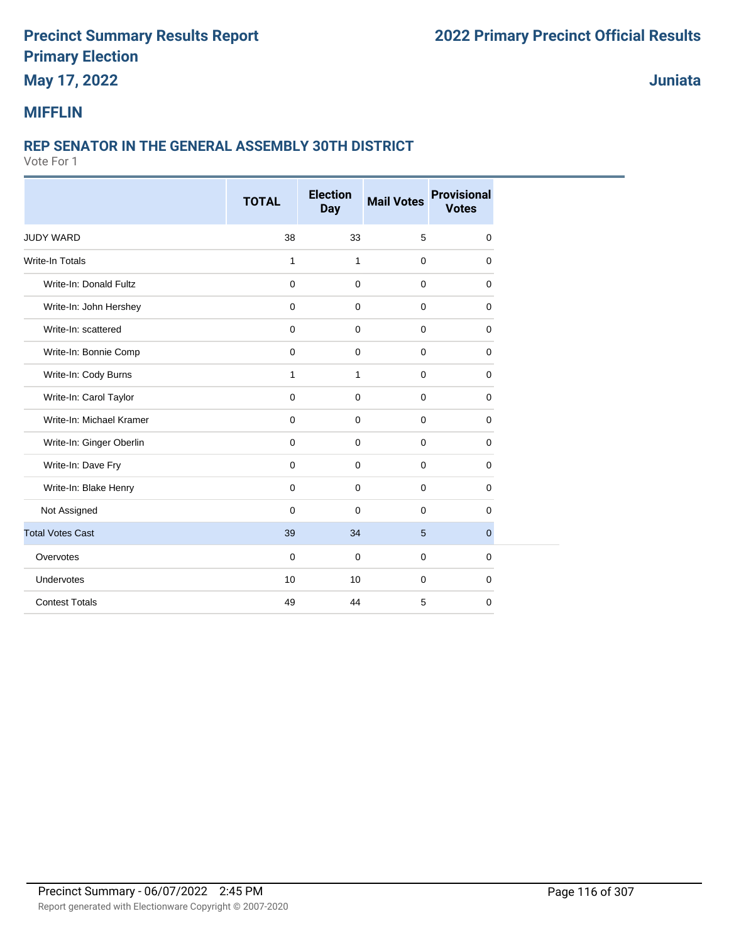## **May 17, 2022**

**Juniata**

#### **MIFFLIN**

#### **REP SENATOR IN THE GENERAL ASSEMBLY 30TH DISTRICT**

|                          | <b>TOTAL</b> | <b>Election</b><br><b>Day</b> | <b>Mail Votes</b> | <b>Provisional</b><br><b>Votes</b> |
|--------------------------|--------------|-------------------------------|-------------------|------------------------------------|
|                          |              |                               |                   |                                    |
| <b>JUDY WARD</b>         | 38           | 33                            | 5                 | 0                                  |
| Write-In Totals          | $\mathbf{1}$ | $\mathbf{1}$                  | $\mathbf 0$       | 0                                  |
| Write-In: Donald Fultz   | 0            | $\mathbf 0$                   | $\mathbf 0$       | $\mathbf 0$                        |
| Write-In: John Hershey   | $\mathbf 0$  | $\mathbf 0$                   | $\mathbf 0$       | 0                                  |
| Write-In: scattered      | 0            | $\mathbf 0$                   | 0                 | 0                                  |
| Write-In: Bonnie Comp    | $\mathbf 0$  | $\mathbf 0$                   | $\mathbf 0$       | 0                                  |
| Write-In: Cody Burns     | $\mathbf{1}$ | $\mathbf{1}$                  | $\mathbf 0$       | 0                                  |
| Write-In: Carol Taylor   | $\mathbf 0$  | $\mathbf 0$                   | $\mathbf 0$       | 0                                  |
| Write-In: Michael Kramer | $\mathbf 0$  | $\mathbf 0$                   | $\mathbf 0$       | 0                                  |
| Write-In: Ginger Oberlin | 0            | $\mathbf 0$                   | $\mathbf 0$       | 0                                  |
| Write-In: Dave Fry       | 0            | 0                             | $\mathbf 0$       | 0                                  |
| Write-In: Blake Henry    | 0            | 0                             | $\mathbf 0$       | 0                                  |
| Not Assigned             | $\mathbf 0$  | $\mathbf 0$                   | $\mathbf 0$       | 0                                  |
| <b>Total Votes Cast</b>  | 39           | 34                            | 5                 | $\overline{0}$                     |
| Overvotes                | $\mathbf 0$  | $\mathbf 0$                   | 0                 | 0                                  |
| Undervotes               | 10           | 10                            | $\mathbf 0$       | 0                                  |
| <b>Contest Totals</b>    | 49           | 44                            | 5                 | 0                                  |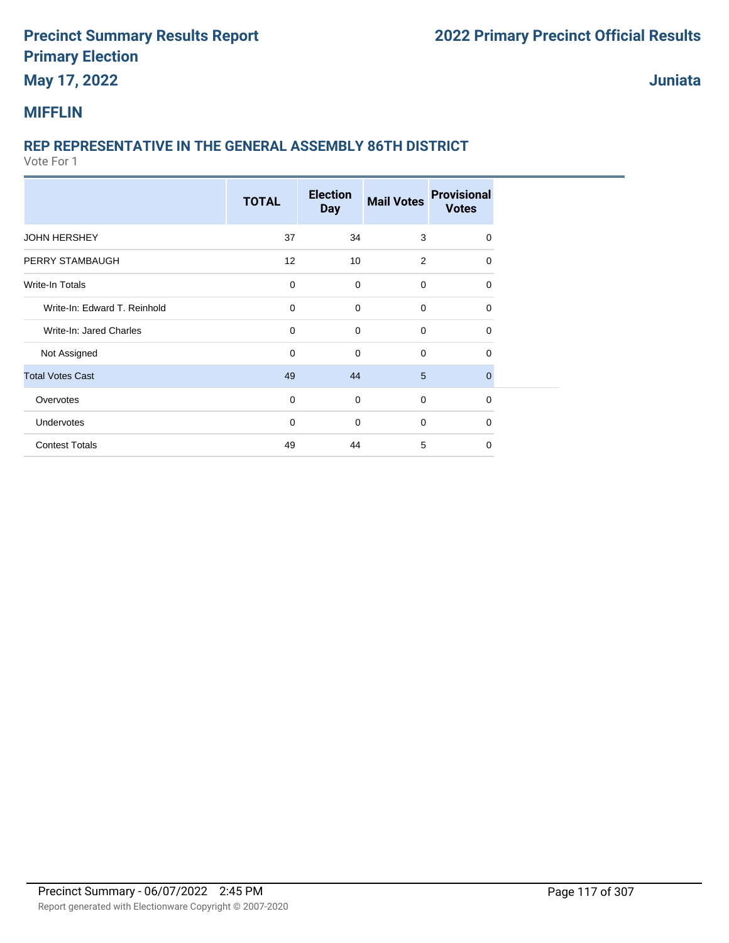## **May 17, 2022**

**Juniata**

#### **MIFFLIN**

### **REP REPRESENTATIVE IN THE GENERAL ASSEMBLY 86TH DISTRICT**

|                              | <b>TOTAL</b> | <b>Election</b><br><b>Day</b> | <b>Mail Votes</b> | <b>Provisional</b><br><b>Votes</b> |  |
|------------------------------|--------------|-------------------------------|-------------------|------------------------------------|--|
| <b>JOHN HERSHEY</b>          | 37           | 34                            | 3                 | $\Omega$                           |  |
| PERRY STAMBAUGH              | 12           | 10                            | 2                 | $\Omega$                           |  |
| Write-In Totals              | $\mathbf 0$  | $\mathbf 0$                   | $\mathbf 0$       | 0                                  |  |
| Write-In: Edward T. Reinhold | $\mathbf 0$  | $\mathbf 0$                   | $\mathbf 0$       | 0                                  |  |
| Write-In: Jared Charles      | $\mathbf 0$  | $\mathbf 0$                   | $\mathbf 0$       | $\Omega$                           |  |
| Not Assigned                 | $\mathbf 0$  | $\mathbf 0$                   | $\mathbf 0$       | 0                                  |  |
| <b>Total Votes Cast</b>      | 49           | 44                            | $5\phantom{.0}$   | $\Omega$                           |  |
| Overvotes                    | $\mathbf 0$  | $\mathbf 0$                   | $\mathbf 0$       | $\Omega$                           |  |
| Undervotes                   | $\mathbf 0$  | $\mathbf 0$                   | $\mathbf 0$       | $\Omega$                           |  |
| <b>Contest Totals</b>        | 49           | 44                            | 5                 | $\Omega$                           |  |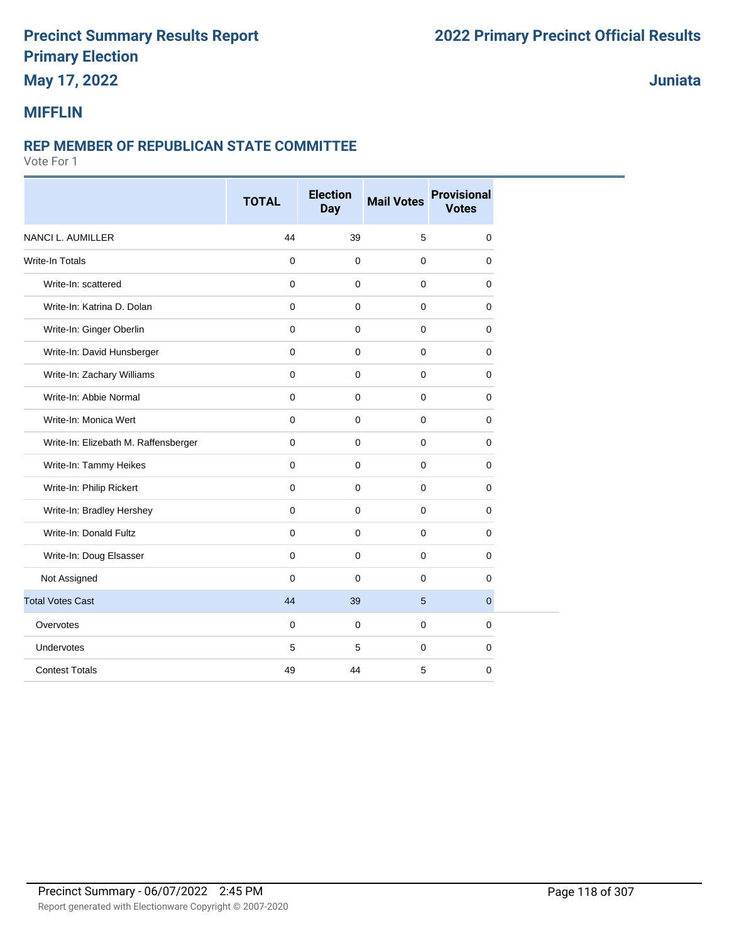## **May 17, 2022**

#### **Juniata**

#### **MIFFLIN**

#### **REP MEMBER OF REPUBLICAN STATE COMMITTEE**

|                                      | <b>TOTAL</b> | <b>Election</b><br><b>Day</b> | <b>Mail Votes</b> | <b>Provisional</b><br><b>Votes</b> |
|--------------------------------------|--------------|-------------------------------|-------------------|------------------------------------|
| <b>NANCI L. AUMILLER</b>             | 44           | 39                            | 5                 | $\mathbf 0$                        |
| Write-In Totals                      | $\mathbf 0$  | $\mathbf 0$                   | $\mathbf 0$       | $\mathbf 0$                        |
| Write-In: scattered                  | $\mathbf 0$  | $\Omega$                      | $\mathbf 0$       | $\mathbf 0$                        |
| Write-In: Katrina D. Dolan           | $\Omega$     | $\Omega$                      | 0                 | $\Omega$                           |
| Write-In: Ginger Oberlin             | $\mathbf 0$  | $\mathbf 0$                   | $\mathbf 0$       | $\mathbf 0$                        |
| Write-In: David Hunsberger           | $\mathbf 0$  | $\mathbf 0$                   | $\mathbf 0$       | $\mathbf 0$                        |
| Write-In: Zachary Williams           | $\mathbf 0$  | $\mathbf 0$                   | $\mathbf 0$       | $\mathbf 0$                        |
| Write-In: Abbie Normal               | $\mathbf 0$  | $\mathbf 0$                   | $\mathbf 0$       | $\mathbf 0$                        |
| Write-In: Monica Wert                | $\mathbf 0$  | $\mathbf 0$                   | $\mathbf 0$       | 0                                  |
| Write-In: Elizebath M. Raffensberger | $\mathbf{0}$ | $\mathbf 0$                   | $\mathbf 0$       | $\mathbf 0$                        |
| Write-In: Tammy Heikes               | $\mathbf 0$  | $\mathbf 0$                   | $\mathbf 0$       | $\mathbf 0$                        |
| Write-In: Philip Rickert             | $\mathbf 0$  | $\mathbf 0$                   | $\mathbf 0$       | 0                                  |
| Write-In: Bradley Hershey            | $\mathbf 0$  | $\mathbf 0$                   | $\mathbf 0$       | $\mathbf 0$                        |
| Write-In: Donald Fultz               | $\mathbf 0$  | $\mathbf 0$                   | $\mathbf 0$       | $\mathbf 0$                        |
| Write-In: Doug Elsasser              | $\mathbf 0$  | 0                             | $\mathbf 0$       | 0                                  |
| Not Assigned                         | $\mathbf 0$  | $\mathbf 0$                   | $\mathbf 0$       | $\mathbf 0$                        |
| <b>Total Votes Cast</b>              | 44           | 39                            | 5                 | $\overline{0}$                     |
| Overvotes                            | $\mathbf 0$  | $\mathbf 0$                   | $\mathbf 0$       | $\mathbf 0$                        |
| Undervotes                           | 5            | 5                             | $\mathbf 0$       | $\mathbf 0$                        |
| <b>Contest Totals</b>                | 49           | 44                            | 5                 | $\mathbf 0$                        |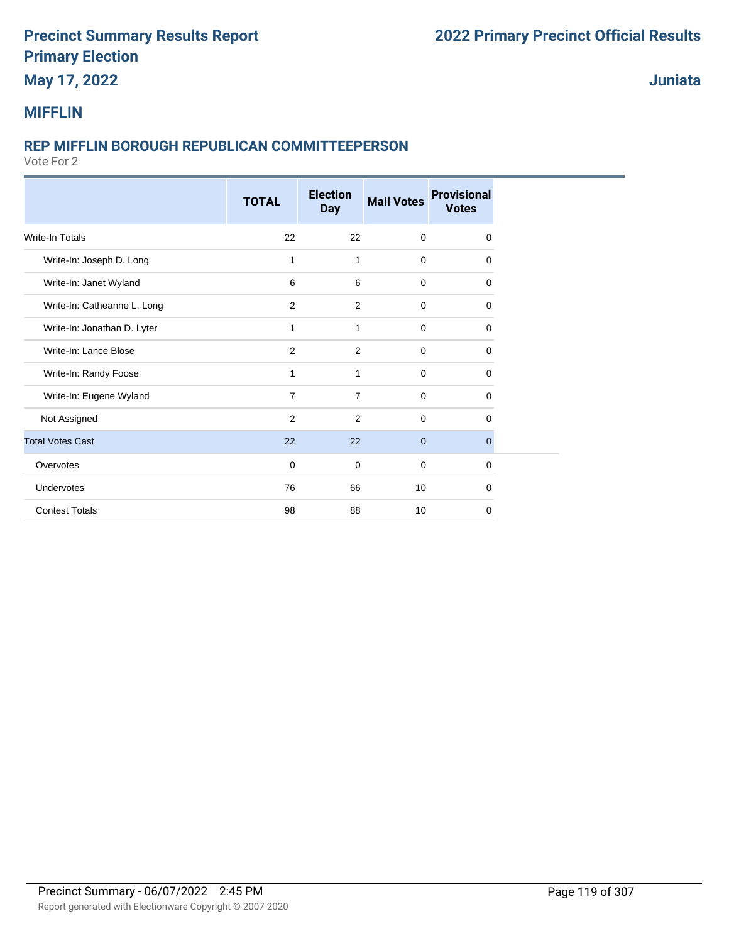## **May 17, 2022**

**Juniata**

#### **MIFFLIN**

#### **REP MIFFLIN BOROUGH REPUBLICAN COMMITTEEPERSON**

|                             | <b>TOTAL</b>   | <b>Election</b><br><b>Day</b> | <b>Mail Votes</b> | <b>Provisional</b><br><b>Votes</b> |
|-----------------------------|----------------|-------------------------------|-------------------|------------------------------------|
| <b>Write-In Totals</b>      | 22             | 22                            | $\mathbf 0$       | $\Omega$                           |
| Write-In: Joseph D. Long    | $\mathbf{1}$   | 1                             | $\mathbf 0$       | $\mathbf 0$                        |
| Write-In: Janet Wyland      | 6              | 6                             | $\mathbf 0$       | $\Omega$                           |
| Write-In: Catheanne L. Long | 2              | $\overline{2}$                | $\mathbf 0$       | 0                                  |
| Write-In: Jonathan D. Lyter | 1              | $\mathbf{1}$                  | $\mathbf 0$       | $\Omega$                           |
| Write-In: Lance Blose       | 2              | 2                             | $\mathbf 0$       | $\Omega$                           |
| Write-In: Randy Foose       | 1              | 1                             | $\mathbf 0$       | $\mathbf 0$                        |
| Write-In: Eugene Wyland     | $\overline{7}$ | $\overline{7}$                | $\mathbf 0$       | $\Omega$                           |
| Not Assigned                | 2              | 2                             | $\mathbf 0$       | $\Omega$                           |
| <b>Total Votes Cast</b>     | 22             | 22                            | $\mathbf{0}$      | $\mathbf{0}$                       |
| Overvotes                   | $\mathbf 0$    | $\mathbf 0$                   | $\mathbf 0$       | $\mathbf 0$                        |
| Undervotes                  | 76             | 66                            | 10                | $\Omega$                           |
| <b>Contest Totals</b>       | 98             | 88                            | 10                | 0                                  |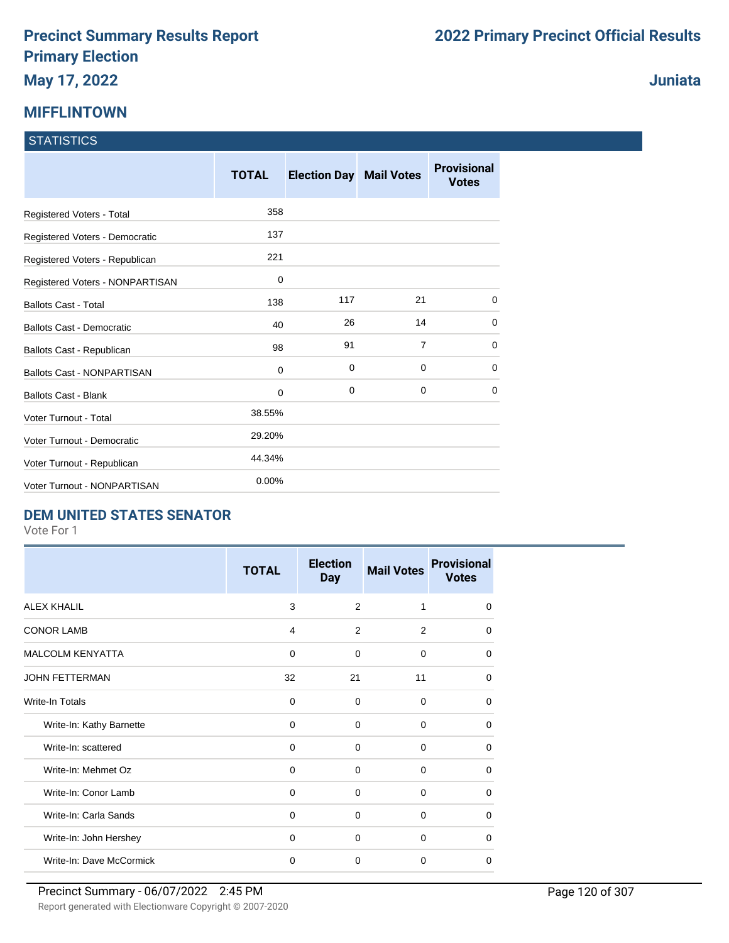# **MIFFLINTOWN**

#### **STATISTICS**

|                                   | <b>TOTAL</b> | <b>Election Day</b> | <b>Mail Votes</b> | <b>Provisional</b><br><b>Votes</b> |
|-----------------------------------|--------------|---------------------|-------------------|------------------------------------|
| Registered Voters - Total         | 358          |                     |                   |                                    |
| Registered Voters - Democratic    | 137          |                     |                   |                                    |
| Registered Voters - Republican    | 221          |                     |                   |                                    |
| Registered Voters - NONPARTISAN   | 0            |                     |                   |                                    |
| <b>Ballots Cast - Total</b>       | 138          | 117                 | 21                | $\Omega$                           |
| <b>Ballots Cast - Democratic</b>  | 40           | 26                  | 14                | $\Omega$                           |
| Ballots Cast - Republican         | 98           | 91                  | $\overline{7}$    | 0                                  |
| <b>Ballots Cast - NONPARTISAN</b> | 0            | 0                   | 0                 | 0                                  |
| <b>Ballots Cast - Blank</b>       | 0            | 0                   | 0                 | 0                                  |
| Voter Turnout - Total             | 38.55%       |                     |                   |                                    |
| Voter Turnout - Democratic        | 29.20%       |                     |                   |                                    |
| Voter Turnout - Republican        | 44.34%       |                     |                   |                                    |
| Voter Turnout - NONPARTISAN       | 0.00%        |                     |                   |                                    |

#### **DEM UNITED STATES SENATOR**

Vote For 1

|                          | <b>TOTAL</b> | <b>Election</b><br><b>Day</b> | <b>Mail Votes</b> | <b>Provisional</b><br><b>Votes</b> |
|--------------------------|--------------|-------------------------------|-------------------|------------------------------------|
| <b>ALEX KHALIL</b>       | 3            | 2                             | 1                 | $\Omega$                           |
| <b>CONOR LAMB</b>        | 4            | 2                             | 2                 | 0                                  |
| <b>MALCOLM KENYATTA</b>  | 0            | 0                             | 0                 | $\Omega$                           |
| <b>JOHN FETTERMAN</b>    | 32           | 21                            | 11                | 0                                  |
| <b>Write-In Totals</b>   | 0            | $\Omega$                      | $\Omega$          | 0                                  |
| Write-In: Kathy Barnette | $\Omega$     | $\Omega$                      | $\Omega$          | $\Omega$                           |
| Write-In: scattered      | $\mathbf 0$  | $\Omega$                      | $\Omega$          | $\Omega$                           |
| Write-In: Mehmet Oz      | $\Omega$     | $\Omega$                      | $\Omega$          | $\Omega$                           |
| Write-In: Conor Lamb     | $\Omega$     | $\Omega$                      | $\Omega$          | $\Omega$                           |
| Write-In: Carla Sands    | $\Omega$     | $\Omega$                      | $\Omega$          | $\Omega$                           |
| Write-In: John Hershey   | $\Omega$     | 0                             | $\Omega$          | $\Omega$                           |
| Write-In: Dave McCormick | $\mathbf 0$  | $\Omega$                      | $\Omega$          | $\Omega$                           |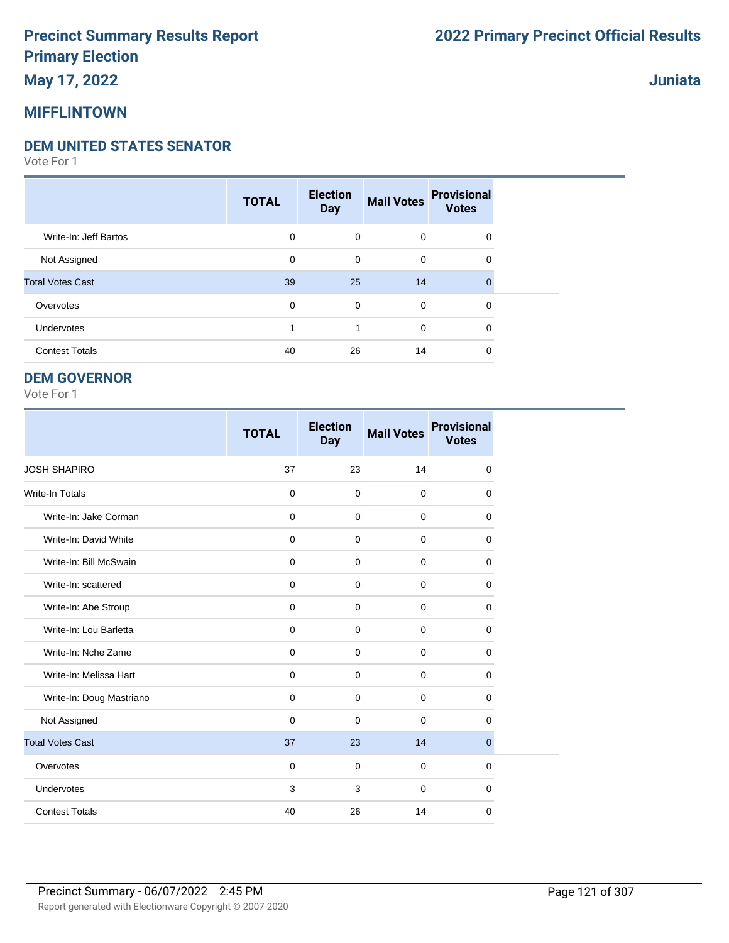### **May 17, 2022**

#### **MIFFLINTOWN**

#### **DEM UNITED STATES SENATOR**

Vote For 1

|                         | <b>TOTAL</b> | <b>Election</b><br><b>Day</b> | <b>Mail Votes</b> | <b>Provisional</b><br><b>Votes</b> |  |
|-------------------------|--------------|-------------------------------|-------------------|------------------------------------|--|
| Write-In: Jeff Bartos   | 0            | $\mathbf 0$                   | $\mathbf 0$       | $\mathbf 0$                        |  |
| Not Assigned            | 0            | 0                             | $\mathbf 0$       | 0                                  |  |
| <b>Total Votes Cast</b> | 39           | 25                            | 14                | $\Omega$                           |  |
| Overvotes               | 0            | 0                             | $\mathbf 0$       | $\mathbf 0$                        |  |
| Undervotes              |              | 1                             | $\mathbf 0$       | 0                                  |  |
| <b>Contest Totals</b>   | 40           | 26                            | 14                | 0                                  |  |

#### **DEM GOVERNOR**

Vote For 1

|                          | <b>TOTAL</b> | <b>Election</b><br><b>Day</b> | <b>Mail Votes</b> | <b>Provisional</b><br><b>Votes</b> |
|--------------------------|--------------|-------------------------------|-------------------|------------------------------------|
| <b>JOSH SHAPIRO</b>      | 37           | 23                            | 14                | $\mathbf 0$                        |
| <b>Write-In Totals</b>   | $\mathbf 0$  | $\mathbf 0$                   | $\mathbf 0$       | 0                                  |
| Write-In: Jake Corman    | $\mathbf 0$  | $\mathbf 0$                   | $\mathbf 0$       | $\Omega$                           |
| Write-In: David White    | $\mathbf 0$  | $\Omega$                      | $\mathbf 0$       | $\Omega$                           |
| Write-In: Bill McSwain   | $\mathbf 0$  | $\Omega$                      | $\Omega$          | $\Omega$                           |
| Write-In: scattered      | 0            | $\mathbf 0$                   | $\mathbf 0$       | $\mathbf 0$                        |
| Write-In: Abe Stroup     | $\mathbf 0$  | $\mathbf 0$                   | $\mathbf 0$       | 0                                  |
| Write-In: Lou Barletta   | 0            | $\mathbf 0$                   | 0                 | $\mathbf 0$                        |
| Write-In: Nche Zame      | $\mathbf 0$  | $\mathbf 0$                   | $\mathbf 0$       | 0                                  |
| Write-In: Melissa Hart   | 0            | $\mathbf 0$                   | $\mathbf 0$       | $\mathbf 0$                        |
| Write-In: Doug Mastriano | $\mathbf 0$  | $\mathbf 0$                   | $\mathbf 0$       | $\mathbf 0$                        |
| Not Assigned             | $\mathbf 0$  | $\Omega$                      | $\Omega$          | $\Omega$                           |
| <b>Total Votes Cast</b>  | 37           | 23                            | 14                | $\overline{0}$                     |
| Overvotes                | $\mathbf 0$  | $\mathbf 0$                   | $\mathbf 0$       | 0                                  |
| Undervotes               | 3            | 3                             | $\mathbf 0$       | $\mathbf 0$                        |
| <b>Contest Totals</b>    | 40           | 26                            | 14                | 0                                  |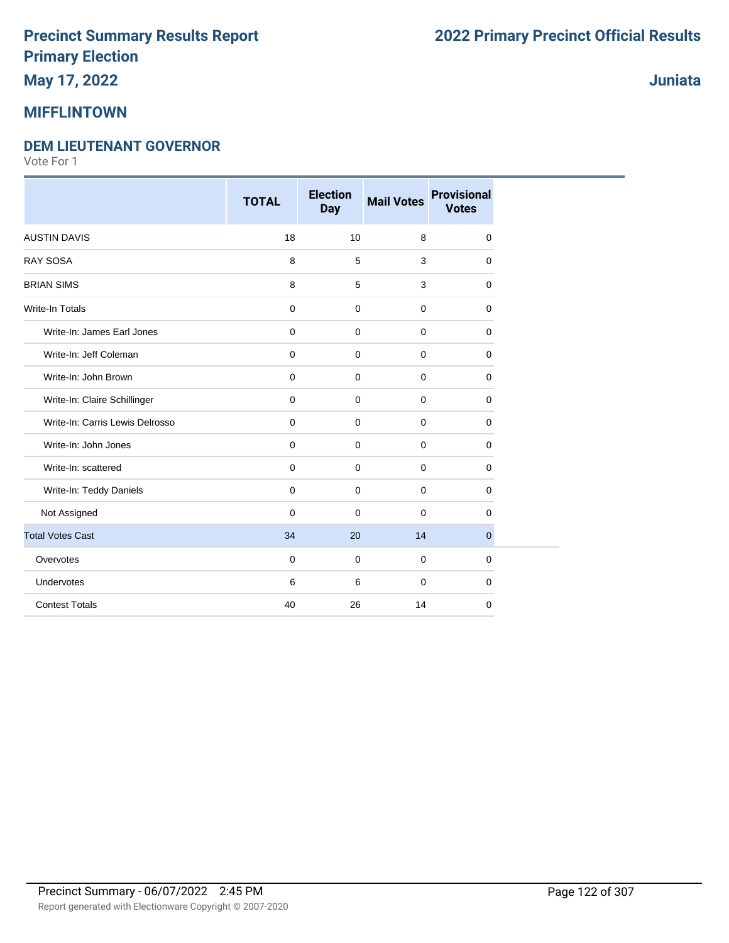## **May 17, 2022**

#### **MIFFLINTOWN**

#### **DEM LIEUTENANT GOVERNOR**

|                                 | <b>TOTAL</b> | <b>Election</b><br><b>Day</b> | <b>Mail Votes</b> | <b>Provisional</b><br><b>Votes</b> |
|---------------------------------|--------------|-------------------------------|-------------------|------------------------------------|
| <b>AUSTIN DAVIS</b>             | 18           | 10                            | 8                 | 0                                  |
| <b>RAY SOSA</b>                 | 8            | 5                             | 3                 | 0                                  |
| <b>BRIAN SIMS</b>               | 8            | 5                             | 3                 | 0                                  |
| <b>Write-In Totals</b>          | $\mathbf 0$  | $\mathbf 0$                   | $\mathbf 0$       | 0                                  |
| Write-In: James Earl Jones      | $\mathbf 0$  | $\mathbf 0$                   | $\mathbf 0$       | 0                                  |
| Write-In: Jeff Coleman          | $\mathbf 0$  | $\mathbf 0$                   | $\mathbf 0$       | 0                                  |
| Write-In: John Brown            | $\mathbf 0$  | $\mathbf 0$                   | $\mathbf 0$       | 0                                  |
| Write-In: Claire Schillinger    | $\mathbf 0$  | $\mathbf 0$                   | $\mathbf 0$       | 0                                  |
| Write-In: Carris Lewis Delrosso | 0            | 0                             | $\mathbf 0$       | 0                                  |
| Write-In: John Jones            | $\mathbf 0$  | 0                             | $\mathbf 0$       | 0                                  |
| Write-In: scattered             | $\mathbf 0$  | $\mathbf 0$                   | $\mathbf 0$       | 0                                  |
| Write-In: Teddy Daniels         | $\mathbf 0$  | 0                             | $\Omega$          | 0                                  |
| Not Assigned                    | $\Omega$     | 0                             | $\mathbf 0$       | 0                                  |
| <b>Total Votes Cast</b>         | 34           | 20                            | 14                | $\overline{0}$                     |
| Overvotes                       | $\mathbf 0$  | $\mathbf 0$                   | $\mathbf 0$       | 0                                  |
| Undervotes                      | 6            | 6                             | $\mathbf 0$       | 0                                  |
| <b>Contest Totals</b>           | 40           | 26                            | 14                | 0                                  |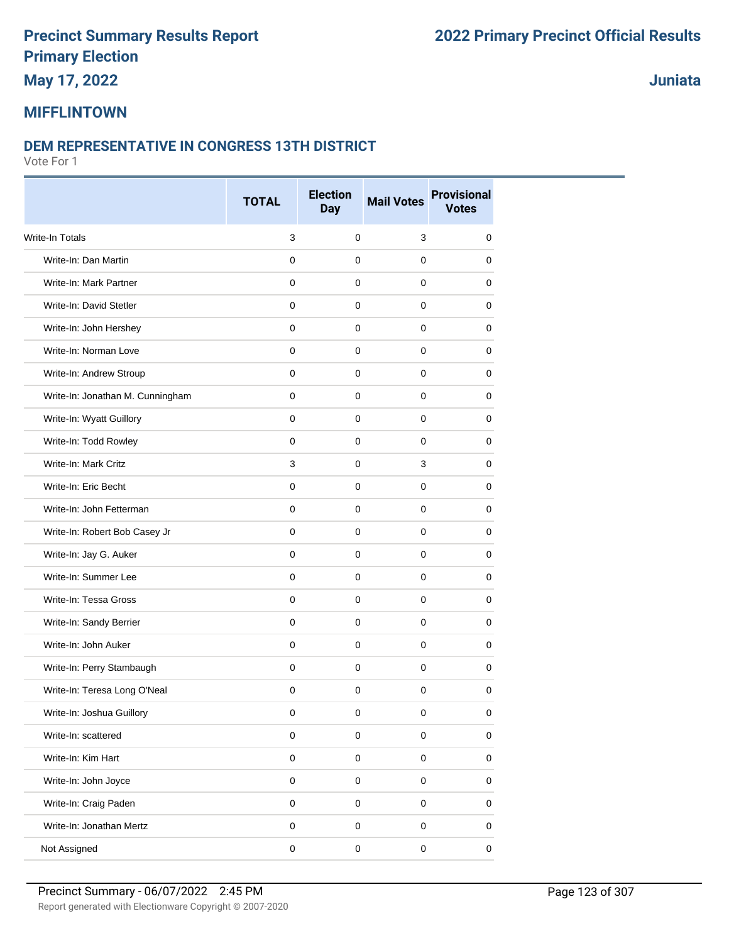## **May 17, 2022**

**Juniata**

### **MIFFLINTOWN**

#### **DEM REPRESENTATIVE IN CONGRESS 13TH DISTRICT**

|                                  | <b>TOTAL</b> | <b>Election</b><br><b>Day</b> | <b>Mail Votes</b> | <b>Provisional</b><br><b>Votes</b> |
|----------------------------------|--------------|-------------------------------|-------------------|------------------------------------|
| Write-In Totals                  | 3            | $\mathbf 0$                   | 3                 | 0                                  |
| Write-In: Dan Martin             | $\mathbf 0$  | 0                             | $\mathbf 0$       | 0                                  |
| Write-In: Mark Partner           | 0            | 0                             | 0                 | 0                                  |
| Write-In: David Stetler          | 0            | 0                             | 0                 | 0                                  |
| Write-In: John Hershey           | 0            | 0                             | 0                 | 0                                  |
| Write-In: Norman Love            | $\mathbf 0$  | 0                             | $\mathbf 0$       | 0                                  |
| Write-In: Andrew Stroup          | 0            | 0                             | 0                 | 0                                  |
| Write-In: Jonathan M. Cunningham | 0            | 0                             | $\mathbf 0$       | 0                                  |
| Write-In: Wyatt Guillory         | $\mathbf 0$  | 0                             | $\mathbf 0$       | 0                                  |
| Write-In: Todd Rowley            | 0            | 0                             | 0                 | 0                                  |
| Write-In: Mark Critz             | 3            | 0                             | 3                 | 0                                  |
| Write-In: Eric Becht             | $\mathbf 0$  | 0                             | $\mathbf 0$       | 0                                  |
| Write-In: John Fetterman         | 0            | 0                             | 0                 | 0                                  |
| Write-In: Robert Bob Casey Jr    | $\mathbf 0$  | 0                             | $\mathbf 0$       | 0                                  |
| Write-In: Jay G. Auker           | $\mathbf 0$  | 0                             | $\mathbf 0$       | 0                                  |
| Write-In: Summer Lee             | $\mathbf 0$  | 0                             | 0                 | 0                                  |
| Write-In: Tessa Gross            | 0            | 0                             | 0                 | 0                                  |
| Write-In: Sandy Berrier          | $\mathbf 0$  | 0                             | $\mathbf 0$       | 0                                  |
| Write-In: John Auker             | 0            | 0                             | 0                 | 0                                  |
| Write-In: Perry Stambaugh        | $\mathbf 0$  | 0                             | $\mathbf 0$       | 0                                  |
| Write-In: Teresa Long O'Neal     | 0            | $\mathbf 0$                   | 0                 | 0                                  |
| Write-In: Joshua Guillory        | 0            | 0                             | 0                 | 0                                  |
| Write-In: scattered              | $\pmb{0}$    | 0                             | $\mathsf 0$       | 0                                  |
| Write-In: Kim Hart               | $\pmb{0}$    | $\pmb{0}$                     | $\pmb{0}$         | 0                                  |
| Write-In: John Joyce             | $\pmb{0}$    | 0                             | $\mathsf 0$       | 0                                  |
| Write-In: Craig Paden            | $\pmb{0}$    | 0                             | $\mathsf 0$       | 0                                  |
| Write-In: Jonathan Mertz         | $\mathsf 0$  | 0                             | $\mathsf 0$       | 0                                  |
| Not Assigned                     | $\pmb{0}$    | 0                             | $\pmb{0}$         | 0                                  |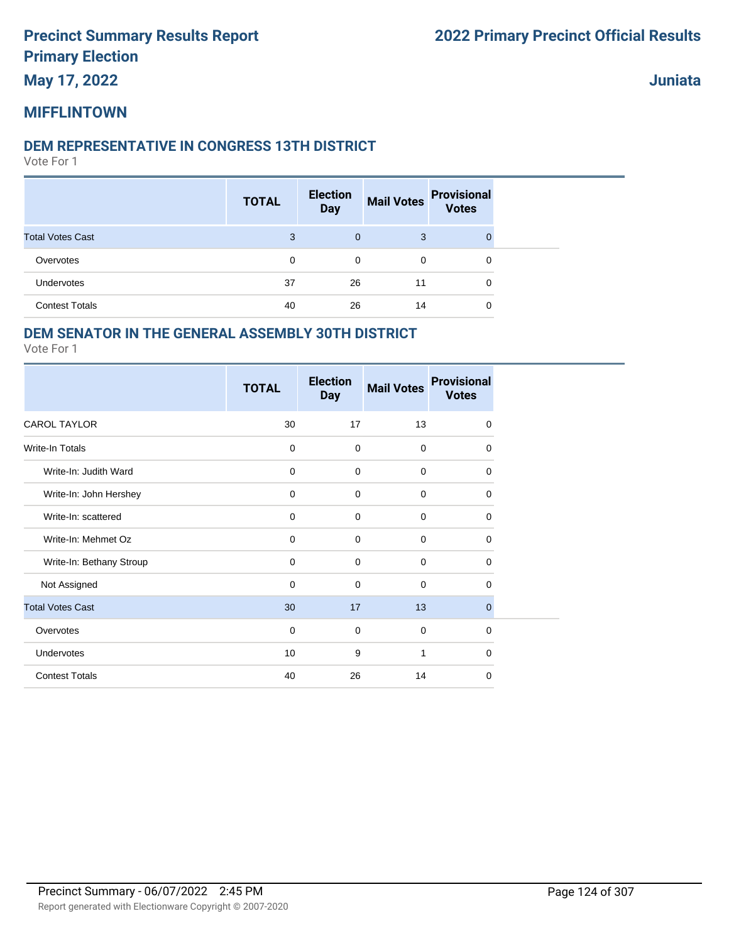**May 17, 2022**

**Juniata**

#### **MIFFLINTOWN**

#### **DEM REPRESENTATIVE IN CONGRESS 13TH DISTRICT**

Vote For 1

|                         | <b>TOTAL</b> | <b>Election</b><br><b>Day</b> | <b>Mail Votes</b> | <b>Provisional</b><br><b>Votes</b> |
|-------------------------|--------------|-------------------------------|-------------------|------------------------------------|
| <b>Total Votes Cast</b> | 3            | $\mathbf{0}$                  | 3                 |                                    |
| Overvotes               | 0            | 0                             | $\mathbf 0$       | 0                                  |
| <b>Undervotes</b>       | 37           | 26                            | 11                | 0                                  |
| <b>Contest Totals</b>   | 40           | 26                            | 14                | 0                                  |

#### **DEM SENATOR IN THE GENERAL ASSEMBLY 30TH DISTRICT**

|                          | <b>TOTAL</b> | <b>Election</b><br><b>Day</b> | <b>Mail Votes</b> | <b>Provisional</b><br><b>Votes</b> |
|--------------------------|--------------|-------------------------------|-------------------|------------------------------------|
| <b>CAROL TAYLOR</b>      | 30           | 17                            | 13                | $\mathbf 0$                        |
| Write-In Totals          | $\mathbf 0$  | 0                             | $\mathbf 0$       | 0                                  |
| Write-In: Judith Ward    | $\mathbf 0$  | 0                             | $\mathbf 0$       | $\mathbf 0$                        |
| Write-In: John Hershey   | $\mathbf 0$  | $\mathbf 0$                   | $\mathbf 0$       | $\mathbf 0$                        |
| Write-In: scattered      | 0            | 0                             | $\mathbf 0$       | 0                                  |
| Write-In: Mehmet Oz      | $\mathbf 0$  | $\mathbf 0$                   | $\mathbf 0$       | 0                                  |
| Write-In: Bethany Stroup | $\mathbf 0$  | 0                             | $\mathbf 0$       | 0                                  |
| Not Assigned             | $\mathbf 0$  | 0                             | $\mathbf 0$       | 0                                  |
| <b>Total Votes Cast</b>  | 30           | 17                            | 13                | $\mathbf 0$                        |
| Overvotes                | $\mathbf 0$  | 0                             | $\mathbf 0$       | $\mathbf 0$                        |
| <b>Undervotes</b>        | 10           | 9                             | 1                 | $\Omega$                           |
| <b>Contest Totals</b>    | 40           | 26                            | 14                | 0                                  |
|                          |              |                               |                   |                                    |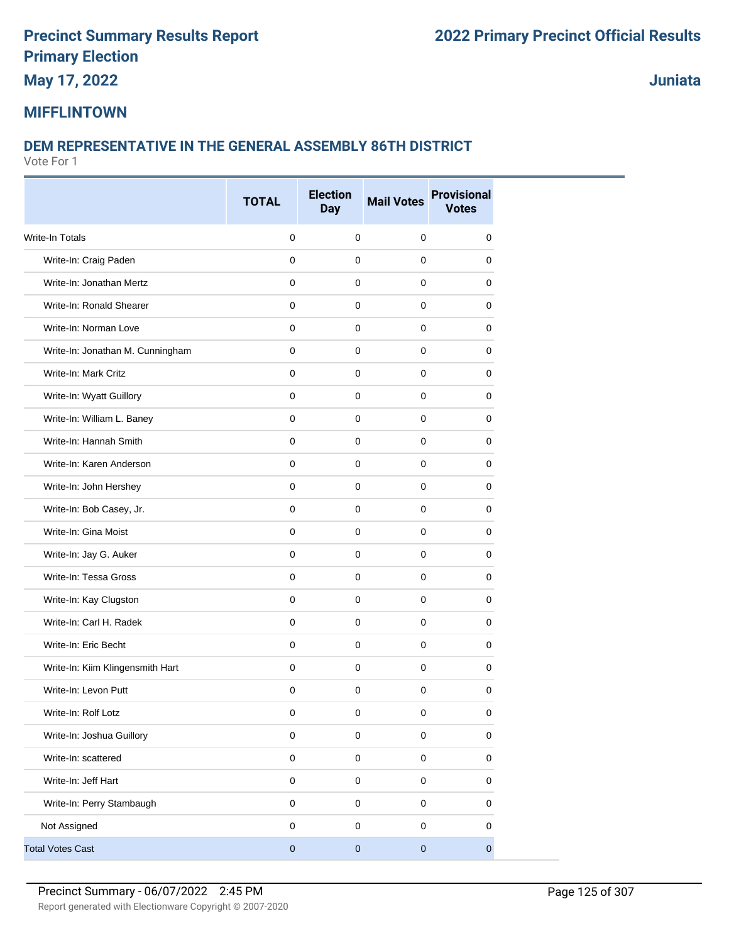**May 17, 2022**

**Juniata**

#### **MIFFLINTOWN**

### **DEM REPRESENTATIVE IN THE GENERAL ASSEMBLY 86TH DISTRICT**

|                                  | <b>TOTAL</b> | <b>Election</b><br><b>Day</b> | <b>Mail Votes</b> | <b>Provisional</b><br><b>Votes</b> |
|----------------------------------|--------------|-------------------------------|-------------------|------------------------------------|
| Write-In Totals                  | $\mathbf 0$  | $\mathbf 0$                   | $\pmb{0}$         | 0                                  |
| Write-In: Craig Paden            | $\mathbf 0$  | $\mathbf 0$                   | $\mathbf{0}$      | 0                                  |
| Write-In: Jonathan Mertz         | 0            | 0                             | $\mathbf 0$       | 0                                  |
| Write-In: Ronald Shearer         | $\mathbf 0$  | $\mathbf 0$                   | $\mathbf 0$       | 0                                  |
| Write-In: Norman Love            | $\mathbf 0$  | $\mathbf 0$                   | 0                 | 0                                  |
| Write-In: Jonathan M. Cunningham | $\mathbf 0$  | $\mathbf 0$                   | $\mathbf 0$       | 0                                  |
| Write-In: Mark Critz             | $\mathbf 0$  | $\mathbf 0$                   | 0                 | 0                                  |
| Write-In: Wyatt Guillory         | $\mathbf 0$  | $\mathbf 0$                   | 0                 | 0                                  |
| Write-In: William L. Baney       | 0            | $\mathbf 0$                   | $\mathbf 0$       | 0                                  |
| Write-In: Hannah Smith           | 0            | $\mathbf 0$                   | 0                 | 0                                  |
| Write-In: Karen Anderson         | $\mathbf 0$  | $\mathbf 0$                   | $\mathbf 0$       | 0                                  |
| Write-In: John Hershey           | $\mathbf 0$  | $\mathbf 0$                   | 0                 | 0                                  |
| Write-In: Bob Casey, Jr.         | $\mathbf 0$  | $\mathbf 0$                   | 0                 | 0                                  |
| Write-In: Gina Moist             | $\mathbf 0$  | $\pmb{0}$                     | $\mathbf{0}$      | 0                                  |
| Write-In: Jay G. Auker           | 0            | $\mathbf 0$                   | 0                 | 0                                  |
| Write-In: Tessa Gross            | $\mathbf 0$  | $\mathbf 0$                   | 0                 | 0                                  |
| Write-In: Kay Clugston           | $\mathbf 0$  | $\mathbf 0$                   | 0                 | 0                                  |
| Write-In: Carl H. Radek          | 0            | $\mathbf 0$                   | $\mathbf 0$       | 0                                  |
| Write-In: Eric Becht             | $\mathbf 0$  | $\mathbf 0$                   | 0                 | $\mathbf 0$                        |
| Write-In: Kiim Klingensmith Hart | $\mathbf 0$  | $\mathbf 0$                   | $\mathbf 0$       | 0                                  |
| Write-In: Levon Putt             | 0            | $\mathbf 0$                   | $\pmb{0}$         | 0                                  |
| Write-In: Rolf Lotz              | 0            | 0                             | 0                 | $\pmb{0}$                          |
| Write-In: Joshua Guillory        | $\pmb{0}$    | $\mathsf 0$                   | 0                 | $\pmb{0}$                          |
| Write-In: scattered              | $\pmb{0}$    | $\pmb{0}$                     | 0                 | 0                                  |
| Write-In: Jeff Hart              | $\pmb{0}$    | $\mathsf 0$                   | $\mathbf 0$       | $\pmb{0}$                          |
| Write-In: Perry Stambaugh        | $\pmb{0}$    | $\pmb{0}$                     | 0                 | 0                                  |
| Not Assigned                     | $\pmb{0}$    | $\mathbf 0$                   | $\mathbf 0$       | $\pmb{0}$                          |
| <b>Total Votes Cast</b>          | $\pmb{0}$    | $\pmb{0}$                     | $\pmb{0}$         | $\overline{0}$                     |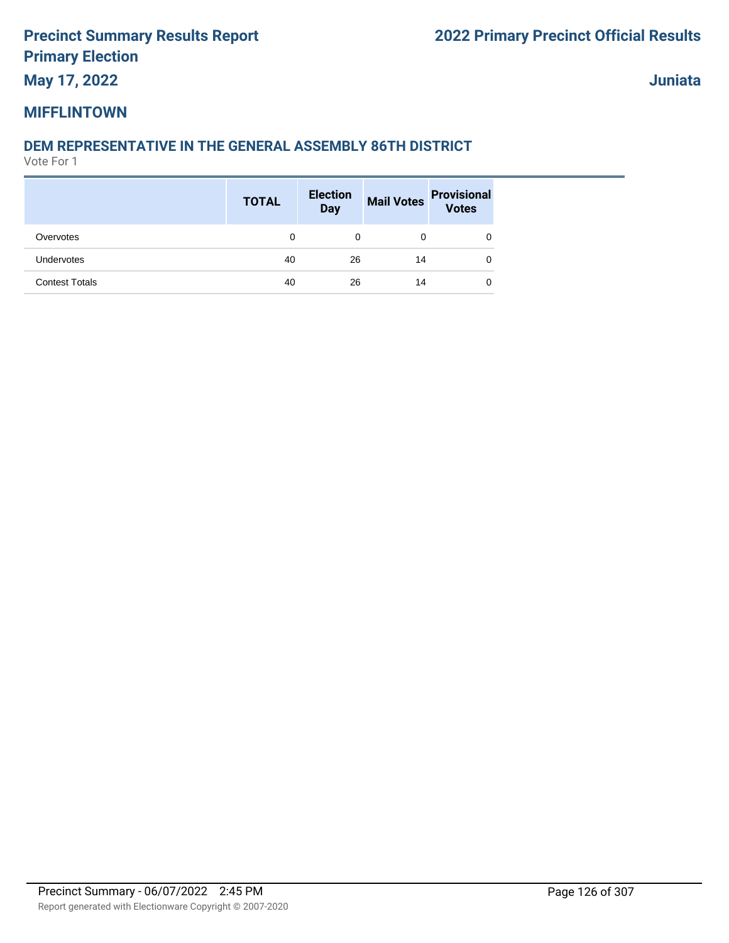**May 17, 2022**

**Juniata**

#### **MIFFLINTOWN**

#### **DEM REPRESENTATIVE IN THE GENERAL ASSEMBLY 86TH DISTRICT**

|                       | <b>TOTAL</b> | <b>Election</b><br><b>Day</b> |    | Mail Votes Provisional<br>Votes |
|-----------------------|--------------|-------------------------------|----|---------------------------------|
| Overvotes             | 0            | 0                             | 0  | 0                               |
| <b>Undervotes</b>     | 40           | 26                            | 14 | 0                               |
| <b>Contest Totals</b> | 40           | 26                            | 14 | 0                               |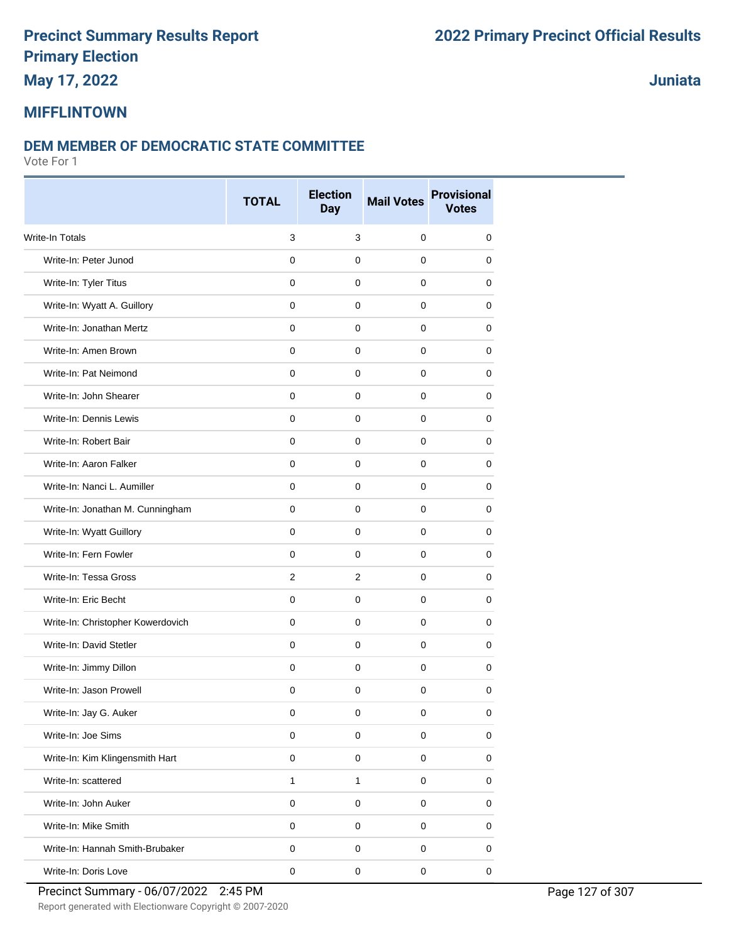## **May 17, 2022**

**Juniata**

### **MIFFLINTOWN**

#### **DEM MEMBER OF DEMOCRATIC STATE COMMITTEE**

Vote For 1

|                                   | <b>TOTAL</b>   | <b>Election</b><br><b>Day</b> | <b>Mail Votes</b> | <b>Provisional</b><br><b>Votes</b> |
|-----------------------------------|----------------|-------------------------------|-------------------|------------------------------------|
| Write-In Totals                   | 3              | $\mathsf 3$                   | 0                 | 0                                  |
| Write-In: Peter Junod             | $\mathsf 0$    | $\mathbf 0$                   | $\mathbf 0$       | 0                                  |
| Write-In: Tyler Titus             | 0              | 0                             | 0                 | 0                                  |
| Write-In: Wyatt A. Guillory       | 0              | 0                             | 0                 | 0                                  |
| Write-In: Jonathan Mertz          | 0              | 0                             | $\pmb{0}$         | 0                                  |
| Write-In: Amen Brown              | $\mathbf 0$    | $\mathbf 0$                   | 0                 | 0                                  |
| Write-In: Pat Neimond             | 0              | 0                             | 0                 | 0                                  |
| Write-In: John Shearer            | 0              | $\mathbf 0$                   | $\mathbf 0$       | 0                                  |
| Write-In: Dennis Lewis            | $\mathbf 0$    | $\mathbf 0$                   | 0                 | 0                                  |
| Write-In: Robert Bair             | 0              | 0                             | 0                 | 0                                  |
| Write-In: Aaron Falker            | 0              | $\mathbf 0$                   | $\pmb{0}$         | 0                                  |
| Write-In: Nanci L. Aumiller       | 0              | $\mathbf 0$                   | $\mathbf 0$       | 0                                  |
| Write-In: Jonathan M. Cunningham  | 0              | 0                             | 0                 | 0                                  |
| Write-In: Wyatt Guillory          | $\mathsf 0$    | $\pmb{0}$                     | $\mathbf 0$       | 0                                  |
| Write-In: Fern Fowler             | 0              | $\mathbf 0$                   | 0                 | 0                                  |
| Write-In: Tessa Gross             | $\overline{2}$ | $\overline{2}$                | 0                 | 0                                  |
| Write-In: Eric Becht              | $\mathbf 0$    | 0                             | 0                 | 0                                  |
| Write-In: Christopher Kowerdovich | 0              | $\mathbf 0$                   | 0                 | 0                                  |
| Write-In: David Stetler           | 0              | 0                             | 0                 | 0                                  |
| Write-In: Jimmy Dillon            | 0              | $\mathbf 0$                   | $\mathbf 0$       | 0                                  |
| Write-In: Jason Prowell           | 0              | 0                             | 0                 | 0                                  |
| Write-In: Jay G. Auker            | 0              | 0                             | 0                 | 0                                  |
| Write-In: Joe Sims                | $\mathsf 0$    | $\pmb{0}$                     | $\mathbf 0$       | 0                                  |
| Write-In: Kim Klingensmith Hart   | $\mathbf 0$    | $\mathsf 0$                   | $\mathsf 0$       | $\mathbf 0$                        |
| Write-In: scattered               | $\mathbf{1}$   | $\mathbf{1}$                  | $\mathsf 0$       | 0                                  |
| Write-In: John Auker              | $\mathsf 0$    | $\mathsf 0$                   | $\mathsf 0$       | 0                                  |
| Write-In: Mike Smith              | $\mathbf 0$    | $\mathsf 0$                   | $\mathsf 0$       | 0                                  |
| Write-In: Hannah Smith-Brubaker   | $\pmb{0}$      | $\pmb{0}$                     | 0                 | 0                                  |
| Write-In: Doris Love              | $\mathsf 0$    | $\pmb{0}$                     | $\pmb{0}$         | $\mathbf 0$                        |

Report generated with Electionware Copyright © 2007-2020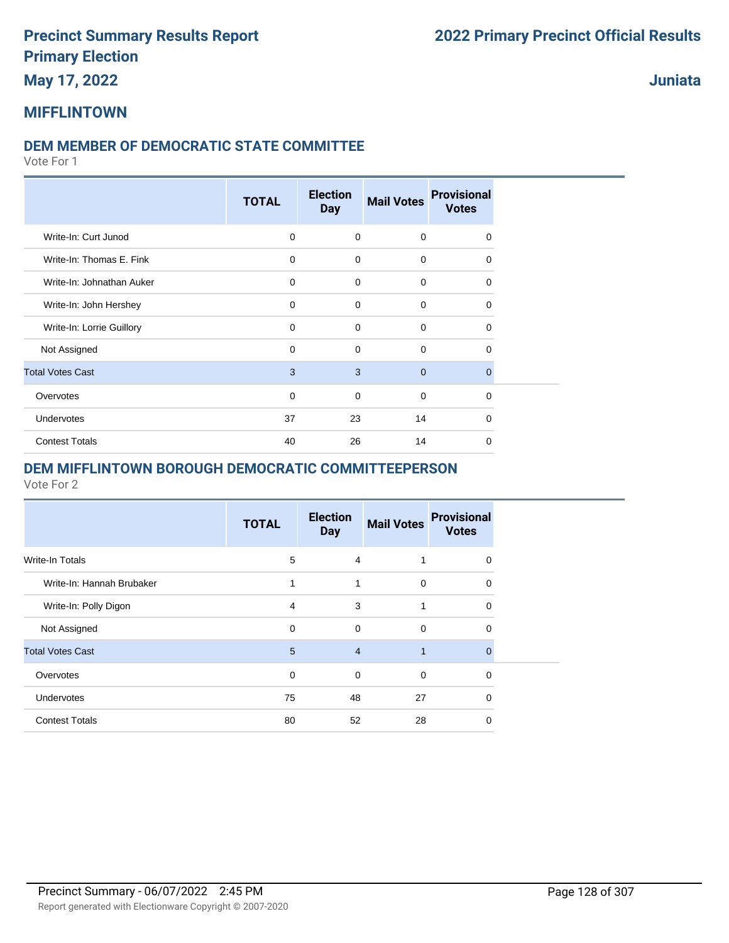### **May 17, 2022**

**Juniata**

### **MIFFLINTOWN**

#### **DEM MEMBER OF DEMOCRATIC STATE COMMITTEE**

Vote For 1

|                           | <b>TOTAL</b> | <b>Election</b><br><b>Day</b> | <b>Mail Votes</b> | <b>Provisional</b><br><b>Votes</b> |
|---------------------------|--------------|-------------------------------|-------------------|------------------------------------|
| Write-In: Curt Junod      | $\mathbf 0$  | $\mathbf 0$                   | $\mathbf 0$       | 0                                  |
| Write-In: Thomas E. Fink  | $\mathbf 0$  | $\mathbf 0$                   | 0                 | 0                                  |
| Write-In: Johnathan Auker | $\mathbf 0$  | $\Omega$                      | $\mathbf 0$       | $\Omega$                           |
| Write-In: John Hershey    | $\mathbf 0$  | $\mathbf 0$                   | $\mathbf 0$       | 0                                  |
| Write-In: Lorrie Guillory | $\Omega$     | $\Omega$                      | $\mathbf 0$       | 0                                  |
| Not Assigned              | $\mathbf 0$  | $\mathbf 0$                   | $\mathbf 0$       | 0                                  |
| <b>Total Votes Cast</b>   | 3            | 3                             | $\mathbf 0$       | $\mathbf{0}$                       |
| Overvotes                 | $\mathbf 0$  | $\mathbf 0$                   | 0                 | 0                                  |
| Undervotes                | 37           | 23                            | 14                | $\Omega$                           |
| <b>Contest Totals</b>     | 40           | 26                            | 14                | $\Omega$                           |

#### **DEM MIFFLINTOWN BOROUGH DEMOCRATIC COMMITTEEPERSON**

|                           | <b>TOTAL</b> | <b>Election</b><br><b>Day</b> | <b>Mail Votes</b> | <b>Provisional</b><br><b>Votes</b> |
|---------------------------|--------------|-------------------------------|-------------------|------------------------------------|
| Write-In Totals           | 5            | 4                             |                   | $\Omega$                           |
| Write-In: Hannah Brubaker | 1            | 1                             | $\Omega$          | $\Omega$                           |
| Write-In: Polly Digon     | 4            | 3                             | 1                 | 0                                  |
| Not Assigned              | $\Omega$     | $\mathbf 0$                   | $\Omega$          | $\Omega$                           |
| <b>Total Votes Cast</b>   | 5            | $\overline{4}$                | $\mathbf{1}$      | $\mathbf{0}$                       |
| Overvotes                 | $\mathbf 0$  | $\mathbf 0$                   | $\mathbf 0$       | $\mathbf 0$                        |
| Undervotes                | 75           | 48                            | 27                | $\mathbf 0$                        |
| <b>Contest Totals</b>     | 80           | 52                            | 28                | $\Omega$                           |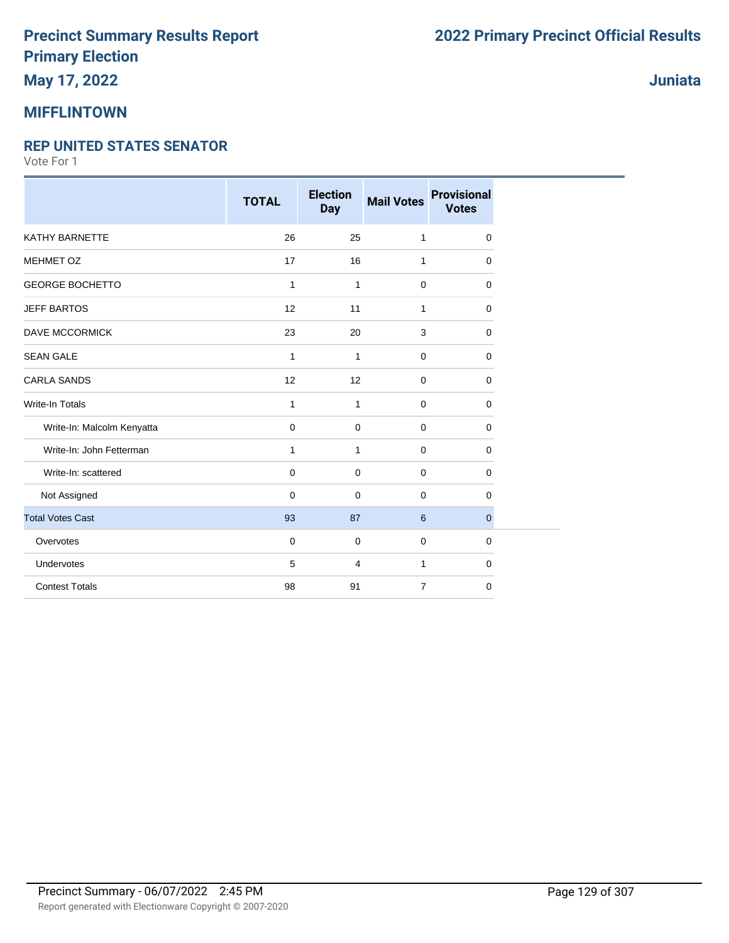## **May 17, 2022**

#### **MIFFLINTOWN**

#### **REP UNITED STATES SENATOR**

|                            | <b>TOTAL</b> | <b>Election</b><br><b>Day</b> | <b>Mail Votes</b> | <b>Provisional</b><br><b>Votes</b> |
|----------------------------|--------------|-------------------------------|-------------------|------------------------------------|
| KATHY BARNETTE             | 26           | 25                            | 1                 | 0                                  |
| MEHMET OZ                  | 17           | 16                            | 1                 | 0                                  |
| <b>GEORGE BOCHETTO</b>     | $\mathbf{1}$ | 1                             | $\mathbf 0$       | 0                                  |
| <b>JEFF BARTOS</b>         | 12           | 11                            | 1                 | 0                                  |
| DAVE MCCORMICK             | 23           | 20                            | 3                 | 0                                  |
| <b>SEAN GALE</b>           | 1            | $\mathbf{1}$                  | $\mathbf 0$       | 0                                  |
| <b>CARLA SANDS</b>         | 12           | 12                            | $\mathbf 0$       | 0                                  |
| <b>Write-In Totals</b>     | 1            | $\mathbf{1}$                  | $\mathbf 0$       | 0                                  |
| Write-In: Malcolm Kenyatta | 0            | $\mathbf 0$                   | $\mathbf 0$       | 0                                  |
| Write-In: John Fetterman   | 1            | $\mathbf{1}$                  | $\mathbf 0$       | 0                                  |
| Write-In: scattered        | 0            | $\mathbf 0$                   | $\mathbf 0$       | 0                                  |
| Not Assigned               | 0            | $\mathbf 0$                   | $\mathbf 0$       | 0                                  |
| <b>Total Votes Cast</b>    | 93           | 87                            | 6                 | $\mathbf 0$                        |
| Overvotes                  | $\mathbf 0$  | $\mathbf 0$                   | $\mathbf 0$       | $\mathbf 0$                        |
| Undervotes                 | 5            | 4                             | $\mathbf{1}$      | 0                                  |
| <b>Contest Totals</b>      | 98           | 91                            | $\overline{7}$    | 0                                  |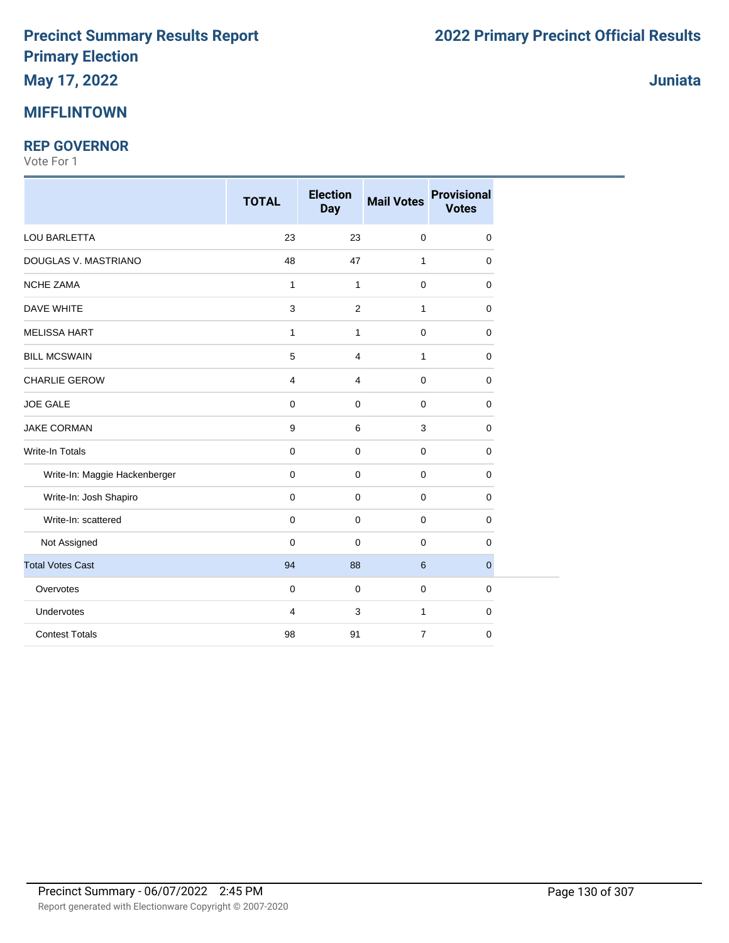#### **MIFFLINTOWN**

#### **REP GOVERNOR**

|                               | <b>TOTAL</b>        | <b>Election</b><br><b>Day</b> | <b>Mail Votes</b> | <b>Provisional</b><br><b>Votes</b> |
|-------------------------------|---------------------|-------------------------------|-------------------|------------------------------------|
| LOU BARLETTA                  | 23                  | 23                            | $\pmb{0}$         | $\mathbf 0$                        |
| DOUGLAS V. MASTRIANO          | 48                  | 47                            | 1                 | $\mathbf 0$                        |
| <b>NCHE ZAMA</b>              | $\mathbf{1}$        | $\mathbf{1}$                  | $\mathbf 0$       | $\mathbf 0$                        |
| <b>DAVE WHITE</b>             | $\mathbf{3}$        | $\overline{2}$                | 1                 | $\mathbf 0$                        |
| <b>MELISSA HART</b>           | $\mathbf{1}$        | $\mathbf{1}$                  | 0                 | 0                                  |
| <b>BILL MCSWAIN</b>           | 5                   | 4                             | $\mathbf{1}$      | $\mathbf 0$                        |
| <b>CHARLIE GEROW</b>          | $\overline{4}$      | $\overline{4}$                | $\mathbf 0$       | $\mathbf 0$                        |
| <b>JOE GALE</b>               | $\mathbf 0$         | $\mathbf 0$                   | 0                 | $\mathbf 0$                        |
| <b>JAKE CORMAN</b>            | $\boldsymbol{9}$    | 6                             | 3                 | $\pmb{0}$                          |
| <b>Write-In Totals</b>        | $\mathbf 0$         | 0                             | 0                 | $\mathbf 0$                        |
| Write-In: Maggie Hackenberger | $\mathbf 0$         | 0                             | 0                 | $\mathbf 0$                        |
| Write-In: Josh Shapiro        | $\mathbf 0$         | $\mathbf 0$                   | 0                 | $\mathbf 0$                        |
| Write-In: scattered           | $\mathsf{O}\xspace$ | $\mathbf 0$                   | 0                 | $\mathbf 0$                        |
| Not Assigned                  | $\mathbf 0$         | $\mathbf 0$                   | $\mathbf 0$       | $\mathbf 0$                        |
| <b>Total Votes Cast</b>       | 94                  | 88                            | 6                 | $\overline{0}$                     |
| Overvotes                     | $\mathbf 0$         | $\mathbf 0$                   | 0                 | $\mathbf 0$                        |
| Undervotes                    | $\overline{4}$      | 3                             | 1                 | $\mathbf 0$                        |
| <b>Contest Totals</b>         | 98                  | 91                            | $\overline{7}$    | $\mathbf 0$                        |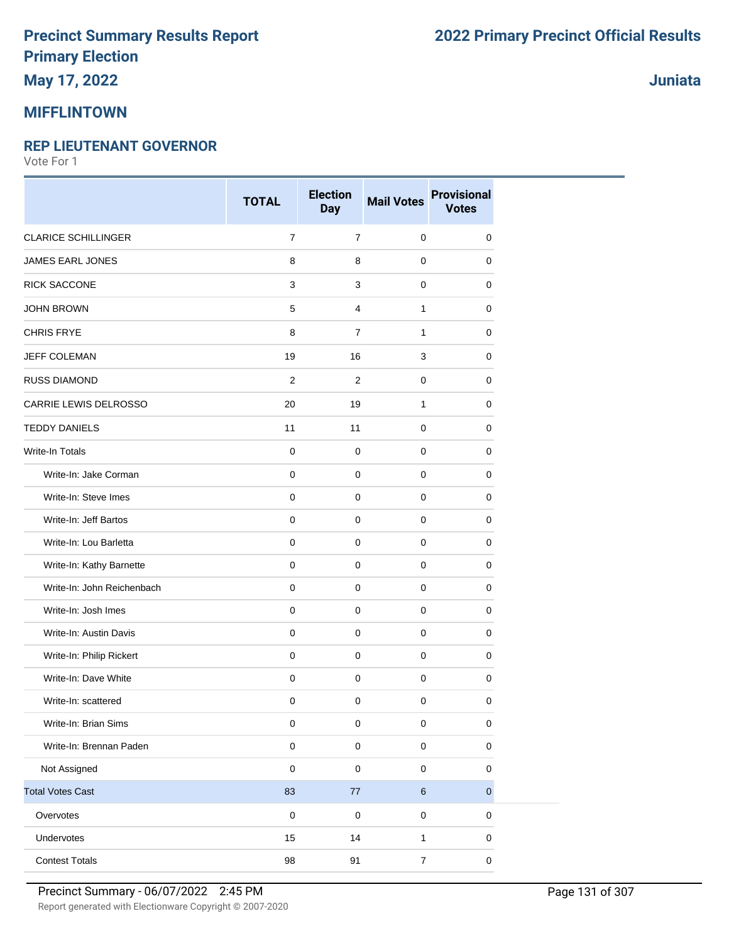## **May 17, 2022**

#### **MIFFLINTOWN**

#### **REP LIEUTENANT GOVERNOR**

Vote For 1

|                            | <b>TOTAL</b>   | <b>Election</b><br><b>Day</b> | <b>Mail Votes</b> | <b>Provisional</b><br><b>Votes</b> |
|----------------------------|----------------|-------------------------------|-------------------|------------------------------------|
| <b>CLARICE SCHILLINGER</b> | $\overline{7}$ | $\overline{7}$                | $\pmb{0}$         | $\mathbf 0$                        |
| <b>JAMES EARL JONES</b>    | 8              | 8                             | $\mathbf 0$       | 0                                  |
| RICK SACCONE               | 3              | 3                             | $\pmb{0}$         | $\mathbf 0$                        |
| <b>JOHN BROWN</b>          | 5              | 4                             | $\mathbf{1}$      | 0                                  |
| <b>CHRIS FRYE</b>          | 8              | $\overline{7}$                | $\mathbf{1}$      | $\mathbf 0$                        |
| JEFF COLEMAN               | 19             | 16                            | 3                 | 0                                  |
| RUSS DIAMOND               | $\overline{c}$ | $\overline{c}$                | $\pmb{0}$         | 0                                  |
| CARRIE LEWIS DELROSSO      | 20             | 19                            | $\mathbf{1}$      | $\mathbf 0$                        |
| <b>TEDDY DANIELS</b>       | 11             | 11                            | $\pmb{0}$         | $\mathbf 0$                        |
| Write-In Totals            | $\mathbf 0$    | $\pmb{0}$                     | $\pmb{0}$         | 0                                  |
| Write-In: Jake Corman      | $\mathbf 0$    | $\mathbf 0$                   | $\pmb{0}$         | $\mathbf 0$                        |
| Write-In: Steve Imes       | $\mathbf 0$    | $\mathbf 0$                   | $\pmb{0}$         | 0                                  |
| Write-In: Jeff Bartos      | $\mathbf 0$    | 0                             | $\mathbf 0$       | 0                                  |
| Write-In: Lou Barletta     | 0              | $\pmb{0}$                     | $\pmb{0}$         | $\pmb{0}$                          |
| Write-In: Kathy Barnette   | $\mathbf 0$    | $\pmb{0}$                     | $\pmb{0}$         | 0                                  |
| Write-In: John Reichenbach | 0              | 0                             | 0                 | 0                                  |
| Write-In: Josh Imes        | $\mathbf 0$    | $\pmb{0}$                     | $\pmb{0}$         | $\mathbf 0$                        |
| Write-In: Austin Davis     | $\mathbf 0$    | $\mathbf 0$                   | $\mathbf 0$       | $\mathbf 0$                        |
| Write-In: Philip Rickert   | 0              | 0                             | $\pmb{0}$         | 0                                  |
| Write-In: Dave White       | 0              | $\pmb{0}$                     | $\pmb{0}$         | $\pmb{0}$                          |
| Write-In: scattered        | 0              | $\pmb{0}$                     | $\pmb{0}$         | $\mathbf 0$                        |
| Write-In: Brian Sims       | 0              | $\pmb{0}$                     | $\pmb{0}$         | 0                                  |
| Write-In: Brennan Paden    | $\pmb{0}$      | $\pmb{0}$                     | $\pmb{0}$         | $\pmb{0}$                          |
| Not Assigned               | 0              | $\pmb{0}$                     | $\pmb{0}$         | $\mathbf 0$                        |
| <b>Total Votes Cast</b>    | 83             | 77                            | $\,6\,$           | $\mathbf{0}$                       |
| Overvotes                  | $\pmb{0}$      | $\pmb{0}$                     | $\pmb{0}$         | $\pmb{0}$                          |
| Undervotes                 | 15             | 14                            | $\mathbf 1$       | 0                                  |
| <b>Contest Totals</b>      | 98             | 91                            | $\overline{7}$    | $\pmb{0}$                          |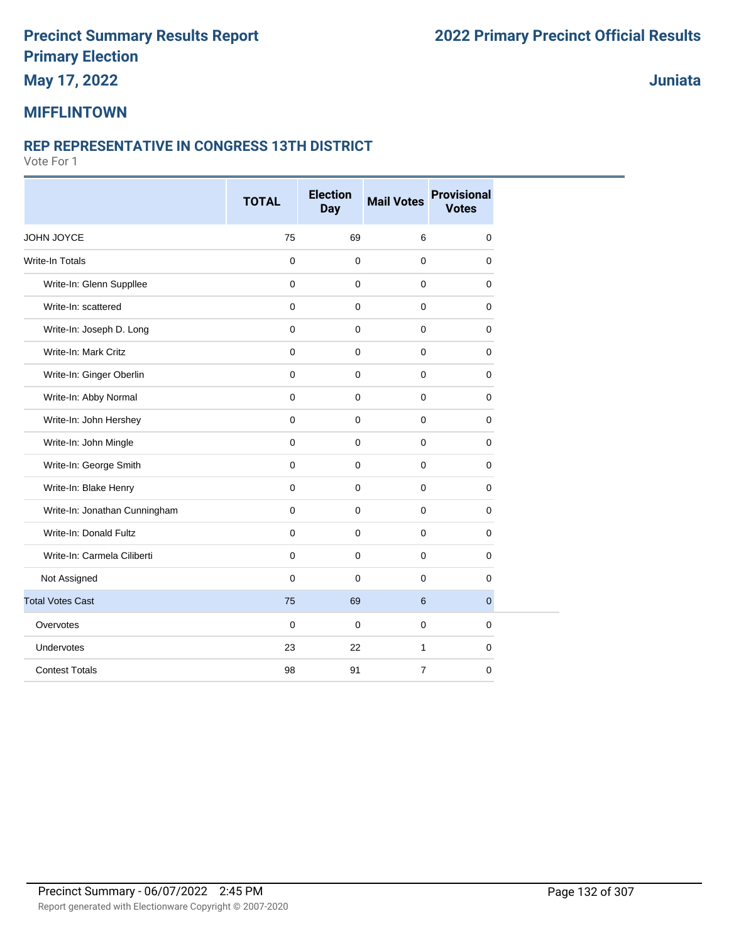**May 17, 2022**

#### **Juniata**

#### **MIFFLINTOWN**

#### **REP REPRESENTATIVE IN CONGRESS 13TH DISTRICT**

|                               | <b>TOTAL</b> | <b>Election</b><br><b>Day</b> | <b>Mail Votes</b> | <b>Provisional</b><br><b>Votes</b> |
|-------------------------------|--------------|-------------------------------|-------------------|------------------------------------|
| JOHN JOYCE                    | 75           | 69                            | 6                 | $\mathbf 0$                        |
| <b>Write-In Totals</b>        | $\pmb{0}$    | $\mathbf 0$                   | $\pmb{0}$         | $\mathbf 0$                        |
| Write-In: Glenn Suppllee      | $\mathbf 0$  | $\Omega$                      | $\mathbf{0}$      | $\mathbf 0$                        |
| Write-In: scattered           | $\mathbf 0$  | $\mathbf 0$                   | $\mathbf 0$       | 0                                  |
| Write-In: Joseph D. Long      | $\pmb{0}$    | $\mathbf 0$                   | $\mathbf 0$       | 0                                  |
| Write-In: Mark Critz          | $\mathbf 0$  | $\mathbf 0$                   | $\mathbf 0$       | 0                                  |
| Write-In: Ginger Oberlin      | $\mathbf 0$  | $\Omega$                      | $\mathbf 0$       | $\mathbf 0$                        |
| Write-In: Abby Normal         | $\mathbf 0$  | $\mathbf 0$                   | 0                 | $\mathbf 0$                        |
| Write-In: John Hershey        | $\mathbf 0$  | $\mathbf 0$                   | $\mathbf 0$       | $\mathbf 0$                        |
| Write-In: John Mingle         | $\mathbf 0$  | $\mathbf 0$                   | $\mathbf 0$       | $\mathbf 0$                        |
| Write-In: George Smith        | $\mathbf 0$  | $\mathbf 0$                   | 0                 | 0                                  |
| Write-In: Blake Henry         | $\mathbf 0$  | $\mathbf 0$                   | $\mathbf 0$       | 0                                  |
| Write-In: Jonathan Cunningham | $\mathbf 0$  | $\Omega$                      | 0                 | $\mathbf 0$                        |
| Write-In: Donald Fultz        | $\mathbf 0$  | $\mathbf 0$                   | 0                 | 0                                  |
| Write-In: Carmela Ciliberti   | $\mathbf 0$  | $\mathbf 0$                   | $\mathbf 0$       | 0                                  |
| Not Assigned                  | $\mathbf 0$  | $\mathbf 0$                   | $\mathbf 0$       | $\mathbf 0$                        |
| <b>Total Votes Cast</b>       | 75           | 69                            | 6                 | $\overline{0}$                     |
| Overvotes                     | $\mathbf 0$  | $\mathbf 0$                   | $\mathbf 0$       | $\mathbf 0$                        |
| <b>Undervotes</b>             | 23           | 22                            | $\mathbf{1}$      | $\mathbf 0$                        |
| <b>Contest Totals</b>         | 98           | 91                            | $\overline{7}$    | $\mathbf 0$                        |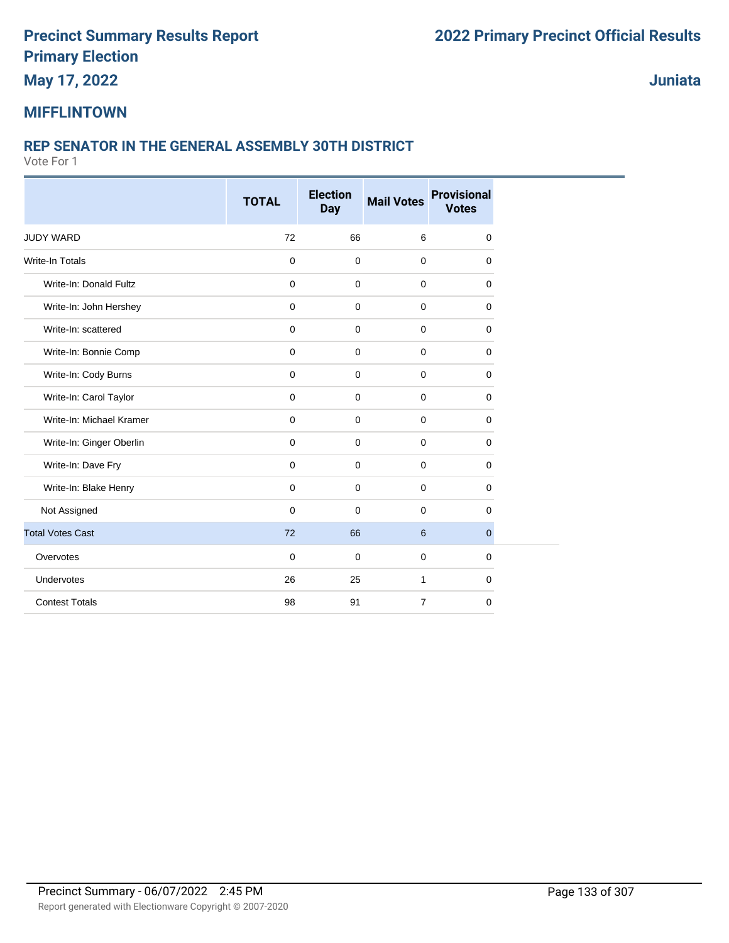**May 17, 2022**

**Juniata**

#### **MIFFLINTOWN**

#### **REP SENATOR IN THE GENERAL ASSEMBLY 30TH DISTRICT**

|                          | <b>TOTAL</b> | <b>Election</b><br><b>Day</b> | <b>Mail Votes</b> | <b>Provisional</b><br><b>Votes</b> |
|--------------------------|--------------|-------------------------------|-------------------|------------------------------------|
|                          |              |                               |                   |                                    |
| <b>JUDY WARD</b>         | 72           | 66                            | 6                 | 0                                  |
| <b>Write-In Totals</b>   | $\mathbf 0$  | $\mathbf 0$                   | $\mathbf 0$       | 0                                  |
| Write-In: Donald Fultz   | $\mathbf 0$  | $\mathbf 0$                   | $\mathbf 0$       | 0                                  |
| Write-In: John Hershey   | 0            | $\mathbf 0$                   | $\mathbf 0$       | 0                                  |
| Write-In: scattered      | $\mathbf 0$  | $\mathbf 0$                   | $\mathbf 0$       | 0                                  |
| Write-In: Bonnie Comp    | $\mathbf 0$  | $\mathbf 0$                   | $\mathbf 0$       | 0                                  |
| Write-In: Cody Burns     | $\mathsf 0$  | $\pmb{0}$                     | $\pmb{0}$         | 0                                  |
| Write-In: Carol Taylor   | $\mathbf 0$  | $\mathbf 0$                   | $\mathbf 0$       | 0                                  |
| Write-In: Michael Kramer | $\mathbf 0$  | $\mathbf 0$                   | $\mathbf 0$       | 0                                  |
| Write-In: Ginger Oberlin | 0            | $\mathbf 0$                   | $\mathbf 0$       | 0                                  |
| Write-In: Dave Fry       | 0            | $\mathbf 0$                   | $\mathbf 0$       | 0                                  |
| Write-In: Blake Henry    | $\mathbf 0$  | $\mathbf 0$                   | $\mathbf 0$       | 0                                  |
| Not Assigned             | $\mathbf 0$  | $\mathbf 0$                   | $\mathbf 0$       | 0                                  |
| <b>Total Votes Cast</b>  | 72           | 66                            | 6                 | $\overline{0}$                     |
| Overvotes                | $\mathbf 0$  | $\mathbf 0$                   | $\mathbf 0$       | 0                                  |
| Undervotes               | 26           | 25                            | $\mathbf{1}$      | 0                                  |
| <b>Contest Totals</b>    | 98           | 91                            | $\overline{7}$    | 0                                  |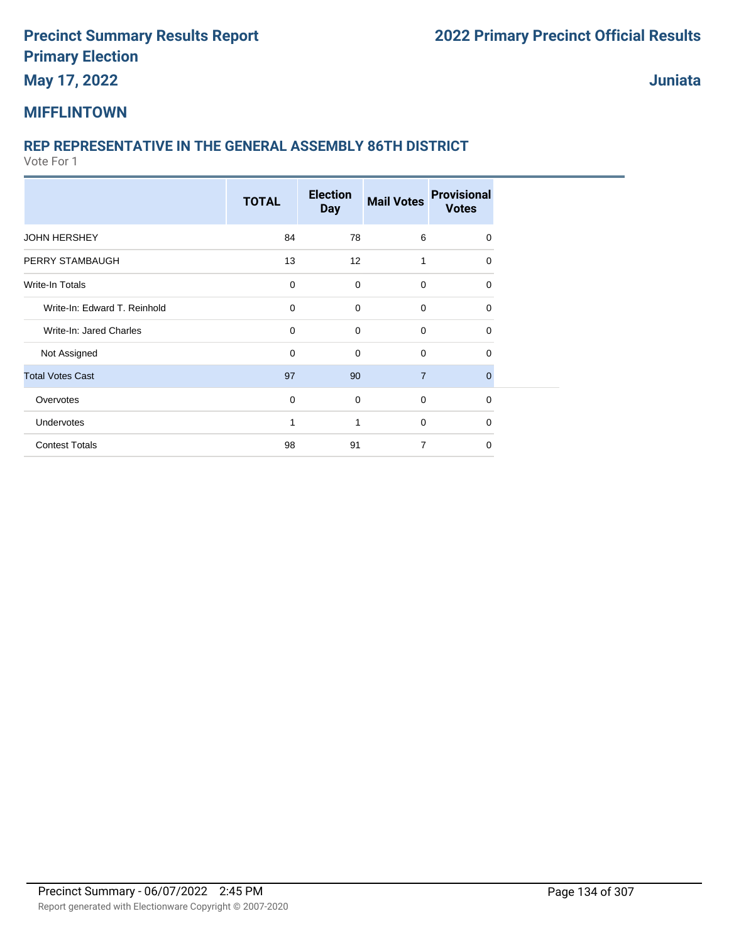**May 17, 2022**

**Juniata**

#### **MIFFLINTOWN**

### **REP REPRESENTATIVE IN THE GENERAL ASSEMBLY 86TH DISTRICT**

|                              | <b>TOTAL</b> | <b>Election</b><br><b>Day</b> | <b>Mail Votes</b> | <b>Provisional</b><br><b>Votes</b> |  |
|------------------------------|--------------|-------------------------------|-------------------|------------------------------------|--|
| <b>JOHN HERSHEY</b>          | 84           | 78                            | 6                 | $\Omega$                           |  |
| PERRY STAMBAUGH              | 13           | 12                            | 1                 | $\Omega$                           |  |
| Write-In Totals              | $\mathbf 0$  | $\mathbf 0$                   | $\mathbf 0$       | $\Omega$                           |  |
| Write-In: Edward T. Reinhold | $\mathbf 0$  | $\mathbf 0$                   | $\mathbf 0$       | $\Omega$                           |  |
| Write-In: Jared Charles      | $\mathbf 0$  | $\mathbf 0$                   | $\mathbf 0$       | $\Omega$                           |  |
| Not Assigned                 | $\mathbf 0$  | $\mathbf 0$                   | $\mathbf 0$       | $\Omega$                           |  |
| <b>Total Votes Cast</b>      | 97           | 90                            | $\overline{7}$    | $\mathbf{0}$                       |  |
| Overvotes                    | $\mathbf 0$  | $\mathbf 0$                   | $\mathbf 0$       | $\mathbf 0$                        |  |
| Undervotes                   | 1            | $\mathbf{1}$                  | $\mathbf 0$       | $\Omega$                           |  |
| <b>Contest Totals</b>        | 98           | 91                            | $\overline{7}$    | $\Omega$                           |  |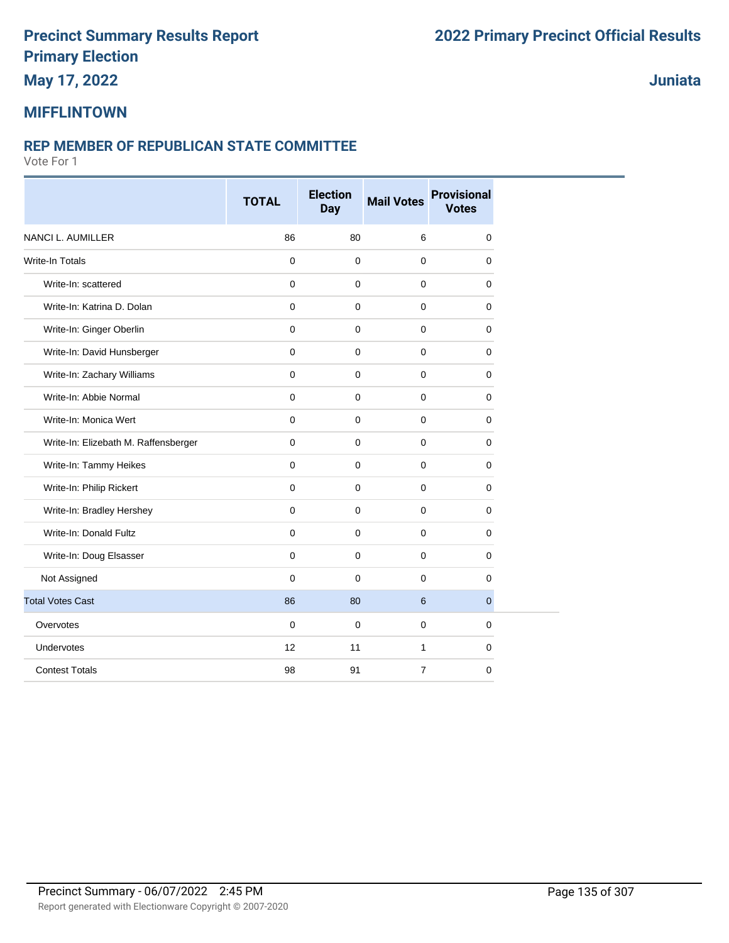## **May 17, 2022**

### **Juniata**

### **MIFFLINTOWN**

#### **REP MEMBER OF REPUBLICAN STATE COMMITTEE**

|                                      | <b>TOTAL</b> | <b>Election</b><br><b>Day</b> | <b>Mail Votes</b> | <b>Provisional</b><br><b>Votes</b> |
|--------------------------------------|--------------|-------------------------------|-------------------|------------------------------------|
| <b>NANCI L. AUMILLER</b>             | 86           | 80                            | 6                 | $\mathbf 0$                        |
| <b>Write-In Totals</b>               | $\mathbf 0$  | $\mathbf 0$                   | $\mathbf 0$       | $\mathbf 0$                        |
| Write-In: scattered                  | $\mathbf 0$  | $\mathbf 0$                   | $\mathbf 0$       | $\mathbf 0$                        |
| Write-In: Katrina D. Dolan           | $\mathbf 0$  | $\Omega$                      | 0                 | $\mathbf 0$                        |
| Write-In: Ginger Oberlin             | $\mathbf 0$  | $\mathbf 0$                   | $\mathbf 0$       | $\mathbf 0$                        |
| Write-In: David Hunsberger           | $\mathbf 0$  | $\Omega$                      | $\mathbf 0$       | $\mathbf 0$                        |
| Write-In: Zachary Williams           | $\mathbf 0$  | $\mathbf 0$                   | $\mathbf 0$       | $\mathbf 0$                        |
| Write-In: Abbie Normal               | $\mathbf 0$  | $\mathbf 0$                   | $\mathbf 0$       | 0                                  |
| Write-In: Monica Wert                | $\mathbf 0$  | $\mathbf 0$                   | $\mathbf 0$       | $\mathbf 0$                        |
| Write-In: Elizebath M. Raffensberger | $\mathbf 0$  | $\mathbf 0$                   | $\mathbf 0$       | $\mathbf 0$                        |
| Write-In: Tammy Heikes               | $\mathbf 0$  | $\mathbf 0$                   | $\mathbf 0$       | 0                                  |
| Write-In: Philip Rickert             | $\mathbf 0$  | $\mathbf 0$                   | $\mathbf 0$       | 0                                  |
| Write-In: Bradley Hershey            | $\mathbf 0$  | $\mathbf 0$                   | $\mathbf 0$       | $\mathbf 0$                        |
| Write-In: Donald Fultz               | $\mathbf 0$  | $\mathbf 0$                   | $\mathbf 0$       | $\mathbf 0$                        |
| Write-In: Doug Elsasser              | $\mathbf 0$  | $\mathbf 0$                   | $\mathbf 0$       | 0                                  |
| Not Assigned                         | $\Omega$     | $\Omega$                      | $\mathbf 0$       | $\Omega$                           |
| <b>Total Votes Cast</b>              | 86           | 80                            | 6                 | $\overline{0}$                     |
| Overvotes                            | $\mathbf 0$  | $\mathbf 0$                   | $\mathbf 0$       | $\mathbf 0$                        |
| <b>Undervotes</b>                    | 12           | 11                            | $\mathbf{1}$      | $\mathbf 0$                        |
| <b>Contest Totals</b>                | 98           | 91                            | 7                 | $\mathbf 0$                        |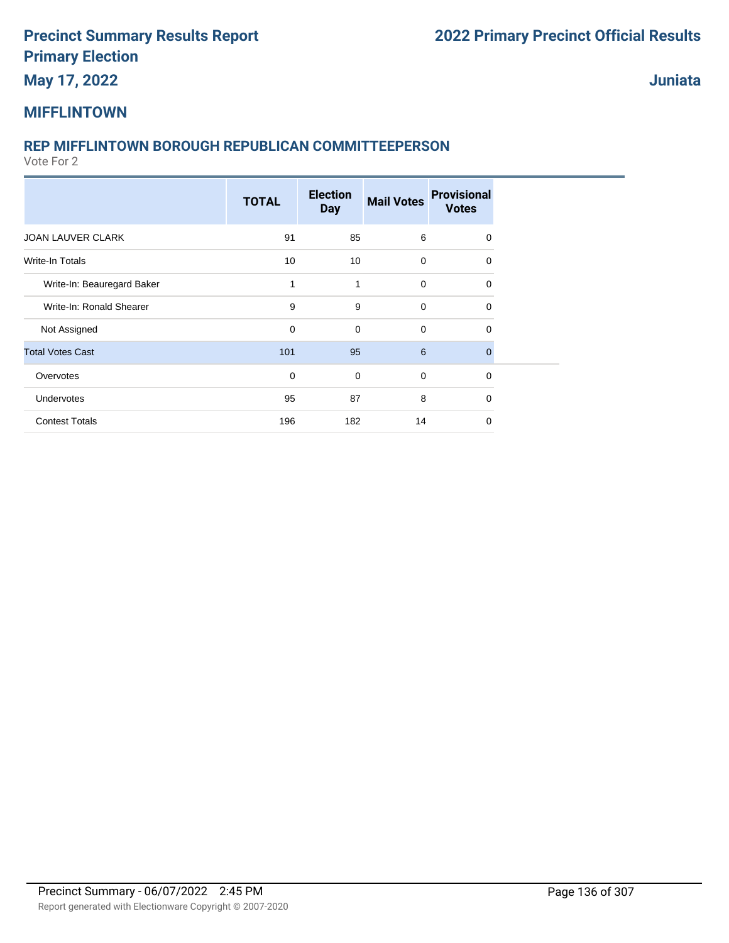## **May 17, 2022**

**Juniata**

#### **MIFFLINTOWN**

#### **REP MIFFLINTOWN BOROUGH REPUBLICAN COMMITTEEPERSON**

|                            | <b>TOTAL</b> | <b>Election</b><br><b>Day</b> | <b>Mail Votes</b> | <b>Provisional</b><br><b>Votes</b> |
|----------------------------|--------------|-------------------------------|-------------------|------------------------------------|
| JOAN LAUVER CLARK          | 91           | 85                            | 6                 | 0                                  |
| Write-In Totals            | 10           | 10                            | $\mathbf 0$       | $\Omega$                           |
| Write-In: Beauregard Baker | 1            | 1                             | 0                 | 0                                  |
| Write-In: Ronald Shearer   | 9            | 9                             | 0                 | 0                                  |
| Not Assigned               | 0            | $\mathbf 0$                   | $\mathbf 0$       | $\Omega$                           |
| <b>Total Votes Cast</b>    | 101          | 95                            | 6                 | $\mathbf 0$                        |
| Overvotes                  | $\mathbf 0$  | 0                             | 0                 | $\Omega$                           |
| Undervotes                 | 95           | 87                            | 8                 | $\Omega$                           |
| <b>Contest Totals</b>      | 196          | 182                           | 14                | 0                                  |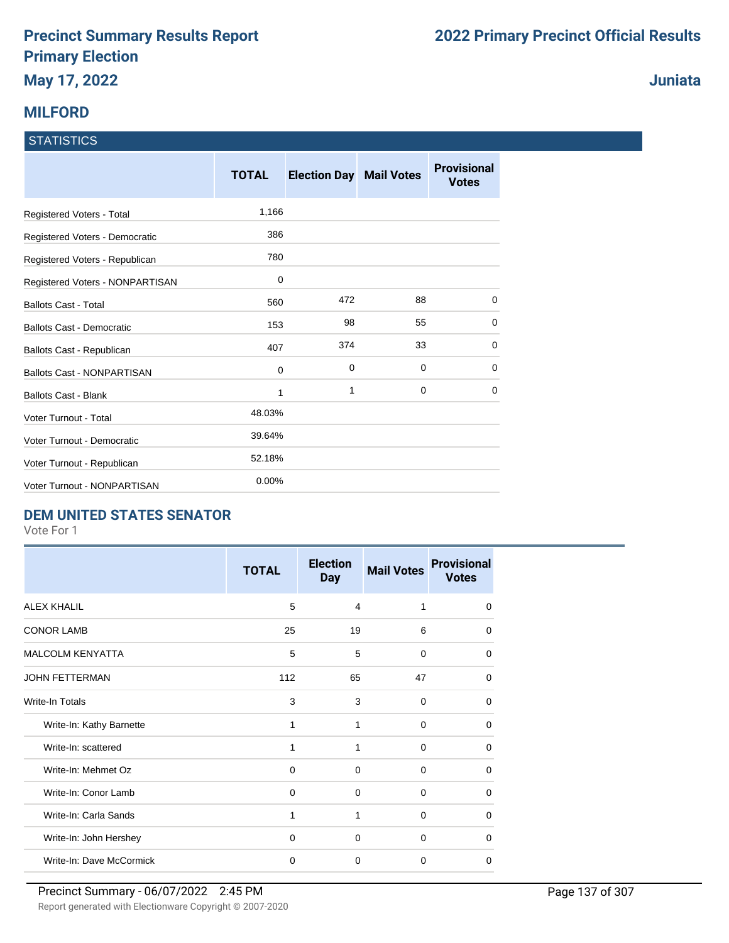#### **MILFORD**

#### **STATISTICS**

|                                   | <b>TOTAL</b> | <b>Election Day</b> | <b>Mail Votes</b> | <b>Provisional</b><br><b>Votes</b> |
|-----------------------------------|--------------|---------------------|-------------------|------------------------------------|
| Registered Voters - Total         | 1,166        |                     |                   |                                    |
| Registered Voters - Democratic    | 386          |                     |                   |                                    |
| Registered Voters - Republican    | 780          |                     |                   |                                    |
| Registered Voters - NONPARTISAN   | 0            |                     |                   |                                    |
| <b>Ballots Cast - Total</b>       | 560          | 472                 | 88                | 0                                  |
| Ballots Cast - Democratic         | 153          | 98                  | 55                | $\Omega$                           |
| Ballots Cast - Republican         | 407          | 374                 | 33                | 0                                  |
| <b>Ballots Cast - NONPARTISAN</b> | 0            | 0                   | 0                 | 0                                  |
| <b>Ballots Cast - Blank</b>       | 1            | 1                   | 0                 | $\Omega$                           |
| Voter Turnout - Total             | 48.03%       |                     |                   |                                    |
| Voter Turnout - Democratic        | 39.64%       |                     |                   |                                    |
| Voter Turnout - Republican        | 52.18%       |                     |                   |                                    |
| Voter Turnout - NONPARTISAN       | 0.00%        |                     |                   |                                    |

#### **DEM UNITED STATES SENATOR**

Vote For 1

|                          | <b>TOTAL</b> | <b>Election</b><br><b>Day</b> | <b>Mail Votes</b> | <b>Provisional</b><br><b>Votes</b> |
|--------------------------|--------------|-------------------------------|-------------------|------------------------------------|
| <b>ALEX KHALIL</b>       | 5            | 4                             | 1                 | $\Omega$                           |
| <b>CONOR LAMB</b>        | 25           | 19                            | 6                 | $\Omega$                           |
| <b>MALCOLM KENYATTA</b>  | 5            | 5                             | $\mathbf 0$       | $\Omega$                           |
| <b>JOHN FETTERMAN</b>    | 112          | 65                            | 47                | 0                                  |
| Write-In Totals          | 3            | 3                             | $\Omega$          | $\Omega$                           |
| Write-In: Kathy Barnette | 1            | 1                             | $\mathbf 0$       | 0                                  |
| Write-In: scattered      | 1            | 1                             | 0                 | 0                                  |
| Write-In: Mehmet Oz      | 0            | $\Omega$                      | $\Omega$          | $\Omega$                           |
| Write-In: Conor Lamb     | $\mathbf 0$  | $\mathbf 0$                   | $\mathbf 0$       | $\Omega$                           |
| Write-In: Carla Sands    | 1            | 1                             | 0                 | 0                                  |
| Write-In: John Hershey   | $\mathbf 0$  | $\Omega$                      | $\Omega$          | $\Omega$                           |
| Write-In: Dave McCormick | 0            | $\Omega$                      | $\Omega$          | $\Omega$                           |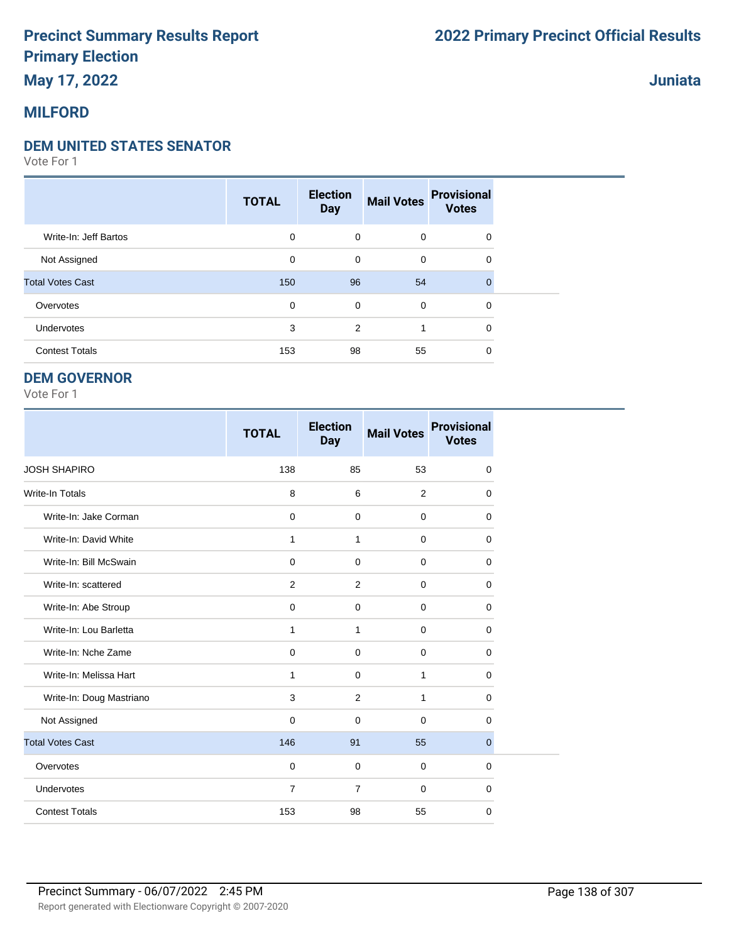## **May 17, 2022**

#### **MILFORD**

#### **DEM UNITED STATES SENATOR**

Vote For 1

|                         | <b>TOTAL</b> | <b>Election</b><br><b>Day</b> | <b>Mail Votes</b> | <b>Provisional</b><br><b>Votes</b> |  |
|-------------------------|--------------|-------------------------------|-------------------|------------------------------------|--|
| Write-In: Jeff Bartos   | 0            | $\mathbf 0$                   | $\mathbf 0$       | $\mathbf 0$                        |  |
| Not Assigned            | 0            | 0                             | 0                 | 0                                  |  |
| <b>Total Votes Cast</b> | 150          | 96                            | 54                | $\Omega$                           |  |
| Overvotes               | 0            | 0                             | $\mathbf 0$       | 0                                  |  |
| Undervotes              | 3            | 2                             |                   | 0                                  |  |
| <b>Contest Totals</b>   | 153          | 98                            | 55                | 0                                  |  |

#### **DEM GOVERNOR**

Vote For 1

|                          | <b>TOTAL</b>   | <b>Election</b><br><b>Day</b> | <b>Mail Votes</b> | <b>Provisional</b><br><b>Votes</b> |
|--------------------------|----------------|-------------------------------|-------------------|------------------------------------|
| <b>JOSH SHAPIRO</b>      | 138            | 85                            | 53                | $\mathbf 0$                        |
| <b>Write-In Totals</b>   | 8              | 6                             | $\overline{2}$    | $\mathbf 0$                        |
| Write-In: Jake Corman    | $\mathbf 0$    | $\mathbf 0$                   | $\mathbf 0$       | $\mathbf 0$                        |
| Write-In: David White    | 1              | 1                             | $\mathbf 0$       | 0                                  |
| Write-In: Bill McSwain   | $\mathbf 0$    | $\Omega$                      | $\mathbf 0$       | $\Omega$                           |
| Write-In: scattered      | 2              | 2                             | $\Omega$          | $\Omega$                           |
| Write-In: Abe Stroup     | $\mathbf 0$    | $\mathbf 0$                   | $\mathbf 0$       | $\mathbf 0$                        |
| Write-In: Lou Barletta   | 1              | 1                             | $\mathbf 0$       | $\mathbf 0$                        |
| Write-In: Nche Zame      | $\mathbf 0$    | $\mathbf 0$                   | $\mathbf 0$       | 0                                  |
| Write-In: Melissa Hart   | 1              | $\mathbf 0$                   | 1                 | $\mathbf 0$                        |
| Write-In: Doug Mastriano | 3              | 2                             | 1                 | $\mathbf 0$                        |
| Not Assigned             | 0              | $\mathbf 0$                   | $\mathbf 0$       | $\mathbf 0$                        |
| <b>Total Votes Cast</b>  | 146            | 91                            | 55                | $\overline{0}$                     |
| Overvotes                | $\mathbf 0$    | $\mathbf 0$                   | $\mathbf 0$       | $\mathbf 0$                        |
| Undervotes               | $\overline{7}$ | $\overline{7}$                | $\mathbf 0$       | 0                                  |
| <b>Contest Totals</b>    | 153            | 98                            | 55                | 0                                  |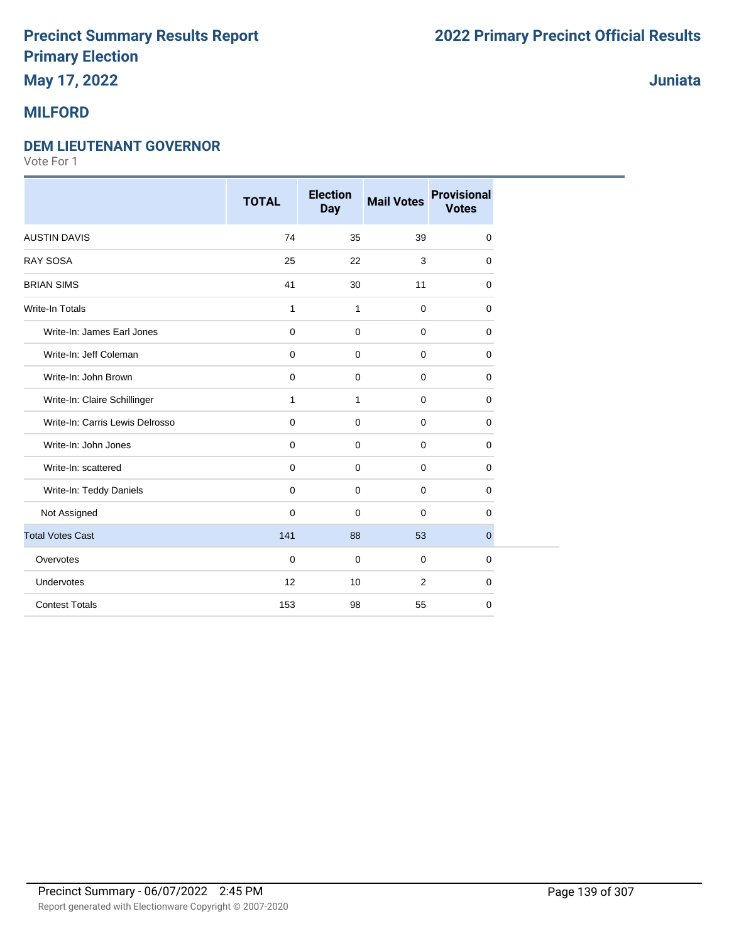## **May 17, 2022**

### **MILFORD**

#### **DEM LIEUTENANT GOVERNOR**

Vote For 1

|                                 | <b>TOTAL</b> | <b>Election</b><br><b>Day</b> | <b>Mail Votes</b> | <b>Provisional</b><br><b>Votes</b> |
|---------------------------------|--------------|-------------------------------|-------------------|------------------------------------|
| <b>AUSTIN DAVIS</b>             | 74           | 35                            | 39                | 0                                  |
| <b>RAY SOSA</b>                 | 25           | 22                            | 3                 | $\mathbf 0$                        |
| <b>BRIAN SIMS</b>               | 41           | 30                            | 11                | 0                                  |
| <b>Write-In Totals</b>          | 1            | 1                             | $\mathbf 0$       | 0                                  |
| Write-In: James Earl Jones      | $\mathbf 0$  | $\mathbf 0$                   | $\mathbf 0$       | $\mathbf 0$                        |
| Write-In: Jeff Coleman          | $\mathbf 0$  | $\mathbf 0$                   | $\mathbf 0$       | $\mathbf 0$                        |
| Write-In: John Brown            | $\mathbf 0$  | $\mathbf 0$                   | $\mathbf 0$       | 0                                  |
| Write-In: Claire Schillinger    | 1            | $\mathbf{1}$                  | $\mathbf 0$       | 0                                  |
| Write-In: Carris Lewis Delrosso | 0            | $\mathbf 0$                   | $\mathbf 0$       | $\mathbf 0$                        |
| Write-In: John Jones            | 0            | $\mathbf 0$                   | $\mathbf 0$       | 0                                  |
| Write-In: scattered             | 0            | $\mathbf 0$                   | $\mathbf 0$       | 0                                  |
| Write-In: Teddy Daniels         | $\mathbf 0$  | $\mathbf 0$                   | $\mathbf 0$       | $\mathbf 0$                        |
| Not Assigned                    | $\Omega$     | $\mathbf 0$                   | $\Omega$          | 0                                  |
| <b>Total Votes Cast</b>         | 141          | 88                            | 53                | $\overline{0}$                     |
| Overvotes                       | $\mathbf 0$  | $\mathbf 0$                   | $\mathbf 0$       | $\mathbf 0$                        |
| Undervotes                      | 12           | 10                            | 2                 | 0                                  |
| <b>Contest Totals</b>           | 153          | 98                            | 55                | $\mathbf 0$                        |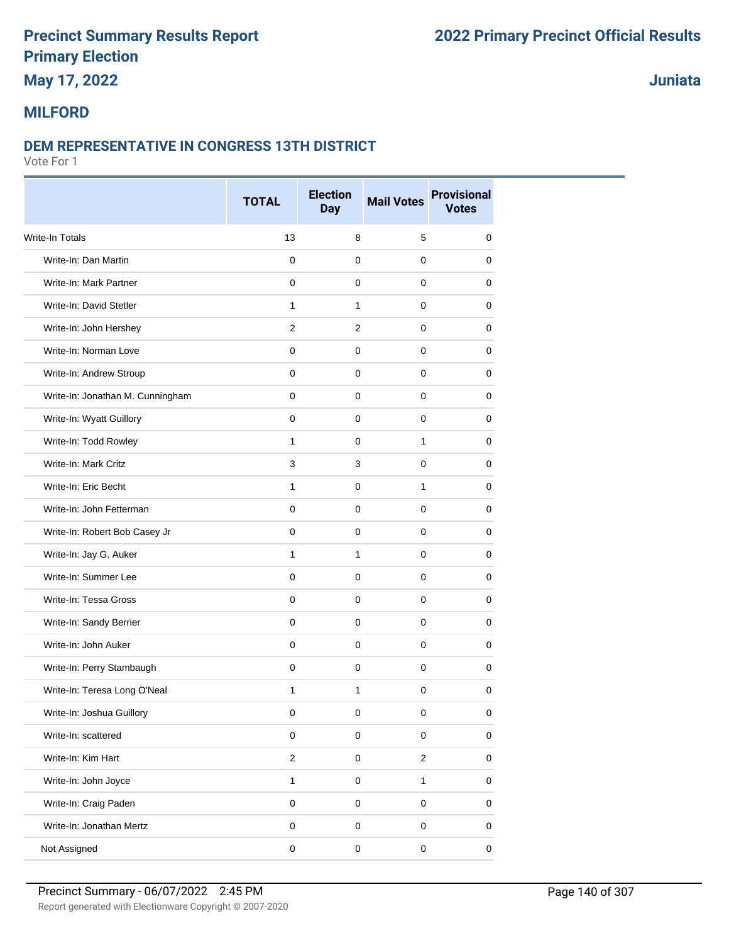## **May 17, 2022**

**Juniata**

#### **MILFORD**

#### **DEM REPRESENTATIVE IN CONGRESS 13TH DISTRICT**

|                                  | <b>TOTAL</b>            | <b>Election</b><br><b>Day</b> | <b>Mail Votes</b> | <b>Provisional</b><br><b>Votes</b> |
|----------------------------------|-------------------------|-------------------------------|-------------------|------------------------------------|
| <b>Write-In Totals</b>           | 13                      | 8                             | 5                 | 0                                  |
| Write-In: Dan Martin             | $\mathbf 0$             | 0                             | $\mathbf 0$       | 0                                  |
| Write-In: Mark Partner           | $\mathbf 0$             | $\mathbf 0$                   | $\mathbf 0$       | 0                                  |
| Write-In: David Stetler          | $\mathbf{1}$            | $\mathbf{1}$                  | $\mathbf 0$       | 0                                  |
| Write-In: John Hershey           | 2                       | 2                             | 0                 | 0                                  |
| Write-In: Norman Love            | $\mathbf 0$             | $\mathbf 0$                   | $\mathbf 0$       | 0                                  |
| Write-In: Andrew Stroup          | $\Omega$                | 0                             | $\mathbf 0$       | 0                                  |
| Write-In: Jonathan M. Cunningham | $\mathbf 0$             | 0                             | $\mathbf 0$       | 0                                  |
| Write-In: Wyatt Guillory         | $\mathbf{0}$            | $\pmb{0}$                     | $\mathbf 0$       | 0                                  |
| Write-In: Todd Rowley            | $\mathbf{1}$            | $\mathbf 0$                   | $\mathbf{1}$      | 0                                  |
| Write-In: Mark Critz             | 3                       | 3                             | 0                 | 0                                  |
| Write-In: Eric Becht             | 1                       | 0                             | 1                 | 0                                  |
| Write-In: John Fetterman         | $\mathbf 0$             | $\mathbf 0$                   | $\mathbf 0$       | 0                                  |
| Write-In: Robert Bob Casey Jr    | $\mathbf 0$             | 0                             | $\mathbf 0$       | 0                                  |
| Write-In: Jay G. Auker           | 1                       | $\mathbf{1}$                  | $\mathbf 0$       | 0                                  |
| Write-In: Summer Lee             | $\mathbf 0$             | $\mathbf 0$                   | $\mathbf 0$       | 0                                  |
| Write-In: Tessa Gross            | $\mathbf 0$             | 0                             | 0                 | 0                                  |
| Write-In: Sandy Berrier          | $\mathbf 0$             | $\mathbf 0$                   | $\mathbf 0$       | 0                                  |
| Write-In: John Auker             | $\Omega$                | 0                             | $\mathbf 0$       | 0                                  |
| Write-In: Perry Stambaugh        | $\mathbf 0$             | 0                             | 0                 | 0                                  |
| Write-In: Teresa Long O'Neal     | $\mathbf{1}$            | $\mathbf{1}$                  | $\mathbf 0$       | 0                                  |
| Write-In: Joshua Guillory        | 0                       | 0                             | 0                 | 0                                  |
| Write-In: scattered              | $\mathbf 0$             | $\mathbf 0$                   | $\pmb{0}$         | 0                                  |
| Write-In: Kim Hart               | $\overline{\mathbf{c}}$ | $\mathbf 0$                   | $\overline{2}$    | $\pmb{0}$                          |
| Write-In: John Joyce             | $\mathbf{1}$            | $\mathbf 0$                   | $\mathbf{1}$      | $\pmb{0}$                          |
| Write-In: Craig Paden            | $\mathsf 0$             | $\mathsf 0$                   | $\mathsf 0$       | $\pmb{0}$                          |
| Write-In: Jonathan Mertz         | $\mathsf 0$             | $\mathbf 0$                   | $\mathsf 0$       | $\pmb{0}$                          |
| Not Assigned                     | $\pmb{0}$               | $\pmb{0}$                     | $\pmb{0}$         | $\pmb{0}$                          |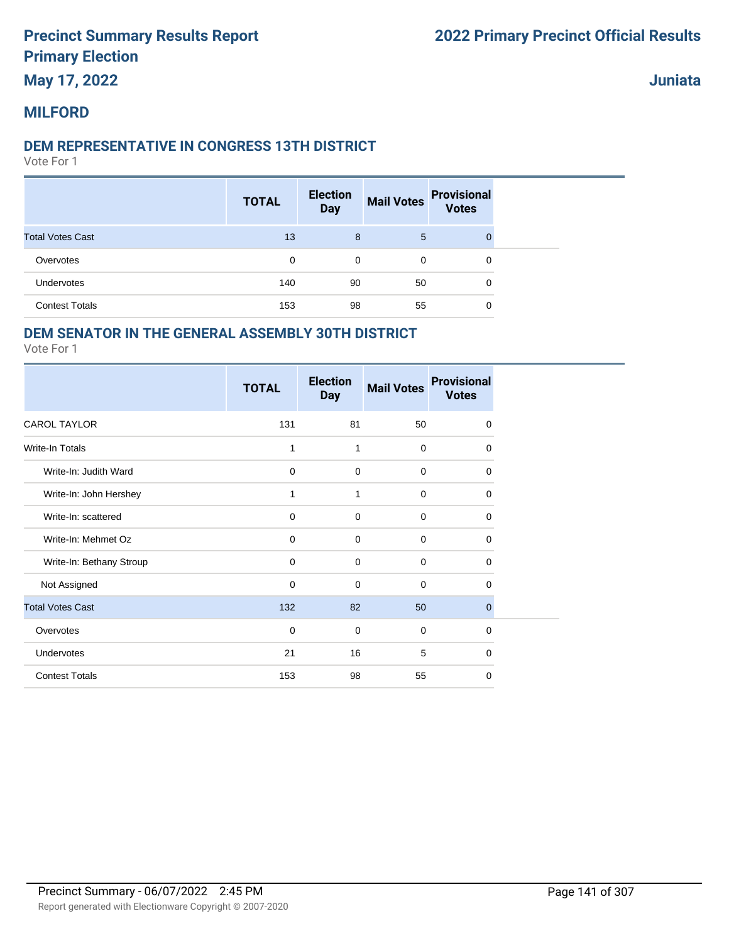### **May 17, 2022**

**Juniata**

#### **MILFORD**

#### **DEM REPRESENTATIVE IN CONGRESS 13TH DISTRICT**

Vote For 1

|                         | <b>TOTAL</b> | <b>Election</b><br><b>Day</b> | <b>Mail Votes</b> | <b>Provisional</b><br><b>Votes</b> |
|-------------------------|--------------|-------------------------------|-------------------|------------------------------------|
| <b>Total Votes Cast</b> | 13           | 8                             | 5                 | $\Omega$                           |
| Overvotes               | 0            | 0                             | 0                 | 0                                  |
| Undervotes              | 140          | 90                            | 50                | 0                                  |
| <b>Contest Totals</b>   | 153          | 98                            | 55                | 0                                  |

#### **DEM SENATOR IN THE GENERAL ASSEMBLY 30TH DISTRICT**

|                          | <b>TOTAL</b> | <b>Election</b><br><b>Day</b> | <b>Mail Votes</b> | <b>Provisional</b><br><b>Votes</b> |
|--------------------------|--------------|-------------------------------|-------------------|------------------------------------|
| <b>CAROL TAYLOR</b>      | 131          | 81                            | 50                | 0                                  |
| <b>Write-In Totals</b>   | 1            | 1                             | $\mathbf 0$       | $\Omega$                           |
| Write-In: Judith Ward    | $\mathbf 0$  | 0                             | $\mathbf 0$       | 0                                  |
| Write-In: John Hershey   | 1            | 1                             | $\mathbf 0$       | 0                                  |
| Write-In: scattered      | $\mathbf 0$  | 0                             | $\mathbf 0$       | 0                                  |
| Write-In: Mehmet Oz      | $\mathbf 0$  | $\mathbf 0$                   | $\mathbf 0$       | $\mathbf 0$                        |
| Write-In: Bethany Stroup | $\mathbf 0$  | 0                             | $\mathbf 0$       | 0                                  |
| Not Assigned             | $\mathbf 0$  | 0                             | $\mathbf 0$       | 0                                  |
| <b>Total Votes Cast</b>  | 132          | 82                            | 50                | $\mathbf{0}$                       |
| Overvotes                | $\mathbf 0$  | 0                             | $\mathbf 0$       | $\Omega$                           |
| Undervotes               | 21           | 16                            | 5                 | $\mathbf 0$                        |
| <b>Contest Totals</b>    | 153          | 98                            | 55                | 0                                  |
|                          |              |                               |                   |                                    |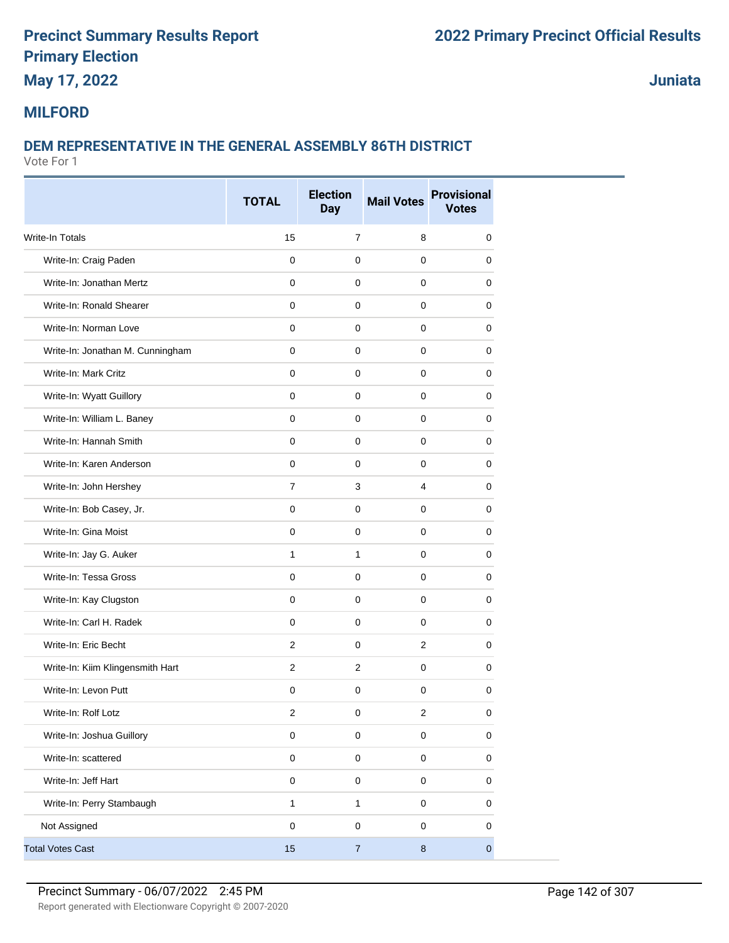## **May 17, 2022**

**Juniata**

#### **MILFORD**

### **DEM REPRESENTATIVE IN THE GENERAL ASSEMBLY 86TH DISTRICT**

|                                  | <b>TOTAL</b>            | <b>Election</b> | <b>Mail Votes</b> | <b>Provisional</b> |  |
|----------------------------------|-------------------------|-----------------|-------------------|--------------------|--|
|                                  |                         | <b>Day</b>      |                   | <b>Votes</b>       |  |
| Write-In Totals                  | 15                      | $\overline{7}$  | 8                 | $\mathbf 0$        |  |
| Write-In: Craig Paden            | $\mathbf 0$             | 0               | $\mathbf 0$       | 0                  |  |
| Write-In: Jonathan Mertz         | 0                       | 0               | 0                 | 0                  |  |
| Write-In: Ronald Shearer         | $\mathbf 0$             | $\mathbf 0$     | $\mathbf 0$       | $\mathbf 0$        |  |
| Write-In: Norman Love            | $\mathbf 0$             | 0               | $\mathbf 0$       | 0                  |  |
| Write-In: Jonathan M. Cunningham | 0                       | $\mathbf 0$     | $\mathbf 0$       | 0                  |  |
| Write-In: Mark Critz             | $\mathbf 0$             | $\mathbf 0$     | $\mathbf 0$       | $\mathbf 0$        |  |
| Write-In: Wyatt Guillory         | 0                       | 0               | 0                 | 0                  |  |
| Write-In: William L. Baney       | 0                       | 0               | 0                 | 0                  |  |
| Write-In: Hannah Smith           | $\mathbf 0$             | $\mathbf 0$     | $\mathbf 0$       | 0                  |  |
| Write-In: Karen Anderson         | $\mathbf 0$             | 0               | $\mathbf 0$       | 0                  |  |
| Write-In: John Hershey           | $\overline{7}$          | 3               | $\overline{4}$    | 0                  |  |
| Write-In: Bob Casey, Jr.         | $\mathbf 0$             | $\pmb{0}$       | $\mathbf 0$       | 0                  |  |
| Write-In: Gina Moist             | $\mathbf 0$             | $\mathbf 0$     | $\mathbf 0$       | 0                  |  |
| Write-In: Jay G. Auker           | $\mathbf{1}$            | 1               | 0                 | 0                  |  |
| Write-In: Tessa Gross            | $\mathbf 0$             | $\mathbf 0$     | $\mathbf 0$       | 0                  |  |
| Write-In: Kay Clugston           | $\mathbf 0$             | 0               | $\mathbf 0$       | 0                  |  |
| Write-In: Carl H. Radek          | $\mathbf 0$             | $\pmb{0}$       | $\mathbf 0$       | 0                  |  |
| Write-In: Eric Becht             | 2                       | $\mathbf 0$     | 2                 | $\mathbf 0$        |  |
| Write-In: Kiim Klingensmith Hart | $\overline{2}$          | $\overline{2}$  | 0                 | 0                  |  |
| Write-In: Levon Putt             | 0                       | 0               | $\mathbf 0$       | 0                  |  |
| Write-In: Rolf Lotz              | $\overline{\mathbf{c}}$ | $\pmb{0}$       | $\boldsymbol{2}$  | $\pmb{0}$          |  |
| Write-In: Joshua Guillory        | $\pmb{0}$               | $\mathbf 0$     | $\mathbf 0$       | $\pmb{0}$          |  |
| Write-In: scattered              | $\pmb{0}$               | $\pmb{0}$       | $\pmb{0}$         | $\pmb{0}$          |  |
| Write-In: Jeff Hart              | $\pmb{0}$               | $\pmb{0}$       | $\mathbf 0$       | $\pmb{0}$          |  |
| Write-In: Perry Stambaugh        | 1                       | $\mathbf{1}$    | $\mathbf 0$       | 0                  |  |
| Not Assigned                     | $\pmb{0}$               | $\pmb{0}$       | $\mathbf 0$       | $\pmb{0}$          |  |
| <b>Total Votes Cast</b>          | 15                      | $\sqrt{7}$      | $\bf 8$           | $\pmb{0}$          |  |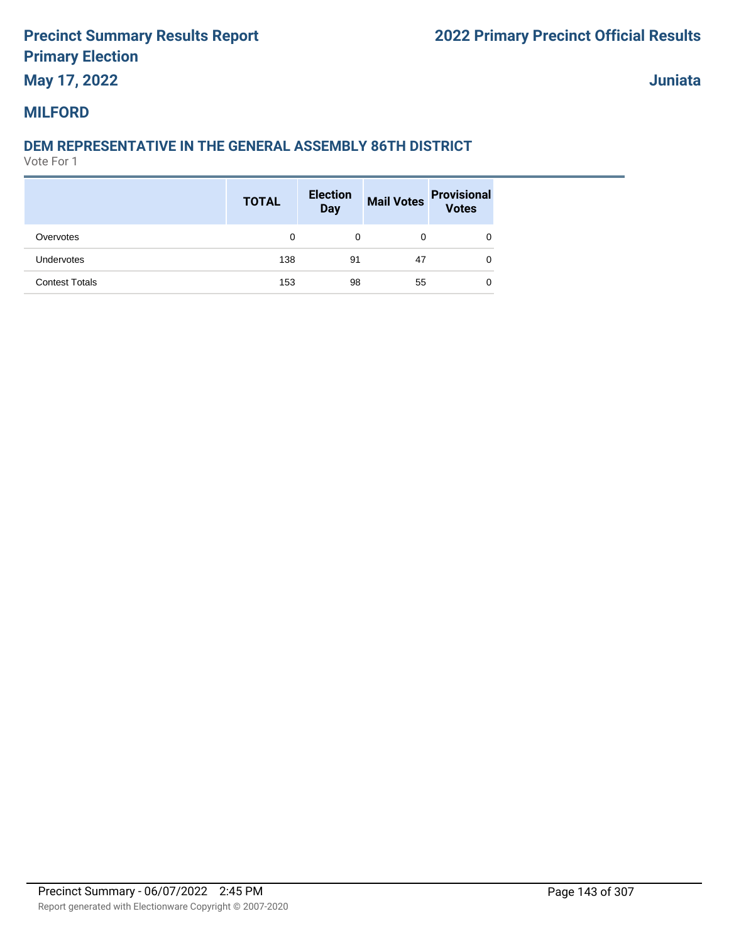## **May 17, 2022**

**Juniata**

#### **MILFORD**

### **DEM REPRESENTATIVE IN THE GENERAL ASSEMBLY 86TH DISTRICT**

|                       | <b>TOTAL</b> | <b>Election</b><br><b>Day</b> | <b>Mail Votes</b> | <b>Provisional</b><br>Votes |
|-----------------------|--------------|-------------------------------|-------------------|-----------------------------|
| Overvotes             | 0            | 0                             | 0                 | 0                           |
| <b>Undervotes</b>     | 138          | 91                            | 47                | 0                           |
| <b>Contest Totals</b> | 153          | 98                            | 55                | 0                           |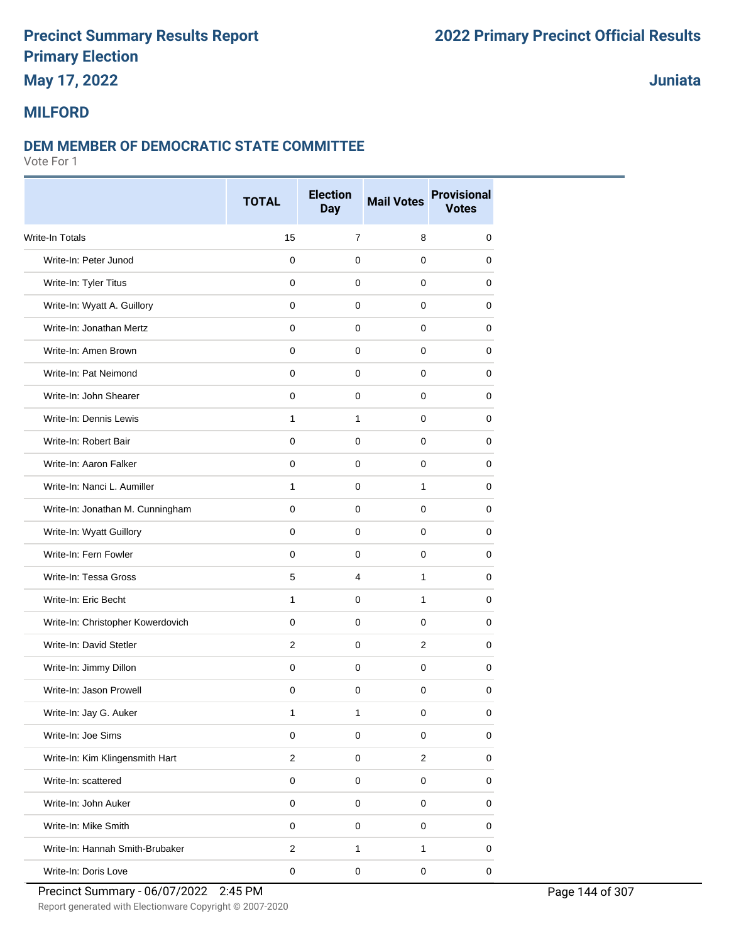## **May 17, 2022**

### **Juniata**

#### **MILFORD**

#### **DEM MEMBER OF DEMOCRATIC STATE COMMITTEE**

Vote For 1

|                                   | <b>TOTAL</b>        | <b>Election</b><br><b>Day</b> | <b>Mail Votes</b> | <b>Provisional</b><br><b>Votes</b> |
|-----------------------------------|---------------------|-------------------------------|-------------------|------------------------------------|
| <b>Write-In Totals</b>            | 15                  | $\overline{7}$                | 8                 | 0                                  |
| Write-In: Peter Junod             | $\mathbf 0$         | $\mathbf 0$                   | $\Omega$          | $\mathbf 0$                        |
| Write-In: Tyler Titus             | 0                   | 0                             | 0                 | 0                                  |
| Write-In: Wyatt A. Guillory       | 0                   | 0                             | 0                 | 0                                  |
| Write-In: Jonathan Mertz          | $\mathbf 0$         | $\mathbf 0$                   | 0                 | 0                                  |
| Write-In: Amen Brown              | $\mathbf 0$         | $\mathbf 0$                   | $\mathbf 0$       | 0                                  |
| Write-In: Pat Neimond             | $\mathbf 0$         | $\mathbf 0$                   | $\Omega$          | 0                                  |
| Write-In: John Shearer            | $\mathbf 0$         | $\mathbf 0$                   | 0                 | 0                                  |
| Write-In: Dennis Lewis            | $\mathbf{1}$        | $\mathbf{1}$                  | 0                 | 0                                  |
| Write-In: Robert Bair             | 0                   | 0                             | 0                 | 0                                  |
| Write-In: Aaron Falker            | $\mathbf 0$         | $\mathbf 0$                   | 0                 | $\mathbf 0$                        |
| Write-In: Nanci L. Aumiller       | $\mathbf{1}$        | $\Omega$                      | 1                 | 0                                  |
| Write-In: Jonathan M. Cunningham  | 0                   | 0                             | 0                 | 0                                  |
| Write-In: Wyatt Guillory          | $\mathbf 0$         | $\mathbf 0$                   | 0                 | 0                                  |
| Write-In: Fern Fowler             | 0                   | 0                             | 0                 | 0                                  |
| Write-In: Tessa Gross             | 5                   | 4                             | $\mathbf{1}$      | 0                                  |
| Write-In: Eric Becht              | $\mathbf{1}$        | $\mathbf 0$                   | $\mathbf{1}$      | 0                                  |
| Write-In: Christopher Kowerdovich | 0                   | $\mathbf 0$                   | 0                 | 0                                  |
| Write-In: David Stetler           | $\overline{2}$      | 0                             | $\overline{2}$    | 0                                  |
| Write-In: Jimmy Dillon            | $\mathbf 0$         | $\mathbf 0$                   | 0                 | 0                                  |
| Write-In: Jason Prowell           | 0                   | 0                             | $\mathbf 0$       | 0                                  |
| Write-In: Jay G. Auker            | 1                   | 1                             | 0                 | 0                                  |
| Write-In: Joe Sims                | $\mathbf 0$         | $\mathbf 0$                   | $\mathbf 0$       | $\pmb{0}$                          |
| Write-In: Kim Klingensmith Hart   | $\overline{c}$      | $\pmb{0}$                     | $\overline{a}$    | $\mathsf 0$                        |
| Write-In: scattered               | $\mathsf{O}\xspace$ | $\mathbf 0$                   | $\mathbf 0$       | 0                                  |
| Write-In: John Auker              | $\pmb{0}$           | $\mathbf 0$                   | 0                 | $\mathsf 0$                        |
| Write-In: Mike Smith              | $\mathbf 0$         | $\pmb{0}$                     | 0                 | 0                                  |
| Write-In: Hannah Smith-Brubaker   | $\overline{c}$      | 1                             | 1                 | 0                                  |
| Write-In: Doris Love              | $\pmb{0}$           | $\pmb{0}$                     | $\pmb{0}$         | $\pmb{0}$                          |

Report generated with Electionware Copyright © 2007-2020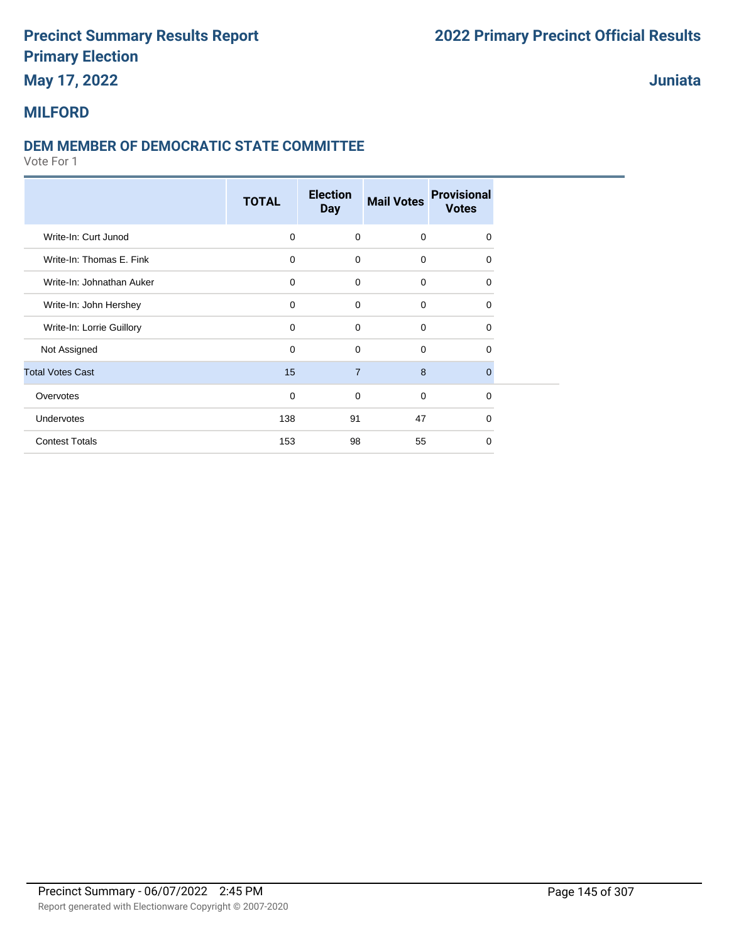## **May 17, 2022**

### **Juniata**

## **MILFORD**

### **DEM MEMBER OF DEMOCRATIC STATE COMMITTEE**

|                           | <b>TOTAL</b> | <b>Election</b><br><b>Day</b> | <b>Mail Votes</b> | <b>Provisional</b><br><b>Votes</b> |  |
|---------------------------|--------------|-------------------------------|-------------------|------------------------------------|--|
| Write-In: Curt Junod      | $\mathbf 0$  | $\mathbf 0$                   | $\mathbf 0$       | 0                                  |  |
| Write-In: Thomas E. Fink  | $\mathbf 0$  | $\mathbf 0$                   | $\mathbf 0$       | 0                                  |  |
| Write-In: Johnathan Auker | $\mathbf 0$  | 0                             | $\mathbf 0$       | 0                                  |  |
| Write-In: John Hershey    | $\mathbf 0$  | $\mathbf 0$                   | $\mathbf 0$       | 0                                  |  |
| Write-In: Lorrie Guillory | $\mathbf 0$  | $\Omega$                      | $\Omega$          | 0                                  |  |
| Not Assigned              | $\mathbf 0$  | $\mathbf 0$                   | $\Omega$          | 0                                  |  |
| <b>Total Votes Cast</b>   | 15           | $\overline{7}$                | 8                 | $\Omega$                           |  |
| Overvotes                 | $\mathbf 0$  | $\mathbf 0$                   | $\mathbf 0$       | 0                                  |  |
| Undervotes                | 138          | 91                            | 47                | 0                                  |  |
| <b>Contest Totals</b>     | 153          | 98                            | 55                | $\Omega$                           |  |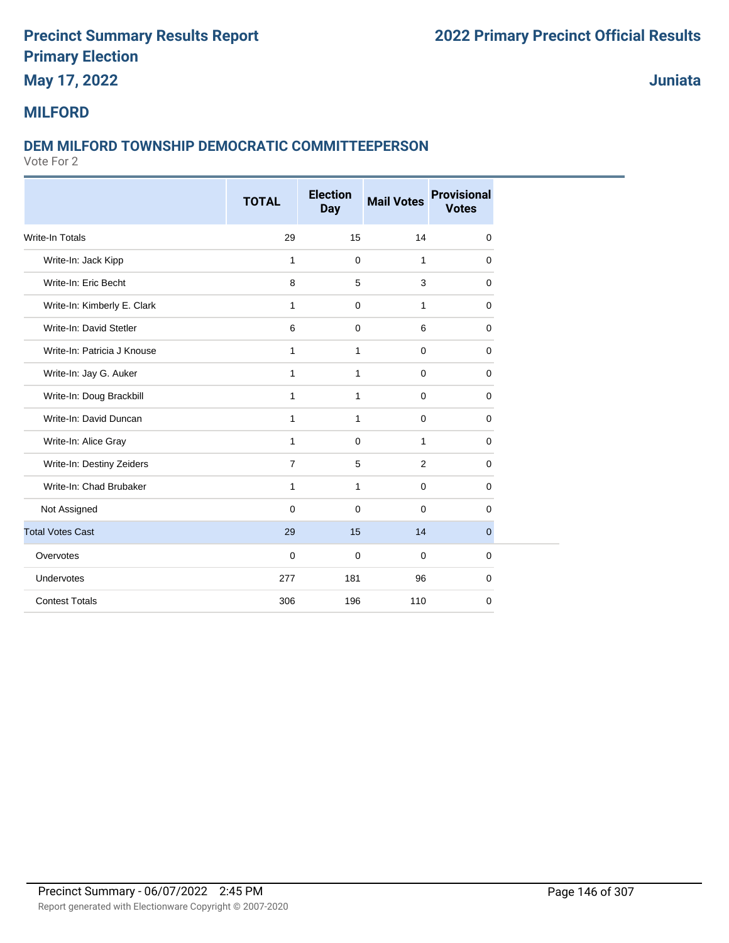## **May 17, 2022**

**Juniata**

### **MILFORD**

#### **DEM MILFORD TOWNSHIP DEMOCRATIC COMMITTEEPERSON**

|                             | <b>TOTAL</b>   | <b>Election</b> | <b>Mail Votes</b> | <b>Provisional</b> |
|-----------------------------|----------------|-----------------|-------------------|--------------------|
|                             |                | <b>Day</b>      |                   | <b>Votes</b>       |
| Write-In Totals             | 29             | 15              | 14                | 0                  |
| Write-In: Jack Kipp         | $\mathbf{1}$   | 0               | $\mathbf{1}$      | $\mathbf 0$        |
| Write-In: Eric Becht        | 8              | 5               | 3                 | $\mathbf 0$        |
| Write-In: Kimberly E. Clark | 1              | $\mathbf 0$     | $\mathbf{1}$      | $\mathbf 0$        |
| Write-In: David Stetler     | 6              | $\mathbf 0$     | 6                 | 0                  |
| Write-In: Patricia J Knouse | $\mathbf{1}$   | 1               | $\mathbf 0$       | 0                  |
| Write-In: Jay G. Auker      | $\mathbf{1}$   | $\mathbf{1}$    | $\mathbf 0$       | 0                  |
| Write-In: Doug Brackbill    | 1              | 1               | $\mathbf 0$       | 0                  |
| Write-In: David Duncan      | 1              | $\mathbf{1}$    | $\mathbf 0$       | 0                  |
| Write-In: Alice Gray        | $\mathbf{1}$   | 0               | $\mathbf{1}$      | 0                  |
| Write-In: Destiny Zeiders   | $\overline{7}$ | 5               | 2                 | $\mathbf 0$        |
| Write-In: Chad Brubaker     | 1              | 1               | $\mathbf 0$       | 0                  |
| Not Assigned                | $\mathbf 0$    | $\mathbf 0$     | $\mathbf 0$       | 0                  |
| <b>Total Votes Cast</b>     | 29             | 15              | 14                | $\mathbf 0$        |
| Overvotes                   | $\mathbf 0$    | $\mathbf 0$     | $\mathbf 0$       | $\mathbf 0$        |
| Undervotes                  | 277            | 181             | 96                | 0                  |
| <b>Contest Totals</b>       | 306            | 196             | 110               | $\mathbf 0$        |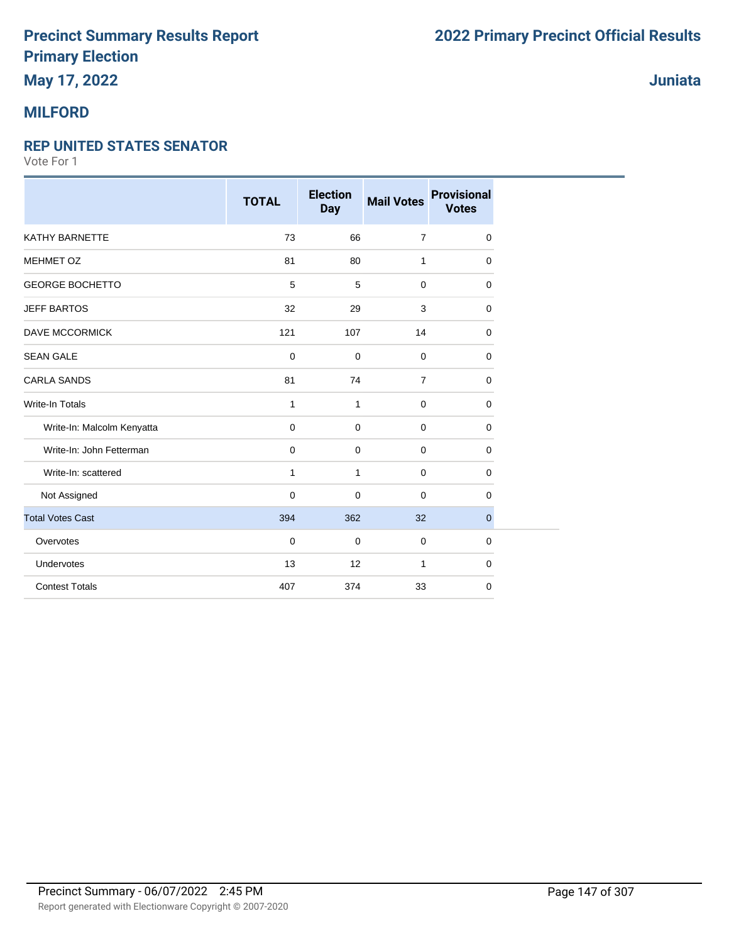## **May 17, 2022**

### **MILFORD**

#### **REP UNITED STATES SENATOR**

|                            | <b>TOTAL</b> | <b>Election</b><br><b>Day</b> | <b>Mail Votes</b> | <b>Provisional</b><br><b>Votes</b> |
|----------------------------|--------------|-------------------------------|-------------------|------------------------------------|
| <b>KATHY BARNETTE</b>      | 73           | 66                            | $\overline{7}$    | 0                                  |
| MEHMET OZ                  | 81           | 80                            | $\mathbf{1}$      | 0                                  |
| <b>GEORGE BOCHETTO</b>     | 5            | 5                             | 0                 | 0                                  |
| <b>JEFF BARTOS</b>         | 32           | 29                            | 3                 | 0                                  |
| <b>DAVE MCCORMICK</b>      | 121          | 107                           | 14                | 0                                  |
| <b>SEAN GALE</b>           | $\mathbf 0$  | $\mathbf 0$                   | $\mathbf 0$       | 0                                  |
| <b>CARLA SANDS</b>         | 81           | 74                            | $\overline{7}$    | $\mathbf 0$                        |
| <b>Write-In Totals</b>     | $\mathbf{1}$ | $\mathbf{1}$                  | $\mathbf 0$       | $\mathbf 0$                        |
| Write-In: Malcolm Kenyatta | $\mathbf 0$  | 0                             | 0                 | 0                                  |
| Write-In: John Fetterman   | $\mathbf 0$  | $\mathbf 0$                   | $\mathbf 0$       | 0                                  |
| Write-In: scattered        | $\mathbf{1}$ | $\mathbf{1}$                  | $\mathbf 0$       | 0                                  |
| Not Assigned               | $\mathbf 0$  | $\mathbf 0$                   | $\mathbf 0$       | 0                                  |
| <b>Total Votes Cast</b>    | 394          | 362                           | 32                | $\mathbf{0}$                       |
| Overvotes                  | $\mathbf 0$  | $\mathbf 0$                   | $\mathbf 0$       | 0                                  |
| Undervotes                 | 13           | 12                            | 1                 | 0                                  |
| <b>Contest Totals</b>      | 407          | 374                           | 33                | 0                                  |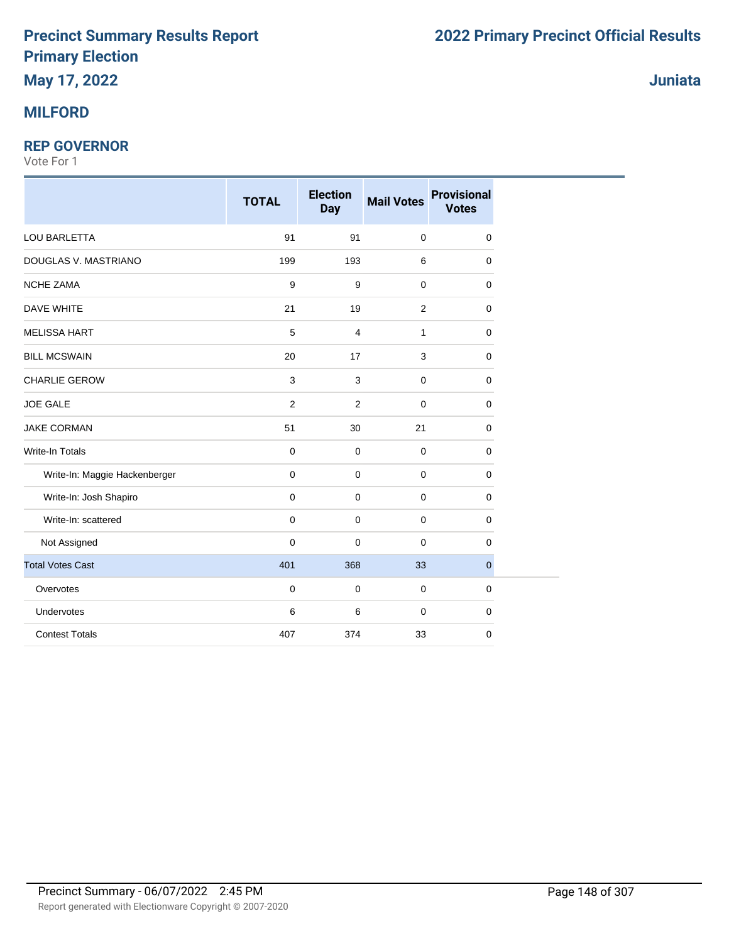#### **REP GOVERNOR**

Vote For 1

|                               | <b>TOTAL</b> | <b>Election</b><br><b>Day</b> | <b>Mail Votes</b> | <b>Provisional</b><br><b>Votes</b> |
|-------------------------------|--------------|-------------------------------|-------------------|------------------------------------|
| LOU BARLETTA                  | 91           | 91                            | $\pmb{0}$         | 0                                  |
| DOUGLAS V. MASTRIANO          | 199          | 193                           | 6                 | $\mathbf 0$                        |
| <b>NCHE ZAMA</b>              | 9            | 9                             | $\pmb{0}$         | 0                                  |
| <b>DAVE WHITE</b>             | 21           | 19                            | $\overline{c}$    | 0                                  |
| <b>MELISSA HART</b>           | 5            | $\overline{4}$                | 1                 | 0                                  |
| <b>BILL MCSWAIN</b>           | 20           | 17                            | 3                 | 0                                  |
| <b>CHARLIE GEROW</b>          | $\mathsf 3$  | 3                             | $\mathbf 0$       | $\mathbf 0$                        |
| <b>JOE GALE</b>               | 2            | 2                             | $\mathbf 0$       | 0                                  |
| <b>JAKE CORMAN</b>            | 51           | 30                            | 21                | 0                                  |
| Write-In Totals               | $\pmb{0}$    | $\mathbf 0$                   | $\pmb{0}$         | $\mathbf 0$                        |
| Write-In: Maggie Hackenberger | $\mathbf 0$  | $\mathbf 0$                   | $\mathbf 0$       | 0                                  |
| Write-In: Josh Shapiro        | $\mathbf 0$  | $\mathbf 0$                   | $\mathbf 0$       | 0                                  |
| Write-In: scattered           | $\mathbf 0$  | $\mathbf 0$                   | $\mathbf 0$       | 0                                  |
| Not Assigned                  | $\mathbf 0$  | $\pmb{0}$                     | $\mathbf 0$       | $\mathbf 0$                        |
| <b>Total Votes Cast</b>       | 401          | 368                           | 33                | $\mathbf{0}$                       |
| Overvotes                     | $\mathbf 0$  | $\mathbf 0$                   | $\mathbf 0$       | $\mathbf 0$                        |
| Undervotes                    | 6            | 6                             | $\mathbf 0$       | 0                                  |
| <b>Contest Totals</b>         | 407          | 374                           | 33                | 0                                  |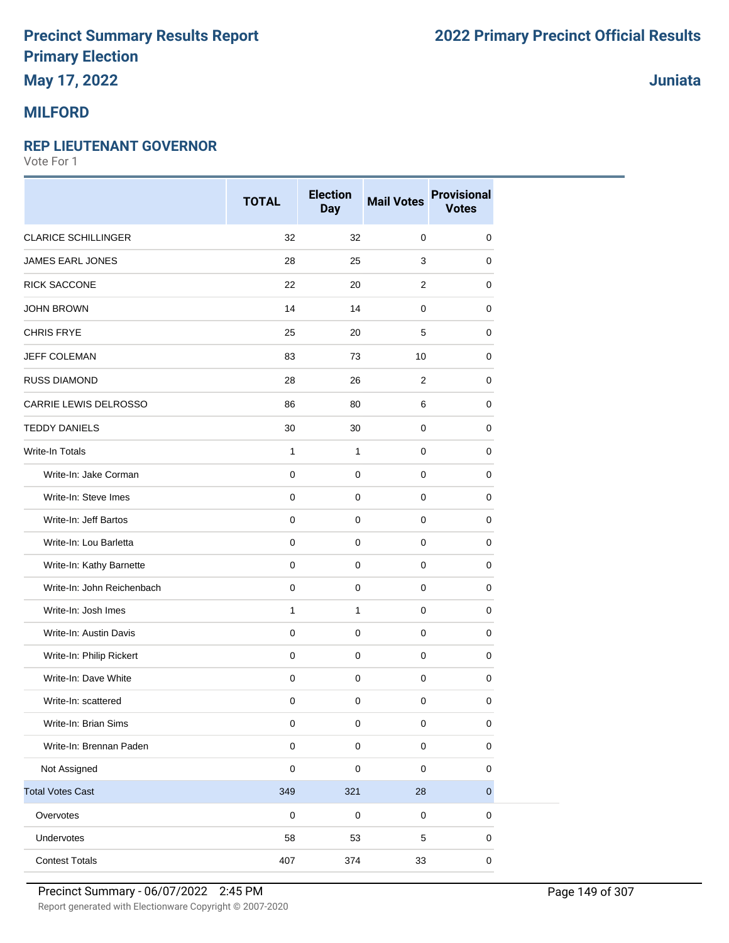## **May 17, 2022**

### **MILFORD**

#### **REP LIEUTENANT GOVERNOR**

Vote For 1

|                            | <b>TOTAL</b> | <b>Election</b><br><b>Day</b> | <b>Mail Votes</b>   | <b>Provisional</b><br><b>Votes</b> |
|----------------------------|--------------|-------------------------------|---------------------|------------------------------------|
| <b>CLARICE SCHILLINGER</b> | 32           | 32                            | 0                   | 0                                  |
| JAMES EARL JONES           | 28           | 25                            | 3                   | 0                                  |
| RICK SACCONE               | 22           | 20                            | $\overline{2}$      | 0                                  |
| <b>JOHN BROWN</b>          | 14           | 14                            | 0                   | 0                                  |
| <b>CHRIS FRYE</b>          | 25           | 20                            | 5                   | 0                                  |
| <b>JEFF COLEMAN</b>        | 83           | 73                            | 10                  | 0                                  |
| <b>RUSS DIAMOND</b>        | 28           | 26                            | 2                   | 0                                  |
| CARRIE LEWIS DELROSSO      | 86           | 80                            | 6                   | $\mathbf 0$                        |
| <b>TEDDY DANIELS</b>       | 30           | 30                            | $\mathbf 0$         | 0                                  |
| Write-In Totals            | $\mathbf{1}$ | $\mathbf{1}$                  | 0                   | 0                                  |
| Write-In: Jake Corman      | $\mathbf 0$  | $\mathbf 0$                   | $\mathbf 0$         | 0                                  |
| Write-In: Steve Imes       | $\pmb{0}$    | $\mathbf 0$                   | 0                   | 0                                  |
| Write-In: Jeff Bartos      | $\pmb{0}$    | $\mathbf 0$                   | $\mathbf 0$         | $\mathbf 0$                        |
| Write-In: Lou Barletta     | $\mathsf 0$  | $\pmb{0}$                     | $\mathbf 0$         | 0                                  |
| Write-In: Kathy Barnette   | $\pmb{0}$    | $\mathbf 0$                   | 0                   | 0                                  |
| Write-In: John Reichenbach | $\pmb{0}$    | $\mathbf 0$                   | 0                   | 0                                  |
| Write-In: Josh Imes        | $\mathbf{1}$ | 1                             | $\mathbf 0$         | 0                                  |
| Write-In: Austin Davis     | $\mathbf 0$  | $\mathbf 0$                   | $\mathbf 0$         | 0                                  |
| Write-In: Philip Rickert   | $\mathbf 0$  | $\mathbf 0$                   | $\mathbf 0$         | 0                                  |
| Write-In: Dave White       | $\mathsf 0$  | $\pmb{0}$                     | $\mathbf 0$         | $\pmb{0}$                          |
| Write-In: scattered        | $\pmb{0}$    | $\mathbf 0$                   | 0                   | 0                                  |
| Write-In: Brian Sims       | $\pmb{0}$    | 0                             | $\pmb{0}$           | 0                                  |
| Write-In: Brennan Paden    | $\pmb{0}$    | $\pmb{0}$                     | $\mathsf 0$         | $\pmb{0}$                          |
| Not Assigned               | $\mathsf 0$  | $\pmb{0}$                     | $\pmb{0}$           | $\pmb{0}$                          |
| <b>Total Votes Cast</b>    | 349          | 321                           | 28                  | $\mathbf 0$                        |
| Overvotes                  | $\pmb{0}$    | $\pmb{0}$                     | $\mathsf{O}\xspace$ | 0                                  |
| Undervotes                 | 58           | 53                            | 5                   | 0                                  |
| <b>Contest Totals</b>      | 407          | 374                           | 33                  | $\pmb{0}$                          |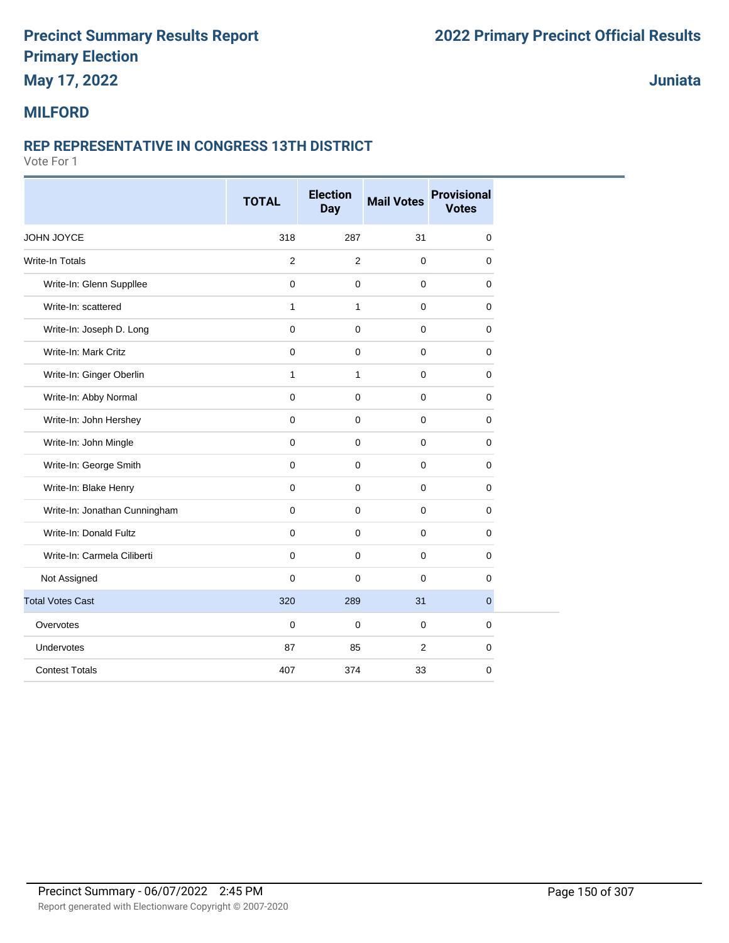## **May 17, 2022**

**Juniata**

#### **MILFORD**

#### **REP REPRESENTATIVE IN CONGRESS 13TH DISTRICT**

|                               | <b>TOTAL</b>   | <b>Election</b><br><b>Day</b> | <b>Mail Votes</b> | <b>Provisional</b><br><b>Votes</b> |
|-------------------------------|----------------|-------------------------------|-------------------|------------------------------------|
| JOHN JOYCE                    | 318            | 287                           | 31                | $\mathbf 0$                        |
| Write-In Totals               | $\overline{2}$ | $\overline{2}$                | $\mathbf 0$       | 0                                  |
| Write-In: Glenn Suppllee      | $\mathbf 0$    | $\mathbf 0$                   | $\mathbf 0$       | 0                                  |
| Write-In: scattered           | $\mathbf{1}$   | $\mathbf{1}$                  | $\mathbf 0$       | $\mathbf 0$                        |
| Write-In: Joseph D. Long      | $\mathbf 0$    | 0                             | $\mathbf 0$       | $\mathbf 0$                        |
| Write-In: Mark Critz          | $\mathbf 0$    | 0                             | $\mathbf 0$       | 0                                  |
| Write-In: Ginger Oberlin      | $\mathbf{1}$   | $\mathbf{1}$                  | $\mathbf 0$       | $\mathbf 0$                        |
| Write-In: Abby Normal         | $\mathbf 0$    | 0                             | $\mathbf 0$       | $\mathbf 0$                        |
| Write-In: John Hershey        | $\mathbf 0$    | $\mathbf 0$                   | $\mathbf 0$       | 0                                  |
| Write-In: John Mingle         | $\mathbf 0$    | $\Omega$                      | $\mathbf 0$       | $\mathbf 0$                        |
| Write-In: George Smith        | $\mathbf 0$    | 0                             | $\mathbf 0$       | $\mathbf 0$                        |
| Write-In: Blake Henry         | $\mathbf 0$    | 0                             | $\mathbf 0$       | 0                                  |
| Write-In: Jonathan Cunningham | $\mathbf 0$    | $\Omega$                      | $\mathbf 0$       | $\mathbf 0$                        |
| Write-In: Donald Fultz        | $\mathbf 0$    | 0                             | $\mathbf 0$       | $\mathbf 0$                        |
| Write-In: Carmela Ciliberti   | $\mathbf 0$    | 0                             | $\mathbf 0$       | $\mathbf 0$                        |
| Not Assigned                  | $\mathbf 0$    | $\Omega$                      | $\mathbf 0$       | $\mathbf 0$                        |
| <b>Total Votes Cast</b>       | 320            | 289                           | 31                | $\overline{0}$                     |
| Overvotes                     | $\mathbf 0$    | $\Omega$                      | $\mathbf 0$       | $\mathbf 0$                        |
| Undervotes                    | 87             | 85                            | $\overline{2}$    | $\mathbf 0$                        |
| <b>Contest Totals</b>         | 407            | 374                           | 33                | $\mathbf 0$                        |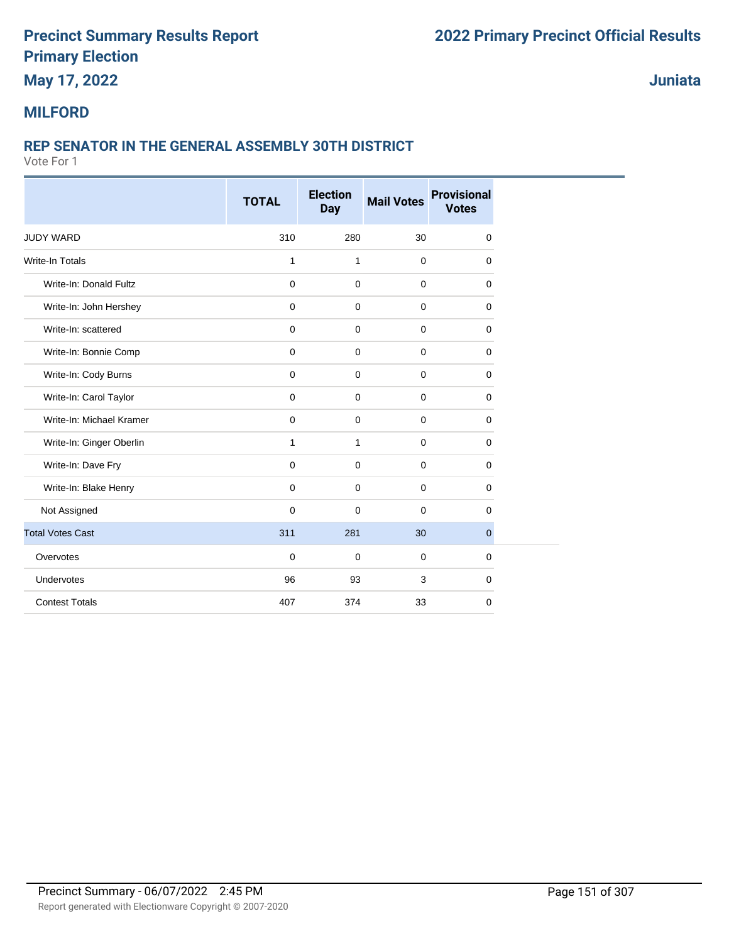## **May 17, 2022**

**Juniata**

#### **MILFORD**

#### **REP SENATOR IN THE GENERAL ASSEMBLY 30TH DISTRICT**

|                          | <b>TOTAL</b> | <b>Election</b><br><b>Day</b> | <b>Mail Votes</b> | <b>Provisional</b><br><b>Votes</b> |
|--------------------------|--------------|-------------------------------|-------------------|------------------------------------|
|                          |              |                               |                   |                                    |
| <b>JUDY WARD</b>         | 310          | 280                           | 30                | 0                                  |
| <b>Write-In Totals</b>   | $\mathbf{1}$ | $\mathbf{1}$                  | $\mathbf 0$       | 0                                  |
| Write-In: Donald Fultz   | $\mathbf 0$  | $\mathbf 0$                   | $\mathbf 0$       | 0                                  |
| Write-In: John Hershey   | $\mathbf 0$  | $\mathbf 0$                   | $\mathbf 0$       | 0                                  |
| Write-In: scattered      | 0            | 0                             | 0                 | 0                                  |
| Write-In: Bonnie Comp    | 0            | $\mathbf 0$                   | $\mathbf 0$       | 0                                  |
| Write-In: Cody Burns     | $\mathbf 0$  | $\mathbf 0$                   | 0                 | 0                                  |
| Write-In: Carol Taylor   | $\mathbf 0$  | $\mathbf 0$                   | $\pmb{0}$         | 0                                  |
| Write-In: Michael Kramer | $\mathbf 0$  | $\mathbf 0$                   | 0                 | 0                                  |
| Write-In: Ginger Oberlin | 1            | $\mathbf{1}$                  | $\mathbf 0$       | 0                                  |
| Write-In: Dave Fry       | 0            | 0                             | 0                 | 0                                  |
| Write-In: Blake Henry    | 0            | 0                             | 0                 | 0                                  |
| Not Assigned             | $\mathbf 0$  | $\mathbf 0$                   | $\mathbf 0$       | 0                                  |
| <b>Total Votes Cast</b>  | 311          | 281                           | 30                | 0                                  |
| Overvotes                | $\mathbf 0$  | $\mathbf 0$                   | $\mathbf 0$       | 0                                  |
| Undervotes               | 96           | 93                            | 3                 | 0                                  |
| <b>Contest Totals</b>    | 407          | 374                           | 33                | 0                                  |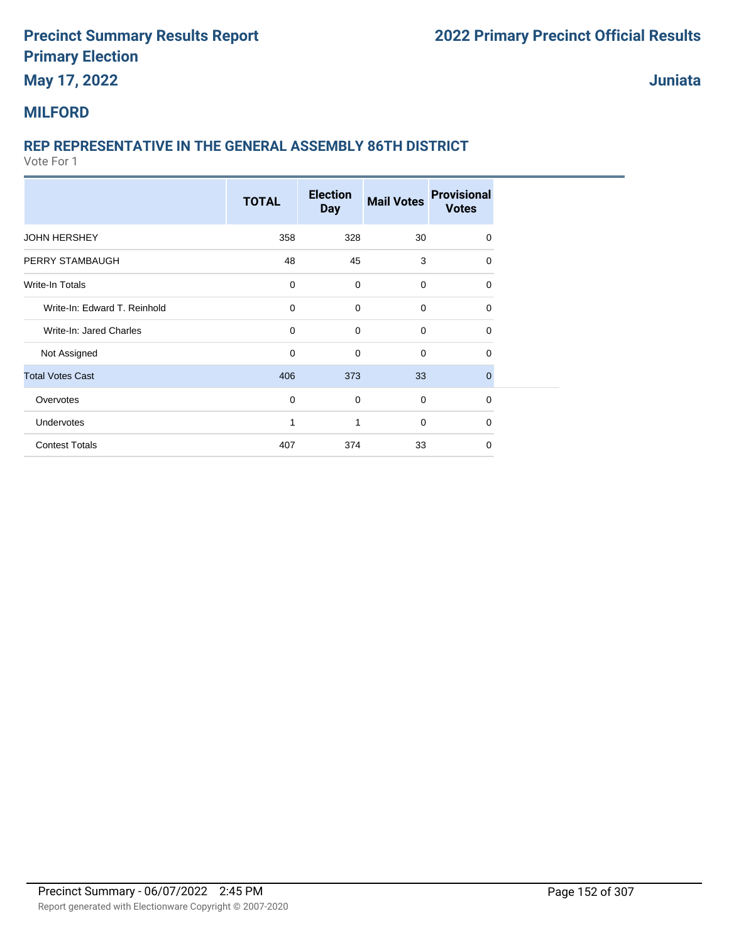## **May 17, 2022**

**Juniata**

### **MILFORD**

### **REP REPRESENTATIVE IN THE GENERAL ASSEMBLY 86TH DISTRICT**

|                              | <b>TOTAL</b> | <b>Election</b><br><b>Day</b> | <b>Mail Votes</b> | <b>Provisional</b><br><b>Votes</b> |
|------------------------------|--------------|-------------------------------|-------------------|------------------------------------|
| <b>JOHN HERSHEY</b>          | 358          | 328                           | 30                | $\Omega$                           |
| PERRY STAMBAUGH              | 48           | 45                            | 3                 | $\Omega$                           |
| Write-In Totals              | $\mathbf 0$  | $\mathbf 0$                   | $\mathbf 0$       | $\Omega$                           |
| Write-In: Edward T. Reinhold | $\mathbf 0$  | $\mathbf 0$                   | $\mathbf 0$       | $\Omega$                           |
| Write-In: Jared Charles      | $\mathbf 0$  | $\mathbf 0$                   | $\mathbf 0$       | $\Omega$                           |
| Not Assigned                 | $\mathbf 0$  | $\mathbf 0$                   | $\mathbf 0$       | 0                                  |
| <b>Total Votes Cast</b>      | 406          | 373                           | 33                | $\Omega$                           |
| Overvotes                    | $\mathbf 0$  | $\mathbf 0$                   | $\mathbf 0$       | $\mathbf 0$                        |
| Undervotes                   | 1            | 1                             | $\mathbf 0$       | $\Omega$                           |
| <b>Contest Totals</b>        | 407          | 374                           | 33                | $\Omega$                           |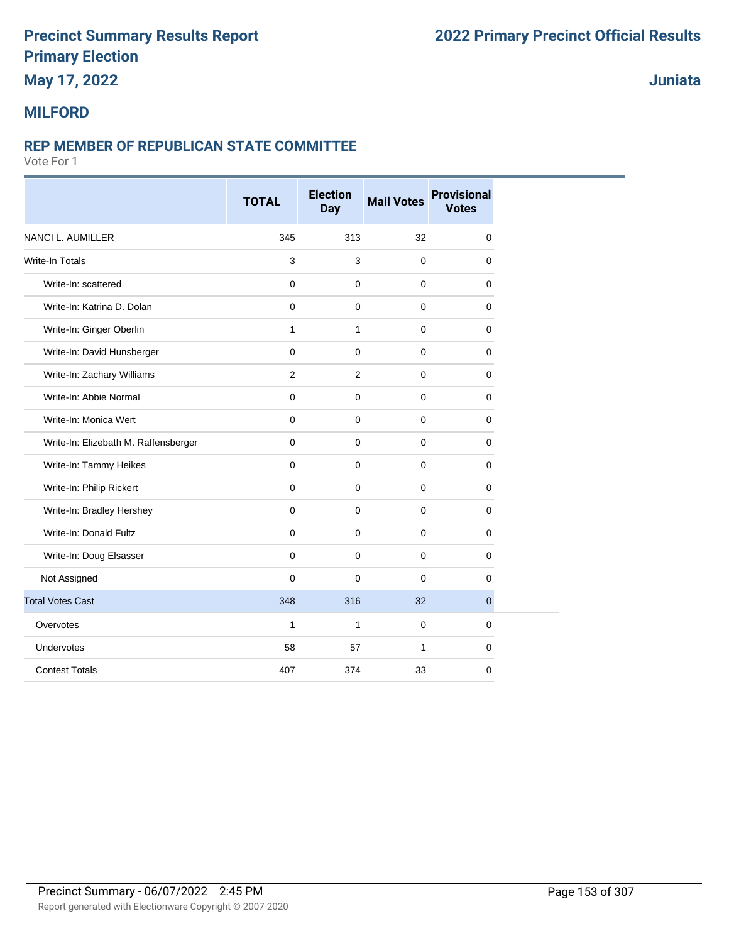## **May 17, 2022**

**Juniata**

#### **MILFORD**

#### **REP MEMBER OF REPUBLICAN STATE COMMITTEE**

|                                      | <b>TOTAL</b> | <b>Election</b><br><b>Day</b> | <b>Mail Votes</b> | <b>Provisional</b><br><b>Votes</b> |
|--------------------------------------|--------------|-------------------------------|-------------------|------------------------------------|
| <b>NANCI L. AUMILLER</b>             | 345          | 313                           | 32                | $\mathbf 0$                        |
| <b>Write-In Totals</b>               | $\mathbf{3}$ | 3                             | $\mathbf 0$       | 0                                  |
| Write-In: scattered                  | $\mathbf 0$  | $\mathbf 0$                   | $\pmb{0}$         | $\mathbf 0$                        |
| Write-In: Katrina D. Dolan           | $\mathbf 0$  | $\mathbf 0$                   | $\mathbf 0$       | $\Omega$                           |
| Write-In: Ginger Oberlin             | $\mathbf{1}$ | $\mathbf{1}$                  | $\pmb{0}$         | $\mathbf 0$                        |
| Write-In: David Hunsberger           | $\mathbf 0$  | $\mathbf 0$                   | $\pmb{0}$         | $\mathbf 0$                        |
| Write-In: Zachary Williams           | 2            | 2                             | $\mathbf 0$       | $\Omega$                           |
| Write-In: Abbie Normal               | $\mathbf 0$  | $\mathbf 0$                   | $\pmb{0}$         | $\mathbf 0$                        |
| Write-In: Monica Wert                | $\mathbf 0$  | $\mathbf 0$                   | $\pmb{0}$         | $\mathbf 0$                        |
| Write-In: Elizebath M. Raffensberger | $\mathbf 0$  | $\mathbf 0$                   | $\mathbf 0$       | $\mathbf 0$                        |
| Write-In: Tammy Heikes               | $\mathbf 0$  | $\mathbf 0$                   | $\pmb{0}$         | $\mathbf 0$                        |
| Write-In: Philip Rickert             | $\mathbf 0$  | $\mathbf 0$                   | $\pmb{0}$         | $\mathbf 0$                        |
| Write-In: Bradley Hershey            | $\Omega$     | $\mathbf 0$                   | $\mathbf 0$       | $\mathbf 0$                        |
| Write-In: Donald Fultz               | $\mathbf 0$  | $\mathbf 0$                   | $\mathbf 0$       | $\mathbf 0$                        |
| Write-In: Doug Elsasser              | $\mathbf 0$  | $\mathbf 0$                   | $\mathbf 0$       | $\mathbf 0$                        |
| Not Assigned                         | $\mathbf 0$  | $\mathbf 0$                   | $\mathbf 0$       | $\mathbf 0$                        |
| <b>Total Votes Cast</b>              | 348          | 316                           | 32                | $\overline{0}$                     |
| Overvotes                            | $\mathbf{1}$ | $\mathbf{1}$                  | $\mathbf 0$       | $\mathbf 0$                        |
| Undervotes                           | 58           | 57                            | 1                 | 0                                  |
| <b>Contest Totals</b>                | 407          | 374                           | 33                | 0                                  |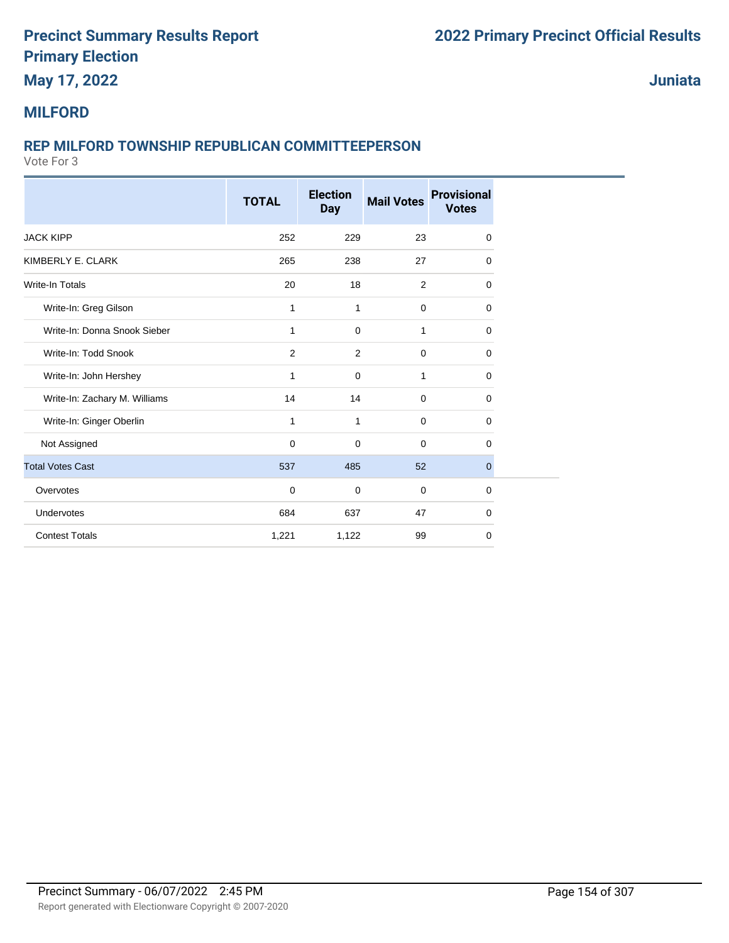## **May 17, 2022**

**Juniata**

#### **MILFORD**

#### **REP MILFORD TOWNSHIP REPUBLICAN COMMITTEEPERSON**

|                               | <b>TOTAL</b> | <b>Election</b><br><b>Day</b> | <b>Mail Votes</b> | <b>Provisional</b><br><b>Votes</b> |
|-------------------------------|--------------|-------------------------------|-------------------|------------------------------------|
| <b>JACK KIPP</b>              | 252          | 229                           | 23                | $\mathbf 0$                        |
| KIMBERLY E. CLARK             | 265          | 238                           | 27                | $\Omega$                           |
| <b>Write-In Totals</b>        | 20           | 18                            | $\overline{2}$    | $\mathbf 0$                        |
| Write-In: Greg Gilson         | 1            | 1                             | $\mathbf 0$       | 0                                  |
| Write-In: Donna Snook Sieber  | $\mathbf 1$  | 0                             | 1                 | 0                                  |
| Write-In: Todd Snook          | 2            | 2                             | $\mathbf 0$       | 0                                  |
| Write-In: John Hershey        | $\mathbf{1}$ | $\mathbf 0$                   | 1                 | $\mathbf 0$                        |
| Write-In: Zachary M. Williams | 14           | 14                            | $\overline{0}$    | 0                                  |
| Write-In: Ginger Oberlin      | $\mathbf{1}$ | 1                             | $\mathbf 0$       | 0                                  |
| Not Assigned                  | $\mathbf 0$  | 0                             | $\mathbf 0$       | $\Omega$                           |
| <b>Total Votes Cast</b>       | 537          | 485                           | 52                | $\mathbf{0}$                       |
| Overvotes                     | $\mathbf 0$  | 0                             | $\mathbf 0$       | $\mathbf 0$                        |
| Undervotes                    | 684          | 637                           | 47                | 0                                  |
| <b>Contest Totals</b>         | 1,221        | 1,122                         | 99                | $\mathbf 0$                        |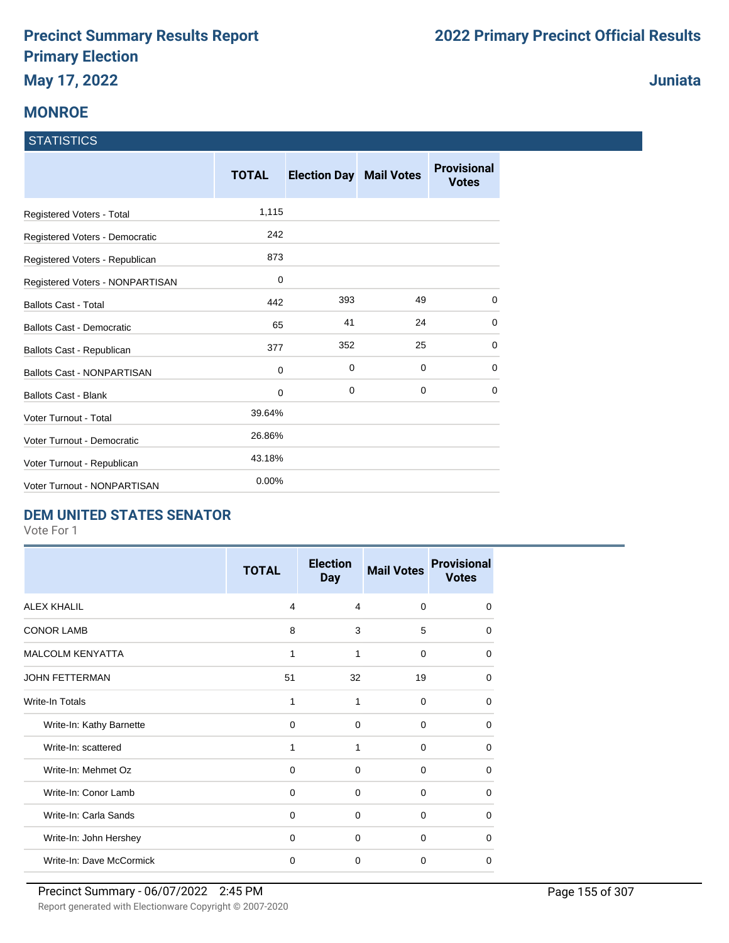### **MONROE**

#### **STATISTICS**

|                                   | <b>TOTAL</b> | <b>Election Day Mail Votes</b> |             | <b>Provisional</b><br><b>Votes</b> |
|-----------------------------------|--------------|--------------------------------|-------------|------------------------------------|
| Registered Voters - Total         | 1,115        |                                |             |                                    |
| Registered Voters - Democratic    | 242          |                                |             |                                    |
| Registered Voters - Republican    | 873          |                                |             |                                    |
| Registered Voters - NONPARTISAN   | 0            |                                |             |                                    |
| <b>Ballots Cast - Total</b>       | 442          | 393                            | 49          | 0                                  |
| <b>Ballots Cast - Democratic</b>  | 65           | 41                             | 24          | 0                                  |
| Ballots Cast - Republican         | 377          | 352                            | 25          | 0                                  |
| <b>Ballots Cast - NONPARTISAN</b> | 0            | 0                              | $\mathbf 0$ | 0                                  |
| <b>Ballots Cast - Blank</b>       | 0            | 0                              | 0           | $\Omega$                           |
| Voter Turnout - Total             | 39.64%       |                                |             |                                    |
| Voter Turnout - Democratic        | 26.86%       |                                |             |                                    |
| Voter Turnout - Republican        | 43.18%       |                                |             |                                    |
| Voter Turnout - NONPARTISAN       | $0.00\%$     |                                |             |                                    |

#### **DEM UNITED STATES SENATOR**

Vote For 1

|                          | <b>TOTAL</b> | <b>Election</b><br><b>Day</b> | <b>Mail Votes</b> | <b>Provisional</b><br><b>Votes</b> |
|--------------------------|--------------|-------------------------------|-------------------|------------------------------------|
| <b>ALEX KHALIL</b>       | 4            | $\overline{4}$                | $\Omega$          | $\Omega$                           |
| <b>CONOR LAMB</b>        | 8            | 3                             | 5                 | $\Omega$                           |
| <b>MALCOLM KENYATTA</b>  | 1            | 1                             | $\Omega$          | $\Omega$                           |
| <b>JOHN FETTERMAN</b>    | 51           | 32                            | 19                | $\Omega$                           |
| Write-In Totals          | 1            | 1                             | $\Omega$          | 0                                  |
| Write-In: Kathy Barnette | $\Omega$     | $\Omega$                      | $\Omega$          | 0                                  |
| Write-In: scattered      | 1            | 1                             | $\Omega$          | 0                                  |
| Write-In: Mehmet Oz      | $\Omega$     | $\Omega$                      | $\Omega$          | 0                                  |
| Write-In: Conor Lamb     | 0            | $\Omega$                      | 0                 | $\Omega$                           |
| Write-In: Carla Sands    | 0            | $\Omega$                      | $\Omega$          | 0                                  |
| Write-In: John Hershey   | $\Omega$     | $\Omega$                      | $\Omega$          | 0                                  |
| Write-In: Dave McCormick | $\mathbf 0$  | 0                             | 0                 | $\Omega$                           |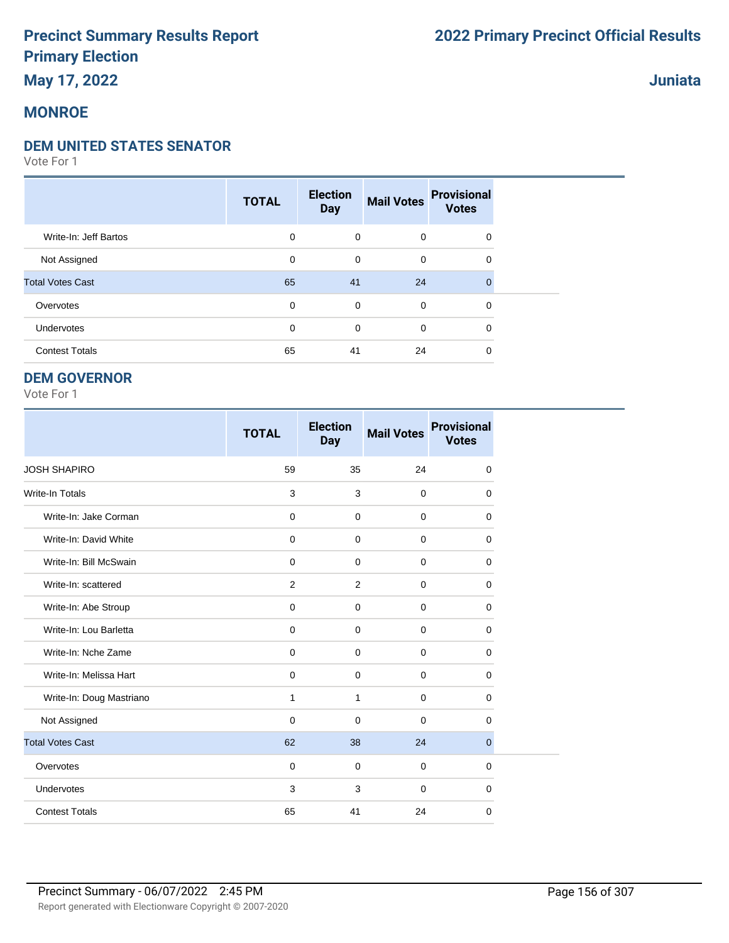## **May 17, 2022**

### **MONROE**

#### **DEM UNITED STATES SENATOR**

Vote For 1

|                         | <b>TOTAL</b> | <b>Election</b><br><b>Day</b> | <b>Mail Votes</b> | <b>Provisional</b><br><b>Votes</b> |  |
|-------------------------|--------------|-------------------------------|-------------------|------------------------------------|--|
| Write-In: Jeff Bartos   | 0            | $\mathbf 0$                   | $\mathbf 0$       | $\mathbf 0$                        |  |
| Not Assigned            | 0            | 0                             | $\mathbf 0$       | 0                                  |  |
| <b>Total Votes Cast</b> | 65           | 41                            | 24                | $\Omega$                           |  |
| Overvotes               | 0            | 0                             | $\mathbf 0$       | $\mathbf 0$                        |  |
| Undervotes              | $\mathbf 0$  | 0                             | $\mathbf 0$       | 0                                  |  |
| <b>Contest Totals</b>   | 65           | 41                            | 24                | 0                                  |  |

#### **DEM GOVERNOR**

Vote For 1

|                          | <b>TOTAL</b> | <b>Election</b><br><b>Day</b> | <b>Mail Votes</b> | <b>Provisional</b><br><b>Votes</b> |
|--------------------------|--------------|-------------------------------|-------------------|------------------------------------|
| <b>JOSH SHAPIRO</b>      | 59           | 35                            | 24                | $\mathbf 0$                        |
| <b>Write-In Totals</b>   | 3            | 3                             | $\mathbf 0$       | 0                                  |
| Write-In: Jake Corman    | $\mathbf 0$  | $\mathbf 0$                   | $\mathbf 0$       | 0                                  |
| Write-In: David White    | $\mathbf 0$  | $\Omega$                      | $\Omega$          | $\Omega$                           |
| Write-In: Bill McSwain   | $\mathbf 0$  | $\Omega$                      | $\mathbf 0$       | 0                                  |
| Write-In: scattered      | 2            | 2                             | $\mathbf 0$       | $\mathbf 0$                        |
| Write-In: Abe Stroup     | $\mathbf 0$  | $\mathbf 0$                   | $\mathbf 0$       | 0                                  |
| Write-In: Lou Barletta   | 0            | $\mathbf 0$                   | $\mathbf 0$       | 0                                  |
| Write-In: Nche Zame      | 0            | $\mathbf 0$                   | $\mathbf 0$       | $\mathbf 0$                        |
| Write-In: Melissa Hart   | $\mathbf 0$  | $\mathbf 0$                   | $\mathbf 0$       | $\mathbf 0$                        |
| Write-In: Doug Mastriano | 1            | 1                             | $\mathbf 0$       | $\Omega$                           |
| Not Assigned             | $\mathbf 0$  | $\mathbf 0$                   | $\mathbf 0$       | 0                                  |
| <b>Total Votes Cast</b>  | 62           | 38                            | 24                | $\overline{0}$                     |
| Overvotes                | $\mathbf 0$  | $\mathbf 0$                   | $\mathbf 0$       | 0                                  |
| Undervotes               | 3            | 3                             | $\Omega$          | $\mathbf 0$                        |
| <b>Contest Totals</b>    | 65           | 41                            | 24                | 0                                  |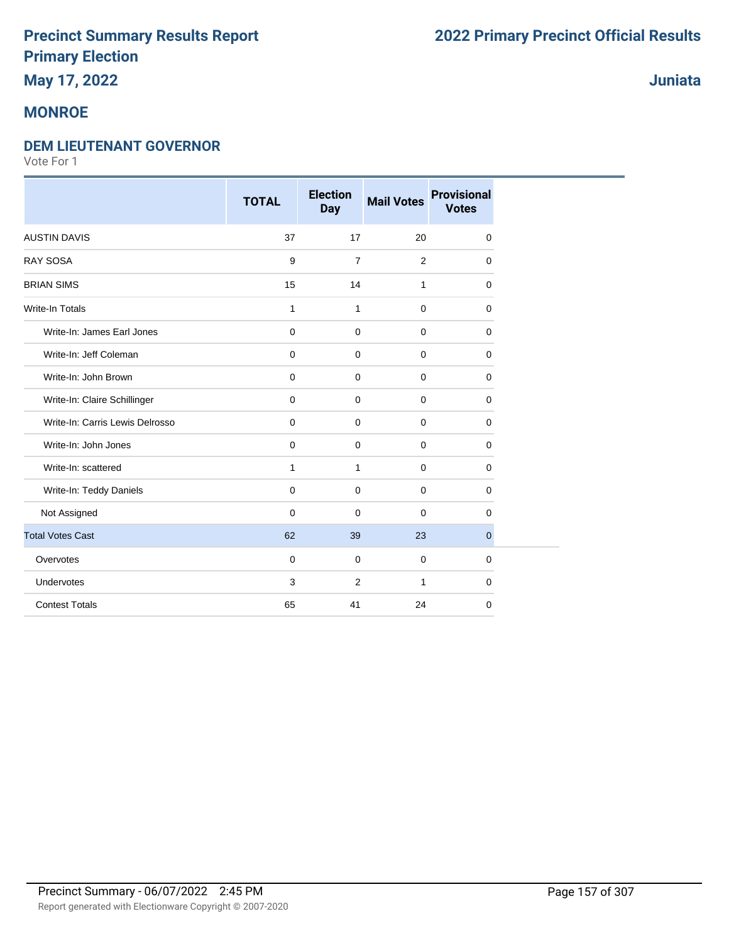## **May 17, 2022**

### **MONROE**

#### **DEM LIEUTENANT GOVERNOR**

Vote For 1

|                                 | <b>TOTAL</b> | <b>Election</b><br><b>Day</b> | <b>Mail Votes</b> | <b>Provisional</b><br><b>Votes</b> |
|---------------------------------|--------------|-------------------------------|-------------------|------------------------------------|
| <b>AUSTIN DAVIS</b>             | 37           | 17                            | 20                | 0                                  |
| <b>RAY SOSA</b>                 | 9            | $\overline{7}$                | 2                 | $\mathbf 0$                        |
| <b>BRIAN SIMS</b>               | 15           | 14                            | $\mathbf{1}$      | $\mathbf 0$                        |
| <b>Write-In Totals</b>          | $\mathbf{1}$ | $\mathbf{1}$                  | $\mathbf 0$       | $\mathbf 0$                        |
| Write-In: James Earl Jones      | $\mathbf 0$  | $\mathbf 0$                   | $\mathbf 0$       | $\Omega$                           |
| Write-In: Jeff Coleman          | $\mathbf 0$  | $\mathbf 0$                   | $\mathbf 0$       | 0                                  |
| Write-In: John Brown            | $\mathbf 0$  | $\mathbf 0$                   | $\mathbf 0$       | $\mathbf 0$                        |
| Write-In: Claire Schillinger    | 0            | $\mathbf 0$                   | $\mathbf 0$       | $\mathbf 0$                        |
| Write-In: Carris Lewis Delrosso | 0            | $\mathbf 0$                   | $\mathbf 0$       | $\mathbf 0$                        |
| Write-In: John Jones            | 0            | 0                             | $\mathbf 0$       | 0                                  |
| Write-In: scattered             | $\mathbf{1}$ | $\mathbf{1}$                  | $\mathbf 0$       | $\mathbf 0$                        |
| Write-In: Teddy Daniels         | $\mathbf 0$  | $\mathbf 0$                   | $\mathbf 0$       | $\mathbf 0$                        |
| Not Assigned                    | $\Omega$     | $\mathbf 0$                   | $\Omega$          | $\Omega$                           |
| <b>Total Votes Cast</b>         | 62           | 39                            | 23                | $\overline{0}$                     |
| Overvotes                       | 0            | $\mathbf 0$                   | $\mathbf 0$       | 0                                  |
| Undervotes                      | 3            | 2                             | $\mathbf{1}$      | $\mathbf 0$                        |
| <b>Contest Totals</b>           | 65           | 41                            | 24                | 0                                  |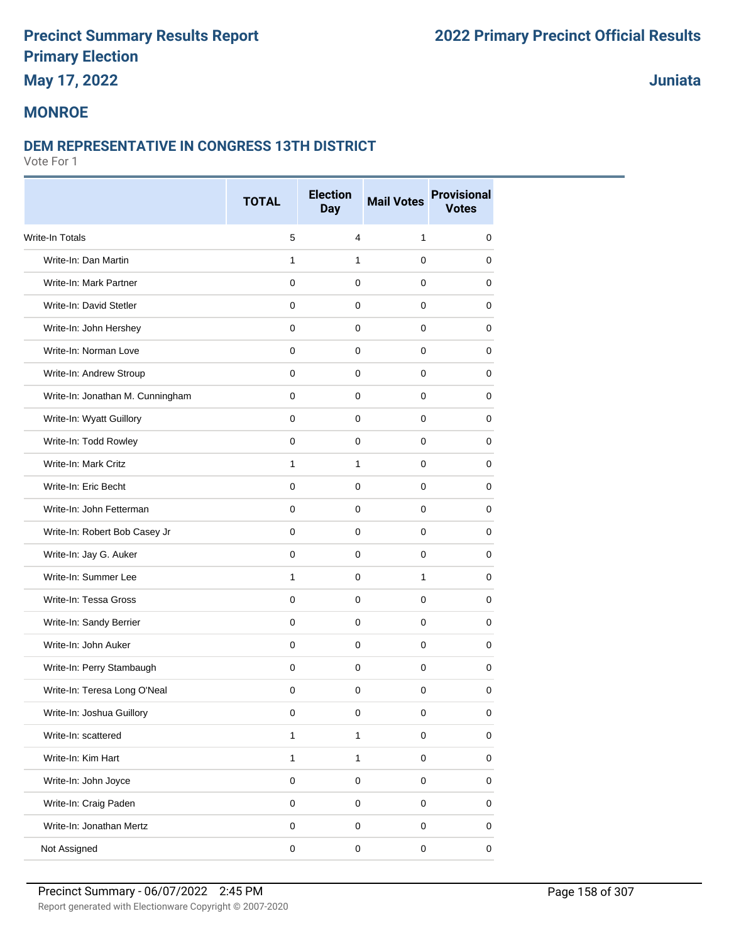## **May 17, 2022**

### **Juniata**

### **MONROE**

#### **DEM REPRESENTATIVE IN CONGRESS 13TH DISTRICT**

|                                  | <b>TOTAL</b> | <b>Election</b><br><b>Day</b> | <b>Mail Votes</b> | <b>Provisional</b><br><b>Votes</b> |
|----------------------------------|--------------|-------------------------------|-------------------|------------------------------------|
| <b>Write-In Totals</b>           | 5            | $\overline{\mathbf{4}}$       | $\mathbf{1}$      | 0                                  |
| Write-In: Dan Martin             | $\mathbf{1}$ | $\mathbf{1}$                  | $\mathbf 0$       | 0                                  |
| Write-In: Mark Partner           | $\mathbf 0$  | $\pmb{0}$                     | $\mathbf 0$       | 0                                  |
| Write-In: David Stetler          | $\mathbf 0$  | $\mathbf 0$                   | $\mathbf 0$       | 0                                  |
| Write-In: John Hershey           | 0            | 0                             | 0                 | 0                                  |
| Write-In: Norman Love            | $\mathbf 0$  | $\mathbf 0$                   | $\mathbf 0$       | 0                                  |
| Write-In: Andrew Stroup          | $\Omega$     | $\mathbf 0$                   | $\mathbf 0$       | 0                                  |
| Write-In: Jonathan M. Cunningham | 0            | $\mathbf 0$                   | $\mathbf 0$       | 0                                  |
| Write-In: Wyatt Guillory         | $\mathbf 0$  | $\pmb{0}$                     | $\mathbf 0$       | 0                                  |
| Write-In: Todd Rowley            | 0            | $\mathbf 0$                   | $\mathbf 0$       | 0                                  |
| Write-In: Mark Critz             | $\mathbf{1}$ | $\mathbf{1}$                  | $\mathbf 0$       | 0                                  |
| Write-In: Eric Becht             | $\mathbf 0$  | $\mathbf 0$                   | $\mathbf 0$       | 0                                  |
| Write-In: John Fetterman         | $\mathbf 0$  | $\mathbf 0$                   | $\mathbf 0$       | 0                                  |
| Write-In: Robert Bob Casey Jr    | $\mathbf 0$  | $\mathbf 0$                   | $\mathbf 0$       | 0                                  |
| Write-In: Jay G. Auker           | $\mathbf 0$  | $\pmb{0}$                     | $\pmb{0}$         | 0                                  |
| Write-In: Summer Lee             | $\mathbf{1}$ | $\pmb{0}$                     | $\mathbf{1}$      | 0                                  |
| Write-In: Tessa Gross            | 0            | 0                             | 0                 | 0                                  |
| Write-In: Sandy Berrier          | $\mathbf 0$  | $\pmb{0}$                     | $\mathbf 0$       | 0                                  |
| Write-In: John Auker             | $\mathbf 0$  | $\mathbf 0$                   | $\mathbf 0$       | 0                                  |
| Write-In: Perry Stambaugh        | 0            | 0                             | $\mathbf 0$       | 0                                  |
| Write-In: Teresa Long O'Neal     | $\mathbf 0$  | $\pmb{0}$                     | $\mathbf 0$       | 0                                  |
| Write-In: Joshua Guillory        | 0            | 0                             | 0                 | 0                                  |
| Write-In: scattered              | $\mathbf{1}$ | $\mathbf{1}$                  | $\mathbf 0$       | 0                                  |
| Write-In: Kim Hart               | $\mathbf{1}$ | $\mathbf{1}$                  | $\pmb{0}$         | 0                                  |
| Write-In: John Joyce             | $\mathbf 0$  | $\pmb{0}$                     | $\pmb{0}$         | 0                                  |
| Write-In: Craig Paden            | $\mathbf 0$  | $\mathbf 0$                   | $\mathbf 0$       | 0                                  |
| Write-In: Jonathan Mertz         | $\mathsf 0$  | $\mathbf 0$                   | $\mathbf 0$       | 0                                  |
| Not Assigned                     | $\pmb{0}$    | $\pmb{0}$                     | $\pmb{0}$         | 0                                  |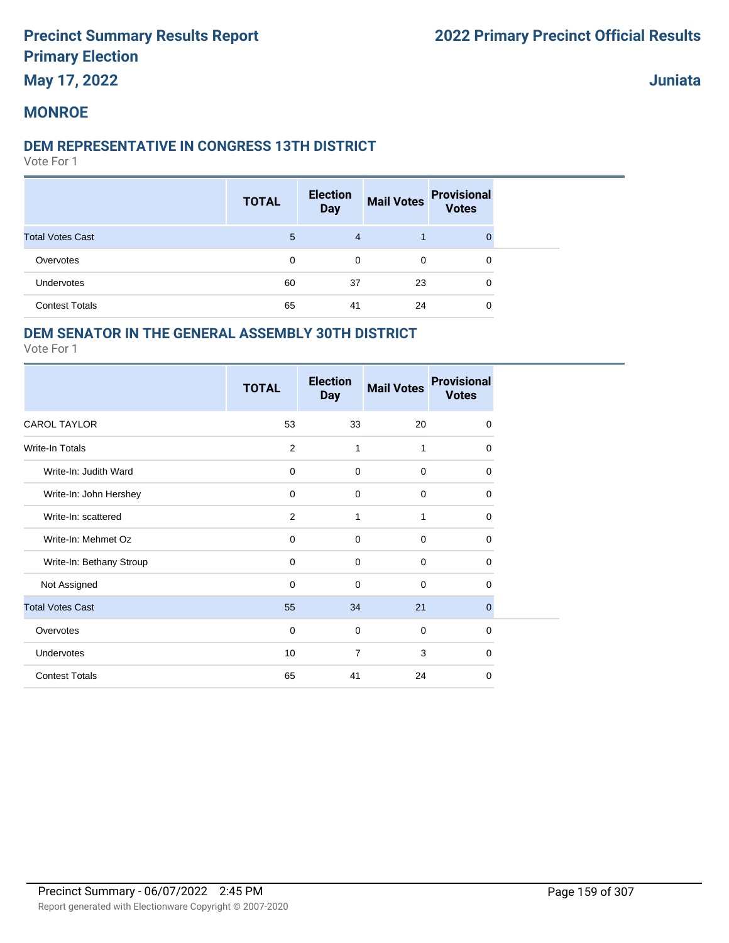### **May 17, 2022**

**Juniata**

#### **MONROE**

#### **DEM REPRESENTATIVE IN CONGRESS 13TH DISTRICT**

Vote For 1

|                         | <b>TOTAL</b> | <b>Election</b><br><b>Day</b> | <b>Mail Votes</b> | <b>Provisional</b><br><b>Votes</b> |
|-------------------------|--------------|-------------------------------|-------------------|------------------------------------|
| <b>Total Votes Cast</b> | 5            | $\overline{4}$                |                   |                                    |
| Overvotes               | 0            | 0                             | 0                 | 0                                  |
| Undervotes              | 60           | 37                            | 23                | 0                                  |
| <b>Contest Totals</b>   | 65           | 41                            | 24                | 0                                  |

#### **DEM SENATOR IN THE GENERAL ASSEMBLY 30TH DISTRICT**

|                          | <b>TOTAL</b> | <b>Election</b><br><b>Day</b> | <b>Mail Votes</b> | <b>Provisional</b><br><b>Votes</b> |
|--------------------------|--------------|-------------------------------|-------------------|------------------------------------|
| <b>CAROL TAYLOR</b>      | 53           | 33                            | 20                | $\mathbf 0$                        |
| <b>Write-In Totals</b>   | 2            | $\mathbf{1}$                  | 1                 | 0                                  |
| Write-In: Judith Ward    | $\mathbf 0$  | $\mathbf 0$                   | $\mathbf 0$       | 0                                  |
| Write-In: John Hershey   | $\mathbf 0$  | $\mathbf 0$                   | $\mathbf 0$       | $\Omega$                           |
| Write-In: scattered      | 2            | 1                             | 1                 | 0                                  |
| Write-In: Mehmet Oz      | 0            | $\mathbf 0$                   | $\mathbf 0$       | 0                                  |
| Write-In: Bethany Stroup | 0            | 0                             | $\mathbf 0$       | 0                                  |
| Not Assigned             | $\mathbf 0$  | $\mathbf 0$                   | $\mathbf 0$       | 0                                  |
| <b>Total Votes Cast</b>  | 55           | 34                            | 21                | $\overline{0}$                     |
| Overvotes                | 0            | $\mathbf 0$                   | $\mathbf 0$       | 0                                  |
| Undervotes               | 10           | $\overline{7}$                | 3                 | 0                                  |
| <b>Contest Totals</b>    | 65           | 41                            | 24                | 0                                  |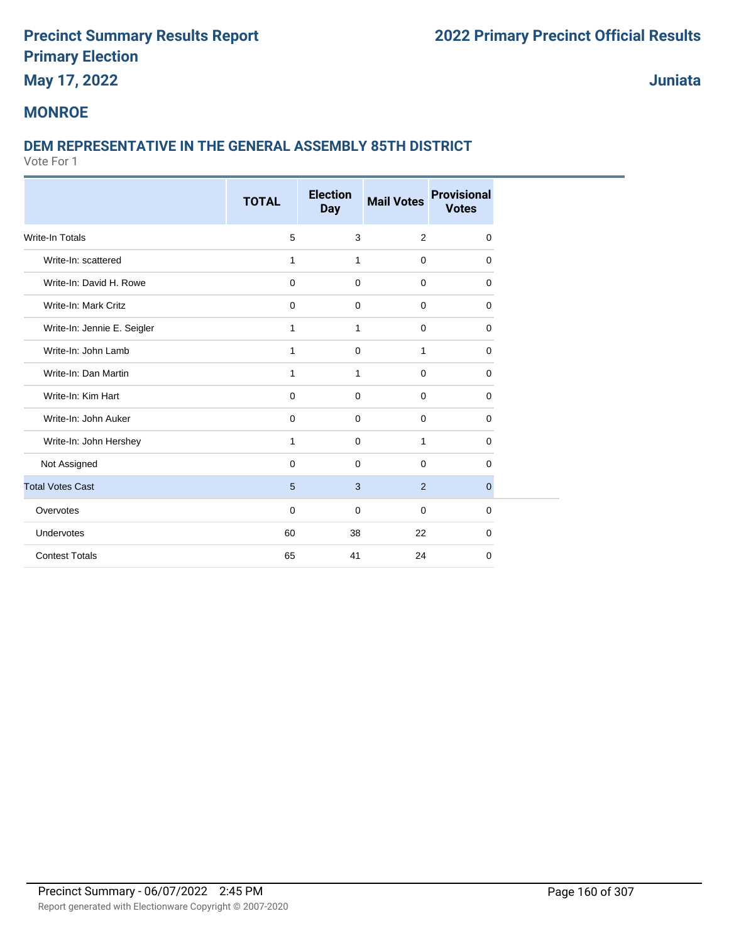## **May 17, 2022**

**Juniata**

### **MONROE**

### **DEM REPRESENTATIVE IN THE GENERAL ASSEMBLY 85TH DISTRICT**

|                             | <b>TOTAL</b> | <b>Election</b><br><b>Day</b> | <b>Mail Votes</b> | <b>Provisional</b><br><b>Votes</b> |
|-----------------------------|--------------|-------------------------------|-------------------|------------------------------------|
|                             |              |                               |                   |                                    |
| <b>Write-In Totals</b>      | 5            | 3                             | 2                 | 0                                  |
| Write-In: scattered         | 1            | $\mathbf{1}$                  | $\mathbf 0$       | 0                                  |
| Write-In: David H. Rowe     | $\mathbf 0$  | $\mathbf 0$                   | $\mathbf 0$       | 0                                  |
| Write-In: Mark Critz        | 0            | $\mathbf 0$                   | $\mathbf 0$       | 0                                  |
| Write-In: Jennie E. Seigler | 1            | 1                             | $\mathbf 0$       | 0                                  |
| Write-In: John Lamb         | 1            | 0                             | 1                 | 0                                  |
| Write-In: Dan Martin        | 1            | $\mathbf{1}$                  | $\mathbf 0$       | 0                                  |
| Write-In: Kim Hart          | $\mathbf 0$  | $\mathbf 0$                   | $\mathbf 0$       | 0                                  |
| Write-In: John Auker        | 0            | $\mathbf 0$                   | $\mathbf 0$       | 0                                  |
| Write-In: John Hershey      | $\mathbf{1}$ | $\mathbf 0$                   | $\mathbf{1}$      | 0                                  |
| Not Assigned                | 0            | $\mathbf 0$                   | $\mathbf 0$       | 0                                  |
| <b>Total Votes Cast</b>     | 5            | 3                             | 2                 | $\mathbf{0}$                       |
| Overvotes                   | 0            | $\mathbf 0$                   | $\mathbf 0$       | 0                                  |
| Undervotes                  | 60           | 38                            | 22                | 0                                  |
| <b>Contest Totals</b>       | 65           | 41                            | 24                | 0                                  |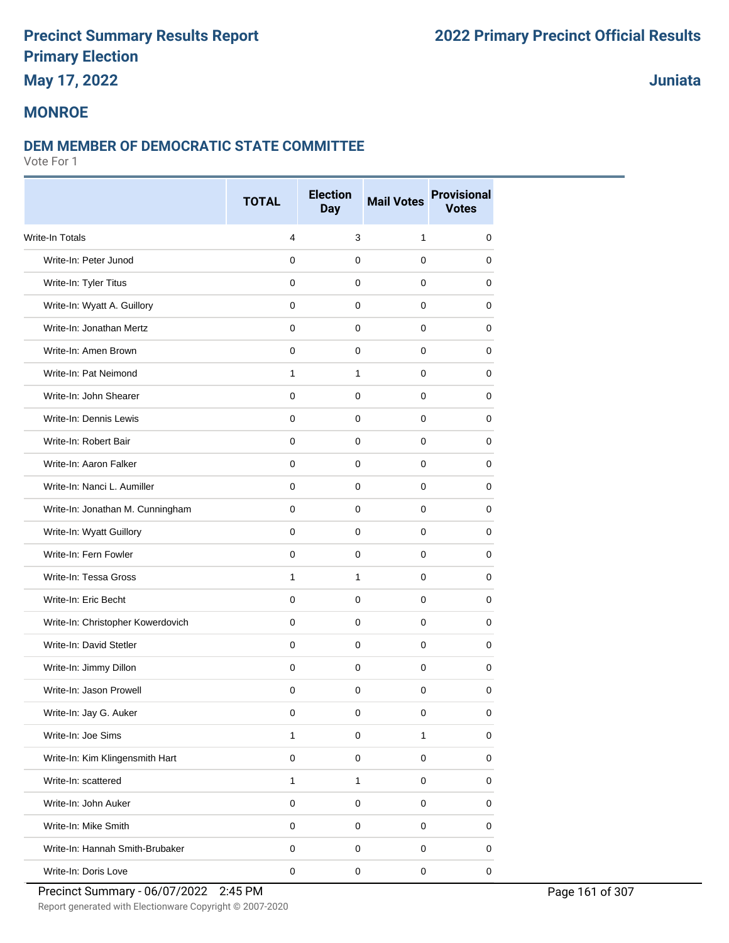## **May 17, 2022**

### **Juniata**

#### **MONROE**

#### **DEM MEMBER OF DEMOCRATIC STATE COMMITTEE**

|                                   | <b>TOTAL</b>   | <b>Election</b> | <b>Mail Votes</b> | <b>Provisional</b> |
|-----------------------------------|----------------|-----------------|-------------------|--------------------|
|                                   |                | <b>Day</b>      |                   | <b>Votes</b>       |
| <b>Write-In Totals</b>            | $\overline{4}$ | 3               | 1                 | $\mathbf 0$        |
| Write-In: Peter Junod             | $\mathbf 0$    | 0               | $\mathbf 0$       | $\mathbf 0$        |
| Write-In: Tyler Titus             | 0              | 0               | 0                 | 0                  |
| Write-In: Wyatt A. Guillory       | 0              | 0               | 0                 | 0                  |
| Write-In: Jonathan Mertz          | $\Omega$       | 0               | $\mathbf 0$       | $\mathbf 0$        |
| Write-In: Amen Brown              | $\mathbf 0$    | $\mathbf 0$     | 0                 | 0                  |
| Write-In: Pat Neimond             | $\mathbf{1}$   | $\mathbf{1}$    | $\mathbf 0$       | 0                  |
| Write-In: John Shearer            | $\mathbf 0$    | $\mathbf 0$     | $\mathbf 0$       | 0                  |
| Write-In: Dennis Lewis            | $\mathbf 0$    | 0               | $\mathbf 0$       | 0                  |
| Write-In: Robert Bair             | 0              | 0               | 0                 | 0                  |
| Write-In: Aaron Falker            | $\mathbf 0$    | $\mathbf 0$     | $\mathbf 0$       | $\mathbf 0$        |
| Write-In: Nanci L. Aumiller       | $\Omega$       | 0               | $\mathbf 0$       | 0                  |
| Write-In: Jonathan M. Cunningham  | 0              | 0               | 0                 | 0                  |
| Write-In: Wyatt Guillory          | $\mathbf 0$    | 0               | $\mathbf 0$       | $\mathbf 0$        |
| Write-In: Fern Fowler             | 0              | 0               | $\mathbf 0$       | 0                  |
| Write-In: Tessa Gross             | $\mathbf{1}$   | $\mathbf{1}$    | 0                 | 0                  |
| Write-In: Eric Becht              | $\Omega$       | $\mathbf 0$     | $\mathbf 0$       | $\mathbf 0$        |
| Write-In: Christopher Kowerdovich | $\mathbf 0$    | $\mathbf 0$     | $\mathbf 0$       | 0                  |
| Write-In: David Stetler           | $\Omega$       | 0               | $\mathbf 0$       | 0                  |
| Write-In: Jimmy Dillon            | $\mathbf 0$    | $\mathbf 0$     | $\mathbf 0$       | 0                  |
| Write-In: Jason Prowell           | 0              | $\mathbf 0$     | $\mathbf 0$       | 0                  |
| Write-In: Jay G. Auker            | 0              | 0               | 0                 | 0                  |
| Write-In: Joe Sims                | $\mathbf{1}$   | 0               | 1                 | $\mathbf 0$        |
| Write-In: Kim Klingensmith Hart   | $\pmb{0}$      | $\mathbf 0$     | $\pmb{0}$         | $\pmb{0}$          |
| Write-In: scattered               | $\mathbf{1}$   | $\mathbf{1}$    | $\mathbf 0$       | $\pmb{0}$          |
| Write-In: John Auker              | $\mathbf 0$    | $\mathsf 0$     | $\pmb{0}$         | $\pmb{0}$          |
| Write-In: Mike Smith              | $\mathbf 0$    | 0               | $\pmb{0}$         | 0                  |
| Write-In: Hannah Smith-Brubaker   | 0              | 0               | $\mathbf 0$       | 0                  |
| Write-In: Doris Love              | $\pmb{0}$      | $\mathsf 0$     | $\pmb{0}$         | $\pmb{0}$          |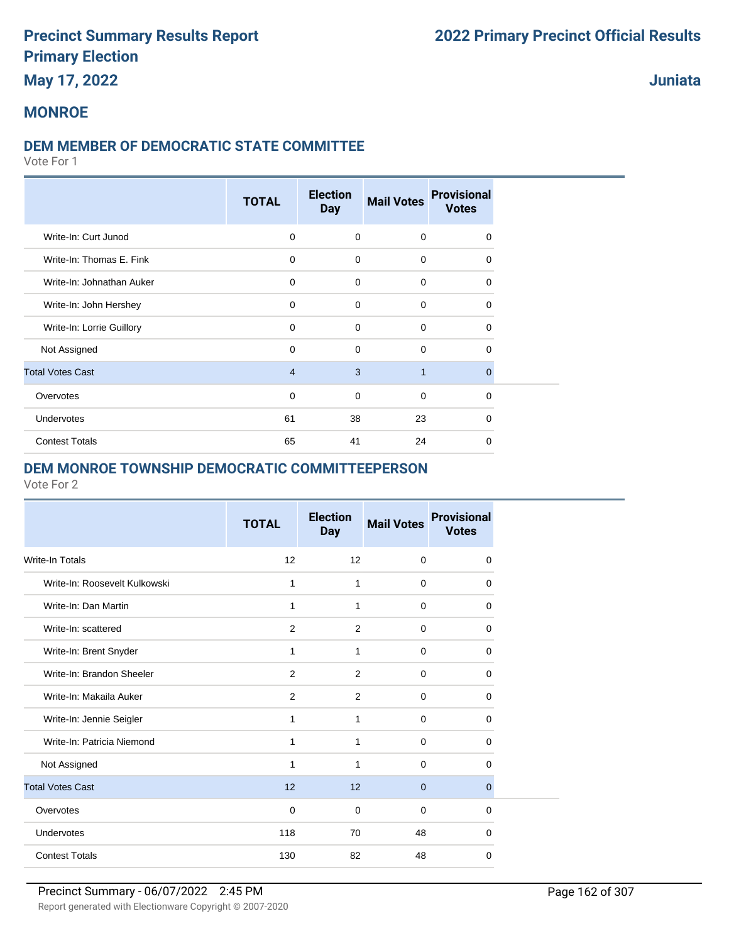### **May 17, 2022**

#### **Juniata**

#### **MONROE**

#### **DEM MEMBER OF DEMOCRATIC STATE COMMITTEE**

Vote For 1

|                           | <b>TOTAL</b>   | <b>Election</b><br><b>Day</b> | <b>Mail Votes</b> | <b>Provisional</b><br><b>Votes</b> |  |
|---------------------------|----------------|-------------------------------|-------------------|------------------------------------|--|
| Write-In: Curt Junod      | $\mathbf 0$    | $\mathbf 0$                   | $\mathbf 0$       | $\Omega$                           |  |
| Write-In: Thomas E. Fink  | $\mathbf 0$    | $\mathbf 0$                   | $\mathbf 0$       | 0                                  |  |
| Write-In: Johnathan Auker | $\mathbf 0$    | $\mathbf 0$                   | $\mathbf 0$       | $\Omega$                           |  |
| Write-In: John Hershey    | $\mathbf 0$    | $\Omega$                      | $\mathbf 0$       | 0                                  |  |
| Write-In: Lorrie Guillory | $\mathbf 0$    | $\mathbf 0$                   | 0                 | 0                                  |  |
| Not Assigned              | 0              | $\mathbf 0$                   | 0                 | 0                                  |  |
| <b>Total Votes Cast</b>   | $\overline{4}$ | 3                             | $\mathbf{1}$      | $\mathbf{0}$                       |  |
| Overvotes                 | $\mathbf 0$    | $\mathbf 0$                   | $\mathbf 0$       | 0                                  |  |
| Undervotes                | 61             | 38                            | 23                | $\Omega$                           |  |
| <b>Contest Totals</b>     | 65             | 41                            | 24                | 0                                  |  |

#### **DEM MONROE TOWNSHIP DEMOCRATIC COMMITTEEPERSON**

| <b>TOTAL</b> | <b>Election</b><br><b>Day</b> | <b>Mail Votes</b> | <b>Provisional</b><br><b>Votes</b> |  |
|--------------|-------------------------------|-------------------|------------------------------------|--|
| 12           | 12                            | $\mathbf 0$       | 0                                  |  |
| 1            | 1                             | $\mathbf 0$       | $\Omega$                           |  |
| 1            | 1                             | $\mathbf 0$       | 0                                  |  |
| 2            | 2                             | $\mathbf 0$       | 0                                  |  |
| 1            | 1                             | $\mathbf 0$       | $\Omega$                           |  |
| 2            | 2                             | $\Omega$          | $\Omega$                           |  |
| 2            | 2                             | $\Omega$          | 0                                  |  |
| 1            | 1                             | $\Omega$          | 0                                  |  |
| 1            | 1                             | $\mathbf 0$       | 0                                  |  |
| 1            | 1                             | $\Omega$          | 0                                  |  |
| 12           | 12                            | $\mathbf{0}$      | $\mathbf{0}$                       |  |
| $\mathbf 0$  | 0                             | $\mathbf 0$       | 0                                  |  |
| 118          | 70                            | 48                | $\Omega$                           |  |
| 130          | 82                            | 48                | 0                                  |  |
|              |                               |                   |                                    |  |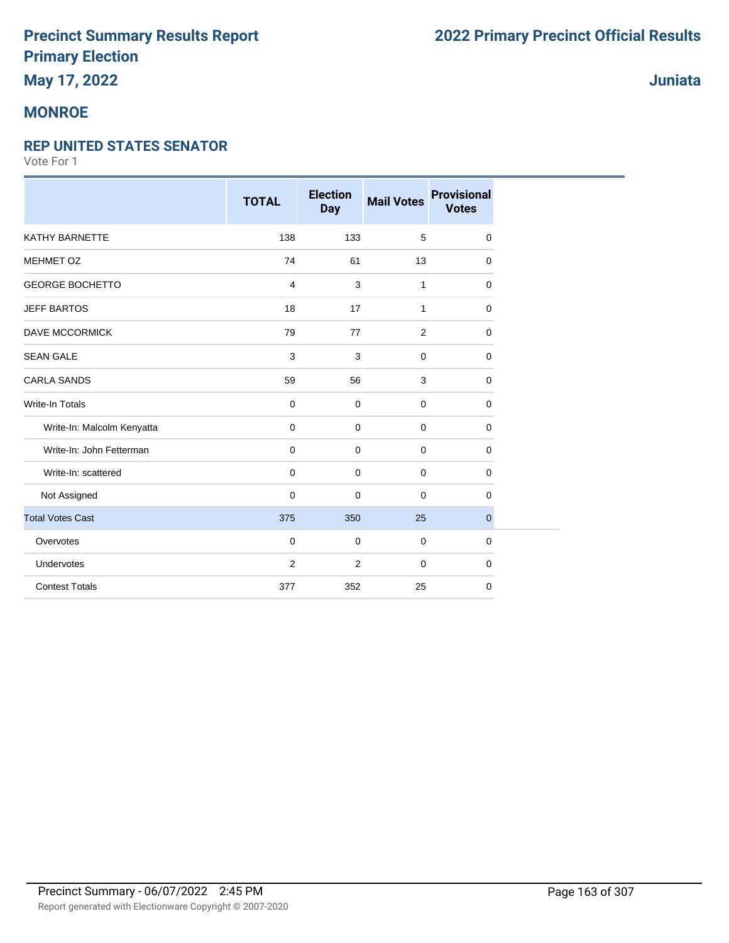## **May 17, 2022**

### **MONROE**

#### **REP UNITED STATES SENATOR**

|                            | <b>TOTAL</b> | <b>Election</b><br><b>Day</b> | <b>Mail Votes</b> | <b>Provisional</b><br><b>Votes</b> |
|----------------------------|--------------|-------------------------------|-------------------|------------------------------------|
| <b>KATHY BARNETTE</b>      | 138          | 133                           | 5                 | $\mathbf 0$                        |
| MEHMET OZ                  | 74           | 61                            | 13                | $\mathbf 0$                        |
| <b>GEORGE BOCHETTO</b>     | 4            | 3                             | 1                 | $\mathbf 0$                        |
| <b>JEFF BARTOS</b>         | 18           | 17                            | 1                 | $\mathbf 0$                        |
| <b>DAVE MCCORMICK</b>      | 79           | 77                            | 2                 | 0                                  |
| <b>SEAN GALE</b>           | $\mathbf{3}$ | $\mathsf 3$                   | $\mathbf 0$       | $\mathbf 0$                        |
| <b>CARLA SANDS</b>         | 59           | 56                            | 3                 | $\mathbf 0$                        |
| <b>Write-In Totals</b>     | $\mathbf 0$  | $\mathbf 0$                   | $\mathbf 0$       | $\mathbf 0$                        |
| Write-In: Malcolm Kenyatta | $\mathbf 0$  | $\mathbf 0$                   | $\mathbf 0$       | $\mathbf 0$                        |
| Write-In: John Fetterman   | $\mathbf 0$  | $\mathbf 0$                   | $\mathbf 0$       | $\mathbf 0$                        |
| Write-In: scattered        | $\mathbf 0$  | $\mathbf 0$                   | $\mathbf 0$       | $\mathbf 0$                        |
| Not Assigned               | $\mathbf 0$  | 0                             | $\mathbf 0$       | $\mathbf 0$                        |
| <b>Total Votes Cast</b>    | 375          | 350                           | 25                | $\overline{0}$                     |
| Overvotes                  | $\mathbf 0$  | 0                             | $\mathbf 0$       | $\mathbf 0$                        |
| Undervotes                 | 2            | $\overline{2}$                | $\mathbf 0$       | $\mathbf 0$                        |
| <b>Contest Totals</b>      | 377          | 352                           | 25                | 0                                  |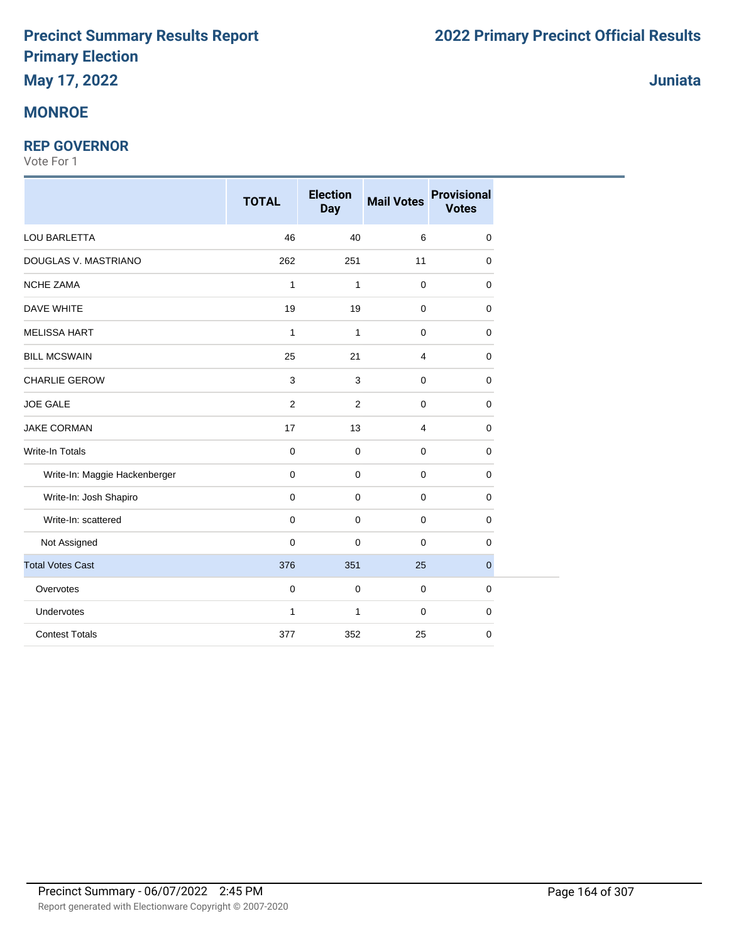## **May 17, 2022**

### **MONROE**

#### **REP GOVERNOR**

|                               | <b>TOTAL</b>   | <b>Election</b><br><b>Day</b> | <b>Mail Votes</b> | <b>Provisional</b><br><b>Votes</b> |
|-------------------------------|----------------|-------------------------------|-------------------|------------------------------------|
| LOU BARLETTA                  | 46             | 40                            | $\,6\,$           | 0                                  |
| DOUGLAS V. MASTRIANO          | 262            | 251                           | 11                | 0                                  |
| <b>NCHE ZAMA</b>              | $\mathbf{1}$   | $\mathbf{1}$                  | $\mathbf 0$       | 0                                  |
| DAVE WHITE                    | 19             | 19                            | $\pmb{0}$         | 0                                  |
| <b>MELISSA HART</b>           | 1              | 1                             | $\mathbf 0$       | 0                                  |
| <b>BILL MCSWAIN</b>           | 25             | 21                            | $\overline{4}$    | 0                                  |
| <b>CHARLIE GEROW</b>          | 3              | 3                             | $\pmb{0}$         | 0                                  |
| <b>JOE GALE</b>               | $\overline{2}$ | $\overline{2}$                | $\mathbf 0$       | 0                                  |
| <b>JAKE CORMAN</b>            | 17             | 13                            | 4                 | 0                                  |
| Write-In Totals               | $\pmb{0}$      | 0                             | $\mathbf 0$       | 0                                  |
| Write-In: Maggie Hackenberger | 0              | $\mathbf 0$                   | $\mathbf 0$       | 0                                  |
| Write-In: Josh Shapiro        | 0              | $\mathbf 0$                   | $\mathbf 0$       | 0                                  |
| Write-In: scattered           | $\mathbf 0$    | 0                             | $\mathbf 0$       | 0                                  |
| Not Assigned                  | 0              | $\mathbf 0$                   | $\mathbf 0$       | 0                                  |
| <b>Total Votes Cast</b>       | 376            | 351                           | 25                | $\mathbf{0}$                       |
| Overvotes                     | $\mathbf 0$    | $\mathbf 0$                   | $\mathbf 0$       | 0                                  |
| Undervotes                    | $\mathbf{1}$   | $\mathbf{1}$                  | $\mathbf 0$       | 0                                  |
| <b>Contest Totals</b>         | 377            | 352                           | 25                | 0                                  |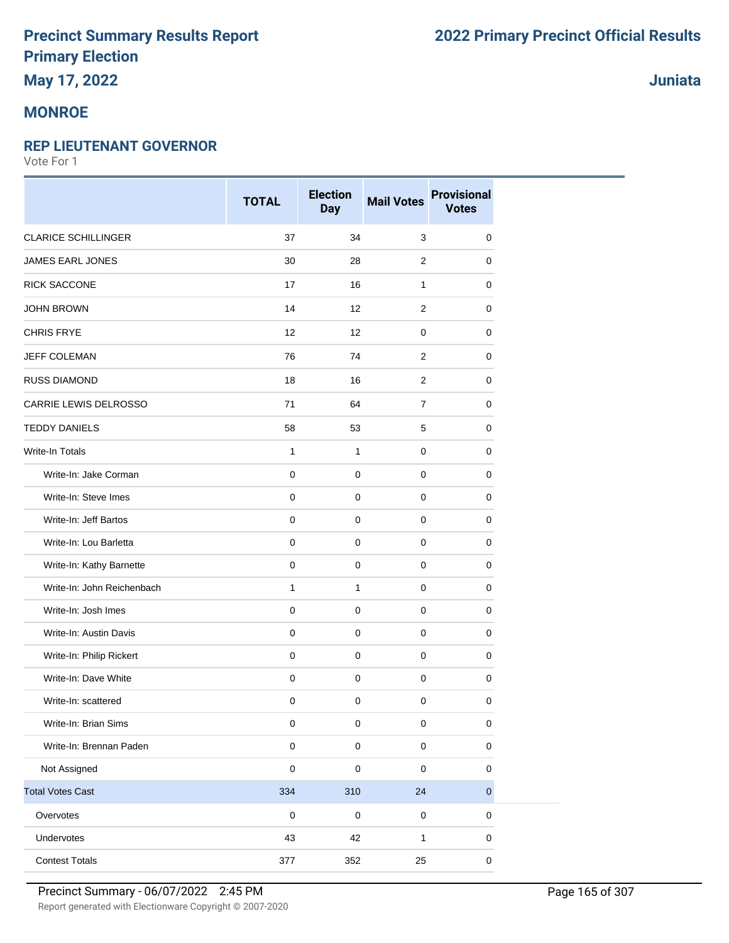## **May 17, 2022**

### **MONROE**

### **REP LIEUTENANT GOVERNOR**

Vote For 1

|                            | <b>TOTAL</b> | <b>Election</b><br><b>Day</b> | <b>Mail Votes</b> | <b>Provisional</b><br><b>Votes</b> |
|----------------------------|--------------|-------------------------------|-------------------|------------------------------------|
| <b>CLARICE SCHILLINGER</b> | 37           | 34                            | $\mathbf{3}$      | 0                                  |
| <b>JAMES EARL JONES</b>    | 30           | 28                            | 2                 | 0                                  |
| <b>RICK SACCONE</b>        | 17           | 16                            | $\mathbf{1}$      | 0                                  |
| <b>JOHN BROWN</b>          | 14           | 12                            | $\overline{c}$    | 0                                  |
| <b>CHRIS FRYE</b>          | 12           | 12                            | $\mathbf 0$       | 0                                  |
| <b>JEFF COLEMAN</b>        | 76           | 74                            | 2                 | 0                                  |
| <b>RUSS DIAMOND</b>        | 18           | 16                            | 2                 | 0                                  |
| CARRIE LEWIS DELROSSO      | 71           | 64                            | $\overline{7}$    | 0                                  |
| <b>TEDDY DANIELS</b>       | 58           | 53                            | 5                 | 0                                  |
| <b>Write-In Totals</b>     | 1            | $\mathbf{1}$                  | $\mathbf 0$       | 0                                  |
| Write-In: Jake Corman      | $\pmb{0}$    | $\mathbf 0$                   | $\mathbf 0$       | 0                                  |
| Write-In: Steve Imes       | $\pmb{0}$    | $\mathbf 0$                   | $\mathbf 0$       | 0                                  |
| Write-In: Jeff Bartos      | $\pmb{0}$    | $\mathbf 0$                   | $\mathbf 0$       | 0                                  |
| Write-In: Lou Barletta     | $\pmb{0}$    | $\pmb{0}$                     | $\mathbf 0$       | 0                                  |
| Write-In: Kathy Barnette   | $\pmb{0}$    | $\mathbf 0$                   | $\mathbf 0$       | 0                                  |
| Write-In: John Reichenbach | 1            | $\mathbf{1}$                  | 0                 | 0                                  |
| Write-In: Josh Imes        | $\pmb{0}$    | $\mathbf 0$                   | $\mathbf 0$       | 0                                  |
| Write-In: Austin Davis     | $\mathbf 0$  | $\mathbf 0$                   | $\mathbf 0$       | 0                                  |
| Write-In: Philip Rickert   | $\mathbf 0$  | $\mathbf 0$                   | $\mathbf 0$       | 0                                  |
| Write-In: Dave White       | $\mathbf 0$  | $\mathsf 0$                   | $\mathbf 0$       | 0                                  |
| Write-In: scattered        | $\pmb{0}$    | $\mathbf 0$                   | $\mathbf 0$       | 0                                  |
| Write-In: Brian Sims       | 0            | 0                             | $\mathbf 0$       | 0                                  |
| Write-In: Brennan Paden    | $\pmb{0}$    | 0                             | $\pmb{0}$         | 0                                  |
| Not Assigned               | $\pmb{0}$    | $\pmb{0}$                     | $\pmb{0}$         | 0                                  |
| <b>Total Votes Cast</b>    | 334          | 310                           | 24                | $\mathbf 0$                        |
| Overvotes                  | $\pmb{0}$    | $\mathsf 0$                   | $\pmb{0}$         | $\pmb{0}$                          |
| Undervotes                 | 43           | 42                            | $\mathbf{1}$      | 0                                  |
| <b>Contest Totals</b>      | 377          | 352                           | 25                | 0                                  |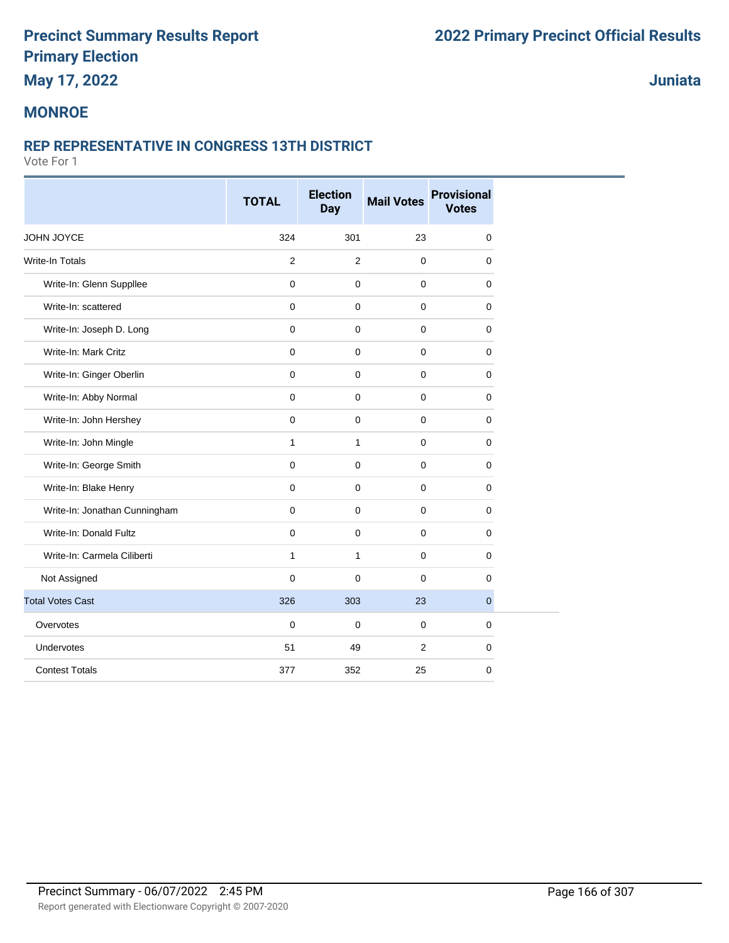## **May 17, 2022**

### **Juniata**

### **MONROE**

#### **REP REPRESENTATIVE IN CONGRESS 13TH DISTRICT**

|                               | <b>TOTAL</b> | <b>Election</b><br><b>Day</b> | <b>Mail Votes</b> | <b>Provisional</b><br><b>Votes</b> |
|-------------------------------|--------------|-------------------------------|-------------------|------------------------------------|
| JOHN JOYCE                    | 324          | 301                           | 23                | $\mathbf 0$                        |
| <b>Write-In Totals</b>        | 2            | 2                             | $\mathbf 0$       | $\mathbf 0$                        |
| Write-In: Glenn Suppllee      | $\mathbf{0}$ | $\mathbf 0$                   | $\mathbf{0}$      | $\mathbf 0$                        |
| Write-In: scattered           | $\mathbf 0$  | 0                             | $\Omega$          | $\mathbf 0$                        |
| Write-In: Joseph D. Long      | $\mathbf{0}$ | 0                             | $\mathbf 0$       | $\mathbf 0$                        |
| Write-In: Mark Critz          | $\mathbf{0}$ | $\mathbf 0$                   | $\mathbf{0}$      | $\mathbf 0$                        |
| Write-In: Ginger Oberlin      | $\mathbf 0$  | 0                             | $\mathbf 0$       | $\mathbf 0$                        |
| Write-In: Abby Normal         | $\mathbf 0$  | 0                             | $\mathbf 0$       | 0                                  |
| Write-In: John Hershey        | $\mathbf 0$  | $\mathbf 0$                   | $\mathbf 0$       | 0                                  |
| Write-In: John Mingle         | $\mathbf{1}$ | $\mathbf{1}$                  | $\mathbf 0$       | $\mathbf 0$                        |
| Write-In: George Smith        | $\mathbf 0$  | 0                             | $\mathbf 0$       | 0                                  |
| Write-In: Blake Henry         | $\mathbf 0$  | $\mathbf 0$                   | $\mathbf 0$       | 0                                  |
| Write-In: Jonathan Cunningham | $\mathbf{0}$ | $\mathbf 0$                   | $\mathbf 0$       | $\mathbf 0$                        |
| Write-In: Donald Fultz        | $\mathbf 0$  | 0                             | $\mathbf 0$       | $\mathbf 0$                        |
| Write-In: Carmela Ciliberti   | $\mathbf{1}$ | $\mathbf{1}$                  | $\mathbf 0$       | 0                                  |
| Not Assigned                  | $\Omega$     | $\Omega$                      | $\Omega$          | $\Omega$                           |
| <b>Total Votes Cast</b>       | 326          | 303                           | 23                | $\mathbf{0}$                       |
| Overvotes                     | $\mathbf 0$  | 0                             | $\mathbf 0$       | $\mathbf 0$                        |
| Undervotes                    | 51           | 49                            | 2                 | $\mathbf 0$                        |
| <b>Contest Totals</b>         | 377          | 352                           | 25                | 0                                  |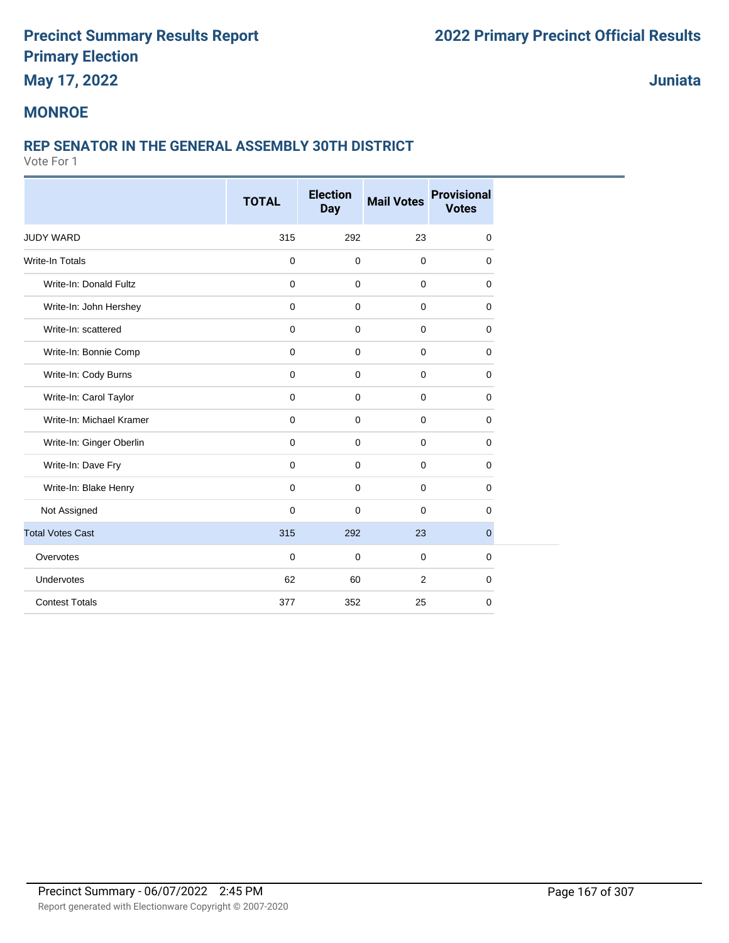## **May 17, 2022**

**Juniata**

#### **MONROE**

#### **REP SENATOR IN THE GENERAL ASSEMBLY 30TH DISTRICT**

|                          | <b>TOTAL</b> | <b>Election</b><br><b>Day</b> | <b>Mail Votes</b> | <b>Provisional</b><br><b>Votes</b> |
|--------------------------|--------------|-------------------------------|-------------------|------------------------------------|
|                          |              |                               |                   |                                    |
| <b>JUDY WARD</b>         | 315          | 292                           | 23                | 0                                  |
| <b>Write-In Totals</b>   | $\mathbf 0$  | $\mathbf 0$                   | $\mathbf 0$       | 0                                  |
| Write-In: Donald Fultz   | $\mathbf 0$  | $\mathbf 0$                   | $\mathbf 0$       | $\mathbf 0$                        |
| Write-In: John Hershey   | $\mathbf 0$  | $\mathbf 0$                   | $\mathbf 0$       | $\mathbf 0$                        |
| Write-In: scattered      | $\mathbf 0$  | $\mathbf 0$                   | $\mathbf 0$       | 0                                  |
| Write-In: Bonnie Comp    | $\mathbf 0$  | $\mathbf 0$                   | $\mathbf 0$       | 0                                  |
| Write-In: Cody Burns     | $\mathbf 0$  | $\mathbf 0$                   | $\mathbf 0$       | 0                                  |
| Write-In: Carol Taylor   | $\mathbf 0$  | $\mathbf 0$                   | $\mathbf 0$       | $\mathbf 0$                        |
| Write-In: Michael Kramer | $\mathbf 0$  | $\mathbf 0$                   | $\mathbf 0$       | 0                                  |
| Write-In: Ginger Oberlin | $\mathbf 0$  | $\mathbf 0$                   | $\mathbf 0$       | 0                                  |
| Write-In: Dave Fry       | $\mathbf 0$  | $\mathbf 0$                   | $\mathbf 0$       | 0                                  |
| Write-In: Blake Henry    | $\mathbf 0$  | 0                             | $\mathbf 0$       | 0                                  |
| Not Assigned             | $\mathbf 0$  | 0                             | $\mathbf 0$       | 0                                  |
| <b>Total Votes Cast</b>  | 315          | 292                           | 23                | $\overline{0}$                     |
| Overvotes                | $\mathbf 0$  | $\mathbf 0$                   | $\mathbf 0$       | 0                                  |
| Undervotes               | 62           | 60                            | 2                 | $\mathbf 0$                        |
| <b>Contest Totals</b>    | 377          | 352                           | 25                | 0                                  |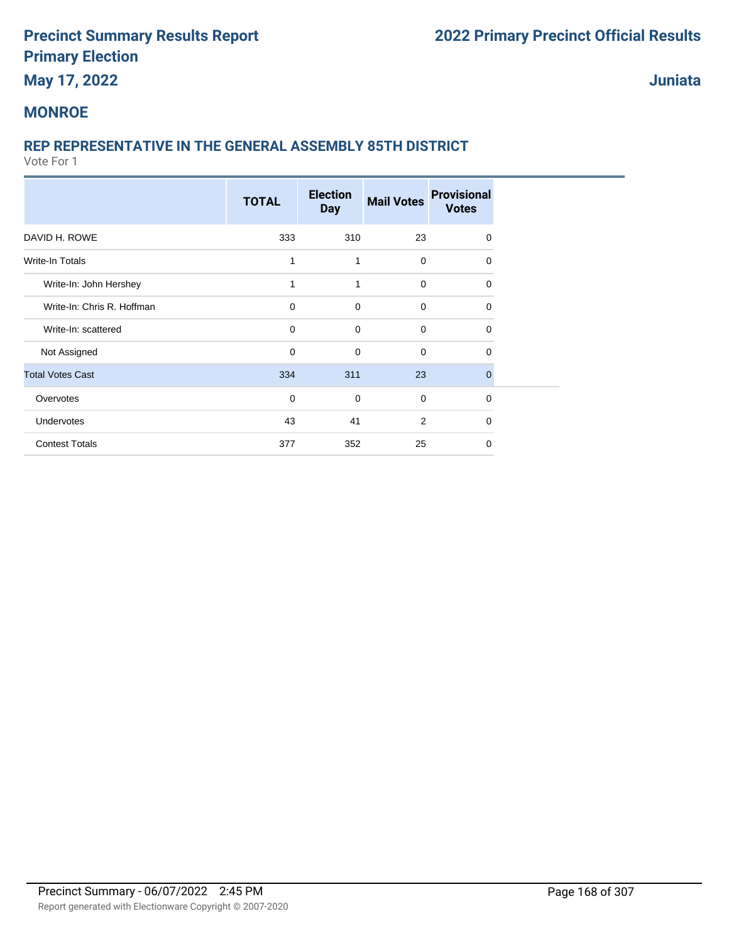## **May 17, 2022**

**Juniata**

#### **MONROE**

### **REP REPRESENTATIVE IN THE GENERAL ASSEMBLY 85TH DISTRICT**

|                            | <b>TOTAL</b> | <b>Election</b><br><b>Day</b> | <b>Mail Votes</b> | <b>Provisional</b><br><b>Votes</b> |
|----------------------------|--------------|-------------------------------|-------------------|------------------------------------|
| DAVID H. ROWE              | 333          | 310                           | 23                | 0                                  |
| Write-In Totals            | 1            | 1                             | $\mathbf 0$       | $\Omega$                           |
| Write-In: John Hershey     | 1            | 1                             | $\mathbf 0$       | 0                                  |
| Write-In: Chris R. Hoffman | $\mathbf 0$  | $\mathbf 0$                   | $\mathbf 0$       | $\Omega$                           |
| Write-In: scattered        | $\mathbf 0$  | $\mathbf 0$                   | 0                 | $\Omega$                           |
| Not Assigned               | 0            | $\mathbf 0$                   | $\mathbf 0$       | 0                                  |
| <b>Total Votes Cast</b>    | 334          | 311                           | 23                | $\Omega$                           |
| Overvotes                  | 0            | $\mathbf 0$                   | $\mathbf 0$       | 0                                  |
| Undervotes                 | 43           | 41                            | 2                 | $\Omega$                           |
| <b>Contest Totals</b>      | 377          | 352                           | 25                | $\Omega$                           |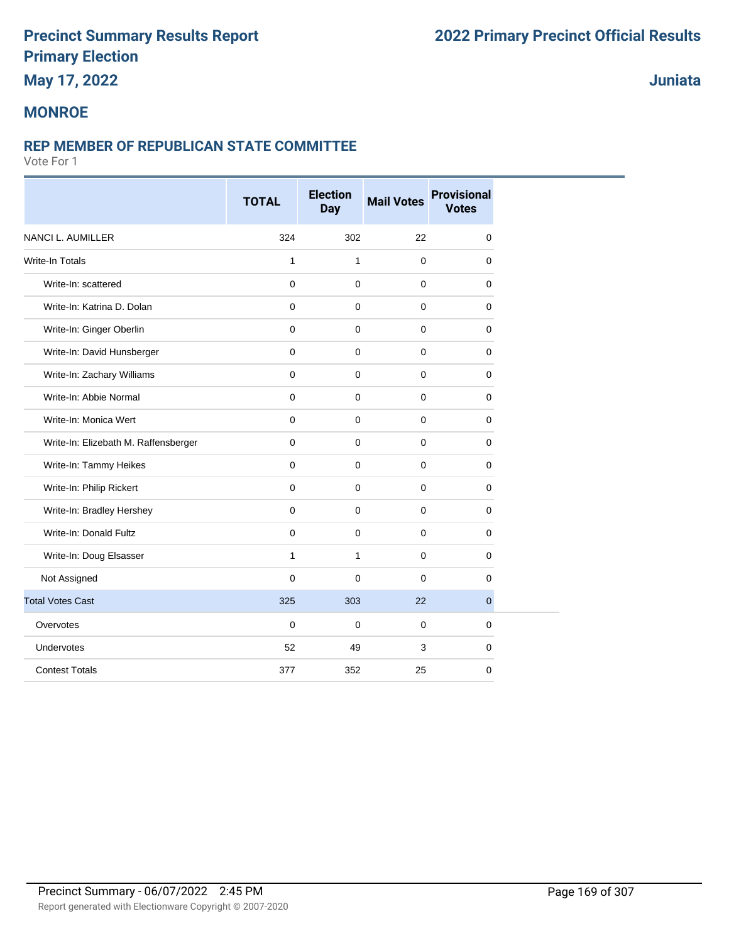## **May 17, 2022**

### **Juniata**

#### **MONROE**

#### **REP MEMBER OF REPUBLICAN STATE COMMITTEE**

|                                      | <b>TOTAL</b> | <b>Election</b><br><b>Day</b> | <b>Mail Votes</b> | <b>Provisional</b><br><b>Votes</b> |
|--------------------------------------|--------------|-------------------------------|-------------------|------------------------------------|
| <b>NANCI L. AUMILLER</b>             | 324          | 302                           | 22                | $\mathbf 0$                        |
| <b>Write-In Totals</b>               | 1            | $\mathbf{1}$                  | $\mathbf 0$       | 0                                  |
| Write-In: scattered                  | $\mathbf 0$  | $\mathbf 0$                   | $\pmb{0}$         | $\mathbf 0$                        |
| Write-In: Katrina D. Dolan           | 0            | $\mathbf 0$                   | $\mathbf 0$       | $\Omega$                           |
| Write-In: Ginger Oberlin             | $\mathbf 0$  | $\mathbf 0$                   | $\pmb{0}$         | $\mathbf 0$                        |
| Write-In: David Hunsberger           | $\mathbf 0$  | $\mathbf 0$                   | $\pmb{0}$         | $\mathbf 0$                        |
| Write-In: Zachary Williams           | $\mathbf 0$  | $\mathbf 0$                   | $\mathbf 0$       | $\Omega$                           |
| Write-In: Abbie Normal               | $\mathbf 0$  | $\mathbf 0$                   | $\pmb{0}$         | $\mathbf 0$                        |
| Write-In: Monica Wert                | $\mathbf 0$  | $\mathbf 0$                   | $\pmb{0}$         | $\mathbf 0$                        |
| Write-In: Elizebath M. Raffensberger | $\mathbf 0$  | $\mathbf 0$                   | $\mathbf{0}$      | $\mathbf 0$                        |
| Write-In: Tammy Heikes               | $\mathbf 0$  | $\mathbf 0$                   | $\pmb{0}$         | $\mathbf 0$                        |
| Write-In: Philip Rickert             | $\mathbf 0$  | $\mathbf 0$                   | $\pmb{0}$         | $\mathbf 0$                        |
| Write-In: Bradley Hershey            | $\Omega$     | $\mathbf 0$                   | $\mathbf{0}$      | $\mathbf 0$                        |
| Write-In: Donald Fultz               | $\mathbf 0$  | $\mathbf 0$                   | $\mathbf 0$       | $\mathbf 0$                        |
| Write-In: Doug Elsasser              | $\mathbf{1}$ | $\mathbf{1}$                  | $\mathbf 0$       | $\mathbf 0$                        |
| Not Assigned                         | $\mathbf 0$  | $\mathbf 0$                   | $\mathbf 0$       | $\mathbf 0$                        |
| <b>Total Votes Cast</b>              | 325          | 303                           | 22                | $\mathbf{0}$                       |
| Overvotes                            | $\mathbf 0$  | $\mathbf 0$                   | $\mathbf 0$       | $\mathbf 0$                        |
| Undervotes                           | 52           | 49                            | 3                 | 0                                  |
| <b>Contest Totals</b>                | 377          | 352                           | 25                | 0                                  |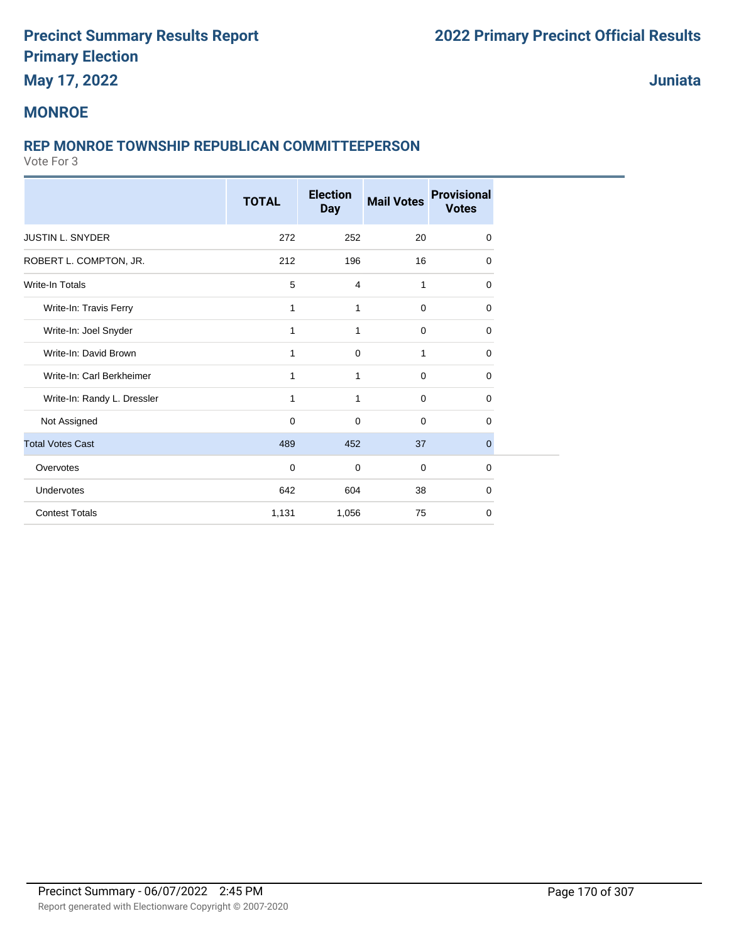## **May 17, 2022**

**Juniata**

#### **MONROE**

#### **REP MONROE TOWNSHIP REPUBLICAN COMMITTEEPERSON**

|                             | <b>TOTAL</b> | <b>Election</b><br><b>Day</b> | <b>Mail Votes</b> | <b>Provisional</b><br><b>Votes</b> |
|-----------------------------|--------------|-------------------------------|-------------------|------------------------------------|
| <b>JUSTIN L. SNYDER</b>     | 272          | 252                           | 20                | $\mathbf 0$                        |
| ROBERT L. COMPTON, JR.      | 212          | 196                           | 16                | $\Omega$                           |
| <b>Write-In Totals</b>      | 5            | 4                             | 1                 | 0                                  |
| Write-In: Travis Ferry      | 1            | 1                             | $\mathbf 0$       | $\mathbf 0$                        |
| Write-In: Joel Snyder       | 1            | 1                             | 0                 | 0                                  |
| Write-In: David Brown       | 1            | 0                             | 1                 | $\mathbf 0$                        |
| Write-In: Carl Berkheimer   | 1            | $\mathbf{1}$                  | $\mathbf 0$       | $\Omega$                           |
| Write-In: Randy L. Dressler | 1            | $\mathbf{1}$                  | $\mathbf 0$       | $\mathbf 0$                        |
| Not Assigned                | $\mathbf 0$  | $\mathbf 0$                   | $\mathbf 0$       | $\Omega$                           |
| <b>Total Votes Cast</b>     | 489          | 452                           | 37                | $\mathbf{0}$                       |
| Overvotes                   | $\mathbf 0$  | $\mathbf 0$                   | $\mathbf 0$       | $\mathbf 0$                        |
| Undervotes                  | 642          | 604                           | 38                | $\mathbf 0$                        |
| <b>Contest Totals</b>       | 1,131        | 1,056                         | 75                | $\mathbf 0$                        |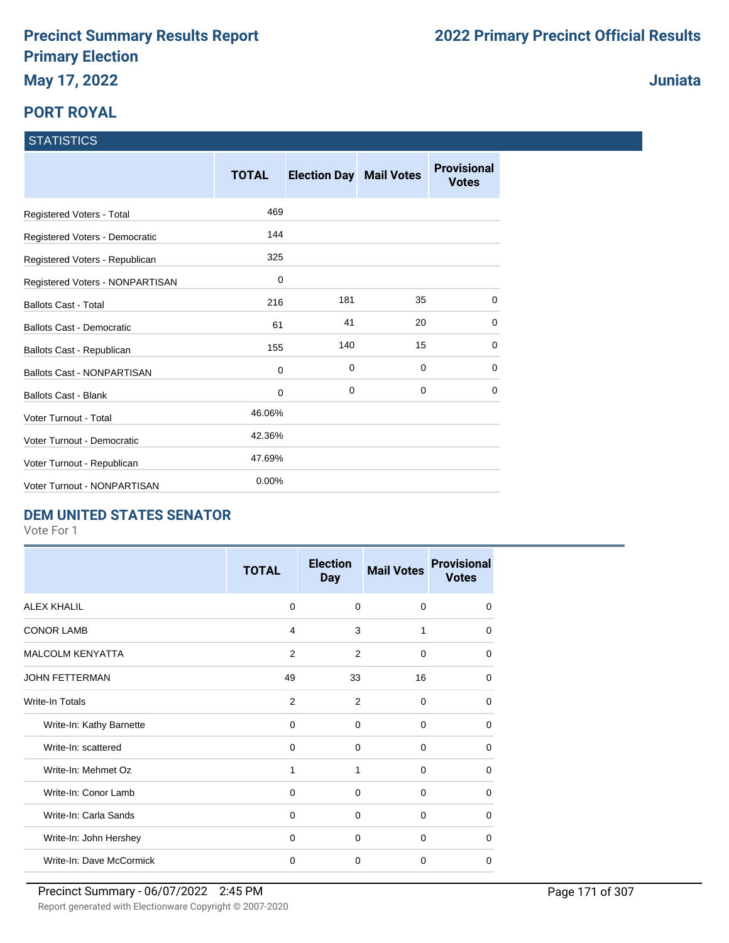# **PORT ROYAL**

# **STATISTICS**

|                                   | <b>TOTAL</b> | <b>Election Day Mail Votes</b> |             | <b>Provisional</b><br><b>Votes</b> |
|-----------------------------------|--------------|--------------------------------|-------------|------------------------------------|
| Registered Voters - Total         | 469          |                                |             |                                    |
| Registered Voters - Democratic    | 144          |                                |             |                                    |
| Registered Voters - Republican    | 325          |                                |             |                                    |
| Registered Voters - NONPARTISAN   | 0            |                                |             |                                    |
| <b>Ballots Cast - Total</b>       | 216          | 181                            | 35          | $\Omega$                           |
| <b>Ballots Cast - Democratic</b>  | 61           | 41                             | 20          | 0                                  |
| Ballots Cast - Republican         | 155          | 140                            | 15          | $\mathbf 0$                        |
| <b>Ballots Cast - NONPARTISAN</b> | $\mathbf 0$  | 0                              | $\mathbf 0$ | 0                                  |
| <b>Ballots Cast - Blank</b>       | $\mathbf 0$  | $\mathbf 0$                    | $\mathbf 0$ | 0                                  |
| Voter Turnout - Total             | 46.06%       |                                |             |                                    |
| Voter Turnout - Democratic        | 42.36%       |                                |             |                                    |
| Voter Turnout - Republican        | 47.69%       |                                |             |                                    |
| Voter Turnout - NONPARTISAN       | 0.00%        |                                |             |                                    |

#### **DEM UNITED STATES SENATOR**

Vote For 1

|                          | <b>TOTAL</b>   | <b>Election</b><br><b>Day</b> | <b>Mail Votes</b> | <b>Provisional</b><br><b>Votes</b> |
|--------------------------|----------------|-------------------------------|-------------------|------------------------------------|
| <b>ALEX KHALIL</b>       | $\Omega$       | $\Omega$                      | $\Omega$          | $\Omega$                           |
| <b>CONOR LAMB</b>        | 4              | 3                             | 1                 | $\Omega$                           |
| <b>MALCOLM KENYATTA</b>  | $\overline{2}$ | 2                             | $\Omega$          | $\Omega$                           |
| <b>JOHN FETTERMAN</b>    | 49             | 33                            | 16                | $\Omega$                           |
| Write-In Totals          | 2              | 2                             | $\Omega$          | $\Omega$                           |
| Write-In: Kathy Barnette | $\Omega$       | $\Omega$                      | $\Omega$          | $\Omega$                           |
| Write-In: scattered      | 0              | 0                             | $\Omega$          | $\mathbf 0$                        |
| Write-In: Mehmet Oz      | 1              | 1                             | $\Omega$          | $\Omega$                           |
| Write-In: Conor Lamb     | $\mathbf 0$    | $\mathbf 0$                   | 0                 | $\Omega$                           |
| Write-In: Carla Sands    | $\mathbf 0$    | $\mathbf 0$                   | 0                 | $\Omega$                           |
| Write-In: John Hershey   | $\Omega$       | $\Omega$                      | $\Omega$          | $\Omega$                           |
| Write-In: Dave McCormick | $\mathbf 0$    | $\mathbf 0$                   | $\Omega$          | $\mathbf 0$                        |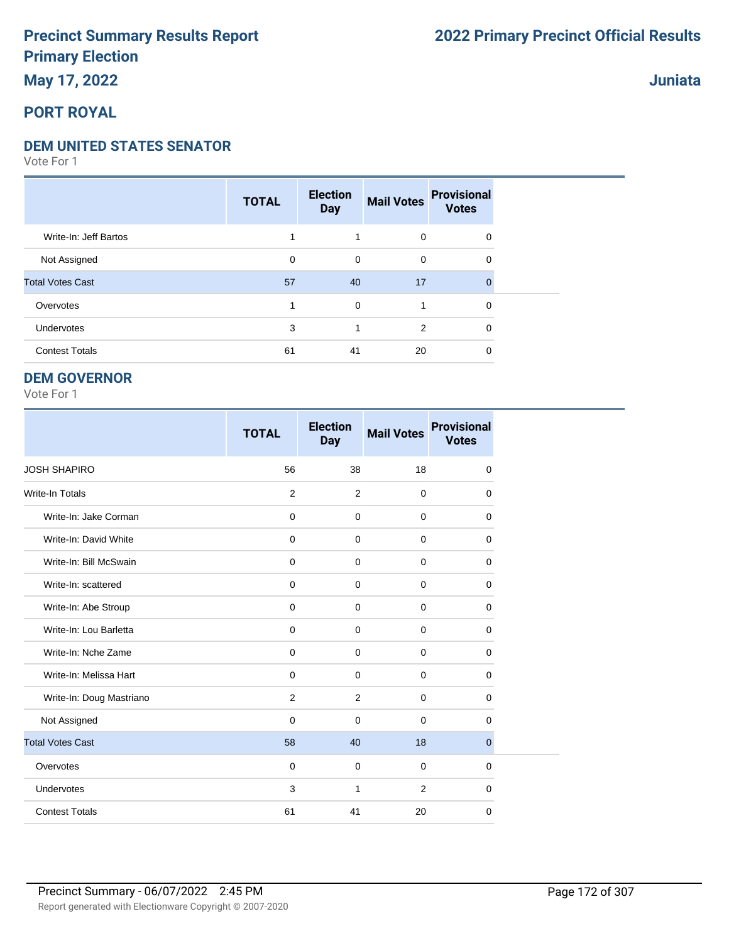## **May 17, 2022**

### **PORT ROYAL**

#### **DEM UNITED STATES SENATOR**

Vote For 1

|                         | <b>TOTAL</b> | <b>Election</b><br><b>Day</b> | <b>Mail Votes</b> | <b>Provisional</b><br><b>Votes</b> |
|-------------------------|--------------|-------------------------------|-------------------|------------------------------------|
| Write-In: Jeff Bartos   |              | 1                             | $\mathbf 0$       | $\mathbf 0$                        |
| Not Assigned            | 0            | 0                             | 0                 | 0                                  |
| <b>Total Votes Cast</b> | 57           | 40                            | 17                | $\Omega$                           |
| Overvotes               |              | 0                             | 1                 | $\mathbf 0$                        |
| Undervotes              | 3            | 1                             | 2                 | $\Omega$                           |
| <b>Contest Totals</b>   | 61           | 41                            | 20                | 0                                  |

#### **DEM GOVERNOR**

Vote For 1

|                          | <b>TOTAL</b> | <b>Election</b><br><b>Day</b> | <b>Mail Votes</b> | <b>Provisional</b><br><b>Votes</b> |
|--------------------------|--------------|-------------------------------|-------------------|------------------------------------|
| <b>JOSH SHAPIRO</b>      | 56           | 38                            | 18                | 0                                  |
| <b>Write-In Totals</b>   | 2            | 2                             | $\mathbf 0$       | 0                                  |
| Write-In: Jake Corman    | $\mathbf 0$  | $\mathbf 0$                   | $\mathbf 0$       | 0                                  |
| Write-In: David White    | $\mathbf 0$  | $\Omega$                      | $\Omega$          | 0                                  |
| Write-In: Bill McSwain   | $\mathbf 0$  | $\Omega$                      | 0                 | 0                                  |
| Write-In: scattered      | $\mathbf 0$  | $\mathbf 0$                   | $\mathbf 0$       | 0                                  |
| Write-In: Abe Stroup     | 0            | $\mathbf 0$                   | $\mathbf 0$       | 0                                  |
| Write-In: Lou Barletta   | 0            | $\mathbf 0$                   | $\mathbf 0$       | 0                                  |
| Write-In: Nche Zame      | 0            | 0                             | $\mathbf 0$       | $\mathbf 0$                        |
| Write-In: Melissa Hart   | 0            | $\mathbf 0$                   | $\mathbf 0$       | 0                                  |
| Write-In: Doug Mastriano | 2            | 2                             | $\mathbf 0$       | 0                                  |
| Not Assigned             | $\mathbf 0$  | $\Omega$                      | $\mathbf 0$       | 0                                  |
| <b>Total Votes Cast</b>  | 58           | 40                            | 18                | 0                                  |
| Overvotes                | $\mathbf 0$  | $\mathbf 0$                   | $\mathbf 0$       | 0                                  |
| Undervotes               | 3            | 1                             | 2                 | 0                                  |
| <b>Contest Totals</b>    | 61           | 41                            | 20                | 0                                  |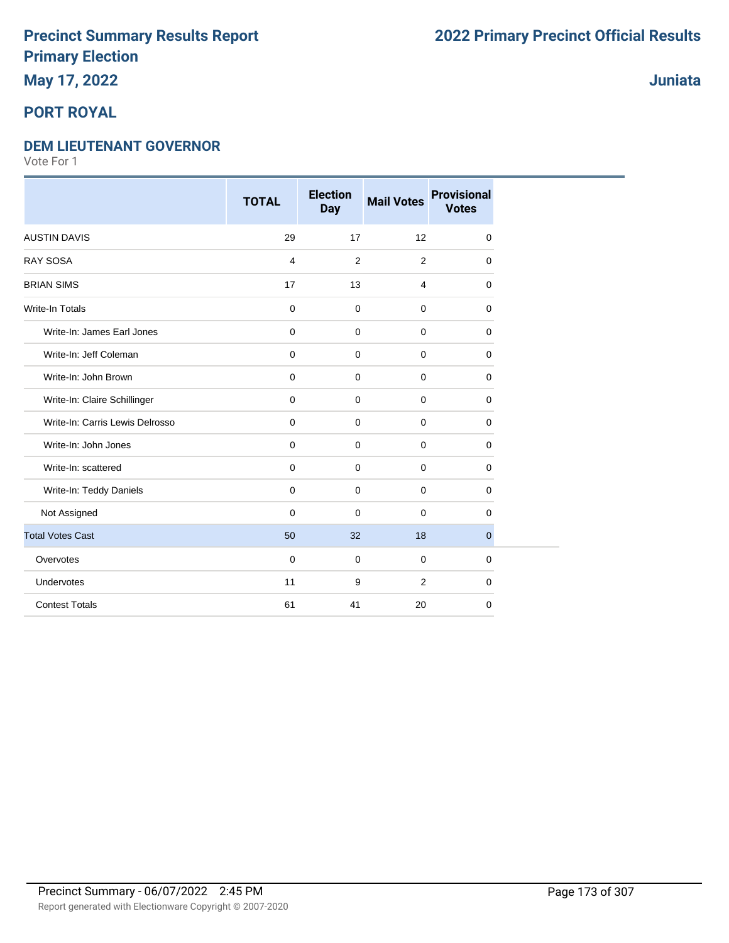## **May 17, 2022**

### **PORT ROYAL**

#### **DEM LIEUTENANT GOVERNOR**

Vote For 1

|                                 | <b>TOTAL</b> | <b>Election</b><br><b>Day</b> | <b>Mail Votes</b> | <b>Provisional</b><br><b>Votes</b> |
|---------------------------------|--------------|-------------------------------|-------------------|------------------------------------|
| <b>AUSTIN DAVIS</b>             | 29           | 17                            | 12                | 0                                  |
| <b>RAY SOSA</b>                 | 4            | 2                             | 2                 | 0                                  |
| <b>BRIAN SIMS</b>               | 17           | 13                            | $\overline{4}$    | 0                                  |
| <b>Write-In Totals</b>          | $\mathbf 0$  | $\mathbf 0$                   | $\mathbf 0$       | 0                                  |
| Write-In: James Earl Jones      | $\mathbf 0$  | $\mathbf 0$                   | $\mathbf 0$       | 0                                  |
| Write-In: Jeff Coleman          | $\mathbf 0$  | $\mathbf 0$                   | $\mathbf 0$       | $\mathbf 0$                        |
| Write-In: John Brown            | $\mathbf 0$  | $\mathbf 0$                   | $\mathbf 0$       | $\mathbf 0$                        |
| Write-In: Claire Schillinger    | $\mathbf 0$  | $\mathbf 0$                   | $\mathbf 0$       | $\mathbf 0$                        |
| Write-In: Carris Lewis Delrosso | 0            | 0                             | $\mathbf 0$       | 0                                  |
| Write-In: John Jones            | $\mathbf 0$  | $\mathbf 0$                   | $\mathbf 0$       | 0                                  |
| Write-In: scattered             | $\mathbf 0$  | $\mathbf 0$                   | $\mathbf 0$       | $\mathbf 0$                        |
| Write-In: Teddy Daniels         | $\mathbf 0$  | $\mathbf 0$                   | $\Omega$          | $\mathbf 0$                        |
| Not Assigned                    | 0            | $\mathbf 0$                   | 0                 | 0                                  |
| <b>Total Votes Cast</b>         | 50           | 32                            | 18                | $\overline{0}$                     |
| Overvotes                       | $\mathbf 0$  | $\mathbf 0$                   | $\mathbf 0$       | $\mathbf 0$                        |
| Undervotes                      | 11           | 9                             | 2                 | 0                                  |
| <b>Contest Totals</b>           | 61           | 41                            | 20                | $\mathbf 0$                        |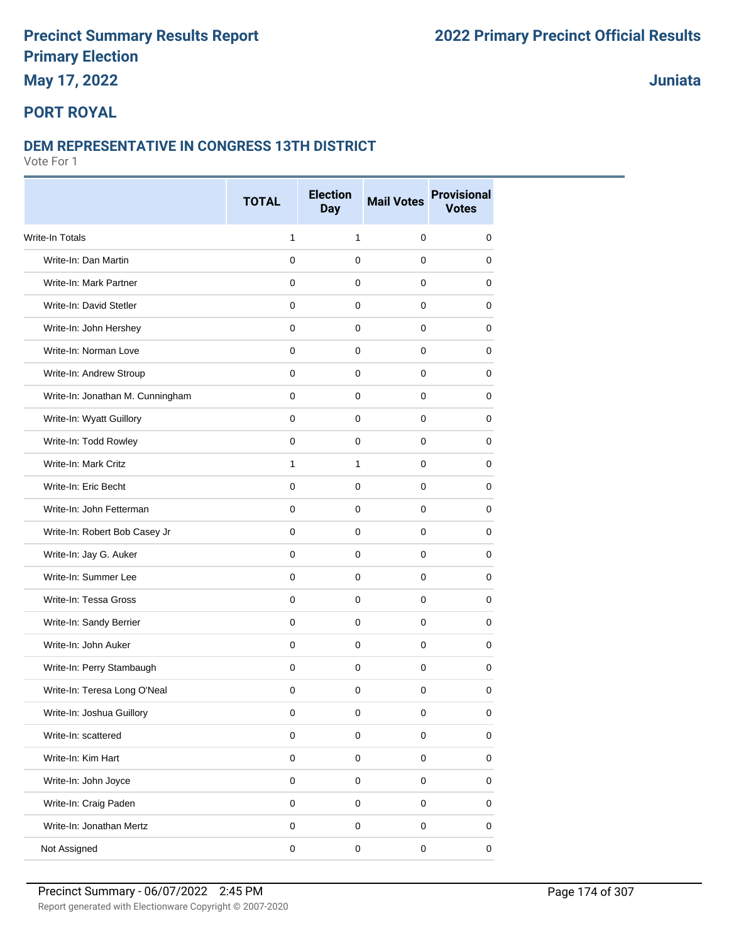**May 17, 2022**

### **Juniata**

### **PORT ROYAL**

#### **DEM REPRESENTATIVE IN CONGRESS 13TH DISTRICT**

|                                  | <b>TOTAL</b> | <b>Election</b><br><b>Day</b> | <b>Mail Votes</b> | <b>Provisional</b><br><b>Votes</b> |
|----------------------------------|--------------|-------------------------------|-------------------|------------------------------------|
| <b>Write-In Totals</b>           | $\mathbf{1}$ | $\mathbf{1}$                  | 0                 | 0                                  |
| Write-In: Dan Martin             | $\mathbf 0$  | $\mathbf 0$                   | 0                 | 0                                  |
| Write-In: Mark Partner           | $\mathbf 0$  | $\mathbf 0$                   | 0                 | 0                                  |
| Write-In: David Stetler          | $\mathbf 0$  | 0                             | 0                 | 0                                  |
| Write-In: John Hershey           | $\mathbf 0$  | 0                             | 0                 | 0                                  |
| Write-In: Norman Love            | $\mathbf 0$  | $\mathbf 0$                   | 0                 | 0                                  |
| Write-In: Andrew Stroup          | $\mathbf 0$  | $\mathbf 0$                   | 0                 | 0                                  |
| Write-In: Jonathan M. Cunningham | $\mathbf 0$  | $\mathbf 0$                   | 0                 | 0                                  |
| Write-In: Wyatt Guillory         | $\mathbf 0$  | $\mathbf 0$                   | 0                 | 0                                  |
| Write-In: Todd Rowley            | 0            | 0                             | 0                 | 0                                  |
| Write-In: Mark Critz             | $\mathbf{1}$ | $\mathbf{1}$                  | 0                 | 0                                  |
| Write-In: Eric Becht             | $\mathbf 0$  | $\mathbf 0$                   | 0                 | 0                                  |
| Write-In: John Fetterman         | $\mathbf 0$  | $\mathbf 0$                   | 0                 | 0                                  |
| Write-In: Robert Bob Casey Jr    | $\mathbf 0$  | $\mathbf 0$                   | 0                 | 0                                  |
| Write-In: Jay G. Auker           | $\mathbf 0$  | $\mathbf 0$                   | 0                 | 0                                  |
| Write-In: Summer Lee             | $\mathbf 0$  | $\mathbf 0$                   | 0                 | 0                                  |
| Write-In: Tessa Gross            | $\mathbf 0$  | $\mathbf 0$                   | 0                 | 0                                  |
| Write-In: Sandy Berrier          | $\mathbf 0$  | $\mathbf 0$                   | 0                 | 0                                  |
| Write-In: John Auker             | $\mathbf 0$  | $\mathbf 0$                   | 0                 | 0                                  |
| Write-In: Perry Stambaugh        | $\mathbf 0$  | $\mathbf 0$                   | 0                 | 0                                  |
| Write-In: Teresa Long O'Neal     | $\mathbf 0$  | $\mathbf 0$                   | $\mathbf 0$       | 0                                  |
| Write-In: Joshua Guillory        | 0            | 0                             | 0                 | 0                                  |
| Write-In: scattered              | $\pmb{0}$    | $\pmb{0}$                     | 0                 | 0                                  |
| Write-In: Kim Hart               | $\pmb{0}$    | $\mathsf 0$                   | $\pmb{0}$         | $\pmb{0}$                          |
| Write-In: John Joyce             | $\pmb{0}$    | $\pmb{0}$                     | 0                 | 0                                  |
| Write-In: Craig Paden            | $\pmb{0}$    | $\mathsf 0$                   | 0                 | $\pmb{0}$                          |
| Write-In: Jonathan Mertz         | $\pmb{0}$    | $\mathsf 0$                   | 0                 | $\pmb{0}$                          |
| Not Assigned                     | $\pmb{0}$    | $\pmb{0}$                     | $\pmb{0}$         | 0                                  |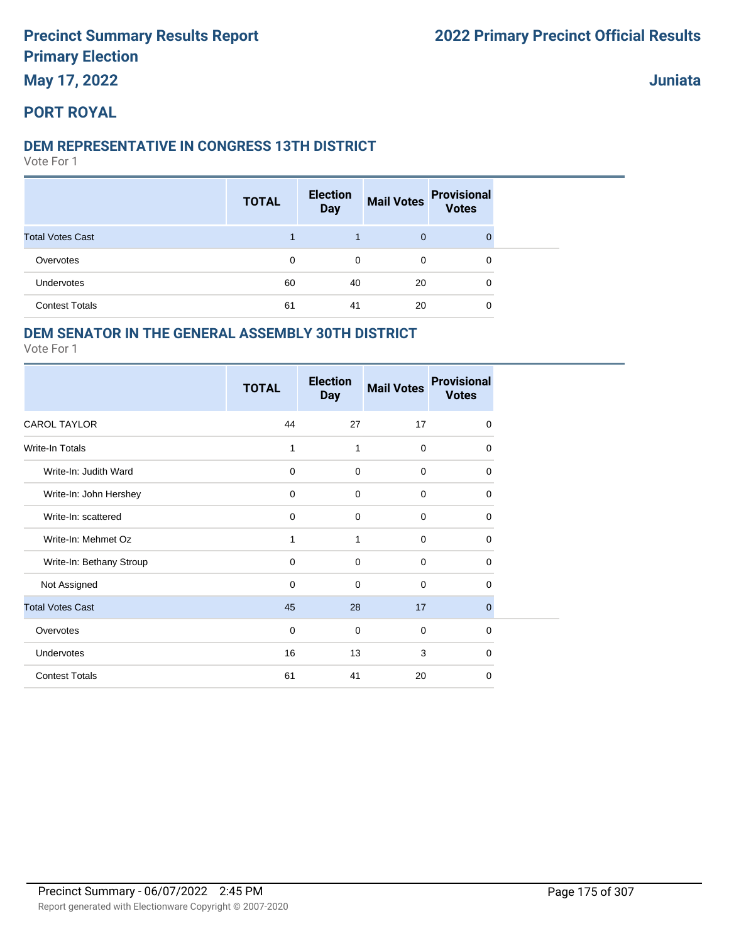**May 17, 2022**

**Juniata**

#### **PORT ROYAL**

#### **DEM REPRESENTATIVE IN CONGRESS 13TH DISTRICT**

Vote For 1

|                         | <b>TOTAL</b> | <b>Election</b><br><b>Day</b> | <b>Mail Votes</b> | <b>Provisional</b><br><b>Votes</b> |
|-------------------------|--------------|-------------------------------|-------------------|------------------------------------|
| <b>Total Votes Cast</b> |              |                               | $\mathbf{0}$      |                                    |
| Overvotes               | 0            | 0                             | $\mathbf 0$       | 0                                  |
| <b>Undervotes</b>       | 60           | 40                            | 20                | 0                                  |
| <b>Contest Totals</b>   | 61           | 41                            | 20                | 0                                  |

### **DEM SENATOR IN THE GENERAL ASSEMBLY 30TH DISTRICT**

|                          | <b>TOTAL</b> | <b>Election</b><br><b>Day</b> | <b>Mail Votes</b> | <b>Provisional</b><br><b>Votes</b> |
|--------------------------|--------------|-------------------------------|-------------------|------------------------------------|
| <b>CAROL TAYLOR</b>      | 44           | 27                            | 17                | $\mathbf 0$                        |
| Write-In Totals          | 1            | 1                             | $\mathbf 0$       | 0                                  |
| Write-In: Judith Ward    | $\mathbf 0$  | 0                             | $\mathbf 0$       | $\mathbf 0$                        |
| Write-In: John Hershey   | $\mathbf 0$  | $\mathbf 0$                   | $\mathbf 0$       | 0                                  |
| Write-In: scattered      | $\mathbf 0$  | $\mathbf 0$                   | $\mathbf 0$       | 0                                  |
| Write-In: Mehmet Oz      | 1            | 1                             | $\mathbf 0$       | $\mathbf 0$                        |
| Write-In: Bethany Stroup | $\mathbf 0$  | 0                             | $\Omega$          | 0                                  |
| Not Assigned             | $\mathbf 0$  | $\mathbf 0$                   | $\mathbf 0$       | $\Omega$                           |
| <b>Total Votes Cast</b>  | 45           | 28                            | 17                | $\mathbf{0}$                       |
| Overvotes                | $\mathbf 0$  | $\mathbf 0$                   | $\mathbf 0$       | 0                                  |
| Undervotes               | 16           | 13                            | 3                 | $\Omega$                           |
| <b>Contest Totals</b>    | 61           | 41                            | 20                | 0                                  |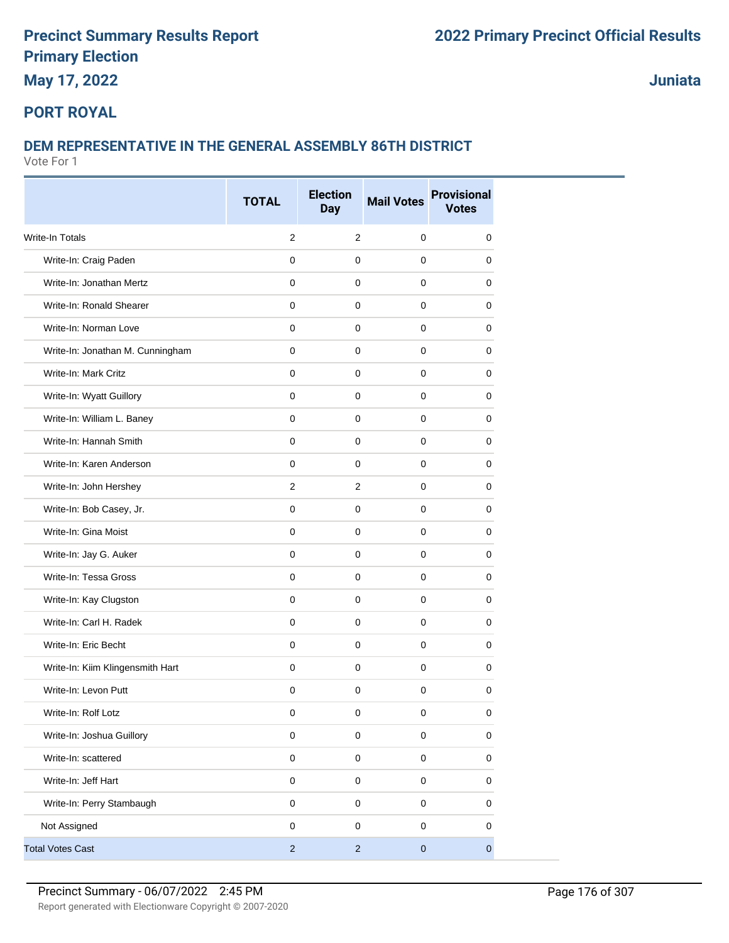**May 17, 2022**

**Juniata**

### **PORT ROYAL**

### **DEM REPRESENTATIVE IN THE GENERAL ASSEMBLY 86TH DISTRICT**

|                                  | <b>TOTAL</b>   | <b>Election</b><br><b>Day</b> | <b>Mail Votes</b> | <b>Provisional</b><br><b>Votes</b> |
|----------------------------------|----------------|-------------------------------|-------------------|------------------------------------|
| Write-In Totals                  | 2              | $\overline{2}$                | $\mathbf 0$       | 0                                  |
| Write-In: Craig Paden            | 0              | $\mathbf 0$                   | $\mathbf{0}$      | 0                                  |
| Write-In: Jonathan Mertz         | 0              | $\mathbf 0$                   | 0                 | 0                                  |
| Write-In: Ronald Shearer         | 0              | $\mathbf 0$                   | $\mathbf 0$       | 0                                  |
| Write-In: Norman Love            | 0              | $\mathbf 0$                   | $\mathbf 0$       | 0                                  |
| Write-In: Jonathan M. Cunningham | 0              | $\mathbf 0$                   | $\mathbf 0$       | 0                                  |
| Write-In: Mark Critz             | 0              | $\mathbf 0$                   | $\mathbf 0$       | 0                                  |
| Write-In: Wyatt Guillory         | 0              | $\mathbf 0$                   | $\mathbf 0$       | 0                                  |
| Write-In: William L. Baney       | $\mathbf 0$    | $\mathbf 0$                   | 0                 | 0                                  |
| Write-In: Hannah Smith           | 0              | $\mathbf 0$                   | $\mathbf 0$       | 0                                  |
| Write-In: Karen Anderson         | 0              | $\mathbf 0$                   | $\mathbf 0$       | 0                                  |
| Write-In: John Hershey           | $\overline{2}$ | $\overline{2}$                | $\mathbf 0$       | 0                                  |
| Write-In: Bob Casey, Jr.         | 0              | $\mathbf 0$                   | $\mathbf 0$       | 0                                  |
| Write-In: Gina Moist             | $\mathbf{0}$   | $\mathsf{O}\xspace$           | $\pmb{0}$         | 0                                  |
| Write-In: Jay G. Auker           | $\mathbf 0$    | $\mathbf 0$                   | $\mathbf 0$       | 0                                  |
| Write-In: Tessa Gross            | 0              | $\mathbf 0$                   | $\mathbf 0$       | 0                                  |
| Write-In: Kay Clugston           | 0              | $\mathbf 0$                   | $\mathbf 0$       | 0                                  |
| Write-In: Carl H. Radek          | 0              | $\mathbf 0$                   | $\mathbf 0$       | 0                                  |
| Write-In: Eric Becht             | 0              | $\mathbf 0$                   | $\mathbf 0$       | 0                                  |
| Write-In: Kiim Klingensmith Hart | 0              | $\mathbf 0$                   | $\mathbf 0$       | 0                                  |
| Write-In: Levon Putt             | 0              | $\mathbf 0$                   | $\mathbf 0$       | 0                                  |
| Write-In: Rolf Lotz              | 0              | 0                             | 0                 | 0                                  |
| Write-In: Joshua Guillory        | 0              | $\mathsf 0$                   | $\pmb{0}$         | 0                                  |
| Write-In: scattered              | $\mathsf 0$    | $\mathsf 0$                   | $\pmb{0}$         | 0                                  |
| Write-In: Jeff Hart              | $\mathsf 0$    | $\mathsf 0$                   | $\mathbf 0$       | 0                                  |
| Write-In: Perry Stambaugh        | 0              | $\pmb{0}$                     | $\pmb{0}$         | 0                                  |
| Not Assigned                     | 0              | $\mathsf 0$                   | $\mathbf 0$       | 0                                  |
| <b>Total Votes Cast</b>          | $\overline{c}$ | $\overline{c}$                | $\pmb{0}$         | $\mathbf 0$                        |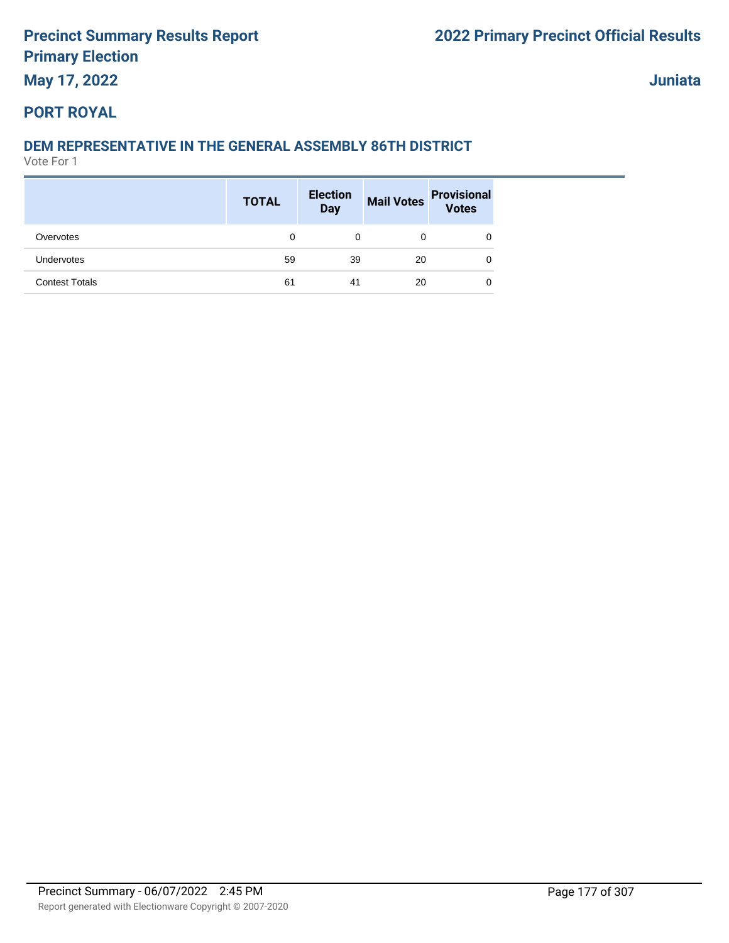**May 17, 2022**

**Juniata**

#### **PORT ROYAL**

### **DEM REPRESENTATIVE IN THE GENERAL ASSEMBLY 86TH DISTRICT**

|                       | <b>TOTAL</b> | <b>Election</b><br>Day |    | Mail Votes Provisional<br>Votes |
|-----------------------|--------------|------------------------|----|---------------------------------|
| Overvotes             | 0            | 0                      | 0  | 0                               |
| <b>Undervotes</b>     | 59           | 39                     | 20 | 0                               |
| <b>Contest Totals</b> | 61           | 41                     | 20 | 0                               |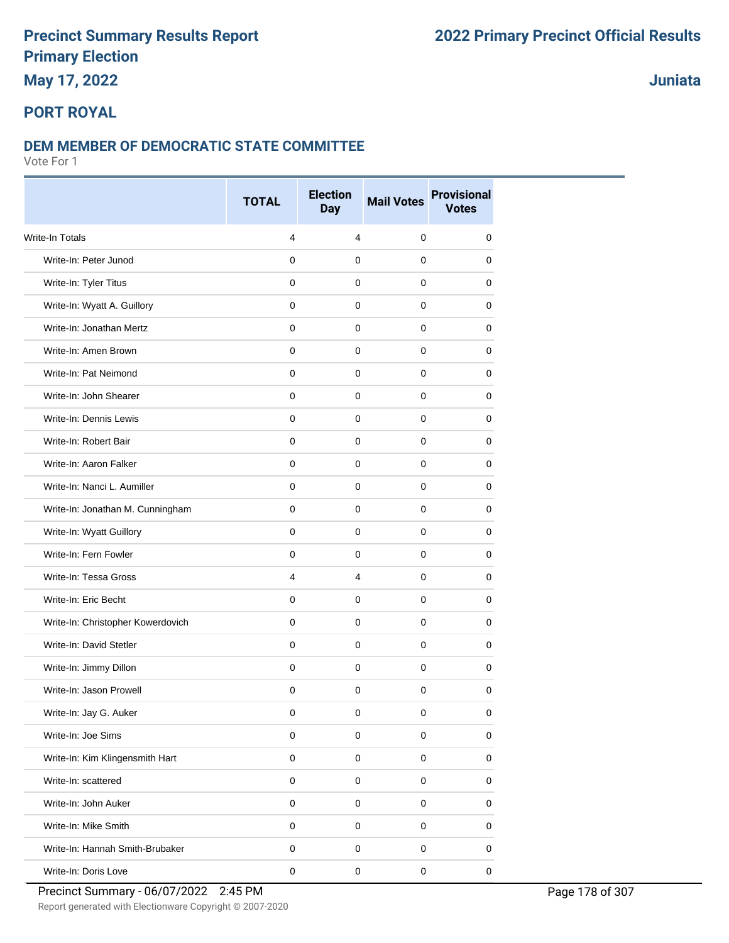## **May 17, 2022**

### **Juniata**

### **PORT ROYAL**

#### **DEM MEMBER OF DEMOCRATIC STATE COMMITTEE**

|                                   | <b>TOTAL</b> | <b>Election</b><br><b>Day</b> | <b>Mail Votes</b>   | <b>Provisional</b><br><b>Votes</b> |
|-----------------------------------|--------------|-------------------------------|---------------------|------------------------------------|
| <b>Write-In Totals</b>            | 4            | $\overline{4}$                | $\mathbf 0$         | 0                                  |
| Write-In: Peter Junod             | $\mathbf 0$  | 0                             | $\mathbf 0$         | 0                                  |
| Write-In: Tyler Titus             | 0            | 0                             | 0                   | 0                                  |
| Write-In: Wyatt A. Guillory       | $\mathbf 0$  | 0                             | 0                   | 0                                  |
| Write-In: Jonathan Mertz          | $\mathbf 0$  | 0                             | 0                   | 0                                  |
| Write-In: Amen Brown              | $\mathbf 0$  | 0                             | 0                   | 0                                  |
| Write-In: Pat Neimond             | $\mathbf 0$  | $\mathbf 0$                   | $\Omega$            | 0                                  |
| Write-In: John Shearer            | $\mathbf 0$  | $\mathbf 0$                   | $\mathbf 0$         | 0                                  |
| Write-In: Dennis Lewis            | $\mathbf{0}$ | 0                             | $\mathbf 0$         | 0                                  |
| Write-In: Robert Bair             | 0            | 0                             | 0                   | 0                                  |
| Write-In: Aaron Falker            | $\mathbf 0$  | $\mathbf 0$                   | 0                   | 0                                  |
| Write-In: Nanci L. Aumiller       | $\mathbf 0$  | 0                             | 0                   | 0                                  |
| Write-In: Jonathan M. Cunningham  | 0            | $\mathbf 0$                   | 0                   | 0                                  |
| Write-In: Wyatt Guillory          | $\mathbf 0$  | 0                             | $\mathbf 0$         | 0                                  |
| Write-In: Fern Fowler             | 0            | 0                             | 0                   | 0                                  |
| Write-In: Tessa Gross             | 4            | 4                             | 0                   | 0                                  |
| Write-In: Eric Becht              | $\mathbf 0$  | 0                             | 0                   | 0                                  |
| Write-In: Christopher Kowerdovich | $\mathbf 0$  | 0                             | $\mathbf 0$         | 0                                  |
| Write-In: David Stetler           | $\mathbf 0$  | $\mathbf 0$                   | $\Omega$            | 0                                  |
| Write-In: Jimmy Dillon            | $\mathbf 0$  | 0                             | $\mathbf 0$         | 0                                  |
| Write-In: Jason Prowell           | $\mathbf 0$  | $\mathbf 0$                   | $\mathbf 0$         | 0                                  |
| Write-In: Jay G. Auker            | 0            | 0                             | 0                   | 0                                  |
| Write-In: Joe Sims                | $\pmb{0}$    | $\mathbf 0$                   | $\pmb{0}$           | 0                                  |
| Write-In: Kim Klingensmith Hart   | $\pmb{0}$    | $\mathsf 0$                   | $\mathsf{O}\xspace$ | $\pmb{0}$                          |
| Write-In: scattered               | $\mathsf 0$  | $\mathbf 0$                   | $\mathbf 0$         | 0                                  |
| Write-In: John Auker              | $\pmb{0}$    | $\mathsf 0$                   | $\pmb{0}$           | 0                                  |
| Write-In: Mike Smith              | $\mathsf 0$  | $\mathsf 0$                   | $\mathsf 0$         | 0                                  |
| Write-In: Hannah Smith-Brubaker   | $\pmb{0}$    | $\mathbf 0$                   | 0                   | 0                                  |
| Write-In: Doris Love              | $\mathsf 0$  | $\pmb{0}$                     | $\pmb{0}$           | $\pmb{0}$                          |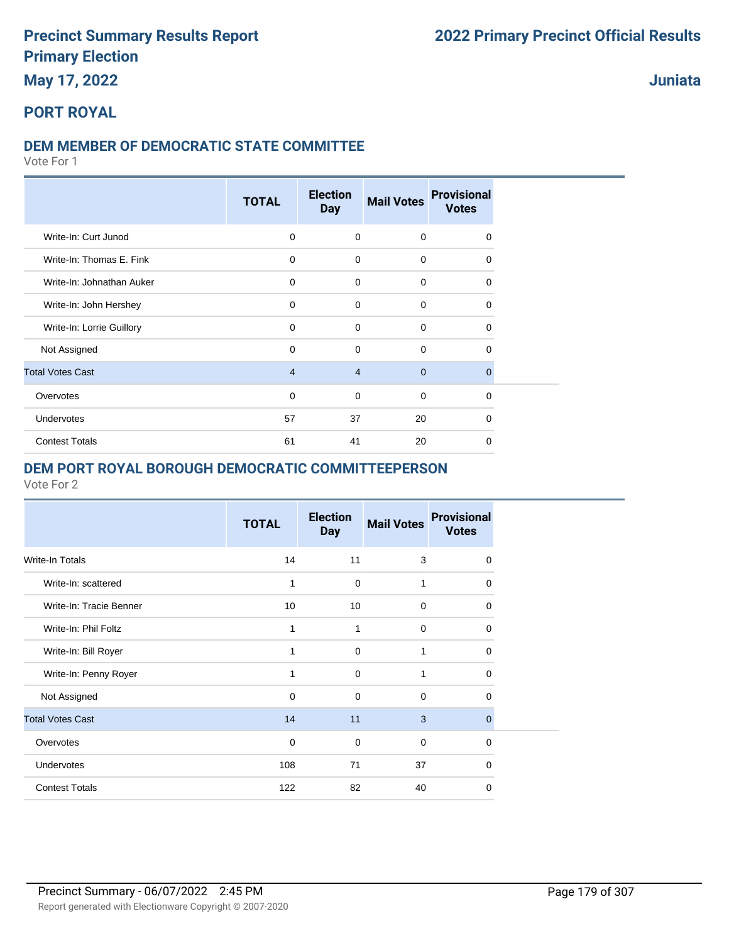### **May 17, 2022**

**Juniata**

## **PORT ROYAL**

### **DEM MEMBER OF DEMOCRATIC STATE COMMITTEE**

Vote For 1

|                           | <b>TOTAL</b>   | <b>Election</b><br><b>Day</b> | <b>Mail Votes</b> | <b>Provisional</b><br><b>Votes</b> |
|---------------------------|----------------|-------------------------------|-------------------|------------------------------------|
| Write-In: Curt Junod      | 0              | 0                             | 0                 | 0                                  |
| Write-In: Thomas E. Fink  | $\mathbf 0$    | $\mathbf 0$                   | 0                 | $\Omega$                           |
| Write-In: Johnathan Auker | $\mathbf 0$    | $\mathbf 0$                   | $\mathbf 0$       | $\Omega$                           |
| Write-In: John Hershey    | $\Omega$       | $\mathbf 0$                   | $\mathbf 0$       | $\Omega$                           |
| Write-In: Lorrie Guillory | 0              | $\mathbf 0$                   | $\mathbf 0$       | $\Omega$                           |
| Not Assigned              | $\Omega$       | $\mathbf 0$                   | $\mathbf 0$       | 0                                  |
| <b>Total Votes Cast</b>   | $\overline{4}$ | $\overline{4}$                | $\overline{0}$    | $\Omega$                           |
| Overvotes                 | $\mathbf 0$    | 0                             | $\mathbf 0$       | $\Omega$                           |
| Undervotes                | 57             | 37                            | 20                | 0                                  |
| <b>Contest Totals</b>     | 61             | 41                            | 20                | $\Omega$                           |

#### **DEM PORT ROYAL BOROUGH DEMOCRATIC COMMITTEEPERSON**

|                         | <b>TOTAL</b> | <b>Election</b><br><b>Day</b> | <b>Mail Votes</b> | <b>Provisional</b><br><b>Votes</b> |
|-------------------------|--------------|-------------------------------|-------------------|------------------------------------|
| <b>Write-In Totals</b>  | 14           | 11                            | 3                 | 0                                  |
| Write-In: scattered     | 1            | $\mathbf 0$                   | 1                 | $\Omega$                           |
| Write-In: Tracie Benner | 10           | 10                            | 0                 | $\Omega$                           |
| Write-In: Phil Foltz    | 1            | 1                             | 0                 | $\Omega$                           |
| Write-In: Bill Royer    | 1            | $\Omega$                      | 1                 | 0                                  |
| Write-In: Penny Royer   | 1            | $\Omega$                      | 1                 | 0                                  |
| Not Assigned            | $\Omega$     | $\Omega$                      | $\Omega$          | $\Omega$                           |
| <b>Total Votes Cast</b> | 14           | 11                            | 3                 | $\Omega$                           |
| Overvotes               | 0            | 0                             | $\Omega$          | $\Omega$                           |
| Undervotes              | 108          | 71                            | 37                | $\Omega$                           |
| <b>Contest Totals</b>   | 122          | 82                            | 40                | $\Omega$                           |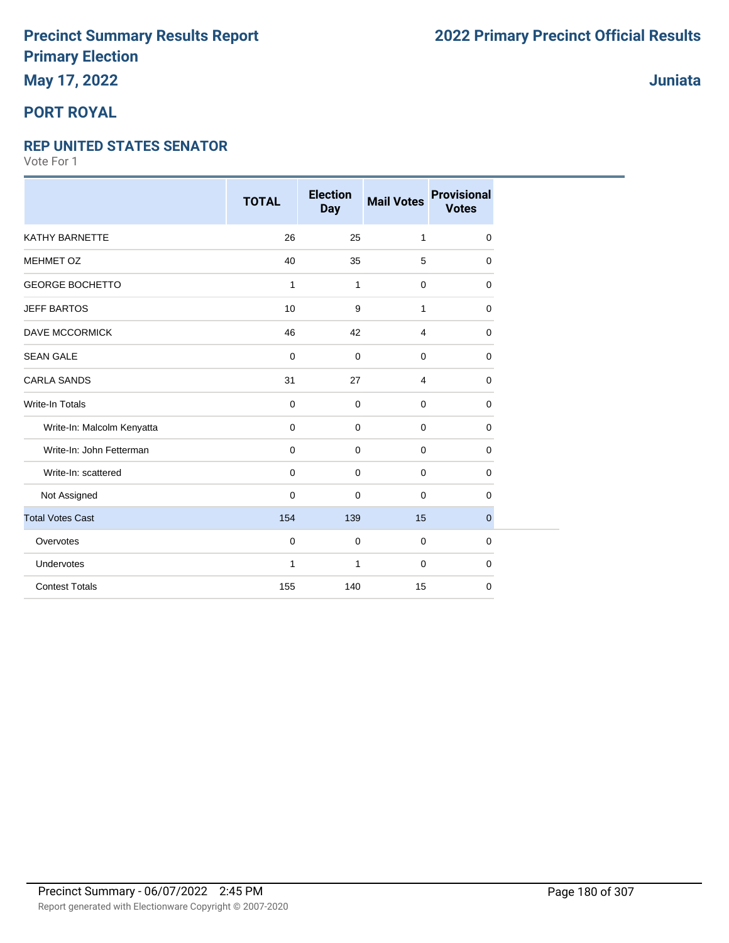## **May 17, 2022**

### **PORT ROYAL**

#### **REP UNITED STATES SENATOR**

|                            | <b>TOTAL</b> | <b>Election</b><br><b>Day</b> | <b>Mail Votes</b> | <b>Provisional</b><br><b>Votes</b> |
|----------------------------|--------------|-------------------------------|-------------------|------------------------------------|
| KATHY BARNETTE             | 26           | 25                            | $\mathbf{1}$      | 0                                  |
| MEHMET OZ                  | 40           | 35                            | 5                 | 0                                  |
| <b>GEORGE BOCHETTO</b>     | 1            | $\mathbf{1}$                  | 0                 | 0                                  |
| <b>JEFF BARTOS</b>         | 10           | 9                             | 1                 | 0                                  |
| <b>DAVE MCCORMICK</b>      | 46           | 42                            | $\overline{4}$    | 0                                  |
| <b>SEAN GALE</b>           | $\mathbf 0$  | 0                             | $\mathbf 0$       | 0                                  |
| <b>CARLA SANDS</b>         | 31           | 27                            | $\overline{4}$    | 0                                  |
| <b>Write-In Totals</b>     | $\mathbf 0$  | $\mathbf 0$                   | $\mathbf 0$       | 0                                  |
| Write-In: Malcolm Kenyatta | $\mathbf 0$  | 0                             | $\mathbf 0$       | 0                                  |
| Write-In: John Fetterman   | $\mathbf 0$  | 0                             | $\overline{0}$    | 0                                  |
| Write-In: scattered        | $\mathbf 0$  | 0                             | $\mathbf 0$       | 0                                  |
| Not Assigned               | $\mathbf 0$  | 0                             | $\Omega$          | 0                                  |
| <b>Total Votes Cast</b>    | 154          | 139                           | 15                | $\mathbf{0}$                       |
| Overvotes                  | $\mathbf 0$  | 0                             | $\overline{0}$    | 0                                  |
| Undervotes                 | 1            | 1                             | $\mathbf 0$       | 0                                  |
| <b>Contest Totals</b>      | 155          | 140                           | 15                | 0                                  |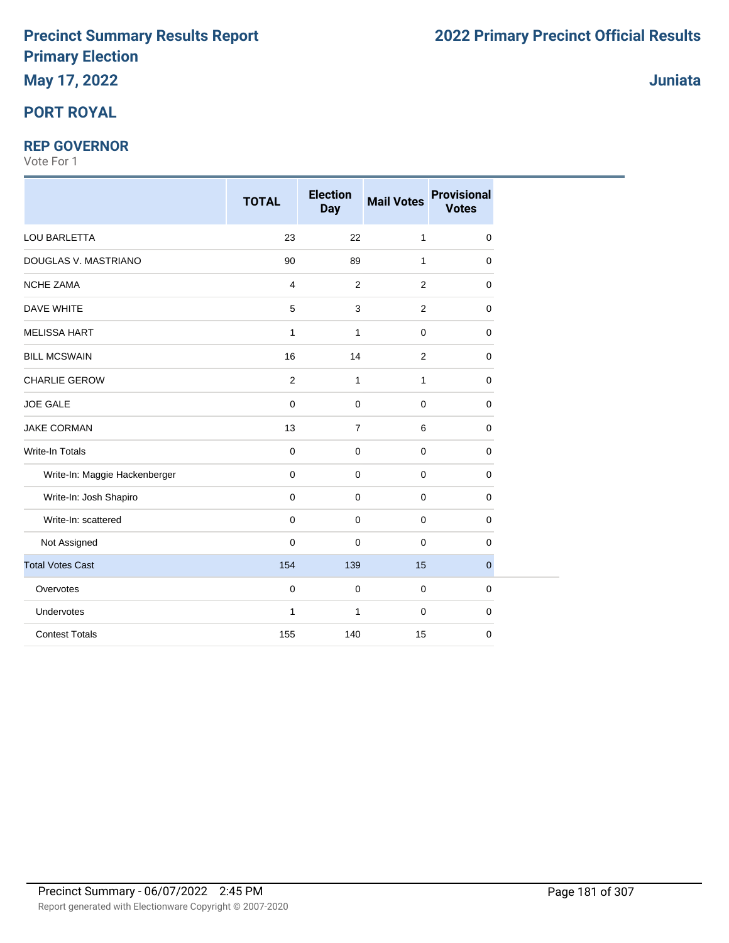# **May 17, 2022**

### **PORT ROYAL**

#### **REP GOVERNOR**

|                               | <b>TOTAL</b>            | <b>Election</b><br><b>Day</b> | <b>Mail Votes</b> | <b>Provisional</b><br><b>Votes</b> |
|-------------------------------|-------------------------|-------------------------------|-------------------|------------------------------------|
| LOU BARLETTA                  | 23                      | 22                            | $\mathbf{1}$      | 0                                  |
| DOUGLAS V. MASTRIANO          | 90                      | 89                            | $\mathbf{1}$      | 0                                  |
| <b>NCHE ZAMA</b>              | $\overline{\mathbf{4}}$ | $\overline{2}$                | 2                 | $\mathbf 0$                        |
| <b>DAVE WHITE</b>             | 5                       | $\mathsf 3$                   | $\overline{2}$    | 0                                  |
| <b>MELISSA HART</b>           | $\mathbf{1}$            | $\mathbf{1}$                  | 0                 | $\mathbf 0$                        |
| <b>BILL MCSWAIN</b>           | 16                      | 14                            | $\overline{2}$    | $\mathbf 0$                        |
| CHARLIE GEROW                 | $\overline{2}$          | $\mathbf{1}$                  | 1                 | 0                                  |
| <b>JOE GALE</b>               | $\pmb{0}$               | $\pmb{0}$                     | 0                 | 0                                  |
| <b>JAKE CORMAN</b>            | 13                      | $\overline{7}$                | 6                 | $\mathbf 0$                        |
| <b>Write-In Totals</b>        | $\pmb{0}$               | $\mathbf 0$                   | 0                 | $\mathbf 0$                        |
| Write-In: Maggie Hackenberger | $\mathbf 0$             | $\mathbf 0$                   | 0                 | $\mathbf 0$                        |
| Write-In: Josh Shapiro        | $\overline{0}$          | $\mathbf 0$                   | $\mathbf 0$       | 0                                  |
| Write-In: scattered           | $\mathbf 0$             | $\mathbf 0$                   | 0                 | $\mathbf 0$                        |
| Not Assigned                  | $\mathbf 0$             | $\mathbf 0$                   | 0                 | 0                                  |
| <b>Total Votes Cast</b>       | 154                     | 139                           | 15                | $\mathbf 0$                        |
| Overvotes                     | $\pmb{0}$               | $\pmb{0}$                     | $\pmb{0}$         | $\mathbf 0$                        |
| Undervotes                    | $\mathbf{1}$            | 1                             | 0                 | $\mathbf 0$                        |
| <b>Contest Totals</b>         | 155                     | 140                           | 15                | $\mathbf 0$                        |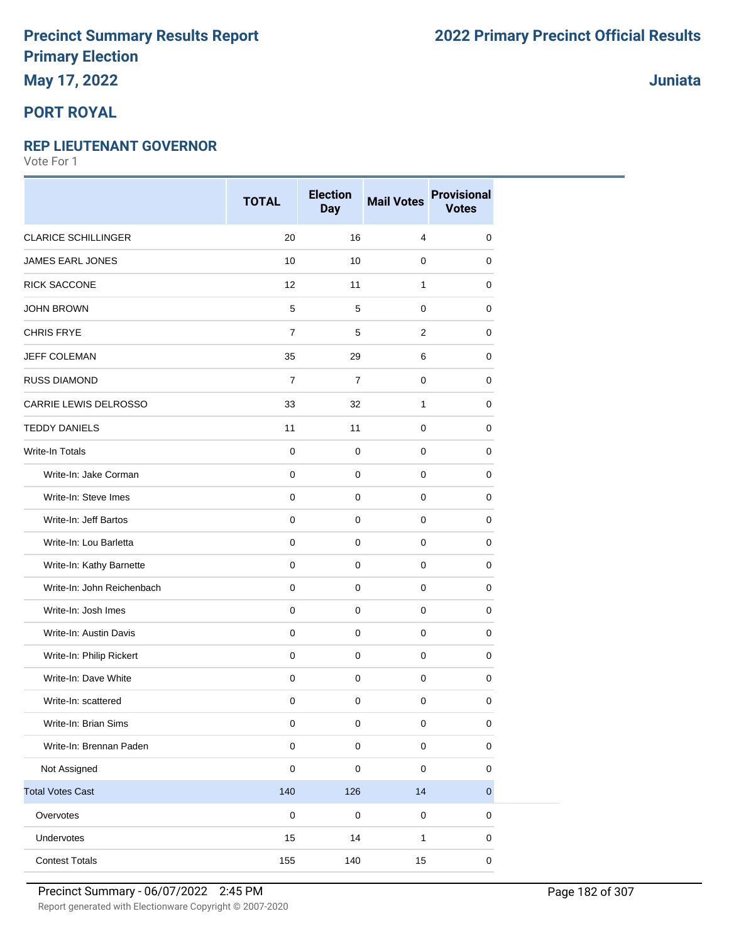### **May 17, 2022**

### **PORT ROYAL**

#### **REP LIEUTENANT GOVERNOR**

Vote For 1

|                            | <b>TOTAL</b>        | <b>Election</b><br><b>Day</b> | <b>Mail Votes</b> | <b>Provisional</b><br><b>Votes</b> |
|----------------------------|---------------------|-------------------------------|-------------------|------------------------------------|
| <b>CLARICE SCHILLINGER</b> | 20                  | 16                            | $\overline{4}$    | 0                                  |
| JAMES EARL JONES           | 10                  | 10                            | $\mathbf 0$       | 0                                  |
| <b>RICK SACCONE</b>        | 12                  | 11                            | $\mathbf{1}$      | 0                                  |
| <b>JOHN BROWN</b>          | $\,$ 5 $\,$         | 5                             | $\mathbf 0$       | 0                                  |
| <b>CHRIS FRYE</b>          | $\overline{7}$      | 5                             | $\overline{2}$    | 0                                  |
| JEFF COLEMAN               | 35                  | 29                            | 6                 | 0                                  |
| <b>RUSS DIAMOND</b>        | $\overline{7}$      | $\overline{7}$                | $\mathbf 0$       | 0                                  |
| CARRIE LEWIS DELROSSO      | 33                  | 32                            | $\mathbf{1}$      | 0                                  |
| <b>TEDDY DANIELS</b>       | 11                  | 11                            | $\mathbf 0$       | 0                                  |
| Write-In Totals            | $\mathbf 0$         | $\mathbf 0$                   | $\mathbf 0$       | 0                                  |
| Write-In: Jake Corman      | $\mathbf 0$         | $\mathbf 0$                   | $\mathbf 0$       | $\mathbf 0$                        |
| Write-In: Steve Imes       | $\mathbf 0$         | $\mathbf 0$                   | $\mathbf 0$       | 0                                  |
| Write-In: Jeff Bartos      | $\mathsf{O}\xspace$ | $\mathbf 0$                   | $\mathbf 0$       | 0                                  |
| Write-In: Lou Barletta     | $\mathbf 0$         | $\mathbf 0$                   | $\mathsf 0$       | $\mathbf 0$                        |
| Write-In: Kathy Barnette   | $\mathbf 0$         | $\mathbf 0$                   | $\mathbf 0$       | 0                                  |
| Write-In: John Reichenbach | $\mathbf 0$         | 0                             | $\mathbf 0$       | 0                                  |
| Write-In: Josh Imes        | $\mathbf 0$         | $\mathbf 0$                   | $\mathbf 0$       | $\mathbf 0$                        |
| Write-In: Austin Davis     | $\mathbf 0$         | $\mathbf 0$                   | $\mathbf 0$       | $\mathbf 0$                        |
| Write-In: Philip Rickert   | $\mathbf 0$         | $\mathbf 0$                   | $\mathbf 0$       | 0                                  |
| Write-In: Dave White       | $\mathsf{O}\xspace$ | $\mathbf 0$                   | $\mathsf 0$       | $\mathbf 0$                        |
| Write-In: scattered        | $\pmb{0}$           | 0                             | $\mathbf 0$       | 0                                  |
| Write-In: Brian Sims       | $\pmb{0}$           | $\mathbf 0$                   | $\mathsf 0$       | 0                                  |
| Write-In: Brennan Paden    | $\pmb{0}$           | $\pmb{0}$                     | $\mathbf 0$       | $\pmb{0}$                          |
| Not Assigned               | $\pmb{0}$           | $\mathbf 0$                   | $\mathbf 0$       | $\pmb{0}$                          |
| <b>Total Votes Cast</b>    | 140                 | 126                           | 14                | $\overline{0}$                     |
| Overvotes                  | $\pmb{0}$           | $\mathbf 0$                   | $\mathsf 0$       | $\pmb{0}$                          |
| Undervotes                 | 15                  | 14                            | $\mathbf{1}$      | 0                                  |
| <b>Contest Totals</b>      | 155                 | 140                           | 15                | $\pmb{0}$                          |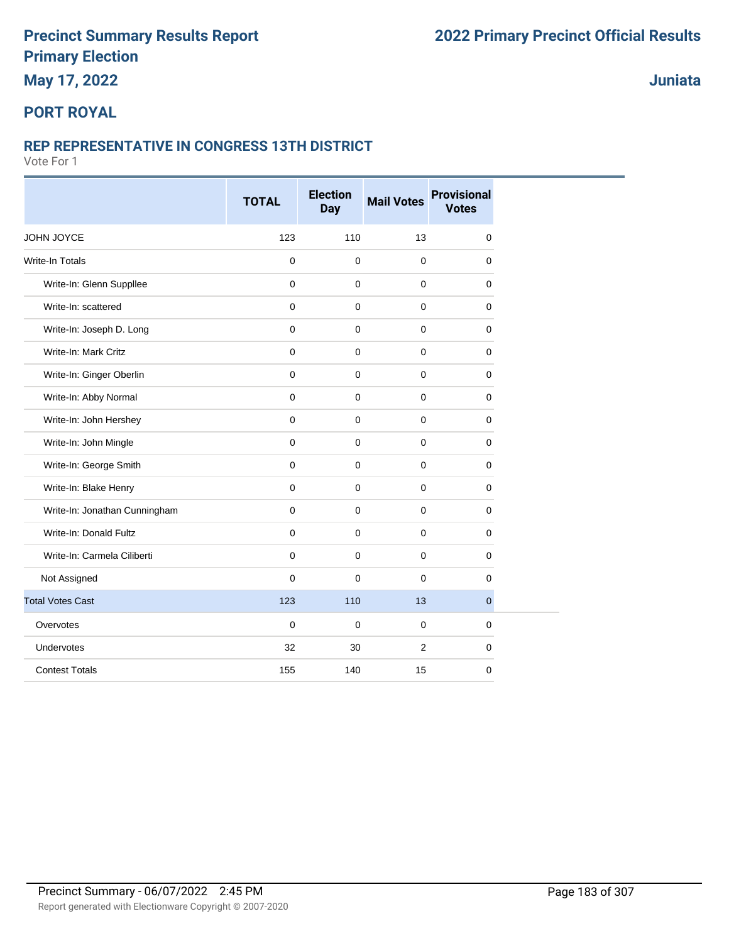### **May 17, 2022**

### **Juniata**

### **PORT ROYAL**

#### **REP REPRESENTATIVE IN CONGRESS 13TH DISTRICT**

|                               | <b>TOTAL</b>        | <b>Election</b><br><b>Day</b> | <b>Mail Votes</b> | <b>Provisional</b><br><b>Votes</b> |
|-------------------------------|---------------------|-------------------------------|-------------------|------------------------------------|
| JOHN JOYCE                    | 123                 | 110                           | 13                | $\mathbf 0$                        |
| <b>Write-In Totals</b>        | $\pmb{0}$           | $\mathbf 0$                   | $\pmb{0}$         | 0                                  |
| Write-In: Glenn Suppllee      | $\mathbf{0}$        | $\mathbf 0$                   | $\mathbf{0}$      | $\mathbf 0$                        |
| Write-In: scattered           | $\mathbf{0}$        | $\mathbf 0$                   | $\mathbf{0}$      | $\mathbf 0$                        |
| Write-In: Joseph D. Long      | $\mathbf 0$         | $\mathbf 0$                   | $\mathbf 0$       | 0                                  |
| Write-In: Mark Critz          | $\mathbf 0$         | $\mathbf 0$                   | $\mathbf 0$       | 0                                  |
| Write-In: Ginger Oberlin      | $\mathbf{0}$        | $\mathbf 0$                   | $\mathbf{0}$      | 0                                  |
| Write-In: Abby Normal         | $\mathbf 0$         | $\mathbf 0$                   | $\mathbf 0$       | 0                                  |
| Write-In: John Hershey        | $\mathsf{O}\xspace$ | $\mathbf 0$                   | $\pmb{0}$         | 0                                  |
| Write-In: John Mingle         | $\mathbf{0}$        | $\mathbf 0$                   | $\mathbf{0}$      | $\mathbf 0$                        |
| Write-In: George Smith        | $\mathbf{0}$        | $\mathbf 0$                   | $\mathbf 0$       | $\mathbf 0$                        |
| Write-In: Blake Henry         | $\mathbf 0$         | $\mathbf 0$                   | $\mathbf 0$       | 0                                  |
| Write-In: Jonathan Cunningham | $\mathbf 0$         | $\mathbf 0$                   | $\mathbf 0$       | 0                                  |
| Write-In: Donald Fultz        | $\mathbf 0$         | 0                             | $\mathbf 0$       | 0                                  |
| Write-In: Carmela Ciliberti   | $\mathsf{O}\xspace$ | 0                             | $\mathbf 0$       | 0                                  |
| Not Assigned                  | $\mathbf 0$         | $\mathbf 0$                   | $\mathbf{0}$      | $\mathbf 0$                        |
| <b>Total Votes Cast</b>       | 123                 | 110                           | 13                | $\mathbf{0}$                       |
| Overvotes                     | $\mathbf 0$         | $\pmb{0}$                     | $\mathbf{0}$      | 0                                  |
| Undervotes                    | 32                  | 30                            | 2                 | 0                                  |
| <b>Contest Totals</b>         | 155                 | 140                           | 15                | 0                                  |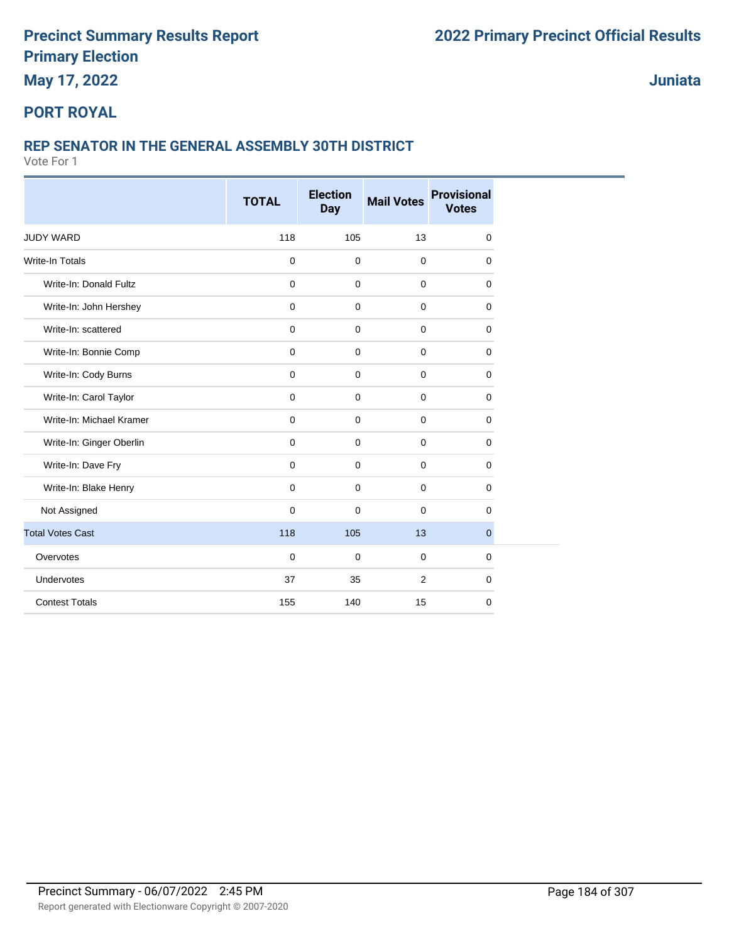**May 17, 2022**

**Juniata**

#### **PORT ROYAL**

#### **REP SENATOR IN THE GENERAL ASSEMBLY 30TH DISTRICT**

|                          | <b>TOTAL</b>        | <b>Election</b><br><b>Day</b> | <b>Mail Votes</b> | <b>Provisional</b><br><b>Votes</b> |
|--------------------------|---------------------|-------------------------------|-------------------|------------------------------------|
|                          |                     |                               |                   |                                    |
| <b>JUDY WARD</b>         | 118                 | 105                           | 13                | 0                                  |
| Write-In Totals          | $\mathbf 0$         | $\mathbf 0$                   | $\mathbf 0$       | 0                                  |
| Write-In: Donald Fultz   | $\mathbf 0$         | $\mathbf 0$                   | $\mathbf 0$       | 0                                  |
| Write-In: John Hershey   | $\mathbf 0$         | $\mathbf 0$                   | $\mathbf 0$       | 0                                  |
| Write-In: scattered      | $\mathbf 0$         | $\mathbf 0$                   | $\mathbf 0$       | 0                                  |
| Write-In: Bonnie Comp    | $\mathbf 0$         | $\mathbf 0$                   | $\mathbf 0$       | 0                                  |
| Write-In: Cody Burns     | $\mathsf{O}\xspace$ | $\mathbf 0$                   | $\pmb{0}$         | 0                                  |
| Write-In: Carol Taylor   | $\mathbf 0$         | $\mathbf 0$                   | $\mathbf 0$       | 0                                  |
| Write-In: Michael Kramer | $\mathbf 0$         | $\mathbf 0$                   | $\mathbf 0$       | 0                                  |
| Write-In: Ginger Oberlin | $\mathbf 0$         | $\mathbf 0$                   | $\mathbf 0$       | 0                                  |
| Write-In: Dave Fry       | $\mathbf 0$         | $\mathbf 0$                   | $\mathbf 0$       | 0                                  |
| Write-In: Blake Henry    | $\mathbf 0$         | $\mathbf 0$                   | $\mathbf 0$       | 0                                  |
| Not Assigned             | $\mathbf 0$         | $\mathbf 0$                   | $\mathbf 0$       | 0                                  |
| <b>Total Votes Cast</b>  | 118                 | 105                           | 13                | $\overline{0}$                     |
| Overvotes                | $\mathbf 0$         | $\mathbf 0$                   | $\mathbf 0$       | 0                                  |
| Undervotes               | 37                  | 35                            | 2                 | $\mathbf 0$                        |
| <b>Contest Totals</b>    | 155                 | 140                           | 15                | 0                                  |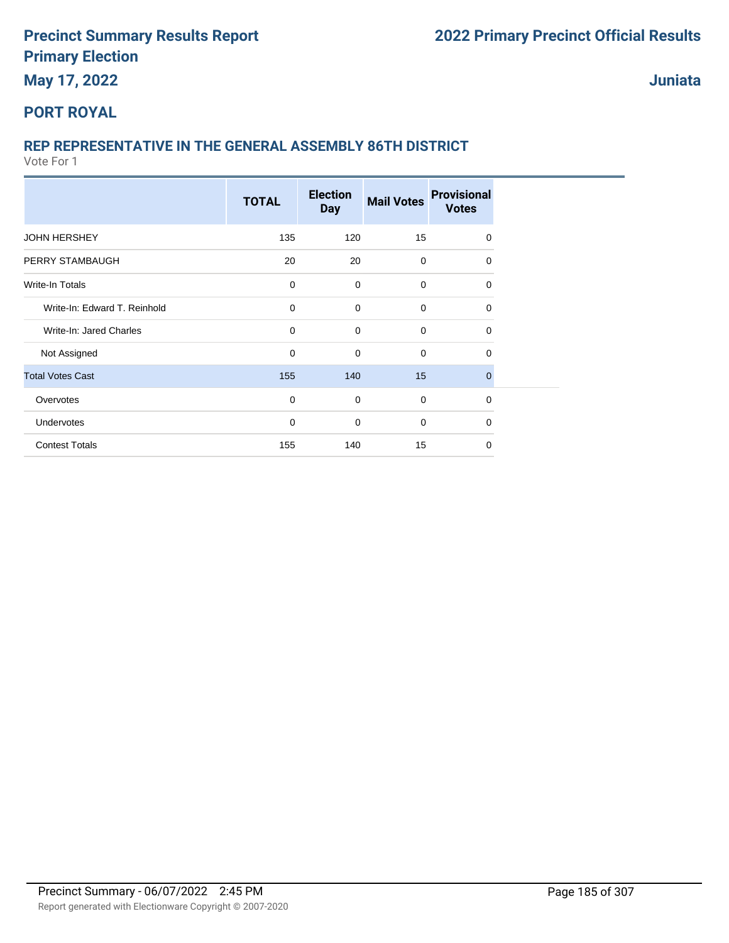**May 17, 2022**

**Juniata**

### **PORT ROYAL**

# **REP REPRESENTATIVE IN THE GENERAL ASSEMBLY 86TH DISTRICT**

|                              | <b>TOTAL</b> | <b>Election</b><br><b>Day</b> | <b>Mail Votes</b> | <b>Provisional</b><br><b>Votes</b> |  |
|------------------------------|--------------|-------------------------------|-------------------|------------------------------------|--|
| <b>JOHN HERSHEY</b>          | 135          | 120                           | 15                | $\mathbf 0$                        |  |
| PERRY STAMBAUGH              | 20           | 20                            | $\mathbf 0$       | $\mathbf 0$                        |  |
| <b>Write-In Totals</b>       | $\mathbf 0$  | $\mathbf 0$                   | $\mathbf 0$       | 0                                  |  |
| Write-In: Edward T. Reinhold | $\mathbf 0$  | $\mathbf 0$                   | $\mathbf 0$       | $\mathbf 0$                        |  |
| Write-In: Jared Charles      | 0            | $\mathbf 0$                   | $\mathbf 0$       | $\mathbf 0$                        |  |
| Not Assigned                 | 0            | $\mathbf 0$                   | $\mathbf 0$       | 0                                  |  |
| <b>Total Votes Cast</b>      | 155          | 140                           | 15                | $\mathbf{0}$                       |  |
| Overvotes                    | 0            | $\mathbf 0$                   | $\mathbf 0$       | $\mathbf 0$                        |  |
| Undervotes                   | 0            | $\mathbf 0$                   | $\mathbf 0$       | $\mathbf 0$                        |  |
| <b>Contest Totals</b>        | 155          | 140                           | 15                | $\mathbf 0$                        |  |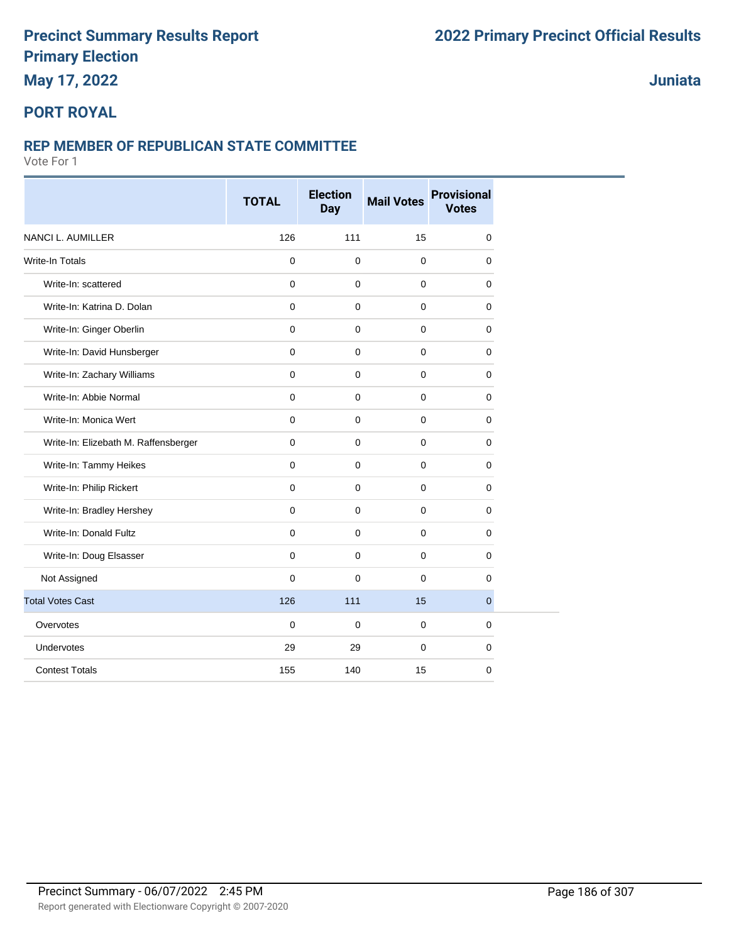### **May 17, 2022**

#### **Juniata**

#### **PORT ROYAL**

#### **REP MEMBER OF REPUBLICAN STATE COMMITTEE**

|                                      | <b>TOTAL</b>        | <b>Election</b><br><b>Day</b> | <b>Mail Votes</b> | <b>Provisional</b><br><b>Votes</b> |
|--------------------------------------|---------------------|-------------------------------|-------------------|------------------------------------|
| NANCI L. AUMILLER                    | 126                 | 111                           | 15                | $\pmb{0}$                          |
| Write-In Totals                      | $\mathbf 0$         | $\mathbf 0$                   | $\mathbf 0$       | $\mathbf 0$                        |
| Write-In: scattered                  | $\mathbf{0}$        | $\mathbf 0$                   | 0                 | $\mathbf 0$                        |
| Write-In: Katrina D. Dolan           | $\mathbf 0$         | $\mathbf 0$                   | 0                 | 0                                  |
| Write-In: Ginger Oberlin             | $\mathsf{O}\xspace$ | $\mathbf 0$                   | 0                 | 0                                  |
| Write-In: David Hunsberger           | $\mathbf 0$         | $\mathbf 0$                   | $\pmb{0}$         | $\mathbf 0$                        |
| Write-In: Zachary Williams           | $\mathbf 0$         | $\mathbf 0$                   | 0                 | 0                                  |
| Write-In: Abbie Normal               | $\mathbf 0$         | $\mathbf 0$                   | 0                 | 0                                  |
| Write-In: Monica Wert                | $\mathbf 0$         | $\mathbf 0$                   | $\mathbf 0$       | 0                                  |
| Write-In: Elizebath M. Raffensberger | $\mathbf 0$         | 0                             | 0                 | $\mathbf 0$                        |
| Write-In: Tammy Heikes               | $\mathbf 0$         | $\mathbf 0$                   | 0                 | 0                                  |
| Write-In: Philip Rickert             | $\mathbf 0$         | $\mathbf 0$                   | $\mathbf 0$       | 0                                  |
| Write-In: Bradley Hershey            | $\mathbf 0$         | $\mathbf 0$                   | 0                 | $\mathbf 0$                        |
| Write-In: Donald Fultz               | $\mathbf{0}$        | $\mathbf 0$                   | $\mathbf 0$       | 0                                  |
| Write-In: Doug Elsasser              | $\mathbf 0$         | $\mathbf 0$                   | 0                 | 0                                  |
| Not Assigned                         | $\mathbf 0$         | $\mathbf 0$                   | 0                 | $\mathbf 0$                        |
| <b>Total Votes Cast</b>              | 126                 | 111                           | 15                | $\mathbf{0}$                       |
| Overvotes                            | $\mathbf 0$         | $\mathbf 0$                   | $\mathbf 0$       | $\mathbf 0$                        |
| Undervotes                           | 29                  | 29                            | $\pmb{0}$         | 0                                  |
| <b>Contest Totals</b>                | 155                 | 140                           | 15                | 0                                  |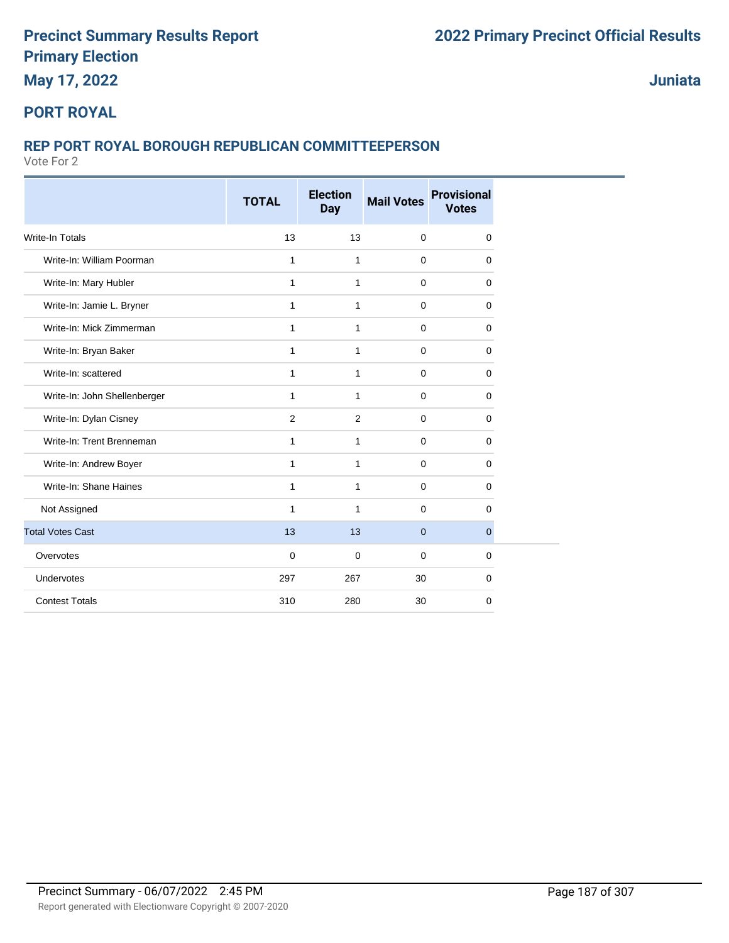# **May 17, 2022**

**Juniata**

#### **PORT ROYAL**

#### **REP PORT ROYAL BOROUGH REPUBLICAN COMMITTEEPERSON**

|                              | <b>TOTAL</b> | <b>Election</b><br><b>Day</b> | <b>Mail Votes</b> | <b>Provisional</b><br><b>Votes</b> |
|------------------------------|--------------|-------------------------------|-------------------|------------------------------------|
| <b>Write-In Totals</b>       | 13           | 13                            | $\mathbf 0$       | 0                                  |
| Write-In: William Poorman    | 1            | $\mathbf{1}$                  | $\mathbf 0$       | 0                                  |
| Write-In: Mary Hubler        | $\mathbf{1}$ | $\mathbf{1}$                  | $\mathbf 0$       | 0                                  |
| Write-In: Jamie L. Bryner    | $\mathbf{1}$ | $\mathbf{1}$                  | $\mathbf 0$       | 0                                  |
| Write-In: Mick Zimmerman     | 1            | 1                             | $\mathbf 0$       | 0                                  |
| Write-In: Bryan Baker        | $\mathbf{1}$ | $\mathbf{1}$                  | $\mathbf 0$       | 0                                  |
| Write-In: scattered          | 1            | 1                             | $\mathbf 0$       | 0                                  |
| Write-In: John Shellenberger | 1            | $\mathbf{1}$                  | $\mathbf 0$       | 0                                  |
| Write-In: Dylan Cisney       | 2            | 2                             | $\mathbf 0$       | $\mathbf 0$                        |
| Write-In: Trent Brenneman    | 1            | 1                             | $\mathbf 0$       | 0                                  |
| Write-In: Andrew Boyer       | 1            | $\mathbf{1}$                  | $\mathbf 0$       | $\mathbf 0$                        |
| Write-In: Shane Haines       | 1            | $\mathbf{1}$                  | $\mathbf 0$       | 0                                  |
| Not Assigned                 | 1            | $\mathbf{1}$                  | $\mathbf 0$       | 0                                  |
| <b>Total Votes Cast</b>      | 13           | 13                            | $\mathbf{0}$      | $\mathbf{0}$                       |
| Overvotes                    | $\mathbf 0$  | $\mathbf 0$                   | $\Omega$          | 0                                  |
| Undervotes                   | 297          | 267                           | 30                | $\mathbf 0$                        |
| <b>Contest Totals</b>        | 310          | 280                           | 30                | 0                                  |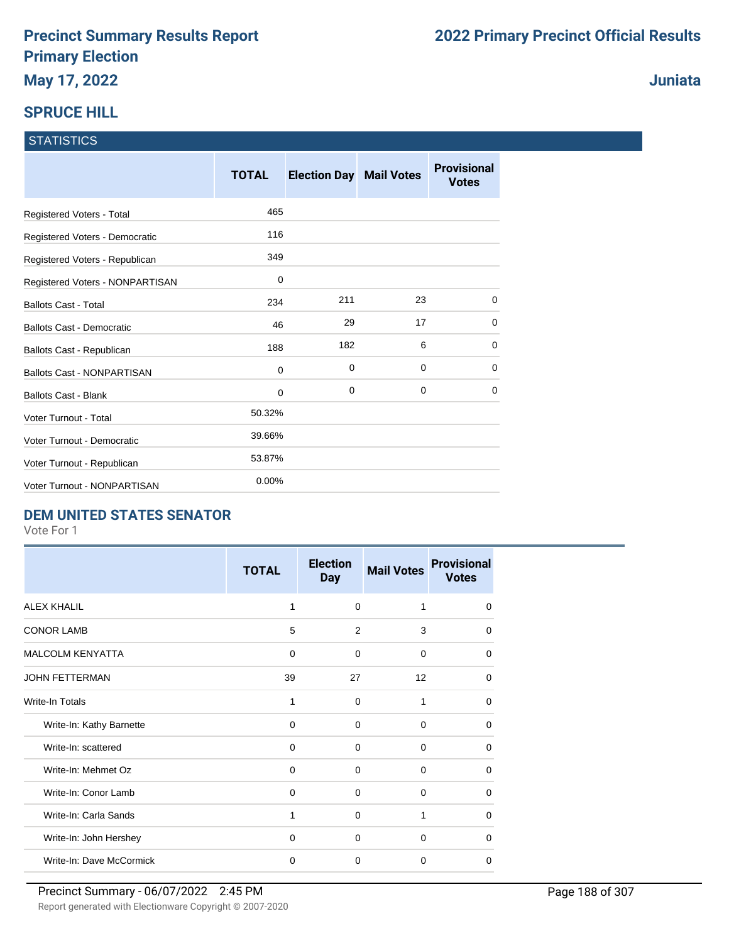# **SPRUCE HILL**

| <b>STATISTICS</b> |
|-------------------|
|-------------------|

|                                   | <b>TOTAL</b> | <b>Election Day Mail Votes</b> |    | <b>Provisional</b><br><b>Votes</b> |
|-----------------------------------|--------------|--------------------------------|----|------------------------------------|
| Registered Voters - Total         | 465          |                                |    |                                    |
| Registered Voters - Democratic    | 116          |                                |    |                                    |
| Registered Voters - Republican    | 349          |                                |    |                                    |
| Registered Voters - NONPARTISAN   | 0            |                                |    |                                    |
| <b>Ballots Cast - Total</b>       | 234          | 211                            | 23 | $\Omega$                           |
| Ballots Cast - Democratic         | 46           | 29                             | 17 | 0                                  |
| Ballots Cast - Republican         | 188          | 182                            | 6  | 0                                  |
| <b>Ballots Cast - NONPARTISAN</b> | 0            | 0                              | 0  | 0                                  |
| <b>Ballots Cast - Blank</b>       | 0            | 0                              | 0  | 0                                  |
| <b>Voter Turnout - Total</b>      | 50.32%       |                                |    |                                    |
| Voter Turnout - Democratic        | 39.66%       |                                |    |                                    |
| Voter Turnout - Republican        | 53.87%       |                                |    |                                    |
| Voter Turnout - NONPARTISAN       | 0.00%        |                                |    |                                    |

#### **DEM UNITED STATES SENATOR**

Vote For 1

|                          | <b>TOTAL</b> | <b>Election</b><br><b>Day</b> | <b>Mail Votes</b> | <b>Provisional</b><br><b>Votes</b> |
|--------------------------|--------------|-------------------------------|-------------------|------------------------------------|
| <b>ALEX KHALIL</b>       | 1            | $\Omega$                      | 1                 | $\Omega$                           |
| <b>CONOR LAMB</b>        | 5            | 2                             | 3                 | $\Omega$                           |
| <b>MALCOLM KENYATTA</b>  | $\mathbf 0$  | $\Omega$                      | $\mathbf 0$       | $\Omega$                           |
| <b>JOHN FETTERMAN</b>    | 39           | 27                            | 12                | 0                                  |
| Write-In Totals          | 1            | $\Omega$                      | 1                 | $\Omega$                           |
| Write-In: Kathy Barnette | 0            | $\mathbf 0$                   | $\mathbf 0$       | $\Omega$                           |
| Write-In: scattered      | $\mathbf 0$  | $\Omega$                      | 0                 | 0                                  |
| Write-In: Mehmet Oz      | $\Omega$     | $\Omega$                      | $\Omega$          | $\Omega$                           |
| Write-In: Conor Lamb     | $\Omega$     | $\Omega$                      | $\mathbf 0$       | $\Omega$                           |
| Write-In: Carla Sands    | 1            | 0                             | 1                 | 0                                  |
| Write-In: John Hershey   | $\Omega$     | $\Omega$                      | $\Omega$          | $\Omega$                           |
| Write-In: Dave McCormick | $\Omega$     | $\Omega$                      | 0                 | $\Omega$                           |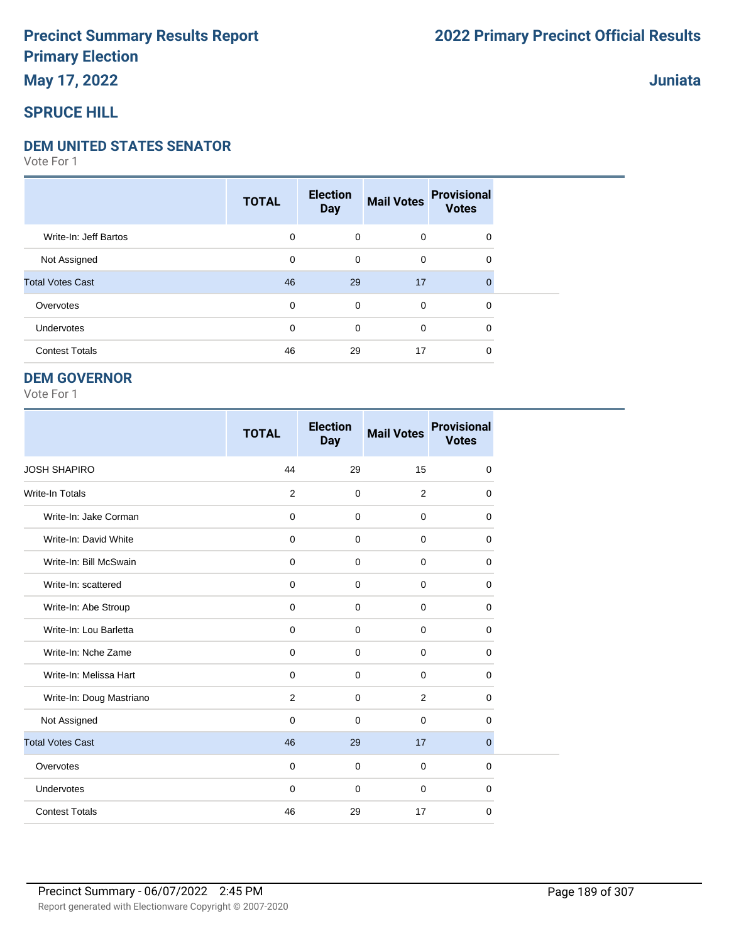#### **DEM UNITED STATES SENATOR**

Vote For 1

|                         | <b>TOTAL</b> | <b>Election</b><br><b>Day</b> | <b>Mail Votes</b> | <b>Provisional</b><br><b>Votes</b> |  |
|-------------------------|--------------|-------------------------------|-------------------|------------------------------------|--|
| Write-In: Jeff Bartos   | 0            | $\mathbf 0$                   | 0                 | 0                                  |  |
| Not Assigned            | 0            | $\mathbf 0$                   | 0                 | 0                                  |  |
| <b>Total Votes Cast</b> | 46           | 29                            | 17                | $\mathbf{0}$                       |  |
| Overvotes               | 0            | $\mathbf 0$                   | 0                 | 0                                  |  |
| Undervotes              | $\mathbf 0$  | 0                             | 0                 | 0                                  |  |
| <b>Contest Totals</b>   | 46           | 29                            | 17                | 0                                  |  |

#### **DEM GOVERNOR**

|                          | <b>TOTAL</b> | <b>Election</b><br><b>Day</b> | <b>Mail Votes</b> | <b>Provisional</b><br><b>Votes</b> |
|--------------------------|--------------|-------------------------------|-------------------|------------------------------------|
| <b>JOSH SHAPIRO</b>      | 44           | 29                            | 15                | $\mathbf 0$                        |
| <b>Write-In Totals</b>   | 2            | $\mathbf 0$                   | 2                 | $\mathbf 0$                        |
| Write-In: Jake Corman    | $\mathbf 0$  | $\mathbf 0$                   | $\mathbf 0$       | $\mathbf 0$                        |
| Write-In: David White    | $\mathbf 0$  | $\mathbf 0$                   | $\Omega$          | $\mathbf 0$                        |
| Write-In: Bill McSwain   | $\mathbf 0$  | 0                             | $\mathbf 0$       | 0                                  |
| Write-In: scattered      | $\mathbf 0$  | $\mathbf 0$                   | $\mathbf 0$       | $\mathbf 0$                        |
| Write-In: Abe Stroup     | $\mathbf 0$  | $\mathbf 0$                   | $\mathbf 0$       | $\mathbf 0$                        |
| Write-In: Lou Barletta   | $\mathbf 0$  | $\mathbf 0$                   | $\mathbf 0$       | $\mathbf 0$                        |
| Write-In: Nche Zame      | 0            | 0                             | $\mathbf 0$       | 0                                  |
| Write-In: Melissa Hart   | $\mathbf 0$  | $\mathbf 0$                   | $\mathbf 0$       | 0                                  |
| Write-In: Doug Mastriano | 2            | $\mathbf 0$                   | 2                 | $\mathbf 0$                        |
| Not Assigned             | $\mathbf 0$  | $\mathbf 0$                   | $\mathbf 0$       | 0                                  |
| <b>Total Votes Cast</b>  | 46           | 29                            | 17                | $\mathbf{0}$                       |
| Overvotes                | $\mathbf 0$  | 0                             | $\mathbf 0$       | 0                                  |
| Undervotes               | 0            | 0                             | $\mathbf 0$       | 0                                  |
| <b>Contest Totals</b>    | 46           | 29                            | 17                | $\mathbf 0$                        |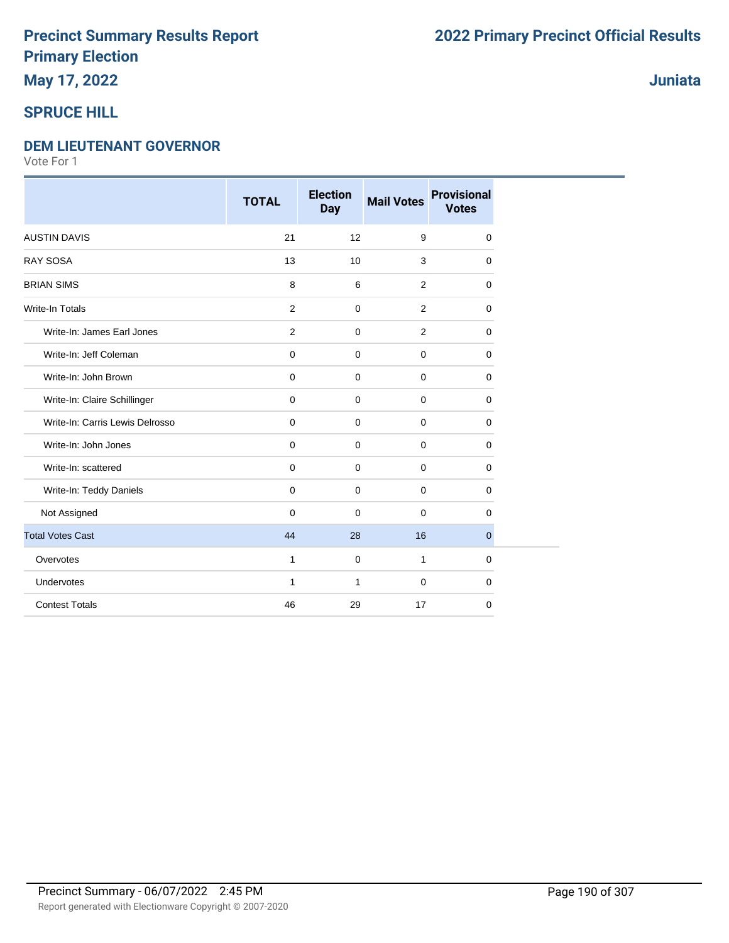# **May 17, 2022**

### **SPRUCE HILL**

#### **DEM LIEUTENANT GOVERNOR**

Vote For 1

|                                 | <b>TOTAL</b>   | <b>Election</b><br><b>Day</b> | <b>Mail Votes</b> | <b>Provisional</b><br><b>Votes</b> |
|---------------------------------|----------------|-------------------------------|-------------------|------------------------------------|
| <b>AUSTIN DAVIS</b>             | 21             | 12                            | 9                 | $\mathbf 0$                        |
| <b>RAY SOSA</b>                 | 13             | 10                            | 3                 | 0                                  |
| <b>BRIAN SIMS</b>               | $\bf 8$        | 6                             | 2                 | $\Omega$                           |
| <b>Write-In Totals</b>          | $\overline{2}$ | $\mathbf 0$                   | 2                 | $\mathbf 0$                        |
| Write-In: James Earl Jones      | 2              | $\mathbf 0$                   | 2                 | $\mathbf 0$                        |
| Write-In: Jeff Coleman          | $\mathbf 0$    | $\mathbf 0$                   | $\mathbf 0$       | $\mathbf 0$                        |
| Write-In: John Brown            | $\pmb{0}$      | $\mathbf 0$                   | $\mathbf 0$       | $\mathbf 0$                        |
| Write-In: Claire Schillinger    | $\mathbf 0$    | $\mathbf 0$                   | $\mathbf 0$       | $\mathbf 0$                        |
| Write-In: Carris Lewis Delrosso | $\mathbf 0$    | $\mathbf 0$                   | $\mathbf 0$       | $\mathbf 0$                        |
| Write-In: John Jones            | $\mathbf 0$    | $\mathbf 0$                   | $\mathbf 0$       | $\mathbf 0$                        |
| Write-In: scattered             | $\mathbf 0$    | $\mathbf 0$                   | 0                 | $\mathbf 0$                        |
| Write-In: Teddy Daniels         | $\mathbf 0$    | $\mathbf 0$                   | $\mathbf 0$       | 0                                  |
| Not Assigned                    | $\mathbf 0$    | $\mathbf 0$                   | $\mathbf 0$       | 0                                  |
| <b>Total Votes Cast</b>         | 44             | 28                            | 16                | $\mathbf{0}$                       |
| Overvotes                       | $\mathbf{1}$   | $\mathbf 0$                   | $\mathbf{1}$      | $\mathbf 0$                        |
| Undervotes                      | 1              | 1                             | $\mathbf 0$       | 0                                  |
| <b>Contest Totals</b>           | 46             | 29                            | 17                | $\mathbf 0$                        |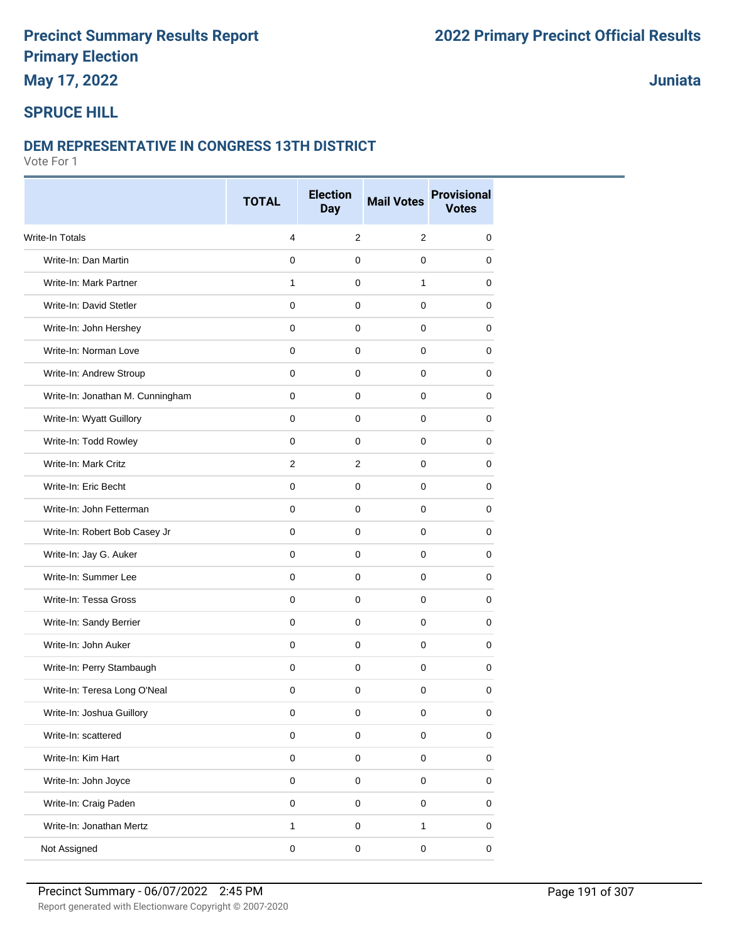### **May 17, 2022**

**Juniata**

### **SPRUCE HILL**

#### **DEM REPRESENTATIVE IN CONGRESS 13TH DISTRICT**

|                                  | <b>TOTAL</b>   | <b>Election</b><br><b>Day</b> | <b>Mail Votes</b>   | <b>Provisional</b><br><b>Votes</b> |
|----------------------------------|----------------|-------------------------------|---------------------|------------------------------------|
| <b>Write-In Totals</b>           | 4              | 2                             | 2                   | 0                                  |
| Write-In: Dan Martin             | $\mathbf 0$    | 0                             | $\mathbf 0$         | 0                                  |
| Write-In: Mark Partner           | $\mathbf{1}$   | $\mathbf 0$                   | $\mathbf{1}$        | 0                                  |
| Write-In: David Stetler          | $\mathbf 0$    | $\mathbf 0$                   | 0                   | 0                                  |
| Write-In: John Hershey           | 0              | 0                             | 0                   | 0                                  |
| Write-In: Norman Love            | $\mathbf 0$    | $\mathbf 0$                   | $\mathbf 0$         | $\mathbf 0$                        |
| Write-In: Andrew Stroup          | $\Omega$       | 0                             | $\mathbf 0$         | 0                                  |
| Write-In: Jonathan M. Cunningham | 0              | $\mathbf 0$                   | $\mathbf 0$         | 0                                  |
| Write-In: Wyatt Guillory         | $\mathbf{0}$   | $\mathbf 0$                   | $\mathbf 0$         | $\mathbf 0$                        |
| Write-In: Todd Rowley            | 0              | 0                             | 0                   | 0                                  |
| Write-In: Mark Critz             | $\overline{2}$ | $\overline{2}$                | 0                   | 0                                  |
| Write-In: Eric Becht             | $\mathbf 0$    | $\mathbf 0$                   | $\mathbf 0$         | 0                                  |
| Write-In: John Fetterman         | $\mathbf 0$    | $\mathbf 0$                   | $\mathbf 0$         | 0                                  |
| Write-In: Robert Bob Casey Jr    | $\mathbf 0$    | $\mathbf 0$                   | $\mathbf 0$         | 0                                  |
| Write-In: Jay G. Auker           | 0              | $\mathbf 0$                   | $\mathbf 0$         | 0                                  |
| Write-In: Summer Lee             | $\mathbf 0$    | $\mathbf 0$                   | $\mathbf 0$         | 0                                  |
| Write-In: Tessa Gross            | 0              | 0                             | 0                   | 0                                  |
| Write-In: Sandy Berrier          | $\mathbf 0$    | $\mathbf 0$                   | $\mathbf 0$         | 0                                  |
| Write-In: John Auker             | $\Omega$       | $\mathbf 0$                   | $\mathbf 0$         | $\mathbf 0$                        |
| Write-In: Perry Stambaugh        | 0              | 0                             | 0                   | 0                                  |
| Write-In: Teresa Long O'Neal     | $\mathbf 0$    | $\mathbf 0$                   | $\mathbf 0$         | $\mathbf 0$                        |
| Write-In: Joshua Guillory        | 0              | 0                             | 0                   | 0                                  |
| Write-In: scattered              | $\mathbf 0$    | $\mathbf 0$                   | $\pmb{0}$           | 0                                  |
| Write-In: Kim Hart               | $\mathbf 0$    | $\mathsf{O}\xspace$           | $\mathbf 0$         | $\pmb{0}$                          |
| Write-In: John Joyce             | $\mathbf 0$    | $\mathsf{O}\xspace$           | $\mathsf{O}\xspace$ | $\pmb{0}$                          |
| Write-In: Craig Paden            | $\pmb{0}$      | $\mathsf 0$                   | $\pmb{0}$           | $\mathbf 0$                        |
| Write-In: Jonathan Mertz         | $\mathbf{1}$   | $\mathsf 0$                   | $\mathbf{1}$        | $\pmb{0}$                          |
| Not Assigned                     | 0              | $\pmb{0}$                     | $\pmb{0}$           | $\pmb{0}$                          |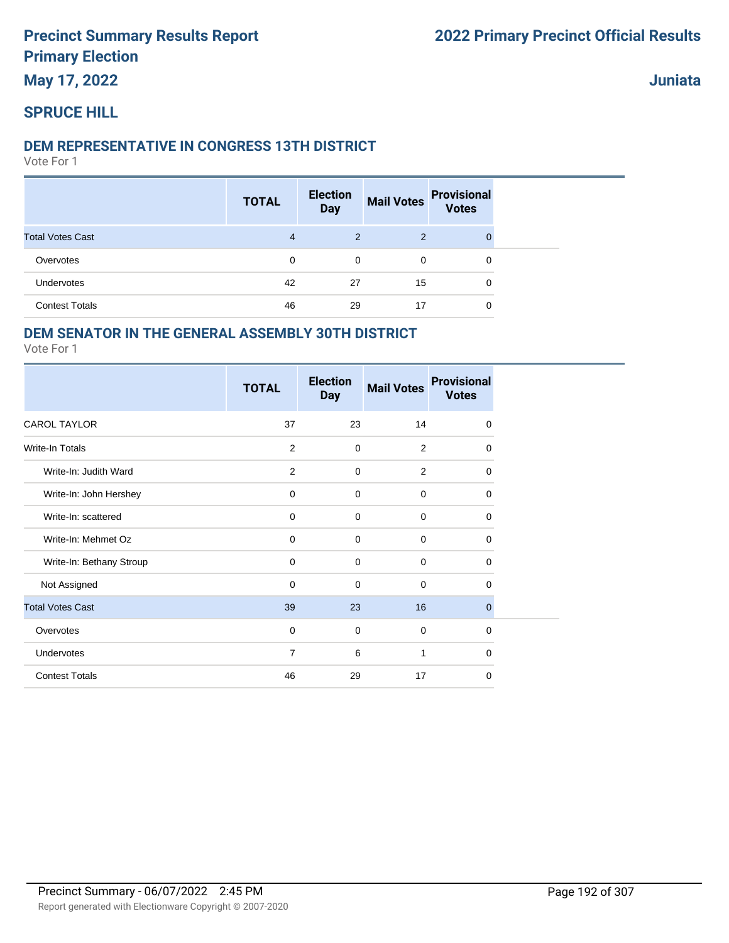**May 17, 2022**

**Juniata**

### **SPRUCE HILL**

#### **DEM REPRESENTATIVE IN CONGRESS 13TH DISTRICT**

Vote For 1

|                         | <b>TOTAL</b>   | <b>Election</b><br><b>Day</b> | <b>Mail Votes</b> | <b>Provisional</b><br><b>Votes</b> |  |
|-------------------------|----------------|-------------------------------|-------------------|------------------------------------|--|
| <b>Total Votes Cast</b> | $\overline{4}$ | 2                             | 2                 | $\Omega$                           |  |
| Overvotes               | 0              | 0                             | $\mathbf 0$       | 0                                  |  |
| Undervotes              | 42             | 27                            | 15                | 0                                  |  |
| <b>Contest Totals</b>   | 46             | 29                            | 17                | 0                                  |  |

#### **DEM SENATOR IN THE GENERAL ASSEMBLY 30TH DISTRICT**

|                          | <b>TOTAL</b>   | <b>Election</b><br><b>Day</b> | <b>Mail Votes</b> | <b>Provisional</b><br><b>Votes</b> |
|--------------------------|----------------|-------------------------------|-------------------|------------------------------------|
| <b>CAROL TAYLOR</b>      | 37             | 23                            | 14                | $\mathbf 0$                        |
| <b>Write-In Totals</b>   | 2              | 0                             | 2                 | 0                                  |
| Write-In: Judith Ward    | $\overline{2}$ | 0                             | 2                 | $\mathbf 0$                        |
| Write-In: John Hershey   | $\mathbf 0$    | 0                             | $\mathbf 0$       | 0                                  |
| Write-In: scattered      | 0              | 0                             | $\mathbf 0$       | 0                                  |
| Write-In: Mehmet Oz      | $\mathbf 0$    | $\mathbf 0$                   | $\mathbf 0$       | 0                                  |
| Write-In: Bethany Stroup | $\mathbf 0$    | 0                             | $\Omega$          | 0                                  |
| Not Assigned             | $\mathbf 0$    | 0                             | $\mathbf 0$       | $\Omega$                           |
| <b>Total Votes Cast</b>  | 39             | 23                            | 16                | $\mathbf{0}$                       |
| Overvotes                | $\mathbf 0$    | 0                             | $\mathbf 0$       | 0                                  |
| Undervotes               | $\overline{7}$ | 6                             | 1                 | 0                                  |
| <b>Contest Totals</b>    | 46             | 29                            | 17                | $\mathbf 0$                        |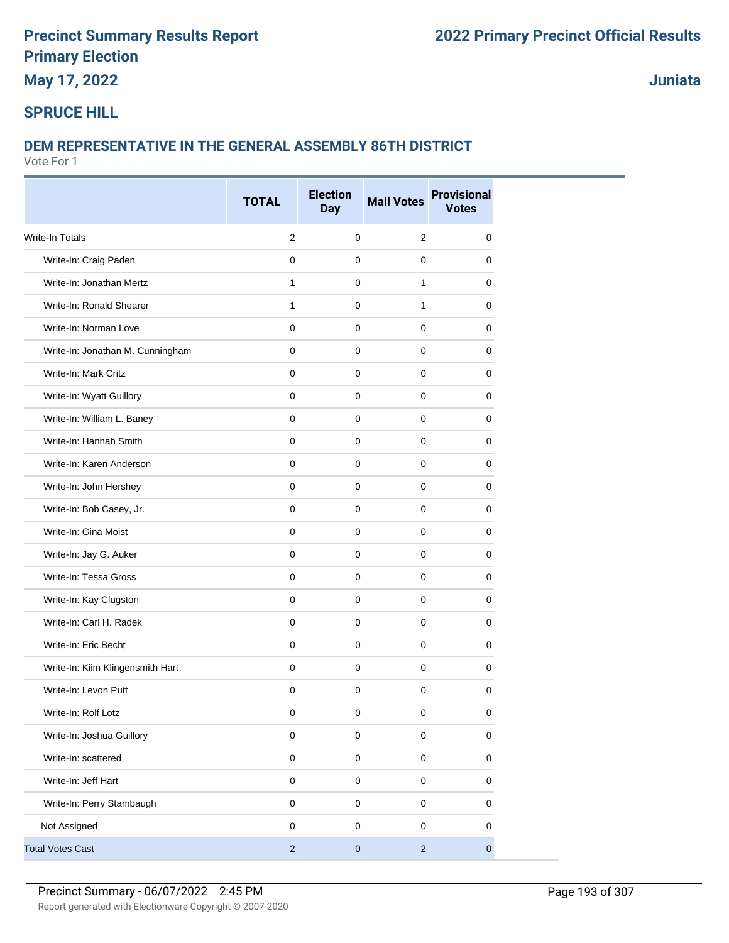**May 17, 2022**

**Juniata**

### **SPRUCE HILL**

#### **DEM REPRESENTATIVE IN THE GENERAL ASSEMBLY 86TH DISTRICT**

|                                  | <b>TOTAL</b>   | <b>Election</b><br><b>Day</b> | <b>Mail Votes</b> | <b>Provisional</b><br><b>Votes</b> |
|----------------------------------|----------------|-------------------------------|-------------------|------------------------------------|
| Write-In Totals                  | $\overline{2}$ | $\mathbf 0$                   | $\overline{2}$    | 0                                  |
| Write-In: Craig Paden            | $\mathbf 0$    | $\mathbf 0$                   | $\mathbf 0$       | 0                                  |
| Write-In: Jonathan Mertz         | 1              | 0                             | $\mathbf{1}$      | 0                                  |
| Write-In: Ronald Shearer         | 1              | $\mathbf 0$                   | 1                 | 0                                  |
| Write-In: Norman Love            | $\mathbf 0$    | $\mathbf 0$                   | 0                 | 0                                  |
| Write-In: Jonathan M. Cunningham | $\mathbf 0$    | $\mathbf 0$                   | $\mathbf 0$       | 0                                  |
| Write-In: Mark Critz             | $\mathbf 0$    | $\pmb{0}$                     | $\mathbf 0$       | $\mathbf 0$                        |
| Write-In: Wyatt Guillory         | $\mathbf 0$    | $\mathbf 0$                   | $\mathbf 0$       | 0                                  |
| Write-In: William L. Baney       | $\mathbf 0$    | 0                             | $\mathbf 0$       | 0                                  |
|                                  |                |                               |                   |                                    |
| Write-In: Hannah Smith           | $\mathbf 0$    | $\mathbf 0$                   | 0                 | 0                                  |
| Write-In: Karen Anderson         | $\mathbf 0$    | 0                             | 0                 | 0                                  |
| Write-In: John Hershey           | $\mathbf 0$    | $\mathbf 0$                   | 0                 | 0                                  |
| Write-In: Bob Casey, Jr.         | $\mathbf 0$    | $\mathbf 0$                   | $\mathbf 0$       | 0                                  |
| Write-In: Gina Moist             | $\mathbf 0$    | $\mathbf 0$                   | $\mathbf 0$       | 0                                  |
| Write-In: Jay G. Auker           | 0              | 0                             | $\mathbf 0$       | 0                                  |
| Write-In: Tessa Gross            | $\mathbf 0$    | $\mathbf 0$                   | $\mathbf 0$       | 0                                  |
| Write-In: Kay Clugston           | $\mathbf 0$    | $\mathbf 0$                   | 0                 | 0                                  |
| Write-In: Carl H. Radek          | $\mathbf 0$    | $\mathbf 0$                   | $\mathbf 0$       | 0                                  |
| Write-In: Eric Becht             | $\mathbf 0$    | $\mathbf 0$                   | $\pmb{0}$         | $\mathbf 0$                        |
| Write-In: Kiim Klingensmith Hart | $\mathbf 0$    | 0                             | 0                 | 0                                  |
| Write-In: Levon Putt             | 0              | 0                             | 0                 | 0                                  |
| Write-In: Rolf Lotz              | 0              | $\pmb{0}$                     | $\pmb{0}$         | $\pmb{0}$                          |
| Write-In: Joshua Guillory        | $\pmb{0}$      | $\mathsf 0$                   | $\mathbf 0$       | $\pmb{0}$                          |
| Write-In: scattered              | $\pmb{0}$      | $\pmb{0}$                     | $\mathsf 0$       | 0                                  |
| Write-In: Jeff Hart              | $\pmb{0}$      | $\mathbf 0$                   | $\mathsf 0$       | $\pmb{0}$                          |
| Write-In: Perry Stambaugh        | $\mathbf 0$    | $\mathsf 0$                   | $\mathsf 0$       | 0                                  |
| Not Assigned                     | $\mathbf 0$    | $\mathsf 0$                   | $\pmb{0}$         | 0                                  |
| <b>Total Votes Cast</b>          | $\sqrt{2}$     | $\pmb{0}$                     | $\overline{c}$    | $\mathbf 0$                        |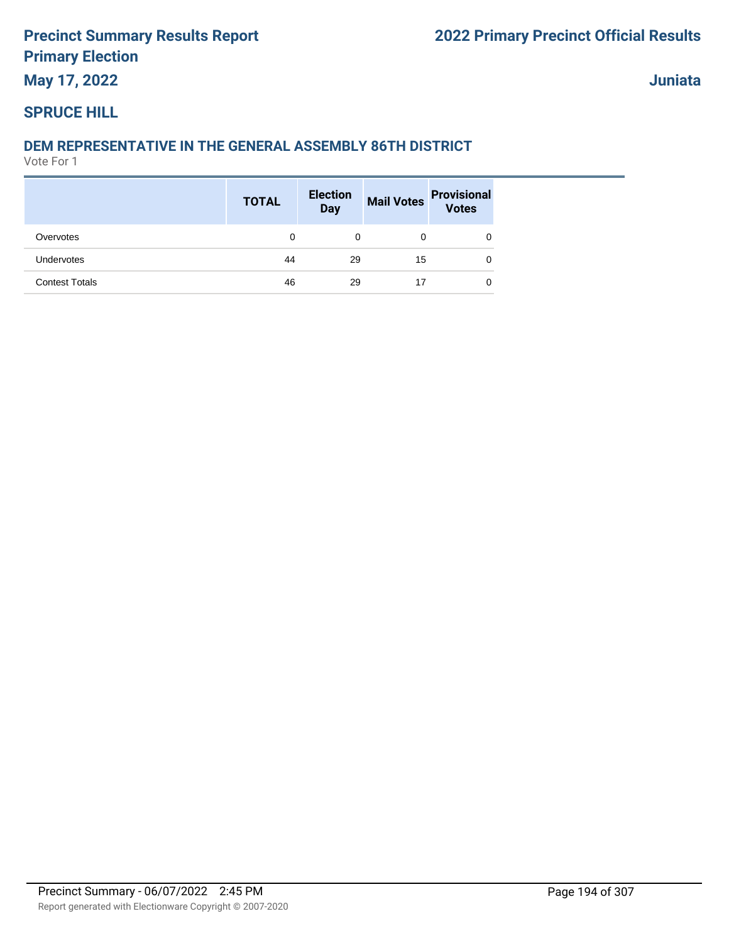# **May 17, 2022**

**Juniata**

#### **SPRUCE HILL**

#### **DEM REPRESENTATIVE IN THE GENERAL ASSEMBLY 86TH DISTRICT**

|                       | <b>TOTAL</b> | <b>Election</b><br>Day |    | Mail Votes Provisional |
|-----------------------|--------------|------------------------|----|------------------------|
| Overvotes             | 0            | 0                      | 0  | 0                      |
| Undervotes            | 44           | 29                     | 15 | 0                      |
| <b>Contest Totals</b> | 46           | 29                     | 17 | 0                      |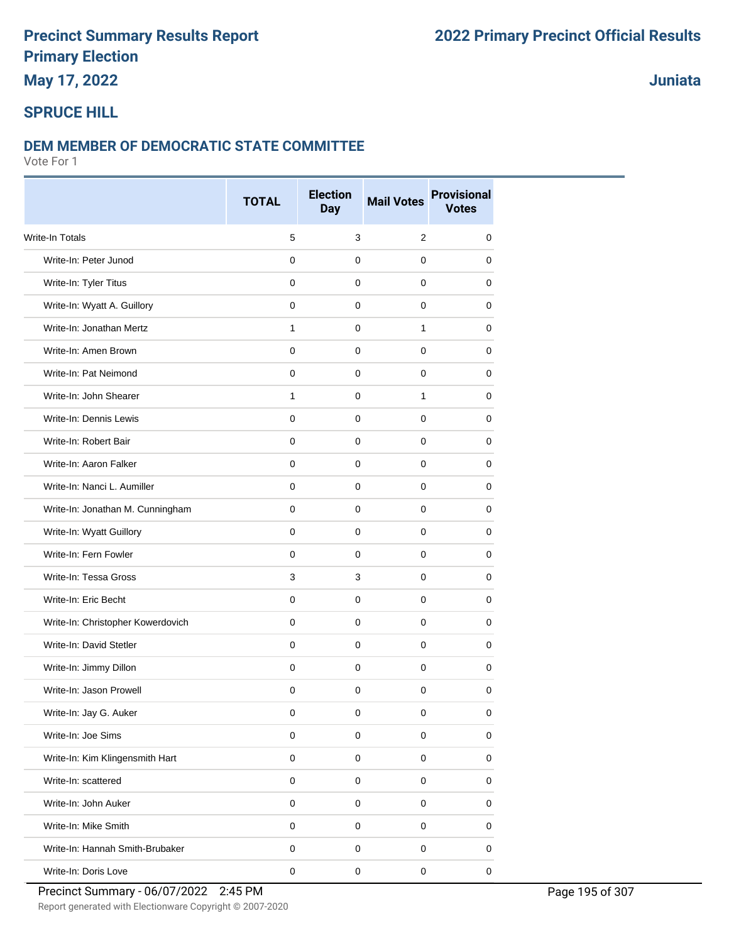### **May 17, 2022**

### **Juniata**

### **SPRUCE HILL**

#### **DEM MEMBER OF DEMOCRATIC STATE COMMITTEE**

|                                   | <b>TOTAL</b>   | <b>Election</b><br><b>Day</b> | <b>Mail Votes</b>   | <b>Provisional</b><br><b>Votes</b> |
|-----------------------------------|----------------|-------------------------------|---------------------|------------------------------------|
| <b>Write-In Totals</b>            | 5              | 3                             | $\overline{2}$      | 0                                  |
| Write-In: Peter Junod             | $\Omega$       | 0                             | $\mathbf 0$         | 0                                  |
| Write-In: Tyler Titus             | $\mathbf 0$    | $\mathbf 0$                   | $\mathbf 0$         | 0                                  |
| Write-In: Wyatt A. Guillory       | $\mathbf 0$    | 0                             | 0                   | 0                                  |
| Write-In: Jonathan Mertz          | $\mathbf{1}$   | 0                             | 1                   | 0                                  |
| Write-In: Amen Brown              | $\mathbf 0$    | $\mathbf 0$                   | $\mathbf 0$         | 0                                  |
| Write-In: Pat Neimond             | $\Omega$       | 0                             | $\mathbf 0$         | 0                                  |
| Write-In: John Shearer            | $\mathbf{1}$   | 0                             | 1                   | 0                                  |
| Write-In: Dennis Lewis            | $\overline{0}$ | $\mathbf 0$                   | $\mathbf 0$         | 0                                  |
| Write-In: Robert Bair             | 0              | 0                             | 0                   | 0                                  |
| Write-In: Aaron Falker            | 0              | 0                             | 0                   | 0                                  |
| Write-In: Nanci L. Aumiller       | $\mathbf 0$    | 0                             | $\mathbf 0$         | 0                                  |
| Write-In: Jonathan M. Cunningham  | $\mathbf 0$    | $\mathbf 0$                   | $\mathbf 0$         | 0                                  |
| Write-In: Wyatt Guillory          | $\Omega$       | 0                             | $\mathbf 0$         | 0                                  |
| Write-In: Fern Fowler             | 0              | 0                             | $\mathbf 0$         | 0                                  |
| Write-In: Tessa Gross             | 3              | 3                             | 0                   | 0                                  |
| Write-In: Eric Becht              | 0              | 0                             | 0                   | 0                                  |
| Write-In: Christopher Kowerdovich | $\mathbf 0$    | $\mathbf 0$                   | $\mathbf 0$         | 0                                  |
| Write-In: David Stetler           | $\Omega$       | 0                             | 0                   | 0                                  |
| Write-In: Jimmy Dillon            | 0              | 0                             | 0                   | 0                                  |
| Write-In: Jason Prowell           | $\mathbf 0$    | $\pmb{0}$                     | $\mathbf 0$         | 0                                  |
| Write-In: Jay G. Auker            | 0              | 0                             | 0                   | 0                                  |
| Write-In: Joe Sims                | 0              | $\mathbf 0$                   | 0                   | 0                                  |
| Write-In: Kim Klingensmith Hart   | $\pmb{0}$      | $\pmb{0}$                     | $\mathsf 0$         | $\pmb{0}$                          |
| Write-In: scattered               | $\mathbf 0$    | $\pmb{0}$                     | $\mathbf 0$         | 0                                  |
| Write-In: John Auker              | $\pmb{0}$      | $\pmb{0}$                     | $\mathsf 0$         | 0                                  |
| Write-In: Mike Smith              | $\pmb{0}$      | $\pmb{0}$                     | $\mathsf{O}\xspace$ | $\pmb{0}$                          |
| Write-In: Hannah Smith-Brubaker   | 0              | 0                             | 0                   | 0                                  |
| Write-In: Doris Love              | $\pmb{0}$      | $\pmb{0}$                     | $\pmb{0}$           | $\pmb{0}$                          |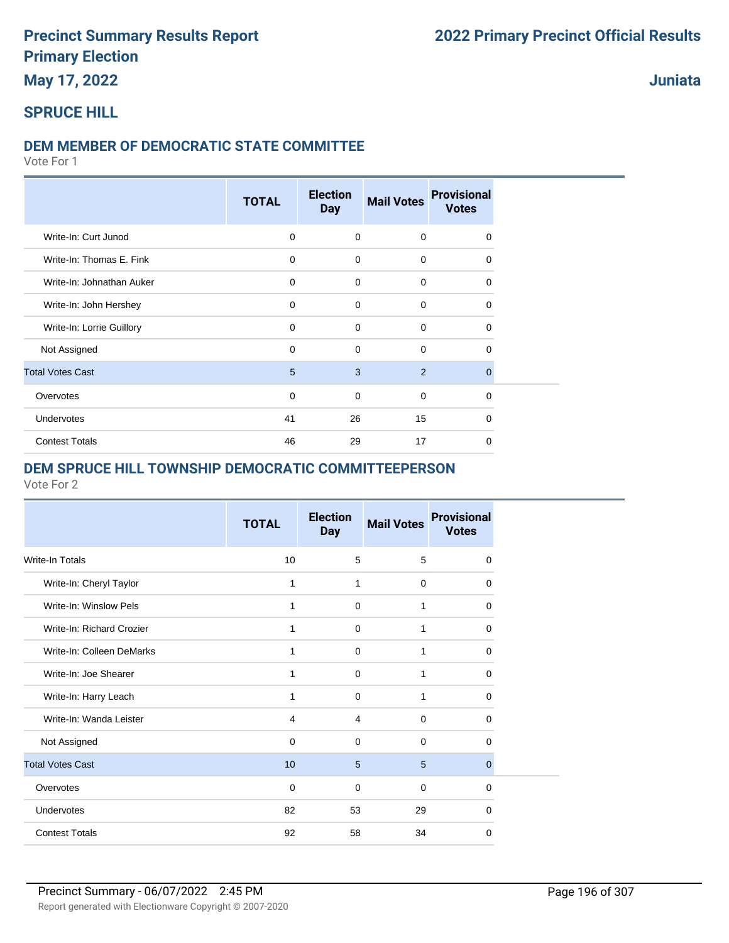**May 17, 2022**

### **Juniata**

#### **SPRUCE HILL**

#### **DEM MEMBER OF DEMOCRATIC STATE COMMITTEE**

Vote For 1

|                           | <b>TOTAL</b> | <b>Election</b><br><b>Day</b> | <b>Mail Votes</b> | <b>Provisional</b><br><b>Votes</b> |
|---------------------------|--------------|-------------------------------|-------------------|------------------------------------|
| Write-In: Curt Junod      | $\mathbf 0$  | $\mathbf 0$                   | $\mathbf 0$       | $\Omega$                           |
| Write-In: Thomas E. Fink  | $\mathbf 0$  | $\Omega$                      | $\mathbf 0$       | $\Omega$                           |
| Write-In: Johnathan Auker | $\mathbf 0$  | $\mathbf 0$                   | $\mathbf 0$       | 0                                  |
| Write-In: John Hershey    | $\mathbf 0$  | $\Omega$                      | $\mathbf 0$       | $\Omega$                           |
| Write-In: Lorrie Guillory | $\mathbf 0$  | $\Omega$                      | $\mathbf 0$       | 0                                  |
| Not Assigned              | $\mathbf 0$  | $\Omega$                      | $\mathbf 0$       | 0                                  |
| <b>Total Votes Cast</b>   | 5            | 3                             | 2                 | 0                                  |
| Overvotes                 | $\mathbf 0$  | $\mathbf 0$                   | $\mathbf 0$       | $\Omega$                           |
| Undervotes                | 41           | 26                            | 15                | $\Omega$                           |
| <b>Contest Totals</b>     | 46           | 29                            | 17                | $\Omega$                           |

#### **DEM SPRUCE HILL TOWNSHIP DEMOCRATIC COMMITTEEPERSON**

|                           | <b>TOTAL</b> | <b>Election</b><br><b>Day</b> | <b>Mail Votes</b> | <b>Provisional</b><br><b>Votes</b> |
|---------------------------|--------------|-------------------------------|-------------------|------------------------------------|
| Write-In Totals           | 10           | 5                             | 5                 | $\mathbf 0$                        |
| Write-In: Cheryl Taylor   | 1            | 1                             | $\mathbf 0$       | $\Omega$                           |
| Write-In: Winslow Pels    | 1            | $\mathbf 0$                   | 1                 | 0                                  |
| Write-In: Richard Crozier | 1            | $\mathbf 0$                   | 1                 | $\Omega$                           |
| Write-In: Colleen DeMarks | 1            | $\mathbf 0$                   | 1                 | 0                                  |
| Write-In: Joe Shearer     | 1            | $\mathbf 0$                   | 1                 | $\Omega$                           |
| Write-In: Harry Leach     | 1            | $\mathbf 0$                   | 1                 | $\Omega$                           |
| Write-In: Wanda Leister   | 4            | $\overline{4}$                | $\mathbf 0$       | $\Omega$                           |
| Not Assigned              | $\mathbf 0$  | $\Omega$                      | $\mathbf 0$       | $\Omega$                           |
| <b>Total Votes Cast</b>   | 10           | 5                             | 5                 | $\mathbf{0}$                       |
| Overvotes                 | $\Omega$     | $\Omega$                      | $\mathbf 0$       | $\Omega$                           |
| <b>Undervotes</b>         | 82           | 53                            | 29                | $\Omega$                           |
| <b>Contest Totals</b>     | 92           | 58                            | 34                | 0                                  |
|                           |              |                               |                   |                                    |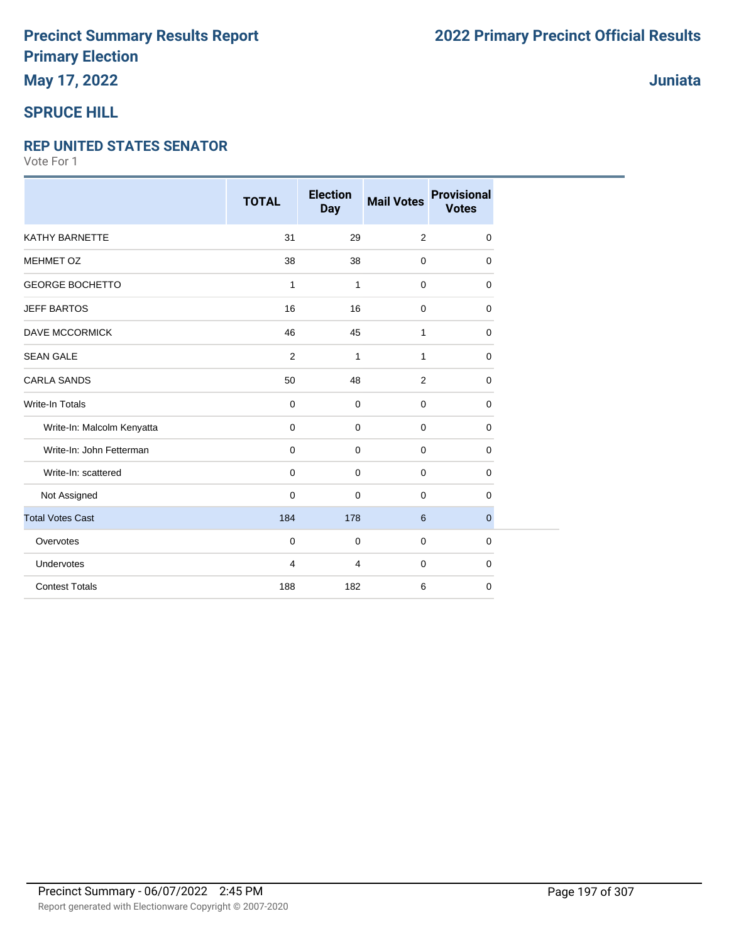### **May 17, 2022**

### **SPRUCE HILL**

#### **REP UNITED STATES SENATOR**

|                            | <b>TOTAL</b>   | <b>Election</b><br><b>Day</b> | <b>Mail Votes</b> | <b>Provisional</b><br><b>Votes</b> |
|----------------------------|----------------|-------------------------------|-------------------|------------------------------------|
| <b>KATHY BARNETTE</b>      | 31             | 29                            | $\overline{2}$    | 0                                  |
| <b>MEHMET OZ</b>           | 38             | 38                            | $\mathbf 0$       | 0                                  |
| <b>GEORGE BOCHETTO</b>     | $\mathbf{1}$   | 1                             | $\mathbf 0$       | 0                                  |
| <b>JEFF BARTOS</b>         | 16             | 16                            | $\mathbf 0$       | 0                                  |
| DAVE MCCORMICK             | 46             | 45                            | 1                 | 0                                  |
| <b>SEAN GALE</b>           | 2              | $\mathbf{1}$                  | 1                 | 0                                  |
| <b>CARLA SANDS</b>         | 50             | 48                            | $\overline{2}$    | 0                                  |
| <b>Write-In Totals</b>     | $\mathbf 0$    | 0                             | $\mathbf 0$       | 0                                  |
| Write-In: Malcolm Kenyatta | $\mathbf 0$    | $\mathbf 0$                   | $\mathbf 0$       | 0                                  |
| Write-In: John Fetterman   | $\mathbf 0$    | 0                             | $\mathbf 0$       | 0                                  |
| Write-In: scattered        | $\mathbf 0$    | $\mathbf 0$                   | $\mathbf 0$       | 0                                  |
| Not Assigned               | $\mathbf 0$    | 0                             | 0                 | 0                                  |
| <b>Total Votes Cast</b>    | 184            | 178                           | 6                 | $\mathbf{0}$                       |
| Overvotes                  | $\mathbf 0$    | 0                             | $\mathbf 0$       | 0                                  |
| Undervotes                 | $\overline{4}$ | $\overline{4}$                | $\mathbf 0$       | 0                                  |
| <b>Contest Totals</b>      | 188            | 182                           | 6                 | 0                                  |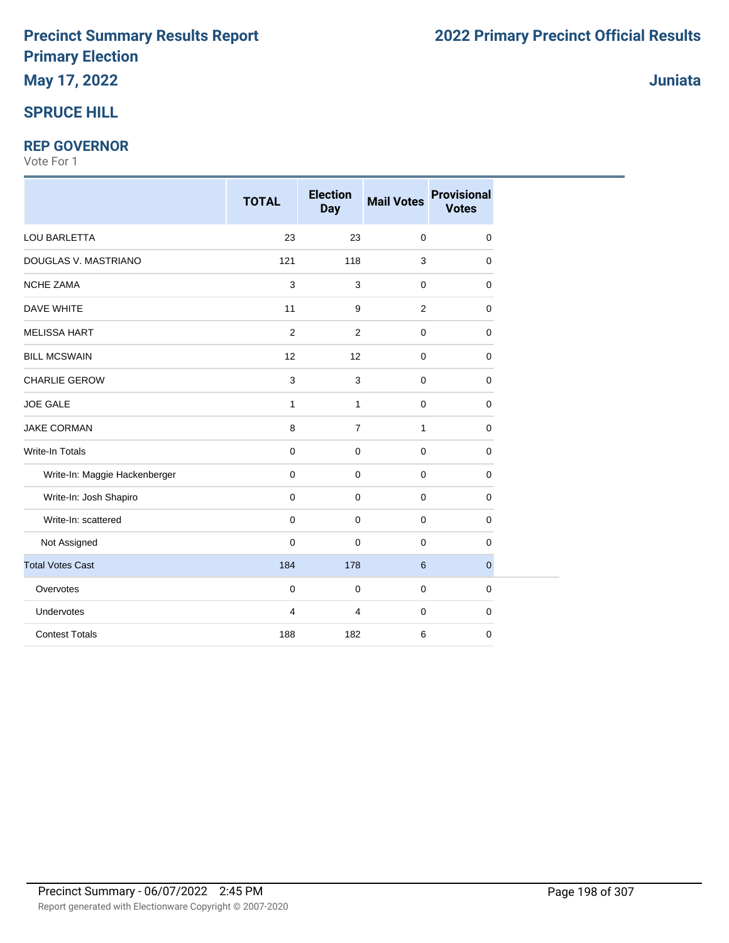# **May 17, 2022**

### **SPRUCE HILL**

#### **REP GOVERNOR**

|                               | <b>TOTAL</b>   | <b>Election</b><br><b>Day</b> | <b>Mail Votes</b> | <b>Provisional</b><br><b>Votes</b> |
|-------------------------------|----------------|-------------------------------|-------------------|------------------------------------|
| LOU BARLETTA                  | 23             | 23                            | $\pmb{0}$         | $\mathbf 0$                        |
| DOUGLAS V. MASTRIANO          | 121            | 118                           | 3                 | 0                                  |
| <b>NCHE ZAMA</b>              | $\mathsf 3$    | 3                             | $\mathbf 0$       | $\mathbf 0$                        |
| DAVE WHITE                    | 11             | $\boldsymbol{9}$              | $\overline{2}$    | $\mathbf 0$                        |
| <b>MELISSA HART</b>           | $\overline{2}$ | $\overline{2}$                | 0                 | 0                                  |
| <b>BILL MCSWAIN</b>           | 12             | 12                            | 0                 | 0                                  |
| <b>CHARLIE GEROW</b>          | $\mathbf{3}$   | 3                             | 0                 | $\mathbf 0$                        |
| <b>JOE GALE</b>               | $\mathbf{1}$   | $\mathbf{1}$                  | $\mathbf 0$       | $\mathbf 0$                        |
| <b>JAKE CORMAN</b>            | $\bf 8$        | $\overline{7}$                | $\mathbf{1}$      | $\pmb{0}$                          |
| Write-In Totals               | $\mathbf 0$    | 0                             | $\mathbf 0$       | $\mathbf 0$                        |
| Write-In: Maggie Hackenberger | $\mathbf 0$    | $\mathbf 0$                   | $\mathbf 0$       | 0                                  |
| Write-In: Josh Shapiro        | $\mathbf 0$    | 0                             | 0                 | 0                                  |
| Write-In: scattered           | $\mathbf 0$    | 0                             | $\mathbf 0$       | $\mathbf 0$                        |
| Not Assigned                  | $\mathbf 0$    | $\mathbf 0$                   | 0                 | $\mathbf 0$                        |
| <b>Total Votes Cast</b>       | 184            | 178                           | 6                 | $\mathbf{0}$                       |
| Overvotes                     | $\pmb{0}$      | 0                             | $\mathbf 0$       | $\mathbf 0$                        |
| Undervotes                    | $\overline{4}$ | 4                             | 0                 | $\mathbf 0$                        |
| <b>Contest Totals</b>         | 188            | 182                           | 6                 | $\mathbf 0$                        |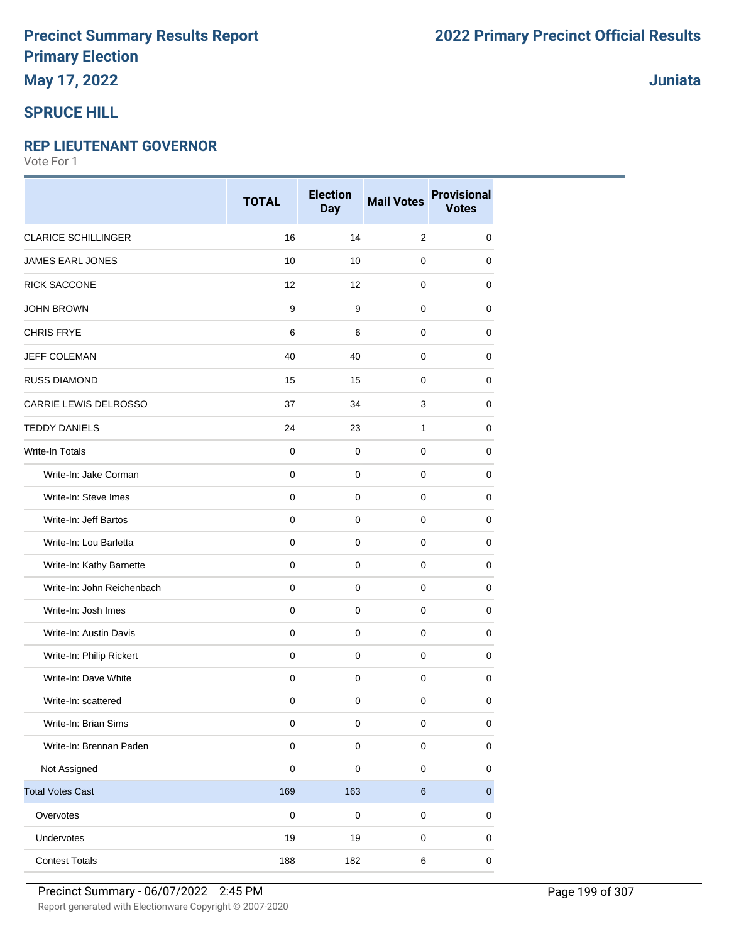#### **SPRUCE HILL**

#### **REP LIEUTENANT GOVERNOR**

|                            | <b>TOTAL</b> | <b>Election</b><br><b>Day</b> | <b>Mail Votes</b> | <b>Provisional</b><br><b>Votes</b> |
|----------------------------|--------------|-------------------------------|-------------------|------------------------------------|
| <b>CLARICE SCHILLINGER</b> | 16           | 14                            | 2                 | 0                                  |
| JAMES EARL JONES           | 10           | 10                            | 0                 | 0                                  |
| <b>RICK SACCONE</b>        | 12           | 12                            | $\mathbf 0$       | 0                                  |
| <b>JOHN BROWN</b>          | 9            | 9                             | $\mathbf 0$       | 0                                  |
| <b>CHRIS FRYE</b>          | 6            | 6                             | $\mathbf 0$       | 0                                  |
| JEFF COLEMAN               | 40           | 40                            | $\mathbf 0$       | 0                                  |
| <b>RUSS DIAMOND</b>        | 15           | 15                            | $\mathbf 0$       | 0                                  |
| CARRIE LEWIS DELROSSO      | 37           | 34                            | 3                 | 0                                  |
| <b>TEDDY DANIELS</b>       | 24           | 23                            | 1                 | 0                                  |
| Write-In Totals            | $\mathbf 0$  | $\mathbf 0$                   | $\mathbf 0$       | 0                                  |
| Write-In: Jake Corman      | 0            | $\mathbf 0$                   | 0                 | 0                                  |
| Write-In: Steve Imes       | $\mathbf 0$  | $\mathbf 0$                   | $\mathbf 0$       | $\mathbf 0$                        |
| Write-In: Jeff Bartos      | $\mathbf 0$  | $\mathbf 0$                   | $\mathbf 0$       | 0                                  |
| Write-In: Lou Barletta     | $\mathbf 0$  | $\mathbf 0$                   | 0                 | 0                                  |
| Write-In: Kathy Barnette   | $\pmb{0}$    | $\pmb{0}$                     | $\mathbf 0$       | $\pmb{0}$                          |
| Write-In: John Reichenbach | $\mathbf 0$  | $\mathbf 0$                   | $\pmb{0}$         | 0                                  |
| Write-In: Josh Imes        | $\mathbf 0$  | 0                             | 0                 | 0                                  |
| Write-In: Austin Davis     | $\mathbf 0$  | $\mathbf 0$                   | $\mathbf 0$       | $\mathbf 0$                        |
| Write-In: Philip Rickert   | $\mathbf 0$  | $\mathbf 0$                   | 0                 | 0                                  |
| Write-In: Dave White       | $\mathbf 0$  | $\mathbf 0$                   | $\mathbf 0$       | 0                                  |
| Write-In: scattered        | $\pmb{0}$    | $\mathbf 0$                   | $\pmb{0}$         | 0                                  |
| Write-In: Brian Sims       | 0            | 0                             | 0                 | $\mathbf 0$                        |
| Write-In: Brennan Paden    | $\pmb{0}$    | 0                             | $\pmb{0}$         | 0                                  |
| Not Assigned               | $\mathbf 0$  | 0                             | 0                 | $\mathbf 0$                        |
| <b>Total Votes Cast</b>    | 169          | 163                           | $\,6\,$           | $\pmb{0}$                          |
| Overvotes                  | $\mathbf 0$  | $\mathbf 0$                   | $\pmb{0}$         | $\pmb{0}$                          |
| Undervotes                 | 19           | 19                            | $\pmb{0}$         | 0                                  |
| <b>Contest Totals</b>      | 188          | 182                           | 6                 | $\pmb{0}$                          |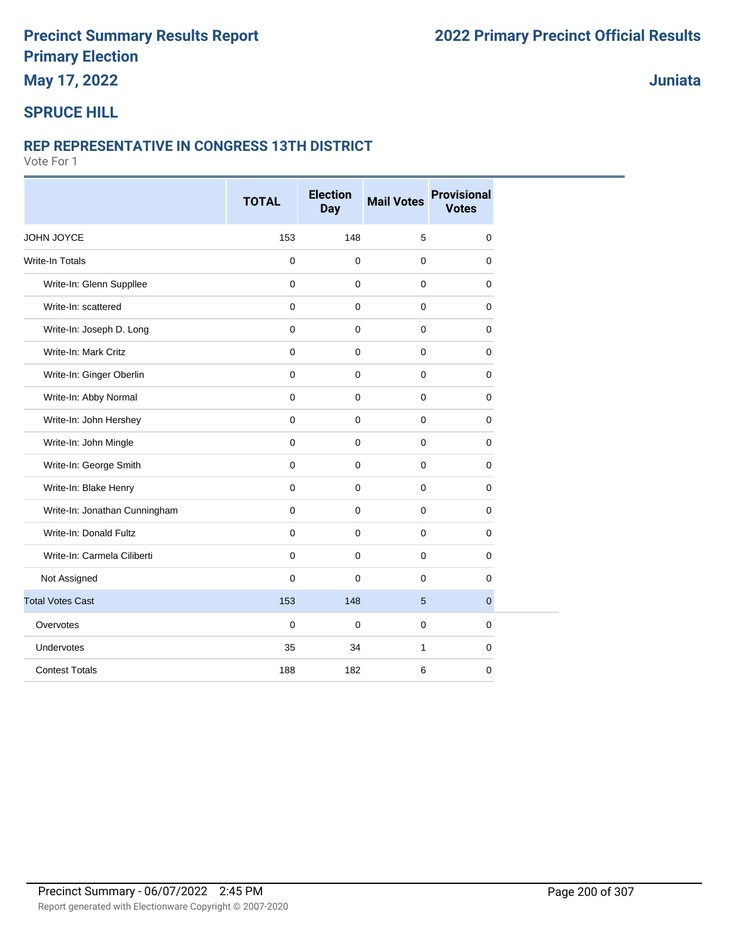### **May 17, 2022**

**Juniata**

#### **SPRUCE HILL**

#### **REP REPRESENTATIVE IN CONGRESS 13TH DISTRICT**

|                               | <b>TOTAL</b> | <b>Election</b><br><b>Day</b> | <b>Mail Votes</b> | <b>Provisional</b><br><b>Votes</b> |
|-------------------------------|--------------|-------------------------------|-------------------|------------------------------------|
| JOHN JOYCE                    | 153          | 148                           | 5                 | $\mathbf 0$                        |
| <b>Write-In Totals</b>        | $\mathbf 0$  | $\mathbf 0$                   | $\mathbf 0$       | $\mathbf 0$                        |
| Write-In: Glenn Suppllee      | $\mathbf{0}$ | $\mathbf 0$                   | $\mathbf 0$       | $\mathbf 0$                        |
| Write-In: scattered           | $\Omega$     | $\Omega$                      | $\mathbf{0}$      | $\mathbf 0$                        |
| Write-In: Joseph D. Long      | 0            | $\mathbf 0$                   | $\mathbf 0$       | $\mathbf 0$                        |
| Write-In: Mark Critz          | $\mathbf 0$  | $\mathbf 0$                   | $\mathbf 0$       | $\mathbf 0$                        |
| Write-In: Ginger Oberlin      | $\mathbf 0$  | $\mathbf 0$                   | $\mathbf 0$       | $\mathbf 0$                        |
| Write-In: Abby Normal         | 0            | $\mathbf 0$                   | $\mathbf 0$       | $\mathbf 0$                        |
| Write-In: John Hershey        | 0            | $\mathbf 0$                   | $\mathbf 0$       | 0                                  |
| Write-In: John Mingle         | $\mathbf{0}$ | $\mathbf 0$                   | $\mathbf{0}$      | $\mathbf 0$                        |
| Write-In: George Smith        | $\mathbf 0$  | $\Omega$                      | $\mathbf 0$       | $\mathbf 0$                        |
| Write-In: Blake Henry         | $\mathbf 0$  | 0                             | $\mathbf 0$       | 0                                  |
| Write-In: Jonathan Cunningham | $\mathbf 0$  | $\mathbf 0$                   | $\mathbf 0$       | 0                                  |
| Write-In: Donald Fultz        | $\mathbf 0$  | $\mathbf 0$                   | $\mathbf 0$       | $\mathbf 0$                        |
| Write-In: Carmela Ciliberti   | $\mathbf 0$  | $\mathbf 0$                   | $\mathbf 0$       | 0                                  |
| Not Assigned                  | 0            | $\Omega$                      | $\mathbf{0}$      | $\mathbf 0$                        |
| <b>Total Votes Cast</b>       | 153          | 148                           | $5\phantom{.0}$   | $\mathbf 0$                        |
| Overvotes                     | $\mathbf 0$  | $\mathbf 0$                   | $\mathbf 0$       | $\mathbf 0$                        |
| <b>Undervotes</b>             | 35           | 34                            | $\mathbf{1}$      | $\mathbf 0$                        |
| <b>Contest Totals</b>         | 188          | 182                           | 6                 | 0                                  |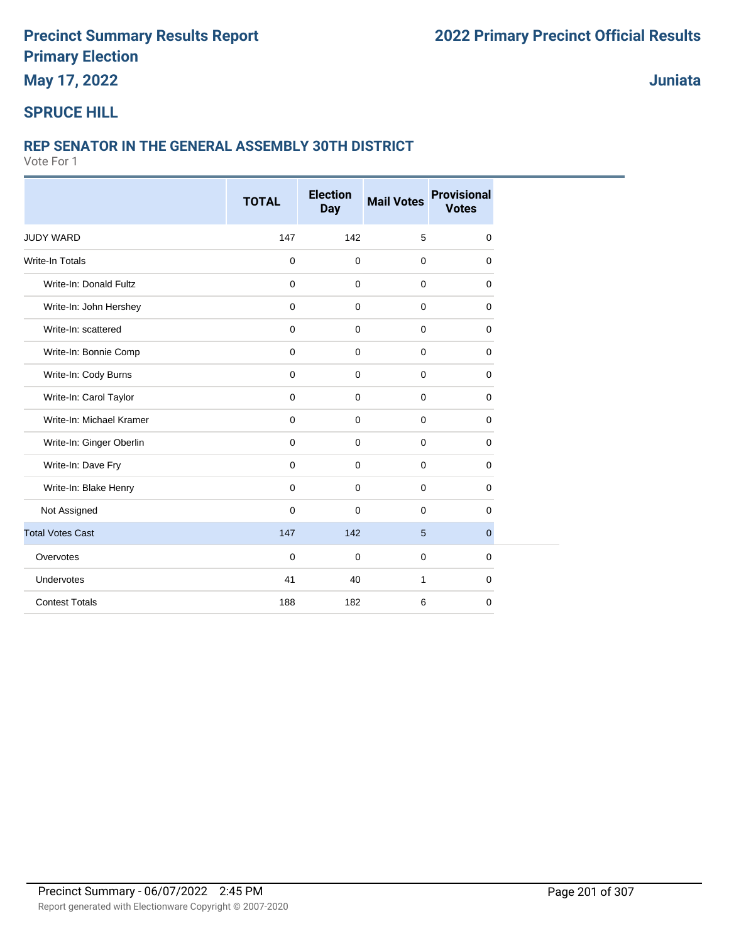**May 17, 2022**

**Juniata**

### **SPRUCE HILL**

#### **REP SENATOR IN THE GENERAL ASSEMBLY 30TH DISTRICT**

|                          | <b>TOTAL</b> | <b>Election</b><br><b>Day</b> | <b>Mail Votes</b> | <b>Provisional</b><br><b>Votes</b> |
|--------------------------|--------------|-------------------------------|-------------------|------------------------------------|
|                          |              |                               |                   |                                    |
| <b>JUDY WARD</b>         | 147          | 142                           | 5                 | 0                                  |
| <b>Write-In Totals</b>   | 0            | $\mathbf 0$                   | $\mathbf 0$       | 0                                  |
| Write-In: Donald Fultz   | 0            | $\mathbf 0$                   | $\mathbf 0$       | 0                                  |
| Write-In: John Hershey   | 0            | $\mathbf 0$                   | $\mathbf 0$       | 0                                  |
| Write-In: scattered      | $\mathbf 0$  | $\mathbf 0$                   | $\mathbf 0$       | 0                                  |
| Write-In: Bonnie Comp    | $\mathbf 0$  | $\mathbf 0$                   | $\mathbf 0$       | 0                                  |
| Write-In: Cody Burns     | $\pmb{0}$    | $\mathbf 0$                   | $\mathbf{0}$      | 0                                  |
| Write-In: Carol Taylor   | $\mathbf 0$  | $\mathbf 0$                   | $\mathbf 0$       | 0                                  |
| Write-In: Michael Kramer | $\mathbf 0$  | $\mathbf 0$                   | $\mathbf 0$       | 0                                  |
| Write-In: Ginger Oberlin | 0            | $\mathbf 0$                   | $\mathbf 0$       | 0                                  |
| Write-In: Dave Fry       | 0            | $\mathbf 0$                   | $\mathbf 0$       | 0                                  |
| Write-In: Blake Henry    | $\mathbf 0$  | $\mathbf 0$                   | $\mathbf 0$       | 0                                  |
| Not Assigned             | $\mathbf 0$  | $\mathbf 0$                   | $\mathbf 0$       | 0                                  |
| <b>Total Votes Cast</b>  | 147          | 142                           | 5                 | $\overline{0}$                     |
| Overvotes                | $\mathbf 0$  | $\mathbf 0$                   | $\mathbf 0$       | 0                                  |
| Undervotes               | 41           | 40                            | $\mathbf{1}$      | 0                                  |
| <b>Contest Totals</b>    | 188          | 182                           | 6                 | 0                                  |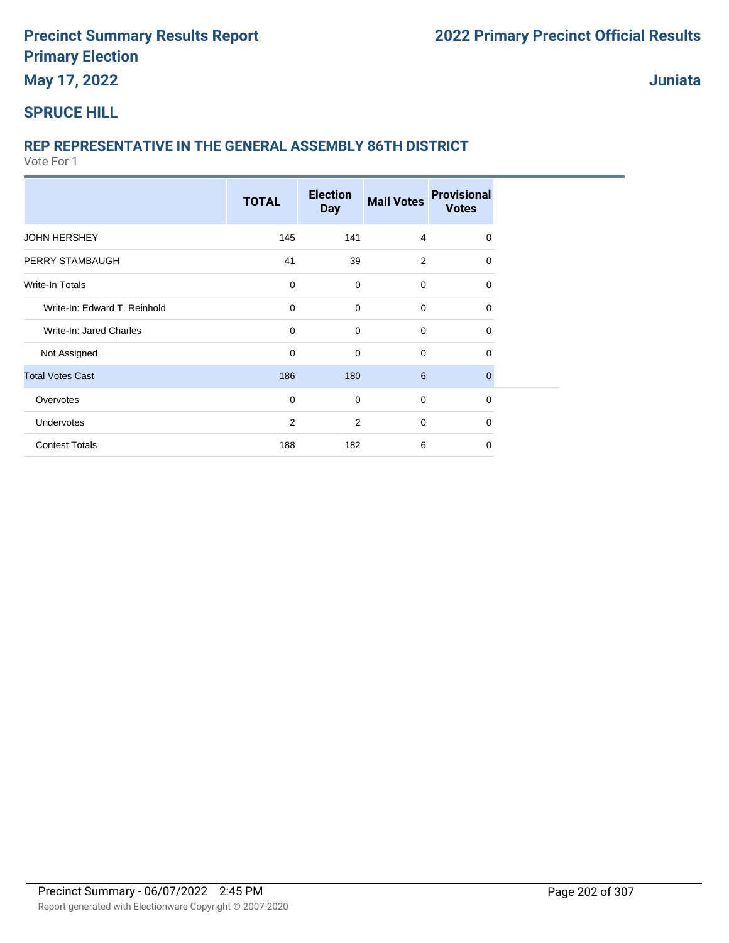# **May 17, 2022**

**Juniata**

#### **SPRUCE HILL**

### **REP REPRESENTATIVE IN THE GENERAL ASSEMBLY 86TH DISTRICT**

|                              | <b>TOTAL</b>   | <b>Election</b><br><b>Day</b> | <b>Mail Votes</b> | <b>Provisional</b><br><b>Votes</b> |
|------------------------------|----------------|-------------------------------|-------------------|------------------------------------|
| <b>JOHN HERSHEY</b>          | 145            | 141                           | 4                 | $\Omega$                           |
| PERRY STAMBAUGH              | 41             | 39                            | $\overline{2}$    | 0                                  |
| Write-In Totals              | $\mathbf 0$    | $\mathbf 0$                   | 0                 | 0                                  |
| Write-In: Edward T. Reinhold | $\mathbf 0$    | $\mathbf 0$                   | $\mathbf 0$       | 0                                  |
| Write-In: Jared Charles      | $\mathbf 0$    | $\mathbf 0$                   | $\mathbf 0$       | 0                                  |
| Not Assigned                 | $\mathbf 0$    | $\mathbf 0$                   | $\mathbf 0$       | $\Omega$                           |
| <b>Total Votes Cast</b>      | 186            | 180                           | $6\phantom{1}$    | 0                                  |
| Overvotes                    | $\mathbf 0$    | $\mathbf 0$                   | $\mathbf 0$       | 0                                  |
| Undervotes                   | $\overline{2}$ | $\overline{2}$                | $\mathbf 0$       | $\Omega$                           |
| <b>Contest Totals</b>        | 188            | 182                           | 6                 | $\Omega$                           |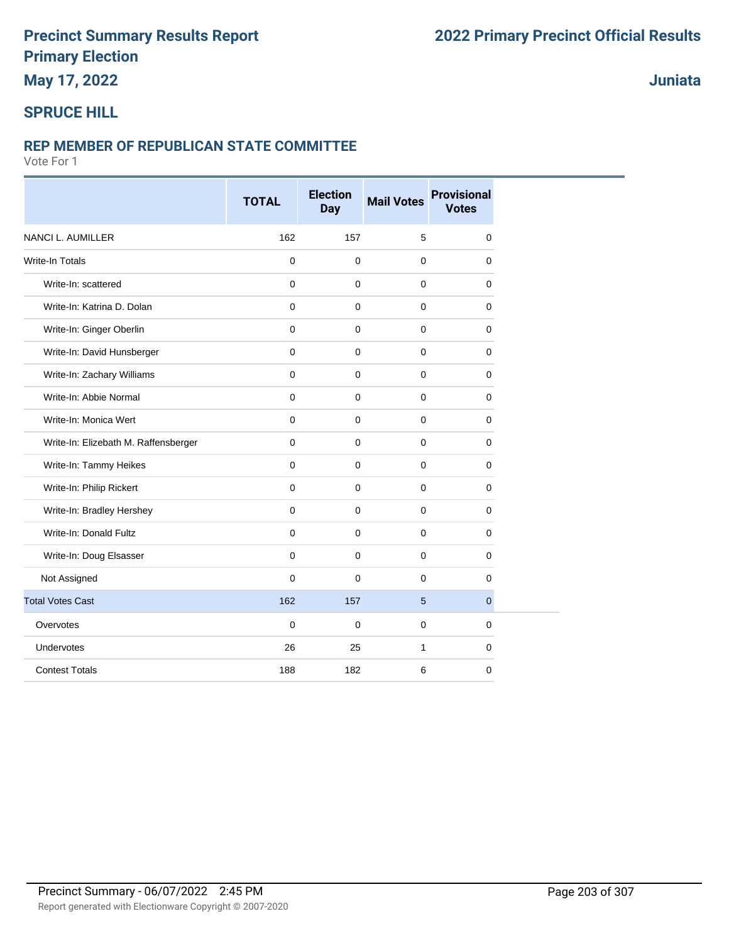### **May 17, 2022**

### **Juniata**

#### **SPRUCE HILL**

#### **REP MEMBER OF REPUBLICAN STATE COMMITTEE**

|                                      | <b>TOTAL</b>        | <b>Election</b><br><b>Day</b> | <b>Mail Votes</b> | <b>Provisional</b><br><b>Votes</b> |
|--------------------------------------|---------------------|-------------------------------|-------------------|------------------------------------|
| NANCI L. AUMILLER                    | 162                 | 157                           | 5                 | 0                                  |
| <b>Write-In Totals</b>               | $\pmb{0}$           | 0                             | 0                 | $\mathbf 0$                        |
| Write-In: scattered                  | $\pmb{0}$           | $\pmb{0}$                     | $\mathbf 0$       | 0                                  |
| Write-In: Katrina D. Dolan           | 0                   | $\mathbf 0$                   | 0                 | 0                                  |
| Write-In: Ginger Oberlin             | $\mathbf 0$         | 0                             | $\pmb{0}$         | 0                                  |
| Write-In: David Hunsberger           | $\mathsf{O}\xspace$ | $\pmb{0}$                     | $\pmb{0}$         | $\mathbf 0$                        |
| Write-In: Zachary Williams           | 0                   | 0                             | 0                 | 0                                  |
| Write-In: Abbie Normal               | $\mathbf 0$         | $\mathbf 0$                   | 0                 | 0                                  |
| Write-In: Monica Wert                | $\mathbf 0$         | $\mathbf 0$                   | $\mathbf 0$       | $\mathbf 0$                        |
| Write-In: Elizebath M. Raffensberger | $\mathbf 0$         | 0                             | 0                 | 0                                  |
| Write-In: Tammy Heikes               | $\mathbf 0$         | $\mathbf 0$                   | 0                 | 0                                  |
| Write-In: Philip Rickert             | $\mathbf 0$         | $\mathbf 0$                   | $\mathbf 0$       | 0                                  |
| Write-In: Bradley Hershey            | $\mathbf 0$         | 0                             | 0                 | $\mathbf 0$                        |
| Write-In: Donald Fultz               | $\mathbf 0$         | $\mathbf 0$                   | 0                 | 0                                  |
| Write-In: Doug Elsasser              | $\mathbf 0$         | 0                             | $\mathbf 0$       | 0                                  |
| Not Assigned                         | $\mathbf 0$         | $\mathbf 0$                   | 0                 | 0                                  |
| <b>Total Votes Cast</b>              | 162                 | 157                           | 5                 | 0                                  |
| Overvotes                            | $\mathbf 0$         | 0                             | 0                 | $\mathbf 0$                        |
| Undervotes                           | 26                  | 25                            | 1                 | 0                                  |
| <b>Contest Totals</b>                | 188                 | 182                           | 6                 | 0                                  |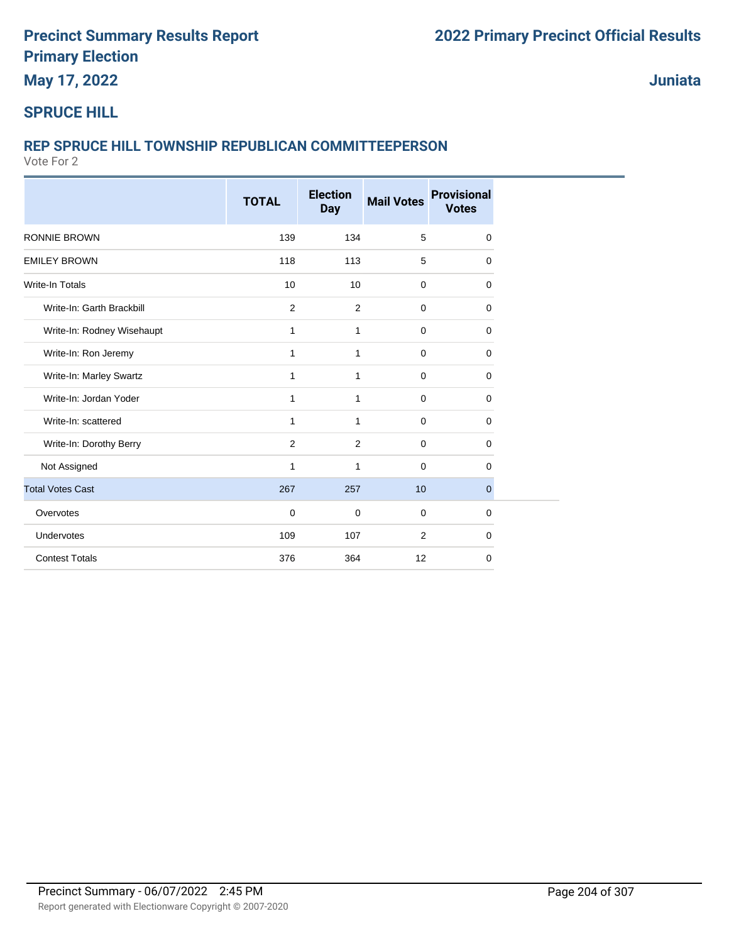**May 17, 2022**

**Juniata**

#### **SPRUCE HILL**

#### **REP SPRUCE HILL TOWNSHIP REPUBLICAN COMMITTEEPERSON**

|                            | <b>TOTAL</b> | <b>Election</b><br><b>Day</b> | <b>Mail Votes</b> | <b>Provisional</b><br><b>Votes</b> |
|----------------------------|--------------|-------------------------------|-------------------|------------------------------------|
| <b>RONNIE BROWN</b>        | 139          | 134                           | 5                 | $\mathbf 0$                        |
| <b>EMILEY BROWN</b>        | 118          | 113                           | 5                 | $\mathbf 0$                        |
| <b>Write-In Totals</b>     | 10           | 10                            | $\mathbf 0$       | $\mathbf 0$                        |
| Write-In: Garth Brackbill  | 2            | 2                             | 0                 | $\Omega$                           |
| Write-In: Rodney Wisehaupt | 1            | 1                             | $\mathbf 0$       | 0                                  |
| Write-In: Ron Jeremy       | $\mathbf{1}$ | $\mathbf{1}$                  | $\mathbf 0$       | $\mathbf 0$                        |
| Write-In: Marley Swartz    | $\mathbf{1}$ | 1                             | $\mathbf 0$       | $\mathbf 0$                        |
| Write-In: Jordan Yoder     | $\mathbf{1}$ | 1                             | $\mathbf 0$       | $\mathbf 0$                        |
| Write-In: scattered        | 1            | $\mathbf{1}$                  | $\mathbf 0$       | 0                                  |
| Write-In: Dorothy Berry    | 2            | 2                             | $\mathbf 0$       | 0                                  |
| Not Assigned               | 1            | 1                             | 0                 | $\Omega$                           |
| <b>Total Votes Cast</b>    | 267          | 257                           | 10                | 0                                  |
| Overvotes                  | $\mathbf 0$  | $\mathbf 0$                   | $\mathbf 0$       | $\mathbf 0$                        |
| Undervotes                 | 109          | 107                           | $\overline{2}$    | $\mathbf 0$                        |
| <b>Contest Totals</b>      | 376          | 364                           | 12                | $\mathbf 0$                        |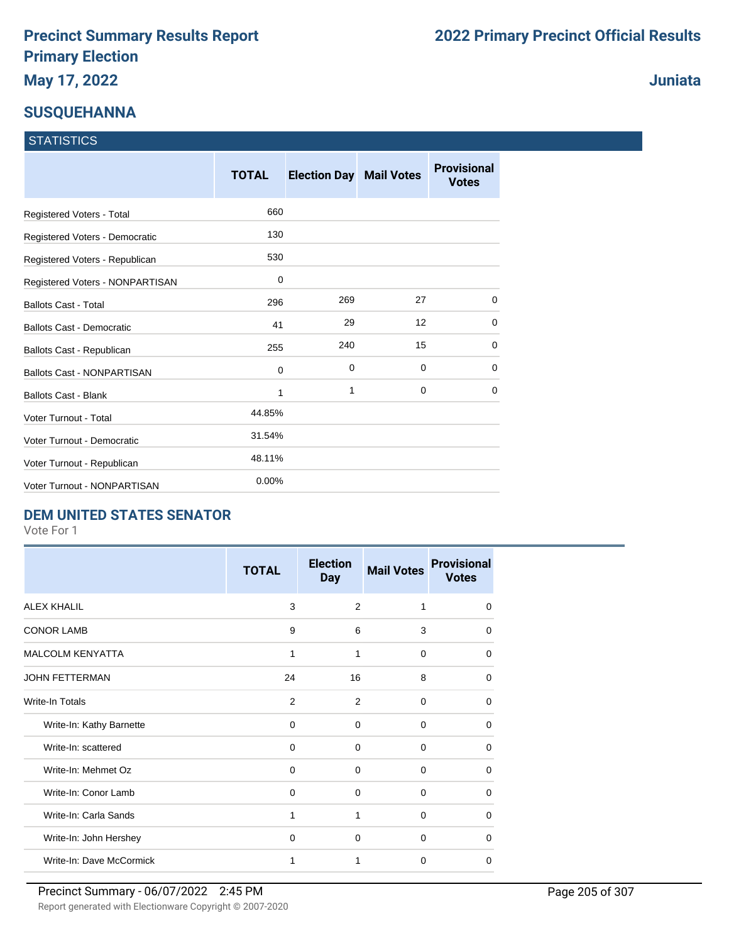#### **SUSQUEHANNA**

| <b>STATISTICS</b> |
|-------------------|
|-------------------|

|                                   | <b>TOTAL</b> | <b>Election Day Mail Votes</b> |    | <b>Provisional</b><br><b>Votes</b> |
|-----------------------------------|--------------|--------------------------------|----|------------------------------------|
| Registered Voters - Total         | 660          |                                |    |                                    |
| Registered Voters - Democratic    | 130          |                                |    |                                    |
| Registered Voters - Republican    | 530          |                                |    |                                    |
| Registered Voters - NONPARTISAN   | 0            |                                |    |                                    |
| <b>Ballots Cast - Total</b>       | 296          | 269                            | 27 | 0                                  |
| Ballots Cast - Democratic         | 41           | 29                             | 12 | 0                                  |
| Ballots Cast - Republican         | 255          | 240                            | 15 | 0                                  |
| <b>Ballots Cast - NONPARTISAN</b> | 0            | 0                              | 0  | 0                                  |
| <b>Ballots Cast - Blank</b>       | 1            | 1                              | 0  | $\Omega$                           |
| <b>Voter Turnout - Total</b>      | 44.85%       |                                |    |                                    |
| Voter Turnout - Democratic        | 31.54%       |                                |    |                                    |
| Voter Turnout - Republican        | 48.11%       |                                |    |                                    |
| Voter Turnout - NONPARTISAN       | 0.00%        |                                |    |                                    |

#### **DEM UNITED STATES SENATOR**

Vote For 1

|                          | <b>TOTAL</b> | <b>Election</b><br><b>Day</b> | <b>Mail Votes</b> | <b>Provisional</b><br><b>Votes</b> |
|--------------------------|--------------|-------------------------------|-------------------|------------------------------------|
| <b>ALEX KHALIL</b>       | 3            | 2                             | 1                 | $\Omega$                           |
| <b>CONOR LAMB</b>        | 9            | 6                             | 3                 | $\Omega$                           |
| <b>MALCOLM KENYATTA</b>  | 1            | 1                             | $\Omega$          | $\Omega$                           |
| <b>JOHN FETTERMAN</b>    | 24           | 16                            | 8                 | 0                                  |
| Write-In Totals          | 2            | 2                             | $\Omega$          | 0                                  |
| Write-In: Kathy Barnette | 0            | 0                             | $\Omega$          | $\Omega$                           |
| Write-In: scattered      | 0            | $\Omega$                      | $\Omega$          | $\Omega$                           |
| Write-In: Mehmet Oz      | $\Omega$     | $\Omega$                      | $\Omega$          | 0                                  |
| Write-In: Conor Lamb     | $\Omega$     | $\Omega$                      | $\Omega$          | $\Omega$                           |
| Write-In: Carla Sands    | 1            | 1                             | $\Omega$          | 0                                  |
| Write-In: John Hershey   | $\Omega$     | $\Omega$                      | $\Omega$          | $\Omega$                           |
| Write-In: Dave McCormick | 1            | 1                             | $\Omega$          | 0                                  |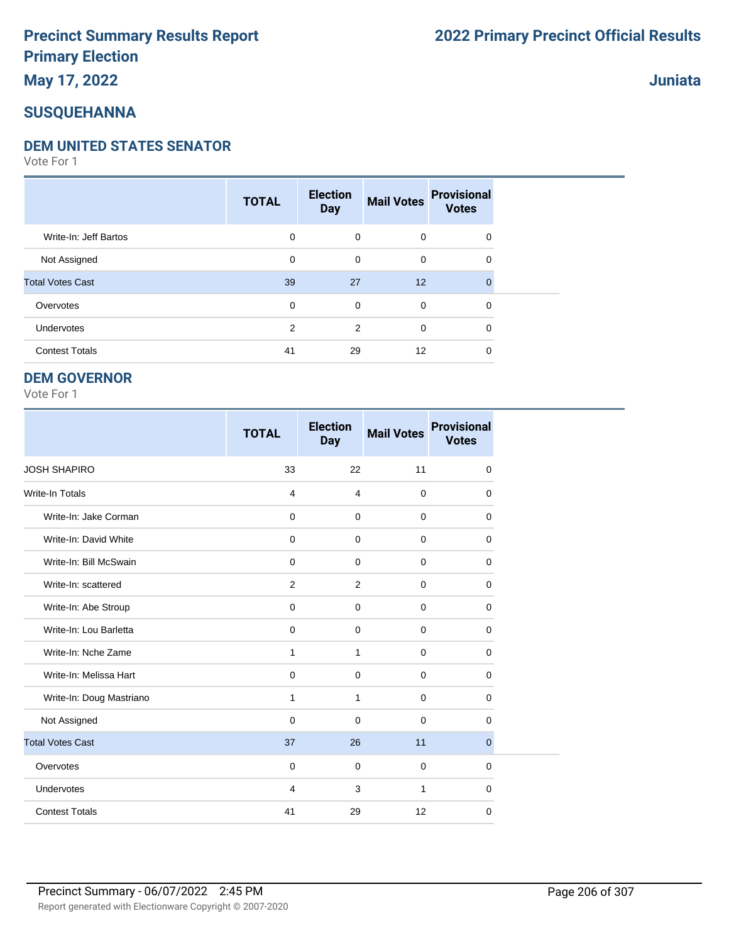### **May 17, 2022**

#### **SUSQUEHANNA**

#### **DEM UNITED STATES SENATOR**

Vote For 1

|                         | <b>TOTAL</b> | <b>Election</b><br><b>Day</b> | <b>Mail Votes</b> | <b>Provisional</b><br><b>Votes</b> |  |
|-------------------------|--------------|-------------------------------|-------------------|------------------------------------|--|
| Write-In: Jeff Bartos   | 0            | $\mathbf 0$                   | $\mathbf 0$       | $\mathbf 0$                        |  |
| Not Assigned            | 0            | $\mathbf 0$                   | $\mathbf 0$       | $\mathbf 0$                        |  |
| <b>Total Votes Cast</b> | 39           | 27                            | 12                | $\Omega$                           |  |
| Overvotes               | 0            | $\mathbf 0$                   | $\mathbf 0$       | $\Omega$                           |  |
| <b>Undervotes</b>       | 2            | 2                             | $\mathbf 0$       | $\Omega$                           |  |
| <b>Contest Totals</b>   | 41           | 29                            | 12                | 0                                  |  |

#### **DEM GOVERNOR**

Vote For 1

|                          | <b>TOTAL</b>   | <b>Election</b><br><b>Day</b> | <b>Mail Votes</b> | <b>Provisional</b><br><b>Votes</b> |
|--------------------------|----------------|-------------------------------|-------------------|------------------------------------|
| <b>JOSH SHAPIRO</b>      | 33             | 22                            | 11                | $\mathbf 0$                        |
| <b>Write-In Totals</b>   | $\overline{4}$ | $\overline{4}$                | $\mathbf 0$       | 0                                  |
| Write-In: Jake Corman    | $\mathbf 0$    | $\mathbf 0$                   | $\mathbf 0$       | $\mathbf 0$                        |
| Write-In: David White    | $\mathbf 0$    | $\Omega$                      | $\mathbf 0$       | 0                                  |
| Write-In: Bill McSwain   | $\mathbf 0$    | $\Omega$                      | $\mathbf 0$       | 0                                  |
| Write-In: scattered      | 2              | 2                             | $\mathbf 0$       | 0                                  |
| Write-In: Abe Stroup     | $\mathbf 0$    | $\mathbf 0$                   | $\mathbf 0$       | $\mathbf 0$                        |
| Write-In: Lou Barletta   | $\mathbf 0$    | $\mathbf 0$                   | $\mathbf 0$       | 0                                  |
| Write-In: Nche Zame      | 1              | 1                             | $\mathbf 0$       | $\mathbf 0$                        |
| Write-In: Melissa Hart   | $\mathbf 0$    | $\pmb{0}$                     | $\mathbf 0$       | $\mathbf 0$                        |
| Write-In: Doug Mastriano | $\mathbf{1}$   | 1                             | $\mathbf 0$       | $\Omega$                           |
| Not Assigned             | $\mathbf 0$    | $\mathbf 0$                   | $\mathbf 0$       | 0                                  |
| <b>Total Votes Cast</b>  | 37             | 26                            | 11                | $\overline{0}$                     |
| Overvotes                | $\mathbf 0$    | $\mathbf 0$                   | $\mathbf 0$       | 0                                  |
| Undervotes               | $\overline{4}$ | 3                             | $\mathbf{1}$      | $\mathbf 0$                        |
| <b>Contest Totals</b>    | 41             | 29                            | 12                | $\mathbf 0$                        |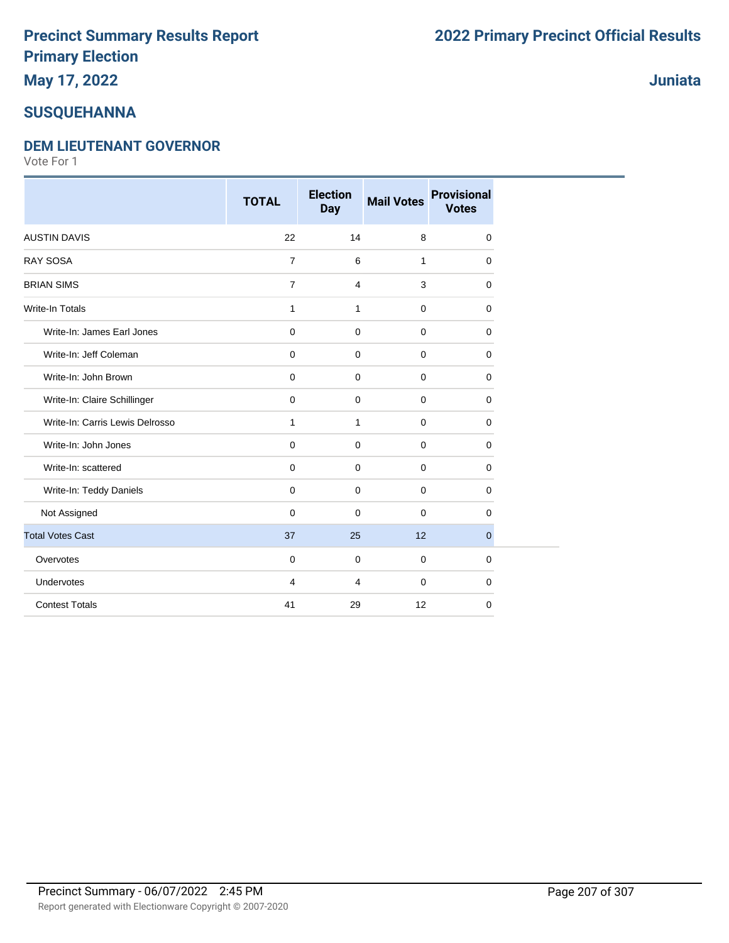# **May 17, 2022**

### **SUSQUEHANNA**

#### **DEM LIEUTENANT GOVERNOR**

Vote For 1

|                                 | <b>TOTAL</b>        | <b>Election</b><br><b>Day</b> | <b>Mail Votes</b> | <b>Provisional</b><br><b>Votes</b> |
|---------------------------------|---------------------|-------------------------------|-------------------|------------------------------------|
| <b>AUSTIN DAVIS</b>             | 22                  | 14                            | 8                 | $\mathbf 0$                        |
| <b>RAY SOSA</b>                 | $\overline{7}$      | 6                             | $\mathbf{1}$      | $\mathbf 0$                        |
| <b>BRIAN SIMS</b>               | $\overline{7}$      | $\overline{4}$                | 3                 | $\Omega$                           |
| <b>Write-In Totals</b>          | $\mathbf{1}$        | $\mathbf{1}$                  | $\mathbf 0$       | $\mathbf 0$                        |
| Write-In: James Earl Jones      | $\mathbf 0$         | $\mathbf 0$                   | $\mathbf 0$       | $\Omega$                           |
| Write-In: Jeff Coleman          | $\mathsf{O}\xspace$ | $\mathbf 0$                   | $\mathbf 0$       | $\mathbf 0$                        |
| Write-In: John Brown            | $\pmb{0}$           | $\mathbf 0$                   | $\mathbf 0$       | $\mathbf 0$                        |
| Write-In: Claire Schillinger    | $\mathbf 0$         | $\mathbf 0$                   | $\mathbf 0$       | $\mathbf 0$                        |
| Write-In: Carris Lewis Delrosso | 1                   | $\mathbf{1}$                  | 0                 | 0                                  |
| Write-In: John Jones            | $\mathbf 0$         | 0                             | $\mathbf 0$       | 0                                  |
| Write-In: scattered             | $\mathbf 0$         | $\mathbf 0$                   | 0                 | $\mathbf 0$                        |
| Write-In: Teddy Daniels         | $\mathbf 0$         | $\mathbf 0$                   | $\mathbf 0$       | $\mathbf 0$                        |
| Not Assigned                    | $\mathbf 0$         | $\mathbf 0$                   | $\mathbf 0$       | $\mathbf 0$                        |
| <b>Total Votes Cast</b>         | 37                  | 25                            | 12                | $\overline{0}$                     |
| Overvotes                       | $\mathbf 0$         | $\mathbf 0$                   | $\mathbf 0$       | $\mathbf 0$                        |
| Undervotes                      | $\overline{4}$      | $\overline{4}$                | $\mathbf 0$       | $\mathbf 0$                        |
| <b>Contest Totals</b>           | 41                  | 29                            | 12                | $\mathbf 0$                        |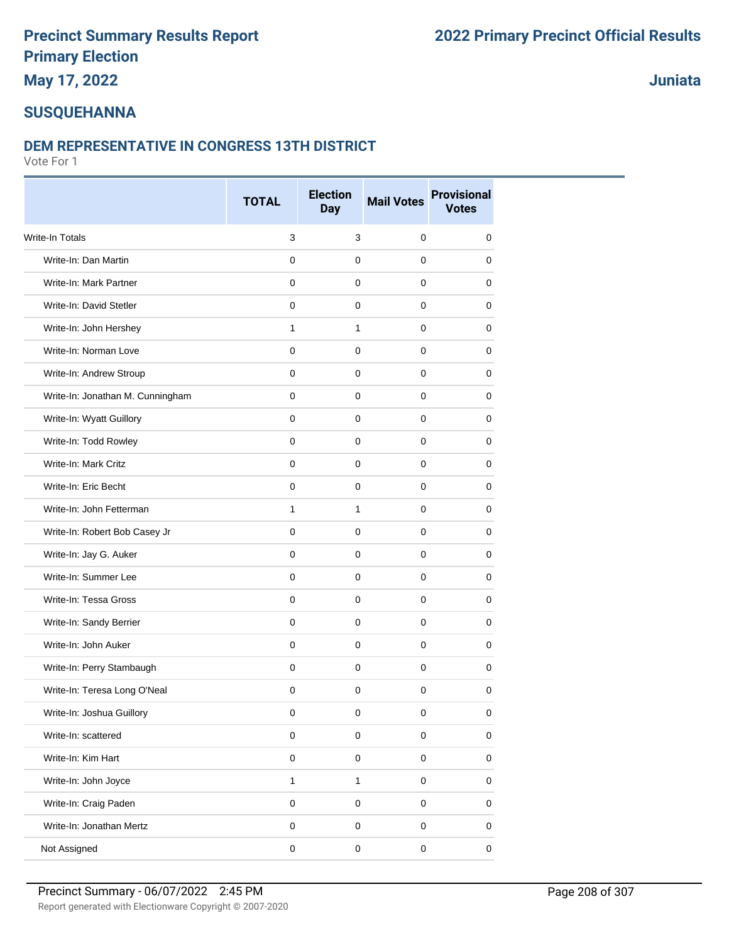### **May 17, 2022**

**Juniata**

### **SUSQUEHANNA**

#### **DEM REPRESENTATIVE IN CONGRESS 13TH DISTRICT**

|                                  | <b>TOTAL</b>        | <b>Election</b><br><b>Day</b> | <b>Mail Votes</b> | <b>Provisional</b><br><b>Votes</b> |
|----------------------------------|---------------------|-------------------------------|-------------------|------------------------------------|
| <b>Write-In Totals</b>           | 3                   | 3                             | $\mathbf 0$       | 0                                  |
| Write-In: Dan Martin             | $\mathbf 0$         | $\mathbf 0$                   | $\mathbf 0$       | 0                                  |
| Write-In: Mark Partner           | 0                   | 0                             | 0                 | 0                                  |
| Write-In: David Stetler          | 0                   | 0                             | 0                 | 0                                  |
| Write-In: John Hershey           | 1                   | 1                             | $\pmb{0}$         | 0                                  |
| Write-In: Norman Love            | 0                   | $\mathbf 0$                   | 0                 | 0                                  |
| Write-In: Andrew Stroup          | 0                   | 0                             | 0                 | 0                                  |
| Write-In: Jonathan M. Cunningham | 0                   | $\mathbf 0$                   | $\mathbf 0$       | 0                                  |
| Write-In: Wyatt Guillory         | $\mathbf 0$         | $\mathbf 0$                   | 0                 | 0                                  |
| Write-In: Todd Rowley            | 0                   | 0                             | 0                 | 0                                  |
| Write-In: Mark Critz             | 0                   | $\mathbf 0$                   | $\pmb{0}$         | 0                                  |
| Write-In: Eric Becht             | 0                   | 0                             | 0                 | 0                                  |
| Write-In: John Fetterman         | 1                   | $\mathbf{1}$                  | 0                 | 0                                  |
| Write-In: Robert Bob Casey Jr    | $\mathsf 0$         | $\mathsf{O}\xspace$           | $\mathbf 0$       | $\mathbf 0$                        |
| Write-In: Jay G. Auker           | 0                   | 0                             | 0                 | 0                                  |
| Write-In: Summer Lee             | 0                   | 0                             | 0                 | 0                                  |
| Write-In: Tessa Gross            | 0                   | 0                             | $\pmb{0}$         | 0                                  |
| Write-In: Sandy Berrier          | 0                   | $\mathbf 0$                   | 0                 | 0                                  |
| Write-In: John Auker             | 0                   | 0                             | 0                 | 0                                  |
| Write-In: Perry Stambaugh        | 0                   | $\mathbf 0$                   | $\mathbf 0$       | 0                                  |
| Write-In: Teresa Long O'Neal     | 0                   | 0                             | 0                 | 0                                  |
| Write-In: Joshua Guillory        | 0                   | 0                             | 0                 | 0                                  |
| Write-In: scattered              | $\mathsf{O}\xspace$ | $\mathsf 0$                   | $\mathsf 0$       | 0                                  |
| Write-In: Kim Hart               | $\pmb{0}$           | $\mathbf 0$                   | $\pmb{0}$         | $\mathsf 0$                        |
| Write-In: John Joyce             | $\mathbf{1}$        | $\mathbf{1}$                  | $\mathsf 0$       | 0                                  |
| Write-In: Craig Paden            | $\mathbf 0$         | $\mathbf 0$                   | $\mathsf 0$       | 0                                  |
| Write-In: Jonathan Mertz         | $\mathbf 0$         | $\mathbf 0$                   | $\mathbf 0$       | $\mathsf 0$                        |
| Not Assigned                     | 0                   | 0                             | $\mathsf 0$       | 0                                  |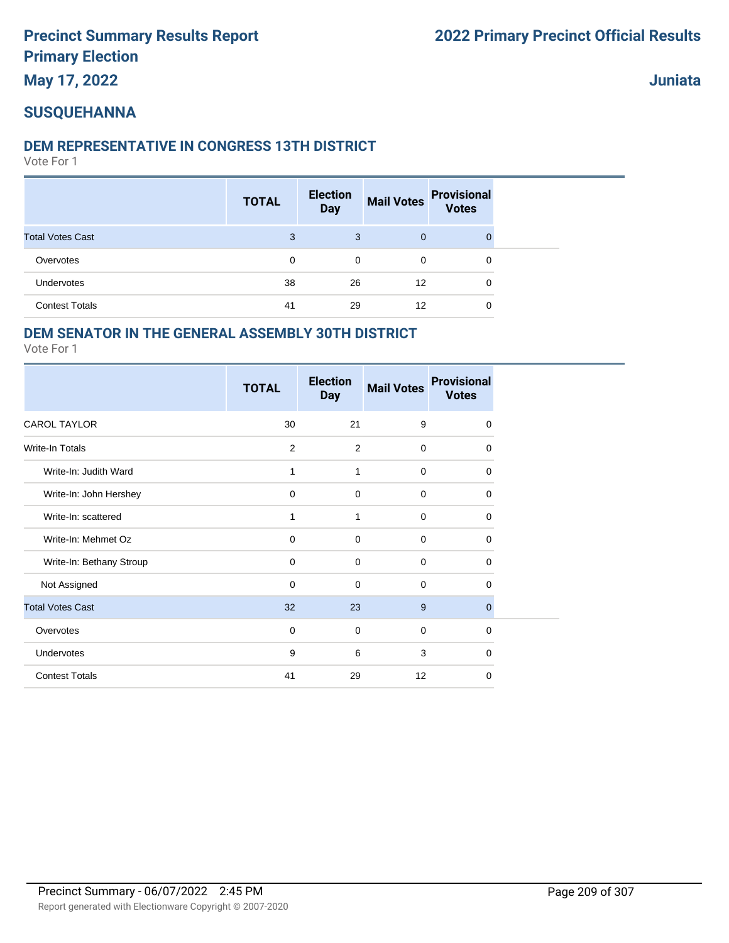**May 17, 2022**

**Juniata**

#### **SUSQUEHANNA**

#### **DEM REPRESENTATIVE IN CONGRESS 13TH DISTRICT**

Vote For 1

|                         | <b>TOTAL</b> | <b>Election</b><br><b>Day</b> | <b>Mail Votes</b> | <b>Provisional</b><br><b>Votes</b> |
|-------------------------|--------------|-------------------------------|-------------------|------------------------------------|
| <b>Total Votes Cast</b> | 3            | 3                             | $\mathbf{0}$      | $\Omega$                           |
| Overvotes               | 0            | 0                             | 0                 | 0                                  |
| Undervotes              | 38           | 26                            | 12                | 0                                  |
| <b>Contest Totals</b>   | 41           | 29                            | 12                | 0                                  |

#### **DEM SENATOR IN THE GENERAL ASSEMBLY 30TH DISTRICT**

|                          | <b>TOTAL</b> | <b>Election</b><br><b>Day</b> | <b>Mail Votes</b> | <b>Provisional</b><br><b>Votes</b> |
|--------------------------|--------------|-------------------------------|-------------------|------------------------------------|
| <b>CAROL TAYLOR</b>      | 30           | 21                            | 9                 | 0                                  |
| Write-In Totals          | 2            | $\overline{2}$                | $\mathbf 0$       | $\Omega$                           |
| Write-In: Judith Ward    | 1            | 1                             | $\mathbf 0$       | 0                                  |
| Write-In: John Hershey   | $\mathbf 0$  | $\mathbf 0$                   | $\mathbf 0$       | 0                                  |
| Write-In: scattered      | 1            | 1                             | $\Omega$          | 0                                  |
| Write-In: Mehmet Oz      | $\mathbf 0$  | $\mathbf 0$                   | $\mathbf 0$       | $\Omega$                           |
| Write-In: Bethany Stroup | 0            | 0                             | $\mathbf 0$       | 0                                  |
| Not Assigned             | $\mathbf 0$  | $\mathbf 0$                   | $\Omega$          | $\Omega$                           |
| <b>Total Votes Cast</b>  | 32           | 23                            | 9                 | $\mathbf 0$                        |
| Overvotes                | 0            | 0                             | $\mathbf 0$       | 0                                  |
| Undervotes               | 9            | 6                             | 3                 | $\Omega$                           |
| <b>Contest Totals</b>    | 41           | 29                            | 12                | 0                                  |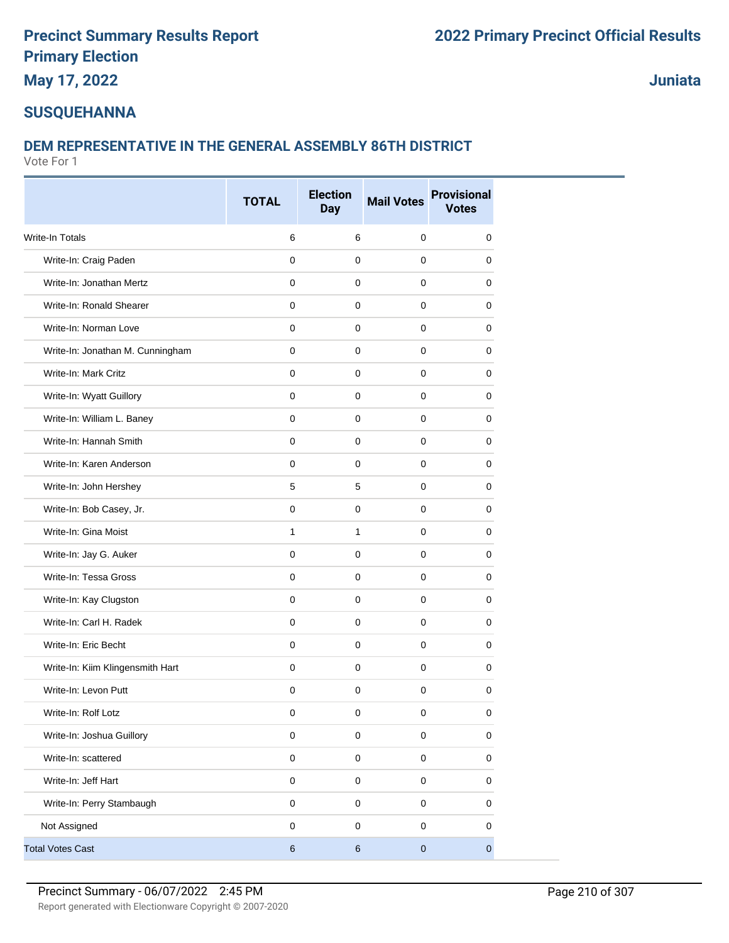**May 17, 2022**

**Juniata**

#### **SUSQUEHANNA**

#### **DEM REPRESENTATIVE IN THE GENERAL ASSEMBLY 86TH DISTRICT**

|                                  | <b>TOTAL</b> | <b>Election</b><br><b>Day</b> | <b>Mail Votes</b> | <b>Provisional</b><br><b>Votes</b> |
|----------------------------------|--------------|-------------------------------|-------------------|------------------------------------|
| Write-In Totals                  | $\,6$        | 6                             | $\pmb{0}$         | 0                                  |
| Write-In: Craig Paden            | $\mathbf 0$  | $\mathbf 0$                   | $\mathbf 0$       | 0                                  |
| Write-In: Jonathan Mertz         | 0            | 0                             | $\mathbf 0$       | 0                                  |
| Write-In: Ronald Shearer         | $\mathbf 0$  | $\mathbf 0$                   | $\mathbf 0$       | 0                                  |
| Write-In: Norman Love            | $\mathbf 0$  | $\mathbf 0$                   | $\mathbf 0$       | 0                                  |
| Write-In: Jonathan M. Cunningham | $\mathbf 0$  | $\pmb{0}$                     | $\mathbf 0$       | 0                                  |
| Write-In: Mark Critz             | $\mathbf 0$  | $\mathbf 0$                   | $\mathbf 0$       | 0                                  |
| Write-In: Wyatt Guillory         | $\mathbf 0$  | $\mathbf 0$                   | $\mathbf 0$       | 0                                  |
| Write-In: William L. Baney       | $\mathbf 0$  | 0                             | $\mathbf 0$       | 0                                  |
| Write-In: Hannah Smith           | $\mathbf 0$  | $\mathbf 0$                   | $\mathbf 0$       | 0                                  |
| Write-In: Karen Anderson         | $\mathbf 0$  | $\mathbf 0$                   | $\mathbf 0$       | 0                                  |
| Write-In: John Hershey           | 5            | 5                             | $\mathbf 0$       | 0                                  |
| Write-In: Bob Casey, Jr.         | $\mathbf 0$  | $\mathbf 0$                   | $\mathbf 0$       | 0                                  |
| Write-In: Gina Moist             | $\mathbf{1}$ | $\mathbf{1}$                  | $\mathbf{0}$      | 0                                  |
| Write-In: Jay G. Auker           | 0            | $\mathbf 0$                   | 0                 | 0                                  |
| Write-In: Tessa Gross            | $\mathbf 0$  | 0                             | 0                 | 0                                  |
| Write-In: Kay Clugston           | $\mathbf 0$  | $\mathbf 0$                   | $\mathbf 0$       | 0                                  |
| Write-In: Carl H. Radek          | $\mathbf 0$  | $\mathbf 0$                   | $\mathbf 0$       | 0                                  |
| Write-In: Eric Becht             | $\mathbf 0$  | $\mathbf 0$                   | $\mathbf 0$       | 0                                  |
| Write-In: Kiim Klingensmith Hart | $\mathbf 0$  | $\mathbf 0$                   | $\mathbf 0$       | 0                                  |
| Write-In: Levon Putt             | $\mathbf 0$  | 0                             | $\mathbf 0$       | 0                                  |
| Write-In: Rolf Lotz              | 0            | 0                             | 0                 | 0                                  |
| Write-In: Joshua Guillory        | $\mathsf 0$  | $\mathbf 0$                   | $\mathsf 0$       | $\mathbf 0$                        |
| Write-In: scattered              | $\mathsf 0$  | $\pmb{0}$                     | $\mathsf 0$       | 0                                  |
| Write-In: Jeff Hart              | $\pmb{0}$    | $\mathsf{O}\xspace$           | $\mathbf 0$       | $\pmb{0}$                          |
| Write-In: Perry Stambaugh        | $\mathsf 0$  | $\mathsf 0$                   | $\mathsf 0$       | 0                                  |
| Not Assigned                     | $\pmb{0}$    | $\pmb{0}$                     | $\mathbf 0$       | 0                                  |
| <b>Total Votes Cast</b>          | $\,6$        | $\,6\,$                       | $\mathbf 0$       | $\overline{0}$                     |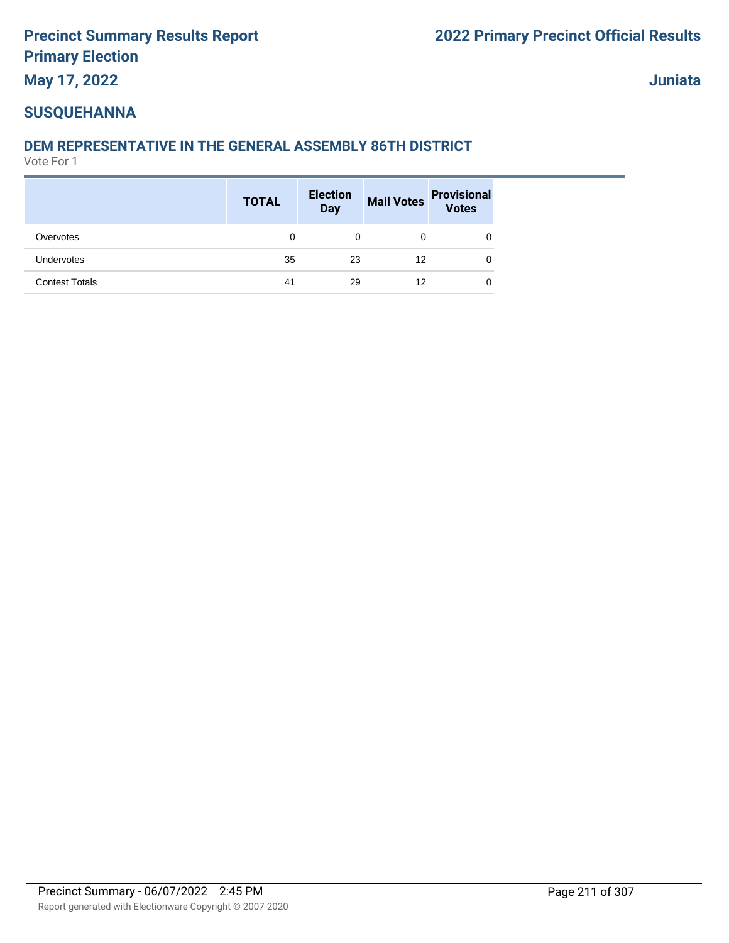### **May 17, 2022**

**Juniata**

### **SUSQUEHANNA**

### **DEM REPRESENTATIVE IN THE GENERAL ASSEMBLY 86TH DISTRICT**

|                       | <b>TOTAL</b> | <b>Election</b><br>Day |    | Mail Votes Provisional<br>Votes |
|-----------------------|--------------|------------------------|----|---------------------------------|
| Overvotes             | 0            | 0                      | 0  | 0                               |
| Undervotes            | 35           | 23                     | 12 | 0                               |
| <b>Contest Totals</b> | 41           | 29                     | 12 | 0                               |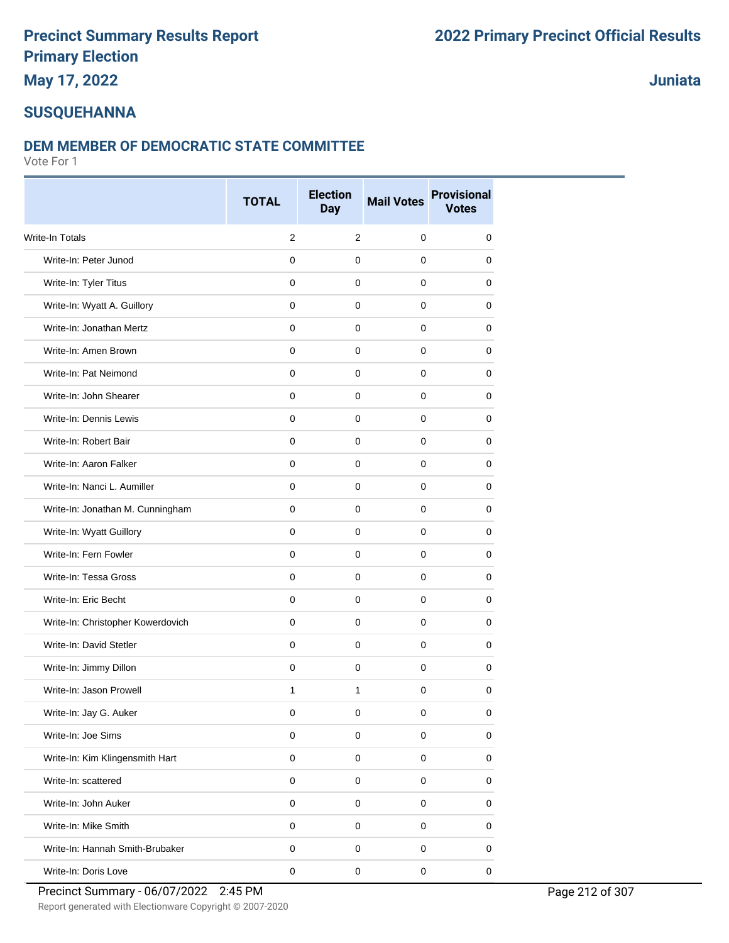#### **May 17, 2022**

#### **Juniata**

### **SUSQUEHANNA**

#### **DEM MEMBER OF DEMOCRATIC STATE COMMITTEE**

|                                   | <b>TOTAL</b> | <b>Election</b><br><b>Day</b> | <b>Mail Votes</b> | <b>Provisional</b><br><b>Votes</b> |
|-----------------------------------|--------------|-------------------------------|-------------------|------------------------------------|
| <b>Write-In Totals</b>            | 2            | 2                             | $\mathbf 0$       | 0                                  |
| Write-In: Peter Junod             | $\mathbf 0$  | $\mathbf 0$                   | $\mathbf 0$       | 0                                  |
| Write-In: Tyler Titus             | 0            | 0                             | 0                 | 0                                  |
| Write-In: Wyatt A. Guillory       | $\mathbf 0$  | $\mathbf 0$                   | $\mathbf 0$       | 0                                  |
| Write-In: Jonathan Mertz          | $\mathbf 0$  | $\mathbf 0$                   | $\mathbf 0$       | 0                                  |
| Write-In: Amen Brown              | $\mathbf 0$  | $\mathbf 0$                   | $\mathbf 0$       | 0                                  |
| Write-In: Pat Neimond             | $\mathbf 0$  | $\mathbf 0$                   | $\mathbf 0$       | 0                                  |
| Write-In: John Shearer            | $\mathbf 0$  | $\mathbf 0$                   | $\mathbf 0$       | 0                                  |
| Write-In: Dennis Lewis            | $\mathbf 0$  | 0                             | 0                 | 0                                  |
| Write-In: Robert Bair             | 0            | 0                             | 0                 | 0                                  |
| Write-In: Aaron Falker            | $\mathbf 0$  | $\mathbf 0$                   | $\mathbf 0$       | 0                                  |
| Write-In: Nanci L. Aumiller       | $\mathbf 0$  | $\mathbf 0$                   | $\mathbf 0$       | 0                                  |
| Write-In: Jonathan M. Cunningham  | $\mathbf 0$  | $\mathbf 0$                   | $\mathbf 0$       | 0                                  |
| Write-In: Wyatt Guillory          | $\mathbf 0$  | $\mathbf 0$                   | $\mathbf 0$       | 0                                  |
| Write-In: Fern Fowler             | $\mathbf 0$  | 0                             | 0                 | 0                                  |
| Write-In: Tessa Gross             | 0            | $\mathbf 0$                   | 0                 | 0                                  |
| Write-In: Eric Becht              | $\mathbf 0$  | $\mathbf 0$                   | $\mathbf 0$       | 0                                  |
| Write-In: Christopher Kowerdovich | $\mathbf 0$  | $\mathbf 0$                   | $\mathbf 0$       | 0                                  |
| Write-In: David Stetler           | $\mathbf 0$  | $\mathbf 0$                   | $\mathbf 0$       | 0                                  |
| Write-In: Jimmy Dillon            | $\mathbf 0$  | $\mathbf 0$                   | $\mathbf 0$       | 0                                  |
| Write-In: Jason Prowell           | $\mathbf{1}$ | $\mathbf{1}$                  | $\mathbf 0$       | 0                                  |
| Write-In: Jay G. Auker            | 0            | $\mathbf 0$                   | 0                 | 0                                  |
| Write-In: Joe Sims                | $\mathsf 0$  | $\pmb{0}$                     | $\mathsf 0$       | 0                                  |
| Write-In: Kim Klingensmith Hart   | $\pmb{0}$    | $\pmb{0}$                     | $\mathsf 0$       | $\pmb{0}$                          |
| Write-In: scattered               | $\mathbf 0$  | $\mathbf 0$                   | $\mathbf 0$       | $\pmb{0}$                          |
| Write-In: John Auker              | $\mathsf 0$  | $\pmb{0}$                     | $\mathsf 0$       | 0                                  |
| Write-In: Mike Smith              | $\pmb{0}$    | $\pmb{0}$                     | $\mathsf 0$       | 0                                  |
| Write-In: Hannah Smith-Brubaker   | $\pmb{0}$    | $\pmb{0}$                     | $\mathsf 0$       | 0                                  |
| Write-In: Doris Love              | $\pmb{0}$    | $\pmb{0}$                     | $\mathsf 0$       | $\pmb{0}$                          |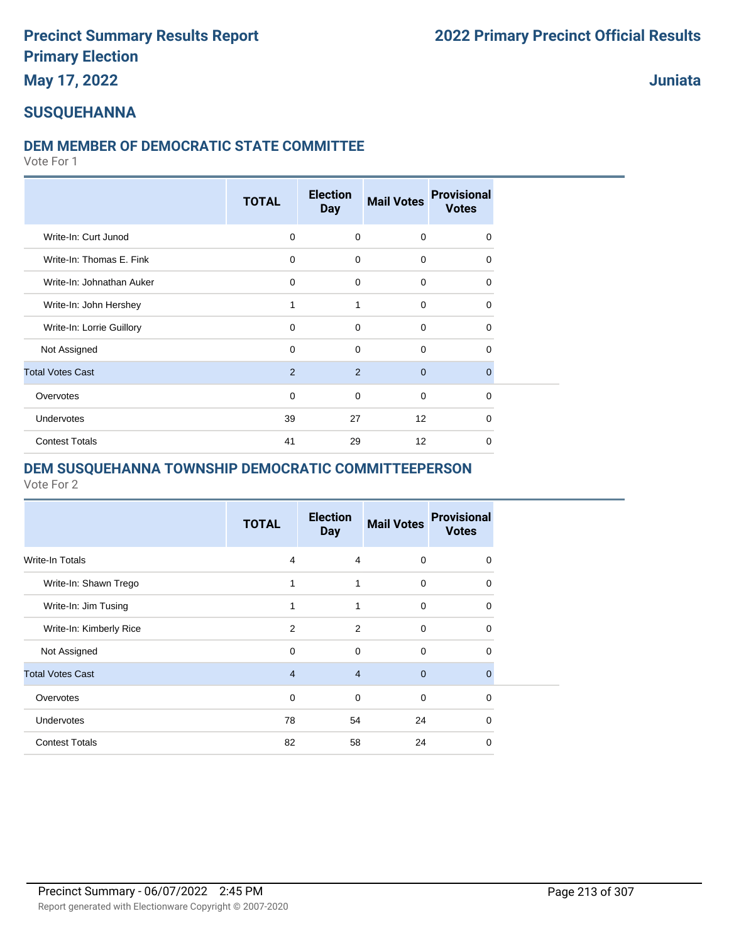**May 17, 2022**

#### **Juniata**

#### **SUSQUEHANNA**

#### **DEM MEMBER OF DEMOCRATIC STATE COMMITTEE**

Vote For 1

|                           | <b>TOTAL</b>   | <b>Election</b><br><b>Day</b> | <b>Mail Votes</b> | <b>Provisional</b><br><b>Votes</b> |
|---------------------------|----------------|-------------------------------|-------------------|------------------------------------|
| Write-In: Curt Junod      | 0              | $\mathbf 0$                   | $\mathbf 0$       | 0                                  |
| Write-In: Thomas E. Fink  | $\mathbf 0$    | $\mathbf 0$                   | $\mathbf 0$       | 0                                  |
| Write-In: Johnathan Auker | $\mathbf 0$    | $\mathbf 0$                   | $\mathbf 0$       | 0                                  |
| Write-In: John Hershey    | 1              | 1                             | $\mathbf 0$       | 0                                  |
| Write-In: Lorrie Guillory | $\Omega$       | $\mathbf 0$                   | 0                 | 0                                  |
| Not Assigned              | $\mathbf 0$    | $\mathbf 0$                   | 0                 | 0                                  |
| <b>Total Votes Cast</b>   | $\overline{2}$ | 2                             | $\mathbf 0$       | 0                                  |
| Overvotes                 | 0              | $\mathbf 0$                   | $\mathbf 0$       | 0                                  |
| Undervotes                | 39             | 27                            | 12                | 0                                  |
| <b>Contest Totals</b>     | 41             | 29                            | 12                | 0                                  |

#### **DEM SUSQUEHANNA TOWNSHIP DEMOCRATIC COMMITTEEPERSON**

|                         | <b>TOTAL</b>   | <b>Election</b><br><b>Day</b> | <b>Mail Votes</b> | <b>Provisional</b><br><b>Votes</b> |
|-------------------------|----------------|-------------------------------|-------------------|------------------------------------|
| Write-In Totals         | 4              | $\overline{4}$                | 0                 | 0                                  |
| Write-In: Shawn Trego   | 1              | 1                             | 0                 | 0                                  |
| Write-In: Jim Tusing    | 1              | 1                             | $\mathbf 0$       | 0                                  |
| Write-In: Kimberly Rice | 2              | 2                             | $\Omega$          | $\Omega$                           |
| Not Assigned            | 0              | $\Omega$                      | $\mathbf 0$       | 0                                  |
| <b>Total Votes Cast</b> | $\overline{4}$ | $\overline{4}$                | $\mathbf{0}$      | $\Omega$                           |
| Overvotes               | $\Omega$       | $\Omega$                      | $\Omega$          | $\Omega$                           |
| <b>Undervotes</b>       | 78             | 54                            | 24                | $\Omega$                           |
| <b>Contest Totals</b>   | 82             | 58                            | 24                | $\Omega$                           |
|                         |                |                               |                   |                                    |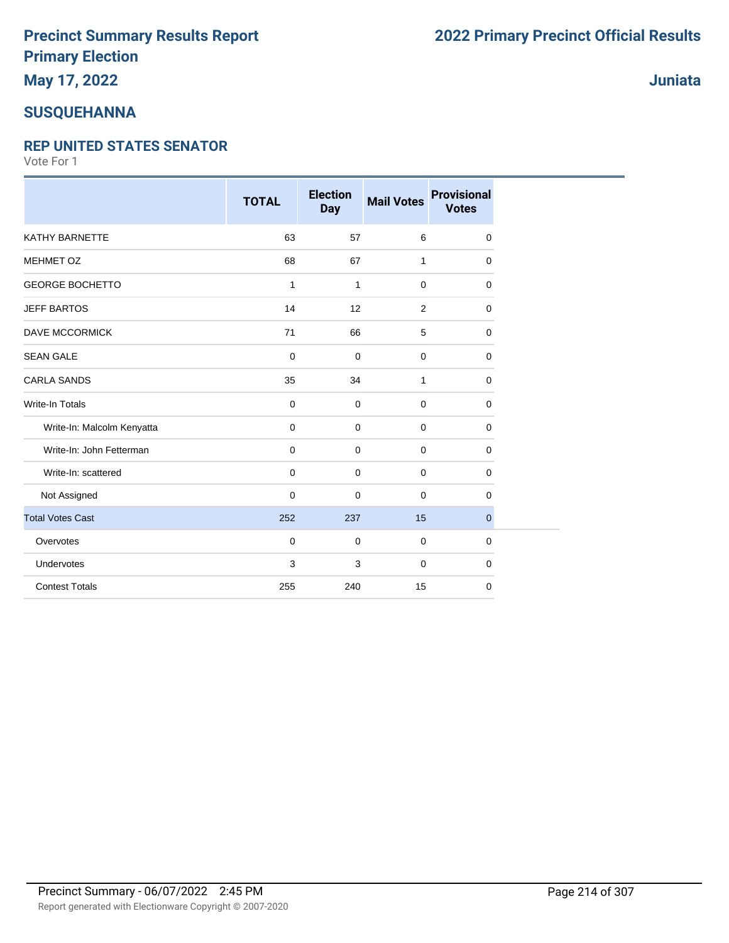# **May 17, 2022**

#### **SUSQUEHANNA**

#### **REP UNITED STATES SENATOR**

|                            | <b>TOTAL</b> | <b>Election</b><br><b>Day</b> | <b>Mail Votes</b> | <b>Provisional</b><br><b>Votes</b> |
|----------------------------|--------------|-------------------------------|-------------------|------------------------------------|
| KATHY BARNETTE             | 63           | 57                            | 6                 | $\mathbf 0$                        |
| MEHMET OZ                  | 68           | 67                            | 1                 | $\mathbf 0$                        |
| <b>GEORGE BOCHETTO</b>     | 1            | 1                             | $\mathbf 0$       | $\Omega$                           |
| <b>JEFF BARTOS</b>         | 14           | 12                            | 2                 | $\mathbf 0$                        |
| DAVE MCCORMICK             | 71           | 66                            | 5                 | $\mathbf 0$                        |
| <b>SEAN GALE</b>           | $\mathbf 0$  | $\mathbf 0$                   | $\mathbf 0$       | $\mathbf 0$                        |
| <b>CARLA SANDS</b>         | 35           | 34                            | 1                 | $\mathbf 0$                        |
| <b>Write-In Totals</b>     | 0            | $\mathbf 0$                   | $\mathbf 0$       | 0                                  |
| Write-In: Malcolm Kenyatta | 0            | $\mathbf 0$                   | $\mathbf 0$       | $\mathbf 0$                        |
| Write-In: John Fetterman   | $\mathbf 0$  | $\mathbf 0$                   | $\mathbf 0$       | $\mathbf 0$                        |
| Write-In: scattered        | $\mathbf 0$  | $\mathbf 0$                   | $\mathbf 0$       | $\mathbf 0$                        |
| Not Assigned               | 0            | 0                             | $\mathbf 0$       | $\mathbf 0$                        |
| <b>Total Votes Cast</b>    | 252          | 237                           | 15                | $\mathbf{0}$                       |
| Overvotes                  | $\mathbf 0$  | $\mathbf 0$                   | $\mathbf 0$       | $\mathbf 0$                        |
| Undervotes                 | 3            | 3                             | $\mathbf 0$       | $\mathbf 0$                        |
| <b>Contest Totals</b>      | 255          | 240                           | 15                | 0                                  |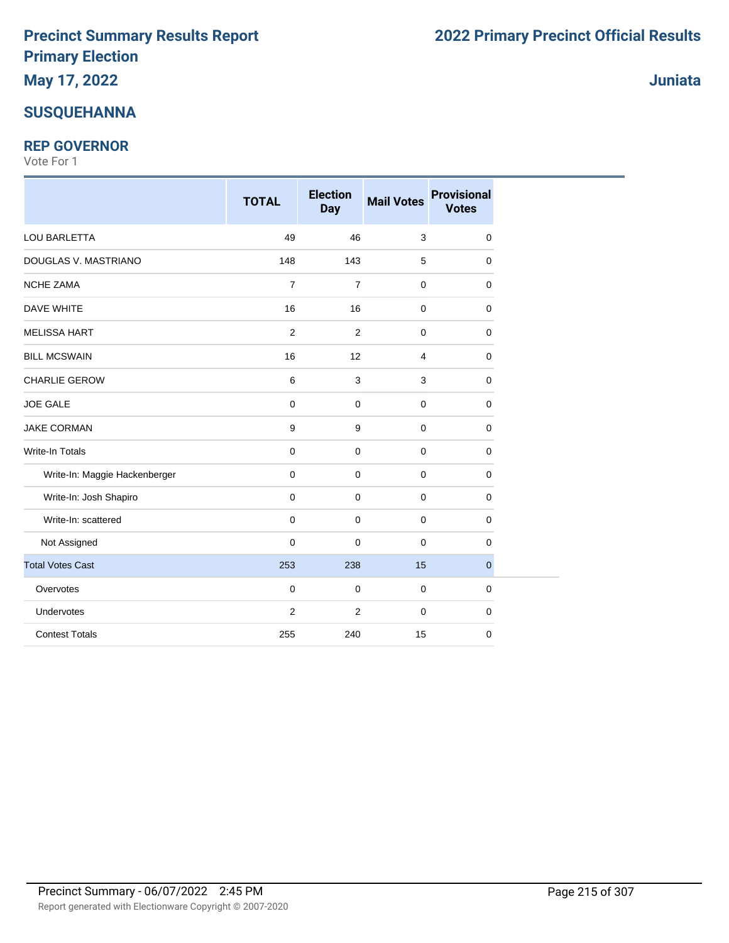#### **SUSQUEHANNA**

#### **REP GOVERNOR**

Vote For 1

|                               | <b>TOTAL</b>   | <b>Election</b><br><b>Day</b> | <b>Mail Votes</b> | <b>Provisional</b><br><b>Votes</b> |
|-------------------------------|----------------|-------------------------------|-------------------|------------------------------------|
| <b>LOU BARLETTA</b>           | 49             | 46                            | 3                 | $\mathbf 0$                        |
| DOUGLAS V. MASTRIANO          | 148            | 143                           | 5                 | $\mathbf 0$                        |
| NCHE ZAMA                     | $\overline{7}$ | $\overline{7}$                | $\pmb{0}$         | $\mathbf 0$                        |
| <b>DAVE WHITE</b>             | 16             | 16                            | $\mathbf 0$       | $\mathbf 0$                        |
| <b>MELISSA HART</b>           | 2              | $\overline{2}$                | $\mathbf 0$       | 0                                  |
| <b>BILL MCSWAIN</b>           | 16             | 12                            | 4                 | 0                                  |
| <b>CHARLIE GEROW</b>          | $\,6\,$        | 3                             | $\mathsf 3$       | $\mathbf 0$                        |
| <b>JOE GALE</b>               | $\pmb{0}$      | $\mathbf 0$                   | $\pmb{0}$         | $\mathbf 0$                        |
| <b>JAKE CORMAN</b>            | 9              | 9                             | $\mathbf 0$       | $\mathbf 0$                        |
| <b>Write-In Totals</b>        | $\mathbf 0$    | 0                             | $\mathbf 0$       | $\mathbf 0$                        |
| Write-In: Maggie Hackenberger | $\mathbf 0$    | 0                             | $\mathbf 0$       | $\mathbf 0$                        |
| Write-In: Josh Shapiro        | $\mathbf 0$    | 0                             | $\mathbf 0$       | 0                                  |
| Write-In: scattered           | $\mathbf 0$    | 0                             | $\pmb{0}$         | $\mathbf 0$                        |
| Not Assigned                  | $\mathbf 0$    | 0                             | $\mathbf 0$       | 0                                  |
| <b>Total Votes Cast</b>       | 253            | 238                           | 15                | $\mathbf 0$                        |
| Overvotes                     | $\mathbf 0$    | 0                             | $\mathbf 0$       | $\mathbf 0$                        |
| Undervotes                    | $\overline{2}$ | $\overline{2}$                | $\mathbf 0$       | $\mathbf 0$                        |
| <b>Contest Totals</b>         | 255            | 240                           | 15                | 0                                  |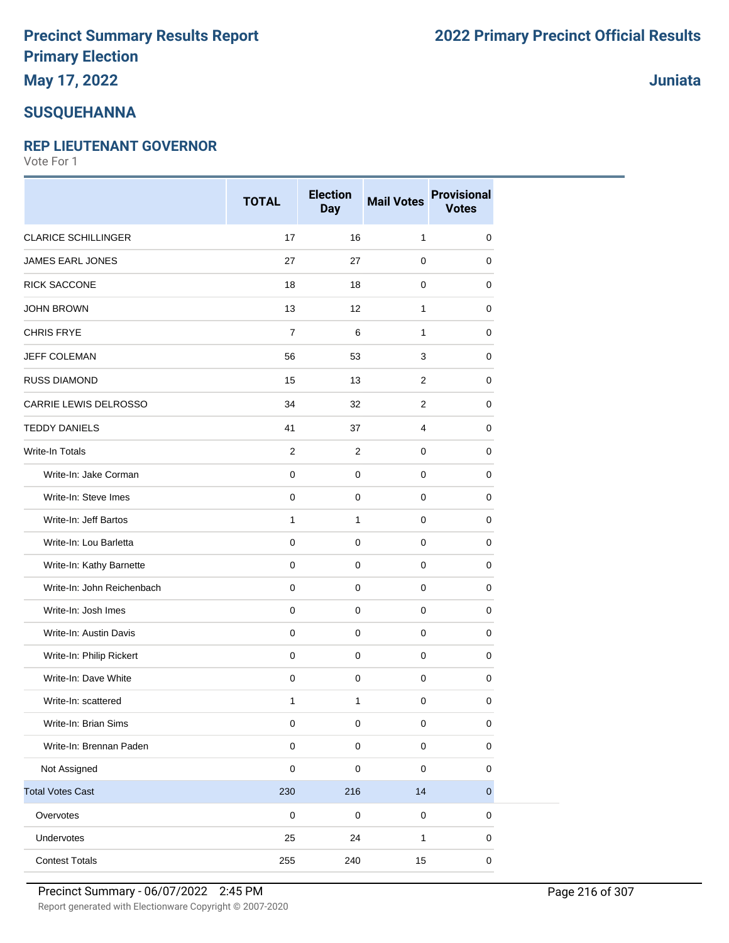# **May 17, 2022**

#### **SUSQUEHANNA**

#### **REP LIEUTENANT GOVERNOR**

Vote For 1

|                            | <b>TOTAL</b>        | <b>Election</b><br><b>Day</b> | <b>Mail Votes</b> | <b>Provisional</b><br><b>Votes</b> |
|----------------------------|---------------------|-------------------------------|-------------------|------------------------------------|
| <b>CLARICE SCHILLINGER</b> | 17                  | 16                            | $\mathbf{1}$      | 0                                  |
| <b>JAMES EARL JONES</b>    | 27                  | 27                            | 0                 | 0                                  |
| RICK SACCONE               | 18                  | 18                            | $\mathbf 0$       | 0                                  |
| <b>JOHN BROWN</b>          | 13                  | 12                            | $\mathbf{1}$      | 0                                  |
| <b>CHRIS FRYE</b>          | $\overline{7}$      | 6                             | $\mathbf{1}$      | 0                                  |
| <b>JEFF COLEMAN</b>        | 56                  | 53                            | 3                 | 0                                  |
| RUSS DIAMOND               | 15                  | 13                            | 2                 | 0                                  |
| CARRIE LEWIS DELROSSO      | 34                  | 32                            | 2                 | 0                                  |
| <b>TEDDY DANIELS</b>       | 41                  | 37                            | $\overline{4}$    | 0                                  |
| Write-In Totals            | $\overline{2}$      | 2                             | $\mathbf 0$       | 0                                  |
| Write-In: Jake Corman      | $\mathbf 0$         | $\pmb{0}$                     | $\mathbf 0$       | 0                                  |
| Write-In: Steve Imes       | $\pmb{0}$           | $\mathbf 0$                   | $\mathbf 0$       | 0                                  |
| Write-In: Jeff Bartos      | $\mathbf{1}$        | 1                             | $\mathbf 0$       | 0                                  |
| Write-In: Lou Barletta     | $\mathsf{O}\xspace$ | $\pmb{0}$                     | $\mathbf 0$       | 0                                  |
| Write-In: Kathy Barnette   | $\pmb{0}$           | $\mathbf 0$                   | $\mathbf 0$       | 0                                  |
| Write-In: John Reichenbach | $\mathbf 0$         | 0                             | 0                 | 0                                  |
| Write-In: Josh Imes        | $\pmb{0}$           | $\mathbf 0$                   | $\mathbf 0$       | 0                                  |
| Write-In: Austin Davis     | $\mathbf 0$         | $\mathbf 0$                   | $\mathbf 0$       | 0                                  |
| Write-In: Philip Rickert   | $\mathbf 0$         | $\mathbf 0$                   | 0                 | 0                                  |
| Write-In: Dave White       | $\pmb{0}$           | $\mathbf 0$                   | $\mathbf 0$       | 0                                  |
| Write-In: scattered        | $\mathbf{1}$        | 1                             | $\mathbf 0$       | 0                                  |
| Write-In: Brian Sims       | $\pmb{0}$           | 0                             | $\mathbf 0$       | 0                                  |
| Write-In: Brennan Paden    | $\pmb{0}$           | $\mathbf 0$                   | $\pmb{0}$         | 0                                  |
| Not Assigned               | $\pmb{0}$           | 0                             | $\pmb{0}$         | 0                                  |
| <b>Total Votes Cast</b>    | 230                 | 216                           | 14                | $\pmb{0}$                          |
| Overvotes                  | $\mathbf 0$         | $\mathbf 0$                   | $\pmb{0}$         | 0                                  |
| Undervotes                 | 25                  | 24                            | $\mathbf{1}$      | 0                                  |
| <b>Contest Totals</b>      | 255                 | 240                           | 15                | $\pmb{0}$                          |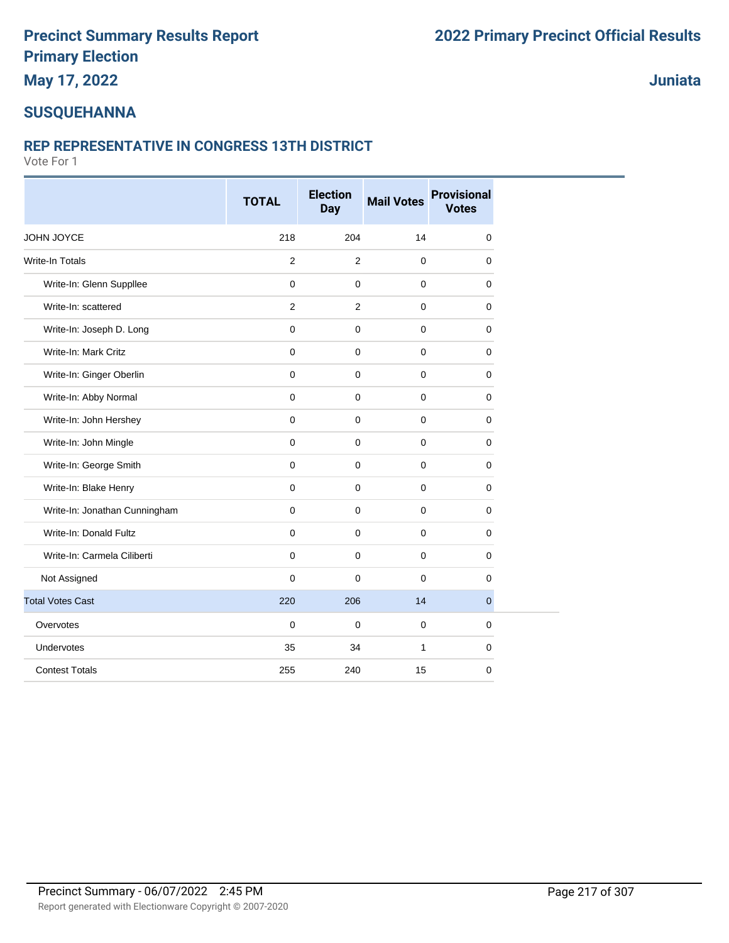### **May 17, 2022**

### **Juniata**

### **SUSQUEHANNA**

### **REP REPRESENTATIVE IN CONGRESS 13TH DISTRICT**

|                               | <b>TOTAL</b>   | <b>Election</b><br><b>Day</b> | <b>Mail Votes</b> | <b>Provisional</b><br><b>Votes</b> |
|-------------------------------|----------------|-------------------------------|-------------------|------------------------------------|
| JOHN JOYCE                    | 218            | 204                           | 14                | $\mathbf 0$                        |
| Write-In Totals               | 2              | 2                             | $\mathbf 0$       | $\mathbf 0$                        |
| Write-In: Glenn Suppllee      | 0              | $\mathbf 0$                   | $\mathbf 0$       | 0                                  |
| Write-In: scattered           | $\overline{2}$ | $\overline{2}$                | $\mathbf 0$       | $\mathbf 0$                        |
| Write-In: Joseph D. Long      | 0              | $\pmb{0}$                     | $\mathbf 0$       | 0                                  |
| Write-In: Mark Critz          | 0              | $\mathbf 0$                   | $\mathbf 0$       | 0                                  |
| Write-In: Ginger Oberlin      | $\mathbf 0$    | $\mathbf 0$                   | $\mathbf 0$       | $\mathbf 0$                        |
| Write-In: Abby Normal         | 0              | $\mathbf 0$                   | $\mathbf 0$       | 0                                  |
| Write-In: John Hershey        | 0              | $\mathbf 0$                   | $\mathbf 0$       | 0                                  |
| Write-In: John Mingle         | 0              | $\mathbf{0}$                  | $\mathbf 0$       | $\mathbf 0$                        |
| Write-In: George Smith        | 0              | $\mathbf 0$                   | $\mathbf 0$       | $\mathbf 0$                        |
| Write-In: Blake Henry         | 0              | $\mathbf 0$                   | $\mathbf 0$       | 0                                  |
| Write-In: Jonathan Cunningham | 0              | $\mathbf 0$                   | $\mathbf 0$       | $\mathbf 0$                        |
| Write-In: Donald Fultz        | 0              | $\mathbf 0$                   | $\mathbf 0$       | $\mathbf 0$                        |
| Write-In: Carmela Ciliberti   | $\mathbf 0$    | $\mathbf 0$                   | $\mathbf 0$       | 0                                  |
| Not Assigned                  | $\mathbf 0$    | $\mathbf 0$                   | $\mathbf 0$       | $\mathbf 0$                        |
| <b>Total Votes Cast</b>       | 220            | 206                           | 14                | $\overline{0}$                     |
| Overvotes                     | 0              | $\pmb{0}$                     | $\mathbf 0$       | $\mathbf 0$                        |
| Undervotes                    | 35             | 34                            | $\mathbf{1}$      | $\mathbf 0$                        |
| <b>Contest Totals</b>         | 255            | 240                           | 15                | $\mathbf 0$                        |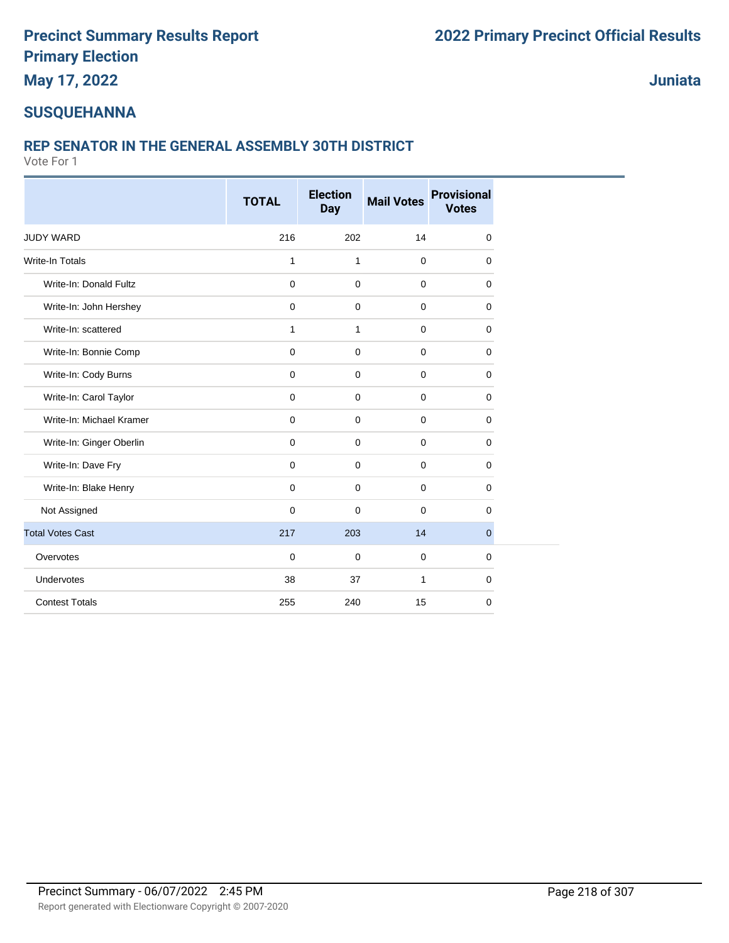**May 17, 2022**

**Juniata**

### **SUSQUEHANNA**

#### **REP SENATOR IN THE GENERAL ASSEMBLY 30TH DISTRICT**

|                          | <b>TOTAL</b> | <b>Election</b> | <b>Mail Votes</b> | <b>Provisional</b><br><b>Votes</b> |
|--------------------------|--------------|-----------------|-------------------|------------------------------------|
|                          |              | <b>Day</b>      |                   |                                    |
| JUDY WARD                | 216          | 202             | 14                | 0                                  |
| <b>Write-In Totals</b>   | $\mathbf{1}$ | $\mathbf{1}$    | $\mathbf 0$       | 0                                  |
| Write-In: Donald Fultz   | $\mathbf 0$  | $\mathbf 0$     | $\mathbf 0$       | 0                                  |
| Write-In: John Hershey   | $\mathbf 0$  | $\mathbf 0$     | $\mathbf 0$       | 0                                  |
| Write-In: scattered      | $\mathbf{1}$ | 1               | $\mathbf 0$       | 0                                  |
| Write-In: Bonnie Comp    | $\mathbf 0$  | $\mathbf 0$     | $\mathbf 0$       | 0                                  |
| Write-In: Cody Burns     | $\mathbf 0$  | $\mathbf 0$     | $\mathbf 0$       | 0                                  |
| Write-In: Carol Taylor   | $\mathbf 0$  | $\mathbf 0$     | $\mathbf 0$       | 0                                  |
| Write-In: Michael Kramer | $\mathbf 0$  | $\mathbf 0$     | $\mathbf{0}$      | 0                                  |
| Write-In: Ginger Oberlin | $\mathbf 0$  | $\mathbf 0$     | $\mathbf 0$       | 0                                  |
| Write-In: Dave Fry       | $\mathbf 0$  | $\mathbf 0$     | $\mathbf 0$       | 0                                  |
| Write-In: Blake Henry    | $\mathbf 0$  | $\mathbf 0$     | $\mathbf 0$       | 0                                  |
| Not Assigned             | $\Omega$     | $\mathbf 0$     | $\Omega$          | 0                                  |
| <b>Total Votes Cast</b>  | 217          | 203             | 14                | $\overline{0}$                     |
| Overvotes                | $\mathbf 0$  | $\mathbf 0$     | $\mathbf 0$       | $\mathbf 0$                        |
| Undervotes               | 38           | 37              | $\mathbf{1}$      | 0                                  |
| <b>Contest Totals</b>    | 255          | 240             | 15                | 0                                  |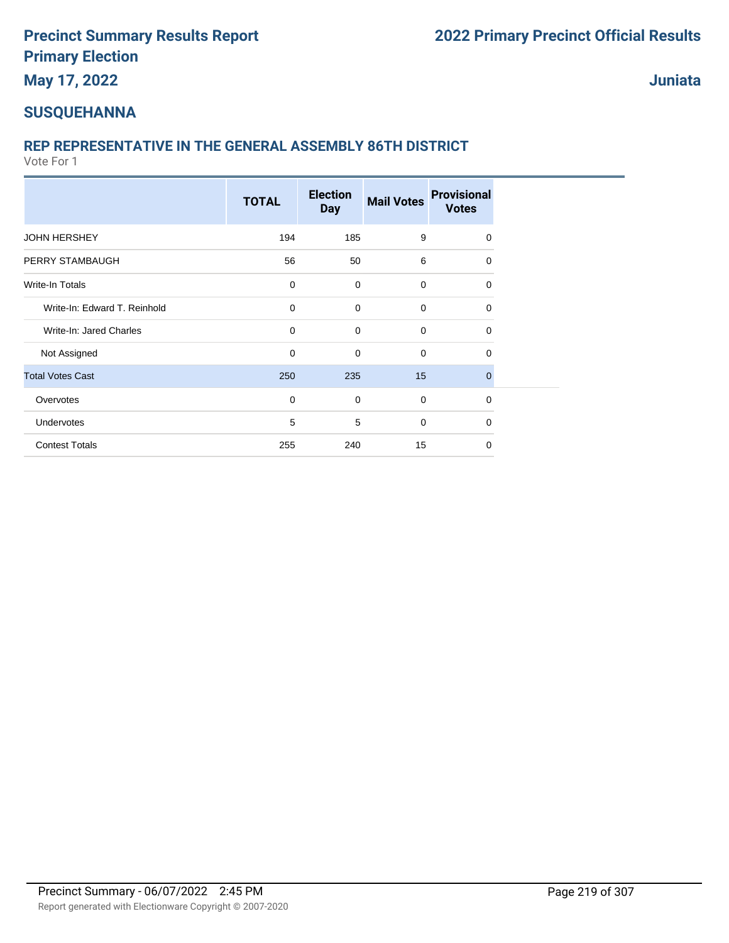**May 17, 2022**

**Juniata**

### **SUSQUEHANNA**

### **REP REPRESENTATIVE IN THE GENERAL ASSEMBLY 86TH DISTRICT**

|                              | <b>TOTAL</b> | <b>Election</b><br><b>Day</b> | <b>Mail Votes</b> | <b>Provisional</b><br><b>Votes</b> |
|------------------------------|--------------|-------------------------------|-------------------|------------------------------------|
| <b>JOHN HERSHEY</b>          | 194          | 185                           | 9                 | $\Omega$                           |
| PERRY STAMBAUGH              | 56           | 50                            | 6                 | 0                                  |
| Write-In Totals              | $\mathbf 0$  | $\mathbf 0$                   | $\mathbf 0$       | $\Omega$                           |
| Write-In: Edward T. Reinhold | $\mathbf 0$  | $\mathbf 0$                   | $\mathbf 0$       | 0                                  |
| Write-In: Jared Charles      | $\mathbf 0$  | $\mathbf 0$                   | $\mathbf 0$       | $\Omega$                           |
| Not Assigned                 | 0            | $\mathbf 0$                   | $\mathbf 0$       | 0                                  |
| <b>Total Votes Cast</b>      | 250          | 235                           | 15                | $\Omega$                           |
| Overvotes                    | $\mathbf 0$  | $\mathbf 0$                   | $\mathbf 0$       | 0                                  |
| Undervotes                   | 5            | 5                             | $\mathbf 0$       | $\Omega$                           |
| <b>Contest Totals</b>        | 255          | 240                           | 15                | $\Omega$                           |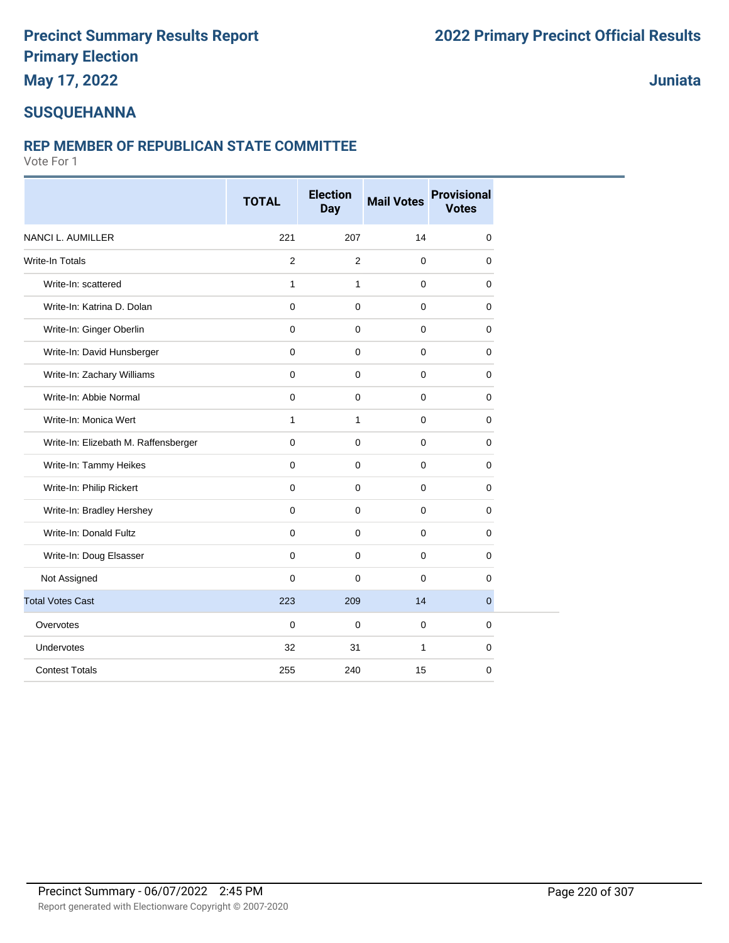### **May 17, 2022**

### **Juniata**

### **SUSQUEHANNA**

#### **REP MEMBER OF REPUBLICAN STATE COMMITTEE**

|                                      | <b>TOTAL</b>   | <b>Election</b><br><b>Day</b> | <b>Mail Votes</b> | <b>Provisional</b><br><b>Votes</b> |
|--------------------------------------|----------------|-------------------------------|-------------------|------------------------------------|
| <b>NANCI L. AUMILLER</b>             | 221            | 207                           | 14                | 0                                  |
| <b>Write-In Totals</b>               | $\overline{c}$ | $\overline{2}$                | $\mathbf 0$       | $\mathbf 0$                        |
| Write-In: scattered                  | $\mathbf{1}$   | $\mathbf{1}$                  | $\mathbf 0$       | 0                                  |
| Write-In: Katrina D. Dolan           | $\mathbf{0}$   | $\mathbf 0$                   | $\mathbf{0}$      | $\mathbf 0$                        |
| Write-In: Ginger Oberlin             | $\mathbf 0$    | $\mathbf 0$                   | $\mathbf 0$       | $\mathbf 0$                        |
| Write-In: David Hunsberger           | $\mathbf 0$    | $\mathbf 0$                   | $\mathbf 0$       | $\mathbf 0$                        |
| Write-In: Zachary Williams           | $\mathbf 0$    | $\mathbf 0$                   | $\mathbf 0$       | $\mathbf 0$                        |
| Write-In: Abbie Normal               | $\mathbf 0$    | $\mathbf 0$                   | $\mathbf 0$       | 0                                  |
| Write-In: Monica Wert                | $\mathbf{1}$   | $\mathbf{1}$                  | $\mathbf 0$       | 0                                  |
| Write-In: Elizebath M. Raffensberger | $\mathbf{0}$   | $\mathbf 0$                   | $\pmb{0}$         | $\mathbf 0$                        |
| Write-In: Tammy Heikes               | $\mathbf{0}$   | $\mathbf 0$                   | $\mathbf 0$       | $\mathbf 0$                        |
| Write-In: Philip Rickert             | $\mathbf 0$    | $\mathbf 0$                   | $\mathbf 0$       | 0                                  |
| Write-In: Bradley Hershey            | $\mathbf 0$    | $\mathbf 0$                   | $\mathbf 0$       | $\mathbf 0$                        |
| Write-In: Donald Fultz               | $\mathbf 0$    | $\mathbf 0$                   | $\mathbf 0$       | $\mathbf 0$                        |
| Write-In: Doug Elsasser              | $\mathbf{0}$   | $\mathbf 0$                   | $\mathbf 0$       | 0                                  |
| Not Assigned                         | $\mathbf 0$    | $\mathbf 0$                   | $\mathbf 0$       | $\Omega$                           |
| <b>Total Votes Cast</b>              | 223            | 209                           | 14                | $\mathbf{0}$                       |
| Overvotes                            | $\mathbf 0$    | $\mathbf 0$                   | $\mathbf 0$       | $\mathbf 0$                        |
| Undervotes                           | 32             | 31                            | $\mathbf{1}$      | $\mathbf 0$                        |
| <b>Contest Totals</b>                | 255            | 240                           | 15                | 0                                  |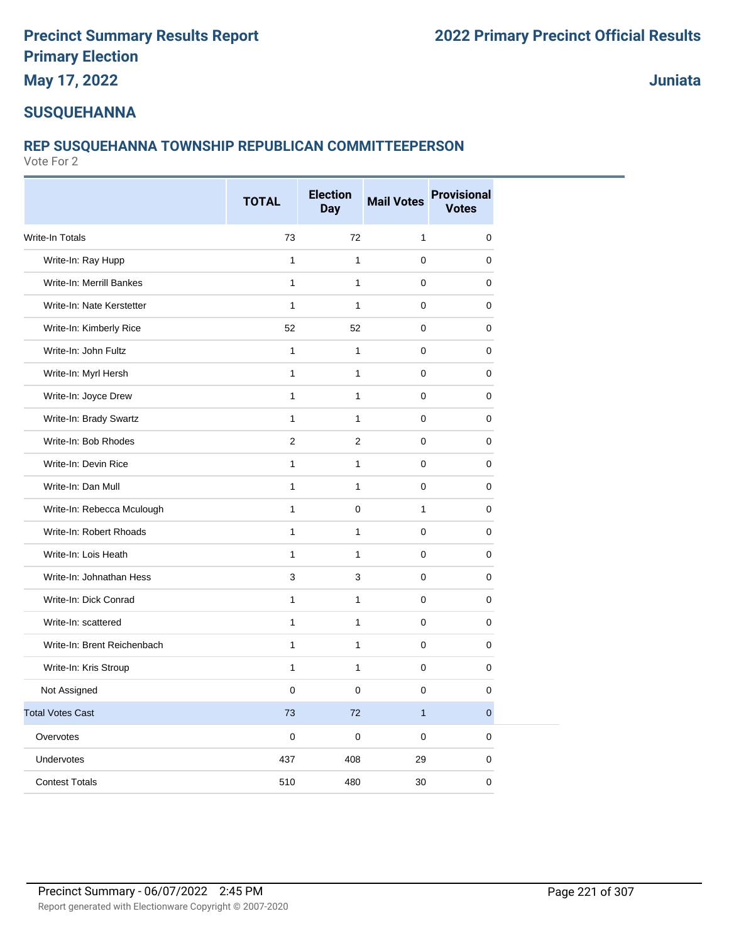**May 17, 2022**

**Juniata**

#### **SUSQUEHANNA**

### **REP SUSQUEHANNA TOWNSHIP REPUBLICAN COMMITTEEPERSON**

|                             | <b>TOTAL</b>   | <b>Election</b><br><b>Day</b> | <b>Mail Votes</b> | <b>Provisional</b><br><b>Votes</b> |
|-----------------------------|----------------|-------------------------------|-------------------|------------------------------------|
| Write-In Totals             | 73             | 72                            | 1                 | 0                                  |
| Write-In: Ray Hupp          | $\mathbf{1}$   | $\mathbf{1}$                  | $\mathbf 0$       | 0                                  |
| Write-In: Merrill Bankes    | 1              | $\mathbf{1}$                  | $\mathbf 0$       | 0                                  |
| Write-In: Nate Kerstetter   | $\mathbf{1}$   | $\mathbf{1}$                  | $\mathbf 0$       | 0                                  |
| Write-In: Kimberly Rice     | 52             | 52                            | $\mathbf 0$       | 0                                  |
| Write-In: John Fultz        | $\mathbf{1}$   | $\mathbf{1}$                  | 0                 | 0                                  |
| Write-In: Myrl Hersh        | $\mathbf{1}$   | $\mathbf{1}$                  | $\mathbf 0$       | 0                                  |
| Write-In: Joyce Drew        | $\mathbf{1}$   | $\mathbf{1}$                  | $\mathbf 0$       | 0                                  |
| Write-In: Brady Swartz      | $\mathbf{1}$   | $\mathbf{1}$                  | $\mathbf 0$       | 0                                  |
| Write-In: Bob Rhodes        | $\overline{2}$ | 2                             | $\mathbf 0$       | 0                                  |
| Write-In: Devin Rice        | 1              | $\mathbf{1}$                  | $\mathbf 0$       | 0                                  |
| Write-In: Dan Mull          | $\mathbf{1}$   | $\mathbf{1}$                  | $\Omega$          | $\Omega$                           |
| Write-In: Rebecca Mculough  | $\mathbf{1}$   | $\mathbf 0$                   | $\mathbf{1}$      | 0                                  |
| Write-In: Robert Rhoads     | 1              | $\mathbf{1}$                  | $\mathbf 0$       | 0                                  |
| Write-In: Lois Heath        | $\mathbf{1}$   | $\mathbf{1}$                  | $\mathbf 0$       | 0                                  |
| Write-In: Johnathan Hess    | 3              | 3                             | $\mathbf 0$       | 0                                  |
| Write-In: Dick Conrad       | $\mathbf{1}$   | $\mathbf{1}$                  | $\mathbf 0$       | 0                                  |
| Write-In: scattered         | $\mathbf{1}$   | $\mathbf{1}$                  | $\mathbf 0$       | 0                                  |
| Write-In: Brent Reichenbach | $\mathbf{1}$   | $\mathbf{1}$                  | $\mathbf 0$       | 0                                  |
| Write-In: Kris Stroup       | $\mathbf{1}$   | $\mathbf{1}$                  | $\mathbf 0$       | 0                                  |
| Not Assigned                | 0              | $\mathbf 0$                   | $\mathbf 0$       | 0                                  |
| <b>Total Votes Cast</b>     | 73             | 72                            | $\overline{1}$    | $\overline{0}$                     |
| Overvotes                   | 0              | $\pmb{0}$                     | 0                 | 0                                  |
| Undervotes                  | 437            | 408                           | 29                | 0                                  |
| <b>Contest Totals</b>       | 510            | 480                           | 30                | 0                                  |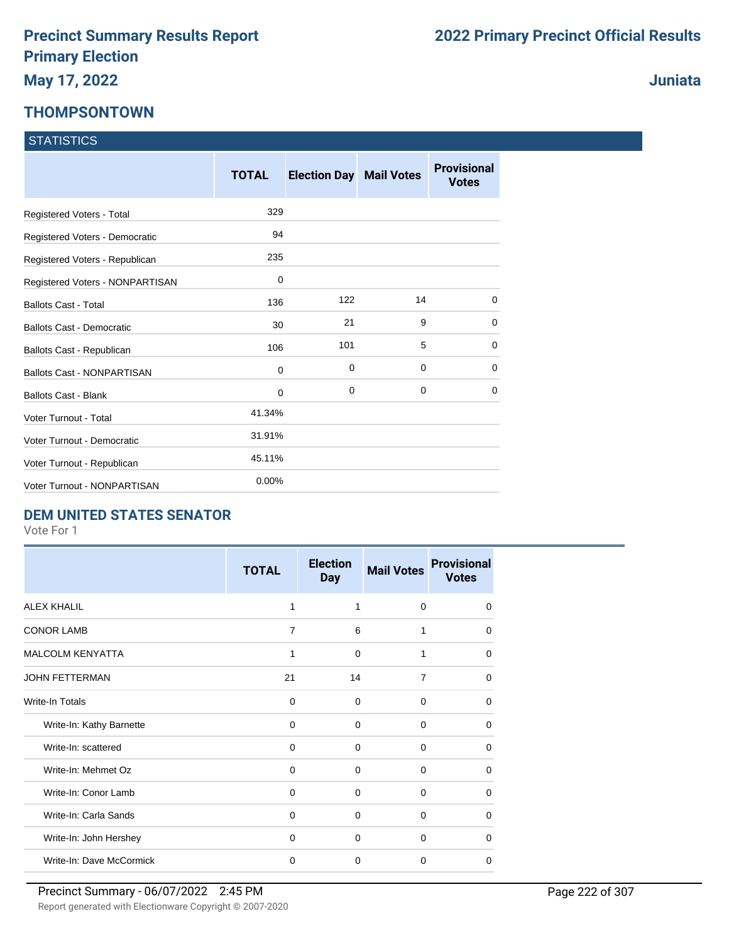### **THOMPSONTOWN**

|  | <b>STATISTICS</b> |
|--|-------------------|
|  |                   |
|  |                   |

|                                   | <b>TOTAL</b> | <b>Election Day Mail Votes</b> |    | <b>Provisional</b><br><b>Votes</b> |
|-----------------------------------|--------------|--------------------------------|----|------------------------------------|
| Registered Voters - Total         | 329          |                                |    |                                    |
| Registered Voters - Democratic    | 94           |                                |    |                                    |
| Registered Voters - Republican    | 235          |                                |    |                                    |
| Registered Voters - NONPARTISAN   | 0            |                                |    |                                    |
| <b>Ballots Cast - Total</b>       | 136          | 122                            | 14 | $\Omega$                           |
| <b>Ballots Cast - Democratic</b>  | 30           | 21                             | 9  | $\mathbf 0$                        |
| Ballots Cast - Republican         | 106          | 101                            | 5  | $\mathbf 0$                        |
| <b>Ballots Cast - NONPARTISAN</b> | 0            | 0                              | 0  | $\mathbf 0$                        |
| <b>Ballots Cast - Blank</b>       | 0            | $\mathbf 0$                    | 0  | 0                                  |
| Voter Turnout - Total             | 41.34%       |                                |    |                                    |
| Voter Turnout - Democratic        | 31.91%       |                                |    |                                    |
| Voter Turnout - Republican        | 45.11%       |                                |    |                                    |
| Voter Turnout - NONPARTISAN       | 0.00%        |                                |    |                                    |

#### **DEM UNITED STATES SENATOR**

Vote For 1

|                          | <b>TOTAL</b>   | <b>Election</b><br><b>Day</b> | <b>Mail Votes</b> | <b>Provisional</b><br><b>Votes</b> |
|--------------------------|----------------|-------------------------------|-------------------|------------------------------------|
| <b>ALEX KHALIL</b>       | 1              | 1                             | $\Omega$          | $\Omega$                           |
| <b>CONOR LAMB</b>        | $\overline{7}$ | 6                             | 1                 | $\Omega$                           |
| <b>MALCOLM KENYATTA</b>  | 1              | $\Omega$                      | 1                 | $\Omega$                           |
| <b>JOHN FETTERMAN</b>    | 21             | 14                            | $\overline{7}$    | $\Omega$                           |
| Write-In Totals          | $\Omega$       | $\Omega$                      | $\Omega$          | $\Omega$                           |
| Write-In: Kathy Barnette | $\Omega$       | $\Omega$                      | $\Omega$          | $\Omega$                           |
| Write-In: scattered      | 0              | 0                             | $\Omega$          | 0                                  |
| Write-In: Mehmet Oz      | $\Omega$       | $\Omega$                      | 0                 | $\Omega$                           |
| Write-In: Conor Lamb     | 0              | $\mathbf 0$                   | 0                 | $\Omega$                           |
| Write-In: Carla Sands    | $\mathbf 0$    | $\Omega$                      | 0                 | $\Omega$                           |
| Write-In: John Hershey   | $\Omega$       | $\Omega$                      | $\Omega$          | $\Omega$                           |
| Write-In: Dave McCormick | $\mathbf 0$    | $\mathbf 0$                   | $\Omega$          | $\Omega$                           |

**Juniata**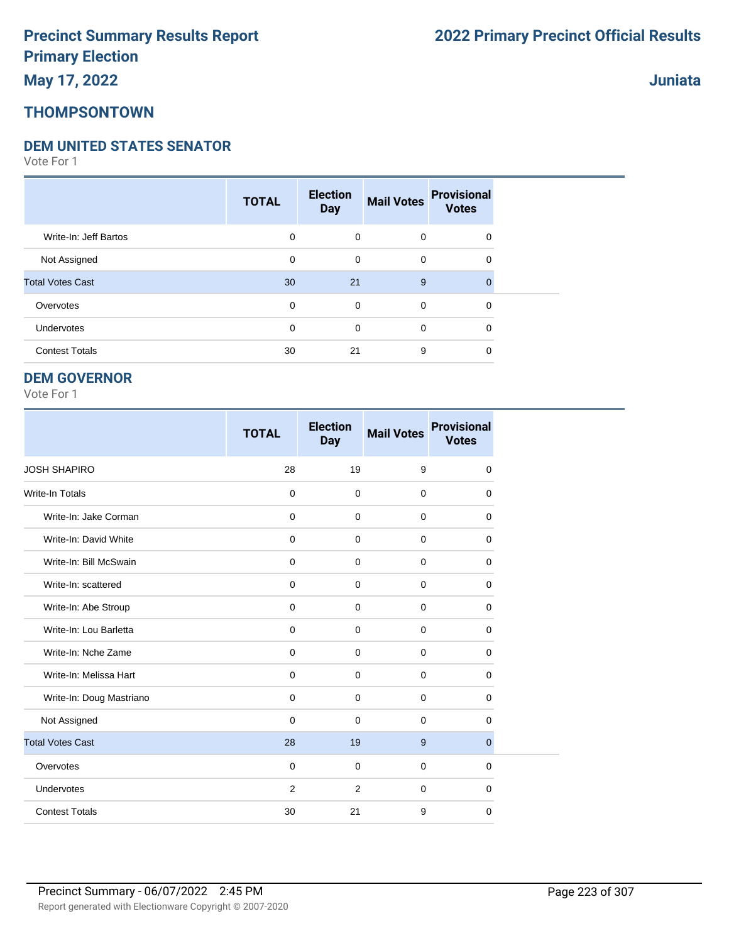## **THOMPSONTOWN**

#### **DEM UNITED STATES SENATOR**

Vote For 1

|                         | <b>TOTAL</b> | <b>Election</b><br><b>Day</b> | <b>Mail Votes</b> | <b>Provisional</b><br><b>Votes</b> |  |
|-------------------------|--------------|-------------------------------|-------------------|------------------------------------|--|
| Write-In: Jeff Bartos   | 0            | $\mathbf 0$                   | $\mathbf 0$       | $\mathbf 0$                        |  |
| Not Assigned            | 0            | 0                             | $\mathbf 0$       | 0                                  |  |
| <b>Total Votes Cast</b> | 30           | 21                            | 9                 | $\Omega$                           |  |
| Overvotes               | 0            | 0                             | $\mathbf 0$       | $\mathbf 0$                        |  |
| Undervotes              | $\mathbf 0$  | 0                             | 0                 | 0                                  |  |
| <b>Contest Totals</b>   | 30           | 21                            | 9                 | 0                                  |  |

#### **DEM GOVERNOR**

Vote For 1

|                          | <b>TOTAL</b> | <b>Election</b><br><b>Day</b> | <b>Mail Votes</b> | <b>Provisional</b><br><b>Votes</b> |
|--------------------------|--------------|-------------------------------|-------------------|------------------------------------|
| <b>JOSH SHAPIRO</b>      | 28           | 19                            | 9                 | $\mathbf 0$                        |
| <b>Write-In Totals</b>   | $\mathbf 0$  | $\mathbf 0$                   | $\mathbf 0$       | 0                                  |
| Write-In: Jake Corman    | $\mathbf 0$  | $\mathbf 0$                   | $\mathbf 0$       | $\Omega$                           |
| Write-In: David White    | $\mathbf 0$  | $\Omega$                      | $\mathbf 0$       | $\Omega$                           |
| Write-In: Bill McSwain   | $\Omega$     | $\Omega$                      | $\Omega$          | $\Omega$                           |
| Write-In: scattered      | $\mathbf 0$  | $\mathbf 0$                   | $\mathbf 0$       | 0                                  |
| Write-In: Abe Stroup     | 0            | $\mathbf 0$                   | $\mathbf 0$       | 0                                  |
| Write-In: Lou Barletta   | $\mathbf 0$  | $\mathbf 0$                   | $\mathbf 0$       | $\mathbf 0$                        |
| Write-In: Nche Zame      | $\mathbf 0$  | $\mathbf 0$                   | $\mathbf 0$       | 0                                  |
| Write-In: Melissa Hart   | $\mathbf 0$  | $\mathbf 0$                   | $\mathbf 0$       | $\mathbf 0$                        |
| Write-In: Doug Mastriano | $\mathbf 0$  | $\mathbf 0$                   | $\mathbf 0$       | $\mathbf 0$                        |
| Not Assigned             | $\mathbf 0$  | $\Omega$                      | $\mathbf 0$       | $\Omega$                           |
| <b>Total Votes Cast</b>  | 28           | 19                            | 9                 | $\overline{0}$                     |
| Overvotes                | $\mathbf 0$  | $\mathbf 0$                   | $\mathbf 0$       | 0                                  |
| Undervotes               | 2            | 2                             | $\mathbf 0$       | $\mathbf 0$                        |
| <b>Contest Totals</b>    | 30           | 21                            | 9                 | 0                                  |

**Juniata**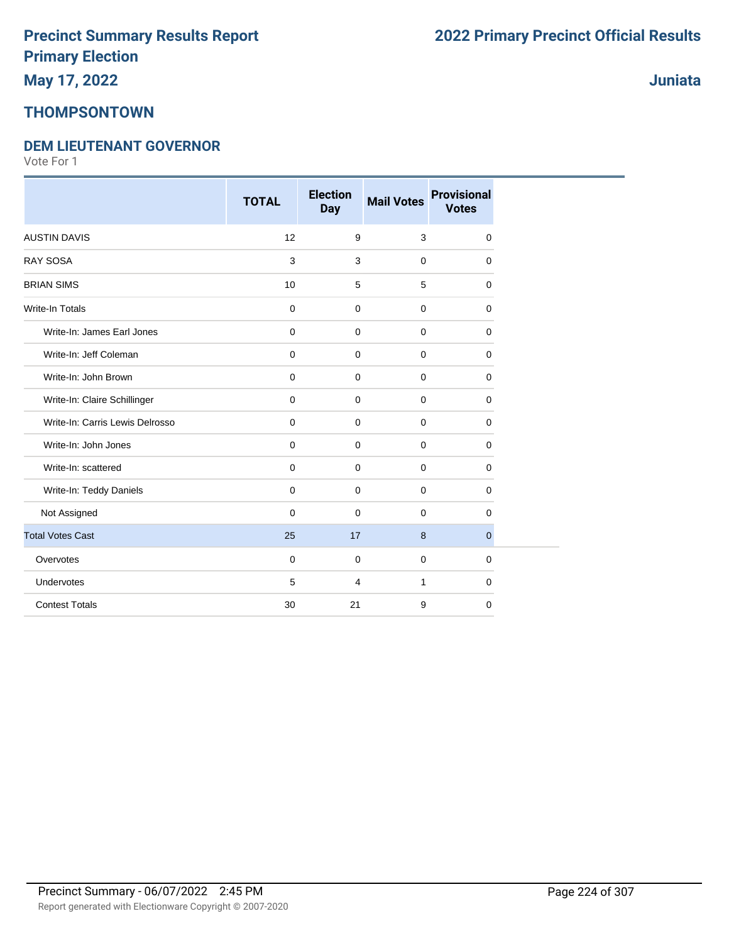### **Juniata**

### **THOMPSONTOWN**

### **DEM LIEUTENANT GOVERNOR**

|                                 | <b>TOTAL</b> | <b>Election</b><br><b>Day</b> | <b>Mail Votes</b> | <b>Provisional</b><br><b>Votes</b> |
|---------------------------------|--------------|-------------------------------|-------------------|------------------------------------|
| <b>AUSTIN DAVIS</b>             | 12           | 9                             | 3                 | 0                                  |
| RAY SOSA                        | $\mathbf{3}$ | 3                             | $\mathbf 0$       | 0                                  |
| <b>BRIAN SIMS</b>               | 10           | 5                             | 5                 | 0                                  |
| <b>Write-In Totals</b>          | $\mathbf 0$  | $\mathbf 0$                   | $\mathbf 0$       | 0                                  |
| Write-In: James Earl Jones      | $\mathbf 0$  | $\mathbf 0$                   | $\mathbf 0$       | 0                                  |
| Write-In: Jeff Coleman          | $\mathbf 0$  | $\mathbf 0$                   | $\mathbf 0$       | 0                                  |
| Write-In: John Brown            | $\mathbf 0$  | $\mathbf 0$                   | $\mathbf 0$       | 0                                  |
| Write-In: Claire Schillinger    | $\mathbf 0$  | $\mathbf 0$                   | $\mathbf 0$       | 0                                  |
| Write-In: Carris Lewis Delrosso | $\mathbf 0$  | $\mathbf 0$                   | $\mathbf 0$       | 0                                  |
| Write-In: John Jones            | $\mathbf 0$  | $\mathbf 0$                   | $\mathbf 0$       | 0                                  |
| Write-In: scattered             | $\mathbf 0$  | $\mathbf 0$                   | $\mathbf 0$       | 0                                  |
| Write-In: Teddy Daniels         | $\mathbf 0$  | $\mathbf 0$                   | $\mathbf 0$       | 0                                  |
| Not Assigned                    | $\mathbf 0$  | $\mathbf 0$                   | $\mathbf 0$       | 0                                  |
| <b>Total Votes Cast</b>         | 25           | 17                            | 8                 | $\mathbf{0}$                       |
| Overvotes                       | $\mathbf 0$  | $\mathbf 0$                   | $\mathbf 0$       | 0                                  |
| Undervotes                      | 5            | 4                             | $\mathbf{1}$      | 0                                  |
| <b>Contest Totals</b>           | 30           | 21                            | 9                 | 0                                  |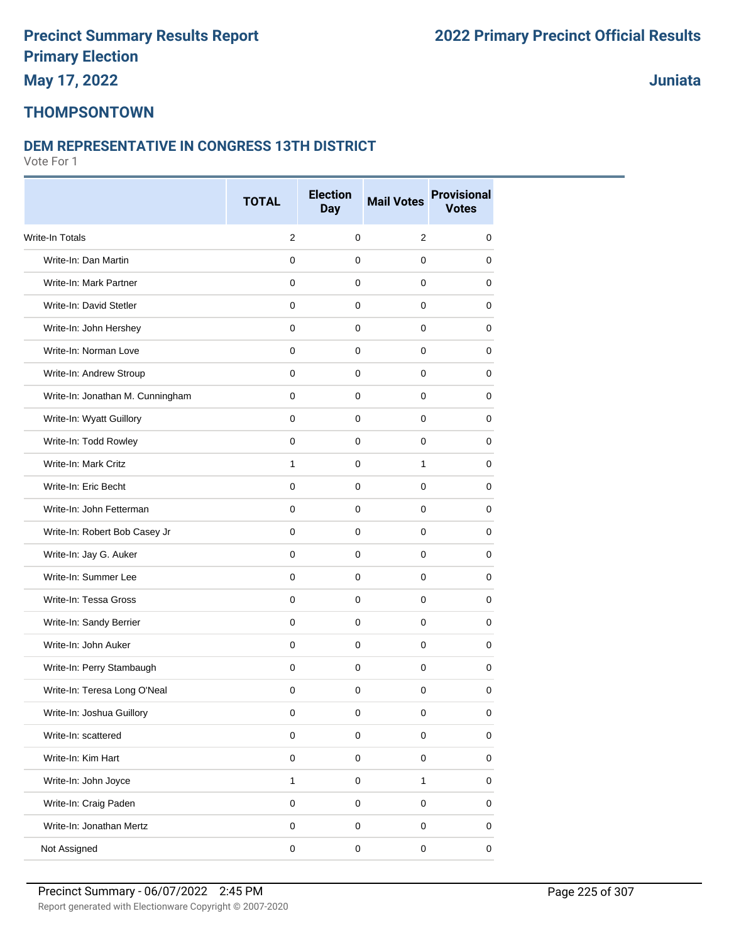#### **Juniata**

#### **THOMPSONTOWN**

#### **DEM REPRESENTATIVE IN CONGRESS 13TH DISTRICT**

|                                  | <b>TOTAL</b> | <b>Election</b> | <b>Mail Votes</b> | <b>Provisional</b> |
|----------------------------------|--------------|-----------------|-------------------|--------------------|
|                                  |              | <b>Day</b>      |                   | <b>Votes</b>       |
| Write-In Totals                  | 2            | $\pmb{0}$       | 2                 | 0                  |
| Write-In: Dan Martin             | $\mathbf 0$  | $\mathbf 0$     | $\mathbf 0$       | 0                  |
| Write-In: Mark Partner           | $\mathbf 0$  | $\mathbf 0$     | 0                 | 0                  |
| Write-In: David Stetler          | $\mathbf 0$  | 0               | 0                 | 0                  |
| Write-In: John Hershey           | $\mathbf 0$  | $\mathbf 0$     | $\mathbf 0$       | 0                  |
| Write-In: Norman Love            | $\mathbf 0$  | $\mathbf 0$     | $\mathbf 0$       | 0                  |
| Write-In: Andrew Stroup          | $\mathbf 0$  | $\mathbf 0$     | $\Omega$          | $\mathbf 0$        |
| Write-In: Jonathan M. Cunningham | $\mathbf 0$  | $\pmb{0}$       | $\mathbf 0$       | 0                  |
| Write-In: Wyatt Guillory         | $\mathbf 0$  | $\mathbf 0$     | 0                 | 0                  |
| Write-In: Todd Rowley            | $\mathbf 0$  | 0               | 0                 | 0                  |
| Write-In: Mark Critz             | $\mathbf{1}$ | $\mathbf 0$     | $\mathbf{1}$      | 0                  |
| Write-In: Eric Becht             | $\mathbf 0$  | $\mathbf 0$     | $\mathbf 0$       | 0                  |
| Write-In: John Fetterman         | $\mathbf 0$  | $\mathbf 0$     | $\mathbf 0$       | 0                  |
| Write-In: Robert Bob Casey Jr    | $\mathbf{0}$ | $\mathbf 0$     | $\mathbf 0$       | 0                  |
| Write-In: Jay G. Auker           | $\mathbf 0$  | $\mathbf 0$     | 0                 | 0                  |
| Write-In: Summer Lee             | $\mathbf 0$  | $\mathbf 0$     | $\mathbf 0$       | 0                  |
| Write-In: Tessa Gross            | $\mathbf 0$  | $\mathbf 0$     | $\mathbf 0$       | 0                  |
| Write-In: Sandy Berrier          | $\mathbf 0$  | $\mathbf 0$     | 0                 | 0                  |
| Write-In: John Auker             | $\mathbf 0$  | $\mathbf 0$     | $\mathbf 0$       | $\mathbf 0$        |
| Write-In: Perry Stambaugh        | $\mathbf 0$  | $\mathbf 0$     | $\mathbf 0$       | 0                  |
| Write-In: Teresa Long O'Neal     | $\mathbf 0$  | $\mathbf 0$     | 0                 | 0                  |
| Write-In: Joshua Guillory        | 0            | 0               | 0                 | 0                  |
| Write-In: scattered              | $\pmb{0}$    | $\mathbf 0$     | $\pmb{0}$         | $\pmb{0}$          |
| Write-In: Kim Hart               | $\pmb{0}$    | $\mathbf 0$     | $\pmb{0}$         | $\pmb{0}$          |
| Write-In: John Joyce             | $\mathbf{1}$ | $\pmb{0}$       | $\mathbf{1}$      | $\pmb{0}$          |
| Write-In: Craig Paden            | $\pmb{0}$    | $\mathbf 0$     | $\pmb{0}$         | $\pmb{0}$          |
| Write-In: Jonathan Mertz         | $\mathsf 0$  | $\pmb{0}$       | $\pmb{0}$         | 0                  |
| Not Assigned                     | $\mathsf 0$  | 0               | $\pmb{0}$         | $\mathbf 0$        |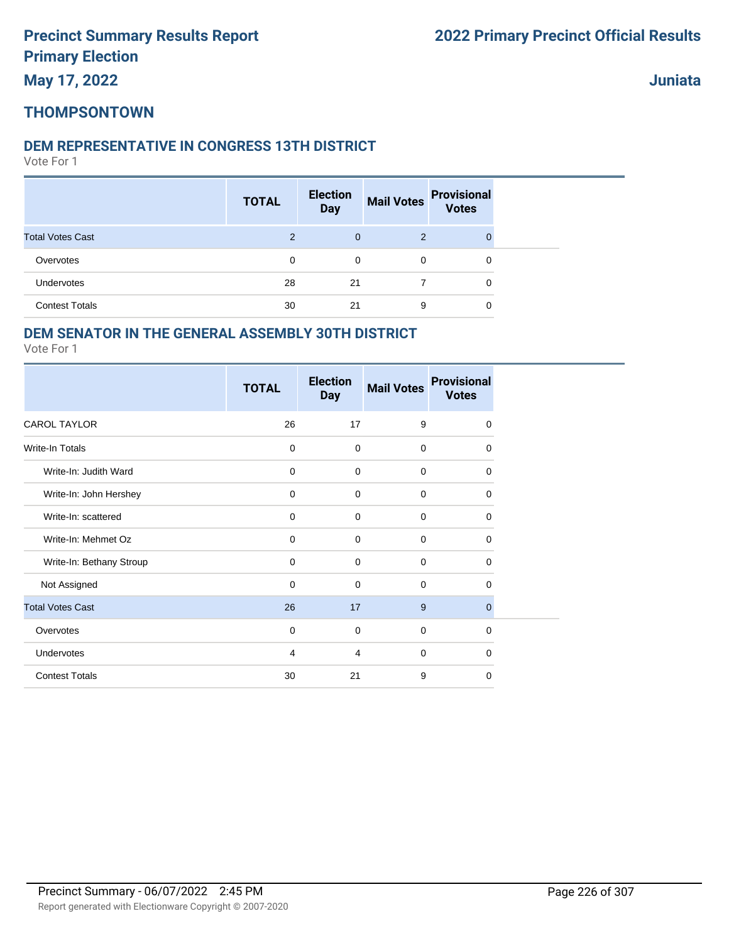**May 17, 2022**

**Juniata**

### **THOMPSONTOWN**

#### **DEM REPRESENTATIVE IN CONGRESS 13TH DISTRICT**

Vote For 1

|                         | <b>TOTAL</b>   | <b>Election</b><br><b>Day</b> | <b>Mail Votes</b> | <b>Provisional</b><br><b>Votes</b> |  |
|-------------------------|----------------|-------------------------------|-------------------|------------------------------------|--|
| <b>Total Votes Cast</b> | $\overline{2}$ | $\overline{0}$                | 2                 |                                    |  |
| Overvotes               | 0              | 0                             | $\mathbf 0$       | 0                                  |  |
| <b>Undervotes</b>       | 28             | 21                            |                   | 0                                  |  |
| <b>Contest Totals</b>   | 30             | 21                            | 9                 | 0                                  |  |

### **DEM SENATOR IN THE GENERAL ASSEMBLY 30TH DISTRICT**

|                          | <b>TOTAL</b> | <b>Election</b><br><b>Day</b> | <b>Mail Votes</b> | <b>Provisional</b><br><b>Votes</b> |
|--------------------------|--------------|-------------------------------|-------------------|------------------------------------|
| <b>CAROL TAYLOR</b>      | 26           | 17                            | 9                 | 0                                  |
| Write-In Totals          | $\mathbf 0$  | $\mathbf 0$                   | $\mathbf 0$       | $\Omega$                           |
| Write-In: Judith Ward    | $\mathbf 0$  | $\mathbf 0$                   | $\mathbf 0$       | $\mathbf 0$                        |
| Write-In: John Hershey   | $\mathbf 0$  | $\mathbf 0$                   | $\mathbf 0$       | $\mathbf 0$                        |
| Write-In: scattered      | 0            | 0                             | $\mathbf 0$       | 0                                  |
| Write-In: Mehmet Oz      | $\mathbf 0$  | $\mathbf 0$                   | $\mathbf 0$       | $\Omega$                           |
| Write-In: Bethany Stroup | $\mathbf 0$  | $\mathbf 0$                   | 0                 | 0                                  |
| Not Assigned             | $\mathbf 0$  | $\mathbf 0$                   | $\Omega$          | $\Omega$                           |
| <b>Total Votes Cast</b>  | 26           | 17                            | 9                 | $\mathbf 0$                        |
| Overvotes                | $\mathbf 0$  | $\mathbf 0$                   | $\mathbf 0$       | $\mathbf 0$                        |
| Undervotes               | 4            | 4                             | $\mathbf 0$       | $\Omega$                           |
| <b>Contest Totals</b>    | 30           | 21                            | 9                 | 0                                  |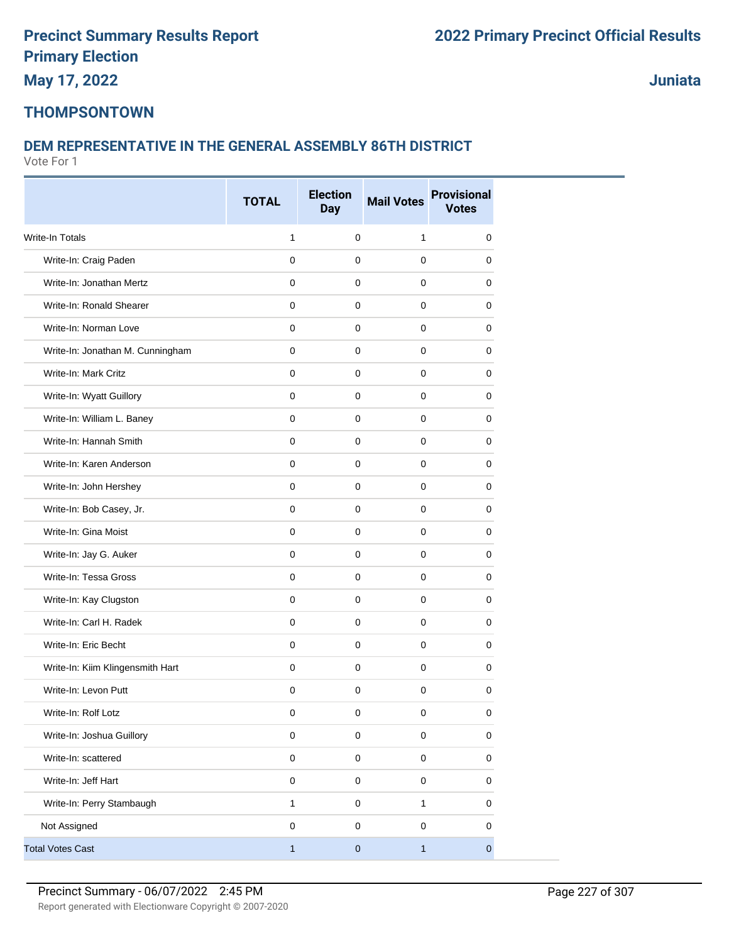**May 17, 2022**

**Juniata**

### **THOMPSONTOWN**

### **DEM REPRESENTATIVE IN THE GENERAL ASSEMBLY 86TH DISTRICT**

|                                  | <b>TOTAL</b> | <b>Election</b> | <b>Mail Votes</b> | <b>Provisional</b> |
|----------------------------------|--------------|-----------------|-------------------|--------------------|
|                                  |              | <b>Day</b>      |                   | <b>Votes</b>       |
| <b>Write-In Totals</b>           | 1            | $\mathbf 0$     | $\mathbf{1}$      | 0                  |
| Write-In: Craig Paden            | $\mathbf 0$  | 0               | $\mathbf 0$       | 0                  |
| Write-In: Jonathan Mertz         | 0            | 0               | 0                 | 0                  |
| Write-In: Ronald Shearer         | $\mathbf 0$  | $\mathbf 0$     | $\mathbf 0$       | 0                  |
| Write-In: Norman Love            | 0            | 0               | $\mathbf 0$       | 0                  |
| Write-In: Jonathan M. Cunningham | 0            | 0               | 0                 | 0                  |
| Write-In: Mark Critz             | $\mathbf 0$  | 0               | $\mathbf 0$       | 0                  |
| Write-In: Wyatt Guillory         | 0            | 0               | $\mathbf 0$       | 0                  |
| Write-In: William L. Baney       | $\mathbf 0$  | 0               | 0                 | 0                  |
| Write-In: Hannah Smith           | 0            | $\mathbf 0$     | $\mathbf 0$       | 0                  |
| Write-In: Karen Anderson         | $\mathbf 0$  | 0               | $\mathbf 0$       | 0                  |
| Write-In: John Hershey           | 0            | $\mathbf 0$     | $\mathbf 0$       | 0                  |
| Write-In: Bob Casey, Jr.         | 0            | $\mathbf 0$     | $\mathbf 0$       | 0                  |
| Write-In: Gina Moist             | $\mathbf 0$  | 0               | $\mathbf 0$       | 0                  |
| Write-In: Jay G. Auker           | 0            | 0               | 0                 | 0                  |
| Write-In: Tessa Gross            | 0            | $\mathbf 0$     | $\mathbf 0$       | 0                  |
| Write-In: Kay Clugston           | 0            | 0               | $\mathbf 0$       | 0                  |
| Write-In: Carl H. Radek          | 0            | $\mathbf 0$     | $\mathbf 0$       | 0                  |
| Write-In: Eric Becht             | $\mathbf 0$  | 0               | $\mathbf 0$       | 0                  |
| Write-In: Kiim Klingensmith Hart | 0            | 0               | $\mathbf 0$       | 0                  |
| Write-In: Levon Putt             | 0            | 0               | 0                 | 0                  |
| Write-In: Rolf Lotz              | 0            | $\pmb{0}$       | $\pmb{0}$         | $\pmb{0}$          |
| Write-In: Joshua Guillory        | $\mathsf 0$  | $\pmb{0}$       | $\pmb{0}$         | $\pmb{0}$          |
| Write-In: scattered              | $\mathsf 0$  | $\mathbf 0$     | $\mathsf 0$       | $\pmb{0}$          |
| Write-In: Jeff Hart              | $\pmb{0}$    | $\pmb{0}$       | $\pmb{0}$         | $\pmb{0}$          |
| Write-In: Perry Stambaugh        | 1            | $\pmb{0}$       | $\mathbf{1}$      | 0                  |
| Not Assigned                     | 0            | 0               | $\mathbf 0$       | 0                  |
| <b>Total Votes Cast</b>          | $\mathbf{1}$ | $\pmb{0}$       | $\mathbf{1}$      | $\pmb{0}$          |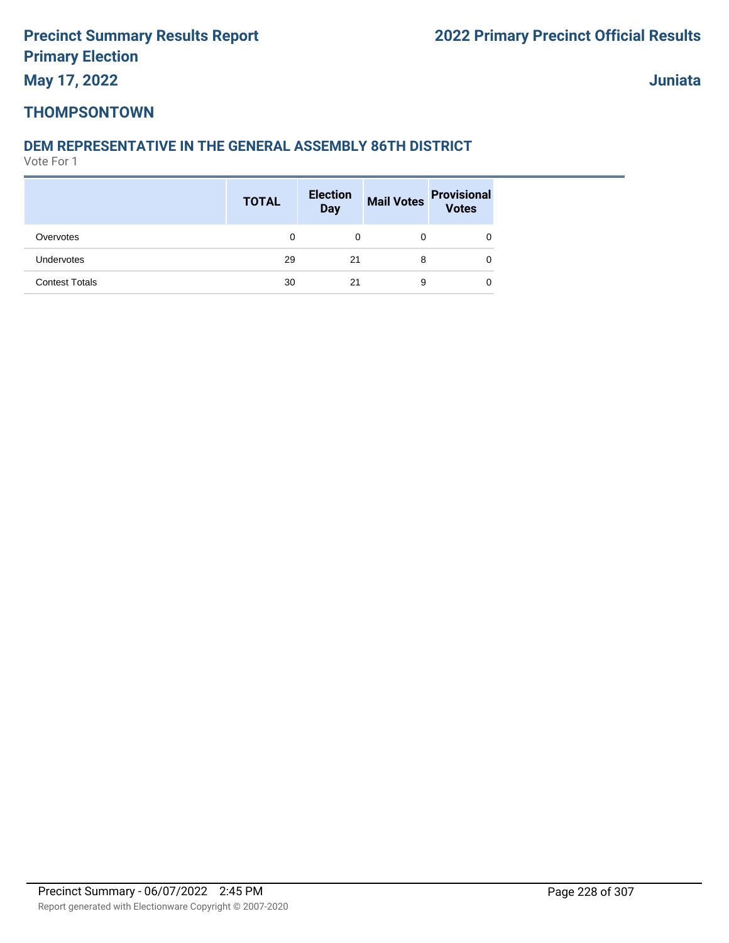**Juniata**

### **THOMPSONTOWN**

#### **DEM REPRESENTATIVE IN THE GENERAL ASSEMBLY 86TH DISTRICT**

|                       | <b>TOTAL</b> | <b>Election</b><br><b>Day</b> |   | Mail Votes Provisional<br>Votes |
|-----------------------|--------------|-------------------------------|---|---------------------------------|
| Overvotes             | 0            | 0                             | 0 | 0                               |
| Undervotes            | 29           | 21                            | 8 | 0                               |
| <b>Contest Totals</b> | 30           | 21                            | 9 | 0                               |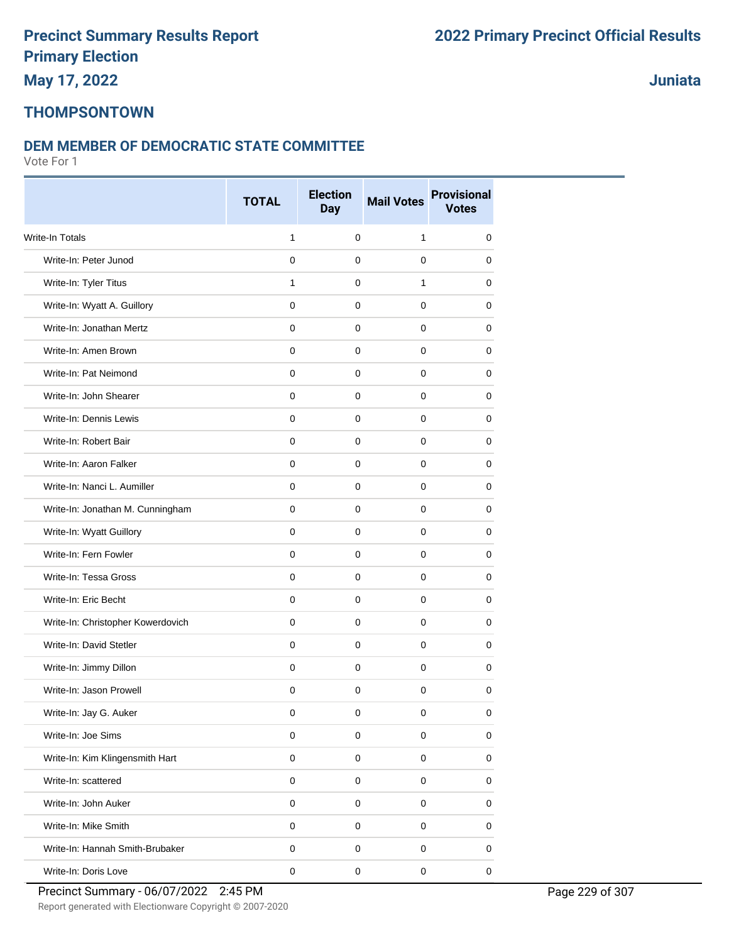### **THOMPSONTOWN**

#### **DEM MEMBER OF DEMOCRATIC STATE COMMITTEE**

|                                   | <b>TOTAL</b> | <b>Election</b><br><b>Day</b> | <b>Mail Votes</b> | <b>Provisional</b><br><b>Votes</b> |
|-----------------------------------|--------------|-------------------------------|-------------------|------------------------------------|
| <b>Write-In Totals</b>            | 1            | $\mathbf 0$                   | 1                 | 0                                  |
| Write-In: Peter Junod             | $\mathbf 0$  | $\mathbf 0$                   | 0                 | 0                                  |
| Write-In: Tyler Titus             | 1            | 0                             | 1                 | 0                                  |
| Write-In: Wyatt A. Guillory       | $\mathbf 0$  | $\mathbf 0$                   | 0                 | 0                                  |
| Write-In: Jonathan Mertz          | $\mathbf 0$  | $\mathbf 0$                   | 0                 | 0                                  |
| Write-In: Amen Brown              | $\mathbf 0$  | 0                             | 0                 | 0                                  |
| Write-In: Pat Neimond             | $\pmb{0}$    | $\mathbf 0$                   | $\mathbf 0$       | 0                                  |
| Write-In: John Shearer            | $\mathbf 0$  | $\mathbf 0$                   | 0                 | 0                                  |
| Write-In: Dennis Lewis            | 0            | 0                             | 0                 | 0                                  |
| Write-In: Robert Bair             | $\mathbf 0$  | $\mathbf 0$                   | 0                 | 0                                  |
| Write-In: Aaron Falker            | $\mathbf 0$  | $\mathbf 0$                   | $\mathbf 0$       | 0                                  |
| Write-In: Nanci L. Aumiller       | $\mathbf 0$  | 0                             | 0                 | 0                                  |
| Write-In: Jonathan M. Cunningham  | $\mathbf 0$  | $\mathbf 0$                   | $\mathbf 0$       | 0                                  |
| Write-In: Wyatt Guillory          | $\mathbf 0$  | 0                             | 0                 | 0                                  |
| Write-In: Fern Fowler             | 0            | 0                             | 0                 | 0                                  |
| Write-In: Tessa Gross             | $\mathbf 0$  | $\mathbf 0$                   | 0                 | 0                                  |
| Write-In: Eric Becht              | $\mathbf 0$  | $\mathbf 0$                   | 0                 | 0                                  |
| Write-In: Christopher Kowerdovich | $\mathbf 0$  | $\mathbf 0$                   | 0                 | 0                                  |
| Write-In: David Stetler           | $\pmb{0}$    | $\mathbf 0$                   | $\mathbf 0$       | 0                                  |
| Write-In: Jimmy Dillon            | $\pmb{0}$    | 0                             | 0                 | 0                                  |
| Write-In: Jason Prowell           | 0            | 0                             | 0                 | 0                                  |
| Write-In: Jay G. Auker            | 0            | $\mathbf 0$                   | 0                 | 0                                  |
| Write-In: Joe Sims                | $\mathsf 0$  | $\mathbf 0$                   | $\pmb{0}$         | $\pmb{0}$                          |
| Write-In: Kim Klingensmith Hart   | $\mathsf 0$  | $\pmb{0}$                     | $\pmb{0}$         | 0                                  |
| Write-In: scattered               | $\mathsf 0$  | $\pmb{0}$                     | $\mathbf 0$       | $\pmb{0}$                          |
| Write-In: John Auker              | $\pmb{0}$    | $\pmb{0}$                     | $\pmb{0}$         | 0                                  |
| Write-In: Mike Smith              | $\pmb{0}$    | $\mathsf 0$                   | 0                 | 0                                  |
| Write-In: Hannah Smith-Brubaker   | $\pmb{0}$    | $\pmb{0}$                     | 0                 | 0                                  |
| Write-In: Doris Love              | $\mathsf 0$  | $\pmb{0}$                     | $\pmb{0}$         | $\mathbf 0$                        |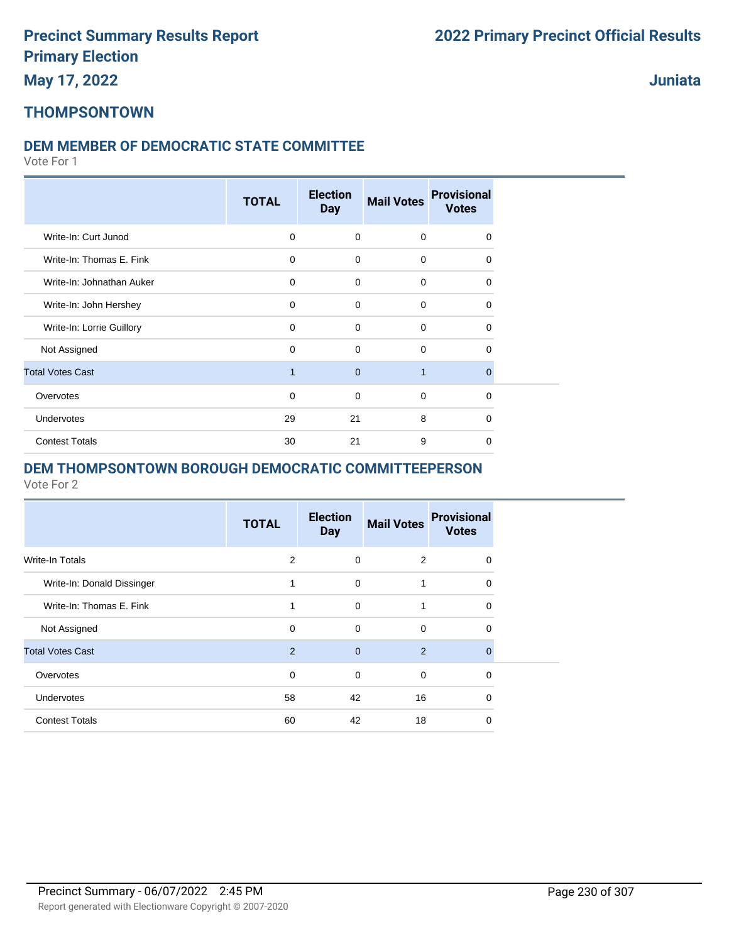**Juniata**

#### **THOMPSONTOWN**

#### **DEM MEMBER OF DEMOCRATIC STATE COMMITTEE**

Vote For 1

|                           | <b>TOTAL</b>   | <b>Election</b><br><b>Day</b> | <b>Mail Votes</b> | <b>Provisional</b><br><b>Votes</b> |
|---------------------------|----------------|-------------------------------|-------------------|------------------------------------|
| Write-In: Curt Junod      | 0              | $\mathbf 0$                   | $\mathbf 0$       | $\Omega$                           |
| Write-In: Thomas E. Fink  | $\Omega$       | $\mathbf 0$                   | $\Omega$          | $\Omega$                           |
| Write-In: Johnathan Auker | $\Omega$       | $\mathbf 0$                   | $\Omega$          | $\Omega$                           |
| Write-In: John Hershey    | $\Omega$       | $\mathbf 0$                   | $\Omega$          | $\Omega$                           |
| Write-In: Lorrie Guillory | $\Omega$       | $\mathbf 0$                   | $\Omega$          | $\Omega$                           |
| Not Assigned              | $\Omega$       | 0                             | $\Omega$          | $\Omega$                           |
| <b>Total Votes Cast</b>   | $\overline{1}$ | $\overline{0}$                | $\overline{1}$    | $\Omega$                           |
| Overvotes                 | $\Omega$       | $\mathbf 0$                   | $\mathbf 0$       | $\mathbf 0$                        |
| Undervotes                | 29             | 21                            | 8                 | $\Omega$                           |
| <b>Contest Totals</b>     | 30             | 21                            | 9                 | $\Omega$                           |

#### **DEM THOMPSONTOWN BOROUGH DEMOCRATIC COMMITTEEPERSON**

|                            | <b>TOTAL</b>   | <b>Election</b><br><b>Day</b> | <b>Mail Votes</b> | <b>Provisional</b><br><b>Votes</b> |
|----------------------------|----------------|-------------------------------|-------------------|------------------------------------|
| Write-In Totals            | 2              | 0                             | 2                 | 0                                  |
| Write-In: Donald Dissinger |                | $\mathbf 0$                   | 1                 | 0                                  |
| Write-In: Thomas E. Fink   | 1              | 0                             | 1                 | 0                                  |
| Not Assigned               | $\Omega$       | $\mathbf 0$                   | $\Omega$          | 0                                  |
| <b>Total Votes Cast</b>    | $\overline{2}$ | $\mathbf{0}$                  | 2                 | $\Omega$                           |
| Overvotes                  | $\mathbf 0$    | $\mathbf 0$                   | $\mathbf 0$       | $\Omega$                           |
| Undervotes                 | 58             | 42                            | 16                | 0                                  |
| <b>Contest Totals</b>      | 60             | 42                            | 18                | 0                                  |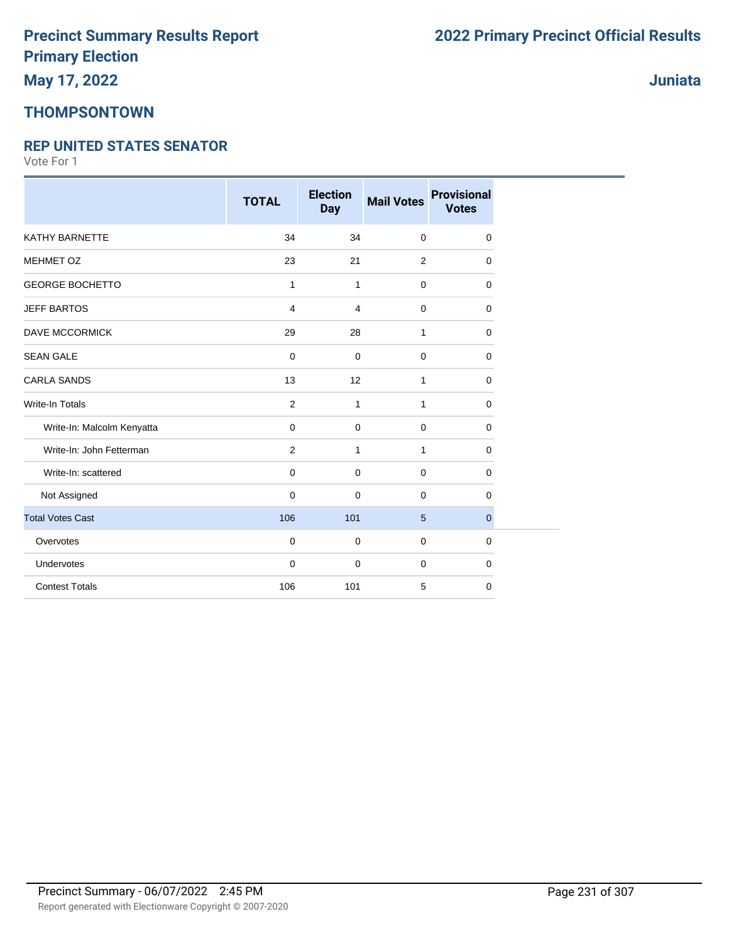### **THOMPSONTOWN**

#### **REP UNITED STATES SENATOR**

|                            | <b>TOTAL</b>   | <b>Election</b><br><b>Day</b> | <b>Mail Votes</b> | <b>Provisional</b><br><b>Votes</b> |
|----------------------------|----------------|-------------------------------|-------------------|------------------------------------|
| KATHY BARNETTE             | 34             | 34                            | $\mathbf 0$       | 0                                  |
| <b>MEHMET OZ</b>           | 23             | 21                            | 2                 | 0                                  |
| <b>GEORGE BOCHETTO</b>     | $\mathbf{1}$   | 1                             | 0                 | $\Omega$                           |
| <b>JEFF BARTOS</b>         | 4              | 4                             | $\mathbf 0$       | 0                                  |
| <b>DAVE MCCORMICK</b>      | 29             | 28                            | 1                 | $\mathbf 0$                        |
| <b>SEAN GALE</b>           | 0              | $\mathbf 0$                   | $\overline{0}$    | $\mathbf 0$                        |
| <b>CARLA SANDS</b>         | 13             | 12                            | $\mathbf{1}$      | $\mathbf 0$                        |
| <b>Write-In Totals</b>     | $\overline{2}$ | 1                             | 1                 | 0                                  |
| Write-In: Malcolm Kenyatta | $\mathbf 0$    | $\mathbf 0$                   | $\mathbf 0$       | $\mathbf 0$                        |
| Write-In: John Fetterman   | $\overline{2}$ | $\mathbf{1}$                  | $\mathbf{1}$      | 0                                  |
| Write-In: scattered        | $\mathbf 0$    | $\mathbf 0$                   | $\mathbf 0$       | $\mathbf 0$                        |
| Not Assigned               | $\mathbf 0$    | $\mathbf 0$                   | $\mathbf 0$       | 0                                  |
| <b>Total Votes Cast</b>    | 106            | 101                           | 5                 | $\mathbf{0}$                       |
| Overvotes                  | $\mathbf 0$    | $\mathbf 0$                   | 0                 | 0                                  |
| Undervotes                 | $\mathbf 0$    | $\mathbf 0$                   | 0                 | 0                                  |
| <b>Contest Totals</b>      | 106            | 101                           | 5                 | 0                                  |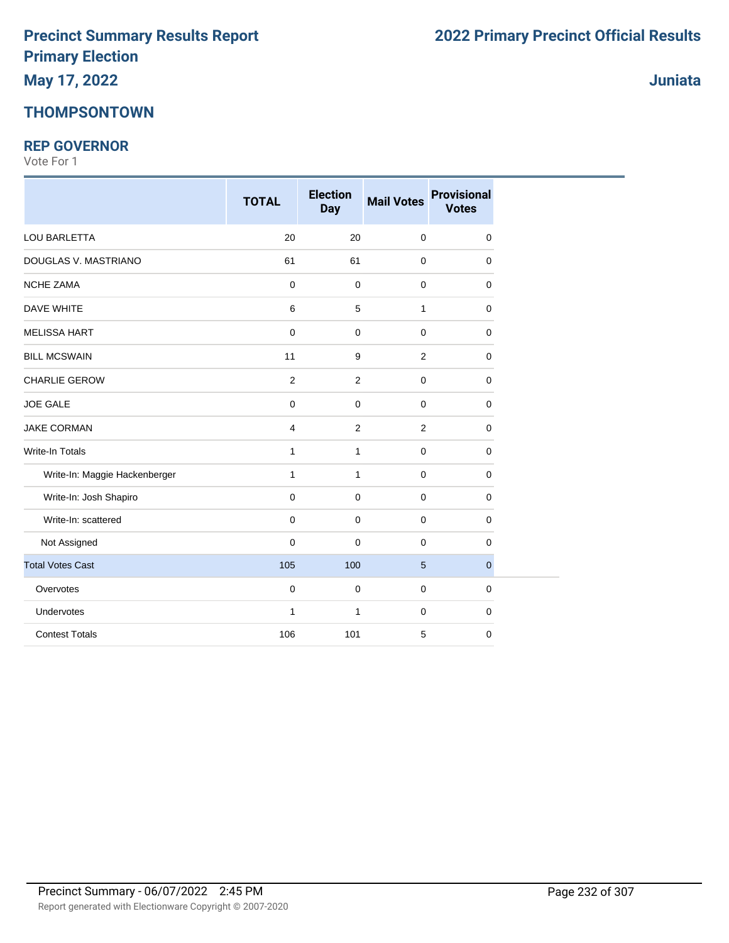### **THOMPSONTOWN**

#### **REP GOVERNOR**

|                               | <b>TOTAL</b>   | <b>Election</b><br><b>Day</b> | <b>Mail Votes</b> | <b>Provisional</b><br><b>Votes</b> |
|-------------------------------|----------------|-------------------------------|-------------------|------------------------------------|
| LOU BARLETTA                  | 20             | 20                            | $\mathbf 0$       | 0                                  |
| DOUGLAS V. MASTRIANO          | 61             | 61                            | $\mathbf 0$       | 0                                  |
| <b>NCHE ZAMA</b>              | 0              | $\mathbf 0$                   | $\mathbf 0$       | 0                                  |
| <b>DAVE WHITE</b>             | 6              | $\,$ 5 $\,$                   | $\mathbf{1}$      | 0                                  |
| <b>MELISSA HART</b>           | 0              | $\mathbf 0$                   | $\mathbf 0$       | 0                                  |
| <b>BILL MCSWAIN</b>           | 11             | 9                             | $\overline{2}$    | 0                                  |
| <b>CHARLIE GEROW</b>          | $\overline{2}$ | 2                             | $\mathbf 0$       | 0                                  |
| <b>JOE GALE</b>               | 0              | $\mathbf 0$                   | $\mathbf 0$       | 0                                  |
| <b>JAKE CORMAN</b>            | 4              | $\overline{c}$                | $\overline{2}$    | 0                                  |
| <b>Write-In Totals</b>        | 1              | $\mathbf{1}$                  | $\mathbf 0$       | 0                                  |
| Write-In: Maggie Hackenberger | $\mathbf{1}$   | $\mathbf{1}$                  | $\mathbf 0$       | 0                                  |
| Write-In: Josh Shapiro        | 0              | $\mathbf 0$                   | $\mathbf 0$       | 0                                  |
| Write-In: scattered           | $\pmb{0}$      | $\mathbf 0$                   | $\mathbf 0$       | 0                                  |
| Not Assigned                  | 0              | $\mathbf 0$                   | $\mathbf 0$       | 0                                  |
| <b>Total Votes Cast</b>       | 105            | 100                           | $5\phantom{.0}$   | $\mathbf 0$                        |
| Overvotes                     | 0              | 0                             | $\mathbf 0$       | 0                                  |
| Undervotes                    | $\mathbf{1}$   | $\mathbf{1}$                  | $\mathbf 0$       | 0                                  |
| <b>Contest Totals</b>         | 106            | 101                           | 5                 | 0                                  |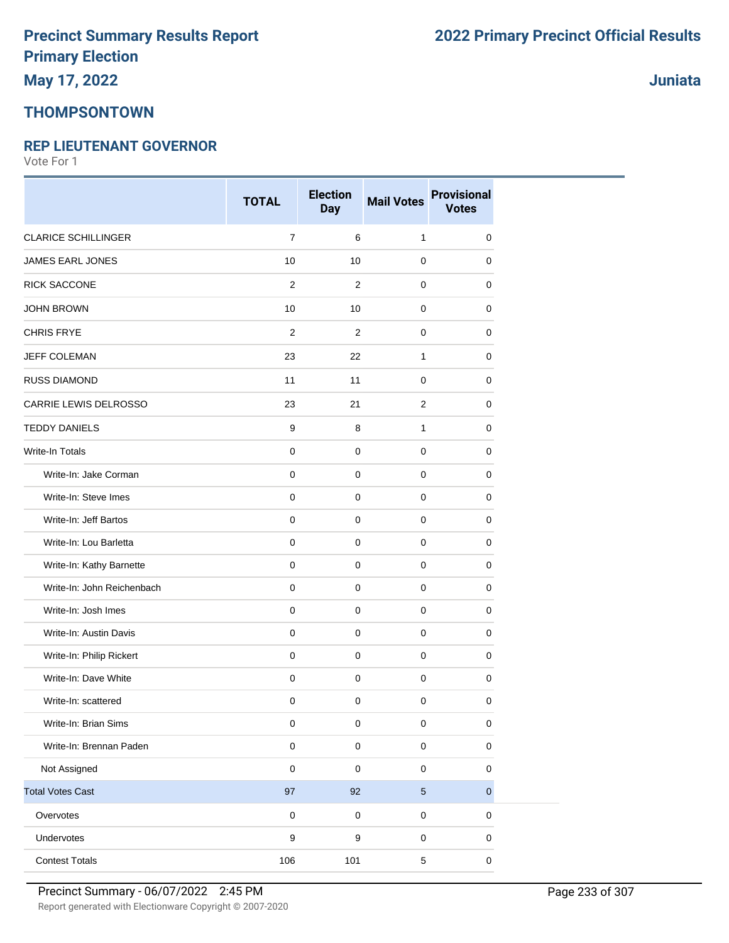### **THOMPSONTOWN**

#### **REP LIEUTENANT GOVERNOR**

Vote For 1

|                            | <b>TOTAL</b>   | <b>Election</b><br><b>Day</b> | <b>Mail Votes</b> | <b>Provisional</b><br><b>Votes</b> |
|----------------------------|----------------|-------------------------------|-------------------|------------------------------------|
| <b>CLARICE SCHILLINGER</b> | $\overline{7}$ | 6                             | $\mathbf{1}$      | $\pmb{0}$                          |
| JAMES EARL JONES           | 10             | 10                            | $\mathbf 0$       | $\mathbf 0$                        |
| <b>RICK SACCONE</b>        | $\overline{2}$ | 2                             | $\mathbf 0$       | $\mathbf 0$                        |
| <b>JOHN BROWN</b>          | 10             | 10                            | $\mathbf 0$       | 0                                  |
| <b>CHRIS FRYE</b>          | 2              | $\overline{2}$                | $\mathbf 0$       | $\mathbf 0$                        |
| JEFF COLEMAN               | 23             | 22                            | $\mathbf{1}$      | $\mathbf 0$                        |
| <b>RUSS DIAMOND</b>        | 11             | 11                            | $\mathbf 0$       | 0                                  |
| CARRIE LEWIS DELROSSO      | 23             | 21                            | 2                 | 0                                  |
| <b>TEDDY DANIELS</b>       | 9              | 8                             | $\mathbf{1}$      | $\mathbf 0$                        |
| Write-In Totals            | $\mathbf 0$    | $\mathbf 0$                   | $\mathbf 0$       | 0                                  |
| Write-In: Jake Corman      | $\mathbf 0$    | $\mathbf 0$                   | $\mathbf 0$       | $\mathbf 0$                        |
| Write-In: Steve Imes       | $\mathbf 0$    | $\mathsf 0$                   | $\mathbf 0$       | $\mathbf 0$                        |
| Write-In: Jeff Bartos      | $\mathbf 0$    | $\mathbf 0$                   | $\mathbf 0$       | 0                                  |
| Write-In: Lou Barletta     | $\pmb{0}$      | $\mathsf 0$                   | $\pmb{0}$         | $\mathbf 0$                        |
| Write-In: Kathy Barnette   | $\mathbf 0$    | $\mathsf 0$                   | $\mathbf 0$       | 0                                  |
| Write-In: John Reichenbach | $\mathbf 0$    | 0                             | 0                 | 0                                  |
| Write-In: Josh Imes        | $\mathbf 0$    | $\mathbf 0$                   | $\mathbf 0$       | $\mathbf 0$                        |
| Write-In: Austin Davis     | $\mathbf 0$    | $\mathbf 0$                   | $\mathbf 0$       | $\mathbf 0$                        |
| Write-In: Philip Rickert   | $\mathbf 0$    | $\mathbf 0$                   | $\mathbf 0$       | 0                                  |
| Write-In: Dave White       | $\pmb{0}$      | $\mathsf 0$                   | $\pmb{0}$         | $\pmb{0}$                          |
| Write-In: scattered        | 0              | $\mathsf 0$                   | $\mathbf 0$       | $\mathbf 0$                        |
| Write-In: Brian Sims       | 0              | 0                             | 0                 | 0                                  |
| Write-In: Brennan Paden    | $\mathsf 0$    | $\mathsf 0$                   | $\pmb{0}$         | $\pmb{0}$                          |
| Not Assigned               | $\mathbf 0$    | $\pmb{0}$                     | $\pmb{0}$         | $\pmb{0}$                          |
| <b>Total Votes Cast</b>    | $97\,$         | 92                            | $\sqrt{5}$        | $\mathbf 0$                        |
| Overvotes                  | $\mathsf 0$    | $\pmb{0}$                     | $\pmb{0}$         | $\pmb{0}$                          |
| Undervotes                 | 9              | 9                             | $\pmb{0}$         | 0                                  |
| <b>Contest Totals</b>      | 106            | 101                           | $\,$ 5 $\,$       | $\mathsf 0$                        |

**Juniata**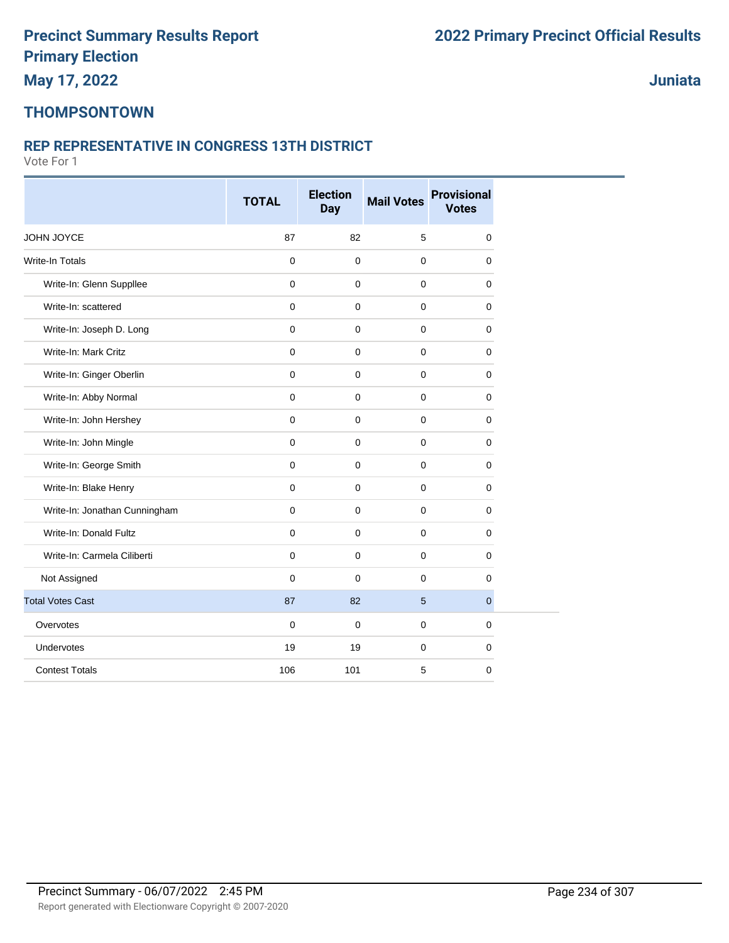## **THOMPSONTOWN**

#### **REP REPRESENTATIVE IN CONGRESS 13TH DISTRICT**

|                               | <b>TOTAL</b> | <b>Election</b><br><b>Day</b> | <b>Mail Votes</b> | <b>Provisional</b><br><b>Votes</b> |  |
|-------------------------------|--------------|-------------------------------|-------------------|------------------------------------|--|
| JOHN JOYCE                    | 87           | 82                            | 5                 | $\mathbf 0$                        |  |
| Write-In Totals               | $\mathbf 0$  | $\mathbf 0$                   | $\pmb{0}$         | $\mathbf 0$                        |  |
| Write-In: Glenn Suppllee      | $\mathbf 0$  | $\mathbf 0$                   | $\mathbf 0$       | 0                                  |  |
| Write-In: scattered           | $\mathbf 0$  | $\mathbf 0$                   | $\mathbf 0$       | $\mathbf 0$                        |  |
| Write-In: Joseph D. Long      | $\mathbf 0$  | $\mathbf 0$                   | $\pmb{0}$         | $\mathbf 0$                        |  |
| Write-In: Mark Critz          | $\mathbf 0$  | $\mathbf 0$                   | $\mathbf 0$       | 0                                  |  |
| Write-In: Ginger Oberlin      | $\mathbf 0$  | $\mathbf 0$                   | $\mathbf 0$       | $\mathbf 0$                        |  |
| Write-In: Abby Normal         | $\mathbf 0$  | $\mathbf 0$                   | $\mathbf 0$       | 0                                  |  |
| Write-In: John Hershey        | $\mathbf 0$  | $\mathbf 0$                   | $\mathbf 0$       | 0                                  |  |
| Write-In: John Mingle         | $\Omega$     | $\mathbf 0$                   | $\mathbf{0}$      | $\mathbf 0$                        |  |
| Write-In: George Smith        | $\mathbf 0$  | $\mathbf 0$                   | $\mathbf 0$       | $\mathbf 0$                        |  |
| Write-In: Blake Henry         | $\mathbf 0$  | $\mathbf 0$                   | $\mathbf 0$       | 0                                  |  |
| Write-In: Jonathan Cunningham | $\mathbf 0$  | $\mathbf 0$                   | $\pmb{0}$         | $\mathbf 0$                        |  |
| Write-In: Donald Fultz        | $\mathbf 0$  | $\mathbf 0$                   | $\pmb{0}$         | $\mathbf 0$                        |  |
| Write-In: Carmela Ciliberti   | $\mathbf 0$  | $\mathbf 0$                   | $\mathbf 0$       | 0                                  |  |
| Not Assigned                  | $\mathbf 0$  | $\mathbf 0$                   | $\mathbf 0$       | $\mathbf 0$                        |  |
| <b>Total Votes Cast</b>       | 87           | 82                            | $5\phantom{1}$    | $\overline{0}$                     |  |
| Overvotes                     | $\mathbf 0$  | $\mathbf 0$                   | $\mathbf 0$       | $\mathbf 0$                        |  |
| Undervotes                    | 19           | 19                            | $\pmb{0}$         | $\mathbf 0$                        |  |
| <b>Contest Totals</b>         | 106          | 101                           | 5                 | $\mathbf 0$                        |  |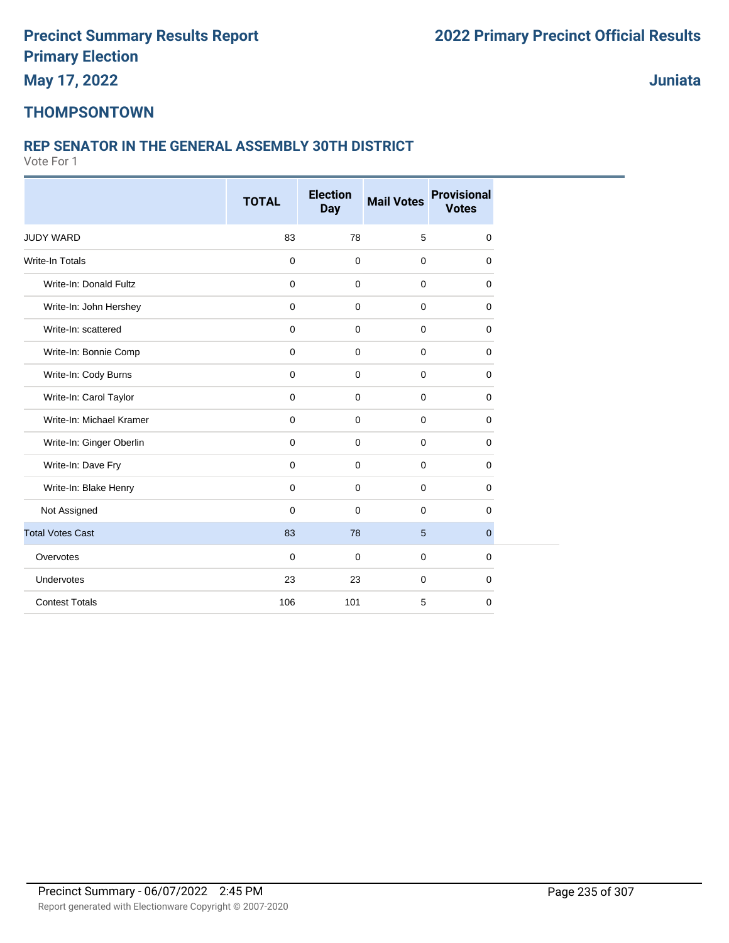**May 17, 2022**

**Juniata**

### **THOMPSONTOWN**

#### **REP SENATOR IN THE GENERAL ASSEMBLY 30TH DISTRICT**

|                          | <b>Election</b> |                     |                   | <b>Provisional</b> |  |  |
|--------------------------|-----------------|---------------------|-------------------|--------------------|--|--|
|                          | <b>TOTAL</b>    | <b>Day</b>          | <b>Mail Votes</b> | <b>Votes</b>       |  |  |
| JUDY WARD                | 83              | 78                  | 5                 | 0                  |  |  |
| <b>Write-In Totals</b>   | $\mathbf 0$     | $\pmb{0}$           | $\mathbf 0$       | 0                  |  |  |
| Write-In: Donald Fultz   | $\mathbf 0$     | $\mathbf 0$         | $\mathbf 0$       | 0                  |  |  |
| Write-In: John Hershey   | $\mathbf 0$     | $\mathbf 0$         | $\mathbf 0$       | 0                  |  |  |
| Write-In: scattered      | $\mathbf 0$     | $\mathbf 0$         | $\mathbf 0$       | 0                  |  |  |
| Write-In: Bonnie Comp    | $\mathbf 0$     | $\mathbf 0$         | $\mathbf 0$       | 0                  |  |  |
| Write-In: Cody Burns     | $\mathbf 0$     | $\mathbf 0$         | $\mathbf 0$       | 0                  |  |  |
| Write-In: Carol Taylor   | $\pmb{0}$       | $\mathsf{O}\xspace$ | $\mathbf 0$       | 0                  |  |  |
| Write-In: Michael Kramer | $\mathbf 0$     | $\mathbf 0$         | $\mathbf 0$       | 0                  |  |  |
| Write-In: Ginger Oberlin | $\mathbf 0$     | $\mathbf 0$         | $\mathbf 0$       | 0                  |  |  |
| Write-In: Dave Fry       | 0               | $\mathbf 0$         | $\mathbf 0$       | 0                  |  |  |
| Write-In: Blake Henry    | $\mathbf 0$     | $\mathbf 0$         | $\mathbf 0$       | 0                  |  |  |
| Not Assigned             | $\mathbf 0$     | 0                   | $\mathbf 0$       | 0                  |  |  |
| <b>Total Votes Cast</b>  | 83              | 78                  | $5\phantom{1}$    | 0                  |  |  |
| Overvotes                | $\Omega$        | 0                   | $\mathbf 0$       | 0                  |  |  |
| Undervotes               | 23              | 23                  | $\mathbf 0$       | 0                  |  |  |
| <b>Contest Totals</b>    | 106             | 101                 | 5                 | 0                  |  |  |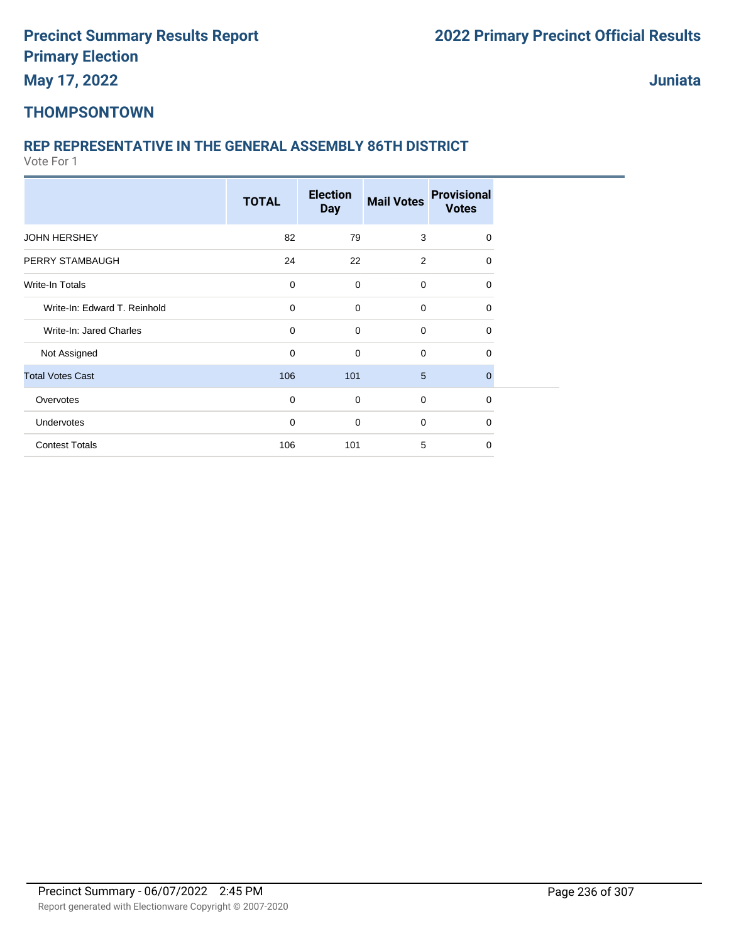**Juniata**

### **THOMPSONTOWN**

### **REP REPRESENTATIVE IN THE GENERAL ASSEMBLY 86TH DISTRICT**

|                              | <b>TOTAL</b> | <b>Election</b><br><b>Day</b> | <b>Mail Votes</b> | <b>Provisional</b><br><b>Votes</b> |  |
|------------------------------|--------------|-------------------------------|-------------------|------------------------------------|--|
| <b>JOHN HERSHEY</b>          | 82           | 79                            | 3                 | $\Omega$                           |  |
| PERRY STAMBAUGH              | 24           | 22                            | 2                 | $\Omega$                           |  |
| Write-In Totals              | 0            | $\mathbf 0$                   | 0                 | 0                                  |  |
| Write-In: Edward T. Reinhold | $\mathbf 0$  | $\mathbf 0$                   | 0                 | 0                                  |  |
| Write-In: Jared Charles      | $\mathbf 0$  | $\mathbf 0$                   | 0                 | 0                                  |  |
| Not Assigned                 | 0            | 0                             | $\mathbf 0$       | $\Omega$                           |  |
| <b>Total Votes Cast</b>      | 106          | 101                           | 5                 | $\mathbf 0$                        |  |
| Overvotes                    | $\mathbf 0$  | $\mathbf 0$                   | 0                 | $\mathbf 0$                        |  |
| Undervotes                   | $\mathbf 0$  | $\mathbf 0$                   | 0                 | 0                                  |  |
| <b>Contest Totals</b>        | 106          | 101                           | 5                 | $\Omega$                           |  |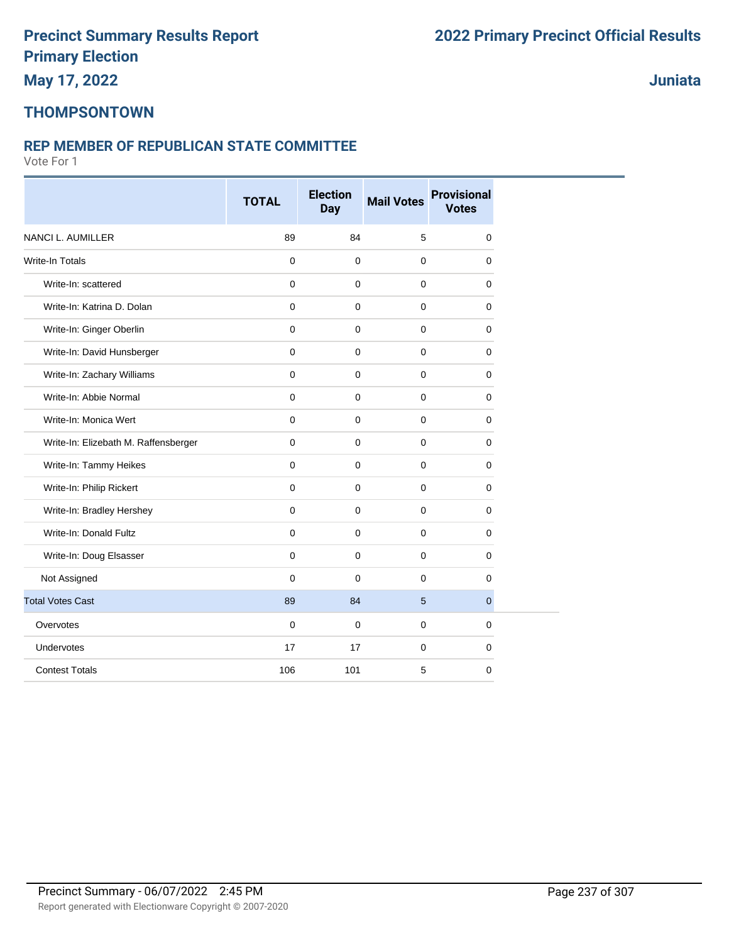**THOMPSONTOWN**

#### **REP MEMBER OF REPUBLICAN STATE COMMITTEE**

Vote For 1

|                                      | <b>TOTAL</b> | <b>Election</b><br><b>Day</b> | <b>Mail Votes</b> | <b>Provisional</b><br><b>Votes</b> |  |
|--------------------------------------|--------------|-------------------------------|-------------------|------------------------------------|--|
| NANCI L. AUMILLER                    | 89           | 84                            | 5                 | 0                                  |  |
| Write-In Totals                      | $\mathbf 0$  | $\mathbf 0$                   | $\mathbf 0$       | $\mathbf 0$                        |  |
| Write-In: scattered                  | $\mathbf 0$  | $\mathbf 0$                   | $\mathbf 0$       | 0                                  |  |
| Write-In: Katrina D. Dolan           | $\mathbf 0$  | $\mathbf 0$                   | $\mathbf 0$       | $\mathbf 0$                        |  |
| Write-In: Ginger Oberlin             | $\mathbf 0$  | $\mathbf 0$                   | $\mathbf 0$       | $\mathbf 0$                        |  |
| Write-In: David Hunsberger           | $\mathbf 0$  | $\mathbf 0$                   | $\mathbf 0$       | 0                                  |  |
| Write-In: Zachary Williams           | $\mathbf 0$  | $\mathbf 0$                   | $\mathbf 0$       | $\mathbf 0$                        |  |
| Write-In: Abbie Normal               | $\mathbf 0$  | $\mathbf 0$                   | $\mathbf 0$       | $\mathbf 0$                        |  |
| Write-In: Monica Wert                | $\mathbf 0$  | $\mathbf 0$                   | $\mathbf 0$       | 0                                  |  |
| Write-In: Elizebath M. Raffensberger | $\mathbf 0$  | $\mathbf 0$                   | $\mathbf 0$       | $\mathbf 0$                        |  |
| Write-In: Tammy Heikes               | $\mathbf 0$  | $\mathbf 0$                   | $\mathbf 0$       | $\mathbf 0$                        |  |
| Write-In: Philip Rickert             | $\mathbf{0}$ | $\mathbf 0$                   | $\mathbf 0$       | $\mathbf 0$                        |  |
| Write-In: Bradley Hershey            | $\mathbf 0$  | $\mathbf 0$                   | $\mathbf 0$       | $\mathbf 0$                        |  |
| Write-In: Donald Fultz               | $\mathbf 0$  | $\mathbf 0$                   | $\mathbf 0$       | $\mathbf 0$                        |  |
| Write-In: Doug Elsasser              | $\mathbf{0}$ | $\mathbf 0$                   | $\mathbf 0$       | $\mathbf 0$                        |  |
| Not Assigned                         | $\mathbf 0$  | $\mathbf 0$                   | $\mathbf 0$       | $\mathbf 0$                        |  |
| <b>Total Votes Cast</b>              | 89           | 84                            | 5                 | $\overline{0}$                     |  |
| Overvotes                            | $\mathbf 0$  | 0                             | $\mathbf 0$       | 0                                  |  |
| Undervotes                           | 17           | 17                            | $\mathbf 0$       | $\mathbf 0$                        |  |
| <b>Contest Totals</b>                | 106          | 101                           | 5                 | $\mathbf 0$                        |  |

**Juniata**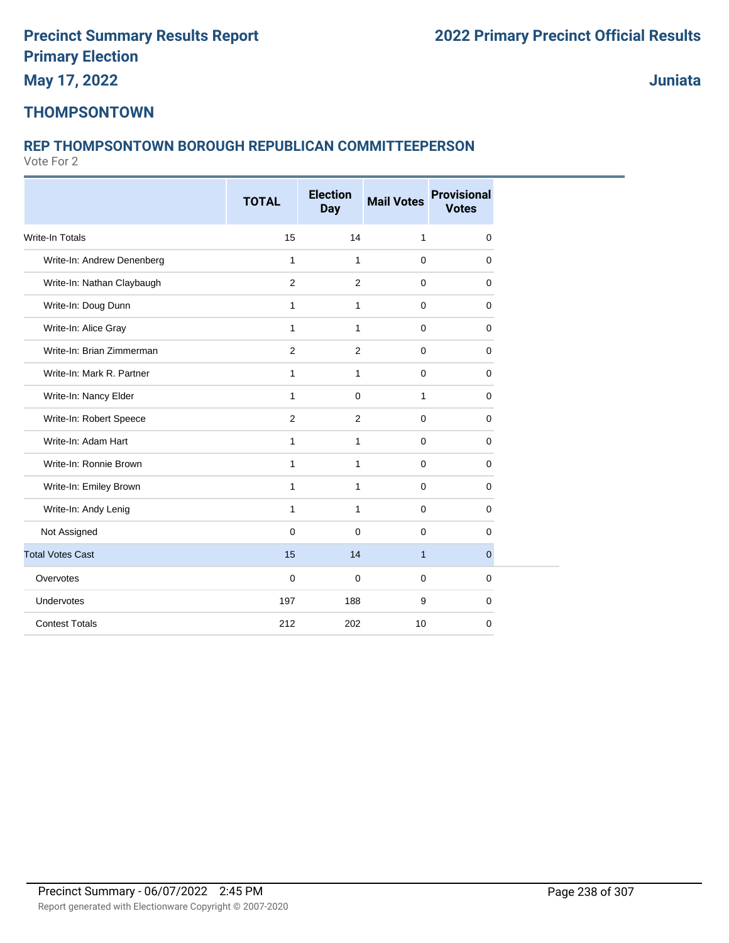**Juniata**

### **THOMPSONTOWN**

### **REP THOMPSONTOWN BOROUGH REPUBLICAN COMMITTEEPERSON**

|                            | <b>TOTAL</b> | <b>Election</b><br><b>Day</b> | <b>Mail Votes</b> | <b>Provisional</b><br><b>Votes</b> |
|----------------------------|--------------|-------------------------------|-------------------|------------------------------------|
| <b>Write-In Totals</b>     | 15           | 14                            | 1                 | 0                                  |
| Write-In: Andrew Denenberg | $\mathbf{1}$ | $\mathbf{1}$                  | $\mathbf 0$       | $\mathbf 0$                        |
| Write-In: Nathan Claybaugh | 2            | 2                             | $\mathbf 0$       | $\mathbf 0$                        |
| Write-In: Doug Dunn        | 1            | $\mathbf{1}$                  | $\mathbf 0$       | 0                                  |
| Write-In: Alice Gray       | $\mathbf{1}$ | $\mathbf{1}$                  | $\mathbf 0$       | $\mathbf 0$                        |
| Write-In: Brian Zimmerman  | 2            | 2                             | $\mathbf 0$       | $\mathbf 0$                        |
| Write-In: Mark R. Partner  | $\mathbf{1}$ | $\mathbf{1}$                  | $\mathbf 0$       | $\mathbf 0$                        |
| Write-In: Nancy Elder      | $\mathbf{1}$ | $\mathbf 0$                   | 1                 | 0                                  |
| Write-In: Robert Speece    | 2            | 2                             | $\mathbf 0$       | $\mathbf 0$                        |
| Write-In: Adam Hart        | $\mathbf{1}$ | $\mathbf{1}$                  | $\mathbf 0$       | $\Omega$                           |
| Write-In: Ronnie Brown     | 1            | $\mathbf{1}$                  | $\mathbf 0$       | 0                                  |
| Write-In: Emiley Brown     | $\mathbf{1}$ | $\mathbf{1}$                  | $\mathbf 0$       | $\mathbf 0$                        |
| Write-In: Andy Lenig       | $\mathbf{1}$ | $\mathbf{1}$                  | $\mathbf 0$       | 0                                  |
| Not Assigned               | $\mathbf 0$  | $\mathbf 0$                   | $\mathbf 0$       | 0                                  |
| <b>Total Votes Cast</b>    | 15           | 14                            | $\mathbf{1}$      | $\mathbf{0}$                       |
| Overvotes                  | $\mathbf 0$  | $\mathbf 0$                   | $\mathbf 0$       | $\mathbf 0$                        |
| Undervotes                 | 197          | 188                           | 9                 | $\mathbf 0$                        |
| <b>Contest Totals</b>      | 212          | 202                           | 10                | $\mathbf 0$                        |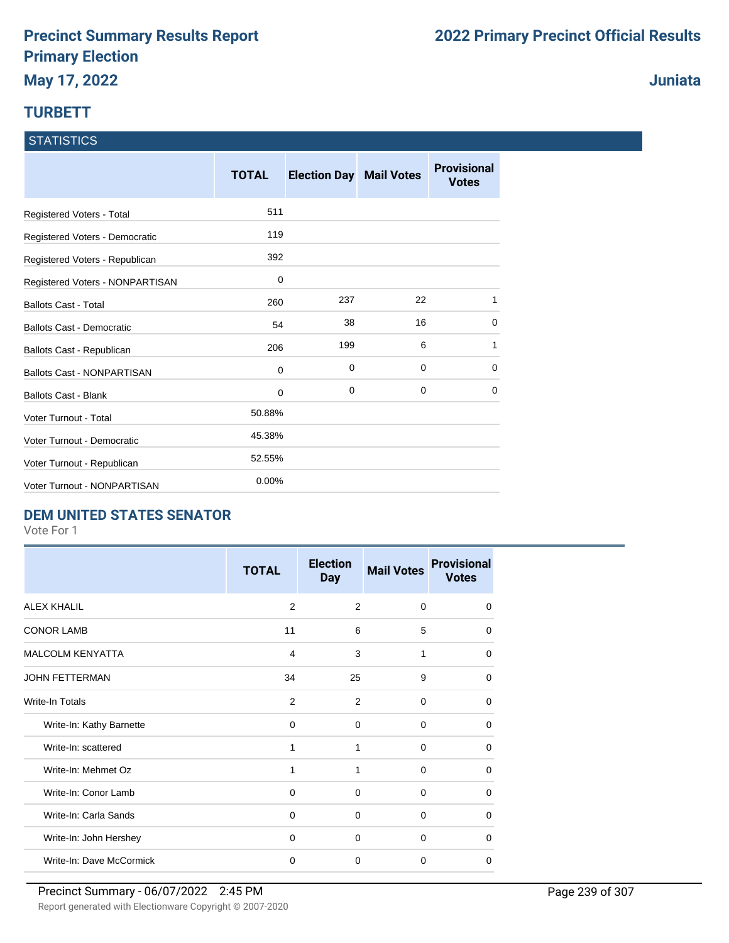### **TURBETT**

|  | <b>STATISTICS</b> |
|--|-------------------|
|  |                   |
|  |                   |

|                                   | <b>TOTAL</b> | <b>Election Day Mail Votes</b> |             | <b>Provisional</b><br><b>Votes</b> |
|-----------------------------------|--------------|--------------------------------|-------------|------------------------------------|
| Registered Voters - Total         | 511          |                                |             |                                    |
| Registered Voters - Democratic    | 119          |                                |             |                                    |
| Registered Voters - Republican    | 392          |                                |             |                                    |
| Registered Voters - NONPARTISAN   | 0            |                                |             |                                    |
| <b>Ballots Cast - Total</b>       | 260          | 237                            | 22          | 1                                  |
| <b>Ballots Cast - Democratic</b>  | 54           | 38                             | 16          | 0                                  |
| Ballots Cast - Republican         | 206          | 199                            | 6           | 1                                  |
| <b>Ballots Cast - NONPARTISAN</b> | 0            | 0                              | 0           | 0                                  |
| <b>Ballots Cast - Blank</b>       | 0            | 0                              | $\mathbf 0$ | $\Omega$                           |
| Voter Turnout - Total             | 50.88%       |                                |             |                                    |
| Voter Turnout - Democratic        | 45.38%       |                                |             |                                    |
| Voter Turnout - Republican        | 52.55%       |                                |             |                                    |
| Voter Turnout - NONPARTISAN       | 0.00%        |                                |             |                                    |

### **DEM UNITED STATES SENATOR**

Vote For 1

|                          | <b>TOTAL</b>   | <b>Election</b><br><b>Day</b> | <b>Mail Votes</b> | <b>Provisional</b><br><b>Votes</b> |
|--------------------------|----------------|-------------------------------|-------------------|------------------------------------|
| <b>ALEX KHALIL</b>       | $\overline{2}$ | 2                             | $\Omega$          | $\Omega$                           |
| <b>CONOR LAMB</b>        | 11             | 6                             | 5                 | 0                                  |
| <b>MALCOLM KENYATTA</b>  | 4              | 3                             | 1                 | $\Omega$                           |
| <b>JOHN FETTERMAN</b>    | 34             | 25                            | 9                 | $\Omega$                           |
| Write-In Totals          | 2              | 2                             | $\Omega$          | 0                                  |
| Write-In: Kathy Barnette | $\Omega$       | $\Omega$                      | $\Omega$          | 0                                  |
| Write-In: scattered      | 1              | 1                             | $\Omega$          | $\Omega$                           |
| Write-In: Mehmet Oz      | 1              | 1                             | $\Omega$          | 0                                  |
| Write-In: Conor Lamb     | 0              | 0                             | 0                 | 0                                  |
| Write-In: Carla Sands    | 0              | 0                             | $\Omega$          | 0                                  |
| Write-In: John Hershey   | 0              | $\Omega$                      | $\Omega$          | $\Omega$                           |
| Write-In: Dave McCormick | $\mathbf 0$    | $\Omega$                      | $\Omega$          | $\Omega$                           |

**Juniata**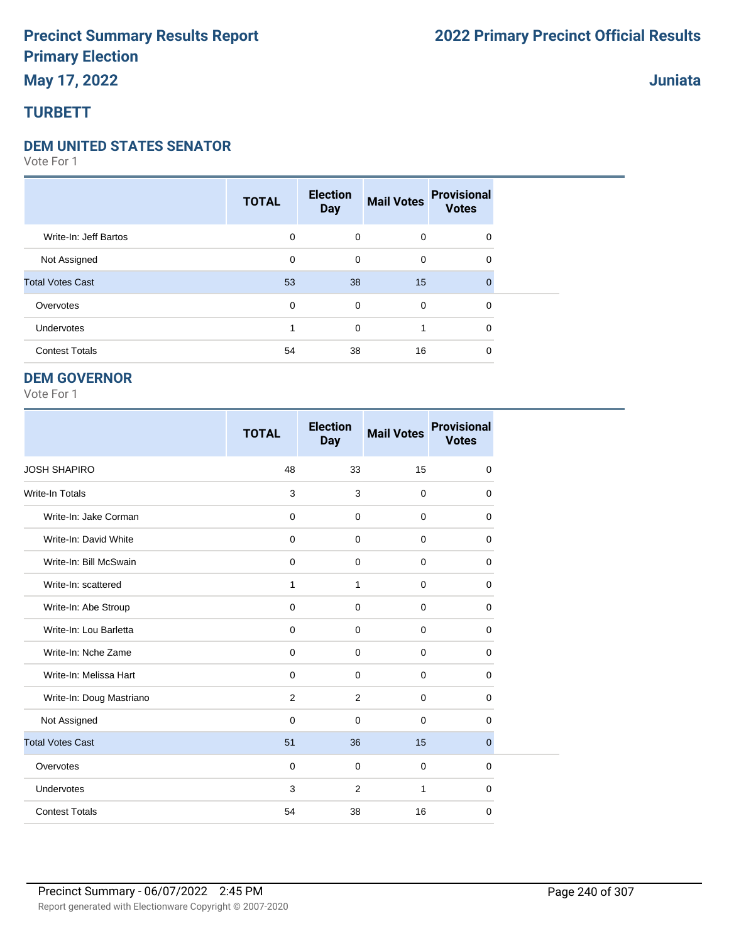### **May 17, 2022**

### **TURBETT**

#### **DEM UNITED STATES SENATOR**

Vote For 1

|                         | <b>TOTAL</b> | <b>Election</b><br><b>Day</b> | <b>Mail Votes</b> | <b>Provisional</b><br><b>Votes</b> |  |
|-------------------------|--------------|-------------------------------|-------------------|------------------------------------|--|
| Write-In: Jeff Bartos   | 0            | $\mathbf 0$                   | $\mathbf 0$       | $\mathbf 0$                        |  |
| Not Assigned            | 0            | 0                             | $\mathbf 0$       | 0                                  |  |
| <b>Total Votes Cast</b> | 53           | 38                            | 15                | $\Omega$                           |  |
| Overvotes               | 0            | 0                             | $\mathbf 0$       | 0                                  |  |
| Undervotes              |              | $\mathbf 0$                   |                   | 0                                  |  |
| <b>Contest Totals</b>   | 54           | 38                            | 16                | 0                                  |  |

#### **DEM GOVERNOR**

Vote For 1

|                          | <b>TOTAL</b> | <b>Election</b><br><b>Day</b> | <b>Mail Votes</b> | <b>Provisional</b><br><b>Votes</b> |
|--------------------------|--------------|-------------------------------|-------------------|------------------------------------|
| <b>JOSH SHAPIRO</b>      | 48           | 33                            | 15                | 0                                  |
| <b>Write-In Totals</b>   | 3            | 3                             | $\mathbf 0$       | $\mathbf 0$                        |
| Write-In: Jake Corman    | $\mathbf 0$  | $\mathbf 0$                   | $\mathbf 0$       | $\mathbf 0$                        |
| Write-In: David White    | $\mathbf 0$  | $\mathbf 0$                   | $\mathbf 0$       | 0                                  |
| Write-In: Bill McSwain   | $\mathbf 0$  | $\mathbf 0$                   | $\mathbf 0$       | 0                                  |
| Write-In: scattered      | 1            | $\mathbf{1}$                  | $\Omega$          | $\Omega$                           |
| Write-In: Abe Stroup     | $\mathbf 0$  | $\mathbf 0$                   | $\mathbf 0$       | $\mathbf 0$                        |
| Write-In: Lou Barletta   | $\mathbf 0$  | $\mathbf 0$                   | 0                 | $\mathbf 0$                        |
| Write-In: Nche Zame      | 0            | $\mathbf 0$                   | 0                 | 0                                  |
| Write-In: Melissa Hart   | $\mathbf 0$  | $\mathbf 0$                   | 0                 | $\mathbf 0$                        |
| Write-In: Doug Mastriano | 2            | 2                             | $\mathbf 0$       | 0                                  |
| Not Assigned             | 0            | $\mathbf 0$                   | $\mathbf 0$       | 0                                  |
| <b>Total Votes Cast</b>  | 51           | 36                            | 15                | $\mathbf{0}$                       |
| Overvotes                | $\mathbf 0$  | $\mathbf 0$                   | $\mathbf 0$       | 0                                  |
| Undervotes               | 3            | 2                             | 1                 | 0                                  |
| <b>Contest Totals</b>    | 54           | 38                            | 16                | $\mathbf 0$                        |

**Juniata**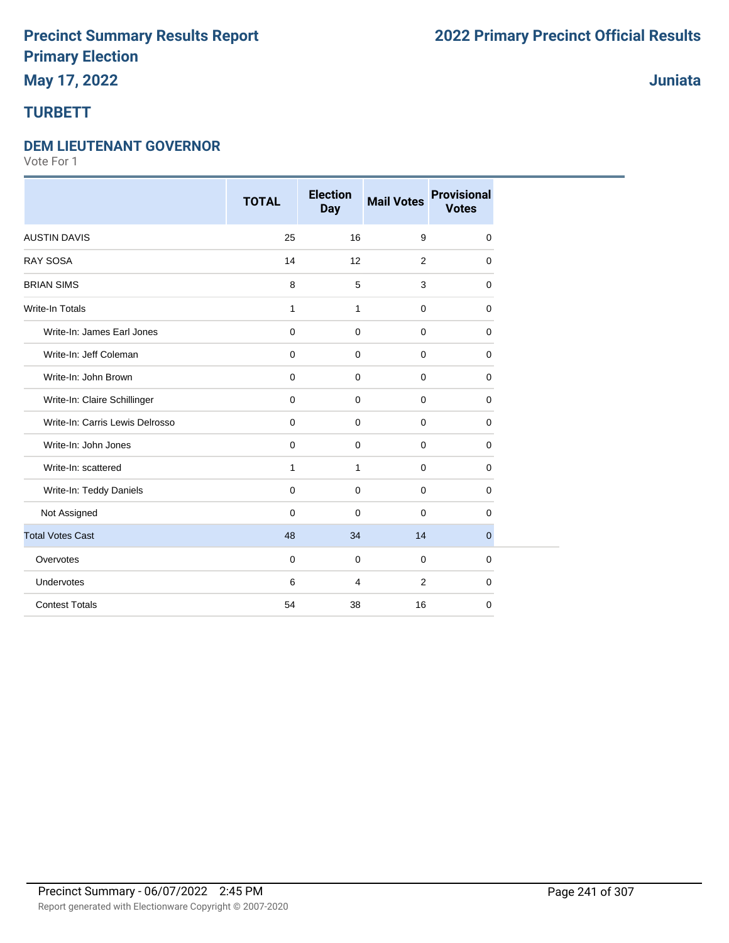### **May 17, 2022**

### **TURBETT**

#### **DEM LIEUTENANT GOVERNOR**

|                                 | <b>TOTAL</b> | <b>Election</b><br><b>Day</b> | <b>Mail Votes</b> | <b>Provisional</b><br><b>Votes</b> |
|---------------------------------|--------------|-------------------------------|-------------------|------------------------------------|
| <b>AUSTIN DAVIS</b>             | 25           | 16                            | 9                 | 0                                  |
| <b>RAY SOSA</b>                 | 14           | 12                            | 2                 | 0                                  |
| <b>BRIAN SIMS</b>               | 8            | 5                             | 3                 | 0                                  |
| <b>Write-In Totals</b>          | $\mathbf{1}$ | $\mathbf{1}$                  | $\mathbf 0$       | 0                                  |
| Write-In: James Earl Jones      | $\mathbf 0$  | $\mathbf 0$                   | $\mathbf 0$       | 0                                  |
| Write-In: Jeff Coleman          | $\mathbf 0$  | $\mathbf 0$                   | $\mathbf 0$       | 0                                  |
| Write-In: John Brown            | $\mathbf 0$  | $\mathbf 0$                   | $\mathbf 0$       | 0                                  |
| Write-In: Claire Schillinger    | $\mathbf 0$  | $\mathbf 0$                   | $\mathbf 0$       | 0                                  |
| Write-In: Carris Lewis Delrosso | $\mathbf 0$  | $\mathbf 0$                   | $\mathbf 0$       | 0                                  |
| Write-In: John Jones            | $\mathbf 0$  | 0                             | $\mathbf 0$       | 0                                  |
| Write-In: scattered             | $\mathbf{1}$ | $\mathbf{1}$                  | $\mathbf 0$       | 0                                  |
| Write-In: Teddy Daniels         | $\mathbf 0$  | 0                             | $\mathbf 0$       | 0                                  |
| Not Assigned                    | $\mathbf 0$  | $\mathbf 0$                   | $\mathbf 0$       | 0                                  |
| <b>Total Votes Cast</b>         | 48           | 34                            | 14                | $\overline{0}$                     |
| Overvotes                       | $\mathbf 0$  | $\mathbf 0$                   | $\mathbf 0$       | 0                                  |
| Undervotes                      | 6            | 4                             | 2                 | 0                                  |
| <b>Contest Totals</b>           | 54           | 38                            | 16                | 0                                  |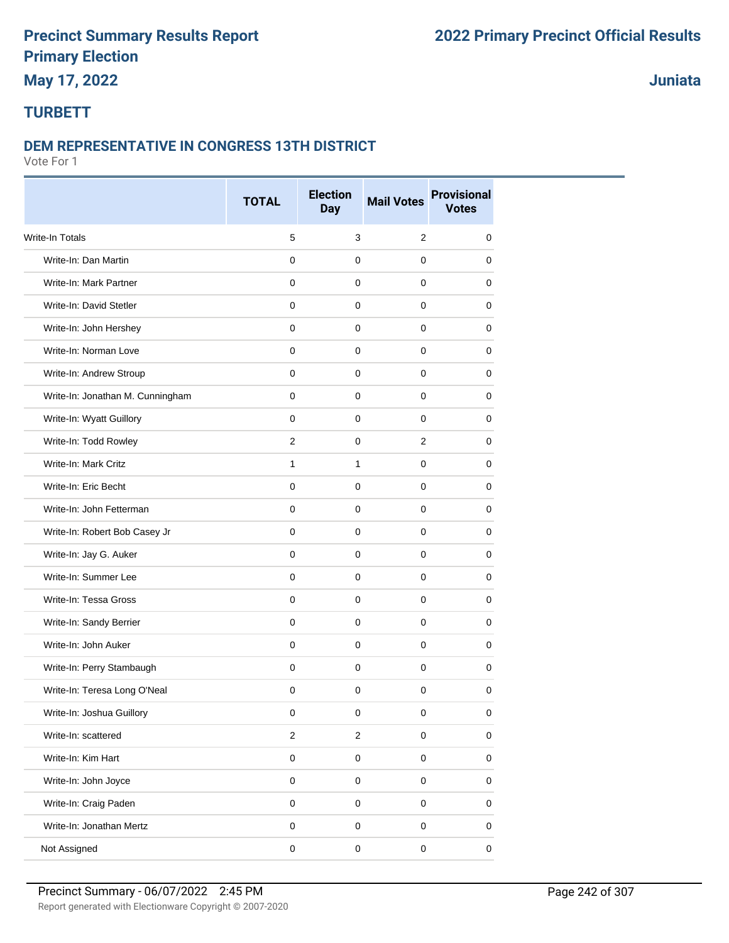## **May 17, 2022**

**Juniata**

### **TURBETT**

#### **DEM REPRESENTATIVE IN CONGRESS 13TH DISTRICT**

|                                  | <b>TOTAL</b>        | <b>Election</b><br><b>Day</b> | <b>Mail Votes</b> | <b>Provisional</b><br><b>Votes</b> |
|----------------------------------|---------------------|-------------------------------|-------------------|------------------------------------|
| Write-In Totals                  | 5                   | 3                             | $\overline{2}$    | 0                                  |
| Write-In: Dan Martin             | $\mathbf 0$         | $\mathbf 0$                   | 0                 | 0                                  |
| Write-In: Mark Partner           | $\mathbf 0$         | $\mathbf 0$                   | $\mathbf 0$       | 0                                  |
| Write-In: David Stetler          | $\mathbf 0$         | $\mathbf 0$                   | 0                 | 0                                  |
| Write-In: John Hershey           | 0                   | 0                             | 0                 | 0                                  |
| Write-In: Norman Love            | $\mathbf 0$         | $\mathbf 0$                   | $\mathbf 0$       | 0                                  |
| Write-In: Andrew Stroup          | $\Omega$            | $\mathbf 0$                   | $\Omega$          | 0                                  |
| Write-In: Jonathan M. Cunningham | 0                   | $\mathbf 0$                   | 0                 | 0                                  |
| Write-In: Wyatt Guillory         | $\mathbf{0}$        | $\mathbf 0$                   | $\mathbf 0$       | 0                                  |
| Write-In: Todd Rowley            | 2                   | 0                             | 2                 | 0                                  |
| Write-In: Mark Critz             | $\mathbf{1}$        | $\mathbf{1}$                  | 0                 | 0                                  |
| Write-In: Eric Becht             | $\mathbf 0$         | $\mathbf 0$                   | $\mathbf 0$       | $\mathbf 0$                        |
| Write-In: John Fetterman         | $\mathbf 0$         | $\mathbf 0$                   | $\mathbf 0$       | 0                                  |
| Write-In: Robert Bob Casey Jr    | $\mathbf 0$         | $\mathbf 0$                   | 0                 | 0                                  |
| Write-In: Jay G. Auker           | $\mathbf 0$         | $\mathbf 0$                   | 0                 | 0                                  |
| Write-In: Summer Lee             | $\mathbf 0$         | $\mathbf 0$                   | 0                 | 0                                  |
| Write-In: Tessa Gross            | 0                   | 0                             | 0                 | 0                                  |
| Write-In: Sandy Berrier          | $\mathbf 0$         | $\mathbf 0$                   | 0                 | 0                                  |
| Write-In: John Auker             | $\Omega$            | $\mathbf 0$                   | $\Omega$          | 0                                  |
| Write-In: Perry Stambaugh        | 0                   | $\mathbf 0$                   | 0                 | 0                                  |
| Write-In: Teresa Long O'Neal     | $\mathbf 0$         | $\mathbf 0$                   | $\pmb{0}$         | $\mathbf 0$                        |
| Write-In: Joshua Guillory        | 0                   | 0                             | 0                 | 0                                  |
| Write-In: scattered              | $\overline{c}$      | $\boldsymbol{2}$              | $\pmb{0}$         | 0                                  |
| Write-In: Kim Hart               | $\mathbf 0$         | $\mathbf 0$                   | $\mathsf 0$       | $\mathsf 0$                        |
| Write-In: John Joyce             | $\mathsf{O}\xspace$ | $\mathbf 0$                   | $\mathbf 0$       | $\pmb{0}$                          |
| Write-In: Craig Paden            | $\pmb{0}$           | $\mathbf 0$                   | $\mathbf 0$       | $\pmb{0}$                          |
| Write-In: Jonathan Mertz         | $\mathbf 0$         | $\pmb{0}$                     | $\mathsf 0$       | $\mathsf 0$                        |
| Not Assigned                     | $\pmb{0}$           | $\pmb{0}$                     | $\pmb{0}$         | $\pmb{0}$                          |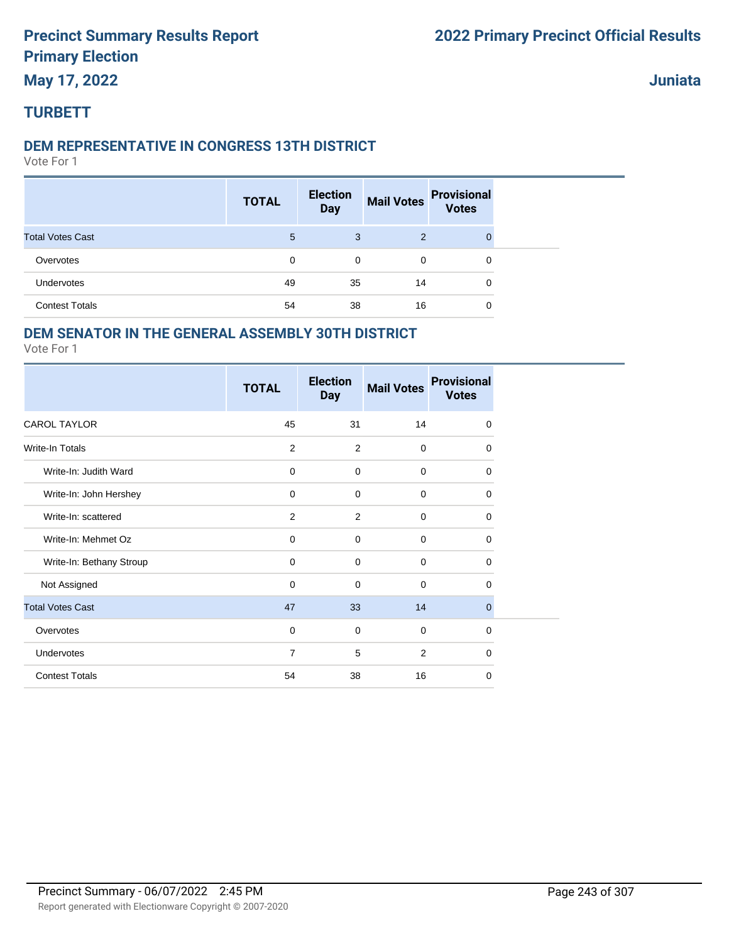### **May 17, 2022**

**Juniata**

### **TURBETT**

#### **DEM REPRESENTATIVE IN CONGRESS 13TH DISTRICT**

Vote For 1

|                         | <b>TOTAL</b> | <b>Election</b><br><b>Day</b> | <b>Mail Votes</b> | <b>Provisional</b><br><b>Votes</b> |
|-------------------------|--------------|-------------------------------|-------------------|------------------------------------|
| <b>Total Votes Cast</b> | 5            | 3                             | 2                 |                                    |
| Overvotes               | 0            | $\mathbf 0$                   | $\mathbf 0$       | 0                                  |
| Undervotes              | 49           | 35                            | 14                | 0                                  |
| <b>Contest Totals</b>   | 54           | 38                            | 16                | 0                                  |

### **DEM SENATOR IN THE GENERAL ASSEMBLY 30TH DISTRICT**

|                          | <b>TOTAL</b>   | <b>Election</b><br><b>Day</b> | <b>Mail Votes</b> | <b>Provisional</b><br><b>Votes</b> |
|--------------------------|----------------|-------------------------------|-------------------|------------------------------------|
| <b>CAROL TAYLOR</b>      | 45             | 31                            | 14                | 0                                  |
| <b>Write-In Totals</b>   | 2              | 2                             | $\mathbf 0$       | 0                                  |
| Write-In: Judith Ward    | $\mathbf 0$    | $\mathbf 0$                   | $\mathbf 0$       | $\mathbf 0$                        |
| Write-In: John Hershey   | $\mathbf 0$    | $\mathbf 0$                   | $\mathbf 0$       | $\mathbf 0$                        |
| Write-In: scattered      | $\overline{2}$ | 2                             | $\Omega$          | 0                                  |
| Write-In: Mehmet Oz      | $\mathbf 0$    | $\mathbf 0$                   | $\mathbf 0$       | $\mathbf 0$                        |
| Write-In: Bethany Stroup | $\mathbf 0$    | $\mathbf 0$                   | $\Omega$          | 0                                  |
| Not Assigned             | $\mathbf 0$    | $\mathbf 0$                   | $\mathbf 0$       | $\Omega$                           |
| <b>Total Votes Cast</b>  | 47             | 33                            | 14                | $\mathbf{0}$                       |
| Overvotes                | $\mathbf 0$    | $\mathbf 0$                   | $\mathbf 0$       | $\mathbf 0$                        |
| Undervotes               | $\overline{7}$ | 5                             | 2                 | $\mathbf 0$                        |
| <b>Contest Totals</b>    | 54             | 38                            | 16                | 0                                  |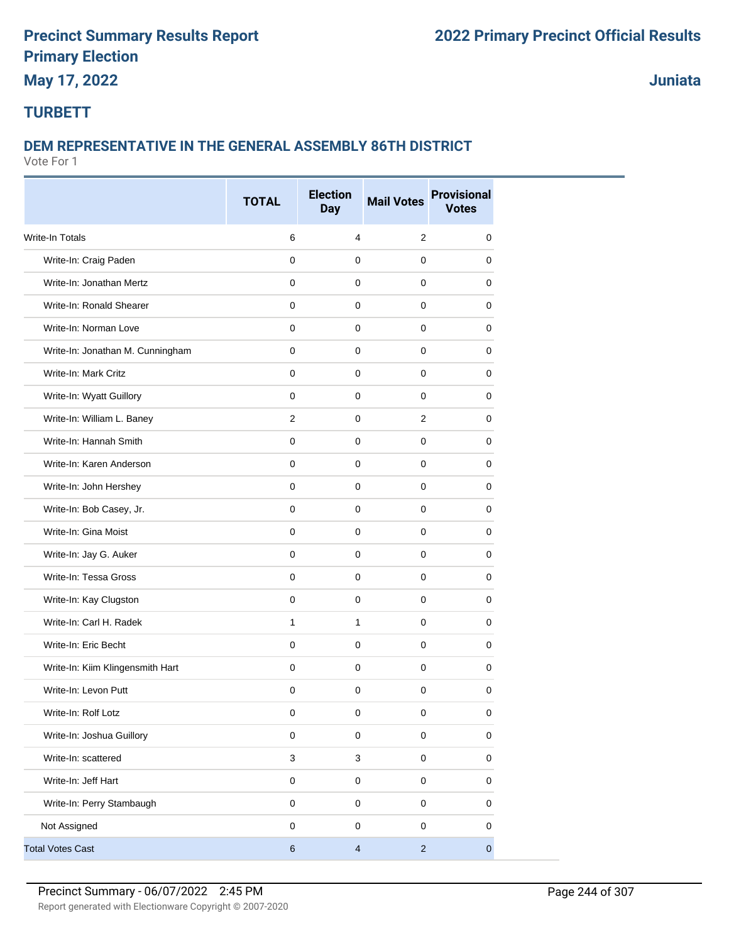### **May 17, 2022**

**Juniata**

### **TURBETT**

### **DEM REPRESENTATIVE IN THE GENERAL ASSEMBLY 86TH DISTRICT**

|                                  | <b>TOTAL</b> | <b>Election</b><br><b>Day</b> | <b>Mail Votes</b> | <b>Provisional</b><br><b>Votes</b> |
|----------------------------------|--------------|-------------------------------|-------------------|------------------------------------|
| Write-In Totals                  | $\,6$        | $\overline{4}$                | $\mathbf{2}$      | 0                                  |
| Write-In: Craig Paden            | $\mathbf{0}$ | $\mathbf 0$                   | $\mathbf{0}$      | 0                                  |
| Write-In: Jonathan Mertz         | 0            | 0                             | 0                 | 0                                  |
| Write-In: Ronald Shearer         | $\mathbf 0$  | $\mathbf 0$                   | $\mathbf 0$       | 0                                  |
| Write-In: Norman Love            | $\mathbf 0$  | $\mathbf 0$                   | 0                 | 0                                  |
| Write-In: Jonathan M. Cunningham | $\mathbf 0$  | $\mathbf 0$                   | $\mathbf 0$       | 0                                  |
| Write-In: Mark Critz             | $\mathbf 0$  | $\mathbf 0$                   | $\mathbf 0$       | 0                                  |
| Write-In: Wyatt Guillory         | $\mathbf 0$  | $\mathbf 0$                   | $\mathbf 0$       | 0                                  |
| Write-In: William L. Baney       | 2            | $\mathbf 0$                   | $\overline{2}$    | 0                                  |
| Write-In: Hannah Smith           | $\mathbf 0$  | $\mathbf 0$                   | $\mathbf 0$       | $\Omega$                           |
| Write-In: Karen Anderson         | $\mathbf 0$  | $\mathbf 0$                   | $\mathbf 0$       | 0                                  |
| Write-In: John Hershey           | $\mathbf 0$  | $\mathbf 0$                   | 0                 | $\Omega$                           |
| Write-In: Bob Casey, Jr.         | $\mathbf 0$  | $\mathbf 0$                   | $\mathbf 0$       | 0                                  |
| Write-In: Gina Moist             | $\mathbf{0}$ | $\pmb{0}$                     | $\mathbf 0$       | 0                                  |
| Write-In: Jay G. Auker           | 0            | $\mathbf 0$                   | $\mathbf 0$       | 0                                  |
| Write-In: Tessa Gross            | $\mathbf 0$  | $\mathbf 0$                   | $\mathbf 0$       | 0                                  |
| Write-In: Kay Clugston           | $\mathbf 0$  | $\mathbf 0$                   | $\mathbf 0$       | 0                                  |
| Write-In: Carl H. Radek          | $\mathbf{1}$ | $\mathbf{1}$                  | $\mathbf 0$       | 0                                  |
| Write-In: Eric Becht             | $\mathbf 0$  | $\mathbf 0$                   | $\mathbf 0$       | $\mathbf 0$                        |
| Write-In: Kiim Klingensmith Hart | $\mathbf 0$  | $\mathbf 0$                   | $\mathbf 0$       | 0                                  |
| Write-In: Levon Putt             | $\mathbf 0$  | $\mathbf 0$                   | $\mathbf 0$       | 0                                  |
| Write-In: Rolf Lotz              | 0            | 0                             | 0                 | 0                                  |
| Write-In: Joshua Guillory        | $\mathsf 0$  | $\mathbf 0$                   | $\mathsf 0$       | $\mathbf 0$                        |
| Write-In: scattered              | $\mathbf{3}$ | $\ensuremath{\mathsf{3}}$     | $\mathsf 0$       | $\mathbf 0$                        |
| Write-In: Jeff Hart              | $\mathsf 0$  | $\mathsf 0$                   | $\mathbf 0$       | $\pmb{0}$                          |
| Write-In: Perry Stambaugh        | $\pmb{0}$    | $\mathsf 0$                   | $\mathsf 0$       | 0                                  |
| Not Assigned                     | $\mathbf 0$  | $\pmb{0}$                     | $\mathbf 0$       | $\mathbf 0$                        |
| <b>Total Votes Cast</b>          | $\,6\,$      | $\overline{4}$                | $\overline{2}$    | $\overline{0}$                     |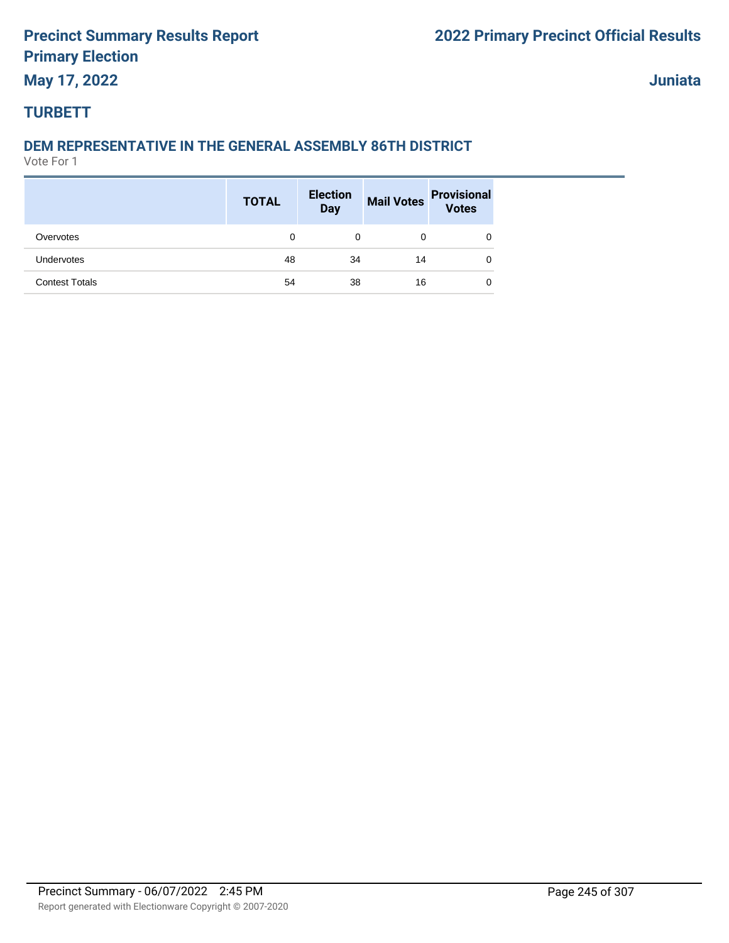### **May 17, 2022**

### **Juniata**

### **TURBETT**

### **DEM REPRESENTATIVE IN THE GENERAL ASSEMBLY 86TH DISTRICT**

|                       | <b>TOTAL</b> | <b>Election</b><br><b>Day</b> |    | Mail Votes Provisional<br>Votes |
|-----------------------|--------------|-------------------------------|----|---------------------------------|
| Overvotes             | 0            | 0                             | 0  | 0                               |
| Undervotes            | 48           | 34                            | 14 | 0                               |
| <b>Contest Totals</b> | 54           | 38                            | 16 | 0                               |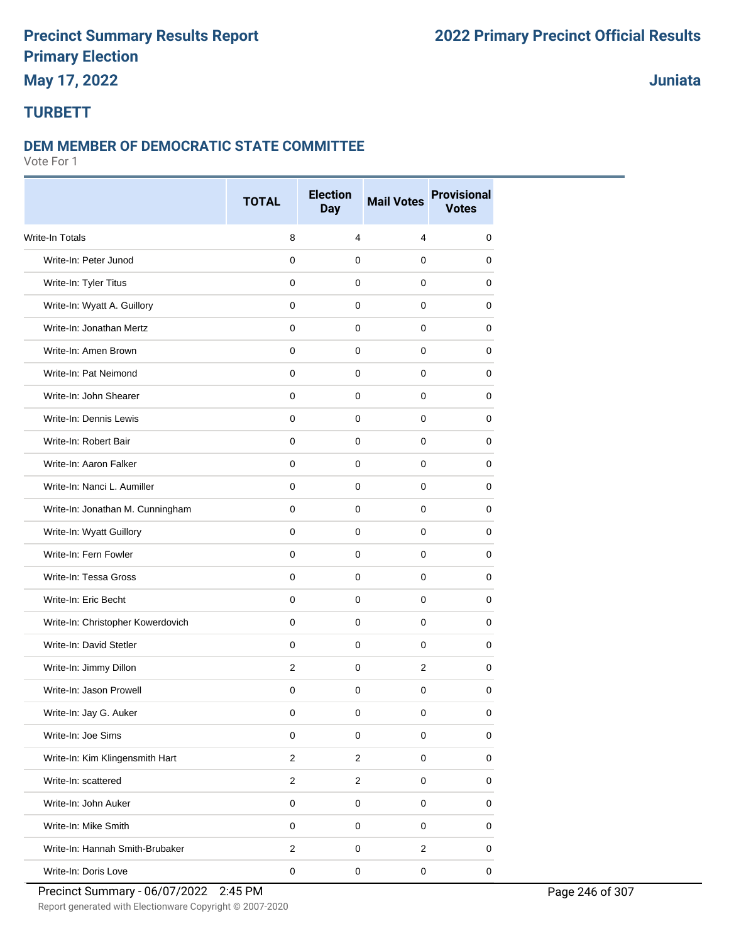# **May 17, 2022**

**Juniata**

#### **TURBETT**

#### **DEM MEMBER OF DEMOCRATIC STATE COMMITTEE**

Vote For 1

|                                   | <b>TOTAL</b>   | <b>Election</b><br><b>Day</b> | <b>Mail Votes</b> | <b>Provisional</b><br><b>Votes</b> |
|-----------------------------------|----------------|-------------------------------|-------------------|------------------------------------|
| <b>Write-In Totals</b>            | 8              | 4                             | 4                 | 0                                  |
| Write-In: Peter Junod             | $\Omega$       | $\mathbf 0$                   | $\mathbf 0$       | 0                                  |
| Write-In: Tyler Titus             | 0              | $\mathbf 0$                   | 0                 | 0                                  |
| Write-In: Wyatt A. Guillory       | $\mathbf 0$    | 0                             | 0                 | 0                                  |
| Write-In: Jonathan Mertz          | $\mathbf 0$    | $\mathbf 0$                   | 0                 | 0                                  |
| Write-In: Amen Brown              | $\mathbf 0$    | $\mathbf 0$                   | 0                 | 0                                  |
| Write-In: Pat Neimond             | $\mathbf 0$    | $\mathbf 0$                   | $\mathbf 0$       | 0                                  |
| Write-In: John Shearer            | $\mathbf 0$    | $\mathbf 0$                   | $\mathbf 0$       | 0                                  |
| Write-In: Dennis Lewis            | $\mathbf 0$    | $\mathbf 0$                   | $\mathbf 0$       | 0                                  |
| Write-In: Robert Bair             | 0              | 0                             | 0                 | 0                                  |
| Write-In: Aaron Falker            | $\mathbf 0$    | $\mathbf 0$                   | 0                 | 0                                  |
| Write-In: Nanci L. Aumiller       | $\mathbf 0$    | $\mathbf 0$                   | 0                 | 0                                  |
| Write-In: Jonathan M. Cunningham  | 0              | $\mathbf 0$                   | 0                 | 0                                  |
| Write-In: Wyatt Guillory          | $\mathbf 0$    | $\mathbf 0$                   | $\mathbf 0$       | 0                                  |
| Write-In: Fern Fowler             | $\mathbf 0$    | $\mathbf 0$                   | 0                 | 0                                  |
| Write-In: Tessa Gross             | $\mathbf 0$    | $\mathbf 0$                   | 0                 | 0                                  |
| Write-In: Eric Becht              | $\mathbf 0$    | $\mathbf 0$                   | $\mathbf 0$       | 0                                  |
| Write-In: Christopher Kowerdovich | $\mathbf 0$    | $\mathbf 0$                   | 0                 | 0                                  |
| Write-In: David Stetler           | $\mathbf 0$    | $\mathbf 0$                   | $\mathbf 0$       | 0                                  |
| Write-In: Jimmy Dillon            | 2              | $\mathbf 0$                   | $\overline{2}$    | 0                                  |
| Write-In: Jason Prowell           | $\mathbf 0$    | $\mathbf 0$                   | $\mathbf 0$       | 0                                  |
| Write-In: Jay G. Auker            | 0              | 0                             | 0                 | 0                                  |
| Write-In: Joe Sims                | $\mathbf 0$    | $\mathbf 0$                   | $\mathsf 0$       | 0                                  |
| Write-In: Kim Klingensmith Hart   | $\overline{c}$ | $\overline{2}$                | $\mathsf 0$       | 0                                  |
| Write-In: scattered               | $\overline{c}$ | $\sqrt{2}$                    | $\mathsf 0$       | 0                                  |
| Write-In: John Auker              | $\pmb{0}$      | $\mathbf 0$                   | $\mathsf 0$       | 0                                  |
| Write-In: Mike Smith              | $\pmb{0}$      | $\mathsf 0$                   | $\mathsf 0$       | 0                                  |
| Write-In: Hannah Smith-Brubaker   | $\overline{c}$ | $\pmb{0}$                     | $\overline{c}$    | 0                                  |
| Write-In: Doris Love              | $\pmb{0}$      | $\pmb{0}$                     | $\mathsf 0$       | $\pmb{0}$                          |

Precinct Summary - 06/07/2022 2:45 PM Page 246 of 307

Report generated with Electionware Copyright © 2007-2020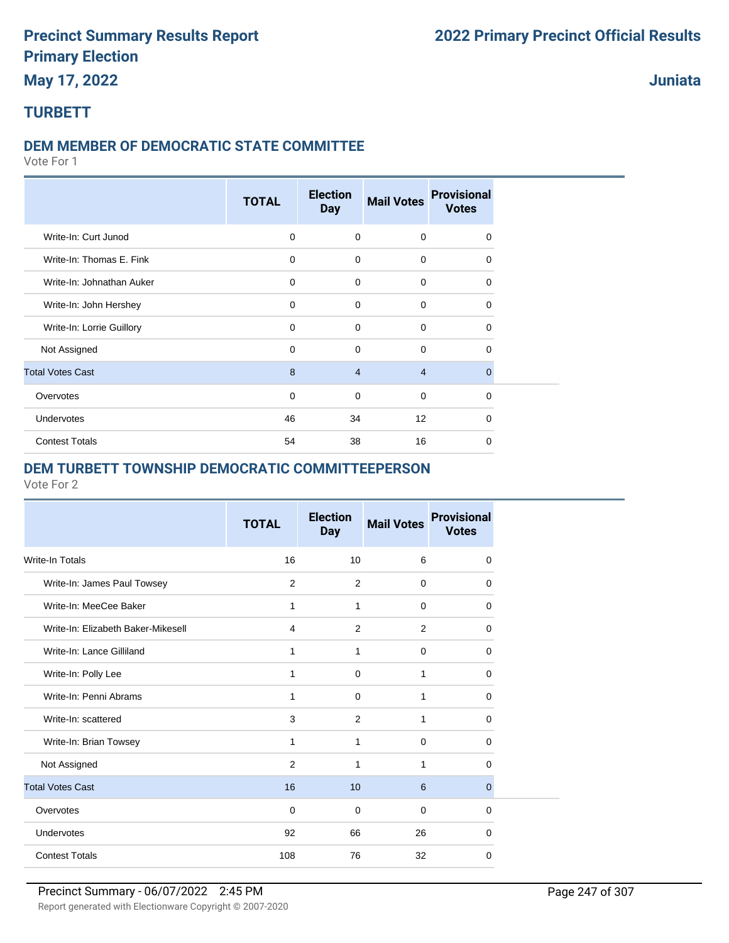### **May 17, 2022**

### **Juniata**

### **TURBETT**

#### **DEM MEMBER OF DEMOCRATIC STATE COMMITTEE**

Vote For 1

|                           | <b>TOTAL</b> | <b>Election</b><br><b>Day</b> | <b>Mail Votes</b> | <b>Provisional</b><br><b>Votes</b> |  |
|---------------------------|--------------|-------------------------------|-------------------|------------------------------------|--|
| Write-In: Curt Junod      | $\mathbf 0$  | $\mathbf 0$                   | $\mathbf 0$       | $\Omega$                           |  |
| Write-In: Thomas E. Fink  | $\mathbf 0$  | $\mathbf 0$                   | $\mathbf 0$       | $\Omega$                           |  |
| Write-In: Johnathan Auker | $\mathbf 0$  | $\Omega$                      | $\mathbf 0$       | $\Omega$                           |  |
| Write-In: John Hershey    | $\mathbf 0$  | $\mathbf 0$                   | $\mathbf 0$       | $\Omega$                           |  |
| Write-In: Lorrie Guillory | 0            | $\mathbf 0$                   | $\mathbf 0$       | 0                                  |  |
| Not Assigned              | 0            | $\mathbf 0$                   | $\mathbf 0$       | $\Omega$                           |  |
| <b>Total Votes Cast</b>   | 8            | $\overline{4}$                | $\overline{4}$    | $\mathbf 0$                        |  |
| Overvotes                 | 0            | $\mathbf 0$                   | $\mathbf 0$       | 0                                  |  |
| Undervotes                | 46           | 34                            | 12                | $\Omega$                           |  |
| <b>Contest Totals</b>     | 54           | 38                            | 16                | $\Omega$                           |  |

#### **DEM TURBETT TOWNSHIP DEMOCRATIC COMMITTEEPERSON**

| 16<br>Write-In Totals<br>10<br>6<br>Write-In: James Paul Towsey<br>2<br>2<br>$\mathbf 0$<br>Write-In: MeeCee Baker<br>1<br>1<br>$\Omega$<br>Write-In: Elizabeth Baker-Mikesell<br>2<br>4<br>2<br>Write-In: Lance Gilliland<br>1<br>1<br>$\mathbf 0$<br>Write-In: Polly Lee<br>1<br>$\Omega$<br>1<br>Write-In: Penni Abrams<br>1<br>$\Omega$<br>1<br>Write-In: scattered<br>3<br>2<br>1 |                        | <b>TOTAL</b> | <b>Election</b><br><b>Day</b> | <b>Mail Votes</b> | <b>Provisional</b><br><b>Votes</b> |
|----------------------------------------------------------------------------------------------------------------------------------------------------------------------------------------------------------------------------------------------------------------------------------------------------------------------------------------------------------------------------------------|------------------------|--------------|-------------------------------|-------------------|------------------------------------|
|                                                                                                                                                                                                                                                                                                                                                                                        |                        |              |                               |                   | $\mathbf 0$                        |
|                                                                                                                                                                                                                                                                                                                                                                                        |                        |              |                               |                   | 0                                  |
|                                                                                                                                                                                                                                                                                                                                                                                        |                        |              |                               |                   | $\Omega$                           |
|                                                                                                                                                                                                                                                                                                                                                                                        |                        |              |                               |                   | $\Omega$                           |
|                                                                                                                                                                                                                                                                                                                                                                                        |                        |              |                               |                   | 0                                  |
|                                                                                                                                                                                                                                                                                                                                                                                        |                        |              |                               |                   | $\Omega$                           |
|                                                                                                                                                                                                                                                                                                                                                                                        |                        |              |                               |                   | $\Omega$                           |
|                                                                                                                                                                                                                                                                                                                                                                                        |                        |              |                               |                   | 0                                  |
| 1<br>$\Omega$<br>1                                                                                                                                                                                                                                                                                                                                                                     | Write-In: Brian Towsey |              |                               |                   | $\Omega$                           |
| $\overline{2}$<br>Not Assigned<br>1<br>1                                                                                                                                                                                                                                                                                                                                               |                        |              |                               |                   | 0                                  |
| <b>Total Votes Cast</b><br>16<br>10<br>6                                                                                                                                                                                                                                                                                                                                               |                        |              |                               |                   | $\mathbf{0}$                       |
| Overvotes<br>$\mathbf 0$<br>$\mathbf 0$<br>$\Omega$                                                                                                                                                                                                                                                                                                                                    |                        |              |                               |                   | $\Omega$                           |
| Undervotes<br>92<br>66<br>26                                                                                                                                                                                                                                                                                                                                                           |                        |              |                               |                   | $\Omega$                           |
| <b>Contest Totals</b><br>108<br>76<br>32                                                                                                                                                                                                                                                                                                                                               |                        |              |                               |                   | $\Omega$                           |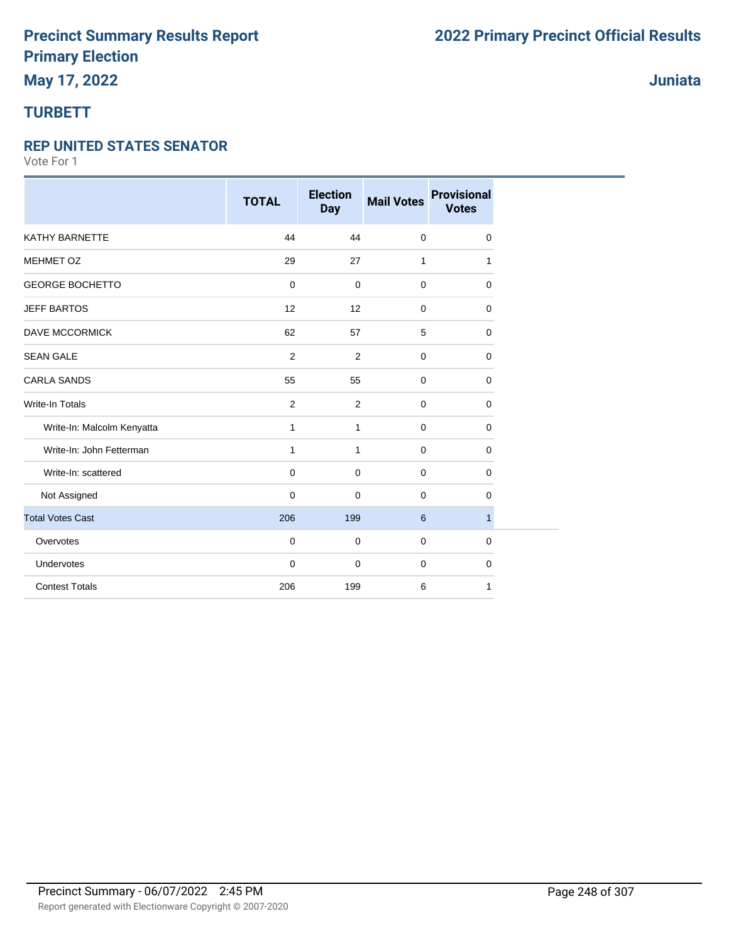### **TURBETT**

#### **REP UNITED STATES SENATOR**

|                            | <b>TOTAL</b>   | <b>Election</b><br><b>Day</b> | <b>Mail Votes</b> | <b>Provisional</b><br><b>Votes</b> |
|----------------------------|----------------|-------------------------------|-------------------|------------------------------------|
| KATHY BARNETTE             | 44             | 44                            | $\mathbf 0$       | 0                                  |
| <b>MEHMET OZ</b>           | 29             | 27                            | $\mathbf{1}$      | 1                                  |
| <b>GEORGE BOCHETTO</b>     | $\mathbf 0$    | $\mathbf 0$                   | $\mathbf 0$       | $\mathbf 0$                        |
| <b>JEFF BARTOS</b>         | 12             | 12                            | $\mathbf 0$       | 0                                  |
| <b>DAVE MCCORMICK</b>      | 62             | 57                            | 5                 | 0                                  |
| <b>SEAN GALE</b>           | $\overline{2}$ | $\overline{2}$                | $\mathbf 0$       | 0                                  |
| <b>CARLA SANDS</b>         | 55             | 55                            | $\mathbf 0$       | $\mathbf 0$                        |
| <b>Write-In Totals</b>     | $\overline{2}$ | 2                             | $\mathbf 0$       | 0                                  |
| Write-In: Malcolm Kenyatta | 1              | $\mathbf{1}$                  | $\mathbf 0$       | 0                                  |
| Write-In: John Fetterman   | 1              | $\mathbf{1}$                  | $\mathbf 0$       | 0                                  |
| Write-In: scattered        | 0              | $\mathbf 0$                   | $\mathbf 0$       | 0                                  |
| Not Assigned               | $\mathbf 0$    | $\mathbf 0$                   | $\mathbf 0$       | $\mathbf 0$                        |
| <b>Total Votes Cast</b>    | 206            | 199                           | 6                 | $\mathbf{1}$                       |
| Overvotes                  | $\mathbf 0$    | $\mathbf 0$                   | $\mathbf 0$       | 0                                  |
| Undervotes                 | $\mathbf 0$    | $\mathbf 0$                   | $\mathbf 0$       | 0                                  |
| <b>Contest Totals</b>      | 206            | 199                           | 6                 | 1                                  |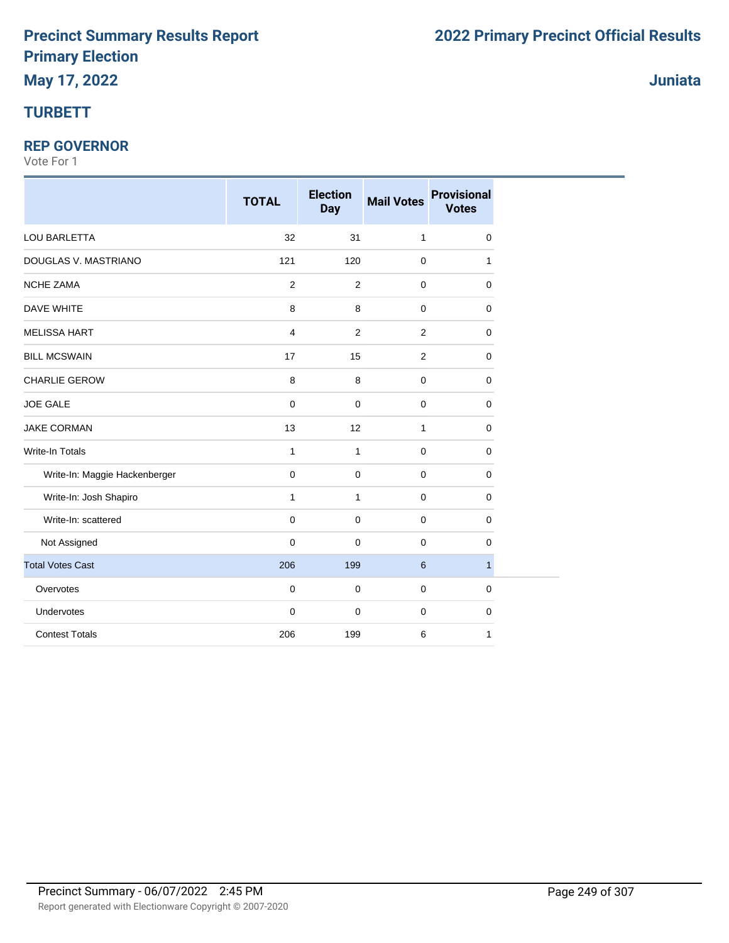### **TURBETT**

#### **REP GOVERNOR**

|                               | <b>TOTAL</b> | <b>Election</b><br><b>Day</b> | <b>Mail Votes</b> | <b>Provisional</b><br><b>Votes</b> |
|-------------------------------|--------------|-------------------------------|-------------------|------------------------------------|
| LOU BARLETTA                  | 32           | 31                            | $\mathbf{1}$      | 0                                  |
| DOUGLAS V. MASTRIANO          | 121          | 120                           | $\mathbf 0$       | 1                                  |
| <b>NCHE ZAMA</b>              | 2            | $\overline{2}$                | $\mathbf 0$       | 0                                  |
| <b>DAVE WHITE</b>             | 8            | 8                             | $\mathbf 0$       | 0                                  |
| <b>MELISSA HART</b>           | 4            | $\overline{2}$                | $\overline{2}$    | 0                                  |
| <b>BILL MCSWAIN</b>           | 17           | 15                            | $\overline{2}$    | 0                                  |
| CHARLIE GEROW                 | $\,8\,$      | 8                             | $\mathbf 0$       | 0                                  |
| <b>JOE GALE</b>               | 0            | $\mathbf 0$                   | $\mathbf 0$       | 0                                  |
| <b>JAKE CORMAN</b>            | 13           | 12                            | $\mathbf{1}$      | 0                                  |
| Write-In Totals               | 1            | $\mathbf{1}$                  | $\mathbf 0$       | 0                                  |
| Write-In: Maggie Hackenberger | 0            | $\mathbf 0$                   | $\mathbf 0$       | 0                                  |
| Write-In: Josh Shapiro        | $\mathbf{1}$ | $\mathbf{1}$                  | $\mathbf 0$       | 0                                  |
| Write-In: scattered           | 0            | $\mathbf 0$                   | $\mathbf 0$       | 0                                  |
| Not Assigned                  | $\mathbf 0$  | $\mathbf 0$                   | $\mathbf 0$       | 0                                  |
| <b>Total Votes Cast</b>       | 206          | 199                           | 6                 | $\mathbf{1}$                       |
| Overvotes                     | 0            | $\mathbf 0$                   | $\mathbf 0$       | 0                                  |
| Undervotes                    | $\mathbf 0$  | $\mathbf 0$                   | $\mathbf 0$       | 0                                  |
| <b>Contest Totals</b>         | 206          | 199                           | 6                 | 1                                  |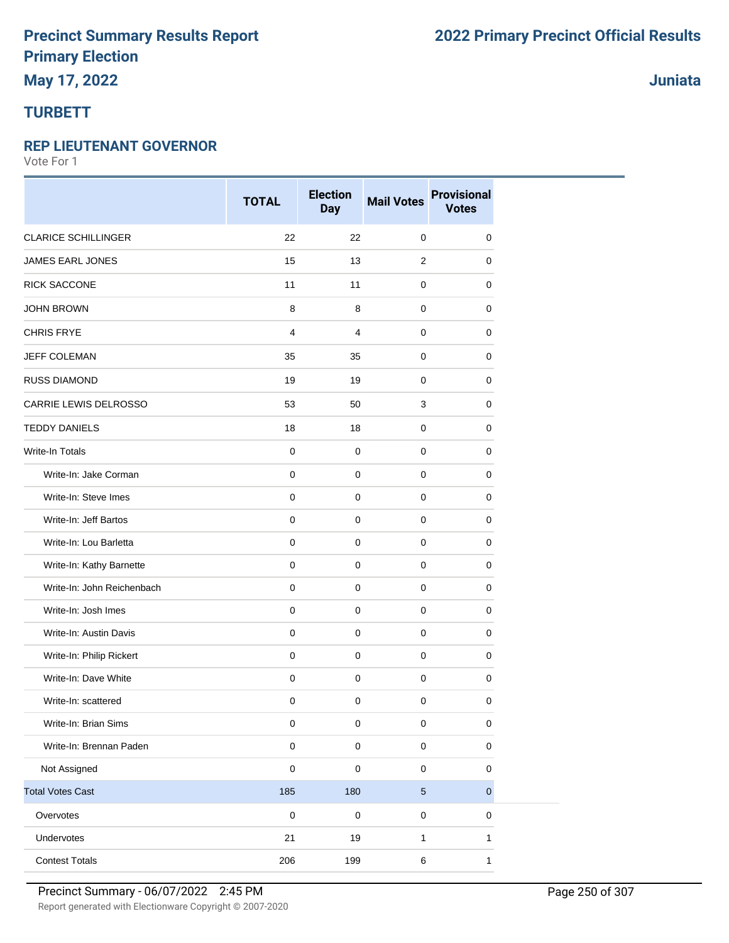# **May 17, 2022**

### **TURBETT**

#### **REP LIEUTENANT GOVERNOR**

Vote For 1

|                            | <b>TOTAL</b> | <b>Election</b><br><b>Day</b> | <b>Mail Votes</b> | <b>Provisional</b><br><b>Votes</b> |
|----------------------------|--------------|-------------------------------|-------------------|------------------------------------|
| <b>CLARICE SCHILLINGER</b> | 22           | 22                            | $\mathbf 0$       | 0                                  |
| <b>JAMES EARL JONES</b>    | 15           | 13                            | $\overline{2}$    | 0                                  |
| <b>RICK SACCONE</b>        | 11           | 11                            | 0                 | 0                                  |
| <b>JOHN BROWN</b>          | 8            | 8                             | 0                 | 0                                  |
| <b>CHRIS FRYE</b>          | 4            | $\overline{4}$                | $\mathbf 0$       | 0                                  |
| JEFF COLEMAN               | 35           | 35                            | 0                 | 0                                  |
| <b>RUSS DIAMOND</b>        | 19           | 19                            | 0                 | 0                                  |
| CARRIE LEWIS DELROSSO      | 53           | 50                            | 3                 | 0                                  |
| <b>TEDDY DANIELS</b>       | 18           | 18                            | 0                 | 0                                  |
| <b>Write-In Totals</b>     | $\mathsf 0$  | $\pmb{0}$                     | $\mathbf 0$       | 0                                  |
| Write-In: Jake Corman      | $\mathbf 0$  | $\mathbf 0$                   | $\mathbf 0$       | $\mathbf 0$                        |
| Write-In: Steve Imes       | $\pmb{0}$    | $\mathbf 0$                   | $\mathbf 0$       | 0                                  |
| Write-In: Jeff Bartos      | $\pmb{0}$    | $\mathbf 0$                   | 0                 | 0                                  |
| Write-In: Lou Barletta     | $\pmb{0}$    | $\pmb{0}$                     | 0                 | 0                                  |
| Write-In: Kathy Barnette   | $\mathsf 0$  | $\mathbf 0$                   | $\mathbf 0$       | 0                                  |
| Write-In: John Reichenbach | $\mathbf 0$  | 0                             | 0                 | 0                                  |
| Write-In: Josh Imes        | $\mathsf 0$  | $\mathbf 0$                   | $\mathbf 0$       | 0                                  |
| Write-In: Austin Davis     | $\mathbf 0$  | $\mathbf 0$                   | $\mathbf 0$       | 0                                  |
| Write-In: Philip Rickert   | $\mathbf 0$  | $\mathbf 0$                   | 0                 | 0                                  |
| Write-In: Dave White       | $\pmb{0}$    | $\mathsf 0$                   | $\mathbf 0$       | $\pmb{0}$                          |
| Write-In: scattered        | 0            | $\mathbf 0$                   | 0                 | 0                                  |
| Write-In: Brian Sims       | 0            | $\pmb{0}$                     | 0                 | $\mathbf 0$                        |
| Write-In: Brennan Paden    | $\pmb{0}$    | $\pmb{0}$                     | $\mathsf 0$       | $\pmb{0}$                          |
| Not Assigned               | $\pmb{0}$    | $\pmb{0}$                     | 0                 | 0                                  |
| <b>Total Votes Cast</b>    | 185          | 180                           | $\sqrt{5}$        | $\pmb{0}$                          |
| Overvotes                  | $\pmb{0}$    | $\mathbf 0$                   | $\pmb{0}$         | 0                                  |
| Undervotes                 | 21           | 19                            | 1                 | 1                                  |
| <b>Contest Totals</b>      | 206          | 199                           | 6                 | $\mathbf{1}$                       |

**Juniata**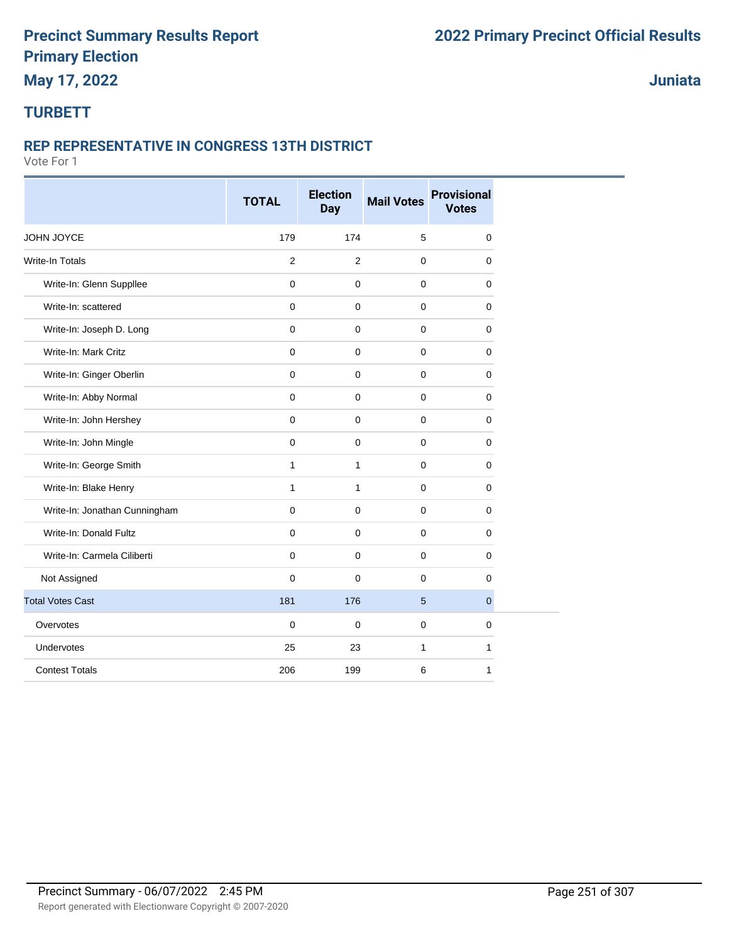### **May 17, 2022**

### **Juniata**

### **TURBETT**

#### **REP REPRESENTATIVE IN CONGRESS 13TH DISTRICT**

|                               | <b>TOTAL</b>   | <b>Election</b><br><b>Day</b> | <b>Mail Votes</b> | <b>Provisional</b><br><b>Votes</b> |
|-------------------------------|----------------|-------------------------------|-------------------|------------------------------------|
| JOHN JOYCE                    | 179            | 174                           | 5                 | $\mathbf 0$                        |
| <b>Write-In Totals</b>        | $\overline{2}$ | $\overline{2}$                | $\mathbf 0$       | $\mathbf 0$                        |
| Write-In: Glenn Suppllee      | $\pmb{0}$      | $\mathbf 0$                   | $\mathbf 0$       | $\mathbf 0$                        |
| Write-In: scattered           | $\mathbf 0$    | $\mathbf 0$                   | $\mathbf 0$       | $\mathbf 0$                        |
| Write-In: Joseph D. Long      | $\mathbf 0$    | $\mathsf{O}\xspace$           | $\mathbf 0$       | $\mathbf 0$                        |
| Write-In: Mark Critz          | $\mathbf 0$    | $\mathbf 0$                   | $\mathbf 0$       | 0                                  |
| Write-In: Ginger Oberlin      | $\mathbf 0$    | $\mathbf 0$                   | $\mathbf 0$       | $\mathbf 0$                        |
| Write-In: Abby Normal         | $\mathbf 0$    | $\mathbf 0$                   | $\mathbf 0$       | 0                                  |
| Write-In: John Hershey        | $\mathbf 0$    | $\mathbf 0$                   | $\mathbf 0$       | 0                                  |
| Write-In: John Mingle         | $\mathbf 0$    | $\mathbf 0$                   | $\mathbf{0}$      | $\mathbf{0}$                       |
| Write-In: George Smith        | 1              | $\mathbf{1}$                  | $\mathbf 0$       | $\mathbf 0$                        |
| Write-In: Blake Henry         | 1              | $\mathbf{1}$                  | $\mathbf 0$       | 0                                  |
| Write-In: Jonathan Cunningham | $\mathbf 0$    | $\mathbf 0$                   | $\mathbf 0$       | $\mathbf 0$                        |
| Write-In: Donald Fultz        | $\mathbf 0$    | $\mathbf 0$                   | $\mathbf 0$       | 0                                  |
| Write-In: Carmela Ciliberti   | $\mathbf 0$    | $\mathbf 0$                   | $\mathbf 0$       | 0                                  |
| Not Assigned                  | $\mathbf 0$    | $\mathbf 0$                   | $\mathbf 0$       | $\Omega$                           |
| <b>Total Votes Cast</b>       | 181            | 176                           | 5                 | $\overline{0}$                     |
| Overvotes                     | $\mathbf 0$    | $\pmb{0}$                     | $\mathbf 0$       | $\mathbf 0$                        |
| Undervotes                    | 25             | 23                            | $\mathbf{1}$      | $\mathbf{1}$                       |
| <b>Contest Totals</b>         | 206            | 199                           | 6                 | $\mathbf{1}$                       |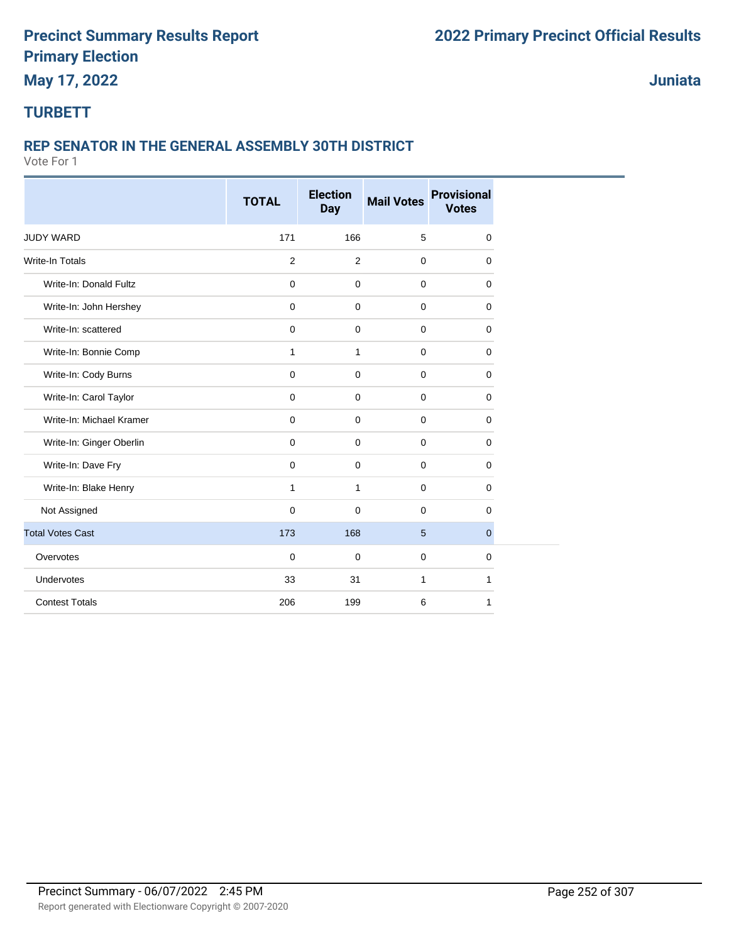### **May 17, 2022**

**Juniata**

### **TURBETT**

#### **REP SENATOR IN THE GENERAL ASSEMBLY 30TH DISTRICT**

|                          | <b>TOTAL</b>   | <b>Election</b>     | <b>Mail Votes</b> | <b>Provisional</b> |
|--------------------------|----------------|---------------------|-------------------|--------------------|
|                          |                | <b>Day</b>          |                   | <b>Votes</b>       |
| <b>JUDY WARD</b>         | 171            | 166                 | 5                 | $\mathbf 0$        |
| <b>Write-In Totals</b>   | $\overline{2}$ | $\overline{2}$      | $\mathbf 0$       | $\mathbf 0$        |
| Write-In: Donald Fultz   | $\mathbf 0$    | $\mathbf 0$         | $\mathbf 0$       | $\mathbf 0$        |
| Write-In: John Hershey   | $\mathbf 0$    | $\mathbf 0$         | $\mathbf 0$       | 0                  |
| Write-In: scattered      | $\mathbf 0$    | 0                   | $\mathbf 0$       | 0                  |
| Write-In: Bonnie Comp    | 1              | $\mathbf{1}$        | $\mathbf 0$       | $\mathbf 0$        |
| Write-In: Cody Burns     | $\pmb{0}$      | $\mathsf{O}\xspace$ | $\mathbf 0$       | $\mathbf 0$        |
| Write-In: Carol Taylor   | $\mathsf 0$    | $\mathbf 0$         | $\mathbf 0$       | 0                  |
| Write-In: Michael Kramer | $\mathbf 0$    | $\mathbf 0$         | $\mathbf 0$       | $\mathbf 0$        |
| Write-In: Ginger Oberlin | $\mathbf 0$    | $\mathbf 0$         | $\mathbf 0$       | $\mathbf 0$        |
| Write-In: Dave Fry       | $\mathbf 0$    | $\mathbf 0$         | $\mathbf 0$       | $\mathbf 0$        |
| Write-In: Blake Henry    | 1              | $\mathbf{1}$        | $\mathbf 0$       | 0                  |
| Not Assigned             | $\mathbf 0$    | $\mathbf 0$         | $\mathbf 0$       | $\mathbf 0$        |
| <b>Total Votes Cast</b>  | 173            | 168                 | 5                 | $\mathbf{0}$       |
| Overvotes                | $\mathbf 0$    | $\mathbf 0$         | $\mathbf 0$       | $\mathbf 0$        |
| Undervotes               | 33             | 31                  | $\mathbf{1}$      | 1                  |
| <b>Contest Totals</b>    | 206            | 199                 | 6                 | 1                  |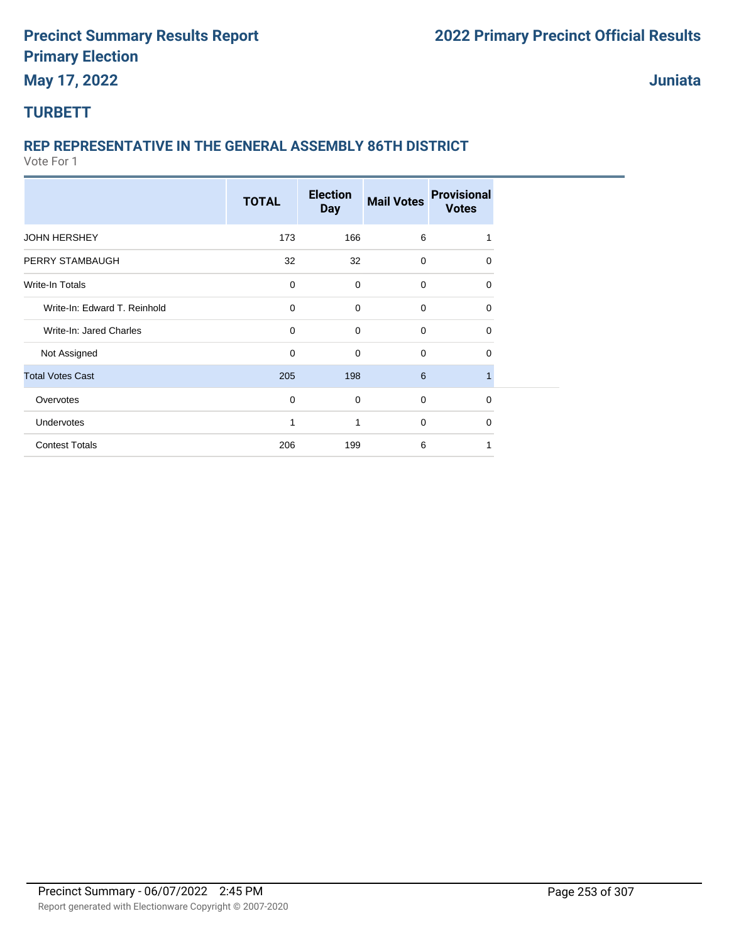#### **Juniata**

# **TURBETT**

# **REP REPRESENTATIVE IN THE GENERAL ASSEMBLY 86TH DISTRICT**

|                              |              | <b>Election</b> |                   | <b>Provisional</b> |  |
|------------------------------|--------------|-----------------|-------------------|--------------------|--|
|                              | <b>TOTAL</b> | <b>Day</b>      | <b>Mail Votes</b> | <b>Votes</b>       |  |
| <b>JOHN HERSHEY</b>          | 173          | 166             | 6                 |                    |  |
| PERRY STAMBAUGH              | 32           | 32              | $\mathbf 0$       | 0                  |  |
| Write-In Totals              | $\mathbf 0$  | $\mathbf 0$     | $\mathbf 0$       | 0                  |  |
| Write-In: Edward T. Reinhold | $\mathbf 0$  | $\mathbf 0$     | $\mathbf 0$       | 0                  |  |
| Write-In: Jared Charles      | $\mathbf 0$  | $\mathbf 0$     | $\mathbf 0$       | 0                  |  |
| Not Assigned                 | $\mathbf 0$  | $\mathbf 0$     | $\mathbf 0$       | 0                  |  |
| <b>Total Votes Cast</b>      | 205          | 198             | 6                 | 1                  |  |
| Overvotes                    | $\mathbf 0$  | $\mathbf 0$     | $\mathbf 0$       | 0                  |  |
| <b>Undervotes</b>            | 1            | 1               | $\mathbf 0$       | 0                  |  |
| <b>Contest Totals</b>        | 206          | 199             | 6                 |                    |  |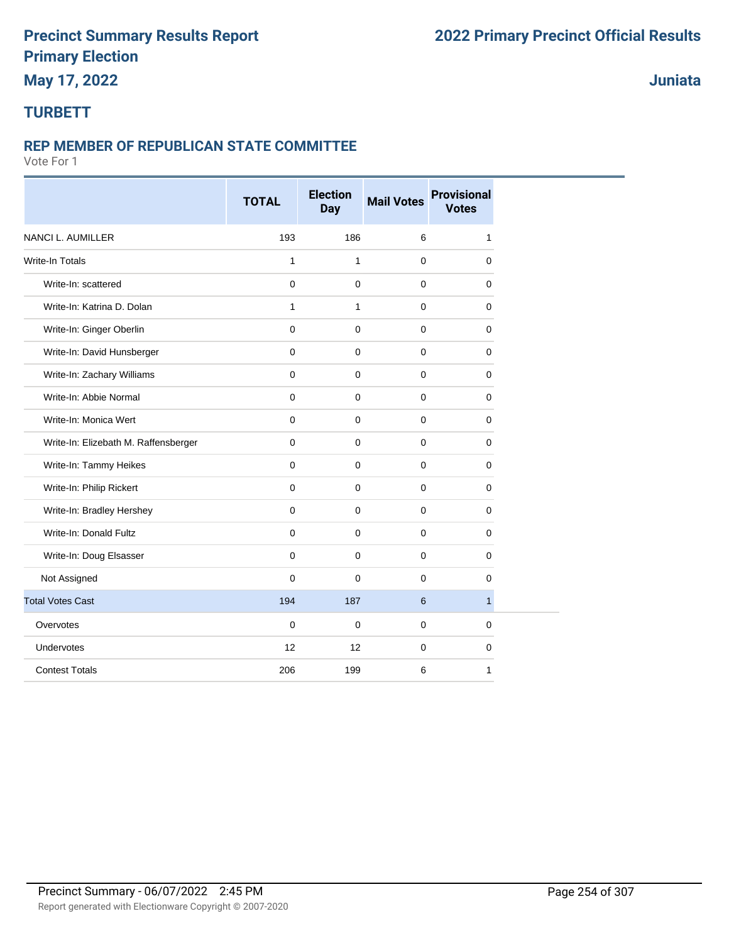# **May 17, 2022**

#### **Juniata**

#### **TURBETT**

#### **REP MEMBER OF REPUBLICAN STATE COMMITTEE**

|                                      | <b>TOTAL</b> | <b>Election</b><br>Day | <b>Mail Votes</b> | <b>Provisional</b><br><b>Votes</b> |
|--------------------------------------|--------------|------------------------|-------------------|------------------------------------|
| <b>NANCI L. AUMILLER</b>             | 193          | 186                    | 6                 | $\mathbf{1}$                       |
| <b>Write-In Totals</b>               | 1            | $\mathbf{1}$           | $\mathbf 0$       | $\mathbf 0$                        |
| Write-In: scattered                  | $\mathbf 0$  | $\mathbf 0$            | $\mathbf{0}$      | $\mathbf 0$                        |
| Write-In: Katrina D. Dolan           | 1            | $\mathbf{1}$           | 0                 | 0                                  |
| Write-In: Ginger Oberlin             | $\mathbf 0$  | $\mathbf 0$            | 0                 | 0                                  |
| Write-In: David Hunsberger           | $\mathbf 0$  | $\mathbf 0$            | $\mathbf 0$       | $\mathbf 0$                        |
| Write-In: Zachary Williams           | $\mathbf 0$  | $\mathbf 0$            | $\mathbf 0$       | 0                                  |
| Write-In: Abbie Normal               | $\mathbf 0$  | $\mathbf 0$            | $\mathbf 0$       | 0                                  |
| Write-In: Monica Wert                | $\mathbf 0$  | $\mathbf 0$            | $\mathbf 0$       | $\mathbf 0$                        |
| Write-In: Elizebath M. Raffensberger | $\mathbf 0$  | $\mathbf 0$            | $\mathbf 0$       | $\mathbf 0$                        |
| Write-In: Tammy Heikes               | $\mathbf 0$  | $\mathbf 0$            | $\mathbf 0$       | 0                                  |
| Write-In: Philip Rickert             | $\mathbf 0$  | $\mathbf 0$            | $\mathbf 0$       | 0                                  |
| Write-In: Bradley Hershey            | $\mathbf{0}$ | $\mathbf 0$            | $\mathbf 0$       | $\mathbf 0$                        |
| Write-In: Donald Fultz               | $\mathbf 0$  | $\mathbf 0$            | $\mathbf 0$       | 0                                  |
| Write-In: Doug Elsasser              | $\mathbf 0$  | 0                      | 0                 | 0                                  |
| Not Assigned                         | $\mathbf 0$  | $\mathbf 0$            | $\mathbf 0$       | 0                                  |
| <b>Total Votes Cast</b>              | 194          | 187                    | 6                 | 1                                  |
| Overvotes                            | $\mathbf 0$  | $\mathbf 0$            | $\mathbf 0$       | $\mathbf 0$                        |
| Undervotes                           | 12           | 12                     | $\mathbf 0$       | $\mathbf 0$                        |
| <b>Contest Totals</b>                | 206          | 199                    | 6                 | 1                                  |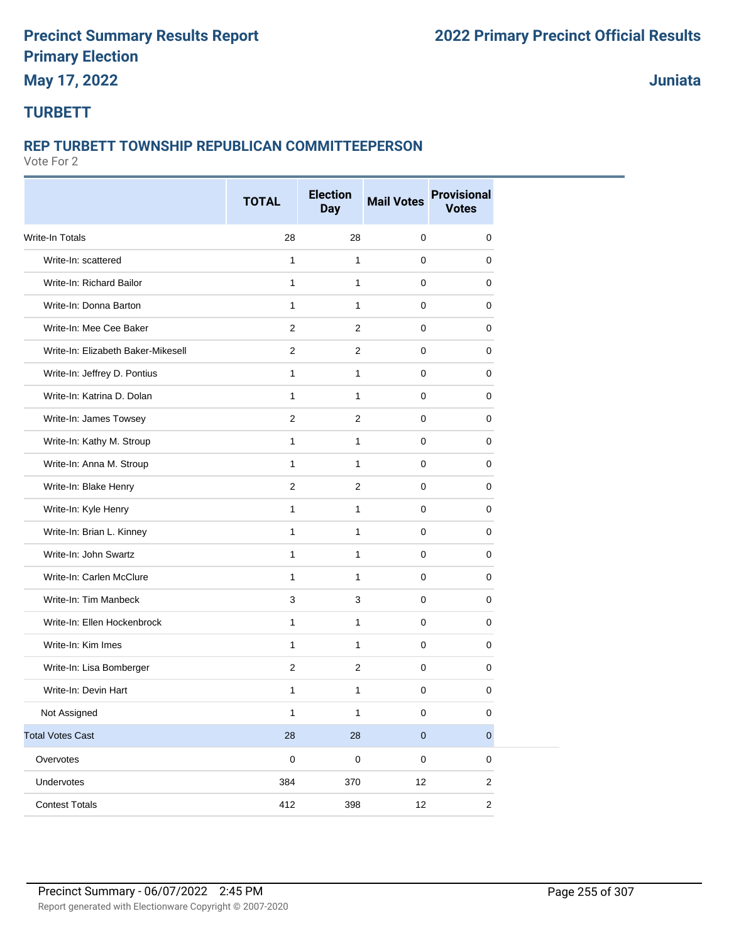**Juniata**

#### **TURBETT**

#### **REP TURBETT TOWNSHIP REPUBLICAN COMMITTEEPERSON**

|                                    | <b>TOTAL</b>   | <b>Election</b><br><b>Day</b> | <b>Mail Votes</b> | <b>Provisional</b><br><b>Votes</b> |
|------------------------------------|----------------|-------------------------------|-------------------|------------------------------------|
| Write-In Totals                    | 28             | 28                            | $\mathbf 0$       | 0                                  |
| Write-In: scattered                | $\mathbf{1}$   | $\mathbf{1}$                  | $\mathbf 0$       | $\mathbf 0$                        |
| Write-In: Richard Bailor           | $\mathbf{1}$   | $\mathbf{1}$                  | $\mathbf 0$       | 0                                  |
| Write-In: Donna Barton             | $\mathbf{1}$   | $\mathbf{1}$                  | 0                 | 0                                  |
| Write-In: Mee Cee Baker            | $\overline{2}$ | $\overline{2}$                | 0                 | 0                                  |
| Write-In: Elizabeth Baker-Mikesell | $\overline{2}$ | $\overline{2}$                | $\mathbf 0$       | 0                                  |
| Write-In: Jeffrey D. Pontius       | $\mathbf{1}$   | $\mathbf{1}$                  | $\mathbf 0$       | 0                                  |
| Write-In: Katrina D. Dolan         | 1              | $\mathbf{1}$                  | $\mathbf 0$       | 0                                  |
| Write-In: James Towsey             | 2              | 2                             | $\mathbf 0$       | $\mathbf 0$                        |
| Write-In: Kathy M. Stroup          | 1              | $\mathbf{1}$                  | 0                 | 0                                  |
| Write-In: Anna M. Stroup           | $\mathbf{1}$   | $\mathbf{1}$                  | 0                 | 0                                  |
| Write-In: Blake Henry              | $\overline{2}$ | 2                             | 0                 | 0                                  |
| Write-In: Kyle Henry               | 1              | $\mathbf{1}$                  | 0                 | 0                                  |
| Write-In: Brian L. Kinney          | $\mathbf{1}$   | $\mathbf{1}$                  | $\mathbf 0$       | $\mathbf 0$                        |
| Write-In: John Swartz              | 1              | $\mathbf{1}$                  | $\mathbf 0$       | 0                                  |
| Write-In: Carlen McClure           | 1              | $\mathbf{1}$                  | $\mathbf 0$       | 0                                  |
| Write-In: Tim Manbeck              | 3              | 3                             | 0                 | 0                                  |
| Write-In: Ellen Hockenbrock        | 1              | $\mathbf{1}$                  | 0                 | 0                                  |
| Write-In: Kim Imes                 | $\mathbf{1}$   | $\mathbf{1}$                  | 0                 | 0                                  |
| Write-In: Lisa Bomberger           | 2              | $\overline{2}$                | 0                 | 0                                  |
| Write-In: Devin Hart               | 1              | $\mathbf{1}$                  | $\mathbf 0$       | 0                                  |
| Not Assigned                       | 1              | 1                             | $\pmb{0}$         | 0                                  |
| <b>Total Votes Cast</b>            | $28\,$         | 28                            | $\pmb{0}$         | $\pmb{0}$                          |
| Overvotes                          | $\pmb{0}$      | $\pmb{0}$                     | $\mathbf 0$       | $\pmb{0}$                          |
| Undervotes                         | 384            | 370                           | 12                | $\overline{c}$                     |
| <b>Contest Totals</b>              | 412            | 398                           | 12                | $\overline{c}$                     |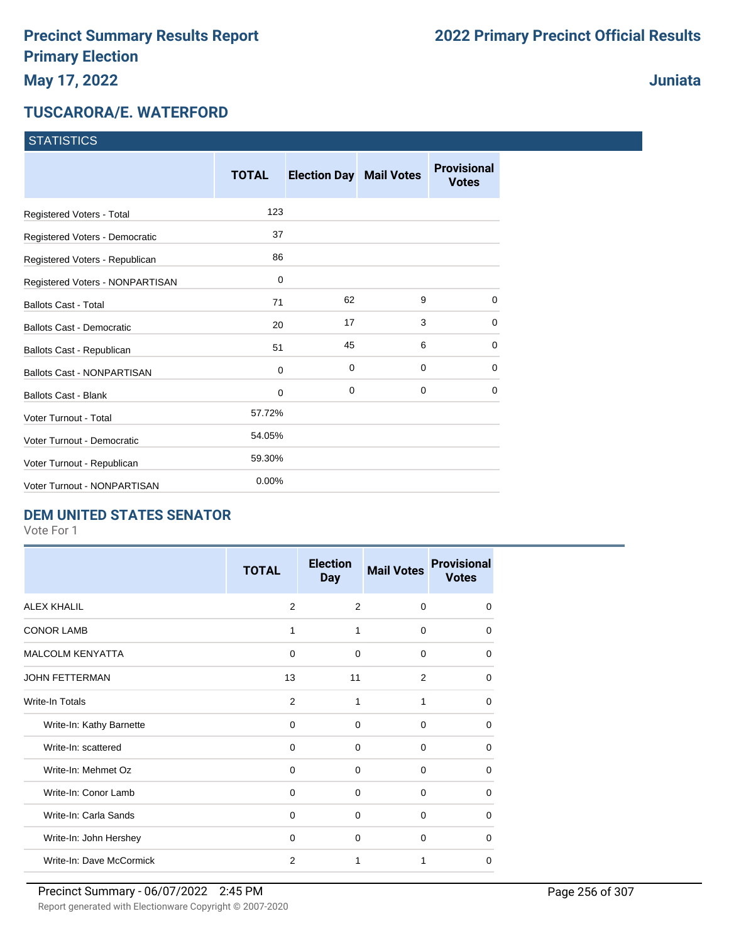### **Juniata**

#### **TUSCARORA/E. WATERFORD**

**STATISTICS** 

| $01$ <u>MINIU</u>                 |              |                                |          |                                    |
|-----------------------------------|--------------|--------------------------------|----------|------------------------------------|
|                                   | <b>TOTAL</b> | <b>Election Day Mail Votes</b> |          | <b>Provisional</b><br><b>Votes</b> |
| Registered Voters - Total         | 123          |                                |          |                                    |
| Registered Voters - Democratic    | 37           |                                |          |                                    |
| Registered Voters - Republican    | 86           |                                |          |                                    |
| Registered Voters - NONPARTISAN   | 0            |                                |          |                                    |
| <b>Ballots Cast - Total</b>       | 71           | 62                             | 9        | $\mathbf 0$                        |
| <b>Ballots Cast - Democratic</b>  | 20           | 17                             | 3        | $\mathbf 0$                        |
| Ballots Cast - Republican         | 51           | 45                             | 6        | 0                                  |
| <b>Ballots Cast - NONPARTISAN</b> | 0            | $\mathbf 0$                    | 0        | 0                                  |
| <b>Ballots Cast - Blank</b>       | 0            | $\mathbf 0$                    | $\Omega$ | $\Omega$                           |
| <b>Voter Turnout - Total</b>      | 57.72%       |                                |          |                                    |
| Voter Turnout - Democratic        | 54.05%       |                                |          |                                    |
| Voter Turnout - Republican        | 59.30%       |                                |          |                                    |
| Voter Turnout - NONPARTISAN       | 0.00%        |                                |          |                                    |

#### **DEM UNITED STATES SENATOR**

|                          | <b>TOTAL</b>   | <b>Election</b><br><b>Day</b> | <b>Mail Votes</b> | <b>Provisional</b><br><b>Votes</b> |
|--------------------------|----------------|-------------------------------|-------------------|------------------------------------|
| <b>ALEX KHALIL</b>       | 2              | 2                             | $\Omega$          | $\Omega$                           |
| <b>CONOR LAMB</b>        | 1              | 1                             | 0                 | $\Omega$                           |
| <b>MALCOLM KENYATTA</b>  | 0              | 0                             | 0                 | $\Omega$                           |
| <b>JOHN FETTERMAN</b>    | 13             | 11                            | 2                 | $\Omega$                           |
| Write-In Totals          | 2              | 1                             | 1                 | 0                                  |
| Write-In: Kathy Barnette | $\Omega$       | $\Omega$                      | $\Omega$          | 0                                  |
| Write-In: scattered      | 0              | $\Omega$                      | $\Omega$          | $\Omega$                           |
| Write-In: Mehmet Oz      | 0              | $\Omega$                      | $\Omega$          | 0                                  |
| Write-In: Conor Lamb     | 0              | $\Omega$                      | 0                 | $\Omega$                           |
| Write-In: Carla Sands    | 0              | $\Omega$                      | $\Omega$          | 0                                  |
| Write-In: John Hershey   | $\Omega$       | $\Omega$                      | $\Omega$          | $\Omega$                           |
| Write-In: Dave McCormick | $\overline{2}$ | 1                             | 1                 | $\Omega$                           |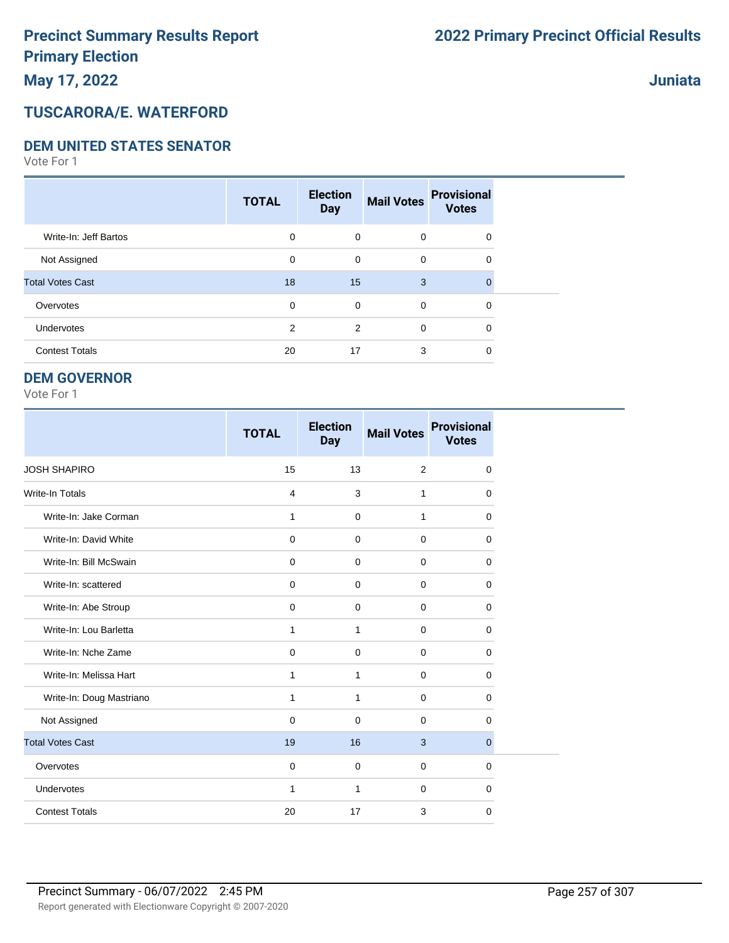#### **TUSCARORA/E. WATERFORD**

#### **DEM UNITED STATES SENATOR**

Vote For 1

|                         | <b>TOTAL</b>   | <b>Election</b><br><b>Day</b> | <b>Mail Votes</b> | <b>Provisional</b><br><b>Votes</b> |  |
|-------------------------|----------------|-------------------------------|-------------------|------------------------------------|--|
| Write-In: Jeff Bartos   | $\mathbf 0$    | $\mathbf 0$                   | $\mathbf 0$       | 0                                  |  |
| Not Assigned            | 0              | $\mathbf 0$                   | $\mathbf 0$       | 0                                  |  |
| <b>Total Votes Cast</b> | 18             | 15                            | 3                 |                                    |  |
| Overvotes               | $\mathbf 0$    | $\mathbf 0$                   | $\mathbf 0$       | 0                                  |  |
| <b>Undervotes</b>       | $\overline{2}$ | 2                             | $\mathbf 0$       | 0                                  |  |
| <b>Contest Totals</b>   | 20             | 17                            | 3                 | 0                                  |  |

#### **DEM GOVERNOR**

|                          | <b>TOTAL</b>   | <b>Election</b><br><b>Day</b> | <b>Mail Votes</b> | <b>Provisional</b><br><b>Votes</b> |
|--------------------------|----------------|-------------------------------|-------------------|------------------------------------|
| <b>JOSH SHAPIRO</b>      | 15             | 13                            | 2                 | $\mathbf 0$                        |
| <b>Write-In Totals</b>   | $\overline{4}$ | 3                             | $\mathbf{1}$      | 0                                  |
| Write-In: Jake Corman    | $\mathbf{1}$   | $\mathbf 0$                   | $\mathbf{1}$      | 0                                  |
| Write-In: David White    | $\mathbf 0$    | $\Omega$                      | $\Omega$          | $\Omega$                           |
| Write-In: Bill McSwain   | $\mathbf 0$    | $\mathbf 0$                   | $\mathbf 0$       | 0                                  |
| Write-In: scattered      | $\mathbf 0$    | $\Omega$                      | $\mathbf 0$       | 0                                  |
| Write-In: Abe Stroup     | $\mathbf 0$    | $\mathbf 0$                   | $\mathbf 0$       | 0                                  |
| Write-In: Lou Barletta   | 1              | 1                             | $\mathbf 0$       | 0                                  |
| Write-In: Nche Zame      | $\mathbf 0$    | $\mathbf 0$                   | $\mathbf 0$       | $\mathbf 0$                        |
| Write-In: Melissa Hart   | 1              | $\mathbf{1}$                  | $\mathbf 0$       | $\mathbf 0$                        |
| Write-In: Doug Mastriano | 1              | 1                             | $\mathbf 0$       | $\mathbf 0$                        |
| Not Assigned             | $\mathbf 0$    | $\mathbf 0$                   | $\mathbf 0$       | 0                                  |
| <b>Total Votes Cast</b>  | 19             | 16                            | 3                 | $\mathbf{0}$                       |
| Overvotes                | $\mathbf 0$    | $\mathbf 0$                   | $\mathbf 0$       | 0                                  |
| Undervotes               | $\mathbf{1}$   | 1                             | $\mathbf 0$       | 0                                  |
| <b>Contest Totals</b>    | 20             | 17                            | 3                 | $\mathbf 0$                        |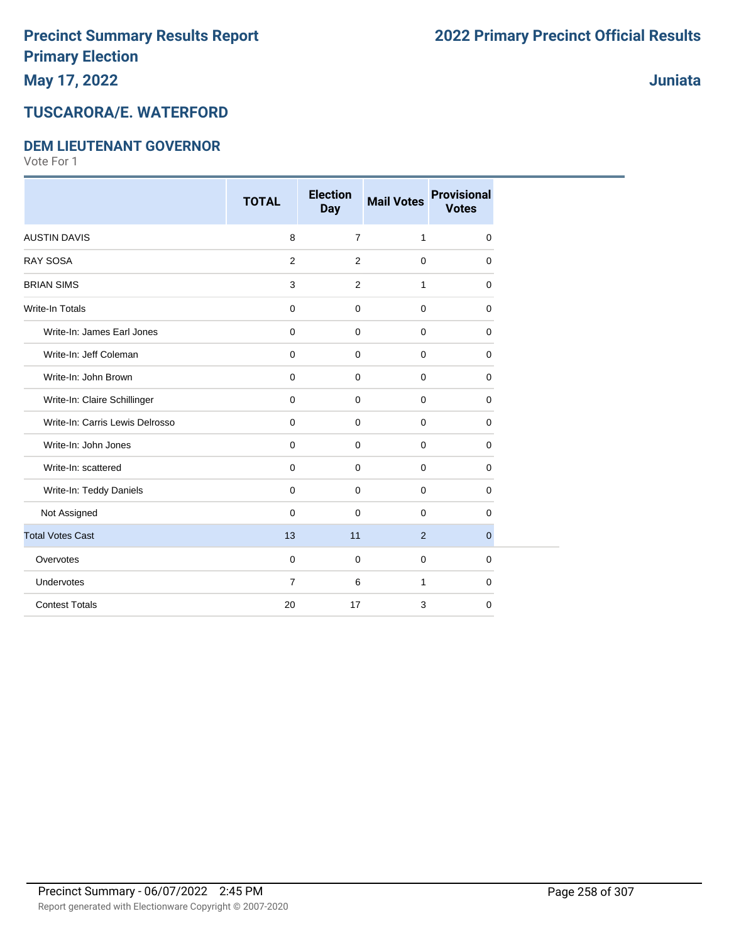# **Juniata**

# **TUSCARORA/E. WATERFORD**

#### **DEM LIEUTENANT GOVERNOR**

|                                 | <b>TOTAL</b>   | <b>Election</b><br><b>Day</b> | <b>Mail Votes</b> | <b>Provisional</b><br><b>Votes</b> |
|---------------------------------|----------------|-------------------------------|-------------------|------------------------------------|
| <b>AUSTIN DAVIS</b>             | 8              | $\overline{7}$                | $\mathbf{1}$      | $\mathbf 0$                        |
| <b>RAY SOSA</b>                 | 2              | 2                             | $\mathbf 0$       | $\mathbf 0$                        |
| <b>BRIAN SIMS</b>               | 3              | 2                             | $\mathbf{1}$      | $\mathbf 0$                        |
| <b>Write-In Totals</b>          | 0              | $\mathbf 0$                   | $\mathbf 0$       | $\mathbf 0$                        |
| Write-In: James Earl Jones      | 0              | $\mathbf 0$                   | $\mathbf 0$       | $\mathbf 0$                        |
| Write-In: Jeff Coleman          | 0              | 0                             | $\mathbf 0$       | $\mathbf 0$                        |
| Write-In: John Brown            | 0              | 0                             | $\mathbf 0$       | 0                                  |
| Write-In: Claire Schillinger    | 0              | $\mathbf 0$                   | $\mathbf 0$       | $\mathbf 0$                        |
| Write-In: Carris Lewis Delrosso | 0              | $\mathbf 0$                   | $\mathbf 0$       | $\mathbf 0$                        |
| Write-In: John Jones            | 0              | 0                             | $\mathbf 0$       | $\mathbf 0$                        |
| Write-In: scattered             | 0              | $\mathbf 0$                   | $\mathbf 0$       | $\mathbf 0$                        |
| Write-In: Teddy Daniels         | $\mathbf 0$    | $\Omega$                      | $\mathbf 0$       | $\Omega$                           |
| Not Assigned                    | $\mathbf 0$    | $\mathbf 0$                   | $\mathbf 0$       | 0                                  |
| <b>Total Votes Cast</b>         | 13             | 11                            | 2                 | $\mathbf 0$                        |
| Overvotes                       | $\mathbf 0$    | $\mathbf 0$                   | $\mathbf 0$       | $\overline{0}$                     |
| Undervotes                      | $\overline{7}$ | 6                             | $\mathbf{1}$      | $\mathbf 0$                        |
| <b>Contest Totals</b>           | 20             | 17                            | 3                 | $\mathbf 0$                        |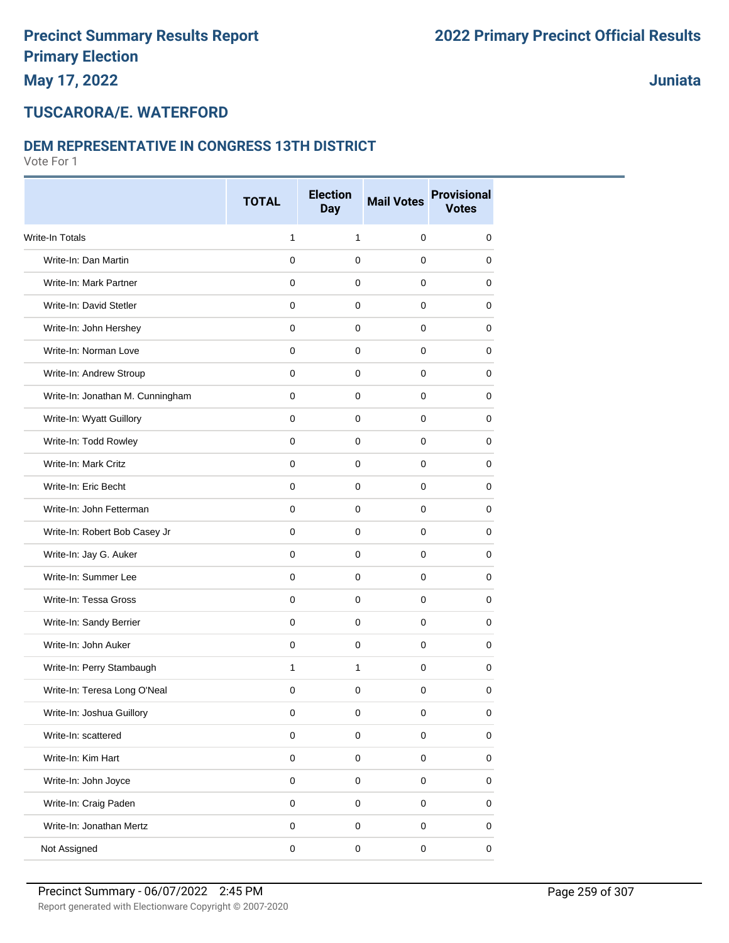**Juniata**

#### **TUSCARORA/E. WATERFORD**

#### **DEM REPRESENTATIVE IN CONGRESS 13TH DISTRICT**

|                                  | <b>TOTAL</b> | <b>Election</b><br><b>Day</b> | <b>Mail Votes</b> | <b>Provisional</b><br><b>Votes</b> |
|----------------------------------|--------------|-------------------------------|-------------------|------------------------------------|
| <b>Write-In Totals</b>           | 1            | $\mathbf{1}$                  | $\mathbf 0$       | $\mathbf 0$                        |
| Write-In: Dan Martin             | 0            | $\mathbf 0$                   | $\mathbf 0$       | 0                                  |
| Write-In: Mark Partner           | 0            | $\mathbf 0$                   | $\mathbf 0$       | 0                                  |
| Write-In: David Stetler          | 0            | $\mathbf 0$                   | 0                 | 0                                  |
| Write-In: John Hershey           | 0            | 0                             | 0                 | 0                                  |
| Write-In: Norman Love            | 0            | $\mathbf 0$                   | $\mathbf 0$       | 0                                  |
| Write-In: Andrew Stroup          | 0            | $\mathbf 0$                   | 0                 | 0                                  |
| Write-In: Jonathan M. Cunningham | 0            | $\mathbf 0$                   | $\mathbf 0$       | $\mathbf 0$                        |
| Write-In: Wyatt Guillory         | 0            | 0                             | $\mathbf 0$       | 0                                  |
| Write-In: Todd Rowley            | 0            | 0                             | 0                 | 0                                  |
| Write-In: Mark Critz             | 0            | $\mathbf 0$                   | $\mathbf 0$       | 0                                  |
| Write-In: Eric Becht             | 0            | 0                             | 0                 | 0                                  |
| Write-In: John Fetterman         | 0            | $\mathbf 0$                   | $\mathbf 0$       | 0                                  |
| Write-In: Robert Bob Casey Jr    | 0            | 0                             | $\mathbf 0$       | $\mathbf 0$                        |
| Write-In: Jay G. Auker           | 0            | $\mathbf 0$                   | 0                 | 0                                  |
| Write-In: Summer Lee             | 0            | $\mathbf 0$                   | 0                 | 0                                  |
| Write-In: Tessa Gross            | 0            | 0                             | 0                 | 0                                  |
| Write-In: Sandy Berrier          | 0            | $\mathbf 0$                   | $\mathbf 0$       | 0                                  |
| Write-In: John Auker             | 0            | $\mathbf 0$                   | $\mathbf 0$       | 0                                  |
| Write-In: Perry Stambaugh        | $\mathbf{1}$ | $\mathbf{1}$                  | $\mathbf 0$       | 0                                  |
| Write-In: Teresa Long O'Neal     | 0            | $\mathbf 0$                   | $\mathbf 0$       | 0                                  |
| Write-In: Joshua Guillory        | 0            | 0                             | 0                 | 0                                  |
| Write-In: scattered              | 0            | 0                             | $\pmb{0}$         | $\mathbf 0$                        |
| Write-In: Kim Hart               | $\pmb{0}$    | $\mathsf 0$                   | $\pmb{0}$         | 0                                  |
| Write-In: John Joyce             | $\pmb{0}$    | $\pmb{0}$                     | $\mathsf 0$       | $\mathbf 0$                        |
| Write-In: Craig Paden            | $\pmb{0}$    | $\mathsf 0$                   | $\pmb{0}$         | $\mathsf 0$                        |
| Write-In: Jonathan Mertz         | $\pmb{0}$    | $\mathsf 0$                   | $\pmb{0}$         | $\mathsf 0$                        |
| Not Assigned                     | $\mathsf 0$  | $\mathsf 0$                   | $\pmb{0}$         | $\pmb{0}$                          |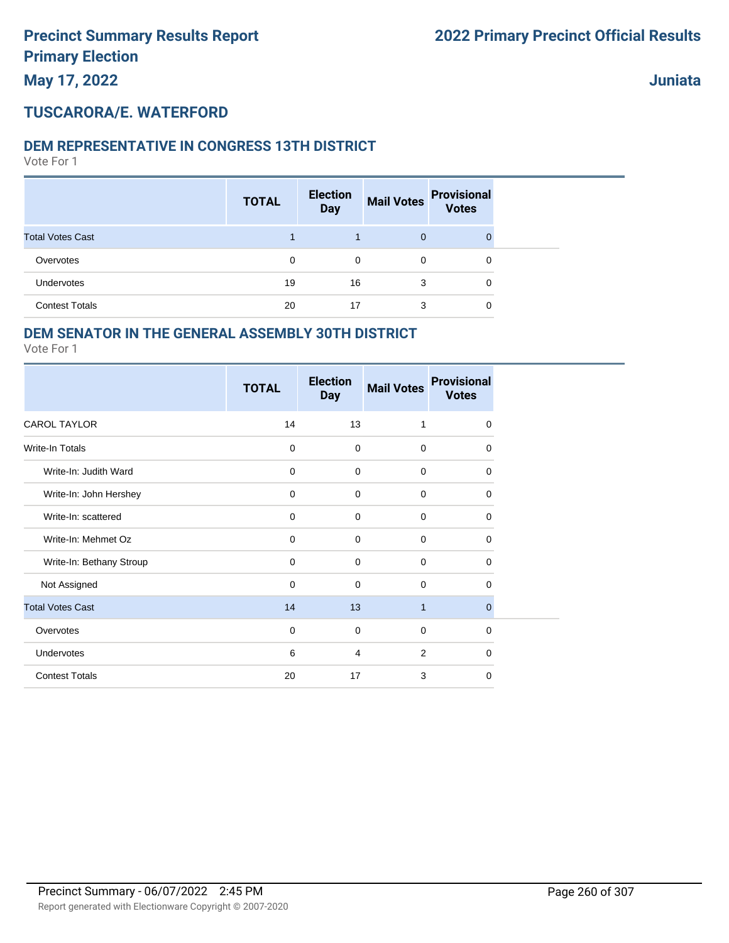#### **TUSCARORA/E. WATERFORD**

#### **DEM REPRESENTATIVE IN CONGRESS 13TH DISTRICT**

Vote For 1

|                         | <b>TOTAL</b> | <b>Election</b><br><b>Day</b> | <b>Mail Votes</b> | <b>Provisional</b><br><b>Votes</b> |  |
|-------------------------|--------------|-------------------------------|-------------------|------------------------------------|--|
| <b>Total Votes Cast</b> |              |                               | $\mathbf{0}$      |                                    |  |
| Overvotes               | $\Omega$     | 0                             | 0                 | 0                                  |  |
| Undervotes              | 19           | 16                            | 3                 | 0                                  |  |
| <b>Contest Totals</b>   | 20           | 17                            | 3                 | 0                                  |  |

#### **DEM SENATOR IN THE GENERAL ASSEMBLY 30TH DISTRICT**

|                          | <b>TOTAL</b> | <b>Election</b><br><b>Day</b> | <b>Mail Votes</b> | <b>Provisional</b><br><b>Votes</b> |
|--------------------------|--------------|-------------------------------|-------------------|------------------------------------|
| <b>CAROL TAYLOR</b>      | 14           | 13                            | $\mathbf{1}$      | $\mathbf 0$                        |
| Write-In Totals          | $\mathbf 0$  | 0                             | $\Omega$          | 0                                  |
| Write-In: Judith Ward    | $\mathbf 0$  | 0                             | $\mathbf 0$       | $\mathbf 0$                        |
| Write-In: John Hershey   | $\mathbf 0$  | $\mathbf 0$                   | $\mathbf 0$       | 0                                  |
| Write-In: scattered      | 0            | 0                             | $\mathbf 0$       | 0                                  |
| Write-In: Mehmet Oz      | $\mathbf 0$  | $\mathbf 0$                   | $\mathbf 0$       | 0                                  |
| Write-In: Bethany Stroup | $\mathbf 0$  | 0                             | $\mathbf 0$       | 0                                  |
| Not Assigned             | $\mathbf 0$  | 0                             | $\mathbf 0$       | 0                                  |
| <b>Total Votes Cast</b>  | 14           | 13                            | $\mathbf{1}$      | $\mathbf 0$                        |
| Overvotes                | $\mathbf 0$  | 0                             | $\mathbf 0$       | 0                                  |
| <b>Undervotes</b>        | 6            | 4                             | $\overline{2}$    | $\Omega$                           |
| <b>Contest Totals</b>    | 20           | 17                            | 3                 | 0                                  |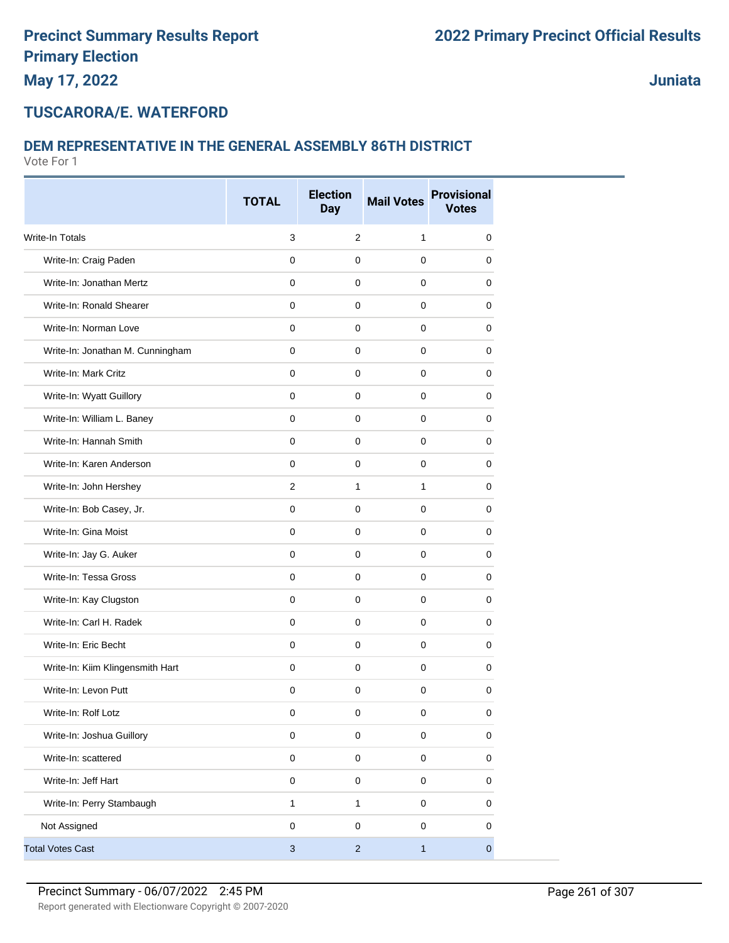#### **TUSCARORA/E. WATERFORD**

#### **DEM REPRESENTATIVE IN THE GENERAL ASSEMBLY 86TH DISTRICT**

|                                  | <b>TOTAL</b> | <b>Election</b><br><b>Day</b> | <b>Mail Votes</b> | <b>Provisional</b><br><b>Votes</b> |
|----------------------------------|--------------|-------------------------------|-------------------|------------------------------------|
| <b>Write-In Totals</b>           | $\mathsf 3$  | $\overline{2}$                | $\mathbf{1}$      | $\mathbf 0$                        |
| Write-In: Craig Paden            | $\mathbf 0$  | $\mathbf 0$                   | $\mathbf 0$       | 0                                  |
| Write-In: Jonathan Mertz         | 0            | 0                             | 0                 | 0                                  |
| Write-In: Ronald Shearer         | $\mathbf 0$  | $\mathbf 0$                   | $\pmb{0}$         | $\mathbf 0$                        |
| Write-In: Norman Love            | $\mathbf 0$  | $\mathbf 0$                   | $\mathbf 0$       | 0                                  |
| Write-In: Jonathan M. Cunningham | $\mathbf 0$  | $\mathbf 0$                   | $\mathbf 0$       | 0                                  |
| Write-In: Mark Critz             | $\pmb{0}$    | $\mathbf 0$                   | $\mathbf 0$       | $\mathbf 0$                        |
| Write-In: Wyatt Guillory         | $\mathbf 0$  | 0                             | 0                 | 0                                  |
| Write-In: William L. Baney       | $\mathbf 0$  | 0                             | 0                 | 0                                  |
| Write-In: Hannah Smith           | $\mathbf 0$  | $\mathbf 0$                   | $\mathbf 0$       | $\mathbf 0$                        |
| Write-In: Karen Anderson         | $\mathbf 0$  | 0                             | $\pmb{0}$         | 0                                  |
| Write-In: John Hershey           | 2            | $\mathbf{1}$                  | $\mathbf{1}$      | 0                                  |
| Write-In: Bob Casey, Jr.         | $\pmb{0}$    | $\mathbf 0$                   | $\mathbf 0$       | $\mathbf 0$                        |
| Write-In: Gina Moist             | $\mathbf 0$  | $\mathbf 0$                   | $\mathbf 0$       | 0                                  |
| Write-In: Jay G. Auker           | 0            | 0                             | 0                 | 0                                  |
| Write-In: Tessa Gross            | $\mathbf 0$  | $\mathbf 0$                   | $\mathbf 0$       | $\mathbf 0$                        |
| Write-In: Kay Clugston           | $\mathbf 0$  | $\mathbf 0$                   | $\mathbf 0$       | $\mathbf 0$                        |
| Write-In: Carl H. Radek          | $\mathbf 0$  | 0                             | $\mathbf 0$       | 0                                  |
| Write-In: Eric Becht             | $\pmb{0}$    | $\mathbf 0$                   | $\mathbf 0$       | $\mathbf 0$                        |
| Write-In: Kiim Klingensmith Hart | $\mathbf 0$  | 0                             | $\mathbf 0$       | 0                                  |
| Write-In: Levon Putt             | 0            | 0                             | $\mathbf 0$       | 0                                  |
| Write-In: Rolf Lotz              | $\pmb{0}$    | $\pmb{0}$                     | $\pmb{0}$         | $\pmb{0}$                          |
| Write-In: Joshua Guillory        | $\pmb{0}$    | $\mathbf 0$                   | $\pmb{0}$         | $\pmb{0}$                          |
| Write-In: scattered              | $\pmb{0}$    | $\mathsf 0$                   | $\pmb{0}$         | $\pmb{0}$                          |
| Write-In: Jeff Hart              | $\pmb{0}$    | $\pmb{0}$                     | $\pmb{0}$         | $\pmb{0}$                          |
| Write-In: Perry Stambaugh        | $\mathbf{1}$ | $\mathbf{1}$                  | $\pmb{0}$         | 0                                  |
| Not Assigned                     | $\mathbf 0$  | $\pmb{0}$                     | $\pmb{0}$         | 0                                  |
| <b>Total Votes Cast</b>          | $\sqrt{3}$   | $\overline{c}$                | $\mathbf{1}$      | $\overline{0}$                     |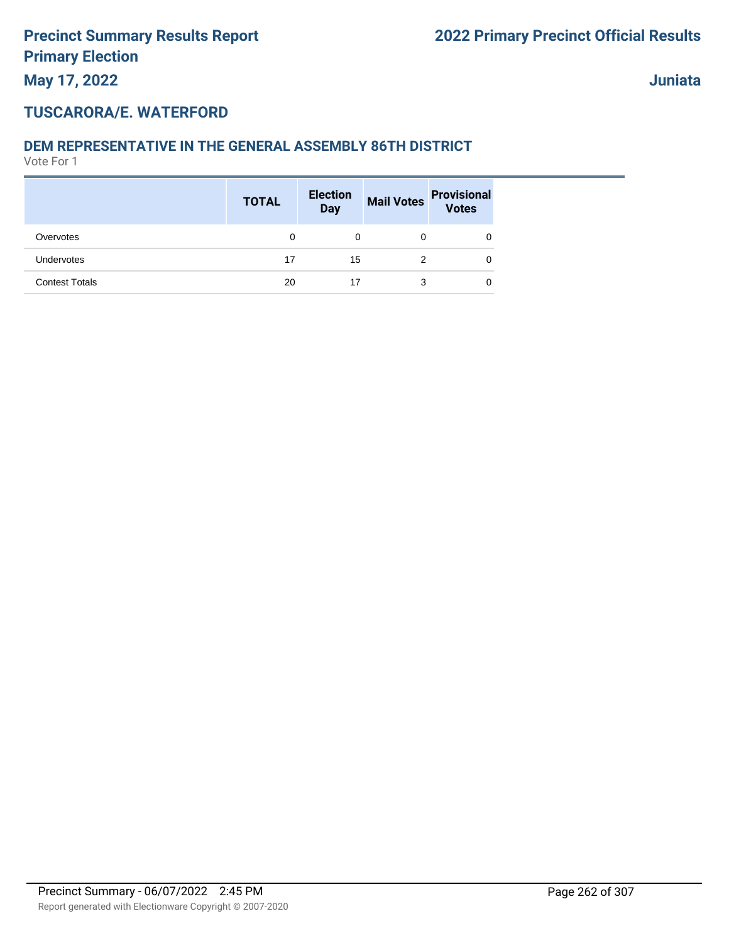#### **TUSCARORA/E. WATERFORD**

#### **DEM REPRESENTATIVE IN THE GENERAL ASSEMBLY 86TH DISTRICT**

|                       | <b>TOTAL</b> | <b>Election</b><br><b>Day</b> | <b>Mail Votes</b> | <b>Provisional</b><br><b>Votes</b> |
|-----------------------|--------------|-------------------------------|-------------------|------------------------------------|
| Overvotes             | 0            | 0                             | 0                 | 0                                  |
| Undervotes            | 17           | 15                            | 2                 | 0                                  |
| <b>Contest Totals</b> | 20           | 17                            | 3                 | 0                                  |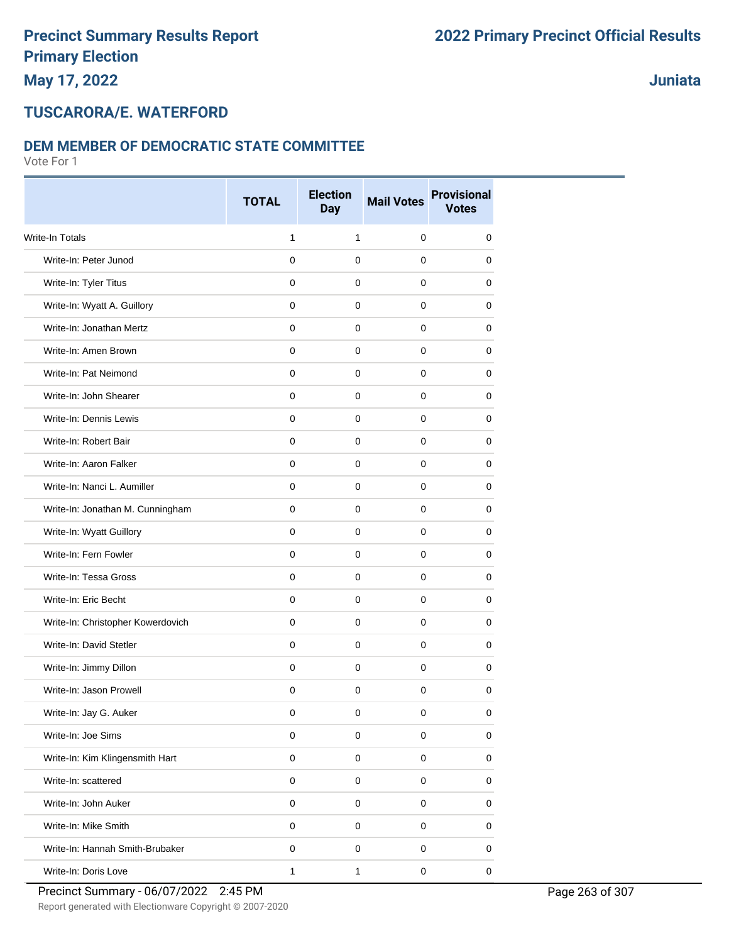**Juniata**

#### **TUSCARORA/E. WATERFORD**

#### **DEM MEMBER OF DEMOCRATIC STATE COMMITTEE**

Vote For 1

|                                   | <b>TOTAL</b> | <b>Election</b><br><b>Day</b> | <b>Mail Votes</b>   | <b>Provisional</b><br><b>Votes</b> |
|-----------------------------------|--------------|-------------------------------|---------------------|------------------------------------|
| Write-In Totals                   | 1            | $\mathbf{1}$                  | $\mathbf 0$         | $\mathbf 0$                        |
| Write-In: Peter Junod             | $\mathbf 0$  | 0                             | 0                   | 0                                  |
| Write-In: Tyler Titus             | 0            | 0                             | 0                   | 0                                  |
| Write-In: Wyatt A. Guillory       | $\mathbf 0$  | $\mathbf 0$                   | 0                   | 0                                  |
| Write-In: Jonathan Mertz          | 0            | $\mathbf 0$                   | 0                   | 0                                  |
| Write-In: Amen Brown              | 0            | $\mathbf 0$                   | $\mathbf 0$         | 0                                  |
| Write-In: Pat Neimond             | $\mathbf 0$  | $\mathbf 0$                   | $\mathbf 0$         | 0                                  |
| Write-In: John Shearer            | 0            | 0                             | 0                   | 0                                  |
| Write-In: Dennis Lewis            | 0            | 0                             | 0                   | 0                                  |
| Write-In: Robert Bair             | 0            | 0                             | 0                   | 0                                  |
| Write-In: Aaron Falker            | $\mathbf 0$  | $\mathbf 0$                   | 0                   | 0                                  |
| Write-In: Nanci L. Aumiller       | 0            | $\mathbf 0$                   | $\mathbf 0$         | 0                                  |
| Write-In: Jonathan M. Cunningham  | 0            | 0                             | 0                   | 0                                  |
| Write-In: Wyatt Guillory          | $\mathbf 0$  | 0                             | 0                   | 0                                  |
| Write-In: Fern Fowler             | 0            | 0                             | 0                   | 0                                  |
| Write-In: Tessa Gross             | $\mathbf 0$  | 0                             | 0                   | 0                                  |
| Write-In: Eric Becht              | $\mathbf 0$  | 0                             | 0                   | 0                                  |
| Write-In: Christopher Kowerdovich | 0            | $\mathbf 0$                   | 0                   | 0                                  |
| Write-In: David Stetler           | $\mathbf 0$  | $\mathbf 0$                   | $\mathbf 0$         | 0                                  |
| Write-In: Jimmy Dillon            | 0            | 0                             | 0                   | 0                                  |
| Write-In: Jason Prowell           | 0            | 0                             | 0                   | $\mathbf 0$                        |
| Write-In: Jay G. Auker            | $\mathbf 0$  | $\pmb{0}$                     | $\boldsymbol{0}$    | 0                                  |
| Write-In: Joe Sims                | $\pmb{0}$    | $\mathbf 0$                   | $\pmb{0}$           | 0                                  |
| Write-In: Kim Klingensmith Hart   | $\pmb{0}$    | $\pmb{0}$                     | $\pmb{0}$           | 0                                  |
| Write-In: scattered               | $\mathbf 0$  | $\mathsf{O}\xspace$           | $\pmb{0}$           | $\pmb{0}$                          |
| Write-In: John Auker              | 0            | $\pmb{0}$                     | $\pmb{0}$           | 0                                  |
| Write-In: Mike Smith              | $\pmb{0}$    | $\pmb{0}$                     | $\pmb{0}$           | 0                                  |
| Write-In: Hannah Smith-Brubaker   | $\pmb{0}$    | $\pmb{0}$                     | $\pmb{0}$           | 0                                  |
| Write-In: Doris Love              | 1            | $\mathbf{1}$                  | $\mathsf{O}\xspace$ | $\mathbf 0$                        |

Report generated with Electionware Copyright © 2007-2020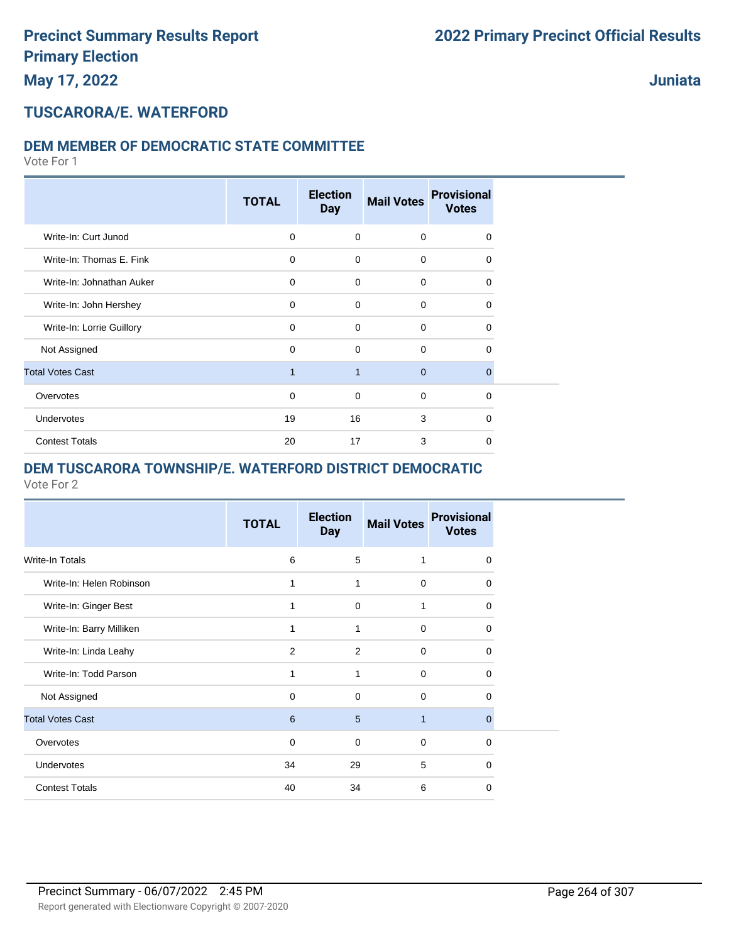### **Juniata**

## **TUSCARORA/E. WATERFORD**

#### **DEM MEMBER OF DEMOCRATIC STATE COMMITTEE**

Vote For 1

|                           | <b>TOTAL</b> | <b>Election</b><br><b>Day</b> | <b>Mail Votes</b> | <b>Provisional</b><br><b>Votes</b> |  |
|---------------------------|--------------|-------------------------------|-------------------|------------------------------------|--|
| Write-In: Curt Junod      | $\mathbf 0$  | $\mathbf 0$                   | $\mathbf 0$       | $\Omega$                           |  |
| Write-In: Thomas E. Fink  | $\mathbf 0$  | $\Omega$                      | $\mathbf 0$       | $\Omega$                           |  |
| Write-In: Johnathan Auker | $\mathbf 0$  | $\Omega$                      | $\mathbf 0$       | $\Omega$                           |  |
| Write-In: John Hershey    | $\mathbf 0$  | $\Omega$                      | $\mathbf 0$       | $\Omega$                           |  |
| Write-In: Lorrie Guillory | $\mathbf 0$  | $\Omega$                      | $\mathbf 0$       | $\Omega$                           |  |
| Not Assigned              | $\mathbf 0$  | $\Omega$                      | $\mathbf 0$       | $\Omega$                           |  |
| <b>Total Votes Cast</b>   | $\mathbf 1$  | $\overline{1}$                | $\mathbf{0}$      | $\mathbf 0$                        |  |
| Overvotes                 | $\mathbf 0$  | $\mathbf 0$                   | $\mathbf 0$       | $\Omega$                           |  |
| Undervotes                | 19           | 16                            | 3                 | $\Omega$                           |  |
| <b>Contest Totals</b>     | 20           | 17                            | 3                 | $\Omega$                           |  |

#### **DEM TUSCARORA TOWNSHIP/E. WATERFORD DISTRICT DEMOCRATIC**

|                          | <b>TOTAL</b> | <b>Election</b><br><b>Day</b> | <b>Mail Votes</b> | <b>Provisional</b><br><b>Votes</b> |
|--------------------------|--------------|-------------------------------|-------------------|------------------------------------|
| <b>Write-In Totals</b>   | 6            | 5                             | 1                 | $\Omega$                           |
| Write-In: Helen Robinson | 1            | 1                             | $\mathbf 0$       | 0                                  |
| Write-In: Ginger Best    | 1            | $\mathbf 0$                   | 1                 | $\Omega$                           |
| Write-In: Barry Milliken | 1            | 1                             | 0                 | 0                                  |
| Write-In: Linda Leahy    | 2            | 2                             | $\Omega$          | 0                                  |
| Write-In: Todd Parson    | 1            | 1                             | $\Omega$          | 0                                  |
| Not Assigned             | $\Omega$     | $\Omega$                      | $\Omega$          | $\Omega$                           |
| <b>Total Votes Cast</b>  | 6            | 5                             | 1                 | $\Omega$                           |
| Overvotes                | $\Omega$     | $\Omega$                      | $\Omega$          | $\Omega$                           |
| <b>Undervotes</b>        | 34           | 29                            | 5                 | $\Omega$                           |
| <b>Contest Totals</b>    | 40           | 34                            | 6                 | 0                                  |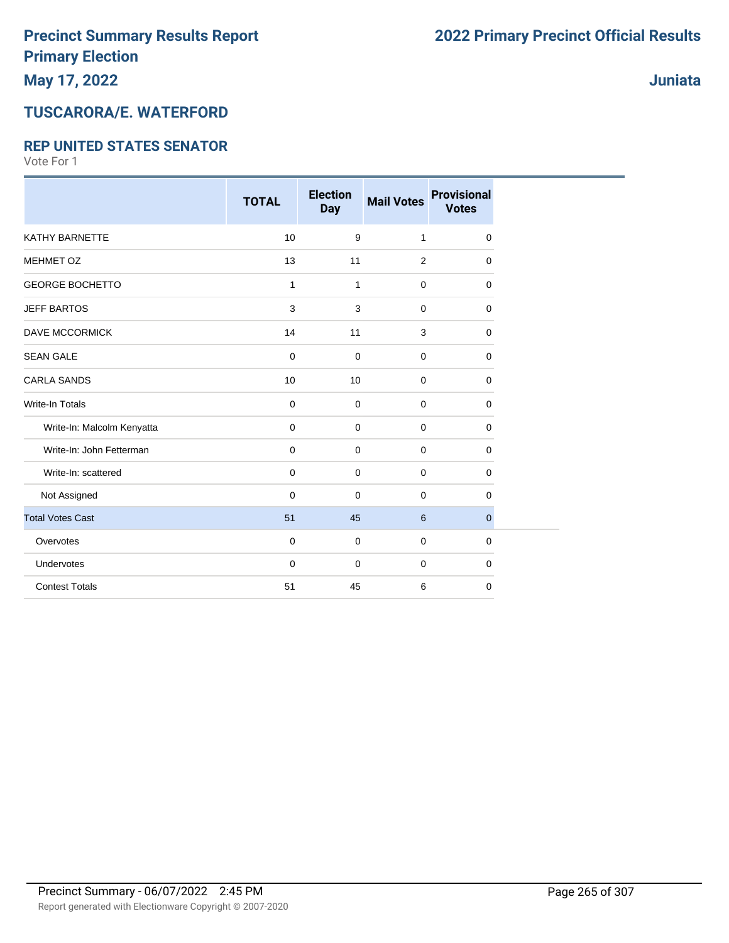## **Juniata**

# **TUSCARORA/E. WATERFORD**

#### **REP UNITED STATES SENATOR**

|                            | <b>TOTAL</b> | <b>Election</b><br><b>Day</b> | <b>Mail Votes</b> | <b>Provisional</b><br><b>Votes</b> |
|----------------------------|--------------|-------------------------------|-------------------|------------------------------------|
| <b>KATHY BARNETTE</b>      | 10           | $\boldsymbol{9}$              | 1                 |                                    |
|                            |              |                               |                   | 0                                  |
| <b>MEHMET OZ</b>           | 13           | 11                            | 2                 | 0                                  |
| <b>GEORGE BOCHETTO</b>     | 1            | 1                             | $\mathbf 0$       | 0                                  |
| <b>JEFF BARTOS</b>         | 3            | 3                             | $\mathbf 0$       | 0                                  |
| <b>DAVE MCCORMICK</b>      | 14           | 11                            | 3                 | 0                                  |
| <b>SEAN GALE</b>           | 0            | $\mathbf 0$                   | $\mathbf 0$       | 0                                  |
| <b>CARLA SANDS</b>         | 10           | 10                            | $\mathbf 0$       | 0                                  |
| <b>Write-In Totals</b>     | 0            | $\mathbf 0$                   | $\mathbf 0$       | 0                                  |
| Write-In: Malcolm Kenyatta | 0            | $\mathbf 0$                   | $\mathbf 0$       | 0                                  |
| Write-In: John Fetterman   | 0            | 0                             | $\mathbf 0$       | 0                                  |
| Write-In: scattered        | $\mathbf 0$  | $\mathbf 0$                   | $\mathbf 0$       | 0                                  |
| Not Assigned               | $\Omega$     | $\Omega$                      | $\mathbf 0$       | 0                                  |
| <b>Total Votes Cast</b>    | 51           | 45                            | 6                 | 0                                  |
| Overvotes                  | $\mathbf 0$  | $\mathbf 0$                   | $\mathbf 0$       | 0                                  |
| Undervotes                 | $\mathbf 0$  | $\mathbf 0$                   | $\mathbf 0$       | 0                                  |
| <b>Contest Totals</b>      | 51           | 45                            | 6                 | 0                                  |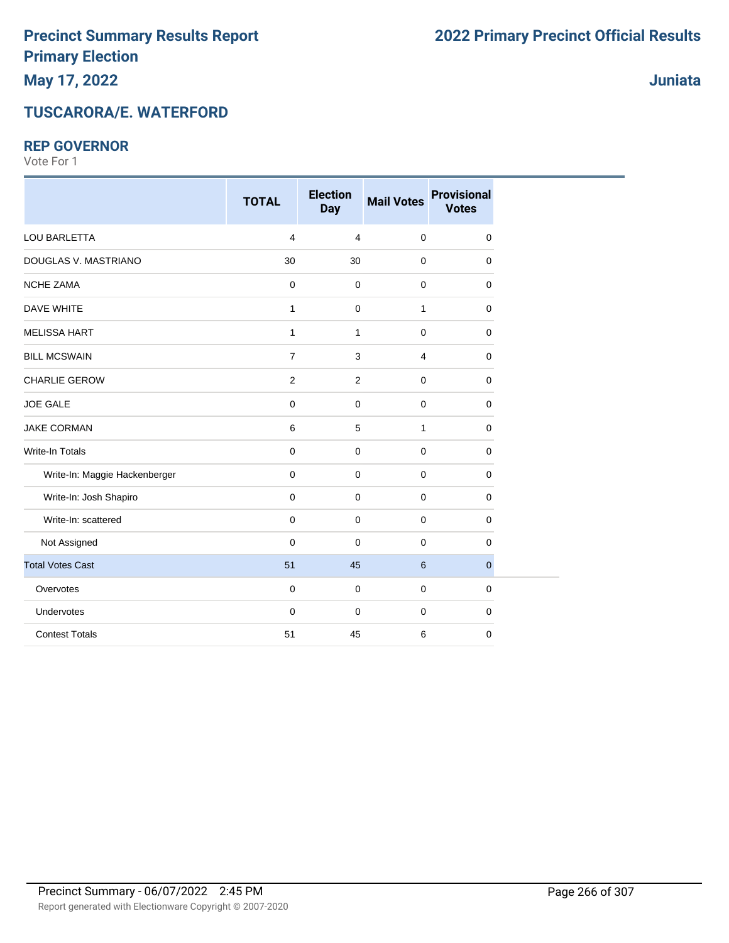#### **REP GOVERNOR**

Vote For 1

|                               | <b>TOTAL</b>   | <b>Election</b><br><b>Day</b> | <b>Mail Votes</b> | <b>Provisional</b><br><b>Votes</b> |
|-------------------------------|----------------|-------------------------------|-------------------|------------------------------------|
| <b>LOU BARLETTA</b>           | $\overline{4}$ | $\overline{4}$                | $\mathbf 0$       | $\mathbf 0$                        |
| DOUGLAS V. MASTRIANO          | 30             | 30                            | $\mathbf 0$       | 0                                  |
| <b>NCHE ZAMA</b>              | $\mathbf 0$    | $\mathbf 0$                   | $\mathbf 0$       | 0                                  |
| DAVE WHITE                    | $\mathbf{1}$   | $\mathbf 0$                   | $\mathbf{1}$      | 0                                  |
| <b>MELISSA HART</b>           | 1              | $\mathbf{1}$                  | $\mathbf 0$       | 0                                  |
| <b>BILL MCSWAIN</b>           | $\overline{7}$ | 3                             | 4                 | 0                                  |
| <b>CHARLIE GEROW</b>          | $\overline{c}$ | $\overline{2}$                | $\mathbf 0$       | 0                                  |
| <b>JOE GALE</b>               | 0              | $\mathbf 0$                   | $\mathbf 0$       | 0                                  |
| <b>JAKE CORMAN</b>            | 6              | 5                             | $\mathbf{1}$      | 0                                  |
| Write-In Totals               | 0              | $\mathbf 0$                   | $\mathbf 0$       | 0                                  |
| Write-In: Maggie Hackenberger | 0              | $\mathbf 0$                   | 0                 | 0                                  |
| Write-In: Josh Shapiro        | 0              | $\mathbf 0$                   | $\mathbf 0$       | 0                                  |
| Write-In: scattered           | 0              | $\mathbf 0$                   | $\mathbf 0$       | 0                                  |
| Not Assigned                  | $\mathbf 0$    | $\mathbf 0$                   | $\mathbf 0$       | 0                                  |
| <b>Total Votes Cast</b>       | 51             | 45                            | $\,6\,$           | $\mathbf 0$                        |
| Overvotes                     | 0              | $\mathbf 0$                   | $\mathbf 0$       | 0                                  |
| Undervotes                    | $\mathbf 0$    | $\mathbf 0$                   | $\mathbf 0$       | 0                                  |
| <b>Contest Totals</b>         | 51             | 45                            | 6                 | 0                                  |

**Juniata**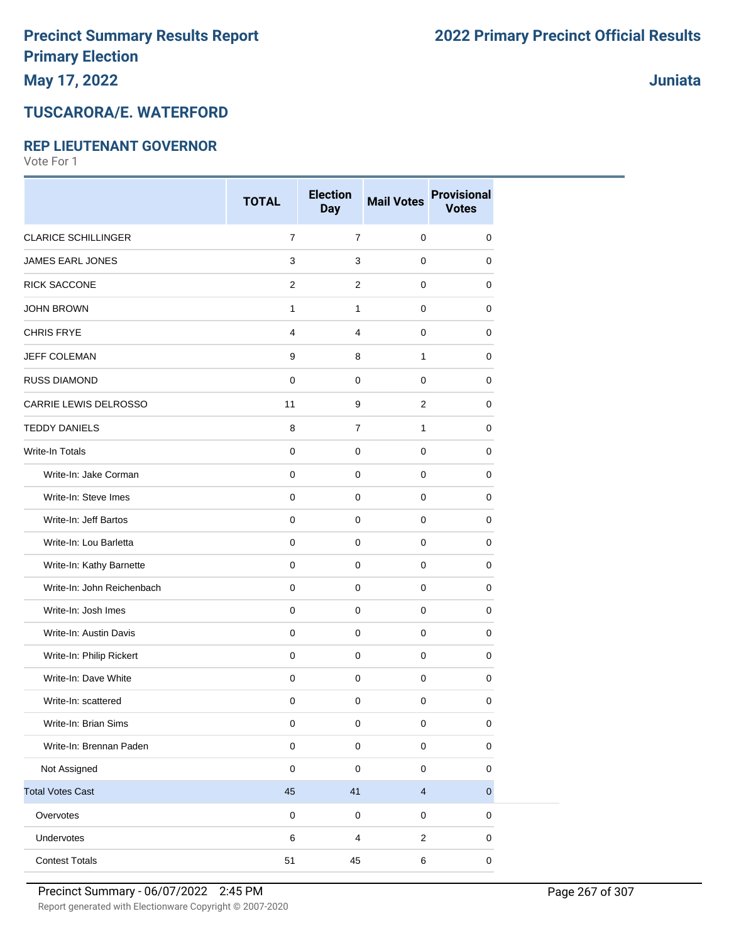# **May 17, 2022**

### **TUSCARORA/E. WATERFORD**

#### **REP LIEUTENANT GOVERNOR**

Vote For 1

|                            | <b>TOTAL</b>   | <b>Election</b><br><b>Day</b> | <b>Mail Votes</b>       | <b>Provisional</b><br><b>Votes</b> |
|----------------------------|----------------|-------------------------------|-------------------------|------------------------------------|
| <b>CLARICE SCHILLINGER</b> | $\overline{7}$ | $\overline{7}$                | $\pmb{0}$               | 0                                  |
| JAMES EARL JONES           | 3              | 3                             | 0                       | 0                                  |
| <b>RICK SACCONE</b>        | 2              | $\overline{c}$                | 0                       | 0                                  |
| <b>JOHN BROWN</b>          | $\mathbf{1}$   | $\mathbf{1}$                  | 0                       | 0                                  |
| <b>CHRIS FRYE</b>          | 4              | 4                             | 0                       | 0                                  |
| JEFF COLEMAN               | 9              | 8                             | 1                       | 0                                  |
| <b>RUSS DIAMOND</b>        | $\mathbf 0$    | $\mathbf 0$                   | 0                       | 0                                  |
| CARRIE LEWIS DELROSSO      | 11             | 9                             | 2                       | 0                                  |
| <b>TEDDY DANIELS</b>       | 8              | $\overline{7}$                | 1                       | 0                                  |
| <b>Write-In Totals</b>     | $\mathbf 0$    | $\mathbf 0$                   | 0                       | 0                                  |
| Write-In: Jake Corman      | $\mathbf 0$    | $\mathbf 0$                   | $\pmb{0}$               | 0                                  |
| Write-In: Steve Imes       | $\mathbf 0$    | $\mathbf 0$                   | $\pmb{0}$               | 0                                  |
| Write-In: Jeff Bartos      | $\mathbf 0$    | $\mathbf 0$                   | 0                       | 0                                  |
| Write-In: Lou Barletta     | $\mathbf 0$    | 0                             | 0                       | 0                                  |
| Write-In: Kathy Barnette   | $\mathbf 0$    | $\mathbf 0$                   | $\pmb{0}$               | 0                                  |
| Write-In: John Reichenbach | 0              | 0                             | 0                       | 0                                  |
| Write-In: Josh Imes        | $\mathbf 0$    | 0                             | 0                       | 0                                  |
| Write-In: Austin Davis     | $\mathbf 0$    | $\mathbf 0$                   | $\mathbf 0$             | 0                                  |
| Write-In: Philip Rickert   | $\mathbf 0$    | $\mathbf 0$                   | 0                       | 0                                  |
| Write-In: Dave White       | $\pmb{0}$      | $\mathsf 0$                   | $\pmb{0}$               | 0                                  |
| Write-In: scattered        | 0              | $\pmb{0}$                     | 0                       | 0                                  |
| Write-In: Brian Sims       | 0              | 0                             | 0                       | 0                                  |
| Write-In: Brennan Paden    | $\pmb{0}$      | $\mathbf 0$                   | $\pmb{0}$               | 0                                  |
| Not Assigned               | $\mathbf 0$    | 0                             | 0                       | 0                                  |
| <b>Total Votes Cast</b>    | 45             | 41                            | $\overline{\mathbf{4}}$ | $\overline{0}$                     |
| Overvotes                  | $\pmb{0}$      | $\mathsf 0$                   | $\pmb{0}$               | $\pmb{0}$                          |
| Undervotes                 | 6              | 4                             | $\sqrt{2}$              | 0                                  |
| <b>Contest Totals</b>      | 51             | 45                            | $\,6$                   | $\pmb{0}$                          |

**Juniata**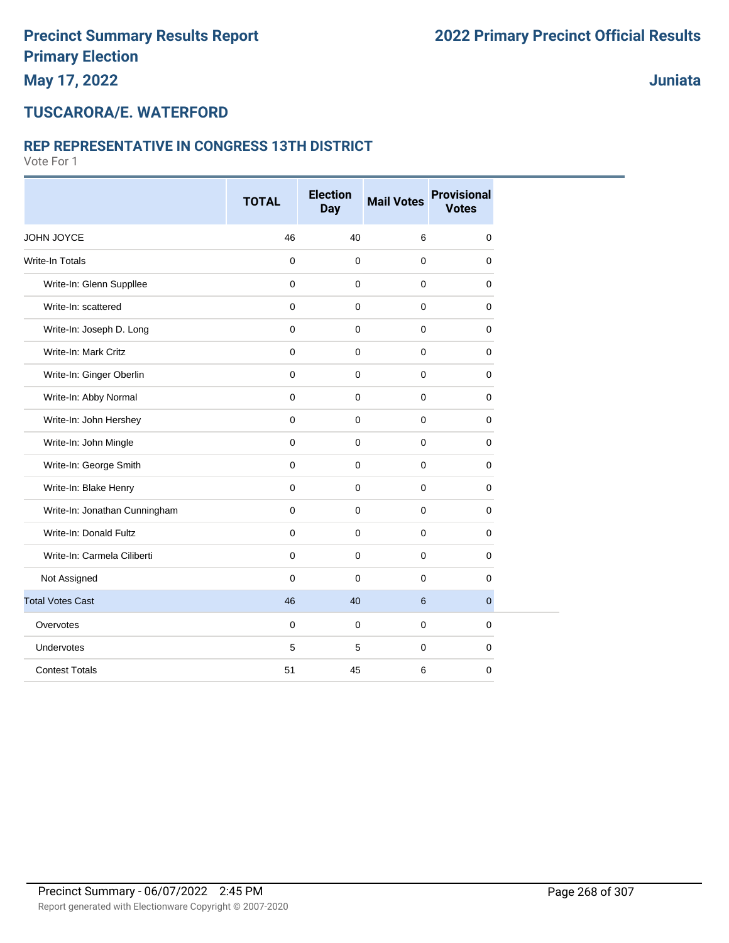**Juniata**

#### **TUSCARORA/E. WATERFORD**

#### **REP REPRESENTATIVE IN CONGRESS 13TH DISTRICT**

|                               | <b>TOTAL</b> | <b>Election</b><br><b>Day</b> | <b>Mail Votes</b> | <b>Provisional</b><br><b>Votes</b> |
|-------------------------------|--------------|-------------------------------|-------------------|------------------------------------|
| JOHN JOYCE                    | 46           | 40                            | 6                 | $\mathbf 0$                        |
| <b>Write-In Totals</b>        | 0            | $\mathbf 0$                   | $\mathbf 0$       | $\mathbf 0$                        |
| Write-In: Glenn Suppllee      | $\mathbf 0$  | $\mathbf 0$                   | 0                 | 0                                  |
| Write-In: scattered           | $\mathbf{0}$ | $\mathbf 0$                   | $\pmb{0}$         | $\mathbf 0$                        |
| Write-In: Joseph D. Long      | $\mathbf 0$  | $\mathbf 0$                   | 0                 | $\mathbf 0$                        |
| Write-In: Mark Critz          | $\mathbf 0$  | $\mathbf 0$                   | $\mathbf 0$       | 0                                  |
| Write-In: Ginger Oberlin      | $\mathbf 0$  | $\mathbf 0$                   | $\mathbf 0$       | $\mathbf 0$                        |
| Write-In: Abby Normal         | $\mathbf 0$  | $\mathbf 0$                   | 0                 | $\mathbf 0$                        |
| Write-In: John Hershey        | $\mathbf 0$  | $\mathbf 0$                   | 0                 | 0                                  |
| Write-In: John Mingle         | $\mathbf 0$  | $\Omega$                      | $\mathbf 0$       | $\mathbf 0$                        |
| Write-In: George Smith        | $\mathbf 0$  | $\mathbf 0$                   | $\pmb{0}$         | $\mathbf 0$                        |
| Write-In: Blake Henry         | $\mathbf 0$  | $\mathbf 0$                   | 0                 | $\mathbf 0$                        |
| Write-In: Jonathan Cunningham | $\mathbf 0$  | $\mathbf 0$                   | $\mathbf 0$       | $\mathbf 0$                        |
| Write-In: Donald Fultz        | $\mathbf 0$  | $\mathbf 0$                   | 0                 | $\mathbf 0$                        |
| Write-In: Carmela Ciliberti   | $\mathbf 0$  | $\mathbf 0$                   | $\mathbf 0$       | 0                                  |
| Not Assigned                  | $\mathbf 0$  | $\mathbf 0$                   | 0                 | $\mathbf 0$                        |
| <b>Total Votes Cast</b>       | 46           | 40                            | 6                 | $\overline{0}$                     |
| Overvotes                     | 0            | $\mathbf 0$                   | 0                 | $\mathbf 0$                        |
| Undervotes                    | 5            | 5                             | 0                 | $\pmb{0}$                          |
| <b>Contest Totals</b>         | 51           | 45                            | 6                 | $\mathbf 0$                        |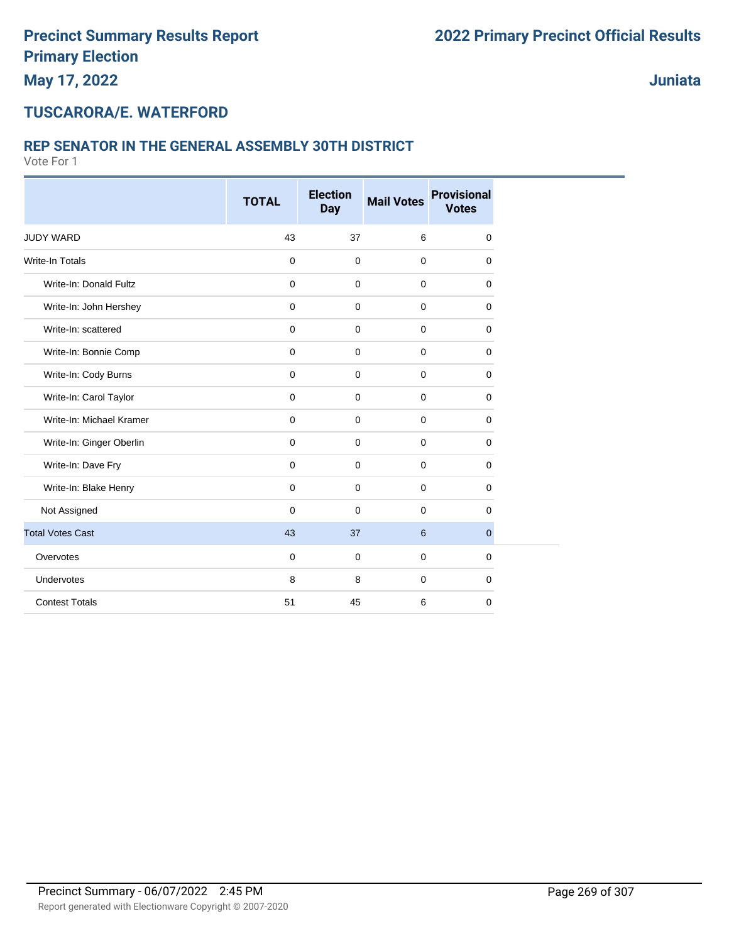**Juniata**

#### **TUSCARORA/E. WATERFORD**

#### **REP SENATOR IN THE GENERAL ASSEMBLY 30TH DISTRICT**

|                          | <b>TOTAL</b> | <b>Election</b> | <b>Mail Votes</b> | <b>Provisional</b> |
|--------------------------|--------------|-----------------|-------------------|--------------------|
|                          |              | <b>Day</b>      |                   | <b>Votes</b>       |
| <b>JUDY WARD</b>         | 43           | 37              | 6                 | 0                  |
| <b>Write-In Totals</b>   | $\mathbf 0$  | $\mathbf 0$     | $\pmb{0}$         | 0                  |
| Write-In: Donald Fultz   | $\mathbf 0$  | $\mathbf 0$     | $\mathbf 0$       | 0                  |
| Write-In: John Hershey   | $\mathbf 0$  | $\mathbf 0$     | $\mathbf 0$       | 0                  |
| Write-In: scattered      | $\mathbf 0$  | $\mathbf 0$     | $\mathbf 0$       | 0                  |
| Write-In: Bonnie Comp    | $\mathbf 0$  | $\mathbf 0$     | $\mathbf 0$       | 0                  |
| Write-In: Cody Burns     | $\mathbf 0$  | $\mathbf 0$     | $\mathbf 0$       | 0                  |
| Write-In: Carol Taylor   | $\mathbf 0$  | $\mathbf 0$     | $\mathbf 0$       | 0                  |
| Write-In: Michael Kramer | $\mathbf 0$  | $\mathbf 0$     | $\mathbf 0$       | 0                  |
| Write-In: Ginger Oberlin | $\mathbf 0$  | $\mathbf 0$     | $\mathbf 0$       | 0                  |
| Write-In: Dave Fry       | $\mathbf 0$  | $\mathbf 0$     | $\mathbf 0$       | 0                  |
| Write-In: Blake Henry    | $\mathbf 0$  | $\mathbf 0$     | $\mathbf 0$       | 0                  |
| Not Assigned             | $\Omega$     | $\mathbf 0$     | $\Omega$          | 0                  |
| <b>Total Votes Cast</b>  | 43           | 37              | $6\phantom{1}6$   | $\mathbf{0}$       |
| Overvotes                | $\mathbf 0$  | $\mathbf 0$     | $\mathbf 0$       | 0                  |
| Undervotes               | 8            | 8               | $\mathbf 0$       | 0                  |
| <b>Contest Totals</b>    | 51           | 45              | 6                 | $\mathbf 0$        |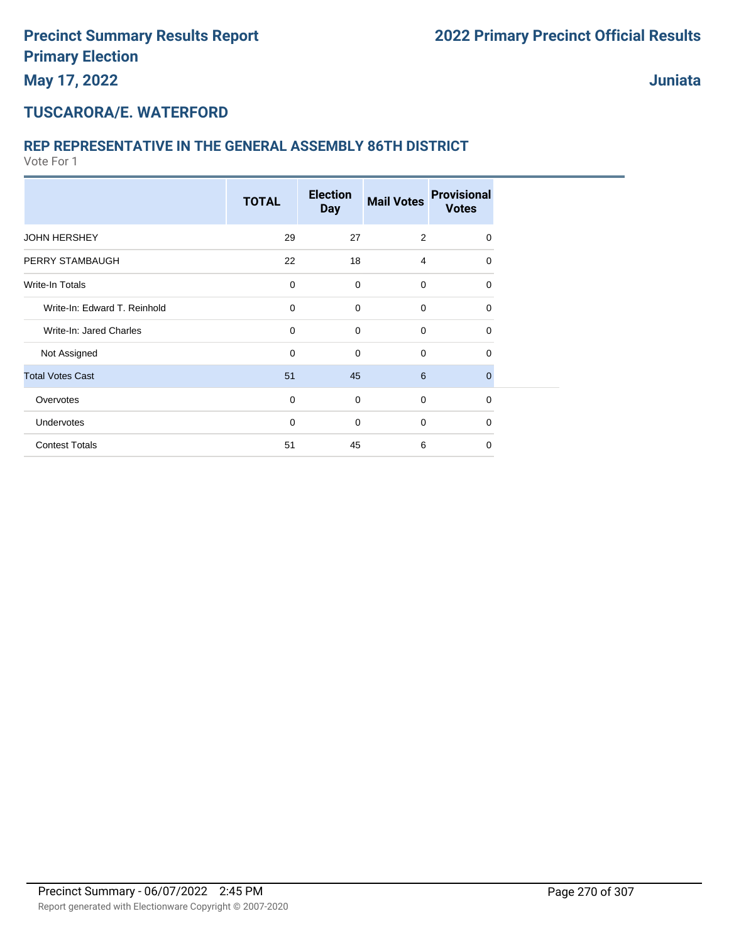#### **TUSCARORA/E. WATERFORD**

#### **REP REPRESENTATIVE IN THE GENERAL ASSEMBLY 86TH DISTRICT**

|                              | <b>TOTAL</b> | <b>Election</b><br><b>Day</b> | <b>Mail Votes</b> | <b>Provisional</b><br><b>Votes</b> |  |
|------------------------------|--------------|-------------------------------|-------------------|------------------------------------|--|
| <b>JOHN HERSHEY</b>          | 29           | 27                            | 2                 | $\Omega$                           |  |
| PERRY STAMBAUGH              | 22           | 18                            | $\overline{4}$    | $\Omega$                           |  |
| <b>Write-In Totals</b>       | 0            | $\mathbf 0$                   | $\mathbf 0$       | 0                                  |  |
| Write-In: Edward T. Reinhold | 0            | $\mathbf 0$                   | $\mathbf 0$       | 0                                  |  |
| Write-In: Jared Charles      | 0            | $\mathbf 0$                   | $\mathbf 0$       | 0                                  |  |
| Not Assigned                 | 0            | $\mathbf 0$                   | $\mathbf 0$       | $\Omega$                           |  |
| <b>Total Votes Cast</b>      | 51           | 45                            | 6                 | $\mathbf{0}$                       |  |
| Overvotes                    | 0            | $\mathbf 0$                   | $\mathbf 0$       | $\mathbf 0$                        |  |
| Undervotes                   | $\mathbf 0$  | $\mathbf 0$                   | $\mathbf 0$       | $\Omega$                           |  |
| <b>Contest Totals</b>        | 51           | 45                            | 6                 | $\Omega$                           |  |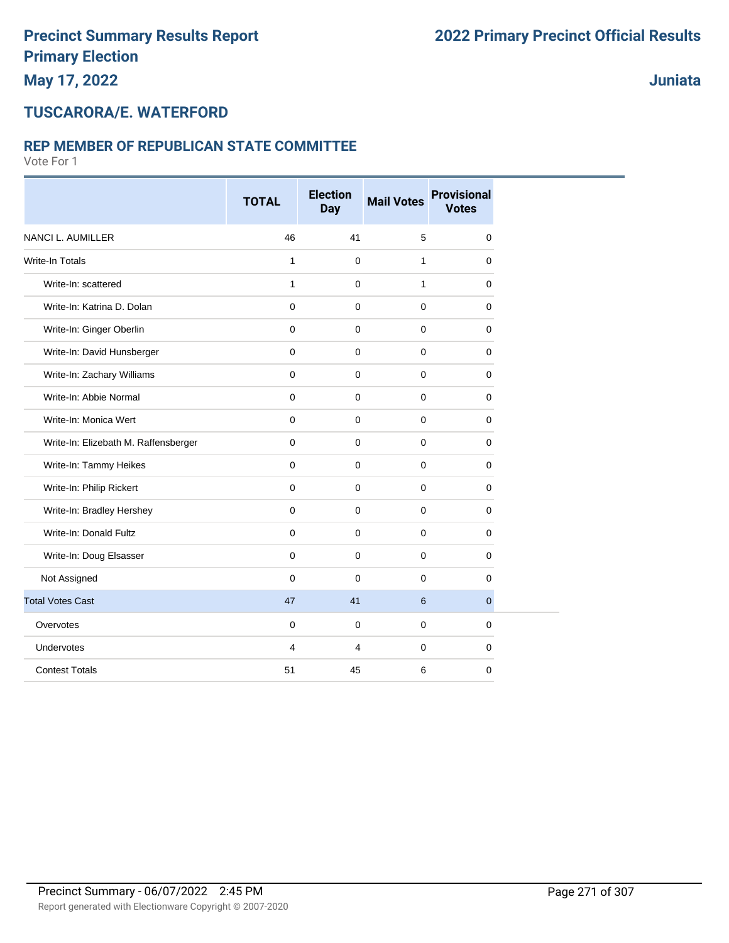**Juniata**

#### **TUSCARORA/E. WATERFORD**

#### **REP MEMBER OF REPUBLICAN STATE COMMITTEE**

|                                      | <b>TOTAL</b> | <b>Election</b><br><b>Day</b> | <b>Mail Votes</b> | <b>Provisional</b><br><b>Votes</b> |
|--------------------------------------|--------------|-------------------------------|-------------------|------------------------------------|
| <b>NANCI L. AUMILLER</b>             | 46           | 41                            | 5                 | $\mathbf 0$                        |
| <b>Write-In Totals</b>               | 1            | $\mathbf 0$                   | 1                 | $\mathbf 0$                        |
| Write-In: scattered                  | $\mathbf{1}$ | $\mathbf 0$                   | $\mathbf{1}$      | $\mathbf 0$                        |
| Write-In: Katrina D. Dolan           | $\Omega$     | $\Omega$                      | 0                 | $\mathbf 0$                        |
| Write-In: Ginger Oberlin             | $\mathbf 0$  | $\mathbf 0$                   | 0                 | 0                                  |
| Write-In: David Hunsberger           | $\mathbf 0$  | $\mathbf 0$                   | $\mathbf 0$       | $\mathbf 0$                        |
| Write-In: Zachary Williams           | $\mathbf 0$  | $\mathbf 0$                   | $\mathbf 0$       | $\mathbf 0$                        |
| Write-In: Abbie Normal               | $\mathbf 0$  | $\mathbf 0$                   | 0                 | 0                                  |
| Write-In: Monica Wert                | $\mathbf 0$  | $\mathbf 0$                   | $\mathbf 0$       | 0                                  |
| Write-In: Elizebath M. Raffensberger | $\mathbf 0$  | $\Omega$                      | 0                 | $\mathbf 0$                        |
| Write-In: Tammy Heikes               | $\mathbf{0}$ | $\Omega$                      | 0                 | $\mathbf 0$                        |
| Write-In: Philip Rickert             | $\mathbf 0$  | 0                             | $\mathbf 0$       | 0                                  |
| Write-In: Bradley Hershey            | $\mathbf 0$  | $\mathbf 0$                   | $\mathbf 0$       | 0                                  |
| Write-In: Donald Fultz               | $\mathbf 0$  | $\mathbf 0$                   | 0                 | 0                                  |
| Write-In: Doug Elsasser              | $\mathbf 0$  | $\mathbf 0$                   | 0                 | 0                                  |
| Not Assigned                         | $\Omega$     | $\Omega$                      | $\mathbf 0$       | $\mathbf 0$                        |
| <b>Total Votes Cast</b>              | 47           | 41                            | 6                 | $\mathbf{0}$                       |
| Overvotes                            | $\mathbf 0$  | $\mathbf 0$                   | $\mathbf 0$       | $\mathbf 0$                        |
| <b>Undervotes</b>                    | 4            | 4                             | $\mathbf 0$       | $\mathbf 0$                        |
| <b>Contest Totals</b>                | 51           | 45                            | 6                 | $\mathbf 0$                        |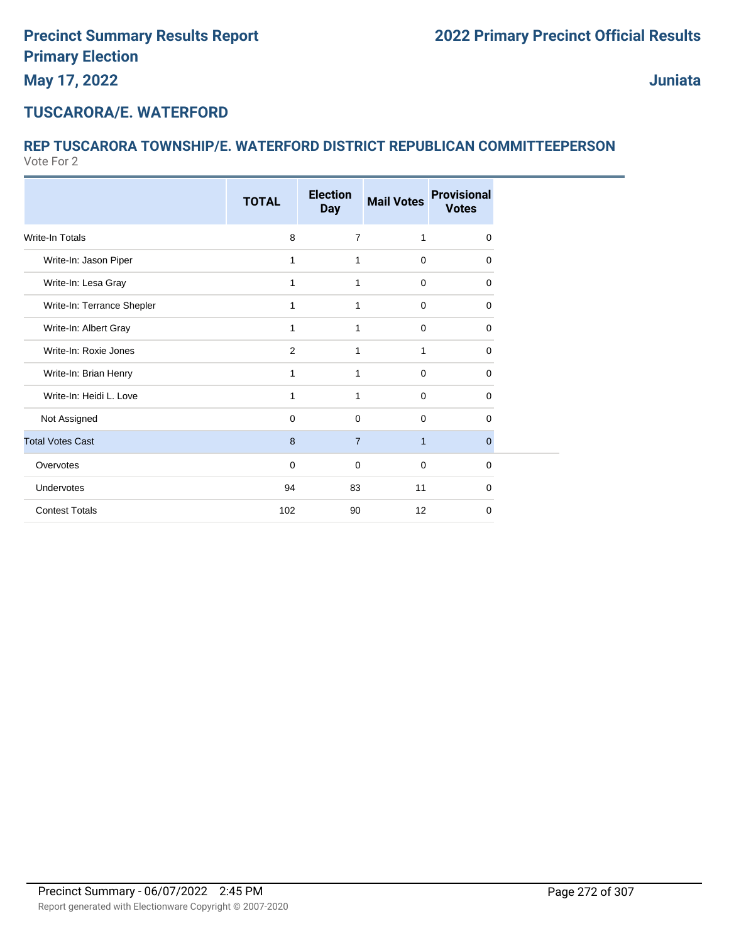## **TUSCARORA/E. WATERFORD**

#### Vote For 2 **REP TUSCARORA TOWNSHIP/E. WATERFORD DISTRICT REPUBLICAN COMMITTEEPERSON**

|                            | <b>TOTAL</b> | <b>Election</b><br><b>Day</b> | <b>Mail Votes</b> | <b>Provisional</b><br><b>Votes</b> |
|----------------------------|--------------|-------------------------------|-------------------|------------------------------------|
|                            |              |                               |                   |                                    |
| <b>Write-In Totals</b>     | 8            | $\overline{7}$                | 1                 | 0                                  |
| Write-In: Jason Piper      | 1            | 1                             | $\mathbf 0$       | 0                                  |
| Write-In: Lesa Gray        | 1            | 1                             | $\mathbf 0$       | 0                                  |
| Write-In: Terrance Shepler | $\mathbf{1}$ | 1                             | $\mathbf 0$       | 0                                  |
| Write-In: Albert Gray      | 1            | 1                             | $\mathbf 0$       | 0                                  |
| Write-In: Roxie Jones      | 2            | $\mathbf{1}$                  | 1                 | 0                                  |
| Write-In: Brian Henry      | 1            | 1                             | $\mathbf 0$       | 0                                  |
| Write-In: Heidi L. Love    | 1            | 1                             | $\mathbf 0$       | 0                                  |
| Not Assigned               | $\mathbf 0$  | $\mathbf 0$                   | $\mathbf 0$       | 0                                  |
| <b>Total Votes Cast</b>    | 8            | $\overline{7}$                | $\mathbf{1}$      | $\Omega$                           |
| Overvotes                  | $\mathbf 0$  | $\mathbf 0$                   | $\mathbf 0$       | $\Omega$                           |
| Undervotes                 | 94           | 83                            | 11                | 0                                  |
| <b>Contest Totals</b>      | 102          | 90                            | 12                | 0                                  |
|                            |              |                               |                   |                                    |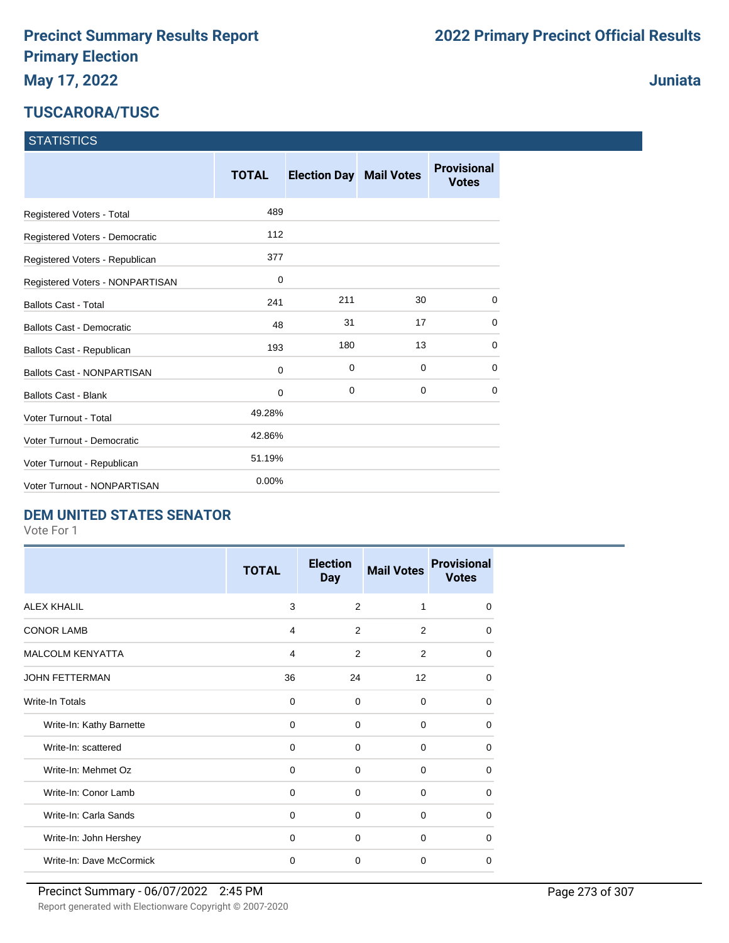### **TUSCARORA/TUSC**

|  |  | <b>Juniata</b> |
|--|--|----------------|
|  |  |                |

#### **STATISTICS**

|                                   | <b>TOTAL</b> | <b>Election Day Mail Votes</b> |    | <b>Provisional</b><br><b>Votes</b> |
|-----------------------------------|--------------|--------------------------------|----|------------------------------------|
| Registered Voters - Total         | 489          |                                |    |                                    |
| Registered Voters - Democratic    | 112          |                                |    |                                    |
| Registered Voters - Republican    | 377          |                                |    |                                    |
| Registered Voters - NONPARTISAN   | $\mathbf 0$  |                                |    |                                    |
| <b>Ballots Cast - Total</b>       | 241          | 211                            | 30 | 0                                  |
| <b>Ballots Cast - Democratic</b>  | 48           | 31                             | 17 | $\Omega$                           |
| Ballots Cast - Republican         | 193          | 180                            | 13 | 0                                  |
| <b>Ballots Cast - NONPARTISAN</b> | $\mathbf 0$  | 0                              | 0  | 0                                  |
| <b>Ballots Cast - Blank</b>       | 0            | 0                              | 0  | 0                                  |
| <b>Voter Turnout - Total</b>      | 49.28%       |                                |    |                                    |
| Voter Turnout - Democratic        | 42.86%       |                                |    |                                    |
| Voter Turnout - Republican        | 51.19%       |                                |    |                                    |
| Voter Turnout - NONPARTISAN       | 0.00%        |                                |    |                                    |

#### **DEM UNITED STATES SENATOR**

|                          | <b>TOTAL</b> | <b>Election</b><br><b>Day</b> | <b>Mail Votes</b> | <b>Provisional</b><br><b>Votes</b> |
|--------------------------|--------------|-------------------------------|-------------------|------------------------------------|
| <b>ALEX KHALIL</b>       | 3            | $\mathcal{P}$                 | 1                 | $\Omega$                           |
| <b>CONOR LAMB</b>        | 4            | 2                             | 2                 | $\Omega$                           |
| <b>MALCOLM KENYATTA</b>  | 4            | 2                             | 2                 | $\Omega$                           |
| <b>JOHN FETTERMAN</b>    | 36           | 24                            | 12                | $\Omega$                           |
| Write-In Totals          | $\Omega$     | $\Omega$                      | $\Omega$          | 0                                  |
| Write-In: Kathy Barnette | $\Omega$     | $\Omega$                      | $\Omega$          | $\Omega$                           |
| Write-In: scattered      | 0            | $\Omega$                      | $\Omega$          | 0                                  |
| Write-In: Mehmet Oz      | $\Omega$     | $\Omega$                      | $\Omega$          | $\Omega$                           |
| Write-In: Conor Lamb     | $\Omega$     | $\Omega$                      | $\Omega$          | 0                                  |
| Write-In: Carla Sands    | $\Omega$     | $\Omega$                      | $\Omega$          | 0                                  |
| Write-In: John Hershey   | $\Omega$     | $\Omega$                      | $\Omega$          | 0                                  |
| Write-In: Dave McCormick | $\mathbf 0$  | 0                             | $\Omega$          | 0                                  |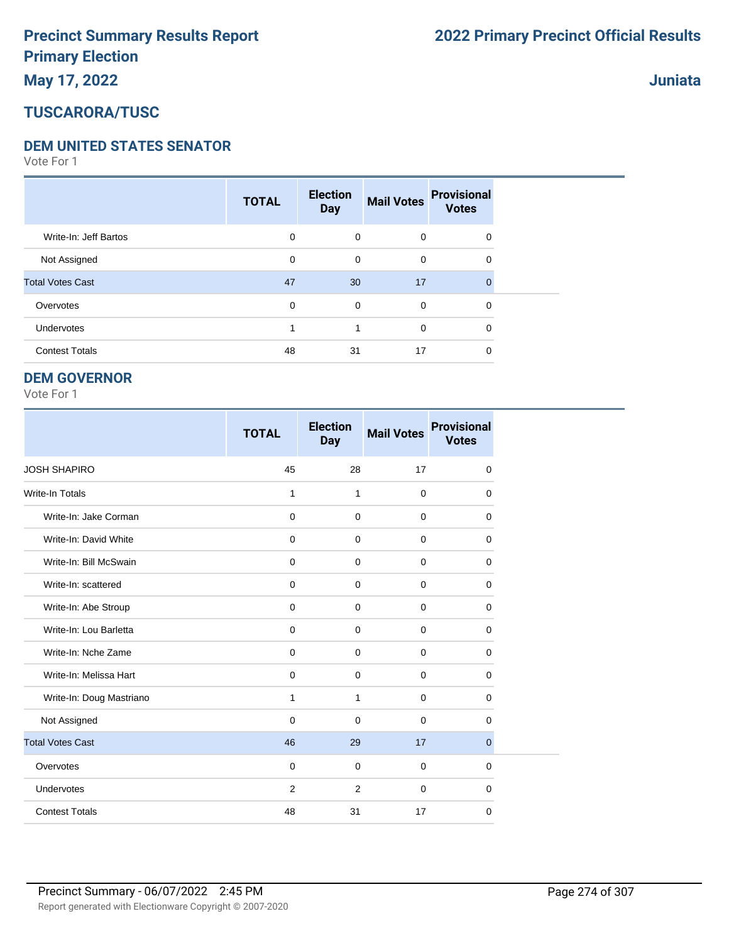# **May 17, 2022**

#### **Juniata**

## **TUSCARORA/TUSC**

#### **DEM UNITED STATES SENATOR**

Vote For 1

|                         | <b>TOTAL</b> | <b>Election</b><br><b>Day</b> | <b>Mail Votes</b> | <b>Provisional</b><br><b>Votes</b> |  |
|-------------------------|--------------|-------------------------------|-------------------|------------------------------------|--|
| Write-In: Jeff Bartos   | 0            | $\mathbf 0$                   | $\mathbf 0$       | 0                                  |  |
| Not Assigned            | 0            | 0                             | $\mathbf 0$       | 0                                  |  |
| <b>Total Votes Cast</b> | 47           | 30                            | 17                | $\Omega$                           |  |
| Overvotes               | 0            | $\mathbf 0$                   | $\mathbf 0$       | 0                                  |  |
| Undervotes              |              | 1                             | $\mathbf 0$       | 0                                  |  |
| <b>Contest Totals</b>   | 48           | 31                            | 17                | 0                                  |  |

#### **DEM GOVERNOR**

|                          | <b>TOTAL</b>   | <b>Election</b><br><b>Day</b> | <b>Mail Votes</b> | <b>Provisional</b><br><b>Votes</b> |
|--------------------------|----------------|-------------------------------|-------------------|------------------------------------|
| <b>JOSH SHAPIRO</b>      | 45             | 28                            | 17                | $\mathbf 0$                        |
| <b>Write-In Totals</b>   | 1              | 1                             | $\mathbf 0$       | 0                                  |
| Write-In: Jake Corman    | $\mathbf 0$    | $\mathbf 0$                   | $\mathbf 0$       | 0                                  |
| Write-In: David White    | $\mathbf 0$    | $\Omega$                      | $\Omega$          | $\Omega$                           |
| Write-In: Bill McSwain   | $\mathbf 0$    | $\Omega$                      | $\mathbf 0$       | 0                                  |
| Write-In: scattered      | $\mathbf 0$    | $\Omega$                      | $\mathbf 0$       | 0                                  |
| Write-In: Abe Stroup     | $\mathbf 0$    | $\mathbf 0$                   | $\mathbf 0$       | 0                                  |
| Write-In: Lou Barletta   | $\mathbf 0$    | $\mathbf 0$                   | $\mathbf 0$       | 0                                  |
| Write-In: Nche Zame      | $\mathbf 0$    | $\Omega$                      | $\mathbf 0$       | $\mathbf 0$                        |
| Write-In: Melissa Hart   | $\mathbf 0$    | $\mathbf 0$                   | $\mathbf 0$       | $\mathbf 0$                        |
| Write-In: Doug Mastriano | 1              | $\mathbf{1}$                  | $\mathbf 0$       | $\mathbf 0$                        |
| Not Assigned             | $\mathbf 0$    | $\Omega$                      | $\mathbf 0$       | 0                                  |
| <b>Total Votes Cast</b>  | 46             | 29                            | 17                | $\mathbf{0}$                       |
| Overvotes                | $\mathbf 0$    | $\mathbf 0$                   | $\mathbf 0$       | 0                                  |
| Undervotes               | $\overline{2}$ | $\overline{2}$                | $\mathbf 0$       | 0                                  |
| <b>Contest Totals</b>    | 48             | 31                            | 17                | $\mathbf 0$                        |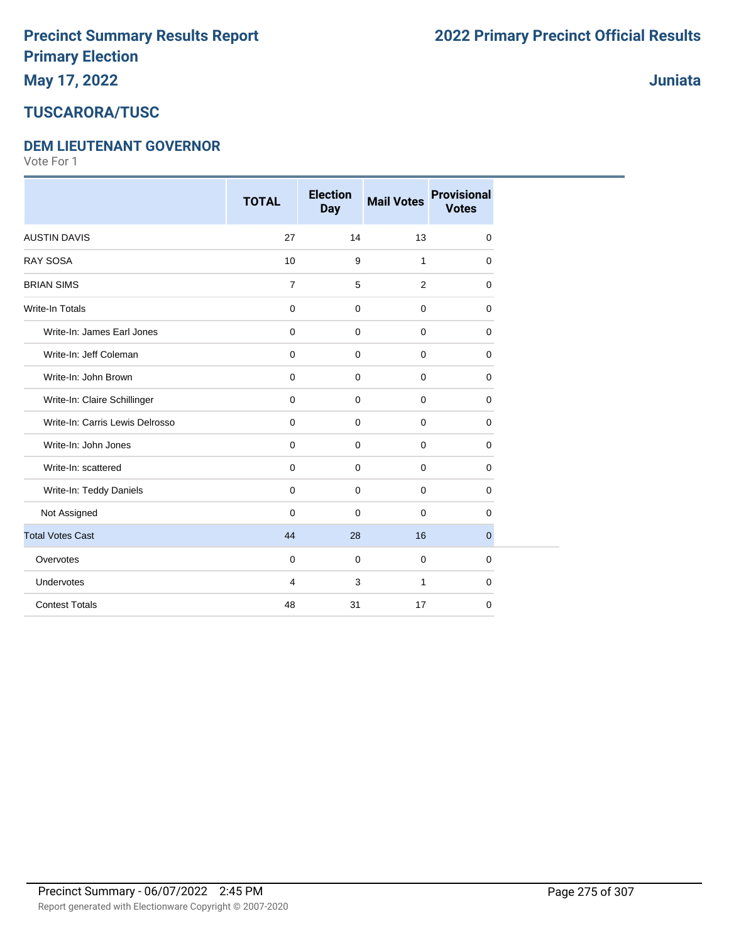# **TUSCARORA/TUSC**

#### **DEM LIEUTENANT GOVERNOR**

|                                 | <b>TOTAL</b>   | <b>Election</b><br><b>Day</b> | <b>Mail Votes</b> | <b>Provisional</b><br><b>Votes</b> |
|---------------------------------|----------------|-------------------------------|-------------------|------------------------------------|
| <b>AUSTIN DAVIS</b>             | 27             | 14                            | 13                | $\Omega$                           |
| <b>RAY SOSA</b>                 | 10             | 9                             | $\mathbf{1}$      | $\mathbf 0$                        |
| <b>BRIAN SIMS</b>               | $\overline{7}$ | 5                             | $\overline{2}$    | $\mathbf 0$                        |
| <b>Write-In Totals</b>          | $\mathbf 0$    | $\mathbf 0$                   | $\mathbf 0$       | 0                                  |
| Write-In: James Earl Jones      | $\mathbf 0$    | $\mathbf 0$                   | $\mathbf 0$       | 0                                  |
| Write-In: Jeff Coleman          | $\mathbf 0$    | $\mathbf 0$                   | $\mathbf 0$       | $\mathbf 0$                        |
| Write-In: John Brown            | $\mathbf 0$    | $\mathbf 0$                   | $\mathbf 0$       | $\mathbf 0$                        |
| Write-In: Claire Schillinger    | $\mathbf 0$    | $\mathbf 0$                   | $\mathbf 0$       | 0                                  |
| Write-In: Carris Lewis Delrosso | $\mathbf 0$    | $\mathbf 0$                   | $\mathbf 0$       | $\mathbf 0$                        |
| Write-In: John Jones            | $\mathbf 0$    | $\mathbf 0$                   | $\mathbf 0$       | $\mathbf 0$                        |
| Write-In: scattered             | $\mathbf 0$    | $\mathbf 0$                   | $\mathbf 0$       | $\mathbf 0$                        |
| Write-In: Teddy Daniels         | $\mathbf 0$    | $\mathbf 0$                   | 0                 | $\mathbf 0$                        |
| Not Assigned                    | $\Omega$       | $\mathbf 0$                   | $\mathbf 0$       | $\Omega$                           |
| <b>Total Votes Cast</b>         | 44             | 28                            | 16                | $\mathbf{0}$                       |
| Overvotes                       | $\mathbf 0$    | $\mathbf 0$                   | $\mathbf 0$       | $\mathbf 0$                        |
| Undervotes                      | 4              | 3                             | 1                 | $\mathbf 0$                        |
| <b>Contest Totals</b>           | 48             | 31                            | 17                | $\mathbf 0$                        |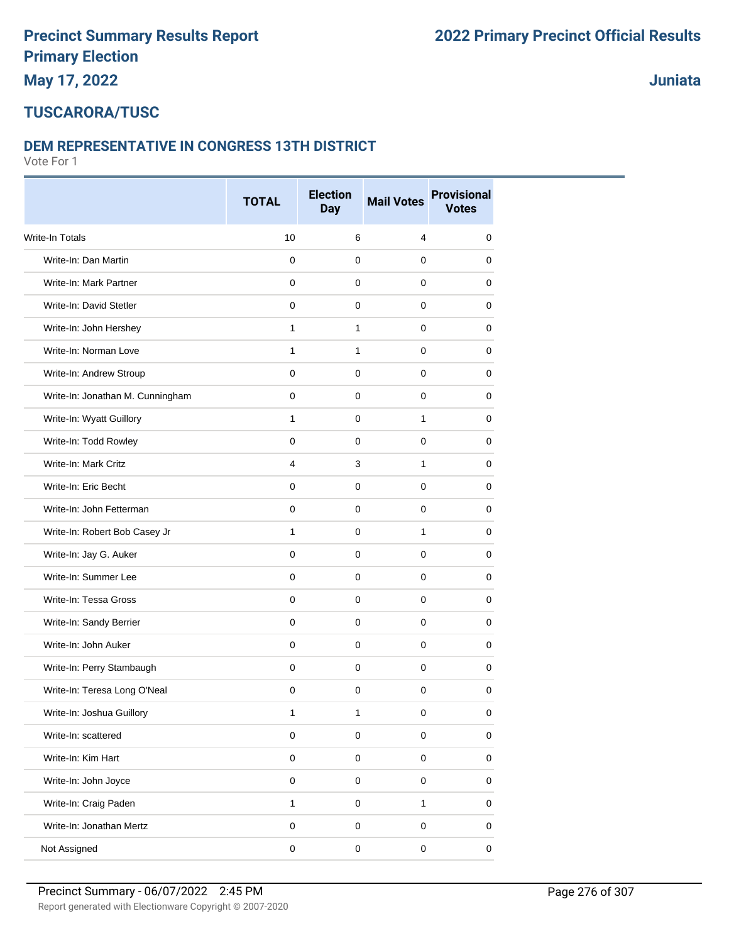# **TUSCARORA/TUSC**

#### **DEM REPRESENTATIVE IN CONGRESS 13TH DISTRICT**

Vote For 1

|                                  | <b>TOTAL</b>   | <b>Election</b><br><b>Day</b> | <b>Mail Votes</b> | <b>Provisional</b><br><b>Votes</b> |
|----------------------------------|----------------|-------------------------------|-------------------|------------------------------------|
| Write-In Totals                  | 10             | 6                             | 4                 | 0                                  |
| Write-In: Dan Martin             | 0              | $\mathbf 0$                   | 0                 | 0                                  |
| Write-In: Mark Partner           | 0              | 0                             | 0                 | 0                                  |
| Write-In: David Stetler          | 0              | $\mathbf 0$                   | $\mathbf 0$       | 0                                  |
| Write-In: John Hershey           | $\mathbf{1}$   | $\mathbf{1}$                  | 0                 | 0                                  |
| Write-In: Norman Love            | 1              | $\mathbf{1}$                  | 0                 | 0                                  |
| Write-In: Andrew Stroup          | $\mathsf 0$    | $\mathbf 0$                   | $\mathbf 0$       | $\mathbf 0$                        |
| Write-In: Jonathan M. Cunningham | 0              | 0                             | 0                 | 0                                  |
| Write-In: Wyatt Guillory         | $\mathbf{1}$   | 0                             | 1                 | 0                                  |
| Write-In: Todd Rowley            | 0              | $\mathbf 0$                   | 0                 | 0                                  |
| Write-In: Mark Critz             | $\overline{4}$ | 3                             | 1                 | 0                                  |
| Write-In: Eric Becht             | $\mathbf 0$    | 0                             | 0                 | 0                                  |
| Write-In: John Fetterman         | 0              | $\pmb{0}$                     | $\mathbf 0$       | 0                                  |
| Write-In: Robert Bob Casey Jr    | 1              | $\mathbf 0$                   | $\mathbf{1}$      | 0                                  |
| Write-In: Jay G. Auker           | 0              | 0                             | 0                 | 0                                  |
| Write-In: Summer Lee             | 0              | $\mathbf 0$                   | $\mathbf 0$       | 0                                  |
| Write-In: Tessa Gross            | 0              | $\mathbf 0$                   | 0                 | 0                                  |
| Write-In: Sandy Berrier          | 0              | $\pmb{0}$                     | 0                 | 0                                  |
| Write-In: John Auker             | $\pmb{0}$      | $\mathbf 0$                   | $\mathbf 0$       | $\mathbf 0$                        |
| Write-In: Perry Stambaugh        | 0              | 0                             | 0                 | 0                                  |
| Write-In: Teresa Long O'Neal     | 0              | $\pmb{0}$                     | 0                 | 0                                  |
| Write-In: Joshua Guillory        | 1              | $\mathbf{1}$                  | $\pmb{0}$         | $\pmb{0}$                          |
| Write-In: scattered              | $\mathsf 0$    | $\pmb{0}$                     | $\pmb{0}$         | $\pmb{0}$                          |
| Write-In: Kim Hart               | $\mathsf 0$    | $\mathsf 0$                   | $\pmb{0}$         | 0                                  |
| Write-In: John Joyce             | $\mathsf 0$    | $\pmb{0}$                     | $\pmb{0}$         | $\pmb{0}$                          |
| Write-In: Craig Paden            | $\mathbf{1}$   | $\mathbf 0$                   | 1                 | 0                                  |
| Write-In: Jonathan Mertz         | 0              | $\pmb{0}$                     | $\mathbf 0$       | 0                                  |
| Not Assigned                     | $\mathbf 0$    | $\mathsf 0$                   | $\pmb{0}$         | $\pmb{0}$                          |

**Juniata**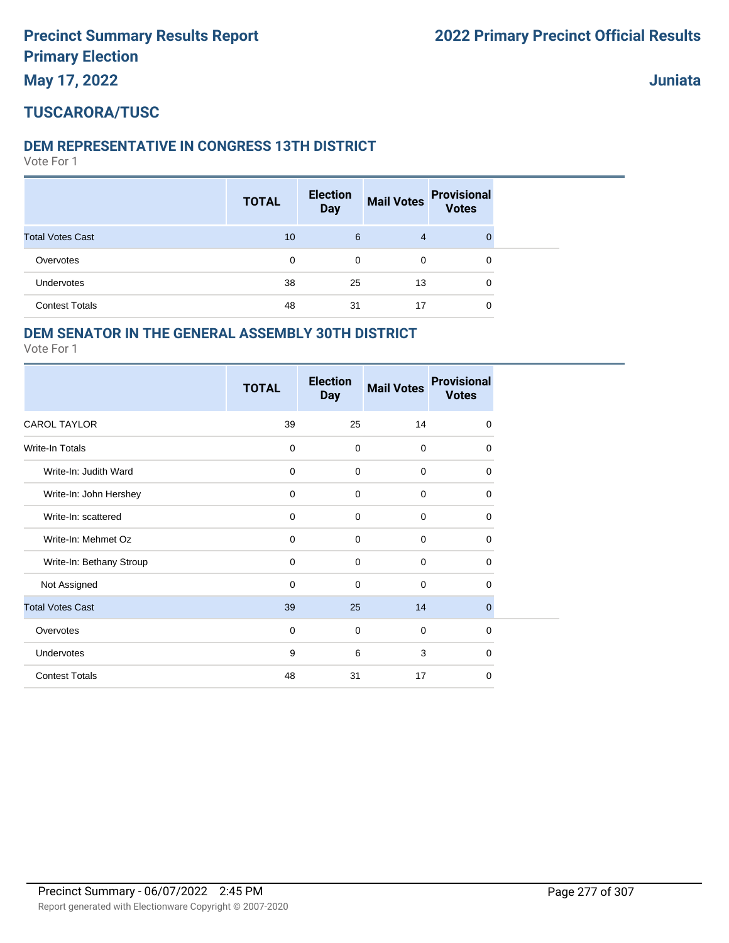**May 17, 2022**

**Juniata**

## **TUSCARORA/TUSC**

#### **DEM REPRESENTATIVE IN CONGRESS 13TH DISTRICT**

Vote For 1

|                         | <b>TOTAL</b> | <b>Election</b><br><b>Day</b> | <b>Mail Votes</b> | <b>Provisional</b><br><b>Votes</b> |
|-------------------------|--------------|-------------------------------|-------------------|------------------------------------|
| <b>Total Votes Cast</b> | 10           | 6                             | 4                 | $\Omega$                           |
| Overvotes               | 0            | 0                             | 0                 | 0                                  |
| <b>Undervotes</b>       | 38           | 25                            | 13                | 0                                  |
| <b>Contest Totals</b>   | 48           | 31                            | 17                | 0                                  |

#### **DEM SENATOR IN THE GENERAL ASSEMBLY 30TH DISTRICT**

|                          | <b>TOTAL</b> | <b>Election</b><br><b>Day</b> | <b>Mail Votes</b> | <b>Provisional</b><br><b>Votes</b> |
|--------------------------|--------------|-------------------------------|-------------------|------------------------------------|
| <b>CAROL TAYLOR</b>      | 39           | 25                            | 14                | $\mathbf 0$                        |
| Write-In Totals          | $\mathbf 0$  | $\mathbf 0$                   | $\Omega$          | $\Omega$                           |
| Write-In: Judith Ward    | $\mathbf 0$  | $\mathbf 0$                   | $\mathbf 0$       | $\mathbf 0$                        |
| Write-In: John Hershey   | $\mathbf 0$  | $\mathbf 0$                   | $\mathbf 0$       | $\mathbf 0$                        |
| Write-In: scattered      | 0            | $\mathbf 0$                   | $\mathbf 0$       | $\mathbf 0$                        |
| Write-In: Mehmet Oz      | $\mathbf 0$  | $\mathbf 0$                   | $\mathbf 0$       | $\mathbf 0$                        |
| Write-In: Bethany Stroup | $\mathbf 0$  | $\mathbf 0$                   | $\Omega$          | 0                                  |
| Not Assigned             | $\mathbf 0$  | $\mathbf 0$                   | $\mathbf 0$       | $\Omega$                           |
| <b>Total Votes Cast</b>  | 39           | 25                            | 14                | $\mathbf 0$                        |
| Overvotes                | $\mathbf 0$  | $\mathbf 0$                   | $\mathbf 0$       | $\mathbf 0$                        |
| Undervotes               | 9            | 6                             | 3                 | $\Omega$                           |
| <b>Contest Totals</b>    | 48           | 31                            | 17                | 0                                  |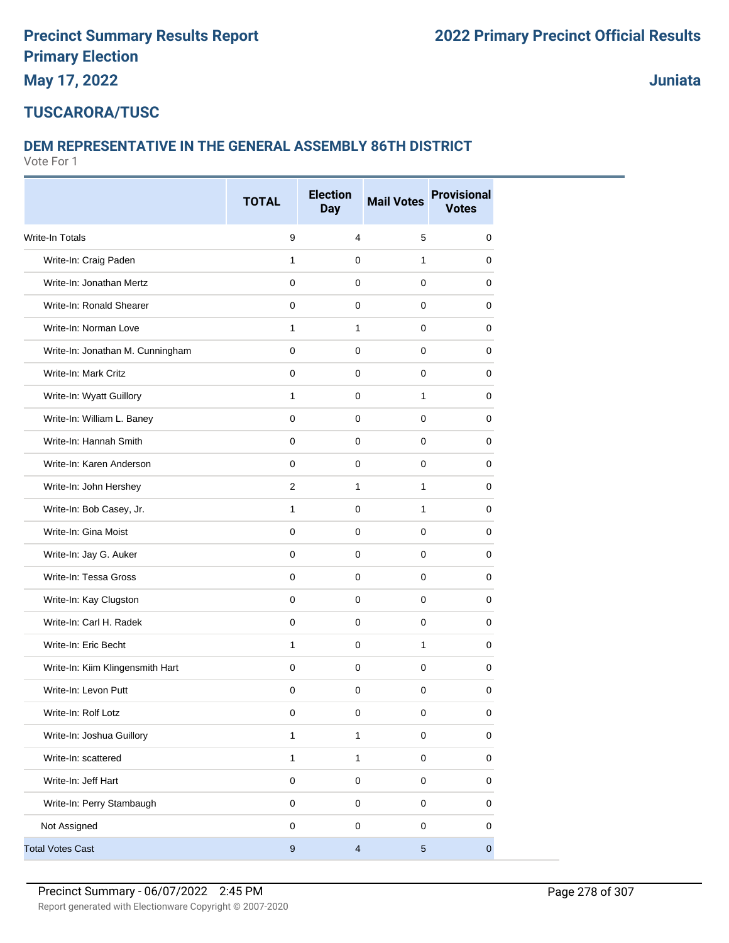**Juniata**

#### **TUSCARORA/TUSC**

#### **DEM REPRESENTATIVE IN THE GENERAL ASSEMBLY 86TH DISTRICT**

|                                  | <b>TOTAL</b>     | <b>Election</b><br><b>Day</b> | <b>Mail Votes</b> | <b>Provisional</b><br><b>Votes</b> |
|----------------------------------|------------------|-------------------------------|-------------------|------------------------------------|
| <b>Write-In Totals</b>           | 9                | 4                             | $\sqrt{5}$        | $\mathbf 0$                        |
| Write-In: Craig Paden            | 1                | $\mathbf 0$                   | 1                 | 0                                  |
| Write-In: Jonathan Mertz         | 0                | 0                             | 0                 | 0                                  |
| Write-In: Ronald Shearer         | $\mathbf 0$      | $\mathbf 0$                   | $\mathbf 0$       | $\mathbf 0$                        |
| Write-In: Norman Love            | 1                | $\mathbf{1}$                  | $\mathbf 0$       | $\mathbf 0$                        |
| Write-In: Jonathan M. Cunningham | $\mathbf 0$      | 0                             | $\mathbf 0$       | 0                                  |
| Write-In: Mark Critz             | $\pmb{0}$        | $\mathbf 0$                   | $\mathbf 0$       | $\mathbf 0$                        |
| Write-In: Wyatt Guillory         | 1                | 0                             | 1                 | 0                                  |
| Write-In: William L. Baney       | $\mathbf 0$      | 0                             | 0                 | 0                                  |
| Write-In: Hannah Smith           | $\mathbf 0$      | $\mathbf 0$                   | $\mathbf 0$       | $\mathbf 0$                        |
| Write-In: Karen Anderson         | $\mathbf 0$      | $\mathbf 0$                   | $\mathbf 0$       | $\mathbf 0$                        |
| Write-In: John Hershey           | $\overline{2}$   | $\mathbf{1}$                  | 1                 | 0                                  |
| Write-In: Bob Casey, Jr.         | $\mathbf{1}$     | $\mathbf 0$                   | 1                 | 0                                  |
| Write-In: Gina Moist             | $\mathbf 0$      | $\mathbf 0$                   | $\mathbf 0$       | 0                                  |
| Write-In: Jay G. Auker           | 0                | 0                             | 0                 | 0                                  |
| Write-In: Tessa Gross            | $\mathbf 0$      | $\mathbf 0$                   | $\mathbf 0$       | $\mathbf 0$                        |
| Write-In: Kay Clugston           | $\mathbf 0$      | $\mathbf 0$                   | $\mathbf 0$       | $\mathbf 0$                        |
| Write-In: Carl H. Radek          | $\mathbf 0$      | 0                             | $\mathbf 0$       | 0                                  |
| Write-In: Eric Becht             | $\mathbf{1}$     | $\mathbf 0$                   | $\mathbf{1}$      | $\mathbf 0$                        |
| Write-In: Kiim Klingensmith Hart | $\mathbf 0$      | 0                             | 0                 | 0                                  |
| Write-In: Levon Putt             | 0                | 0                             | $\mathbf 0$       | 0                                  |
| Write-In: Rolf Lotz              | $\pmb{0}$        | $\pmb{0}$                     | $\pmb{0}$         | $\pmb{0}$                          |
| Write-In: Joshua Guillory        | 1                | $\mathbf{1}$                  | $\mathsf 0$       | $\mathbf 0$                        |
| Write-In: scattered              | $\mathbf{1}$     | $\mathbf{1}$                  | $\mathsf 0$       | $\mathsf 0$                        |
| Write-In: Jeff Hart              | $\mathsf 0$      | $\mathsf{O}\xspace$           | $\mathsf 0$       | $\mathsf 0$                        |
| Write-In: Perry Stambaugh        | $\mathsf 0$      | $\mathbf 0$                   | $\mathsf 0$       | 0                                  |
| Not Assigned                     | $\mathsf 0$      | $\pmb{0}$                     | $\pmb{0}$         | 0                                  |
| <b>Total Votes Cast</b>          | $\boldsymbol{9}$ | $\overline{4}$                | $\sqrt{5}$        | $\overline{0}$                     |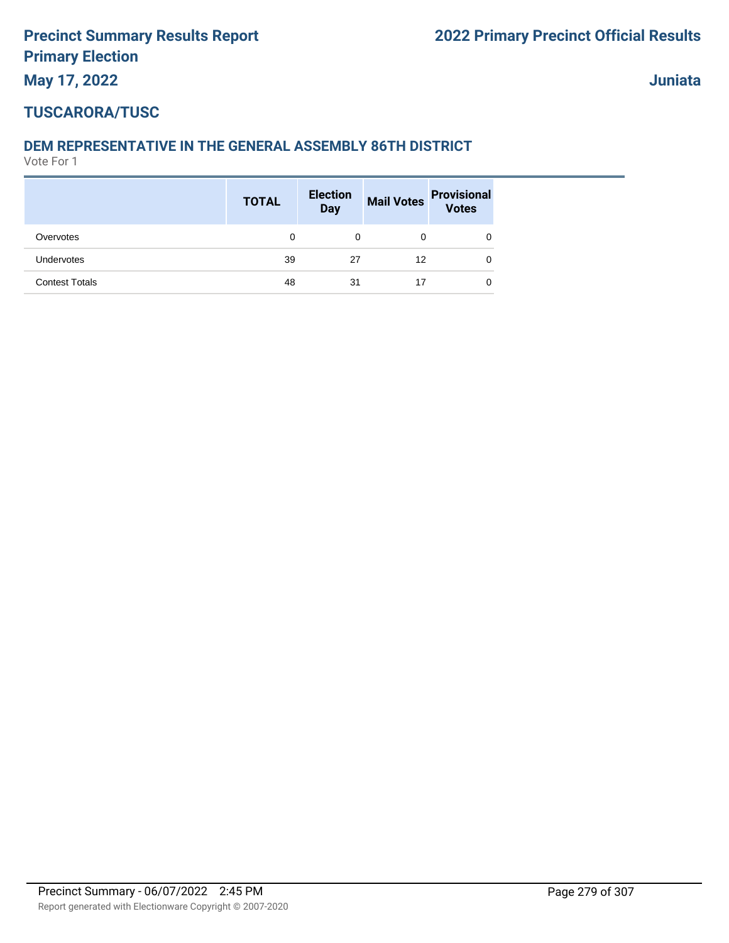**Juniata**

# **TUSCARORA/TUSC**

## **DEM REPRESENTATIVE IN THE GENERAL ASSEMBLY 86TH DISTRICT**

|                       | <b>TOTAL</b> | <b>Election</b><br>Day |    | Mail Votes Provisional<br>Votes |
|-----------------------|--------------|------------------------|----|---------------------------------|
| Overvotes             | 0            | 0                      | 0  | 0                               |
| Undervotes            | 39           | 27                     | 12 | 0                               |
| <b>Contest Totals</b> | 48           | 31                     | 17 | 0                               |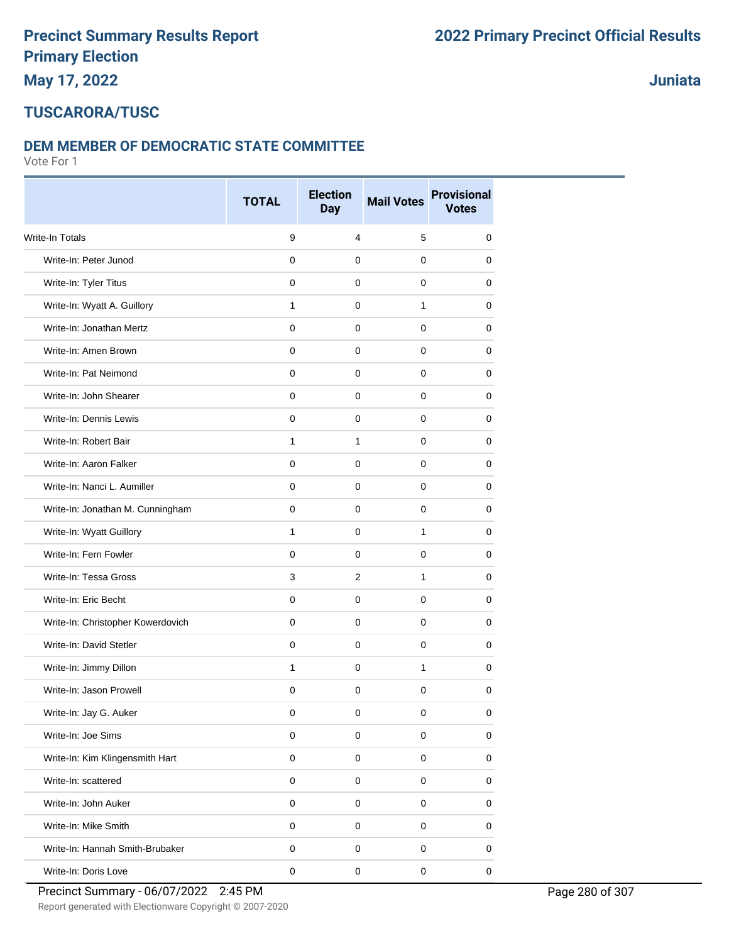# **May 17, 2022**

**Juniata**

#### **TUSCARORA/TUSC**

#### **DEM MEMBER OF DEMOCRATIC STATE COMMITTEE**

Vote For 1

|                                   | <b>TOTAL</b> | <b>Election</b> | <b>Mail Votes</b> | <b>Provisional</b> |
|-----------------------------------|--------------|-----------------|-------------------|--------------------|
|                                   |              | <b>Day</b>      |                   | <b>Votes</b>       |
| Write-In Totals                   | 9            | 4               | 5                 | 0                  |
| Write-In: Peter Junod             | $\mathbf 0$  | 0               | $\mathbf 0$       | 0                  |
| Write-In: Tyler Titus             | 0            | 0               | 0                 | 0                  |
| Write-In: Wyatt A. Guillory       | $\mathbf{1}$ | 0               | $\mathbf{1}$      | 0                  |
| Write-In: Jonathan Mertz          | 0            | 0               | 0                 | 0                  |
| Write-In: Amen Brown              | $\mathbf 0$  | 0               | $\mathbf 0$       | 0                  |
| Write-In: Pat Neimond             | 0            | 0               | 0                 | 0                  |
| Write-In: John Shearer            | 0            | 0               | 0                 | 0                  |
| Write-In: Dennis Lewis            | $\mathbf 0$  | 0               | $\mathbf 0$       | 0                  |
| Write-In: Robert Bair             | 1            | 1               | 0                 | 0                  |
| Write-In: Aaron Falker            | $\mathbf 0$  | 0               | $\mathbf 0$       | 0                  |
| Write-In: Nanci L. Aumiller       | $\mathbf 0$  | 0               | $\mathbf 0$       | 0                  |
| Write-In: Jonathan M. Cunningham  | 0            | 0               | 0                 | 0                  |
| Write-In: Wyatt Guillory          | 1            | 0               | $\mathbf{1}$      | 0                  |
| Write-In: Fern Fowler             | $\mathbf 0$  | 0               | 0                 | 0                  |
| Write-In: Tessa Gross             | 3            | $\overline{2}$  | $\mathbf{1}$      | 0                  |
| Write-In: Eric Becht              | 0            | 0               | 0                 | 0                  |
| Write-In: Christopher Kowerdovich | $\mathbf 0$  | 0               | $\mathbf 0$       | 0                  |
| Write-In: David Stetler           | 0            | 0               | 0                 | 0                  |
| Write-In: Jimmy Dillon            | 1            | 0               | $\mathbf{1}$      | 0                  |
| Write-In: Jason Prowell           | 0            | 0               | 0                 | 0                  |
| Write-In: Jay G. Auker            | 0            | 0               | 0                 | 0                  |
| Write-In: Joe Sims                | $\mathsf 0$  | 0               | $\pmb{0}$         | 0                  |
| Write-In: Kim Klingensmith Hart   | $\pmb{0}$    | 0               | $\pmb{0}$         | 0                  |
| Write-In: scattered               | $\pmb{0}$    | 0               | 0                 | 0                  |
| Write-In: John Auker              | $\pmb{0}$    | 0               | $\mathsf 0$       | 0                  |
| Write-In: Mike Smith              | $\mathsf 0$  | 0               | $\mathsf 0$       | 0                  |
| Write-In: Hannah Smith-Brubaker   | 0            | 0               | $\pmb{0}$         | 0                  |
| Write-In: Doris Love              | $\pmb{0}$    | $\pmb{0}$       | $\pmb{0}$         | $\mathsf 0$        |

Report generated with Electionware Copyright © 2007-2020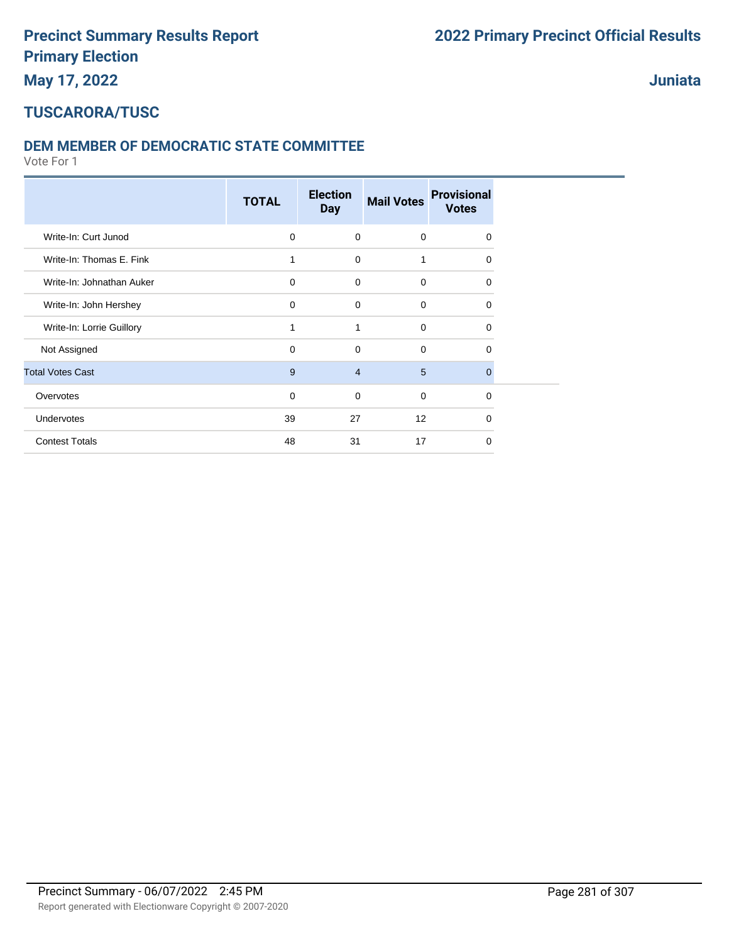**Juniata**

#### **TUSCARORA/TUSC**

#### **DEM MEMBER OF DEMOCRATIC STATE COMMITTEE**

|                           | <b>TOTAL</b> | <b>Election</b><br><b>Day</b> | <b>Mail Votes</b> | <b>Provisional</b><br><b>Votes</b> |  |
|---------------------------|--------------|-------------------------------|-------------------|------------------------------------|--|
| Write-In: Curt Junod      | $\mathbf 0$  | $\mathbf 0$                   | $\mathbf 0$       | $\Omega$                           |  |
| Write-In: Thomas E. Fink  | 1            | $\mathbf 0$                   | 1                 | $\Omega$                           |  |
| Write-In: Johnathan Auker | $\mathbf 0$  | $\mathbf 0$                   | $\mathbf 0$       | $\Omega$                           |  |
| Write-In: John Hershey    | $\mathbf 0$  | $\Omega$                      | $\mathbf 0$       | $\Omega$                           |  |
| Write-In: Lorrie Guillory | 1            | 1                             | $\mathbf 0$       | $\Omega$                           |  |
| Not Assigned              | $\mathbf 0$  | $\Omega$                      | $\mathbf 0$       | $\Omega$                           |  |
| <b>Total Votes Cast</b>   | 9            | $\overline{4}$                | 5                 | $\Omega$                           |  |
| Overvotes                 | $\mathbf 0$  | $\Omega$                      | $\mathbf 0$       | $\Omega$                           |  |
| Undervotes                | 39           | 27                            | 12                | $\Omega$                           |  |
| <b>Contest Totals</b>     | 48           | 31                            | 17                | $\Omega$                           |  |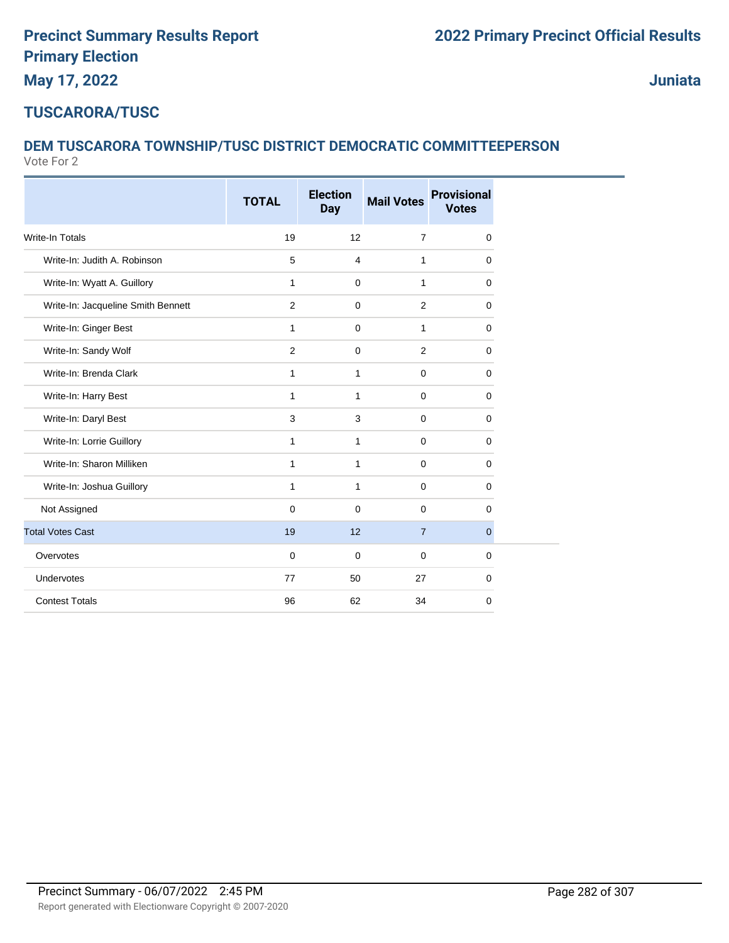**Juniata**

### **TUSCARORA/TUSC**

# **DEM TUSCARORA TOWNSHIP/TUSC DISTRICT DEMOCRATIC COMMITTEEPERSON**

|                                    | <b>TOTAL</b> | <b>Election</b><br><b>Day</b> | <b>Mail Votes</b> | <b>Provisional</b><br><b>Votes</b> |
|------------------------------------|--------------|-------------------------------|-------------------|------------------------------------|
| <b>Write-In Totals</b>             | 19           | 12                            | $\overline{7}$    | 0                                  |
| Write-In: Judith A. Robinson       | 5            | $\overline{4}$                | $\mathbf{1}$      | 0                                  |
| Write-In: Wyatt A. Guillory        | $\mathbf{1}$ | $\mathbf 0$                   | 1                 | 0                                  |
| Write-In: Jacqueline Smith Bennett | 2            | $\mathbf 0$                   | 2                 | 0                                  |
| Write-In: Ginger Best              | 1            | $\mathbf 0$                   | 1                 | 0                                  |
| Write-In: Sandy Wolf               | 2            | $\mathbf 0$                   | 2                 | 0                                  |
| Write-In: Brenda Clark             | 1            | $\mathbf{1}$                  | $\mathbf 0$       | 0                                  |
| Write-In: Harry Best               | 1            | $\mathbf{1}$                  | $\mathbf 0$       | 0                                  |
| Write-In: Daryl Best               | 3            | 3                             | $\mathbf 0$       | 0                                  |
| Write-In: Lorrie Guillory          | 1            | $\mathbf{1}$                  | $\mathbf 0$       | 0                                  |
| Write-In: Sharon Milliken          | 1            | $\mathbf{1}$                  | $\mathbf 0$       | 0                                  |
| Write-In: Joshua Guillory          | 1            | $\mathbf{1}$                  | $\mathbf 0$       | 0                                  |
| Not Assigned                       | $\mathbf 0$  | $\mathbf 0$                   | $\mathbf 0$       | 0                                  |
| <b>Total Votes Cast</b>            | 19           | 12                            | $\overline{7}$    | $\mathbf{0}$                       |
| Overvotes                          | $\mathbf 0$  | $\mathbf 0$                   | $\mathbf 0$       | 0                                  |
| Undervotes                         | 77           | 50                            | 27                | 0                                  |
| <b>Contest Totals</b>              | 96           | 62                            | 34                | 0                                  |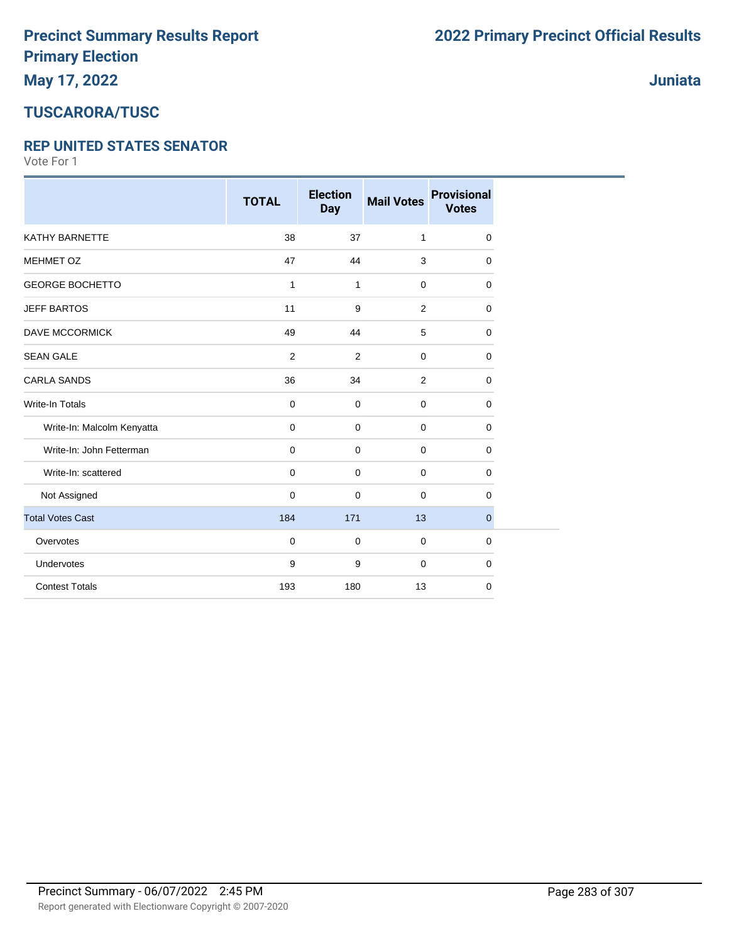# **May 17, 2022**

## **TUSCARORA/TUSC**

#### **REP UNITED STATES SENATOR**

Vote For 1

|                            | <b>TOTAL</b>   | <b>Election</b><br><b>Day</b> | <b>Mail Votes</b> | <b>Provisional</b><br><b>Votes</b> |
|----------------------------|----------------|-------------------------------|-------------------|------------------------------------|
| <b>KATHY BARNETTE</b>      | 38             | 37                            | 1                 | $\mathbf 0$                        |
| <b>MEHMET OZ</b>           | 47             | 44                            | 3                 | $\mathbf 0$                        |
| <b>GEORGE BOCHETTO</b>     | $\mathbf{1}$   | $\mathbf{1}$                  | $\mathbf 0$       | 0                                  |
| <b>JEFF BARTOS</b>         | 11             | 9                             | 2                 | 0                                  |
| <b>DAVE MCCORMICK</b>      | 49             | 44                            | 5                 | $\mathbf 0$                        |
| <b>SEAN GALE</b>           | $\overline{2}$ | 2                             | $\mathbf 0$       | $\mathbf 0$                        |
| <b>CARLA SANDS</b>         | 36             | 34                            | 2                 | 0                                  |
| <b>Write-In Totals</b>     | 0              | $\mathbf 0$                   | $\mathbf 0$       | $\mathbf 0$                        |
| Write-In: Malcolm Kenyatta | $\mathbf 0$    | $\mathbf 0$                   | 0                 | $\mathbf 0$                        |
| Write-In: John Fetterman   | $\mathbf 0$    | $\mathbf 0$                   | 0                 | 0                                  |
| Write-In: scattered        | $\mathbf 0$    | $\mathbf 0$                   | 0                 | $\mathbf 0$                        |
| Not Assigned               | $\mathbf 0$    | 0                             | 0                 | 0                                  |
| <b>Total Votes Cast</b>    | 184            | 171                           | 13                | $\mathbf{0}$                       |
| Overvotes                  | $\mathbf 0$    | $\mathbf 0$                   | $\mathbf 0$       | $\mathbf 0$                        |
| Undervotes                 | 9              | 9                             | $\mathbf 0$       | $\mathbf 0$                        |
| <b>Contest Totals</b>      | 193            | 180                           | 13                | $\mathbf 0$                        |

**Juniata**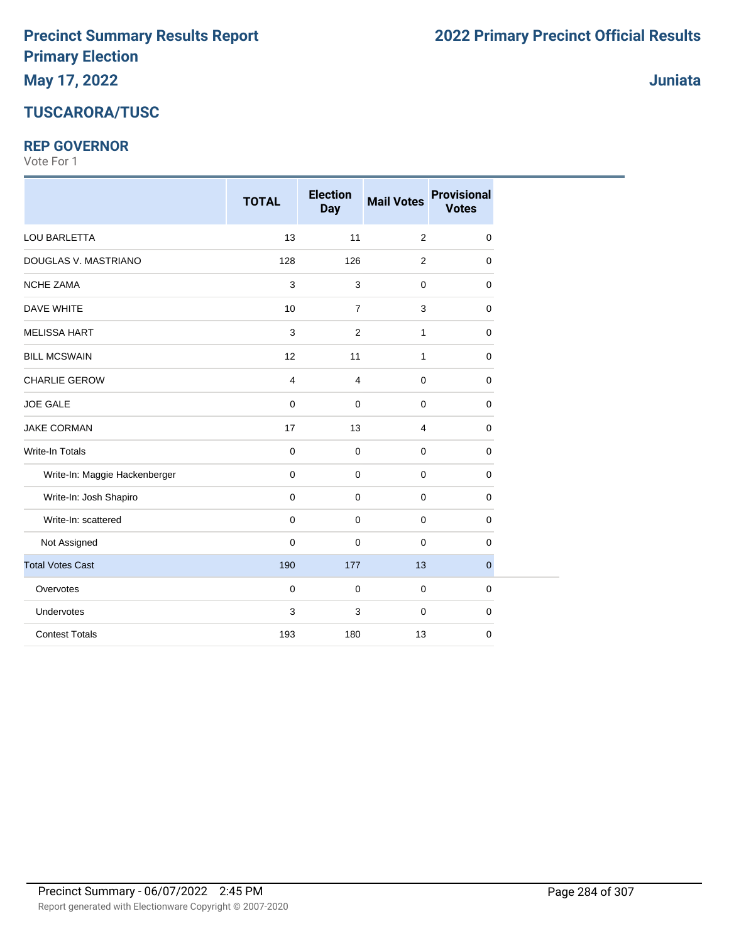# **TUSCARORA/TUSC**

#### **REP GOVERNOR**

|                               | <b>TOTAL</b>   | <b>Election</b><br><b>Day</b> | <b>Mail Votes</b> | <b>Provisional</b><br><b>Votes</b> |
|-------------------------------|----------------|-------------------------------|-------------------|------------------------------------|
| LOU BARLETTA                  | 13             | 11                            | $\overline{2}$    | $\mathbf 0$                        |
| DOUGLAS V. MASTRIANO          | 128            | 126                           | 2                 | 0                                  |
| <b>NCHE ZAMA</b>              | $\mathsf 3$    | 3                             | $\pmb{0}$         | $\mathbf 0$                        |
| <b>DAVE WHITE</b>             | 10             | $\overline{7}$                | $\mathbf{3}$      | $\mathbf 0$                        |
| <b>MELISSA HART</b>           | 3              | $\overline{2}$                | $\mathbf{1}$      | $\mathbf 0$                        |
| <b>BILL MCSWAIN</b>           | 12             | 11                            | $\mathbf{1}$      | $\mathbf 0$                        |
| <b>CHARLIE GEROW</b>          | $\overline{4}$ | 4                             | $\mathbf 0$       | $\mathbf 0$                        |
| <b>JOE GALE</b>               | $\pmb{0}$      | $\mathbf 0$                   | $\mathbf 0$       | $\mathbf 0$                        |
| <b>JAKE CORMAN</b>            | 17             | 13                            | 4                 | $\mathbf 0$                        |
| Write-In Totals               | $\pmb{0}$      | $\mathbf 0$                   | $\mathbf 0$       | $\mathbf 0$                        |
| Write-In: Maggie Hackenberger | 0              | $\mathbf 0$                   | $\mathbf 0$       | $\mathbf 0$                        |
| Write-In: Josh Shapiro        | $\mathbf 0$    | $\mathbf 0$                   | $\mathbf 0$       | 0                                  |
| Write-In: scattered           | $\mathbf 0$    | 0                             | $\mathbf 0$       | $\mathbf 0$                        |
| Not Assigned                  | 0              | $\mathbf 0$                   | $\mathbf 0$       | 0                                  |
| <b>Total Votes Cast</b>       | 190            | 177                           | 13                | $\mathbf{0}$                       |
| Overvotes                     | $\pmb{0}$      | $\mathbf 0$                   | $\mathbf 0$       | $\mathbf 0$                        |
| Undervotes                    | 3              | 3                             | $\mathbf 0$       | 0                                  |
| <b>Contest Totals</b>         | 193            | 180                           | 13                | $\mathbf 0$                        |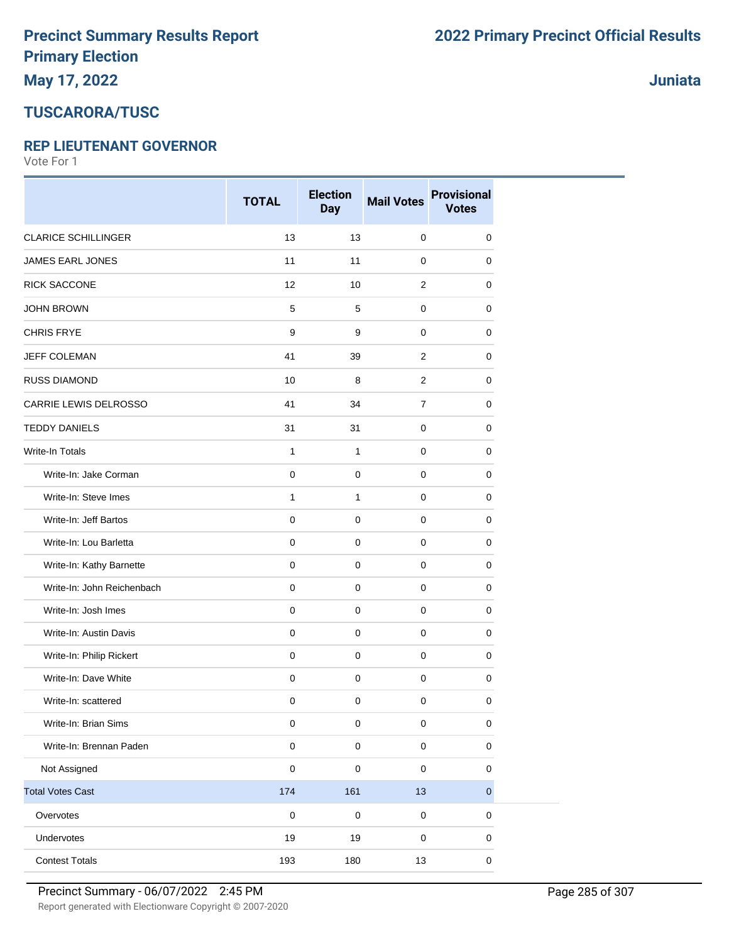### **TUSCARORA/TUSC**

#### **REP LIEUTENANT GOVERNOR**

Vote For 1

|                            | <b>TOTAL</b>        | <b>Election</b><br><b>Day</b> | <b>Mail Votes</b> | <b>Provisional</b><br><b>Votes</b> |
|----------------------------|---------------------|-------------------------------|-------------------|------------------------------------|
| <b>CLARICE SCHILLINGER</b> | 13                  | 13                            | $\mathbf 0$       | $\mathbf 0$                        |
| JAMES EARL JONES           | 11                  | 11                            | $\mathbf 0$       | 0                                  |
| <b>RICK SACCONE</b>        | 12                  | 10                            | $\overline{2}$    | 0                                  |
| <b>JOHN BROWN</b>          | $\,$ 5 $\,$         | 5                             | $\mathbf 0$       | 0                                  |
| <b>CHRIS FRYE</b>          | $\boldsymbol{9}$    | 9                             | $\mathbf 0$       | 0                                  |
| <b>JEFF COLEMAN</b>        | 41                  | 39                            | $\overline{2}$    | 0                                  |
| <b>RUSS DIAMOND</b>        | 10                  | 8                             | $\overline{2}$    | 0                                  |
| CARRIE LEWIS DELROSSO      | 41                  | 34                            | $\overline{7}$    | 0                                  |
| <b>TEDDY DANIELS</b>       | 31                  | 31                            | $\mathbf 0$       | 0                                  |
| Write-In Totals            | $\mathbf{1}$        | $\mathbf{1}$                  | $\mathbf 0$       | 0                                  |
| Write-In: Jake Corman      | $\mathbf 0$         | $\mathbf 0$                   | $\mathbf 0$       | 0                                  |
| Write-In: Steve Imes       | 1                   | $\mathbf{1}$                  | $\mathbf 0$       | 0                                  |
| Write-In: Jeff Bartos      | $\mathsf{O}\xspace$ | $\mathbf 0$                   | 0                 | 0                                  |
| Write-In: Lou Barletta     | $\mathbf 0$         | $\mathbf 0$                   | 0                 | 0                                  |
| Write-In: Kathy Barnette   | $\mathsf{O}\xspace$ | $\mathbf 0$                   | $\mathbf 0$       | 0                                  |
| Write-In: John Reichenbach | $\pmb{0}$           | 0                             | $\mathbf 0$       | 0                                  |
| Write-In: Josh Imes        | $\mathbf 0$         | $\mathbf 0$                   | 0                 | 0                                  |
| Write-In: Austin Davis     | $\mathbf 0$         | $\mathbf 0$                   | 0                 | 0                                  |
| Write-In: Philip Rickert   | $\mathbf 0$         | $\mathbf 0$                   | $\mathbf 0$       | 0                                  |
| Write-In: Dave White       | $\mathsf{O}\xspace$ | $\mathbf 0$                   | $\mathbf 0$       | $\pmb{0}$                          |
| Write-In: scattered        | $\pmb{0}$           | $\pmb{0}$                     | 0                 | 0                                  |
| Write-In: Brian Sims       | $\pmb{0}$           | $\pmb{0}$                     | 0                 | $\mathbf 0$                        |
| Write-In: Brennan Paden    | $\mathbf 0$         | $\pmb{0}$                     | $\mathsf 0$       | 0                                  |
| Not Assigned               | $\pmb{0}$           | $\pmb{0}$                     | 0                 | $\pmb{0}$                          |
| <b>Total Votes Cast</b>    | 174                 | 161                           | 13                | $\mathbf 0$                        |
| Overvotes                  | $\pmb{0}$           | $\mathbf 0$                   | $\mathsf 0$       | $\pmb{0}$                          |
| Undervotes                 | 19                  | 19                            | 0                 | 0                                  |
| <b>Contest Totals</b>      | 193                 | 180                           | 13                | $\pmb{0}$                          |

**Juniata**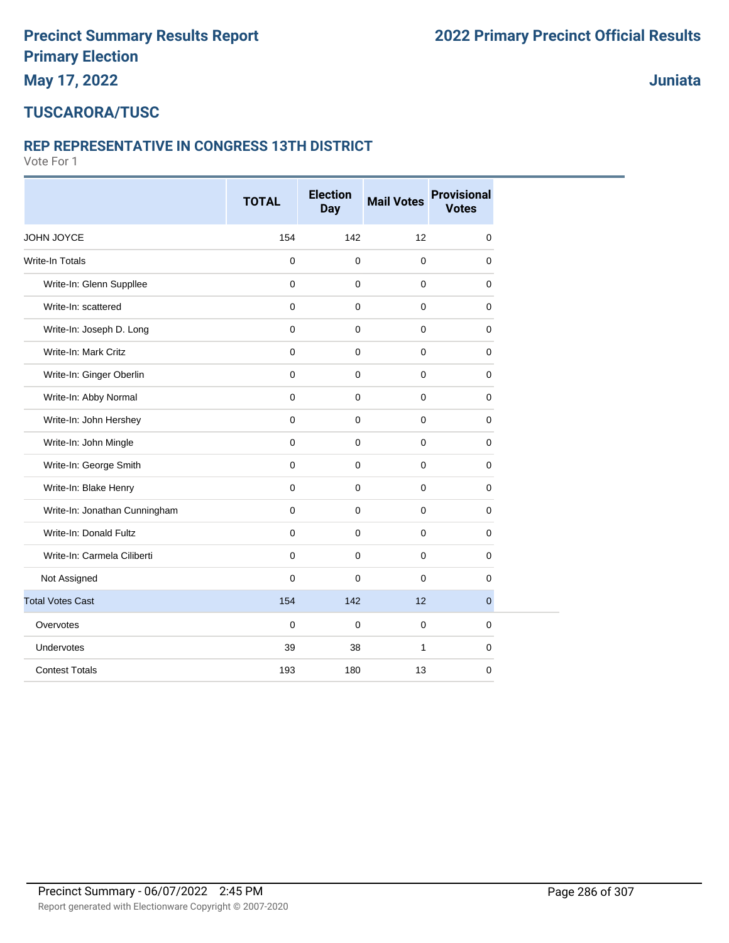# **TUSCARORA/TUSC**

#### **REP REPRESENTATIVE IN CONGRESS 13TH DISTRICT**

Vote For 1

|                               | <b>TOTAL</b> | <b>Election</b><br><b>Day</b> | <b>Mail Votes</b> | <b>Provisional</b><br><b>Votes</b> |  |
|-------------------------------|--------------|-------------------------------|-------------------|------------------------------------|--|
| JOHN JOYCE                    | 154          | 142                           | 12                | $\mathbf 0$                        |  |
| Write-In Totals               | $\pmb{0}$    | $\mathbf 0$                   | $\pmb{0}$         | $\mathbf 0$                        |  |
| Write-In: Glenn Suppllee      | $\mathbf 0$  | $\mathbf 0$                   | $\mathbf 0$       | 0                                  |  |
| Write-In: scattered           | $\mathbf 0$  | $\mathbf 0$                   | $\mathbf 0$       | $\mathbf 0$                        |  |
| Write-In: Joseph D. Long      | $\mathbf 0$  | $\mathbf 0$                   | $\pmb{0}$         | $\mathbf 0$                        |  |
| Write-In: Mark Critz          | $\mathbf 0$  | $\mathbf 0$                   | $\mathbf 0$       | 0                                  |  |
| Write-In: Ginger Oberlin      | $\mathbf 0$  | $\mathbf 0$                   | $\mathbf 0$       | $\mathbf 0$                        |  |
| Write-In: Abby Normal         | $\mathbf 0$  | $\mathbf 0$                   | $\mathbf 0$       | 0                                  |  |
| Write-In: John Hershey        | $\mathbf 0$  | $\mathbf 0$                   | $\mathbf 0$       | 0                                  |  |
| Write-In: John Mingle         | $\Omega$     | $\mathbf 0$                   | $\mathbf{0}$      | $\mathbf 0$                        |  |
| Write-In: George Smith        | $\mathbf 0$  | $\mathbf 0$                   | $\mathbf 0$       | $\mathbf 0$                        |  |
| Write-In: Blake Henry         | $\mathbf 0$  | $\mathbf 0$                   | $\mathbf 0$       | 0                                  |  |
| Write-In: Jonathan Cunningham | $\mathbf 0$  | $\mathbf 0$                   | $\pmb{0}$         | $\mathbf 0$                        |  |
| Write-In: Donald Fultz        | $\mathbf 0$  | $\mathbf 0$                   | $\pmb{0}$         | $\mathbf 0$                        |  |
| Write-In: Carmela Ciliberti   | $\mathbf 0$  | $\mathbf 0$                   | $\mathbf 0$       | 0                                  |  |
| Not Assigned                  | $\mathbf 0$  | $\mathbf 0$                   | $\mathbf 0$       | $\mathbf 0$                        |  |
| <b>Total Votes Cast</b>       | 154          | 142                           | 12                | $\overline{0}$                     |  |
| Overvotes                     | $\mathbf 0$  | $\mathbf 0$                   | $\mathbf 0$       | $\mathbf 0$                        |  |
| Undervotes                    | 39           | 38                            | $\mathbf{1}$      | $\mathbf 0$                        |  |
| <b>Contest Totals</b>         | 193          | 180                           | 13                | $\mathbf 0$                        |  |

**Juniata**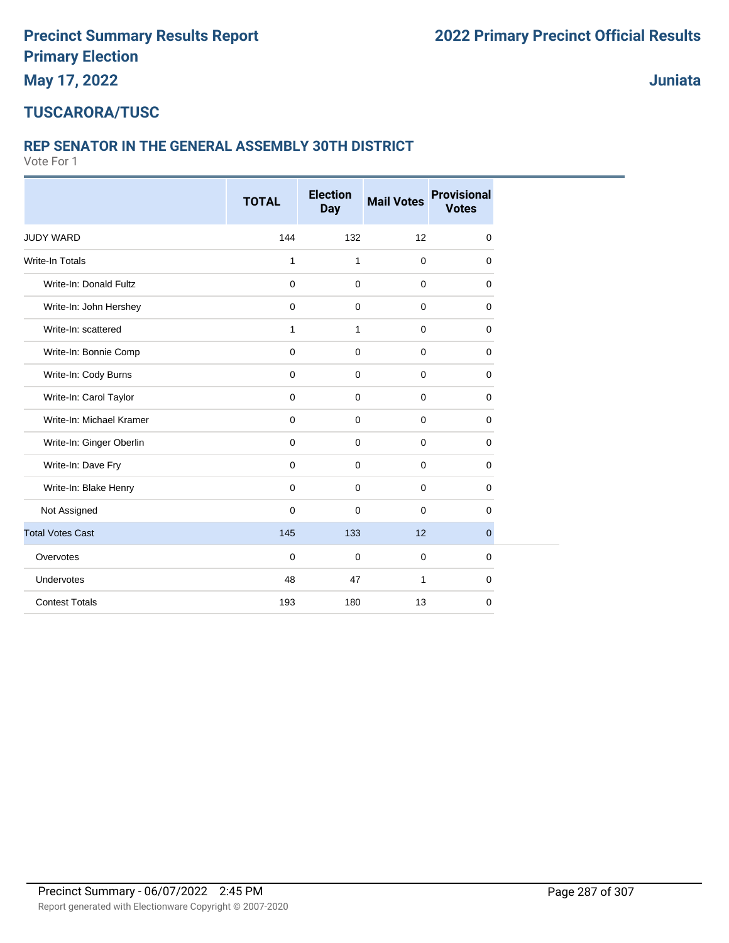**Juniata**

#### **TUSCARORA/TUSC**

#### **REP SENATOR IN THE GENERAL ASSEMBLY 30TH DISTRICT**

|                          | <b>TOTAL</b> | <b>Election</b><br><b>Day</b> | <b>Mail Votes</b> | <b>Provisional</b><br><b>Votes</b> |
|--------------------------|--------------|-------------------------------|-------------------|------------------------------------|
| <b>JUDY WARD</b>         | 144          | 132                           | 12                | $\mathbf 0$                        |
| <b>Write-In Totals</b>   | $\mathbf{1}$ | $\mathbf{1}$                  | $\mathbf 0$       | 0                                  |
| Write-In: Donald Fultz   | 0            | $\mathbf 0$                   | $\mathbf 0$       | 0                                  |
| Write-In: John Hershey   | 0            | $\mathbf 0$                   | $\mathbf 0$       | 0                                  |
| Write-In: scattered      | 1            | $\mathbf{1}$                  | $\mathbf 0$       | 0                                  |
| Write-In: Bonnie Comp    | 0            | $\mathbf 0$                   | $\mathbf 0$       | 0                                  |
| Write-In: Cody Burns     | $\mathbf 0$  | $\mathbf 0$                   | $\mathbf 0$       | 0                                  |
| Write-In: Carol Taylor   | $\mathbf 0$  | $\mathbf 0$                   | $\mathbf 0$       | 0                                  |
| Write-In: Michael Kramer | 0            | $\mathbf 0$                   | $\mathbf 0$       | 0                                  |
| Write-In: Ginger Oberlin | 0            | $\mathbf 0$                   | $\mathbf 0$       | 0                                  |
| Write-In: Dave Fry       | $\mathbf 0$  | $\mathbf 0$                   | $\mathbf 0$       | 0                                  |
| Write-In: Blake Henry    | $\mathbf 0$  | $\mathbf 0$                   | $\mathbf 0$       | 0                                  |
| Not Assigned             | $\mathbf 0$  | $\mathbf 0$                   | $\mathbf 0$       | 0                                  |
| <b>Total Votes Cast</b>  | 145          | 133                           | 12                | $\mathbf{0}$                       |
| Overvotes                | 0            | $\mathbf 0$                   | $\mathbf 0$       | 0                                  |
| Undervotes               | 48           | 47                            | $\mathbf{1}$      | 0                                  |
| <b>Contest Totals</b>    | 193          | 180                           | 13                | 0                                  |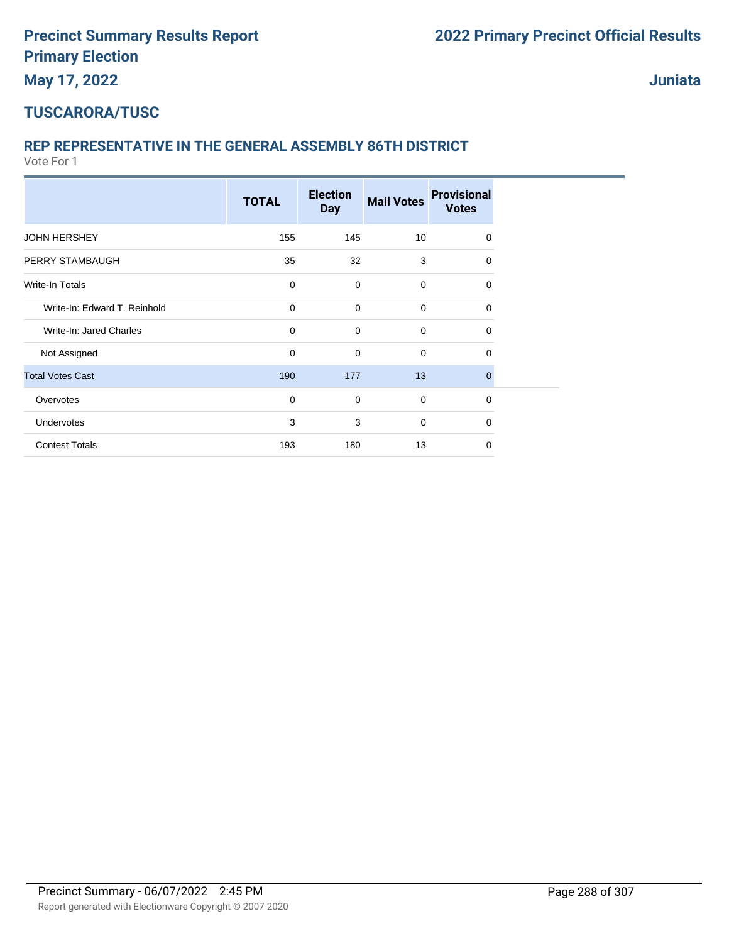**Juniata**

#### **TUSCARORA/TUSC**

#### **REP REPRESENTATIVE IN THE GENERAL ASSEMBLY 86TH DISTRICT**

|                              | <b>TOTAL</b> | <b>Election</b><br><b>Day</b> | <b>Mail Votes</b> | <b>Provisional</b><br><b>Votes</b> |  |
|------------------------------|--------------|-------------------------------|-------------------|------------------------------------|--|
| <b>JOHN HERSHEY</b>          | 155          | 145                           | 10                | 0                                  |  |
| PERRY STAMBAUGH              | 35           | 32                            | 3                 | $\Omega$                           |  |
| Write-In Totals              | $\mathbf 0$  | $\mathbf 0$                   | 0                 | $\mathbf 0$                        |  |
| Write-In: Edward T. Reinhold | $\mathbf 0$  | $\mathbf 0$                   | 0                 | 0                                  |  |
| Write-In: Jared Charles      | $\mathbf 0$  | $\mathbf 0$                   | 0                 | $\mathbf 0$                        |  |
| Not Assigned                 | $\mathbf 0$  | $\mathbf 0$                   | 0                 | 0                                  |  |
| <b>Total Votes Cast</b>      | 190          | 177                           | 13                | $\mathbf 0$                        |  |
| Overvotes                    | $\mathbf 0$  | $\mathbf 0$                   | 0                 | $\mathbf 0$                        |  |
| Undervotes                   | 3            | 3                             | 0                 | $\mathbf 0$                        |  |
| <b>Contest Totals</b>        | 193          | 180                           | 13                | $\Omega$                           |  |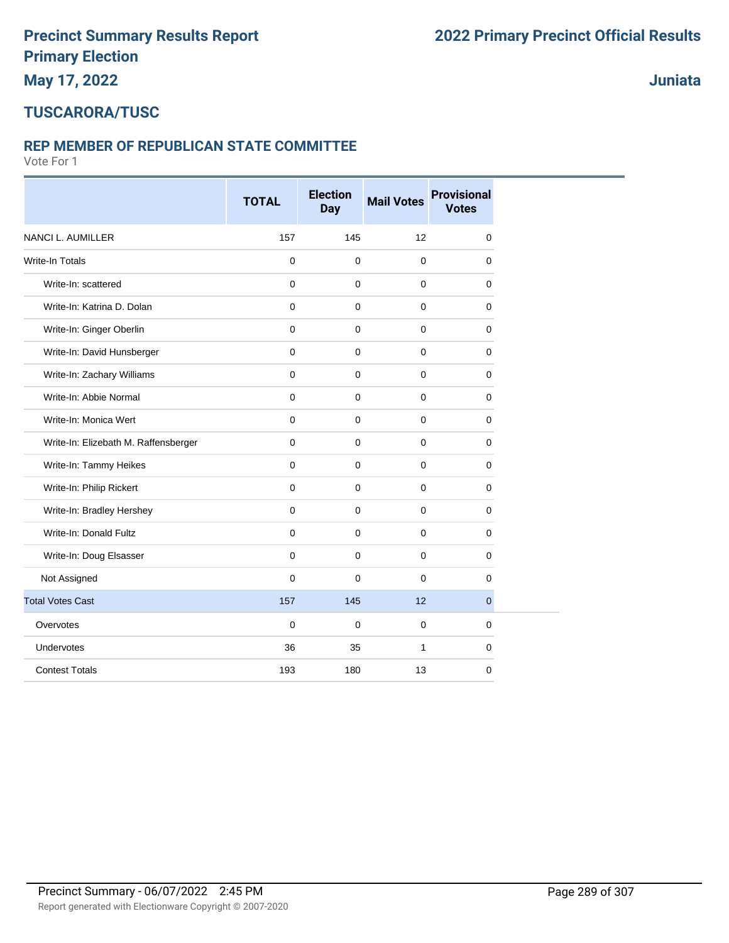**Juniata**

### **TUSCARORA/TUSC**

#### **REP MEMBER OF REPUBLICAN STATE COMMITTEE**

|                                      | <b>TOTAL</b> | <b>Election</b><br><b>Day</b> | <b>Mail Votes</b> | <b>Provisional</b><br><b>Votes</b> |
|--------------------------------------|--------------|-------------------------------|-------------------|------------------------------------|
| NANCI L. AUMILLER                    | 157          | 145                           | 12                | 0                                  |
| <b>Write-In Totals</b>               | $\mathbf 0$  | $\mathbf 0$                   | $\mathbf 0$       | 0                                  |
| Write-In: scattered                  | $\Omega$     | $\mathbf 0$                   | $\mathbf 0$       | 0                                  |
| Write-In: Katrina D. Dolan           | $\Omega$     | $\mathbf 0$                   | $\mathbf 0$       | 0                                  |
| Write-In: Ginger Oberlin             | $\mathbf 0$  | $\mathbf 0$                   | $\mathbf 0$       | 0                                  |
| Write-In: David Hunsberger           | $\Omega$     | $\mathbf 0$                   | $\mathbf 0$       | 0                                  |
| Write-In: Zachary Williams           | $\mathbf 0$  | $\mathbf 0$                   | $\mathbf 0$       | 0                                  |
| Write-In: Abbie Normal               | $\mathbf 0$  | $\mathbf 0$                   | $\mathbf 0$       | 0                                  |
| Write-In: Monica Wert                | $\mathbf 0$  | $\mathbf 0$                   | $\mathbf 0$       | 0                                  |
| Write-In: Elizebath M. Raffensberger | $\mathbf 0$  | $\mathbf 0$                   | $\mathbf 0$       | 0                                  |
| Write-In: Tammy Heikes               | $\mathbf 0$  | $\mathbf 0$                   | $\mathbf 0$       | 0                                  |
| Write-In: Philip Rickert             | $\mathbf 0$  | $\mathbf 0$                   | $\mathbf 0$       | 0                                  |
| Write-In: Bradley Hershey            | $\Omega$     | $\mathbf 0$                   | $\mathbf 0$       | 0                                  |
| Write-In: Donald Fultz               | $\mathbf 0$  | $\mathbf 0$                   | $\mathbf 0$       | 0                                  |
| Write-In: Doug Elsasser              | $\mathbf 0$  | $\mathbf 0$                   | $\mathbf 0$       | 0                                  |
| Not Assigned                         | $\Omega$     | $\Omega$                      | $\mathbf 0$       | $\Omega$                           |
| <b>Total Votes Cast</b>              | 157          | 145                           | 12                | $\overline{0}$                     |
| Overvotes                            | $\mathbf 0$  | $\mathbf 0$                   | $\mathbf 0$       | 0                                  |
| Undervotes                           | 36           | 35                            | $\mathbf{1}$      | 0                                  |
| <b>Contest Totals</b>                | 193          | 180                           | 13                | 0                                  |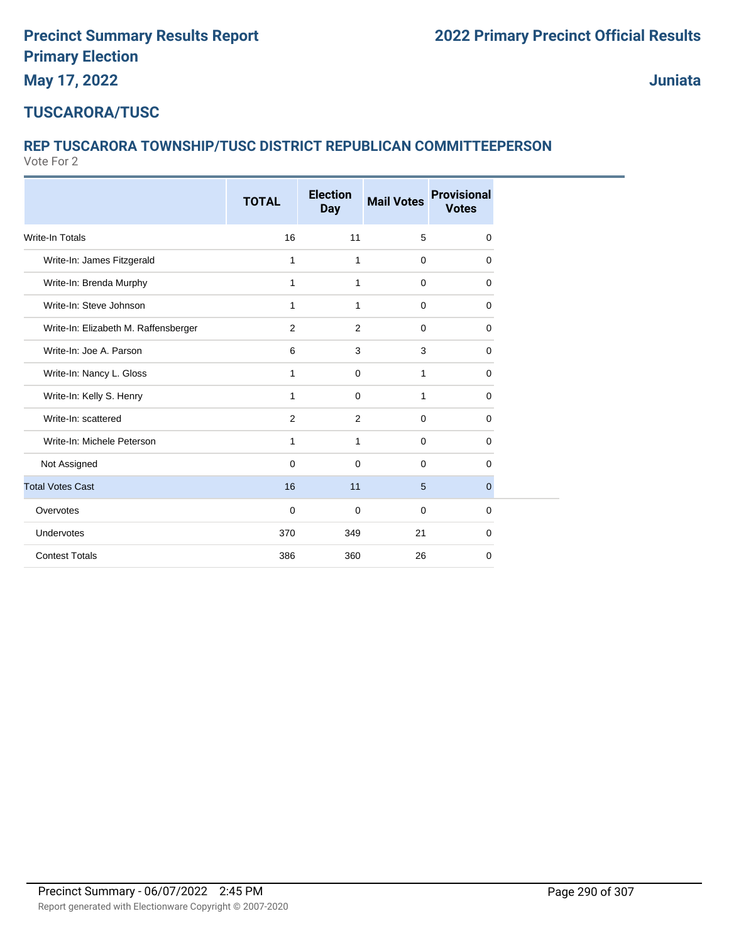**Juniata**

### **TUSCARORA/TUSC**

#### Vote For 2 **REP TUSCARORA TOWNSHIP/TUSC DISTRICT REPUBLICAN COMMITTEEPERSON**

|                                      | <b>TOTAL</b> | <b>Election</b><br><b>Day</b> | <b>Mail Votes</b> | <b>Provisional</b><br><b>Votes</b> |
|--------------------------------------|--------------|-------------------------------|-------------------|------------------------------------|
| <b>Write-In Totals</b>               | 16           | 11                            | 5                 | 0                                  |
| Write-In: James Fitzgerald           | 1            | $\mathbf{1}$                  | $\mathbf 0$       | 0                                  |
| Write-In: Brenda Murphy              | $\mathbf{1}$ | $\mathbf{1}$                  | $\mathbf 0$       | 0                                  |
| Write-In: Steve Johnson              | $\mathbf{1}$ | $\mathbf{1}$                  | $\mathbf 0$       | 0                                  |
| Write-In: Elizabeth M. Raffensberger | 2            | 2                             | $\mathbf 0$       | 0                                  |
| Write-In: Joe A. Parson              | 6            | 3                             | 3                 | 0                                  |
| Write-In: Nancy L. Gloss             | 1            | 0                             | 1                 | 0                                  |
| Write-In: Kelly S. Henry             | $\mathbf{1}$ | $\mathbf 0$                   | $\mathbf{1}$      | 0                                  |
| Write-In: scattered                  | 2            | 2                             | $\mathbf 0$       | 0                                  |
| Write-In: Michele Peterson           | $\mathbf{1}$ | $\mathbf{1}$                  | $\mathbf 0$       | 0                                  |
| Not Assigned                         | $\mathbf 0$  | $\mathbf 0$                   | $\mathbf 0$       | $\mathbf 0$                        |
| <b>Total Votes Cast</b>              | 16           | 11                            | 5                 | 0                                  |
| Overvotes                            | $\mathbf 0$  | 0                             | $\mathbf 0$       | 0                                  |
| Undervotes                           | 370          | 349                           | 21                | 0                                  |
| <b>Contest Totals</b>                | 386          | 360                           | 26                | 0                                  |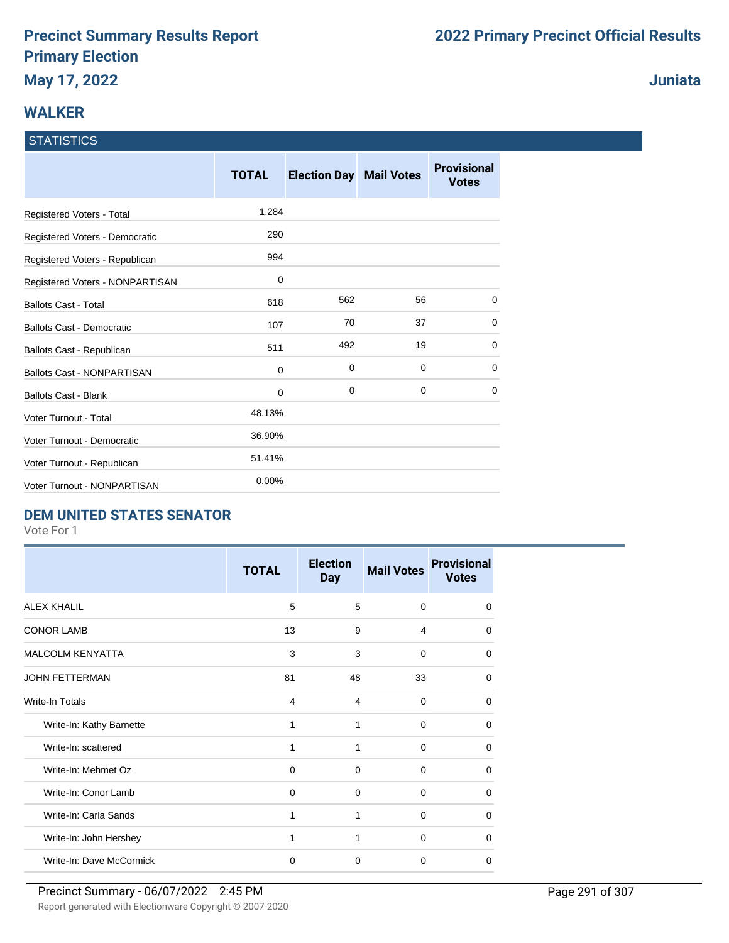### **WALKER**

#### **STATISTICS**

|                                   | <b>TOTAL</b> | <b>Election Day</b> | <b>Mail Votes</b> | <b>Provisional</b><br><b>Votes</b> |
|-----------------------------------|--------------|---------------------|-------------------|------------------------------------|
| Registered Voters - Total         | 1,284        |                     |                   |                                    |
| Registered Voters - Democratic    | 290          |                     |                   |                                    |
| Registered Voters - Republican    | 994          |                     |                   |                                    |
| Registered Voters - NONPARTISAN   | 0            |                     |                   |                                    |
| <b>Ballots Cast - Total</b>       | 618          | 562                 | 56                | 0                                  |
| <b>Ballots Cast - Democratic</b>  | 107          | 70                  | 37                | 0                                  |
| Ballots Cast - Republican         | 511          | 492                 | 19                | 0                                  |
| <b>Ballots Cast - NONPARTISAN</b> | 0            | 0                   | $\mathbf 0$       | 0                                  |
| <b>Ballots Cast - Blank</b>       | 0            | $\mathbf 0$         | 0                 | $\Omega$                           |
| Voter Turnout - Total             | 48.13%       |                     |                   |                                    |
| Voter Turnout - Democratic        | 36.90%       |                     |                   |                                    |
| Voter Turnout - Republican        | 51.41%       |                     |                   |                                    |
| Voter Turnout - NONPARTISAN       | 0.00%        |                     |                   |                                    |

### **DEM UNITED STATES SENATOR**

Vote For 1

|                          | <b>TOTAL</b> | <b>Election</b><br><b>Day</b> | <b>Mail Votes</b> | <b>Provisional</b><br><b>Votes</b> |
|--------------------------|--------------|-------------------------------|-------------------|------------------------------------|
| <b>ALEX KHALIL</b>       | 5            | 5                             | $\Omega$          | $\Omega$                           |
| <b>CONOR LAMB</b>        | 13           | 9                             | 4                 | 0                                  |
| <b>MALCOLM KENYATTA</b>  | 3            | 3                             | $\mathbf 0$       | $\Omega$                           |
| <b>JOHN FETTERMAN</b>    | 81           | 48                            | 33                | $\Omega$                           |
| Write-In Totals          | 4            | 4                             | $\Omega$          | 0                                  |
| Write-In: Kathy Barnette | 1            | 1                             | $\Omega$          | 0                                  |
| Write-In: scattered      | 1            | 1                             | $\Omega$          | $\Omega$                           |
| Write-In: Mehmet Oz      | 0            | $\Omega$                      | $\Omega$          | 0                                  |
| Write-In: Conor Lamb     | 0            | 0                             | $\mathbf 0$       | $\Omega$                           |
| Write-In: Carla Sands    | 1            | 1                             | $\Omega$          | 0                                  |
| Write-In: John Hershey   | 1            | 1                             | $\Omega$          | $\Omega$                           |
| Write-In: Dave McCormick | $\mathbf 0$  | $\Omega$                      | $\Omega$          | $\Omega$                           |

**Juniata**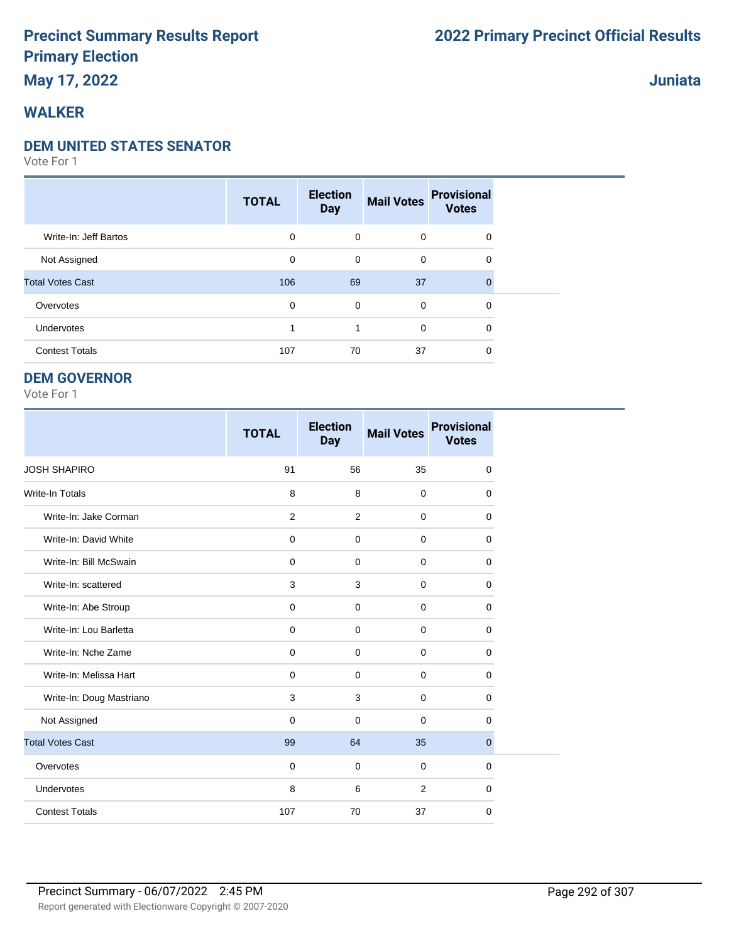### **May 17, 2022**

### **WALKER**

#### **DEM UNITED STATES SENATOR**

Vote For 1

|                         | <b>TOTAL</b> | <b>Election</b><br><b>Day</b> | <b>Mail Votes</b> | <b>Provisional</b><br><b>Votes</b> |  |
|-------------------------|--------------|-------------------------------|-------------------|------------------------------------|--|
| Write-In: Jeff Bartos   | 0            | $\mathbf 0$                   | $\mathbf 0$       | 0                                  |  |
| Not Assigned            | 0            | 0                             | $\mathbf 0$       | 0                                  |  |
| <b>Total Votes Cast</b> | 106          | 69                            | 37                | $\Omega$                           |  |
| Overvotes               | 0            | $\mathbf 0$                   | $\mathbf 0$       | 0                                  |  |
| <b>Undervotes</b>       |              | 1                             | $\mathbf 0$       | 0                                  |  |
| <b>Contest Totals</b>   | 107          | 70                            | 37                | 0                                  |  |

#### **DEM GOVERNOR**

Vote For 1

|                          | <b>TOTAL</b> | <b>Election</b><br><b>Day</b> | <b>Mail Votes</b> | <b>Provisional</b><br><b>Votes</b> |
|--------------------------|--------------|-------------------------------|-------------------|------------------------------------|
| <b>JOSH SHAPIRO</b>      | 91           | 56                            | 35                | 0                                  |
| <b>Write-In Totals</b>   | 8            | 8                             | $\mathbf 0$       | 0                                  |
| Write-In: Jake Corman    | 2            | 2                             | $\mathbf 0$       | 0                                  |
| Write-In: David White    | $\mathbf 0$  | $\mathbf 0$                   | $\mathbf 0$       | 0                                  |
| Write-In: Bill McSwain   | $\mathbf 0$  | $\Omega$                      | $\mathbf 0$       | 0                                  |
| Write-In: scattered      | 3            | 3                             | $\Omega$          | 0                                  |
| Write-In: Abe Stroup     | $\mathbf 0$  | $\mathbf 0$                   | $\mathbf 0$       | 0                                  |
| Write-In: Lou Barletta   | $\mathbf 0$  | $\mathbf 0$                   | $\mathbf 0$       | $\mathbf 0$                        |
| Write-In: Nche Zame      | $\mathbf 0$  | $\mathbf 0$                   | $\mathbf 0$       | 0                                  |
| Write-In: Melissa Hart   | $\mathbf 0$  | $\mathbf 0$                   | $\mathbf 0$       | 0                                  |
| Write-In: Doug Mastriano | 3            | 3                             | $\mathbf 0$       | 0                                  |
| Not Assigned             | $\mathbf 0$  | $\Omega$                      | $\mathbf 0$       | 0                                  |
| <b>Total Votes Cast</b>  | 99           | 64                            | 35                | $\overline{0}$                     |
| Overvotes                | $\mathbf 0$  | $\mathbf 0$                   | $\mathbf 0$       | 0                                  |
| Undervotes               | 8            | 6                             | 2                 | 0                                  |
| <b>Contest Totals</b>    | 107          | 70                            | 37                | 0                                  |

**Juniata**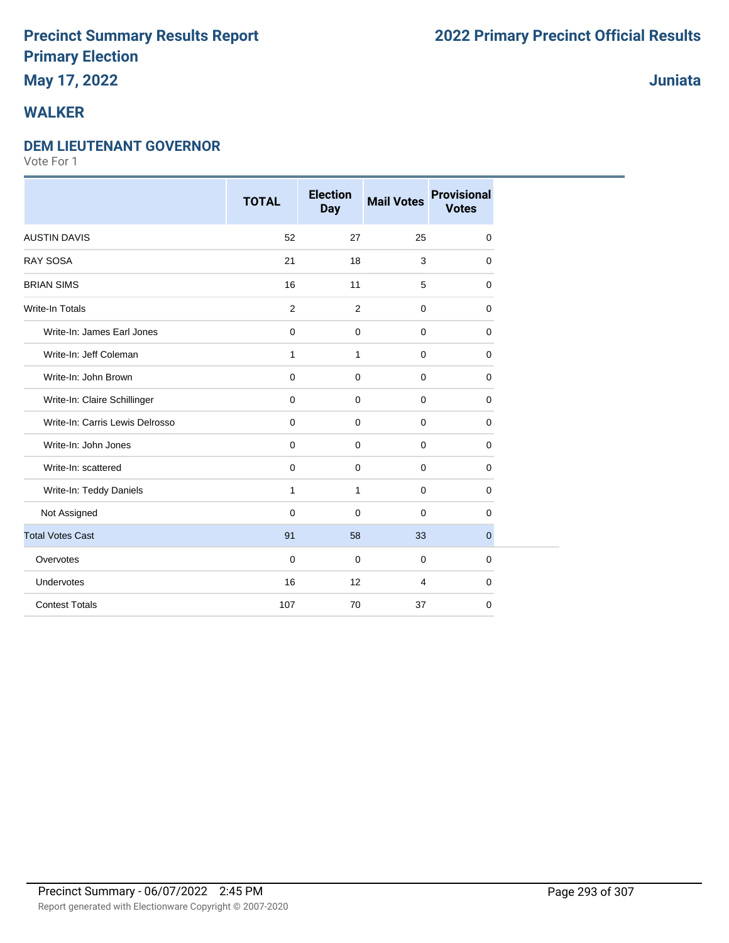### **May 17, 2022**

### **WALKER**

#### **DEM LIEUTENANT GOVERNOR**

|                                 | <b>TOTAL</b> | <b>Election</b><br><b>Day</b> | <b>Mail Votes</b> | <b>Provisional</b><br><b>Votes</b> |
|---------------------------------|--------------|-------------------------------|-------------------|------------------------------------|
| <b>AUSTIN DAVIS</b>             | 52           | 27                            | 25                | 0                                  |
| <b>RAY SOSA</b>                 | 21           | 18                            | 3                 | 0                                  |
| <b>BRIAN SIMS</b>               | 16           | 11                            | 5                 | 0                                  |
| <b>Write-In Totals</b>          | 2            | $\overline{2}$                | $\mathbf 0$       | 0                                  |
| Write-In: James Earl Jones      | $\pmb{0}$    | 0                             | $\mathbf 0$       | 0                                  |
| Write-In: Jeff Coleman          | $\mathbf{1}$ | $\mathbf{1}$                  | $\mathbf 0$       | 0                                  |
| Write-In: John Brown            | $\mathbf 0$  | $\mathbf 0$                   | $\mathbf 0$       | 0                                  |
| Write-In: Claire Schillinger    | $\mathbf 0$  | $\mathbf 0$                   | $\mathbf 0$       | 0                                  |
| Write-In: Carris Lewis Delrosso | $\mathbf 0$  | $\mathbf 0$                   | $\mathbf 0$       | 0                                  |
| Write-In: John Jones            | 0            | 0                             | $\mathbf 0$       | 0                                  |
| Write-In: scattered             | $\mathbf 0$  | 0                             | $\mathbf 0$       | 0                                  |
| Write-In: Teddy Daniels         | $\mathbf{1}$ | $\mathbf{1}$                  | $\mathbf 0$       | 0                                  |
| Not Assigned                    | $\Omega$     | 0                             | $\Omega$          | 0                                  |
| <b>Total Votes Cast</b>         | 91           | 58                            | 33                | $\overline{0}$                     |
| Overvotes                       | $\mathbf 0$  | 0                             | $\mathbf 0$       | 0                                  |
| Undervotes                      | 16           | 12                            | $\overline{4}$    | 0                                  |
| <b>Contest Totals</b>           | 107          | 70                            | 37                | 0                                  |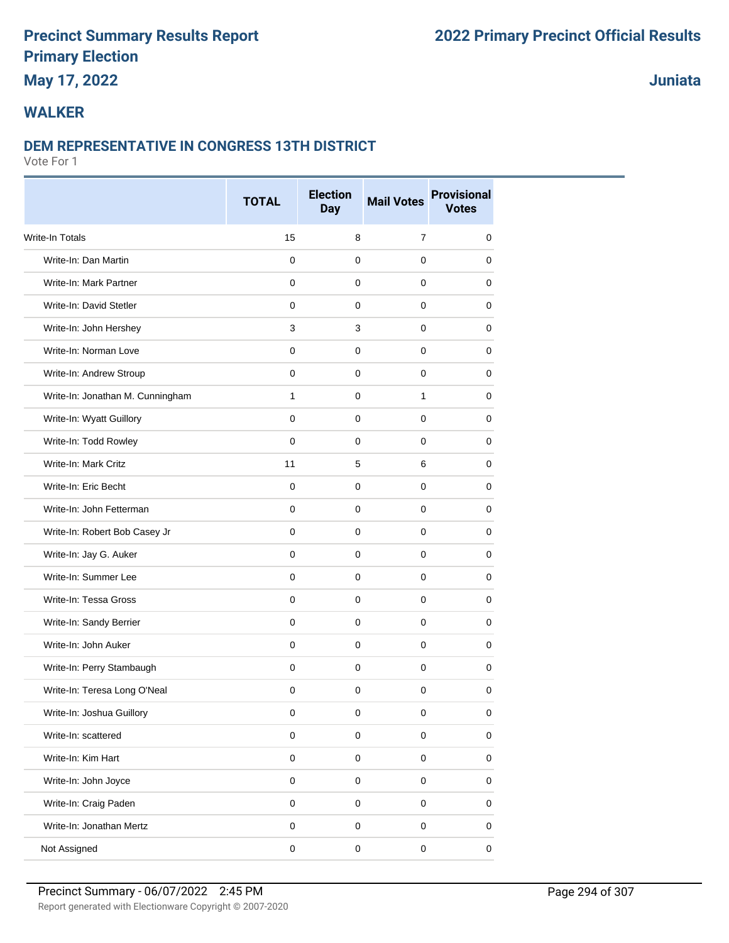# **May 17, 2022**

**Juniata**

### **WALKER**

#### **DEM REPRESENTATIVE IN CONGRESS 13TH DISTRICT**

|                                  | <b>TOTAL</b> | <b>Election</b><br><b>Day</b> | <b>Mail Votes</b> | <b>Provisional</b><br><b>Votes</b> |
|----------------------------------|--------------|-------------------------------|-------------------|------------------------------------|
| Write-In Totals                  | 15           | 8                             | $\overline{7}$    | 0                                  |
| Write-In: Dan Martin             | 0            | 0                             | 0                 | 0                                  |
| Write-In: Mark Partner           | 0            | $\mathbf 0$                   | $\mathbf 0$       | 0                                  |
| Write-In: David Stetler          | $\mathbf 0$  | $\mathbf 0$                   | $\mathbf 0$       | 0                                  |
| Write-In: John Hershey           | 3            | 3                             | 0                 | 0                                  |
| Write-In: Norman Love            | 0            | $\mathbf 0$                   | $\mathbf 0$       | 0                                  |
| Write-In: Andrew Stroup          | 0            | $\mathbf 0$                   | $\mathbf 0$       | 0                                  |
| Write-In: Jonathan M. Cunningham | 1            | 0                             | 1                 | 0                                  |
| Write-In: Wyatt Guillory         | $\mathsf 0$  | $\pmb{0}$                     | $\mathbf 0$       | 0                                  |
| Write-In: Todd Rowley            | $\mathbf 0$  | $\pmb{0}$                     | 0                 | 0                                  |
| Write-In: Mark Critz             | 11           | 5                             | 6                 | 0                                  |
| Write-In: Eric Becht             | $\mathbf 0$  | $\mathbf 0$                   | $\mathbf 0$       | 0                                  |
| Write-In: John Fetterman         | 0            | $\mathbf 0$                   | $\mathbf 0$       | 0                                  |
| Write-In: Robert Bob Casey Jr    | 0            | $\mathbf 0$                   | $\mathbf 0$       | 0                                  |
| Write-In: Jay G. Auker           | 0            | $\mathbf 0$                   | $\mathbf 0$       | 0                                  |
| Write-In: Summer Lee             | $\mathbf 0$  | $\mathbf 0$                   | $\mathbf 0$       | 0                                  |
| Write-In: Tessa Gross            | 0            | 0                             | 0                 | 0                                  |
| Write-In: Sandy Berrier          | 0            | $\mathbf 0$                   | $\mathbf 0$       | 0                                  |
| Write-In: John Auker             | 0            | $\mathbf 0$                   | $\mathbf 0$       | 0                                  |
| Write-In: Perry Stambaugh        | 0            | 0                             | 0                 | 0                                  |
| Write-In: Teresa Long O'Neal     | $\mathbf 0$  | $\mathbf 0$                   | $\mathbf 0$       | 0                                  |
| Write-In: Joshua Guillory        | 0            | 0                             | 0                 | 0                                  |
| Write-In: scattered              | 0            | $\mathbf 0$                   | $\mathsf 0$       | 0                                  |
| Write-In: Kim Hart               | $\mathbf 0$  | $\mathsf 0$                   | $\mathbf 0$       | 0                                  |
| Write-In: John Joyce             | $\mathbf 0$  | $\pmb{0}$                     | $\mathsf 0$       | 0                                  |
| Write-In: Craig Paden            | $\mathbf 0$  | $\mathsf 0$                   | $\pmb{0}$         | 0                                  |
| Write-In: Jonathan Mertz         | $\mathbf 0$  | $\pmb{0}$                     | $\pmb{0}$         | $\mathsf{O}\xspace$                |
| Not Assigned                     | 0            | 0                             | $\pmb{0}$         | 0                                  |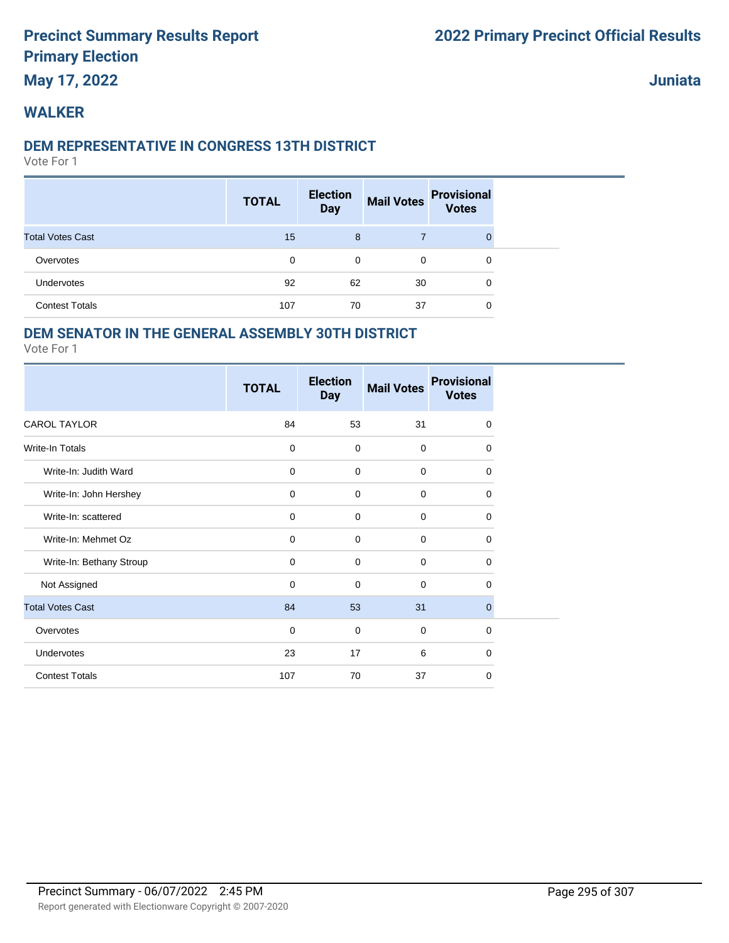### **May 17, 2022**

**Juniata**

### **WALKER**

#### **DEM REPRESENTATIVE IN CONGRESS 13TH DISTRICT**

Vote For 1

|                         | <b>TOTAL</b> | <b>Election</b><br><b>Day</b> | <b>Mail Votes</b> | <b>Provisional</b><br><b>Votes</b> |  |
|-------------------------|--------------|-------------------------------|-------------------|------------------------------------|--|
| <b>Total Votes Cast</b> | 15           | 8                             |                   | 0                                  |  |
| Overvotes               | 0            | 0                             | 0                 | 0                                  |  |
| Undervotes              | 92           | 62                            | 30                | 0                                  |  |
| <b>Contest Totals</b>   | 107          | 70                            | 37                | 0                                  |  |

### **DEM SENATOR IN THE GENERAL ASSEMBLY 30TH DISTRICT**

|                          | <b>TOTAL</b> | <b>Election</b><br><b>Day</b> | <b>Mail Votes</b> | <b>Provisional</b><br><b>Votes</b> |
|--------------------------|--------------|-------------------------------|-------------------|------------------------------------|
| <b>CAROL TAYLOR</b>      | 84           | 53                            | 31                | $\mathbf 0$                        |
| Write-In Totals          | $\mathbf 0$  | $\mathbf 0$                   | $\mathbf 0$       | 0                                  |
| Write-In: Judith Ward    | $\mathbf 0$  | $\mathbf 0$                   | $\mathbf 0$       | 0                                  |
| Write-In: John Hershey   | $\mathbf 0$  | $\mathbf 0$                   | $\mathbf 0$       | $\mathbf 0$                        |
| Write-In: scattered      | $\mathbf 0$  | $\mathbf 0$                   | $\Omega$          | 0                                  |
| Write-In: Mehmet Oz      | $\mathbf 0$  | $\mathbf 0$                   | $\mathbf 0$       | 0                                  |
| Write-In: Bethany Stroup | $\mathbf 0$  | $\mathbf 0$                   | $\mathbf 0$       | 0                                  |
| Not Assigned             | $\mathbf 0$  | $\mathbf 0$                   | $\mathbf 0$       | $\Omega$                           |
| <b>Total Votes Cast</b>  | 84           | 53                            | 31                | $\mathbf{0}$                       |
| Overvotes                | $\mathbf 0$  | $\mathbf 0$                   | $\mathbf 0$       | $\Omega$                           |
| <b>Undervotes</b>        | 23           | 17                            | 6                 | $\Omega$                           |
| <b>Contest Totals</b>    | 107          | 70                            | 37                | $\mathbf 0$                        |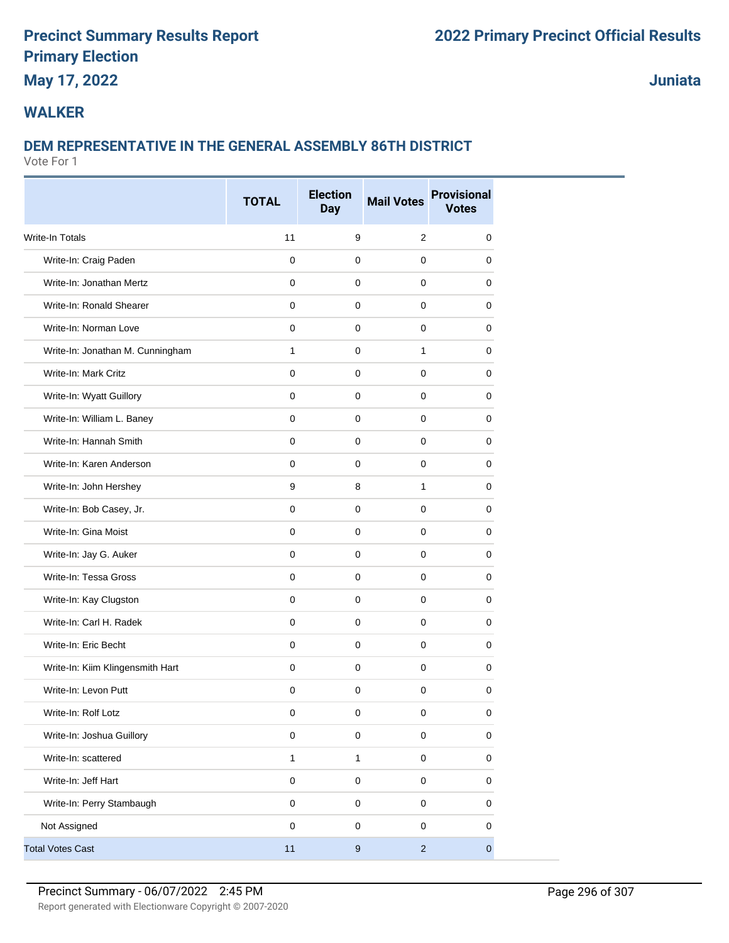### **May 17, 2022**

**Juniata**

### **WALKER**

### **DEM REPRESENTATIVE IN THE GENERAL ASSEMBLY 86TH DISTRICT**

|                                  | <b>TOTAL</b> | <b>Election</b><br><b>Day</b> | <b>Mail Votes</b> | <b>Provisional</b><br><b>Votes</b> |
|----------------------------------|--------------|-------------------------------|-------------------|------------------------------------|
| Write-In Totals                  | 11           | 9                             | $\overline{2}$    | 0                                  |
| Write-In: Craig Paden            | $\mathbf 0$  | $\mathbf 0$                   | $\mathbf 0$       | 0                                  |
| Write-In: Jonathan Mertz         | 0            | 0                             | $\mathbf 0$       | 0                                  |
| Write-In: Ronald Shearer         | $\mathbf 0$  | $\mathbf 0$                   | $\mathbf 0$       | 0                                  |
| Write-In: Norman Love            | $\mathbf 0$  | $\mathbf 0$                   | $\mathbf 0$       | 0                                  |
| Write-In: Jonathan M. Cunningham | 1            | $\pmb{0}$                     | 1                 | 0                                  |
| Write-In: Mark Critz             | $\mathbf 0$  | $\mathbf 0$                   | $\mathbf 0$       | 0                                  |
| Write-In: Wyatt Guillory         | $\mathbf 0$  | $\mathbf 0$                   | $\mathbf 0$       | 0                                  |
| Write-In: William L. Baney       | $\mathbf 0$  | 0                             | $\mathbf 0$       | 0                                  |
| Write-In: Hannah Smith           | $\mathbf 0$  | $\mathbf 0$                   | $\mathbf 0$       | 0                                  |
| Write-In: Karen Anderson         | $\mathbf 0$  | $\mathbf 0$                   | $\mathbf 0$       | 0                                  |
| Write-In: John Hershey           | 9            | 8                             | $\mathbf{1}$      | 0                                  |
| Write-In: Bob Casey, Jr.         | $\mathbf 0$  | $\mathbf 0$                   | $\mathbf 0$       | 0                                  |
| Write-In: Gina Moist             | $\mathbf 0$  | $\pmb{0}$                     | $\mathbf 0$       | 0                                  |
| Write-In: Jay G. Auker           | 0            | 0                             | 0                 | 0                                  |
| Write-In: Tessa Gross            | $\mathbf 0$  | 0                             | 0                 | 0                                  |
| Write-In: Kay Clugston           | $\mathbf 0$  | $\mathbf 0$                   | $\mathbf 0$       | 0                                  |
| Write-In: Carl H. Radek          | $\mathbf 0$  | $\mathbf 0$                   | $\mathbf 0$       | 0                                  |
| Write-In: Eric Becht             | $\mathbf 0$  | $\mathbf 0$                   | $\mathbf 0$       | 0                                  |
| Write-In: Kiim Klingensmith Hart | $\mathbf 0$  | $\mathbf 0$                   | $\mathbf 0$       | 0                                  |
| Write-In: Levon Putt             | $\mathbf 0$  | 0                             | $\mathbf 0$       | 0                                  |
| Write-In: Rolf Lotz              | 0            | 0                             | 0                 | 0                                  |
| Write-In: Joshua Guillory        | $\mathsf 0$  | $\mathbf 0$                   | $\mathsf 0$       | $\mathbf 0$                        |
| Write-In: scattered              | $\mathbf{1}$ | $\mathbf{1}$                  | $\mathsf 0$       | 0                                  |
| Write-In: Jeff Hart              | $\pmb{0}$    | $\mathsf{O}\xspace$           | $\mathbf 0$       | $\pmb{0}$                          |
| Write-In: Perry Stambaugh        | $\mathsf 0$  | $\mathsf 0$                   | $\mathsf 0$       | 0                                  |
| Not Assigned                     | $\pmb{0}$    | $\pmb{0}$                     | $\mathbf 0$       | 0                                  |
| <b>Total Votes Cast</b>          | $11$         | $\boldsymbol{9}$              | $\overline{2}$    | $\overline{0}$                     |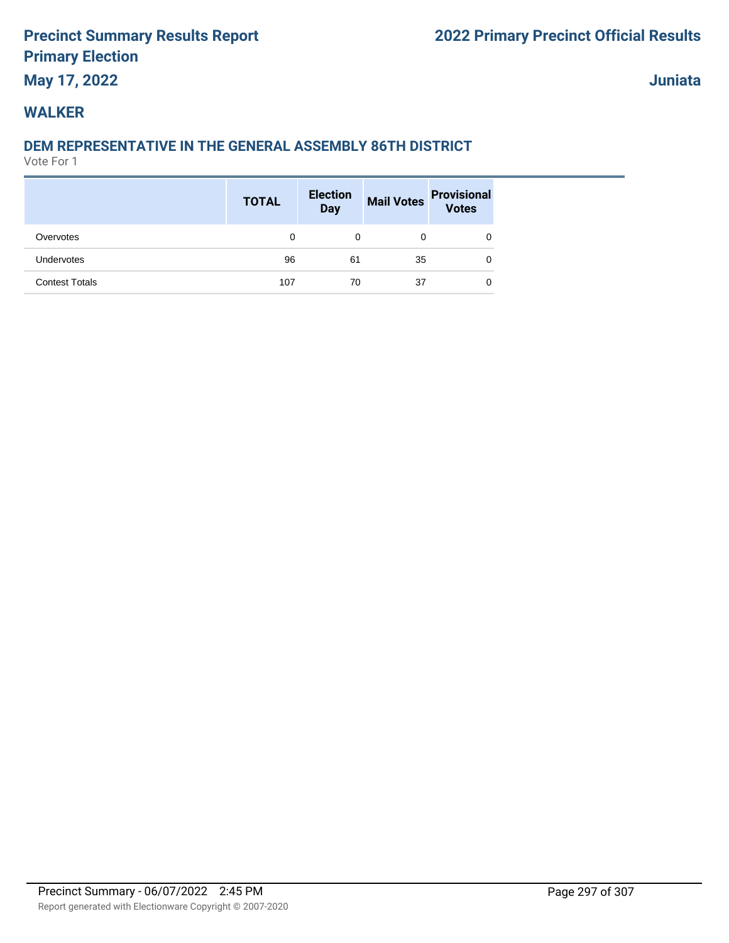# **May 17, 2022**

**Juniata**

### **WALKER**

### **DEM REPRESENTATIVE IN THE GENERAL ASSEMBLY 86TH DISTRICT**

|                       | <b>TOTAL</b> | <b>Election</b><br>Day |    | Mail Votes Provisional |
|-----------------------|--------------|------------------------|----|------------------------|
| Overvotes             | 0            | 0                      | 0  | 0                      |
| Undervotes            | 96           | 61                     | 35 | 0                      |
| <b>Contest Totals</b> | 107          | 70                     | 37 | 0                      |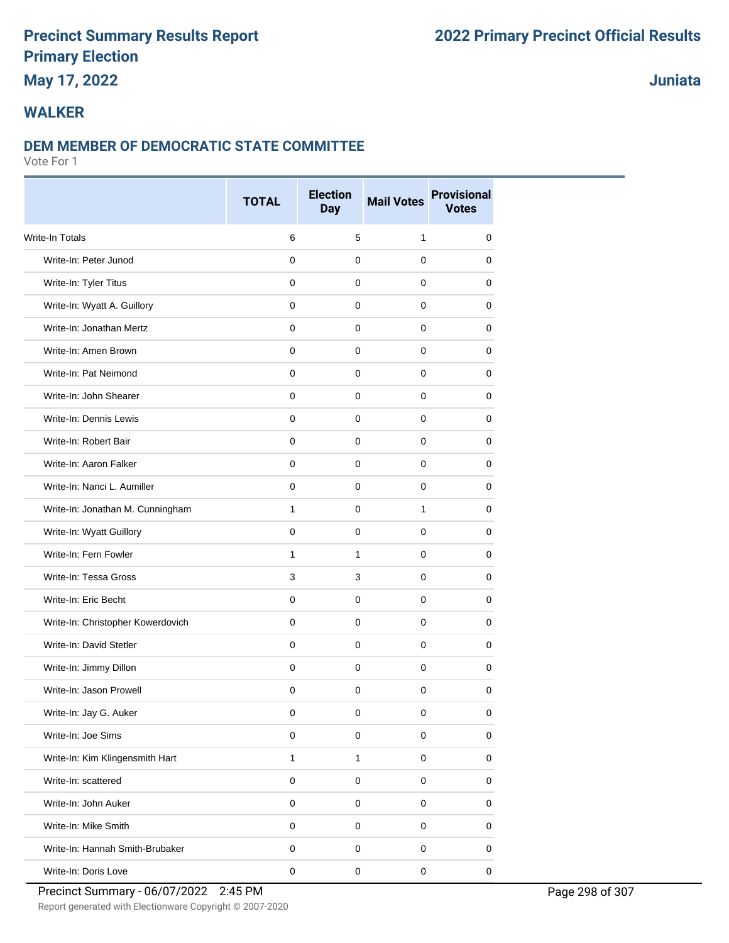### **May 17, 2022**

### **Juniata**

### **WALKER**

#### **DEM MEMBER OF DEMOCRATIC STATE COMMITTEE**

Vote For 1

|                                   | <b>TOTAL</b> | <b>Election</b><br><b>Day</b> | <b>Mail Votes</b> | <b>Provisional</b><br><b>Votes</b> |
|-----------------------------------|--------------|-------------------------------|-------------------|------------------------------------|
| <b>Write-In Totals</b>            | 6            | 5                             | $\mathbf{1}$      | 0                                  |
| Write-In: Peter Junod             | $\mathbf 0$  | $\mathbf 0$                   | 0                 | 0                                  |
| Write-In: Tyler Titus             | $\mathbf 0$  | $\mathbf 0$                   | 0                 | 0                                  |
| Write-In: Wyatt A. Guillory       | $\mathbf 0$  | 0                             | 0                 | 0                                  |
| Write-In: Jonathan Mertz          | $\mathbf 0$  | 0                             | 0                 | 0                                  |
| Write-In: Amen Brown              | $\mathbf 0$  | $\mathbf 0$                   | 0                 | 0                                  |
| Write-In: Pat Neimond             | $\mathbf 0$  | $\mathbf 0$                   | 0                 | 0                                  |
| Write-In: John Shearer            | $\mathbf 0$  | $\mathbf 0$                   | 0                 | 0                                  |
| Write-In: Dennis Lewis            | $\mathbf 0$  | $\mathbf 0$                   | 0                 | 0                                  |
| Write-In: Robert Bair             | 0            | 0                             | 0                 | 0                                  |
| Write-In: Aaron Falker            | $\mathbf 0$  | $\mathbf 0$                   | 0                 | 0                                  |
| Write-In: Nanci L. Aumiller       | $\mathbf 0$  | $\mathbf 0$                   | 0                 | 0                                  |
| Write-In: Jonathan M. Cunningham  | $\mathbf{1}$ | $\mathbf 0$                   | 1                 | 0                                  |
| Write-In: Wyatt Guillory          | $\mathbf 0$  | $\mathbf 0$                   | 0                 | 0                                  |
| Write-In: Fern Fowler             | $\mathbf{1}$ | 1                             | 0                 | 0                                  |
| Write-In: Tessa Gross             | 3            | 3                             | 0                 | 0                                  |
| Write-In: Eric Becht              | $\mathbf 0$  | $\mathbf 0$                   | 0                 | 0                                  |
| Write-In: Christopher Kowerdovich | $\mathbf 0$  | $\mathbf 0$                   | 0                 | 0                                  |
| Write-In: David Stetler           | $\mathbf 0$  | $\mathbf 0$                   | 0                 | 0                                  |
| Write-In: Jimmy Dillon            | $\mathbf 0$  | $\mathbf 0$                   | 0                 | 0                                  |
| Write-In: Jason Prowell           | $\mathbf 0$  | $\mathbf 0$                   | $\mathbf 0$       | 0                                  |
| Write-In: Jay G. Auker            | 0            | 0                             | 0                 | 0                                  |
| Write-In: Joe Sims                | $\pmb{0}$    | $\pmb{0}$                     | 0                 | 0                                  |
| Write-In: Kim Klingensmith Hart   | $\mathbf{1}$ | $\mathbf{1}$                  | 0                 | $\pmb{0}$                          |
| Write-In: scattered               | $\pmb{0}$    | $\mathbf 0$                   | 0                 | 0                                  |
| Write-In: John Auker              | $\pmb{0}$    | $\pmb{0}$                     | 0                 | 0                                  |
| Write-In: Mike Smith              | $\pmb{0}$    | $\mathsf 0$                   | 0                 | 0                                  |
| Write-In: Hannah Smith-Brubaker   | $\pmb{0}$    | $\pmb{0}$                     | 0                 | 0                                  |
| Write-In: Doris Love              | $\mathbf 0$  | $\pmb{0}$                     | $\mathbf 0$       | $\mathbf 0$                        |

Precinct Summary - 06/07/2022 2:45 PM Page 298 of 307

Report generated with Electionware Copyright © 2007-2020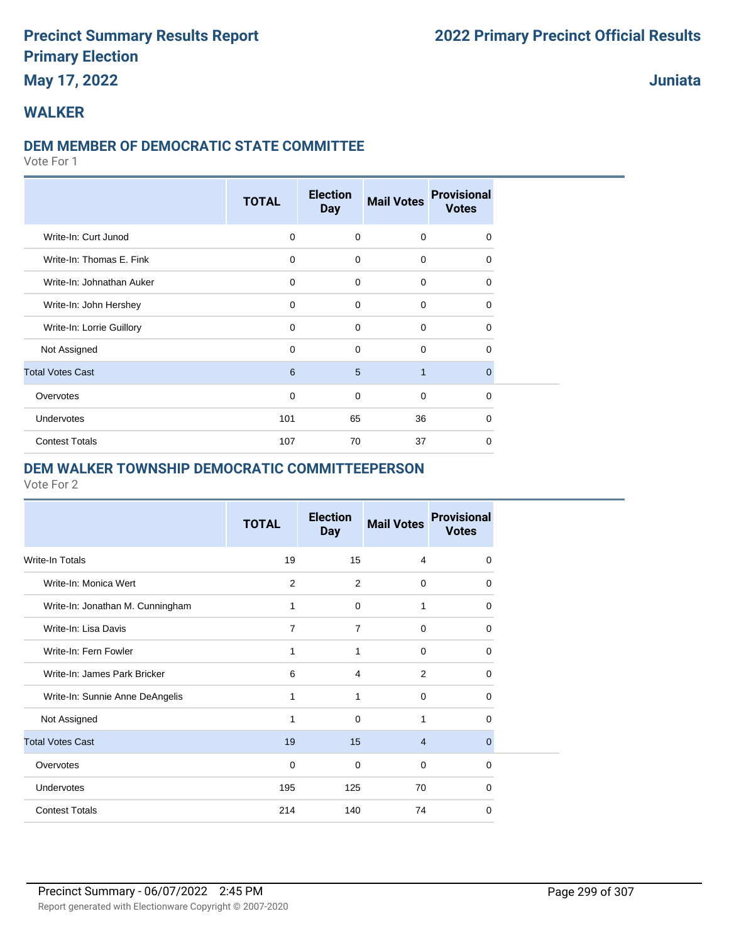### **May 17, 2022**

**Juniata**

### **WALKER**

#### **DEM MEMBER OF DEMOCRATIC STATE COMMITTEE**

Vote For 1

|                           | <b>TOTAL</b> | <b>Election</b><br><b>Day</b> | <b>Mail Votes</b> | <b>Provisional</b><br><b>Votes</b> |  |
|---------------------------|--------------|-------------------------------|-------------------|------------------------------------|--|
| Write-In: Curt Junod      | $\mathbf 0$  | $\mathbf 0$                   | 0                 | $\Omega$                           |  |
| Write-In: Thomas E. Fink  | $\mathbf 0$  | $\mathbf 0$                   | $\mathbf 0$       | $\Omega$                           |  |
| Write-In: Johnathan Auker | $\mathbf 0$  | $\mathbf 0$                   | $\mathbf 0$       | $\Omega$                           |  |
| Write-In: John Hershey    | $\mathbf 0$  | $\Omega$                      | $\mathbf 0$       | $\Omega$                           |  |
| Write-In: Lorrie Guillory | $\mathbf 0$  | $\mathbf 0$                   | $\mathbf 0$       | 0                                  |  |
| Not Assigned              | $\mathbf 0$  | $\mathbf 0$                   | $\mathbf 0$       | $\mathbf 0$                        |  |
| <b>Total Votes Cast</b>   | 6            | 5                             | $\mathbf{1}$      | $\Omega$                           |  |
| Overvotes                 | $\mathbf 0$  | $\mathbf 0$                   | $\mathbf 0$       | $\Omega$                           |  |
| Undervotes                | 101          | 65                            | 36                | $\Omega$                           |  |
| <b>Contest Totals</b>     | 107          | 70                            | 37                | $\Omega$                           |  |

### **DEM WALKER TOWNSHIP DEMOCRATIC COMMITTEEPERSON**

|                                  | <b>TOTAL</b> | <b>Election</b><br><b>Day</b> | <b>Mail Votes</b> | <b>Provisional</b><br><b>Votes</b> |
|----------------------------------|--------------|-------------------------------|-------------------|------------------------------------|
| Write-In Totals                  | 19           | 15                            | 4                 | $\Omega$                           |
| Write-In: Monica Wert            | 2            | 2                             | $\mathbf 0$       | $\Omega$                           |
| Write-In: Jonathan M. Cunningham | 1            | 0                             | 1                 | $\Omega$                           |
| Write-In: Lisa Davis             | 7            | 7                             | $\mathbf 0$       | $\Omega$                           |
| Write-In: Fern Fowler            | 1            | 1                             | $\mathbf 0$       | $\Omega$                           |
| Write-In: James Park Bricker     | 6            | $\overline{4}$                | $\overline{2}$    | $\Omega$                           |
| Write-In: Sunnie Anne DeAngelis  | 1            | 1                             | $\mathbf 0$       | $\Omega$                           |
| Not Assigned                     | 1            | $\mathbf 0$                   | 1                 | $\Omega$                           |
| <b>Total Votes Cast</b>          | 19           | 15                            | $\overline{4}$    | $\Omega$                           |
| Overvotes                        | $\mathbf 0$  | 0                             | $\mathbf 0$       | $\Omega$                           |
| Undervotes                       | 195          | 125                           | 70                | $\Omega$                           |
| <b>Contest Totals</b>            | 214          | 140                           | 74                | 0                                  |
|                                  |              |                               |                   |                                    |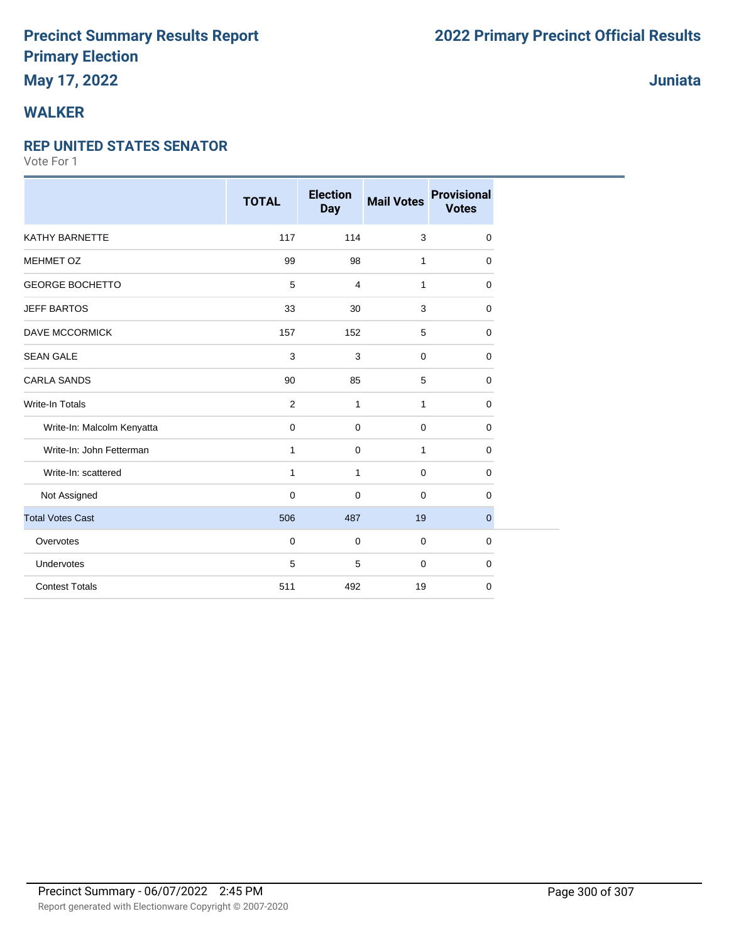# **WALKER**

#### **REP UNITED STATES SENATOR**

|                            | <b>TOTAL</b>   | <b>Election</b><br><b>Day</b> | <b>Mail Votes</b> | <b>Provisional</b><br><b>Votes</b> |
|----------------------------|----------------|-------------------------------|-------------------|------------------------------------|
| KATHY BARNETTE             | 117            | 114                           | 3                 | 0                                  |
| <b>MEHMET OZ</b>           | 99             | 98                            | 1                 | 0                                  |
| <b>GEORGE BOCHETTO</b>     | 5              | 4                             | 1                 | $\mathbf 0$                        |
| <b>JEFF BARTOS</b>         | 33             | 30                            | 3                 | 0                                  |
| <b>DAVE MCCORMICK</b>      | 157            | 152                           | 5                 | 0                                  |
| <b>SEAN GALE</b>           | 3              | 3                             | $\mathbf 0$       | 0                                  |
| <b>CARLA SANDS</b>         | 90             | 85                            | 5                 | $\Omega$                           |
| <b>Write-In Totals</b>     | $\overline{2}$ | $\mathbf{1}$                  | 1                 | 0                                  |
| Write-In: Malcolm Kenyatta | 0              | $\mathbf 0$                   | $\mathbf 0$       | 0                                  |
| Write-In: John Fetterman   | 1              | $\mathbf 0$                   | 1                 | 0                                  |
| Write-In: scattered        | $\mathbf{1}$   | $\mathbf{1}$                  | $\mathbf 0$       | $\mathbf 0$                        |
| Not Assigned               | $\mathbf 0$    | $\mathbf 0$                   | $\mathbf 0$       | $\mathbf 0$                        |
| <b>Total Votes Cast</b>    | 506            | 487                           | 19                | $\boldsymbol{0}$                   |
| Overvotes                  | $\mathbf 0$    | $\mathbf 0$                   | $\mathbf 0$       | $\mathbf 0$                        |
| Undervotes                 | 5              | 5                             | $\mathbf 0$       | 0                                  |
| <b>Contest Totals</b>      | 511            | 492                           | 19                | 0                                  |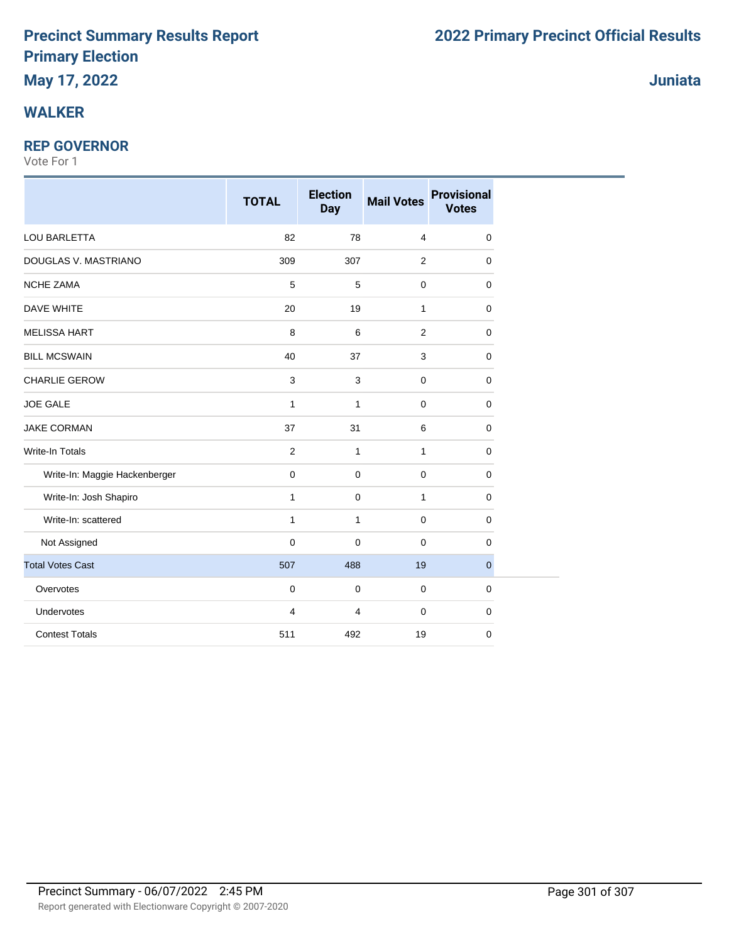### **WALKER**

### **REP GOVERNOR**

|                               | <b>TOTAL</b>        | <b>Election</b><br><b>Day</b> | <b>Mail Votes</b> | <b>Provisional</b><br><b>Votes</b> |
|-------------------------------|---------------------|-------------------------------|-------------------|------------------------------------|
| LOU BARLETTA                  | 82                  | 78                            | $\overline{4}$    | $\mathbf 0$                        |
| DOUGLAS V. MASTRIANO          | 309                 | 307                           | 2                 | $\mathbf 0$                        |
| <b>NCHE ZAMA</b>              | 5                   | 5                             | $\mathbf 0$       | $\mathbf 0$                        |
| DAVE WHITE                    | 20                  | 19                            | $\mathbf{1}$      | $\mathbf 0$                        |
| <b>MELISSA HART</b>           | 8                   | 6                             | 2                 | $\mathbf 0$                        |
| <b>BILL MCSWAIN</b>           | 40                  | 37                            | 3                 | $\mathbf 0$                        |
| <b>CHARLIE GEROW</b>          | $\mathbf{3}$        | 3                             | $\mathbf 0$       | $\mathbf 0$                        |
| <b>JOE GALE</b>               | $\mathbf{1}$        | $\mathbf{1}$                  | $\mathbf 0$       | $\mathbf 0$                        |
| <b>JAKE CORMAN</b>            | 37                  | 31                            | 6                 | $\mathbf 0$                        |
| <b>Write-In Totals</b>        | 2                   | $\mathbf{1}$                  | $\mathbf{1}$      | $\mathbf 0$                        |
| Write-In: Maggie Hackenberger | $\pmb{0}$           | $\pmb{0}$                     | $\mathbf 0$       | $\mathbf 0$                        |
| Write-In: Josh Shapiro        | $\mathbf{1}$        | $\mathbf 0$                   | $\mathbf{1}$      | $\mathbf 0$                        |
| Write-In: scattered           | $\mathbf{1}$        | $\mathbf{1}$                  | 0                 | $\mathbf 0$                        |
| Not Assigned                  | $\mathsf{O}\xspace$ | $\mathbf 0$                   | $\mathbf 0$       | $\mathbf 0$                        |
| <b>Total Votes Cast</b>       | 507                 | 488                           | 19                | $\mathbf{0}$                       |
| Overvotes                     | $\mathbf 0$         | $\mathbf 0$                   | 0                 | $\mathbf 0$                        |
| Undervotes                    | 4                   | 4                             | $\mathbf 0$       | $\mathbf 0$                        |
| <b>Contest Totals</b>         | 511                 | 492                           | 19                | $\mathbf 0$                        |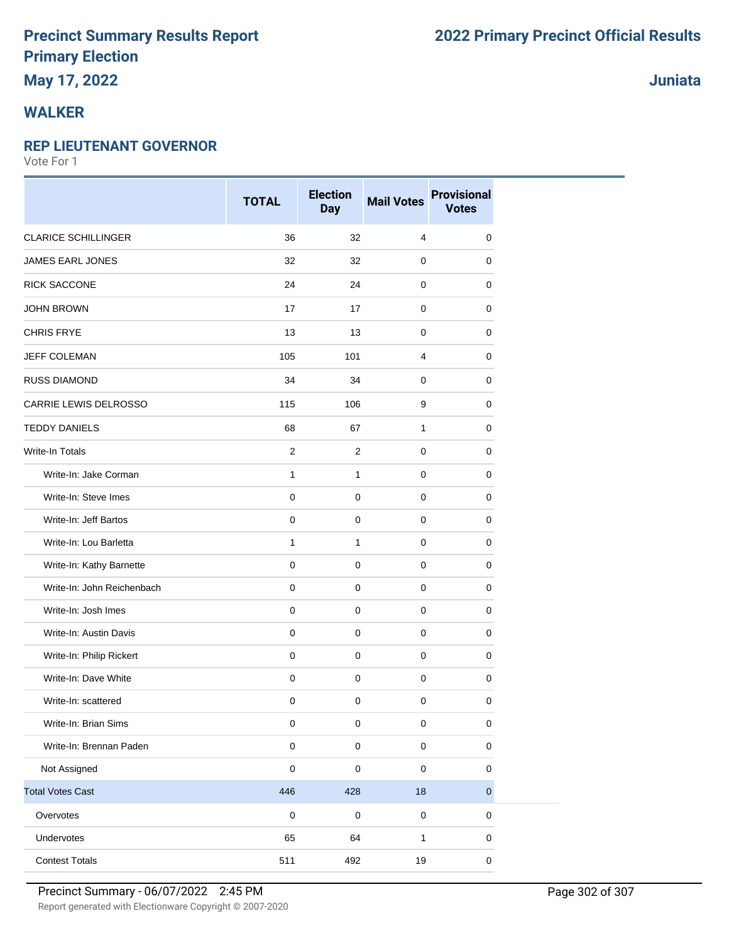# **May 17, 2022**

### **WALKER**

#### **REP LIEUTENANT GOVERNOR**

Vote For 1

|                            | <b>TOTAL</b>   | <b>Election</b><br><b>Day</b> | <b>Mail Votes</b> | <b>Provisional</b><br><b>Votes</b> |
|----------------------------|----------------|-------------------------------|-------------------|------------------------------------|
| <b>CLARICE SCHILLINGER</b> | 36             | 32                            | $\overline{4}$    | 0                                  |
| JAMES EARL JONES           | 32             | 32                            | $\mathbf 0$       | 0                                  |
| <b>RICK SACCONE</b>        | 24             | 24                            | $\mathbf 0$       | 0                                  |
| <b>JOHN BROWN</b>          | 17             | 17                            | $\mathbf 0$       | 0                                  |
| <b>CHRIS FRYE</b>          | 13             | 13                            | $\mathbf 0$       | 0                                  |
| <b>JEFF COLEMAN</b>        | 105            | 101                           | 4                 | 0                                  |
| <b>RUSS DIAMOND</b>        | 34             | 34                            | $\mathbf 0$       | 0                                  |
| CARRIE LEWIS DELROSSO      | 115            | 106                           | 9                 | 0                                  |
| <b>TEDDY DANIELS</b>       | 68             | 67                            | 1                 | 0                                  |
| Write-In Totals            | $\overline{2}$ | $\overline{2}$                | $\mathbf 0$       | 0                                  |
| Write-In: Jake Corman      | 1              | $\mathbf{1}$                  | 0                 | 0                                  |
| Write-In: Steve Imes       | $\mathbf 0$    | $\mathbf 0$                   | $\mathbf 0$       | 0                                  |
| Write-In: Jeff Bartos      | $\mathbf 0$    | $\mathbf 0$                   | $\mathbf 0$       | 0                                  |
| Write-In: Lou Barletta     | $\mathbf{1}$   | $\mathbf{1}$                  | $\mathbf 0$       | 0                                  |
| Write-In: Kathy Barnette   | $\pmb{0}$      | $\pmb{0}$                     | $\pmb{0}$         | 0                                  |
| Write-In: John Reichenbach | 0              | $\mathbf 0$                   | $\mathbf 0$       | 0                                  |
| Write-In: Josh Imes        | $\mathbf 0$    | 0                             | 0                 | 0                                  |
| Write-In: Austin Davis     | $\mathbf 0$    | $\pmb{0}$                     | $\mathbf 0$       | 0                                  |
| Write-In: Philip Rickert   | $\mathbf 0$    | $\mathbf 0$                   | $\mathbf 0$       | 0                                  |
| Write-In: Dave White       | $\mathbf 0$    | $\mathbf 0$                   | $\mathbf 0$       | 0                                  |
| Write-In: scattered        | 0              | $\mathbf 0$                   | $\pmb{0}$         | 0                                  |
| Write-In: Brian Sims       | 0              | $\pmb{0}$                     | $\pmb{0}$         | 0                                  |
| Write-In: Brennan Paden    | $\mathbf 0$    | $\pmb{0}$                     | $\pmb{0}$         | 0                                  |
| Not Assigned               | $\pmb{0}$      | $\mathsf 0$                   | $\pmb{0}$         | 0                                  |
| <b>Total Votes Cast</b>    | 446            | 428                           | $18$              | $\pmb{0}$                          |
| Overvotes                  | $\pmb{0}$      | $\mathbf 0$                   | $\mathbf 0$       | $\pmb{0}$                          |
| Undervotes                 | 65             | 64                            | $\mathbf{1}$      | 0                                  |
| <b>Contest Totals</b>      | 511            | 492                           | 19                | $\pmb{0}$                          |

**Juniata**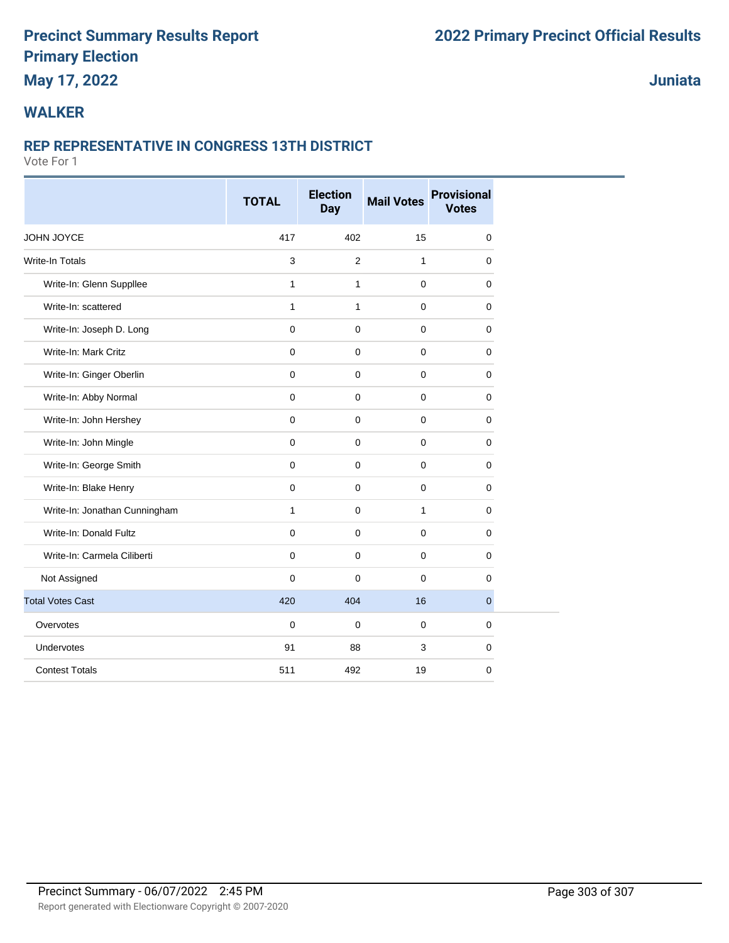### **May 17, 2022**

**Juniata**

### **WALKER**

#### **REP REPRESENTATIVE IN CONGRESS 13TH DISTRICT**

|                               | <b>TOTAL</b>        | <b>Election</b><br>Day | <b>Mail Votes</b> | <b>Provisional</b><br><b>Votes</b> |
|-------------------------------|---------------------|------------------------|-------------------|------------------------------------|
| JOHN JOYCE                    | 417                 | 402                    | 15                | $\mathbf 0$                        |
| <b>Write-In Totals</b>        | $\mathbf{3}$        | $\overline{2}$         | $\mathbf{1}$      | $\mathbf 0$                        |
| Write-In: Glenn Suppllee      | $\mathbf{1}$        | $\mathbf{1}$           | $\mathbf{0}$      | $\mathbf 0$                        |
| Write-In: scattered           | $\mathbf{1}$        | $\mathbf{1}$           | $\mathbf 0$       | $\mathbf 0$                        |
| Write-In: Joseph D. Long      | $\mathbf 0$         | 0                      | $\mathbf 0$       | $\mathbf 0$                        |
| Write-In: Mark Critz          | $\mathbf 0$         | $\mathbf 0$            | $\mathbf 0$       | $\mathbf 0$                        |
| Write-In: Ginger Oberlin      | $\mathbf 0$         | 0                      | $\mathbf 0$       | $\mathbf 0$                        |
| Write-In: Abby Normal         | $\mathbf 0$         | 0                      | $\mathbf 0$       | 0                                  |
| Write-In: John Hershey        | $\mathsf{O}\xspace$ | $\mathbf 0$            | $\mathbf 0$       | $\mathbf 0$                        |
| Write-In: John Mingle         | $\mathbf 0$         | $\mathbf 0$            | $\mathbf 0$       | $\mathbf 0$                        |
| Write-In: George Smith        | $\mathbf 0$         | 0                      | $\mathbf 0$       | $\mathbf 0$                        |
| Write-In: Blake Henry         | $\mathsf{O}\xspace$ | 0                      | $\mathbf 0$       | 0                                  |
| Write-In: Jonathan Cunningham | $\mathbf{1}$        | $\Omega$               | $\mathbf{1}$      | $\Omega$                           |
| Write-In: Donald Fultz        | $\mathbf 0$         | 0                      | $\mathbf 0$       | $\mathbf 0$                        |
| Write-In: Carmela Ciliberti   | $\mathbf 0$         | 0                      | $\mathbf 0$       | 0                                  |
| Not Assigned                  | $\mathbf 0$         | 0                      | $\mathbf 0$       | $\mathbf 0$                        |
| <b>Total Votes Cast</b>       | 420                 | 404                    | 16                | $\overline{0}$                     |
| Overvotes                     | $\mathbf 0$         | 0                      | $\mathbf 0$       | $\mathbf 0$                        |
| Undervotes                    | 91                  | 88                     | 3                 | 0                                  |
| <b>Contest Totals</b>         | 511                 | 492                    | 19                | $\mathbf 0$                        |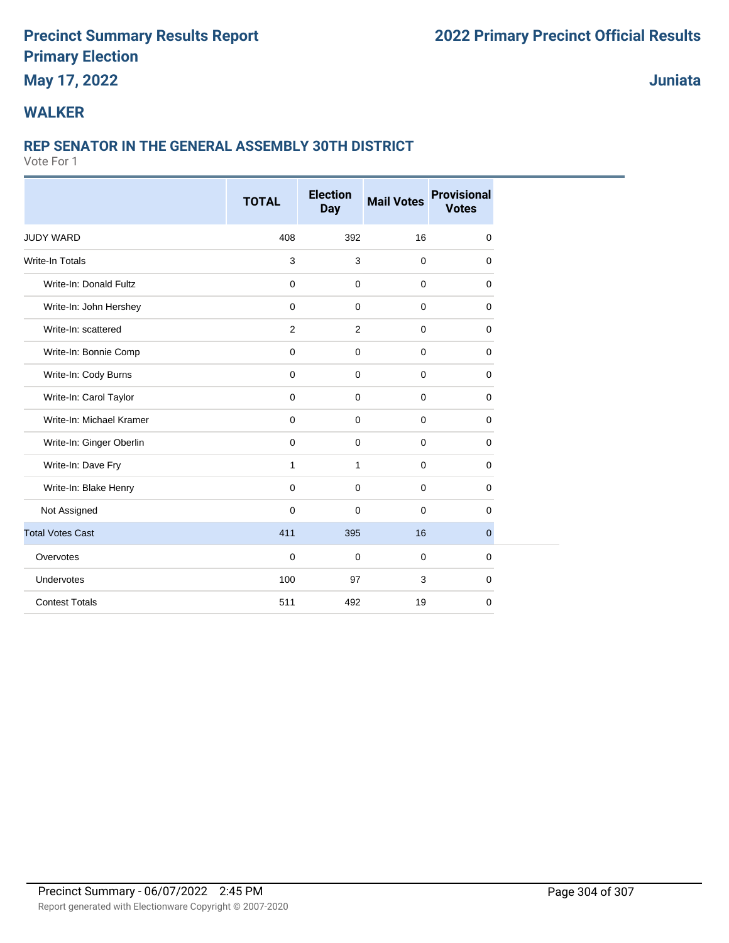### **May 17, 2022**

**Juniata**

### **WALKER**

### **REP SENATOR IN THE GENERAL ASSEMBLY 30TH DISTRICT**

|                          | <b>TOTAL</b> | <b>Election</b><br><b>Day</b> | <b>Mail Votes</b> | <b>Provisional</b><br><b>Votes</b> |
|--------------------------|--------------|-------------------------------|-------------------|------------------------------------|
|                          |              |                               |                   |                                    |
| <b>JUDY WARD</b>         | 408          | 392                           | 16                | 0                                  |
| Write-In Totals          | 3            | 3                             | $\mathbf 0$       | 0                                  |
| Write-In: Donald Fultz   | $\mathbf 0$  | $\mathbf 0$                   | $\mathbf 0$       | 0                                  |
| Write-In: John Hershey   | 0            | $\mathbf 0$                   | $\mathbf 0$       | 0                                  |
| Write-In: scattered      | 2            | $\overline{2}$                | $\mathbf 0$       | 0                                  |
| Write-In: Bonnie Comp    | $\mathbf 0$  | $\mathbf 0$                   | $\mathbf 0$       | 0                                  |
| Write-In: Cody Burns     | $\mathbf 0$  | $\mathbf 0$                   | $\mathbf 0$       | 0                                  |
| Write-In: Carol Taylor   | $\mathbf 0$  | $\mathbf 0$                   | $\mathbf 0$       | 0                                  |
| Write-In: Michael Kramer | $\mathbf 0$  | $\mathbf 0$                   | $\mathbf 0$       | 0                                  |
| Write-In: Ginger Oberlin | $\mathbf 0$  | $\mathbf 0$                   | $\mathbf 0$       | 0                                  |
| Write-In: Dave Fry       | 1            | $\mathbf{1}$                  | 0                 | 0                                  |
| Write-In: Blake Henry    | $\mathbf 0$  | $\mathbf 0$                   | $\mathbf 0$       | 0                                  |
| Not Assigned             | $\mathbf 0$  | $\mathbf 0$                   | $\mathbf 0$       | 0                                  |
| <b>Total Votes Cast</b>  | 411          | 395                           | 16                | $\overline{0}$                     |
| Overvotes                | $\mathbf 0$  | $\mathbf 0$                   | $\mathbf 0$       | 0                                  |
| Undervotes               | 100          | 97                            | 3                 | 0                                  |
| <b>Contest Totals</b>    | 511          | 492                           | 19                | 0                                  |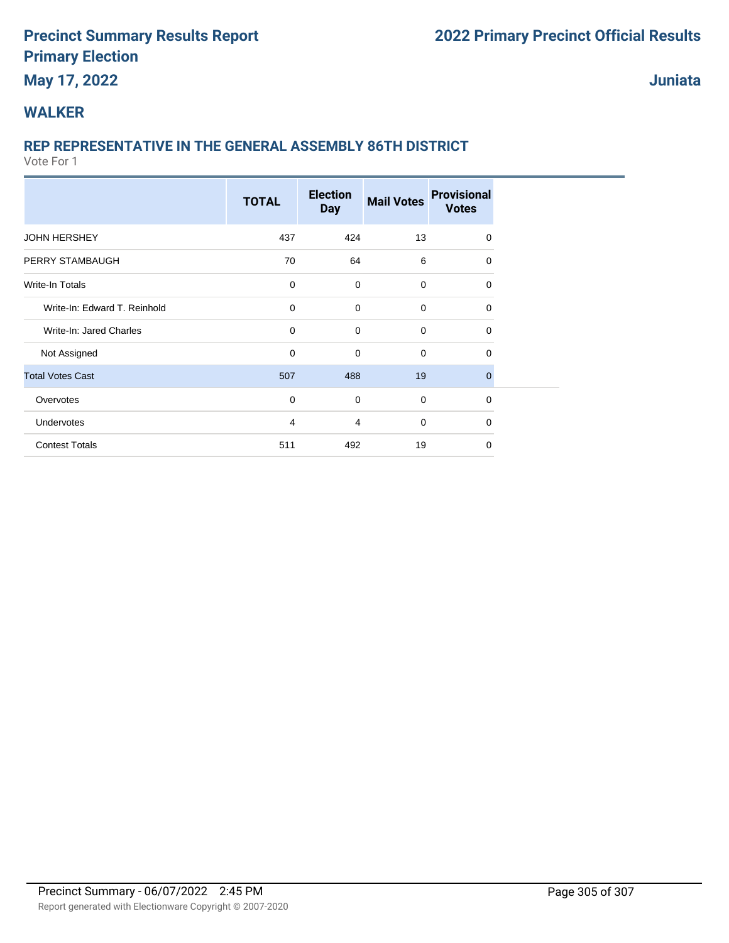### **May 17, 2022**

**Juniata**

### **WALKER**

### **REP REPRESENTATIVE IN THE GENERAL ASSEMBLY 86TH DISTRICT**

|                              | <b>TOTAL</b>   | <b>Election</b><br><b>Day</b> | <b>Mail Votes</b> | <b>Provisional</b><br><b>Votes</b> |  |
|------------------------------|----------------|-------------------------------|-------------------|------------------------------------|--|
| <b>JOHN HERSHEY</b>          | 437            | 424                           | 13                | $\Omega$                           |  |
| PERRY STAMBAUGH              | 70             | 64                            | 6                 | 0                                  |  |
| <b>Write-In Totals</b>       | 0              | $\mathbf 0$                   | 0                 | 0                                  |  |
| Write-In: Edward T. Reinhold | 0              | $\mathbf 0$                   | 0                 | 0                                  |  |
| Write-In: Jared Charles      | 0              | $\mathbf 0$                   | 0                 | 0                                  |  |
| Not Assigned                 | 0              | 0                             | 0                 | $\Omega$                           |  |
| <b>Total Votes Cast</b>      | 507            | 488                           | 19                | $\overline{0}$                     |  |
| Overvotes                    | $\mathbf 0$    | $\mathbf 0$                   | 0                 | $\mathbf 0$                        |  |
| Undervotes                   | $\overline{4}$ | 4                             | 0                 | 0                                  |  |
| <b>Contest Totals</b>        | 511            | 492                           | 19                | $\Omega$                           |  |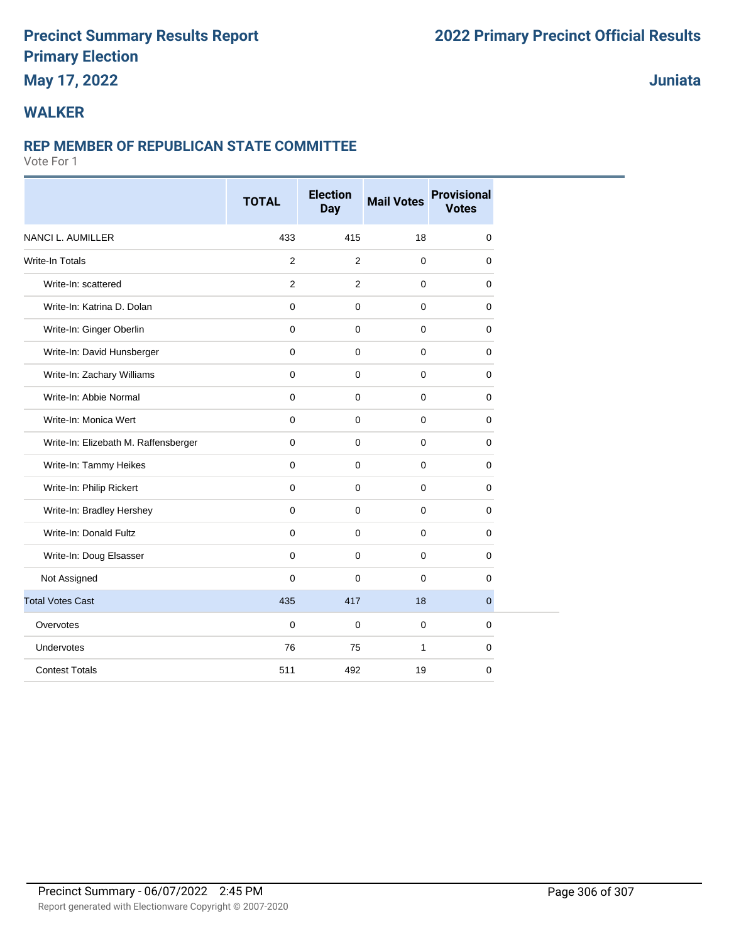### **May 17, 2022**

### **Juniata**

### **WALKER**

#### **REP MEMBER OF REPUBLICAN STATE COMMITTEE**

|                                      | <b>TOTAL</b>        | <b>Election</b><br><b>Day</b> | <b>Mail Votes</b> | <b>Provisional</b><br><b>Votes</b> |
|--------------------------------------|---------------------|-------------------------------|-------------------|------------------------------------|
| NANCI L. AUMILLER                    | 433                 | 415                           | 18                | $\mathbf 0$                        |
| Write-In Totals                      | 2                   | 2                             | $\mathbf 0$       | $\mathbf 0$                        |
| Write-In: scattered                  | 2                   | 2                             | $\mathbf{0}$      | $\mathbf 0$                        |
| Write-In: Katrina D. Dolan           | $\mathbf 0$         | 0                             | $\mathbf 0$       | 0                                  |
| Write-In: Ginger Oberlin             | $\mathsf{O}\xspace$ | $\mathbf 0$                   | $\mathbf 0$       | 0                                  |
| Write-In: David Hunsberger           | $\mathbf 0$         | $\mathbf 0$                   | $\pmb{0}$         | $\mathbf 0$                        |
| Write-In: Zachary Williams           | $\mathbf 0$         | $\mathbf 0$                   | $\mathbf 0$       | 0                                  |
| Write-In: Abbie Normal               | $\mathbf 0$         | $\mathbf 0$                   | $\mathbf 0$       | $\mathbf 0$                        |
| Write-In: Monica Wert                | $\mathbf 0$         | 0                             | $\mathbf 0$       | 0                                  |
| Write-In: Elizebath M. Raffensberger | $\mathbf 0$         | $\mathbf 0$                   | $\mathbf 0$       | $\mathbf 0$                        |
| Write-In: Tammy Heikes               | $\mathbf 0$         | $\mathbf 0$                   | $\mathbf 0$       | 0                                  |
| Write-In: Philip Rickert             | $\mathbf 0$         | $\mathbf 0$                   | $\mathbf 0$       | 0                                  |
| Write-In: Bradley Hershey            | $\mathbf{0}$        | $\Omega$                      | $\mathbf{0}$      | $\mathbf 0$                        |
| Write-In: Donald Fultz               | $\mathbf 0$         | $\mathbf 0$                   | $\pmb{0}$         | $\mathbf 0$                        |
| Write-In: Doug Elsasser              | $\mathbf 0$         | $\mathbf 0$                   | $\mathbf 0$       | 0                                  |
| Not Assigned                         | $\mathbf 0$         | $\mathbf 0$                   | $\mathbf 0$       | $\mathbf 0$                        |
| <b>Total Votes Cast</b>              | 435                 | 417                           | 18                | $\mathbf{0}$                       |
| Overvotes                            | $\mathbf 0$         | $\mathbf 0$                   | $\mathbf 0$       | $\mathbf 0$                        |
| Undervotes                           | 76                  | 75                            | 1                 | $\pmb{0}$                          |
| <b>Contest Totals</b>                | 511                 | 492                           | 19                | 0                                  |